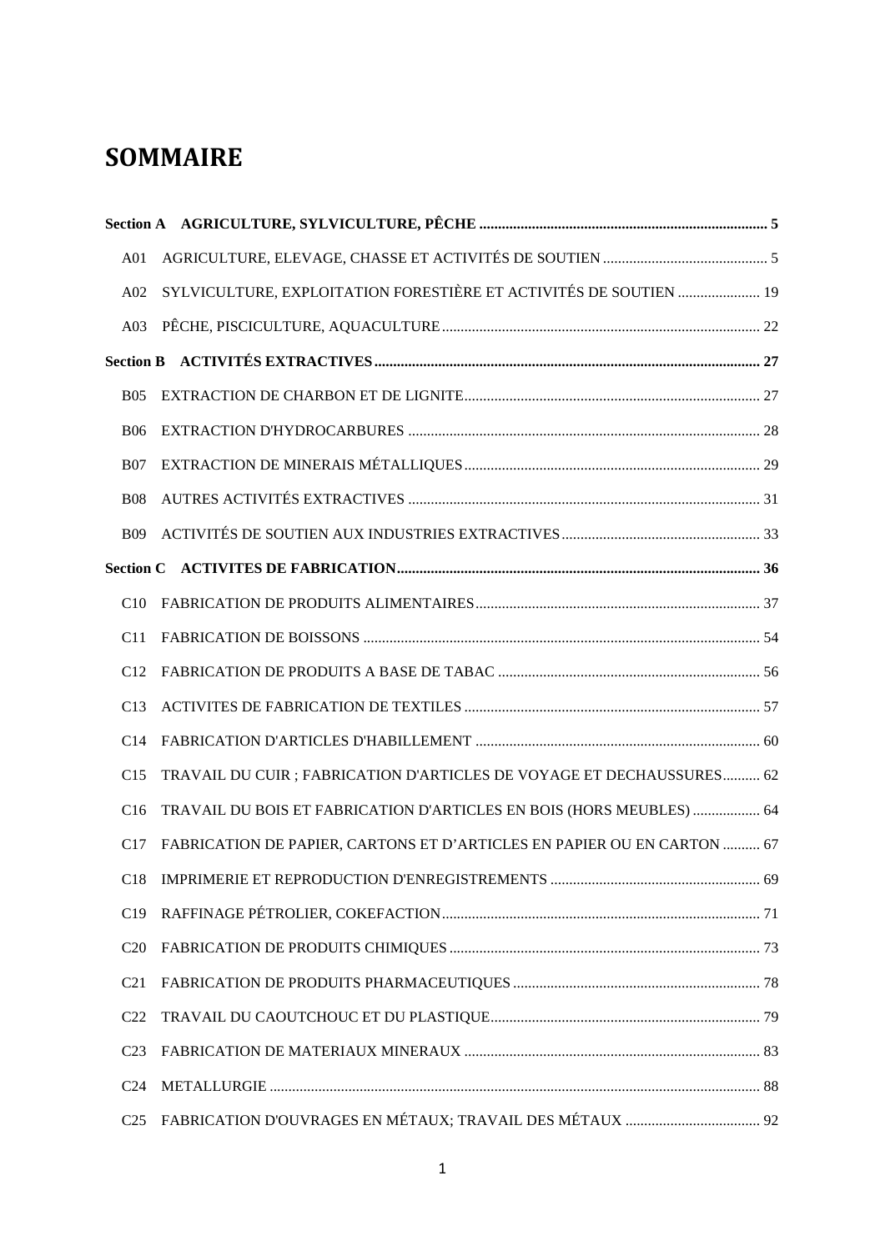# **SOMMAIRE**

| A <sub>01</sub> |                                                                         |  |
|-----------------|-------------------------------------------------------------------------|--|
| A02             | SYLVICULTURE, EXPLOITATION FORESTIÈRE ET ACTIVITÉS DE SOUTIEN  19       |  |
| A03             |                                                                         |  |
|                 |                                                                         |  |
| <b>B05</b>      |                                                                         |  |
| <b>B06</b>      |                                                                         |  |
| <b>B07</b>      |                                                                         |  |
| <b>B08</b>      |                                                                         |  |
| <b>B09</b>      |                                                                         |  |
|                 |                                                                         |  |
| C10             |                                                                         |  |
| C <sub>11</sub> |                                                                         |  |
| C12             |                                                                         |  |
| C13             |                                                                         |  |
| C <sub>14</sub> |                                                                         |  |
| C15             | TRAVAIL DU CUIR ; FABRICATION D'ARTICLES DE VOYAGE ET DECHAUSSURES 62   |  |
| C16             | TRAVAIL DU BOIS ET FABRICATION D'ARTICLES EN BOIS (HORS MEUBLES)  64    |  |
| C17             | FABRICATION DE PAPIER, CARTONS ET D'ARTICLES EN PAPIER OU EN CARTON  67 |  |
|                 |                                                                         |  |
| C19             |                                                                         |  |
| C <sub>20</sub> |                                                                         |  |
| C <sub>21</sub> |                                                                         |  |
| C <sub>22</sub> |                                                                         |  |
| C <sub>23</sub> |                                                                         |  |
| C <sub>24</sub> |                                                                         |  |
| C <sub>25</sub> |                                                                         |  |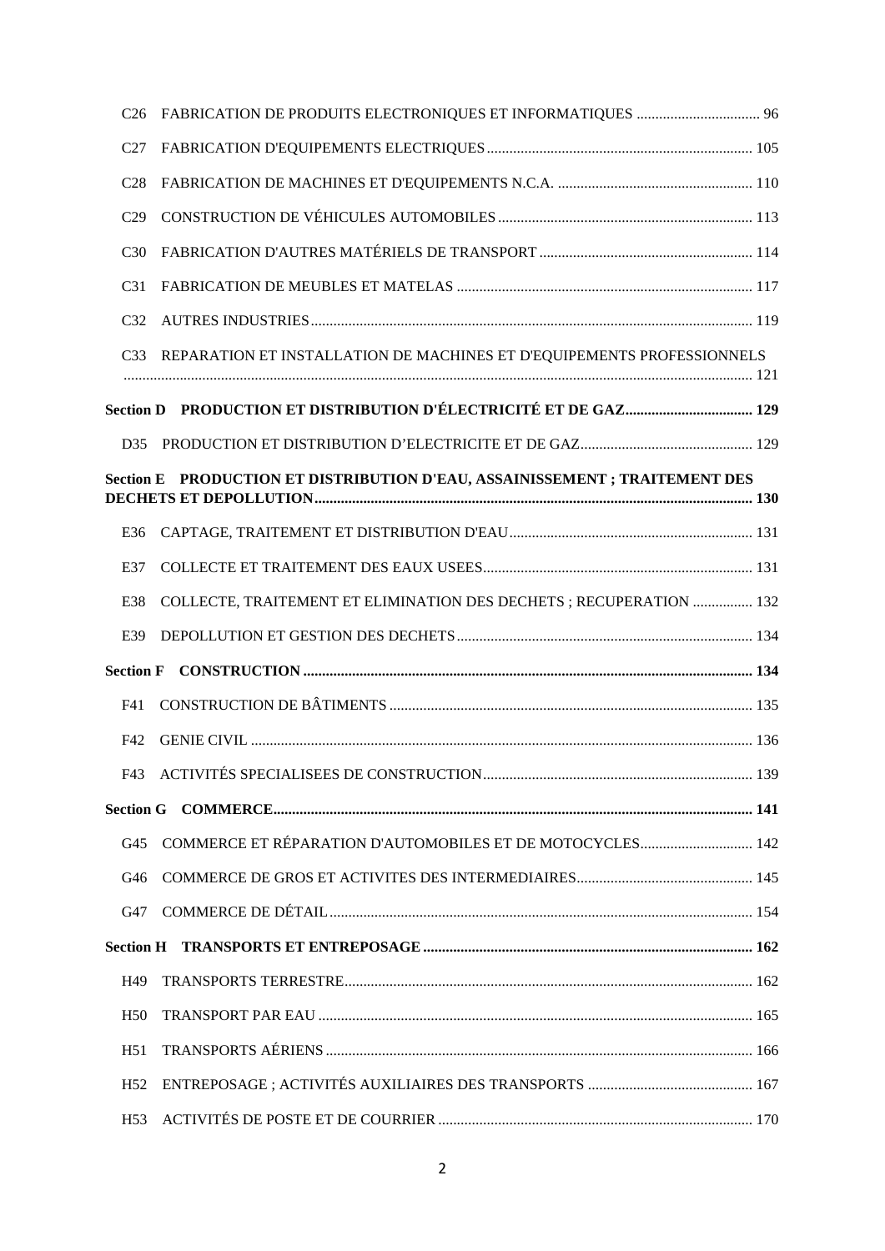| C <sub>26</sub>  | FABRICATION DE PRODUITS ELECTRONIQUES ET INFORMATIQUES  96             |  |  |
|------------------|------------------------------------------------------------------------|--|--|
| C <sub>27</sub>  |                                                                        |  |  |
| C <sub>28</sub>  |                                                                        |  |  |
| C <sub>29</sub>  |                                                                        |  |  |
| C <sub>30</sub>  |                                                                        |  |  |
| C <sub>31</sub>  |                                                                        |  |  |
| C <sub>32</sub>  |                                                                        |  |  |
| C <sub>33</sub>  | REPARATION ET INSTALLATION DE MACHINES ET D'EQUIPEMENTS PROFESSIONNELS |  |  |
|                  |                                                                        |  |  |
|                  |                                                                        |  |  |
| D35              |                                                                        |  |  |
| <b>Section E</b> | PRODUCTION ET DISTRIBUTION D'EAU, ASSAINISSEMENT ; TRAITEMENT DES      |  |  |
| E36              |                                                                        |  |  |
| E37              |                                                                        |  |  |
| E38              | COLLECTE, TRAITEMENT ET ELIMINATION DES DECHETS ; RECUPERATION  132    |  |  |
| E39              |                                                                        |  |  |
| <b>Section F</b> |                                                                        |  |  |
| F41              |                                                                        |  |  |
| F42              |                                                                        |  |  |
|                  |                                                                        |  |  |
|                  |                                                                        |  |  |
| G <sub>45</sub>  |                                                                        |  |  |
| G46              |                                                                        |  |  |
| G <sub>47</sub>  |                                                                        |  |  |
|                  |                                                                        |  |  |
| H49              |                                                                        |  |  |
| H <sub>50</sub>  |                                                                        |  |  |
| H51              |                                                                        |  |  |
| H <sub>52</sub>  |                                                                        |  |  |
| H <sub>53</sub>  |                                                                        |  |  |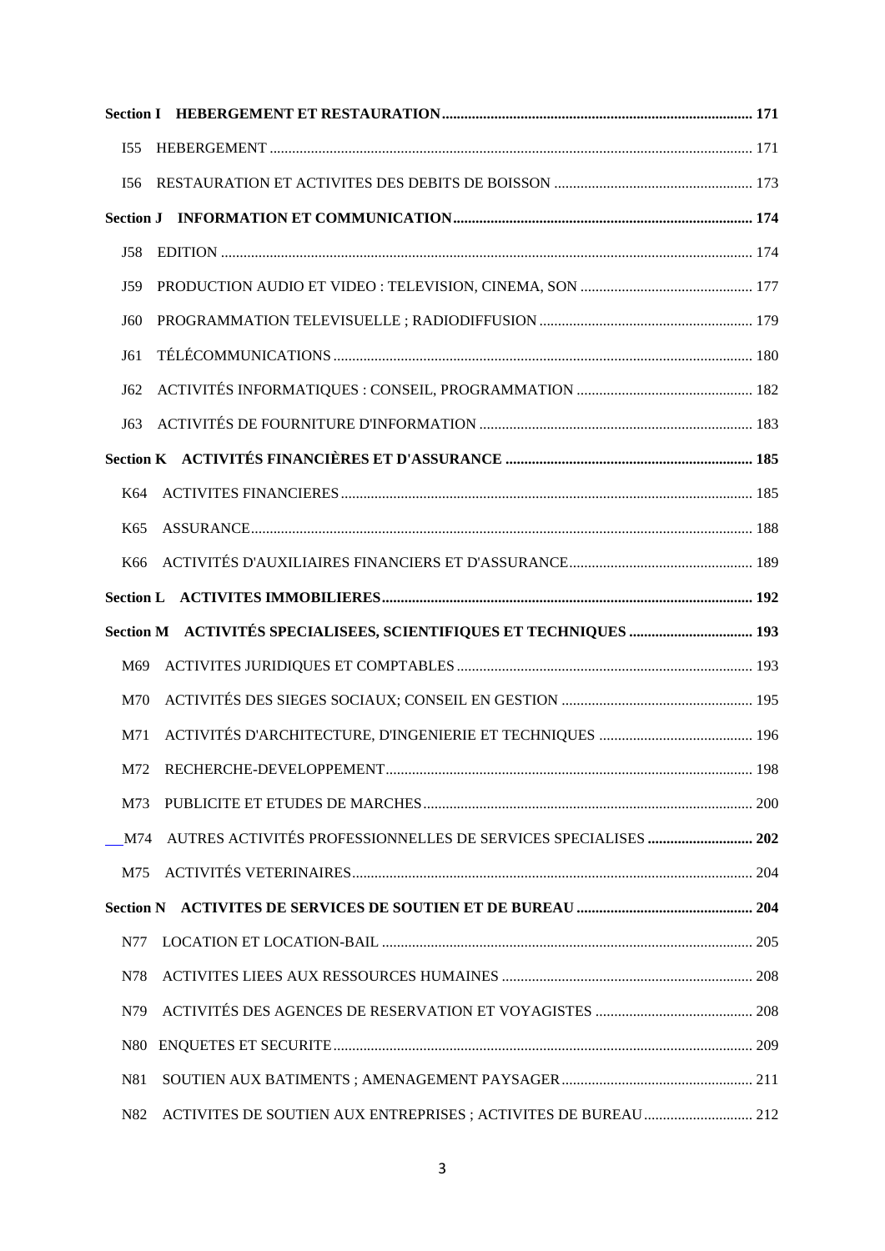| I55             |  |
|-----------------|--|
| I56             |  |
|                 |  |
| J58             |  |
| J59             |  |
| J60             |  |
| J61             |  |
| J62             |  |
| J63             |  |
|                 |  |
| K64             |  |
| K <sub>65</sub> |  |
| K66             |  |
|                 |  |
|                 |  |
|                 |  |
| M69             |  |
| M70             |  |
| M71             |  |
|                 |  |
| M73             |  |
| M74             |  |
| M75             |  |
|                 |  |
| N77             |  |
| N78             |  |
| N79             |  |
| N80             |  |
| N81             |  |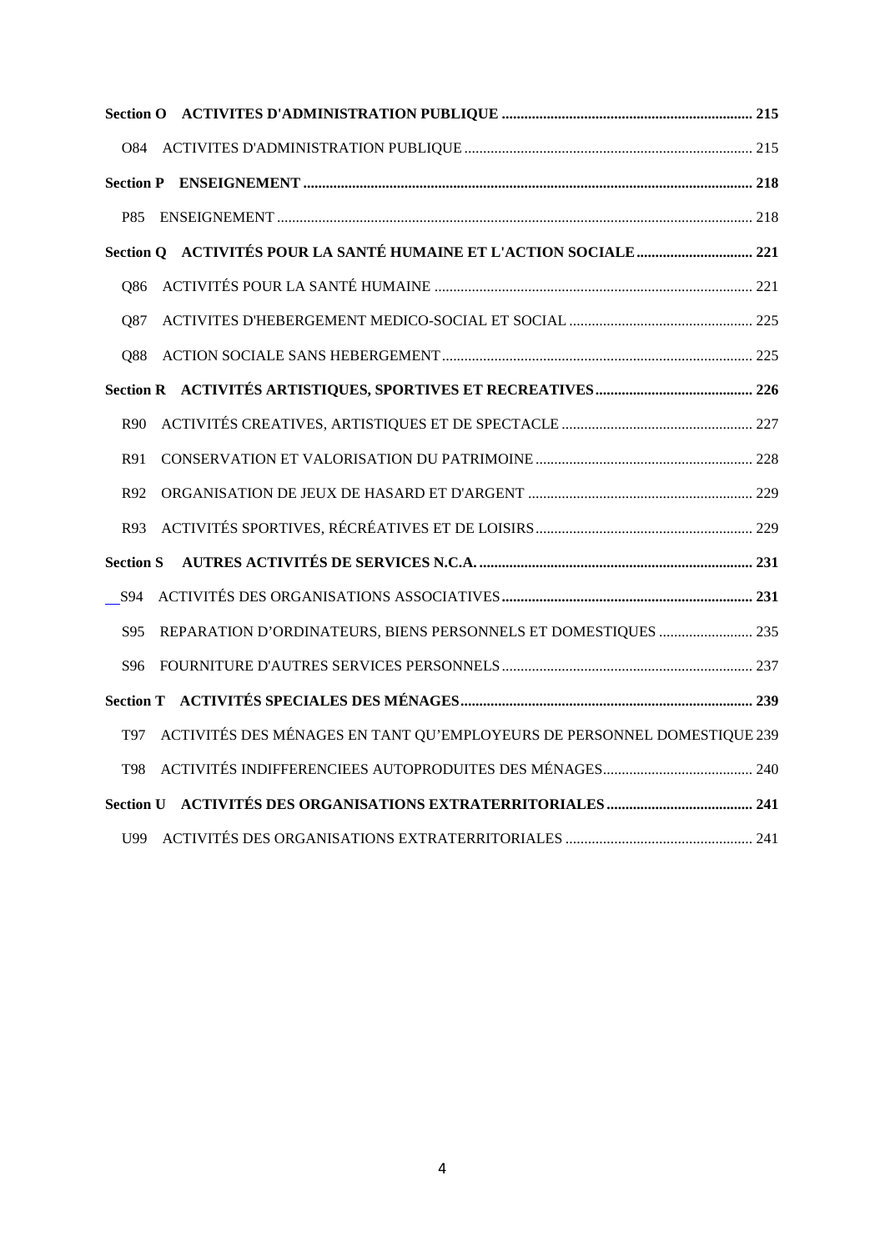| <b>P85</b>       |                                                                         |  |
|------------------|-------------------------------------------------------------------------|--|
|                  |                                                                         |  |
| 086              |                                                                         |  |
| Q87              |                                                                         |  |
| O88              |                                                                         |  |
|                  |                                                                         |  |
| R90              |                                                                         |  |
| R91              |                                                                         |  |
| R92              |                                                                         |  |
| R93              |                                                                         |  |
| <b>Section S</b> |                                                                         |  |
| S94              |                                                                         |  |
| S95              | REPARATION D'ORDINATEURS, BIENS PERSONNELS ET DOMESTIQUES  235          |  |
| S96              |                                                                         |  |
|                  |                                                                         |  |
| T97              | ACTIVITÉS DES MÉNAGES EN TANT QU'EMPLOYEURS DE PERSONNEL DOMESTIQUE 239 |  |
| T98              |                                                                         |  |
|                  |                                                                         |  |
|                  |                                                                         |  |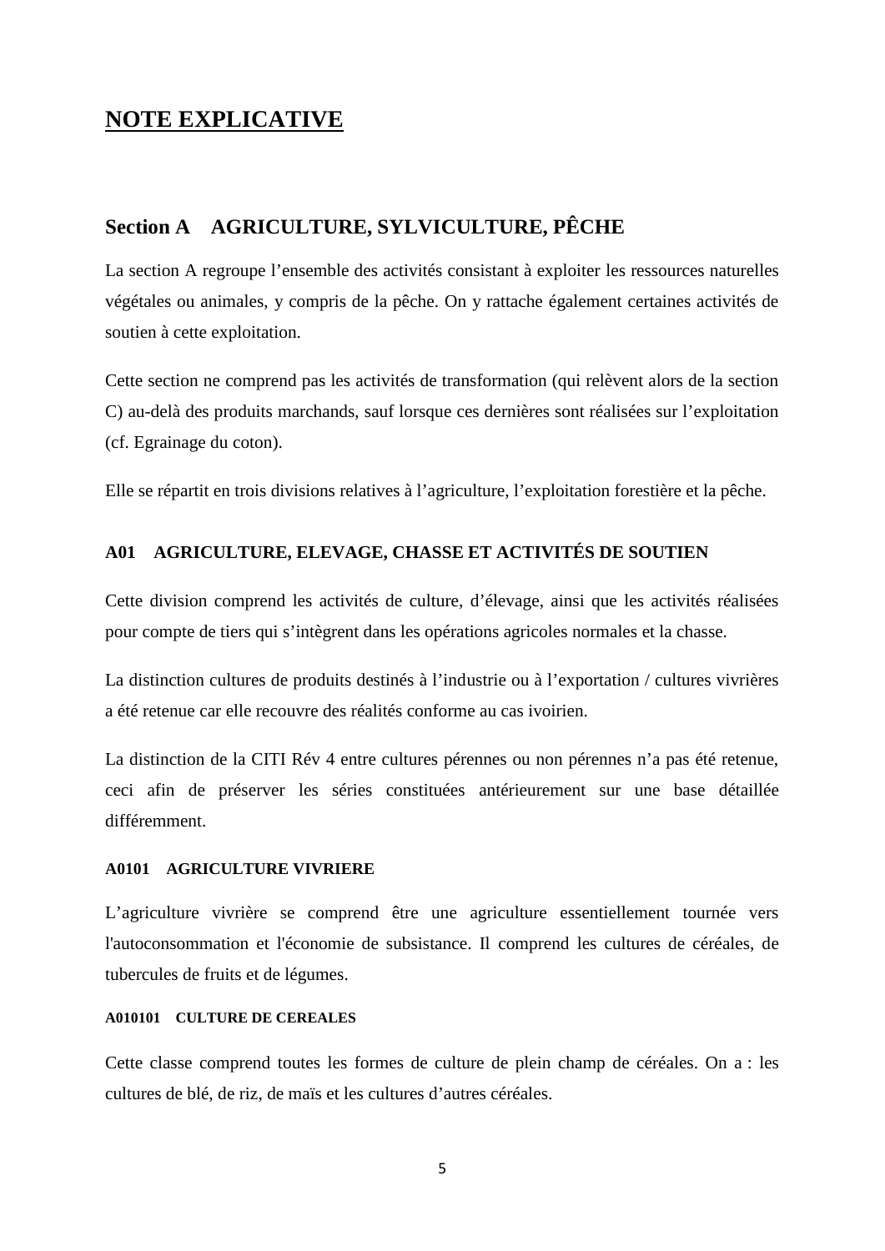## **NOTE EXPLICATIVE**

## **Section A AGRICULTURE, SYLVICULTURE, PÊCHE**

La section A regroupe l'ensemble des activités consistant à exploiter les ressources naturelles végétales ou animales, y compris de la pêche. On y rattache également certaines activités de soutien à cette exploitation.

Cette section ne comprend pas les activités de transformation (qui relèvent alors de la section C) au-delà des produits marchands, sauf lorsque ces dernières sont réalisées sur l'exploitation (cf. Egrainage du coton).

Elle se répartit en trois divisions relatives à l'agriculture, l'exploitation forestière et la pêche.

## **A01 AGRICULTURE, ELEVAGE, CHASSE ET ACTIVITÉS DE SOUTIEN**

Cette division comprend les activités de culture, d'élevage, ainsi que les activités réalisées pour compte de tiers qui s'intègrent dans les opérations agricoles normales et la chasse.

La distinction cultures de produits destinés à l'industrie ou à l'exportation / cultures vivrières a été retenue car elle recouvre des réalités conforme au cas ivoirien.

La distinction de la CITI Rév 4 entre cultures pérennes ou non pérennes n'a pas été retenue, ceci afin de préserver les séries constituées antérieurement sur une base détaillée différemment.

## **A0101 AGRICULTURE VIVRIERE**

L'agriculture vivrière se comprend être une agriculture essentiellement tournée vers l'autoconsommation et l'économie de subsistance. Il comprend les cultures de céréales, de tubercules de fruits et de légumes.

## **A010101 CULTURE DE CEREALES**

Cette classe comprend toutes les formes de culture de plein champ de céréales. On a : les cultures de blé, de riz, de maïs et les cultures d'autres céréales.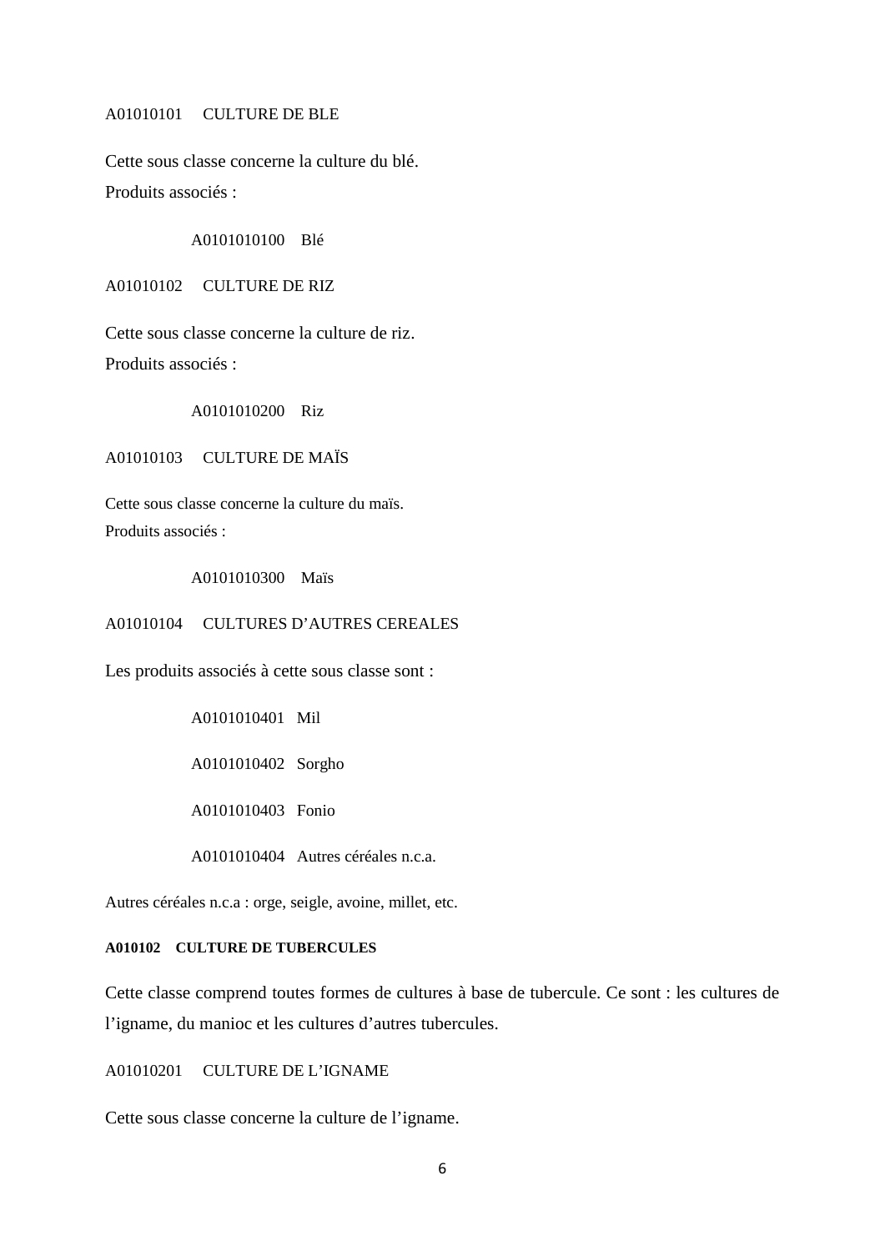A01010101 CULTURE DE BLE

Cette sous classe concerne la culture du blé. Produits associés :

A0101010100 Blé

A01010102 CULTURE DE RIZ

Cette sous classe concerne la culture de riz. Produits associés :

A0101010200 Riz

A01010103 CULTURE DE MAÏS

Cette sous classe concerne la culture du maïs. Produits associés ·

A0101010300 Maïs

A01010104 CULTURES D'AUTRES CEREALES

Les produits associés à cette sous classe sont :

A0101010401 Mil

A0101010402 Sorgho

A0101010403 Fonio

A0101010404 Autres céréales n.c.a.

Autres céréales n.c.a : orge, seigle, avoine, millet, etc.

#### **A010102 CULTURE DE TUBERCULES**

Cette classe comprend toutes formes de cultures à base de tubercule. Ce sont : les cultures de l'igname, du manioc et les cultures d'autres tubercules.

A01010201 CULTURE DE L'IGNAME

Cette sous classe concerne la culture de l'igname.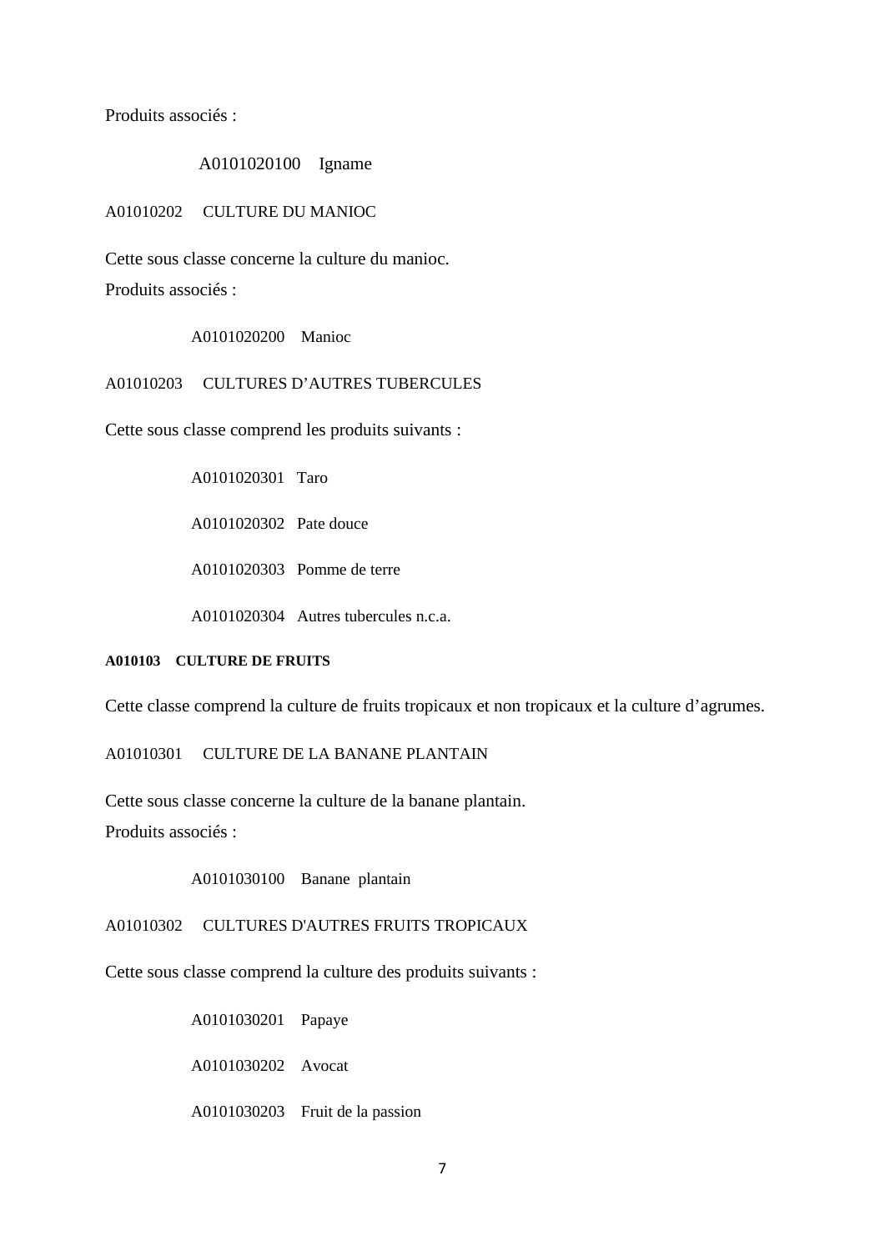Produits associés :

#### A0101020100 Igname

A01010202 CULTURE DU MANIOC

Cette sous classe concerne la culture du manioc. Produits associés :

A0101020200 Manioc

## A01010203 CULTURES D'AUTRES TUBERCULES

Cette sous classe comprend les produits suivants :

A0101020301 Taro

A0101020302 Pate douce

A0101020303 Pomme de terre

A0101020304 Autres tubercules n.c.a.

## **A010103 CULTURE DE FRUITS**

Cette classe comprend la culture de fruits tropicaux et non tropicaux et la culture d'agrumes.

A01010301 CULTURE DE LA BANANE PLANTAIN

Cette sous classe concerne la culture de la banane plantain. Produits associés :

A0101030100 Banane plantain

A01010302 CULTURES D'AUTRES FRUITS TROPICAUX

Cette sous classe comprend la culture des produits suivants :

A0101030201 Papaye

A0101030202 Avocat

A0101030203 Fruit de la passion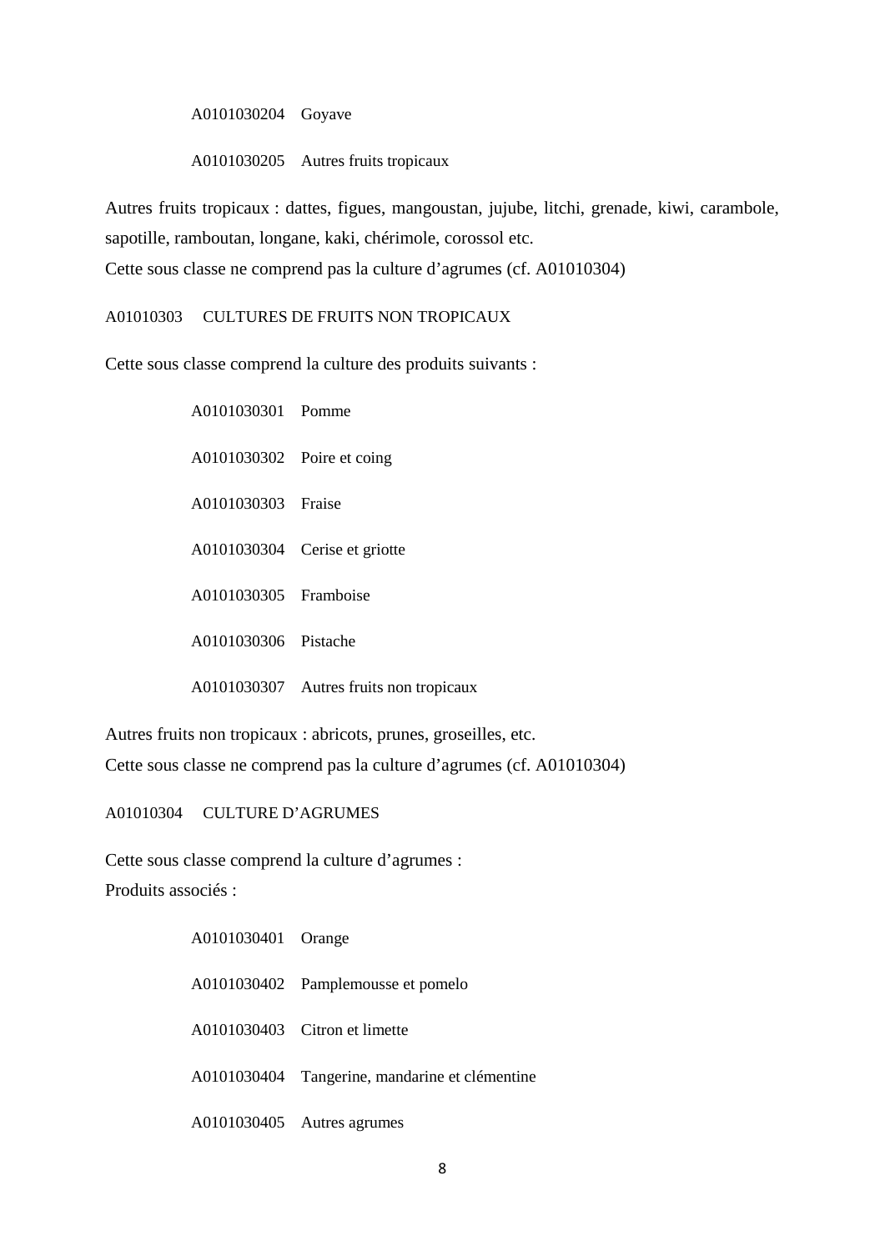A0101030204 Goyave

A0101030205 Autres fruits tropicaux

Autres fruits tropicaux : dattes, figues, mangoustan, jujube, litchi, grenade, kiwi, carambole, sapotille, ramboutan, longane, kaki, chérimole, corossol etc. Cette sous classe ne comprend pas la culture d'agrumes (cf. A01010304)

A01010303 CULTURES DE FRUITS NON TROPICAUX

Cette sous classe comprend la culture des produits suivants :

A0101030301 Pomme A0101030302 Poire et coing A0101030303 Fraise A0101030304 Cerise et griotte A0101030305 Framboise A0101030306 Pistache A0101030307 Autres fruits non tropicaux

Autres fruits non tropicaux : abricots, prunes, groseilles, etc. Cette sous classe ne comprend pas la culture d'agrumes (cf. A01010304)

A01010304 CULTURE D'AGRUMES

Cette sous classe comprend la culture d'agrumes :

Produits associés :

| A0101030401 Orange |                                                |
|--------------------|------------------------------------------------|
|                    | A0101030402 Pamplemousse et pomelo             |
|                    | A0101030403 Citron et limette                  |
|                    | A0101030404 Tangerine, mandarine et clémentine |
|                    | A0101030405 Autres agrumes                     |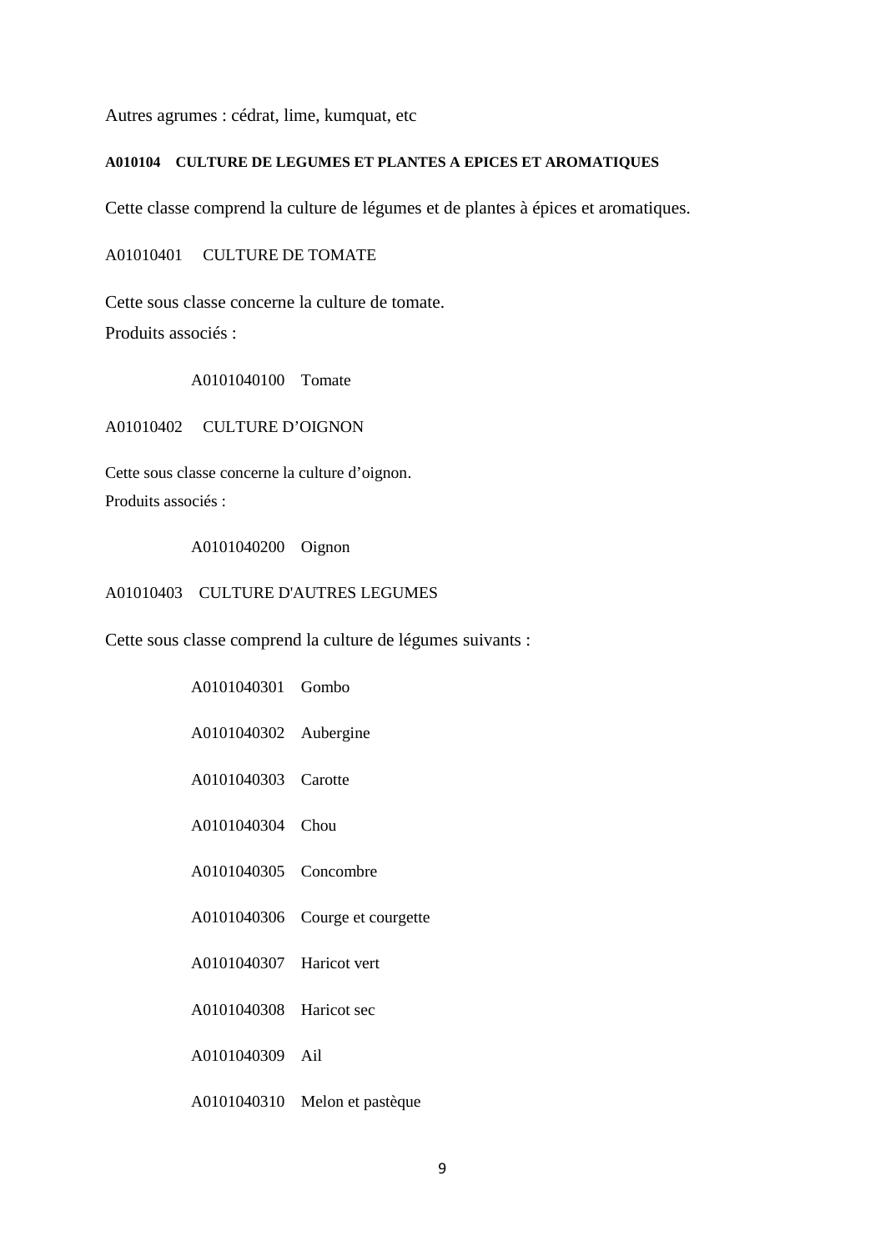Autres agrumes : cédrat, lime, kumquat, etc

## **A010104 CULTURE DE LEGUMES ET PLANTES A EPICES ET AROMATIQUES**

Cette classe comprend la culture de légumes et de plantes à épices et aromatiques.

A01010401 CULTURE DE TOMATE

Cette sous classe concerne la culture de tomate. Produits associés :

A0101040100 Tomate

A01010402 CULTURE D'OIGNON

Cette sous classe concerne la culture d'oignon. Produits associés :

A0101040200 Oignon

#### A01010403 CULTURE D'AUTRES LEGUMES

Cette sous classe comprend la culture de légumes suivants :

| A0101040301 Gombo        |                                 |
|--------------------------|---------------------------------|
| A0101040302 Aubergine    |                                 |
| A0101040303 Carotte      |                                 |
| A0101040304 Chou         |                                 |
| A0101040305 Concombre    |                                 |
|                          | A0101040306 Courge et courgette |
| A0101040307 Haricot vert |                                 |
| A0101040308 Haricot sec  |                                 |
| A0101040309 Ail          |                                 |
|                          | A0101040310 Melon et pastèque   |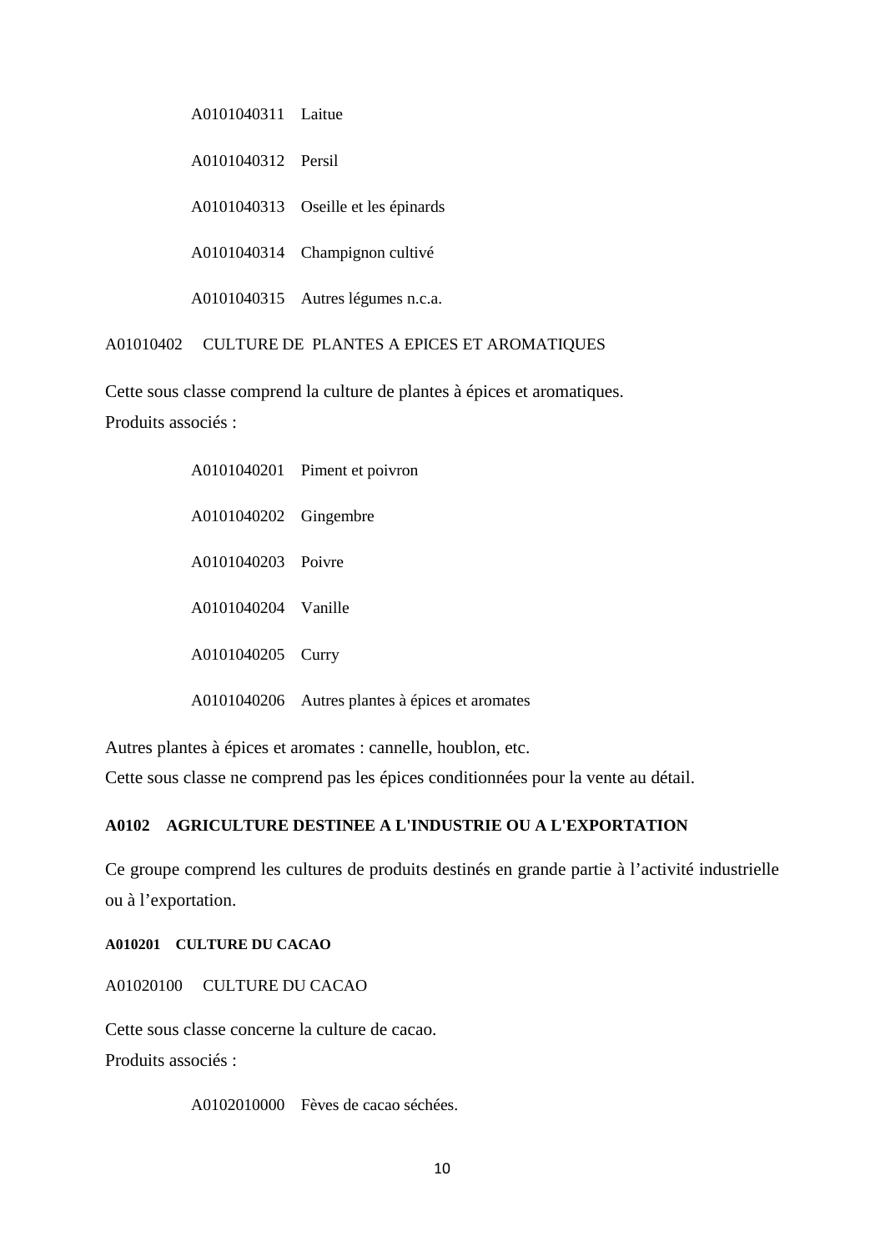A0101040311 Laitue

A0101040312 Persil

A0101040313 Oseille et les épinards

A0101040314 Champignon cultivé

A0101040315 Autres légumes n.c.a.

A01010402 CULTURE DE PLANTES A EPICES ET AROMATIQUES

Cette sous classe comprend la culture de plantes à épices et aromatiques.

Produits associés :

|                       | A0101040201 Piment et poivron                   |
|-----------------------|-------------------------------------------------|
| A0101040202 Gingembre |                                                 |
| A0101040203 Poivre    |                                                 |
| A0101040204 Vanille   |                                                 |
| A0101040205 Curry     |                                                 |
|                       | A0101040206 Autres plantes à épices et aromates |

Autres plantes à épices et aromates : cannelle, houblon, etc.

Cette sous classe ne comprend pas les épices conditionnées pour la vente au détail.

## **A0102 AGRICULTURE DESTINEE A L'INDUSTRIE OU A L'EXPORTATION**

Ce groupe comprend les cultures de produits destinés en grande partie à l'activité industrielle ou à l'exportation.

**A010201 CULTURE DU CACAO**

A01020100 CULTURE DU CACAO

Cette sous classe concerne la culture de cacao.

Produits associés :

A0102010000 Fèves de cacao séchées.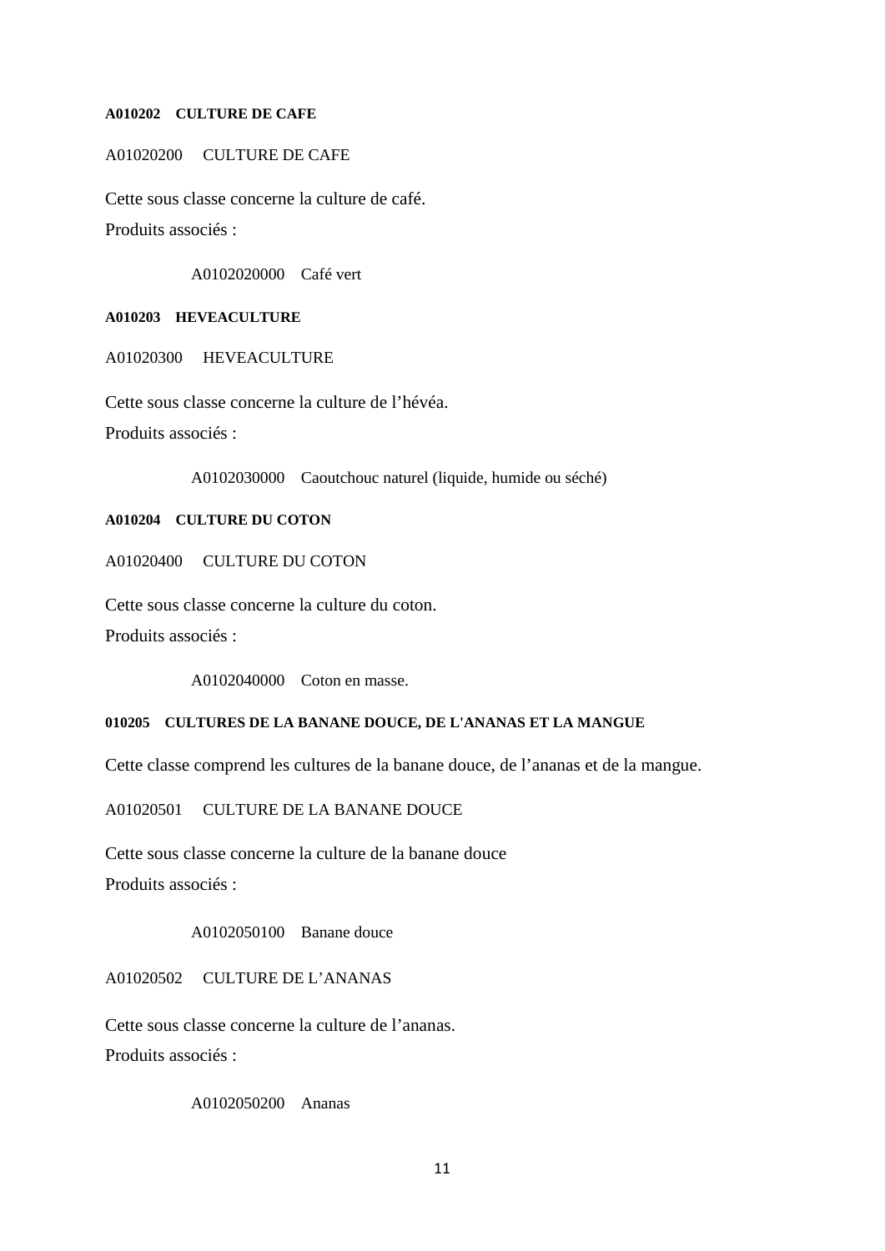#### **A010202 CULTURE DE CAFE**

A01020200 CULTURE DE CAFE

Cette sous classe concerne la culture de café. Produits associés :

A0102020000 Café vert

#### **A010203 HEVEACULTURE**

A01020300 HEVEACULTURE

Cette sous classe concerne la culture de l'hévéa.

Produits associés :

A0102030000 Caoutchouc naturel (liquide, humide ou séché)

## **A010204 CULTURE DU COTON**

A01020400 CULTURE DU COTON

Cette sous classe concerne la culture du coton.

Produits associés :

A0102040000 Coton en masse.

## **010205 CULTURES DE LA BANANE DOUCE, DE L'ANANAS ET LA MANGUE**

Cette classe comprend les cultures de la banane douce, de l'ananas et de la mangue.

A01020501 CULTURE DE LA BANANE DOUCE

Cette sous classe concerne la culture de la banane douce Produits associés :

A0102050100 Banane douce

A01020502 CULTURE DE L'ANANAS

Cette sous classe concerne la culture de l'ananas.

Produits associés :

A0102050200 Ananas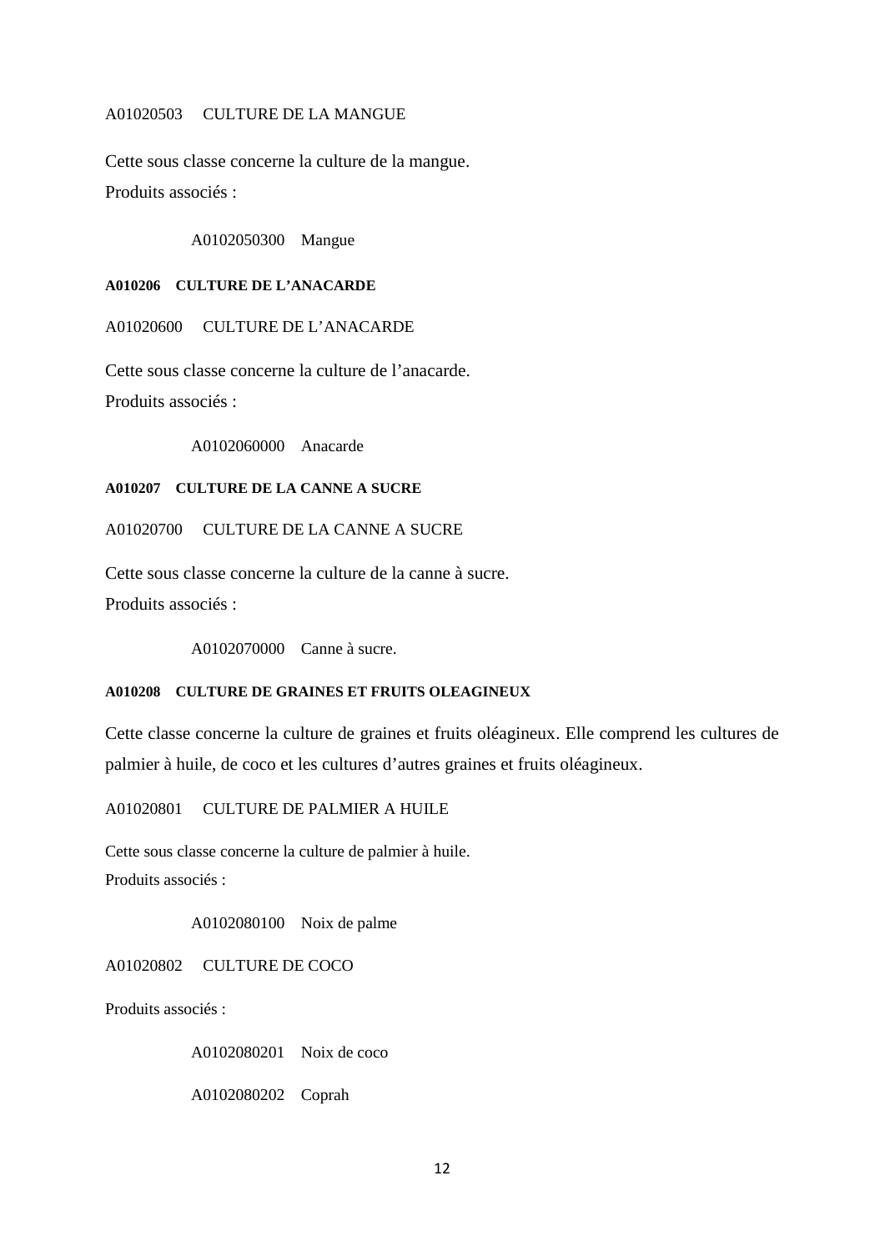#### A01020503 CULTURE DE LA MANGUE

Cette sous classe concerne la culture de la mangue. Produits associés :

A0102050300 Mangue

**A010206 CULTURE DE L'ANACARDE**

A01020600 CULTURE DE L'ANACARDE

Cette sous classe concerne la culture de l'anacarde. Produits associés :

A0102060000 Anacarde

## **A010207 CULTURE DE LA CANNE A SUCRE**

A01020700 CULTURE DE LA CANNE A SUCRE

Cette sous classe concerne la culture de la canne à sucre.

Produits associés :

A0102070000 Canne à sucre.

## **A010208 CULTURE DE GRAINES ET FRUITS OLEAGINEUX**

Cette classe concerne la culture de graines et fruits oléagineux. Elle comprend les cultures de palmier à huile, de coco et les cultures d'autres graines et fruits oléagineux.

A01020801 CULTURE DE PALMIER A HUILE

Cette sous classe concerne la culture de palmier à huile. Produits associés :

A0102080100 Noix de palme

A01020802 CULTURE DE COCO

Produits associés :

A0102080201 Noix de coco

A0102080202 Coprah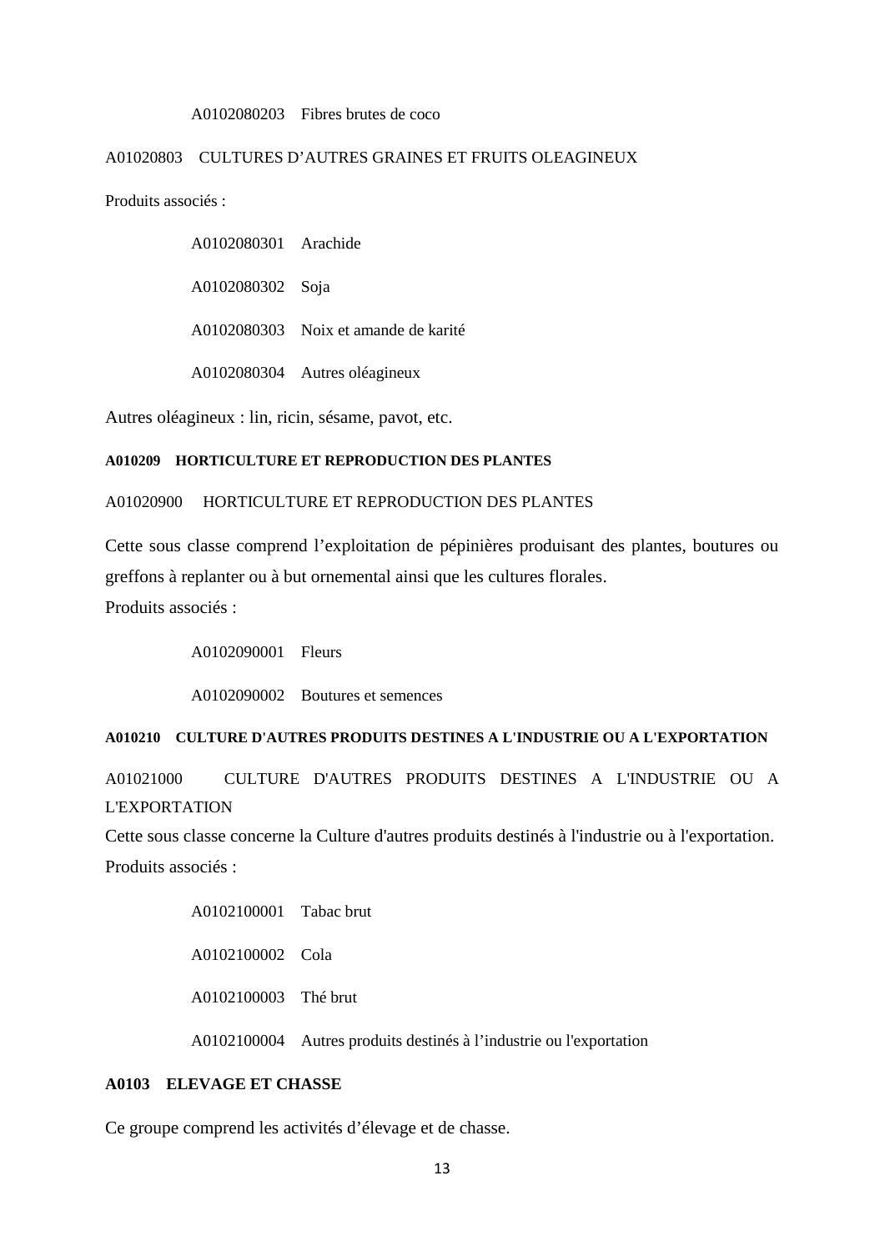#### A0102080203 Fibres brutes de coco

### A01020803 CULTURES D'AUTRES GRAINES ET FRUITS OLEAGINEUX

Produits associés :

A0102080301 Arachide

A0102080302 Soja

A0102080303 Noix et amande de karité

A0102080304 Autres oléagineux

Autres oléagineux : lin, ricin, sésame, pavot, etc.

#### **A010209 HORTICULTURE ET REPRODUCTION DES PLANTES**

## A01020900 HORTICULTURE ET REPRODUCTION DES PLANTES

Cette sous classe comprend l'exploitation de pépinières produisant des plantes, boutures ou greffons à replanter ou à but ornemental ainsi que les cultures florales. Produits associés :

A0102090001 Fleurs

A0102090002 Boutures et semences

#### **A010210 CULTURE D'AUTRES PRODUITS DESTINES A L'INDUSTRIE OU A L'EXPORTATION**

A01021000 CULTURE D'AUTRES PRODUITS DESTINES A L'INDUSTRIE OU A L'EXPORTATION

Cette sous classe concerne la Culture d'autres produits destinés à l'industrie ou à l'exportation. Produits associés :

> A0102100001 Tabac brut A0102100002 Cola A0102100003 Thé brut A0102100004 Autres produits destinés à l'industrie ou l'exportation

## **A0103 ELEVAGE ET CHASSE**

Ce groupe comprend les activités d'élevage et de chasse.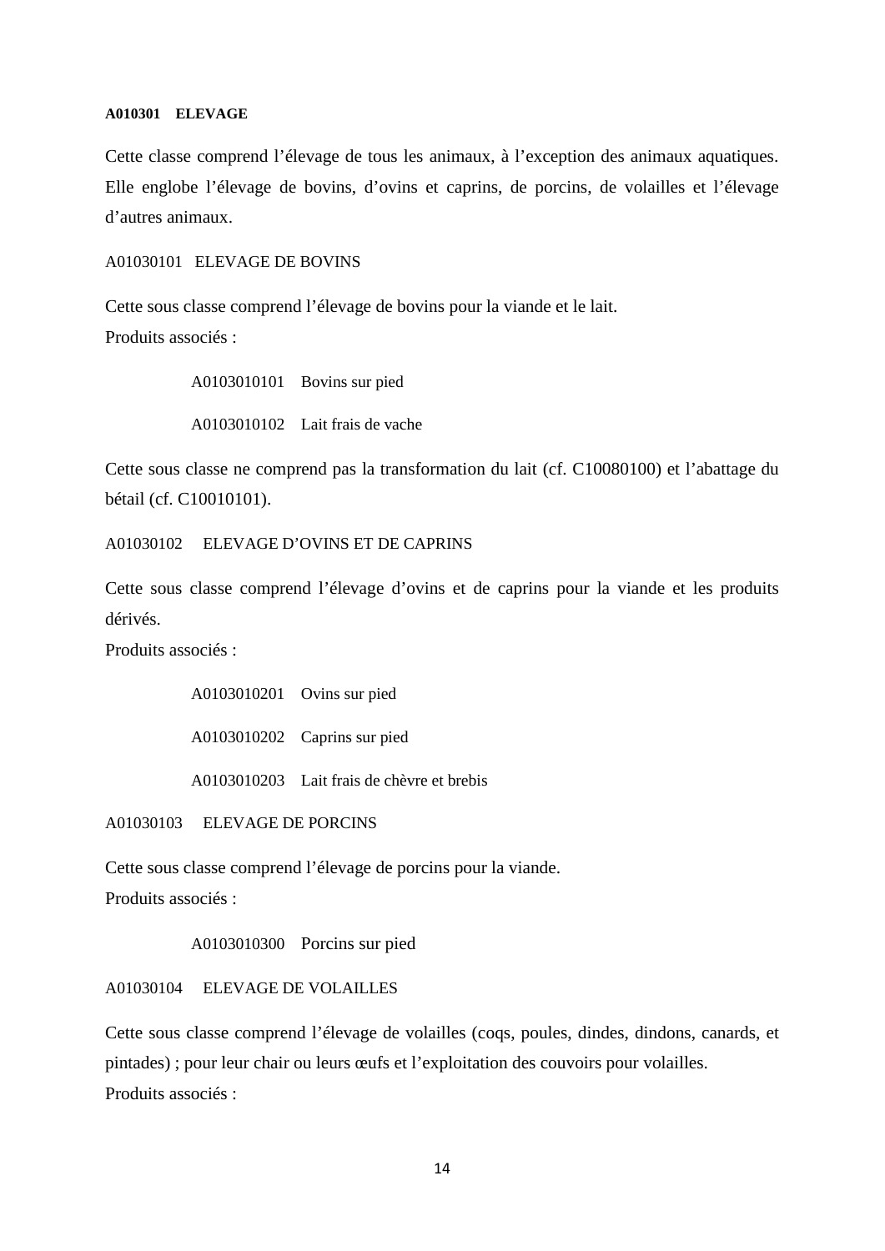#### **A010301 ELEVAGE**

Cette classe comprend l'élevage de tous les animaux, à l'exception des animaux aquatiques. Elle englobe l'élevage de bovins, d'ovins et caprins, de porcins, de volailles et l'élevage d'autres animaux.

A01030101 ELEVAGE DE BOVINS

Cette sous classe comprend l'élevage de bovins pour la viande et le lait. Produits associés :

> A0103010101 Bovins sur pied A0103010102 Lait frais de vache

Cette sous classe ne comprend pas la transformation du lait (cf. C10080100) et l'abattage du bétail (cf. C10010101).

A01030102 ELEVAGE D'OVINS ET DE CAPRINS

Cette sous classe comprend l'élevage d'ovins et de caprins pour la viande et les produits dérivés.

Produits associés :

A0103010201 Ovins sur pied A0103010202 Caprins sur pied

A0103010203 Lait frais de chèvre et brebis

A01030103 ELEVAGE DE PORCINS

Cette sous classe comprend l'élevage de porcins pour la viande.

Produits associés :

A0103010300 Porcins sur pied

A01030104 ELEVAGE DE VOLAILLES

Cette sous classe comprend l'élevage de volailles (coqs, poules, dindes, dindons, canards, et pintades) ; pour leur chair ou leurs œufs et l'exploitation des couvoirs pour volailles. Produits associés :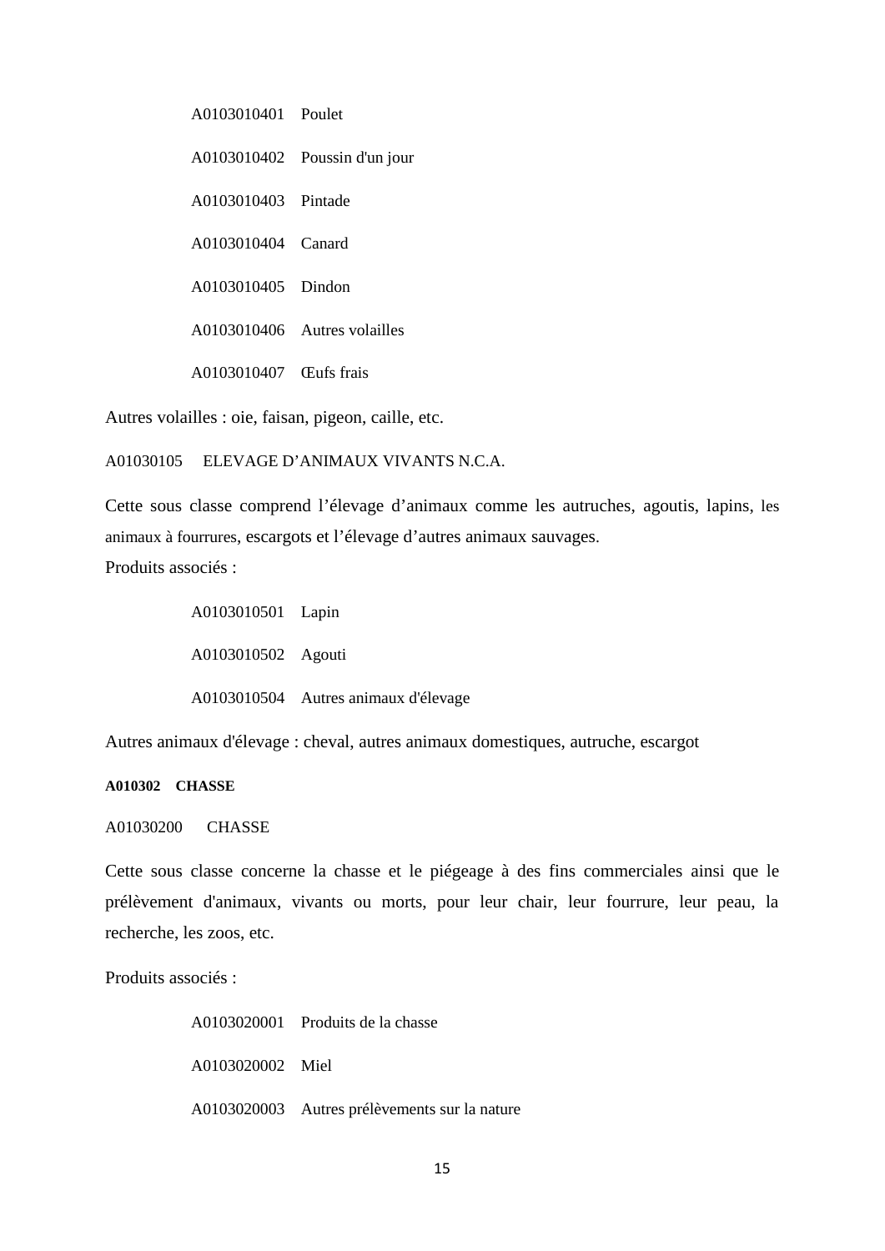A0103010401 Poulet A0103010402 Poussin d'un jour A0103010403 Pintade A0103010404 Canard A0103010405 Dindon A0103010406 Autres volailles A0103010407 Œufs frais

Autres volailles : oie, faisan, pigeon, caille, etc.

A01030105 ELEVAGE D'ANIMAUX VIVANTS N.C.A.

Cette sous classe comprend l'élevage d'animaux comme les autruches, agoutis, lapins, les animaux à fourrures, escargots et l'élevage d'autres animaux sauvages. Produits associés :

> A0103010501 Lapin A0103010502 Agouti A0103010504 Autres animaux d'élevage

Autres animaux d'élevage : cheval, autres animaux domestiques, autruche, escargot

## **A010302 CHASSE**

#### A01030200 CHASSE

Cette sous classe concerne la chasse et le piégeage à des fins commerciales ainsi que le prélèvement d'animaux, vivants ou morts, pour leur chair, leur fourrure, leur peau, la recherche, les zoos, etc.

Produits associés :

A0103020001 Produits de la chasse A0103020002 Miel A0103020003 Autres prélèvements sur la nature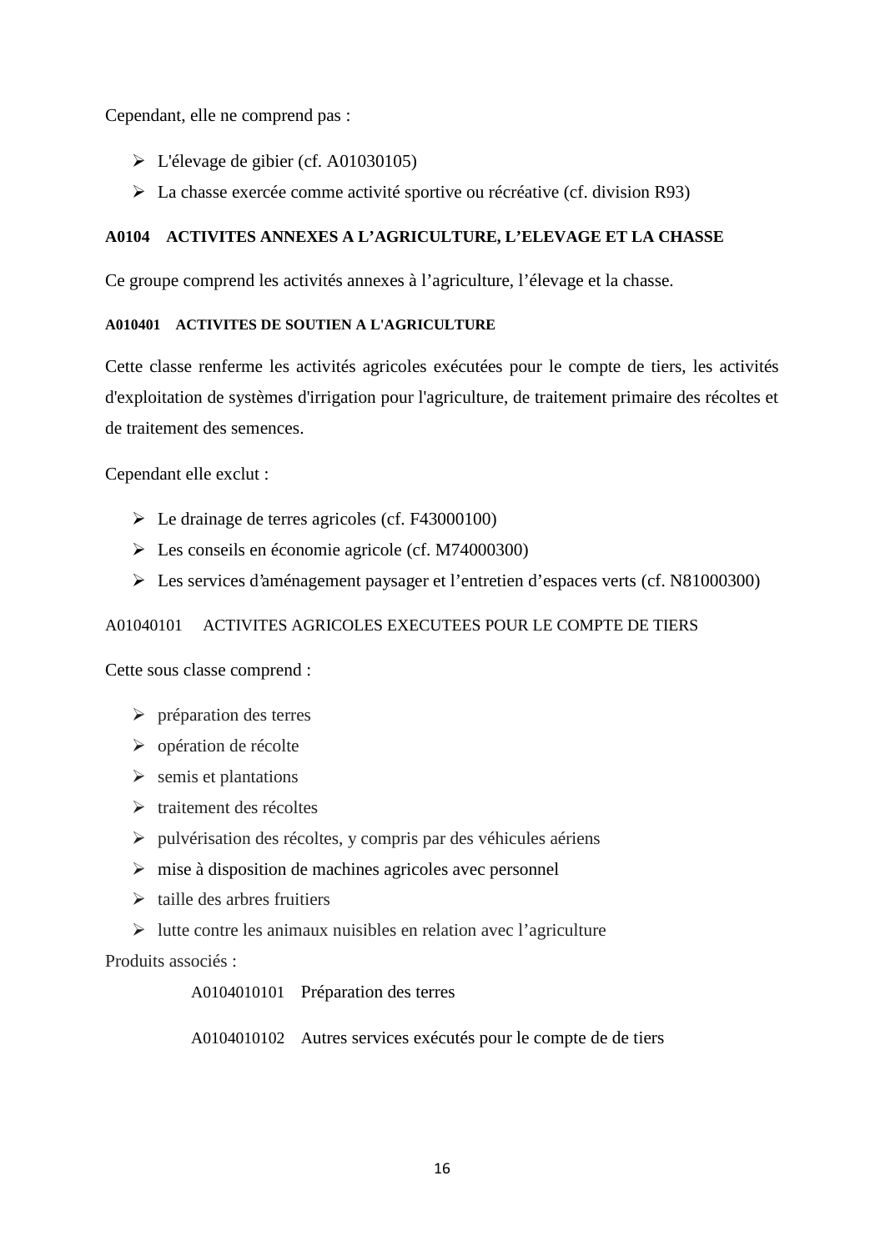Cependant, elle ne comprend pas :

- L'élevage de gibier (cf. A01030105)
- La chasse exercée comme activité sportive ou récréative (cf. division R93)

## **A0104 ACTIVITES ANNEXES A L'AGRICULTURE, L'ELEVAGE ET LA CHASSE**

Ce groupe comprend les activités annexes à l'agriculture, l'élevage et la chasse.

## **A010401 ACTIVITES DE SOUTIEN A L'AGRICULTURE**

Cette classe renferme les activités agricoles exécutées pour le compte de tiers, les activités d'exploitation de systèmes d'irrigation pour l'agriculture, de traitement primaire des récoltes et de traitement des semences.

Cependant elle exclut :

- Le drainage de terres agricoles (cf. F43000100)
- Les conseils en économie agricole (cf. M74000300)
- Les services d'aménagement paysager et l'entretien d'espaces verts (cf. N81000300)

## A01040101 ACTIVITES AGRICOLES EXECUTEES POUR LE COMPTE DE TIERS

Cette sous classe comprend :

- $\triangleright$  préparation des terres
- $\triangleright$  opération de récolte
- $\triangleright$  semis et plantations
- $\triangleright$  traitement des récoltes
- $\triangleright$  pulvérisation des récoltes, y compris par des véhicules aériens
- $\triangleright$  mise à disposition de machines agricoles avec personnel
- $\triangleright$  taille des arbres fruitiers
- $\triangleright$  lutte contre les animaux nuisibles en relation avec l'agriculture

Produits associés :

A0104010101 Préparation des terres

A0104010102 Autres services exécutés pour le compte de de tiers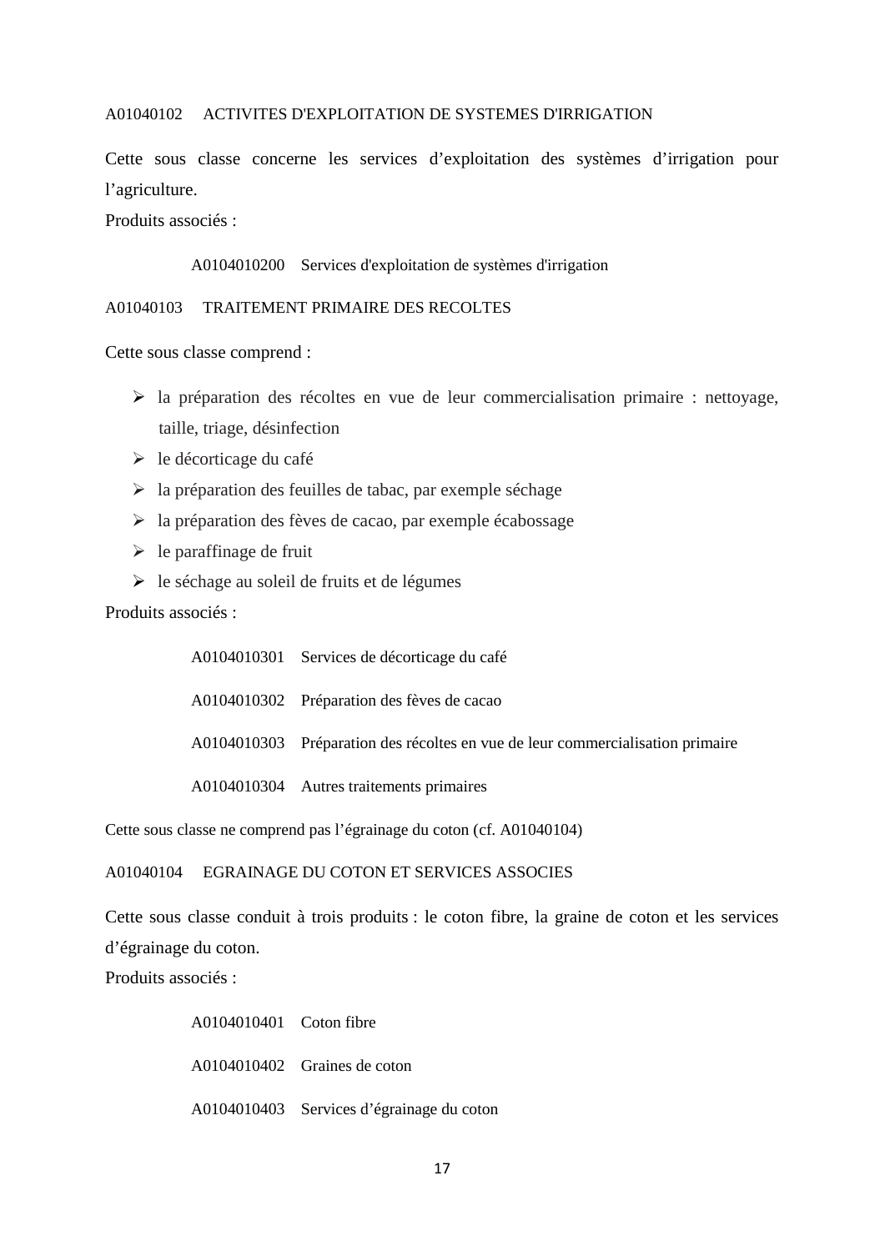## A01040102 ACTIVITES D'EXPLOITATION DE SYSTEMES D'IRRIGATION

Cette sous classe concerne les services d'exploitation des systèmes d'irrigation pour l'agriculture.

Produits associés :

#### A0104010200 Services d'exploitation de systèmes d'irrigation

#### A01040103 TRAITEMENT PRIMAIRE DES RECOLTES

Cette sous classe comprend :

- $\triangleright$  la préparation des récoltes en vue de leur commercialisation primaire : nettoyage, taille, triage, désinfection
- $\triangleright$  le décorticage du café
- $\triangleright$  la préparation des feuilles de tabac, par exemple séchage
- la préparation des fèves de cacao, par exemple écabossage
- $\triangleright$  le paraffinage de fruit
- le séchage au soleil de fruits et de légumes

Produits associés :

| A0104010301 Services de décorticage du café                                    |
|--------------------------------------------------------------------------------|
| A0104010302 Préparation des fèves de cacao                                     |
| A0104010303 Préparation des récoltes en vue de leur commercialisation primaire |
| A0104010304 Autres traitements primaires                                       |

Cette sous classe ne comprend pas l'égrainage du coton (cf. A01040104)

## A01040104 EGRAINAGE DU COTON ET SERVICES ASSOCIES

Cette sous classe conduit à trois produits : le coton fibre, la graine de coton et les services d'égrainage du coton.

Produits associés :

A0104010401 Coton fibre A0104010402 Graines de coton A0104010403 Services d'égrainage du coton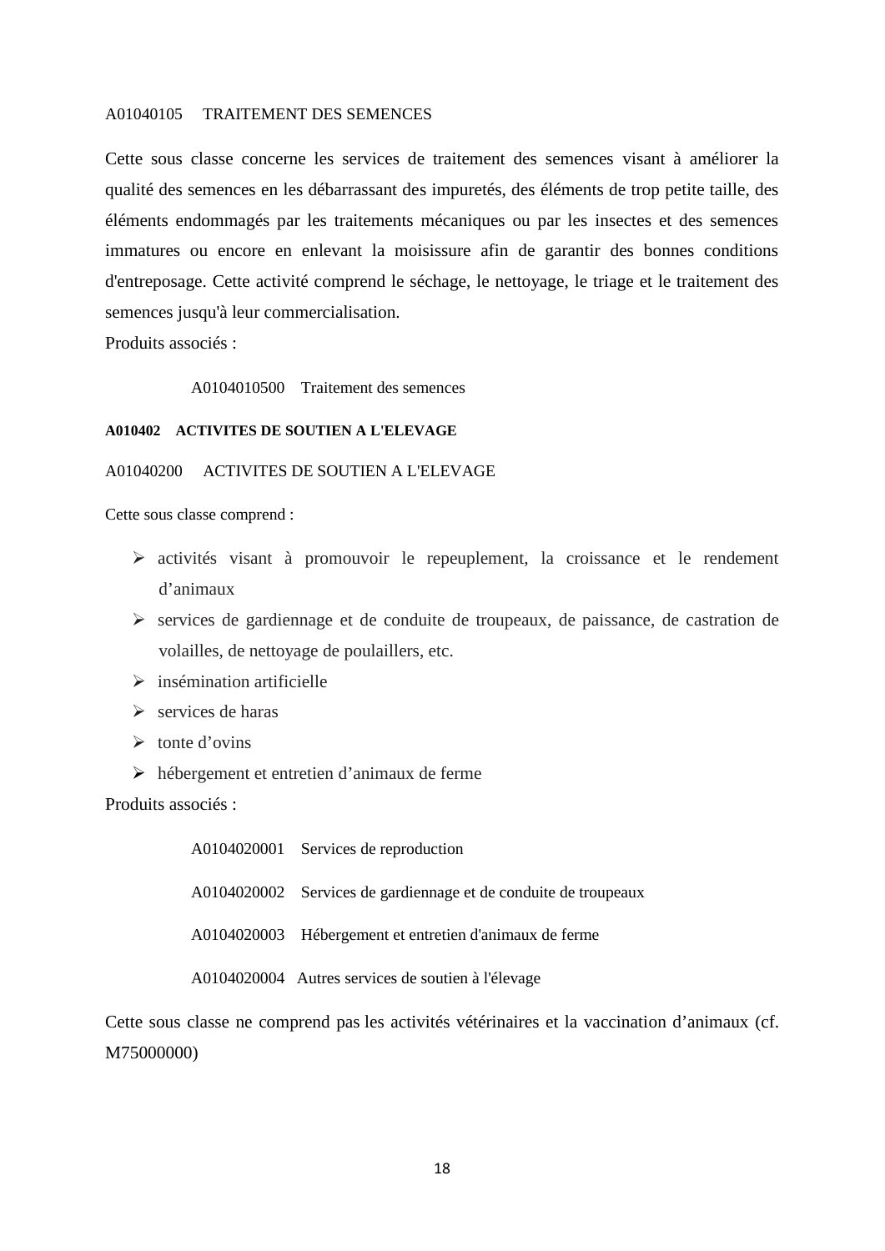#### A01040105 TRAITEMENT DES SEMENCES

Cette sous classe concerne les services de traitement des semences visant à améliorer la qualité des semences en les débarrassant des impuretés, des éléments de trop petite taille, des éléments endommagés par les traitements mécaniques ou par les insectes et des semences immatures ou encore en enlevant la moisissure afin de garantir des bonnes conditions d'entreposage. Cette activité comprend le séchage, le nettoyage, le triage et le traitement des semences jusqu'à leur commercialisation.

Produits associés :

A0104010500 Traitement des semences

#### **A010402 ACTIVITES DE SOUTIEN A L'ELEVAGE**

#### A01040200 ACTIVITES DE SOUTIEN A L'ELEVAGE

Cette sous classe comprend :

- activités visant à promouvoir le repeuplement, la croissance et le rendement d'animaux
- $\triangleright$  services de gardiennage et de conduite de troupeaux, de paissance, de castration de volailles, de nettoyage de poulaillers, etc.
- $\triangleright$  insémination artificielle
- $\triangleright$  services de haras
- $\triangleright$  tonte d'ovins
- hébergement et entretien d'animaux de ferme

Produits associés :

A0104020001 Services de reproduction A0104020002 Services de gardiennage et de conduite de troupeaux A0104020003 Hébergement et entretien d'animaux de ferme A0104020004 Autres services de soutien à l'élevage

Cette sous classe ne comprend pas les activités vétérinaires et la vaccination d'animaux (cf. M75000000)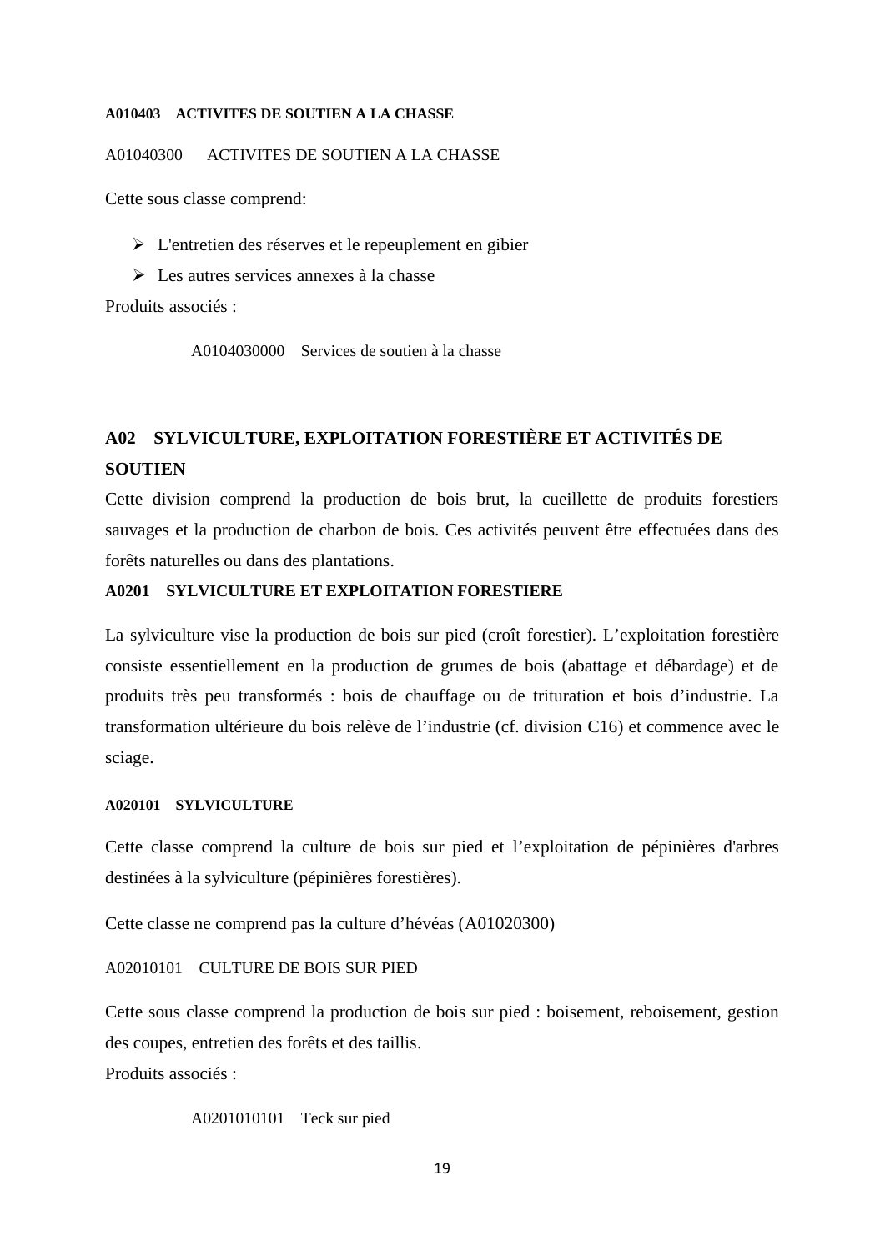#### **A010403 ACTIVITES DE SOUTIEN A LA CHASSE**

A01040300 ACTIVITES DE SOUTIEN A LA CHASSE

Cette sous classe comprend:

- L'entretien des réserves et le repeuplement en gibier
- Les autres services annexes à la chasse

Produits associés :

A0104030000 Services de soutien à la chasse

## **A02 SYLVICULTURE, EXPLOITATION FORESTIÈRE ET ACTIVITÉS DE SOUTIEN**

Cette division comprend la production de bois brut, la cueillette de produits forestiers sauvages et la production de charbon de bois. Ces activités peuvent être effectuées dans des forêts naturelles ou dans des plantations.

#### **A0201 SYLVICULTURE ET EXPLOITATION FORESTIERE**

La sylviculture vise la production de bois sur pied (croît forestier). L'exploitation forestière consiste essentiellement en la production de grumes de bois (abattage et débardage) et de produits très peu transformés : bois de chauffage ou de trituration et bois d'industrie. La transformation ultérieure du bois relève de l'industrie (cf. division C16) et commence avec le sciage.

#### **A020101 SYLVICULTURE**

Cette classe comprend la culture de bois sur pied et l'exploitation de pépinières d'arbres destinées à la sylviculture (pépinières forestières).

Cette classe ne comprend pas la culture d'hévéas (A01020300)

## A02010101 CULTURE DE BOIS SUR PIED

Cette sous classe comprend la production de bois sur pied : boisement, reboisement, gestion des coupes, entretien des forêts et des taillis.

Produits associés :

A0201010101 Teck sur pied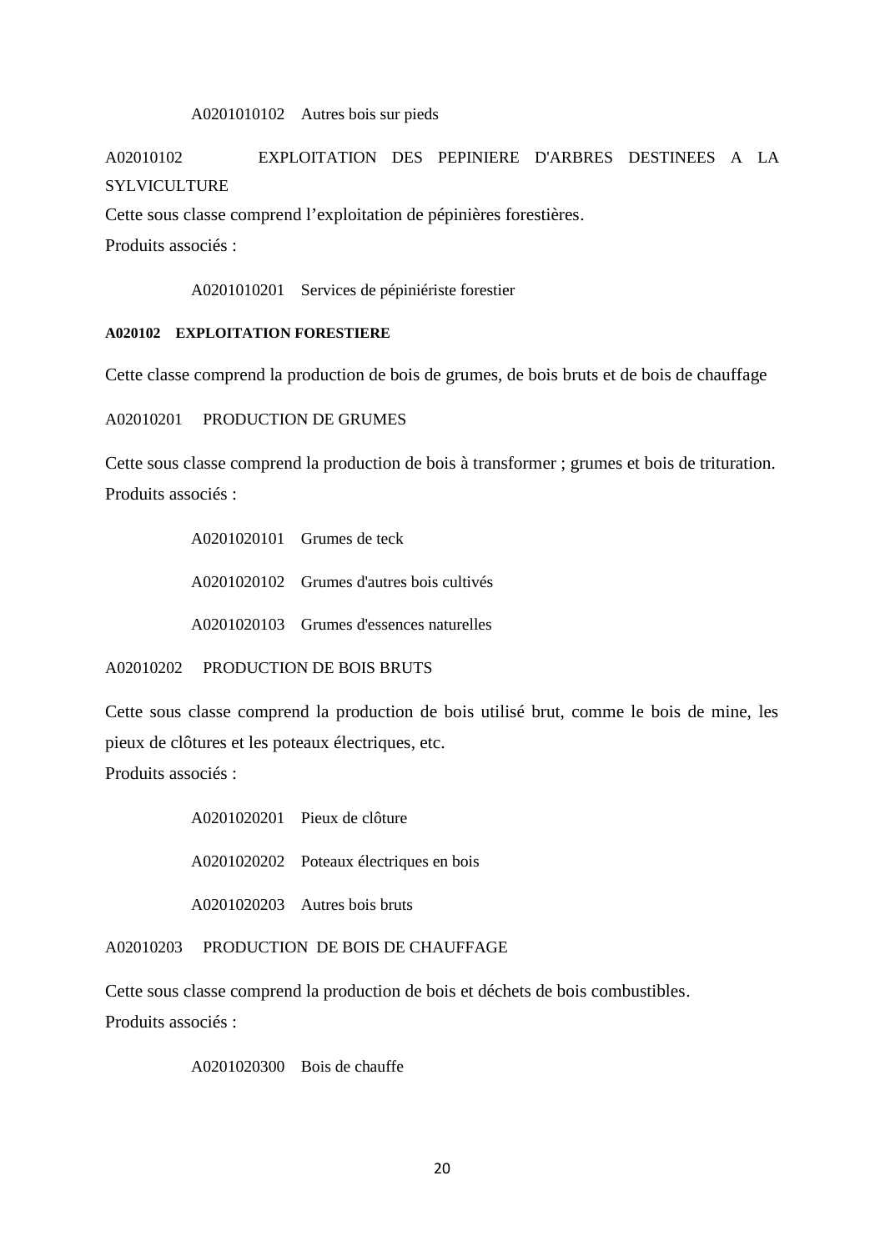#### A0201010102 Autres bois sur pieds

A02010102 EXPLOITATION DES PEPINIERE D'ARBRES DESTINEES A LA SYLVICULTURE

Cette sous classe comprend l'exploitation de pépinières forestières.

Produits associés :

A0201010201 Services de pépiniériste forestier

#### **A020102 EXPLOITATION FORESTIERE**

Cette classe comprend la production de bois de grumes, de bois bruts et de bois de chauffage

A02010201 PRODUCTION DE GRUMES

Cette sous classe comprend la production de bois à transformer ; grumes et bois de trituration. Produits associés :

> A0201020101 Grumes de teck A0201020102 Grumes d'autres bois cultivés A0201020103 Grumes d'essences naturelles

A02010202 PRODUCTION DE BOIS BRUTS

Cette sous classe comprend la production de bois utilisé brut, comme le bois de mine, les pieux de clôtures et les poteaux électriques, etc.

Produits associés :

A0201020201 Pieux de clôture A0201020202 Poteaux électriques en bois

A0201020203 Autres bois bruts

A02010203 PRODUCTION DE BOIS DE CHAUFFAGE

Cette sous classe comprend la production de bois et déchets de bois combustibles.

Produits associés :

A0201020300 Bois de chauffe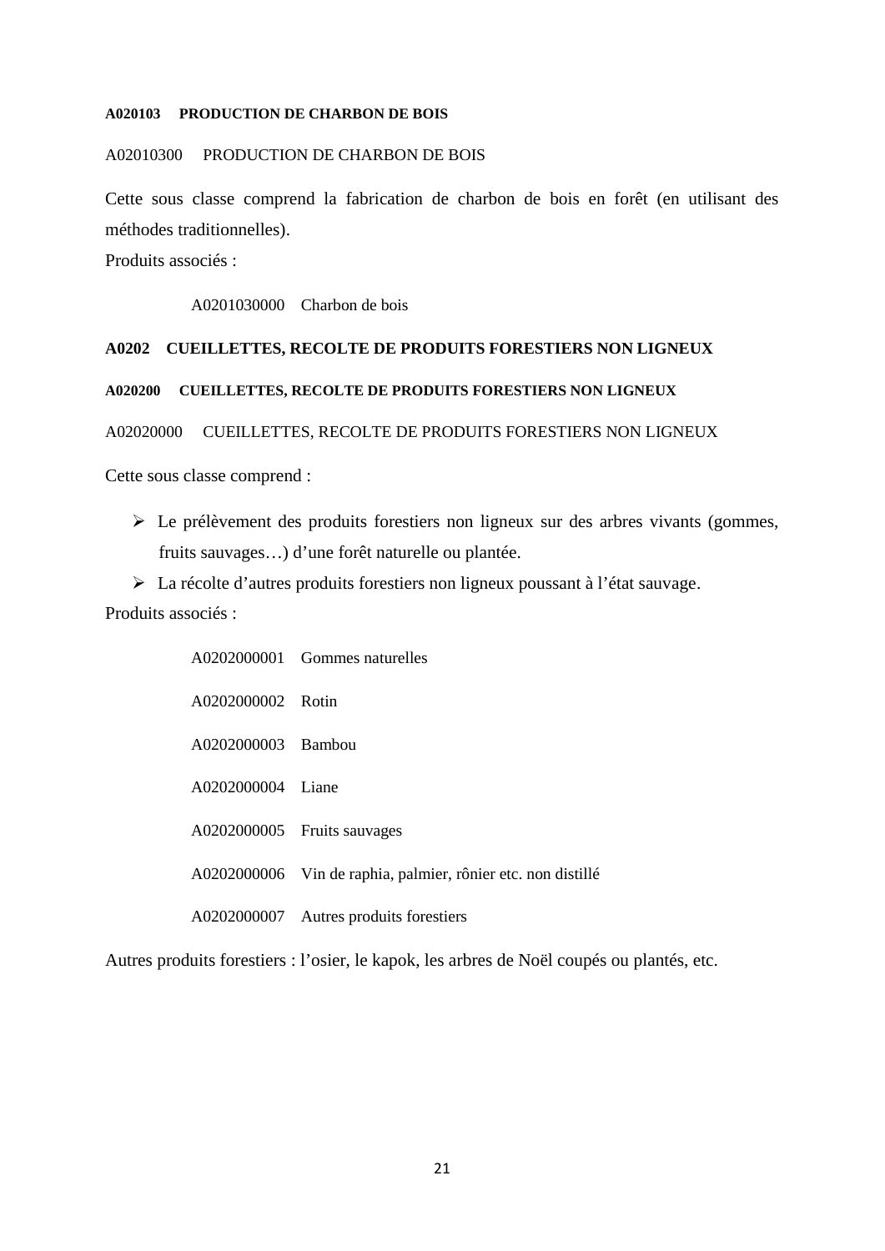#### **A020103 PRODUCTION DE CHARBON DE BOIS**

#### A02010300 PRODUCTION DE CHARBON DE BOIS

Cette sous classe comprend la fabrication de charbon de bois en forêt (en utilisant des méthodes traditionnelles).

Produits associés :

A0201030000 Charbon de bois

## **A0202 CUEILLETTES, RECOLTE DE PRODUITS FORESTIERS NON LIGNEUX**

## **A020200 CUEILLETTES, RECOLTE DE PRODUITS FORESTIERS NON LIGNEUX**

A02020000 CUEILLETTES, RECOLTE DE PRODUITS FORESTIERS NON LIGNEUX

Cette sous classe comprend :

 $\triangleright$  Le prélèvement des produits forestiers non ligneux sur des arbres vivants (gommes, fruits sauvages…) d'une forêt naturelle ou plantée.

 La récolte d'autres produits forestiers non ligneux poussant à l'état sauvage. Produits associés :

|                    | A0202000001 Gommes naturelles                                |
|--------------------|--------------------------------------------------------------|
| A0202000002 Rotin  |                                                              |
| A0202000003 Bambou |                                                              |
| A0202000004 Liane  |                                                              |
|                    | A0202000005 Fruits sauvages                                  |
|                    | A0202000006 Vin de raphia, palmier, rônier etc. non distillé |
|                    | A0202000007 Autres produits forestiers                       |

Autres produits forestiers : l'osier, le kapok, les arbres de Noël coupés ou plantés, etc.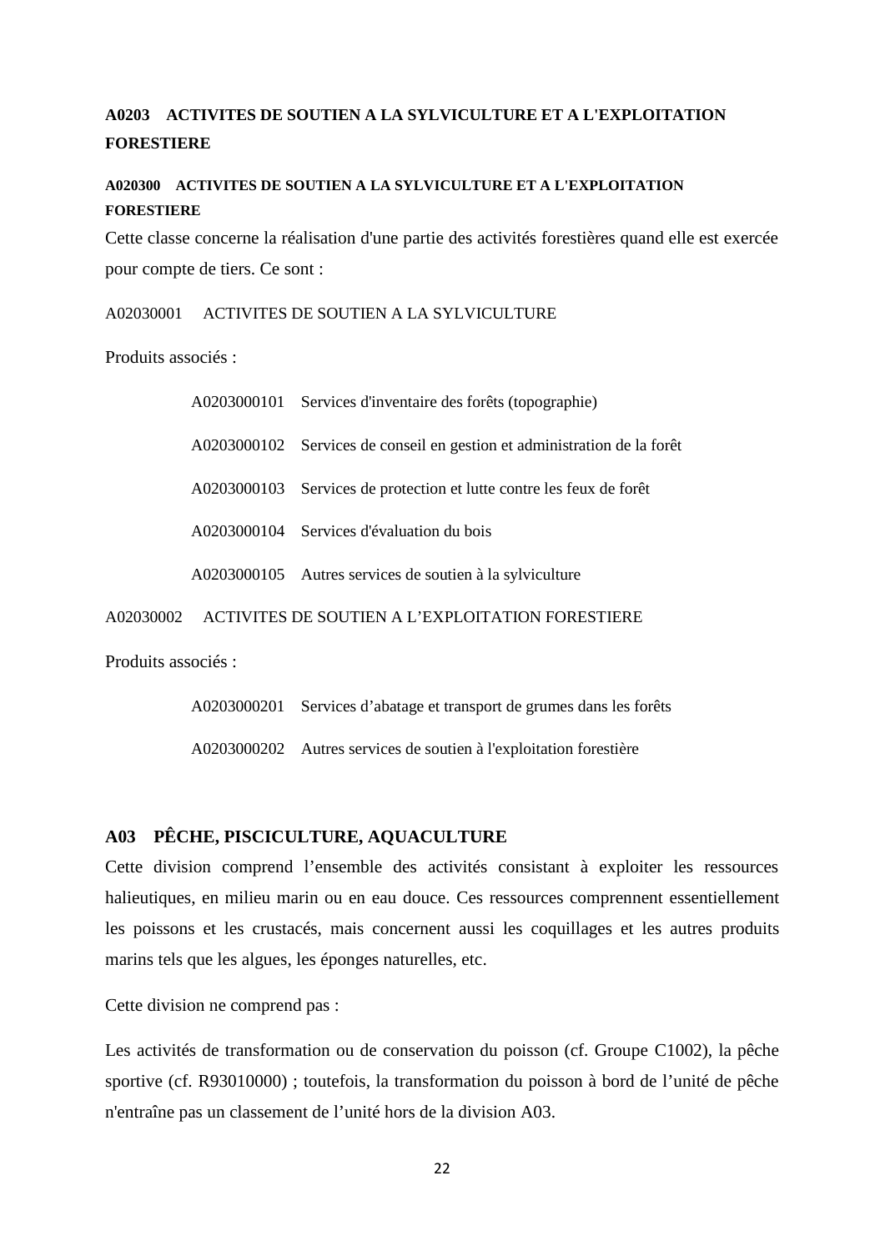## **A0203 ACTIVITES DE SOUTIEN A LA SYLVICULTURE ET A L'EXPLOITATION FORESTIERE**

## **A020300 ACTIVITES DE SOUTIEN A LA SYLVICULTURE ET A L'EXPLOITATION FORESTIERE**

Cette classe concerne la réalisation d'une partie des activités forestières quand elle est exercée pour compte de tiers. Ce sont :

A02030001 ACTIVITES DE SOUTIEN A LA SYLVICULTURE

Produits associés :

|           | A0203000101 Services d'inventaire des forêts (topographie)               |
|-----------|--------------------------------------------------------------------------|
|           | A0203000102 Services de conseil en gestion et administration de la forêt |
|           | A0203000103 Services de protection et lutte contre les feux de forêt     |
|           | A0203000104 Services d'évaluation du bois                                |
|           | A0203000105 Autres services de soutien à la sylviculture                 |
| A02030002 | ACTIVITES DE SOUTIEN A L'EXPLOITATION FORESTIERE                         |

Produits associés :

| A0203000201 | Services d'abatage et transport de grumes dans les forêts          |  |
|-------------|--------------------------------------------------------------------|--|
|             | A0203000202 Autres services de soutien à l'exploitation forestière |  |

## **A03 PÊCHE, PISCICULTURE, AQUACULTURE**

Cette division comprend l'ensemble des activités consistant à exploiter les ressources halieutiques, en milieu marin ou en eau douce. Ces ressources comprennent essentiellement les poissons et les crustacés, mais concernent aussi les coquillages et les autres produits marins tels que les algues, les éponges naturelles, etc.

Cette division ne comprend pas :

Les activités de transformation ou de conservation du poisson (cf. Groupe C1002), la pêche sportive (cf. R93010000) ; toutefois, la transformation du poisson à bord de l'unité de pêche n'entraîne pas un classement de l'unité hors de la division A03.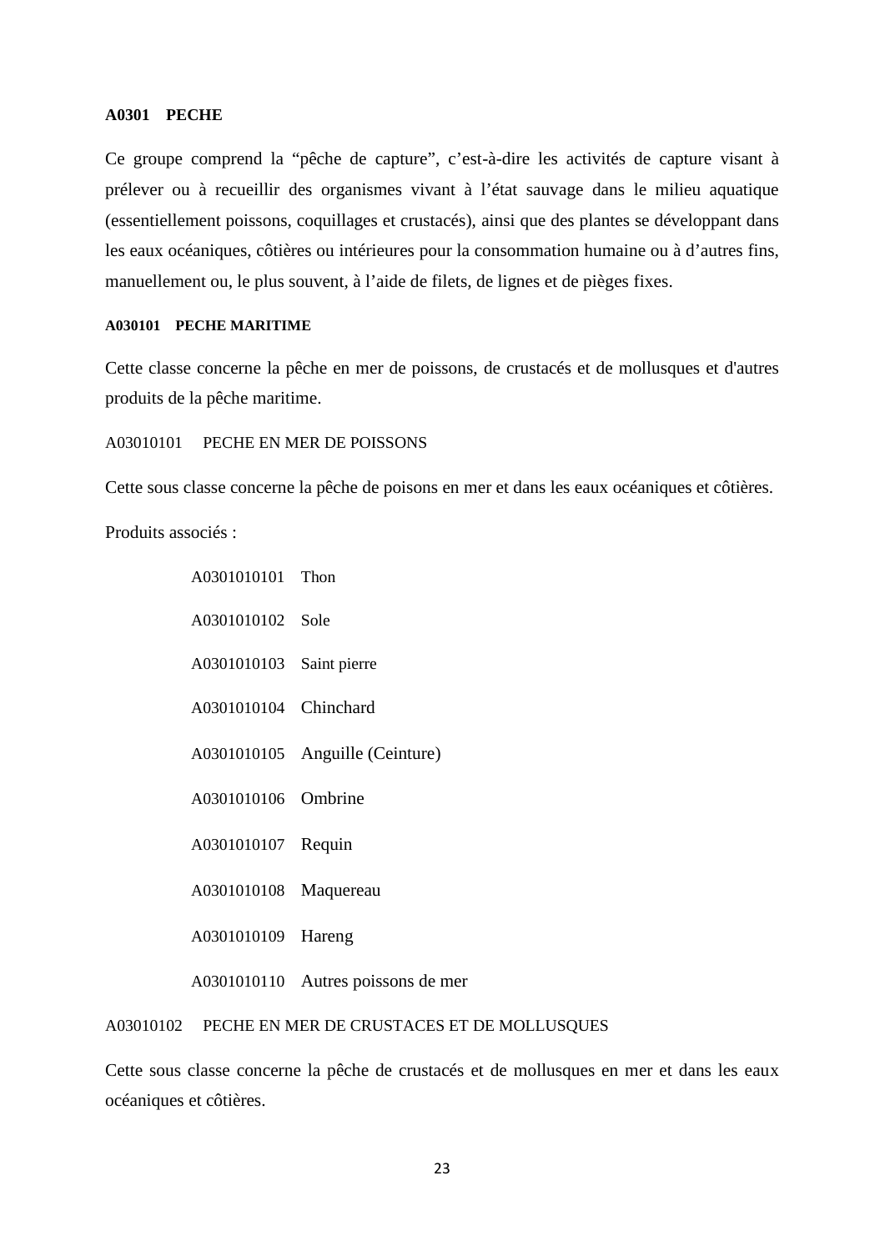#### **A0301 PECHE**

Ce groupe comprend la "pêche de capture", c'est-à-dire les activités de capture visant à prélever ou à recueillir des organismes vivant à l'état sauvage dans le milieu aquatique (essentiellement poissons, coquillages et crustacés), ainsi que des plantes se développant dans les eaux océaniques, côtières ou intérieures pour la consommation humaine ou à d'autres fins, manuellement ou, le plus souvent, à l'aide de filets, de lignes et de pièges fixes.

#### **A030101 PECHE MARITIME**

Cette classe concerne la pêche en mer de poissons, de crustacés et de mollusques et d'autres produits de la pêche maritime.

A03010101 PECHE EN MER DE POISSONS

A0301010101 Thon

Cette sous classe concerne la pêche de poisons en mer et dans les eaux océaniques et côtières.

Produits associés :

A0301010102 Sole A0301010103 Saint pierre A0301010104 Chinchard A0301010105 Anguille (Ceinture) A0301010106 Ombrine A0301010107 Requin A0301010108 Maquereau A0301010109 Hareng A0301010110 Autres poissons de mer

## A03010102 PECHE EN MER DE CRUSTACES ET DE MOLLUSQUES

Cette sous classe concerne la pêche de crustacés et de mollusques en mer et dans les eaux océaniques et côtières.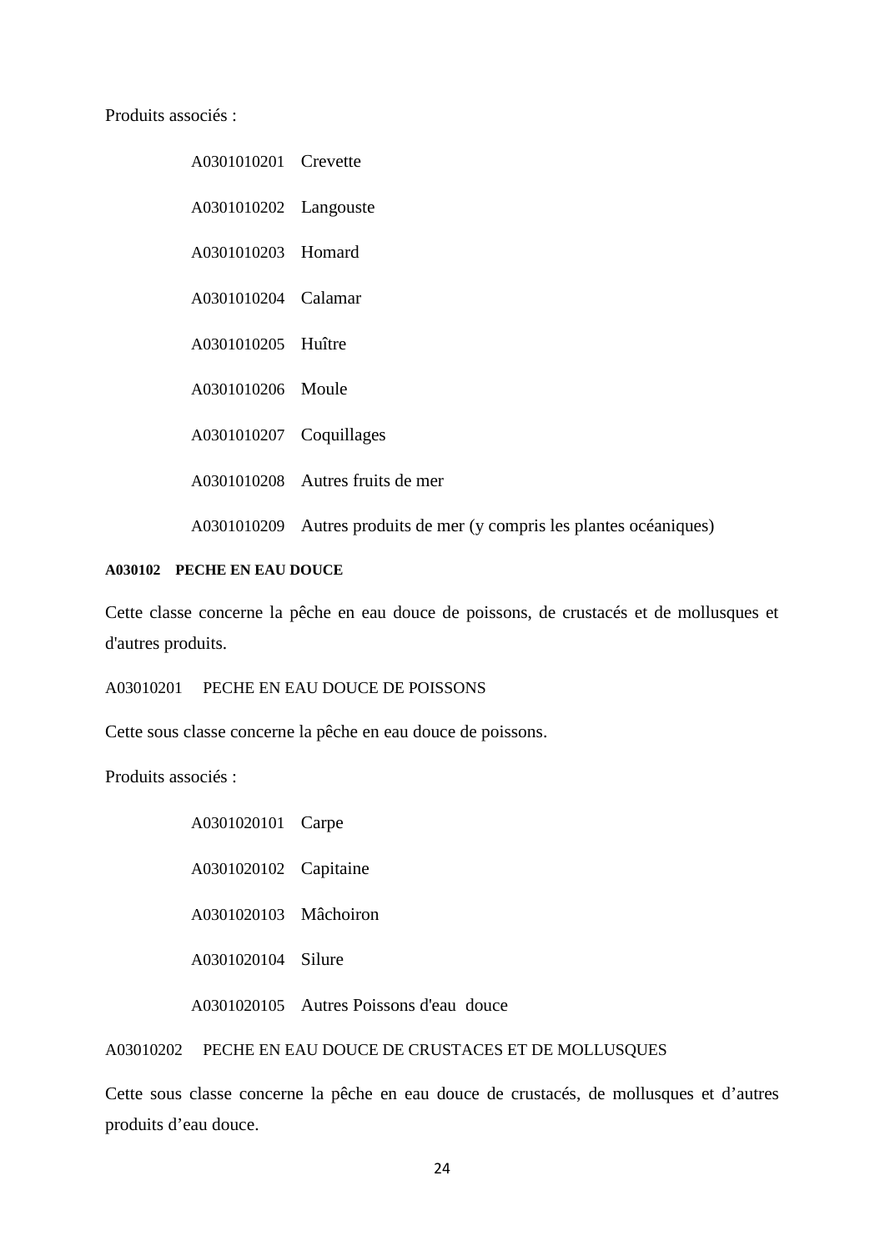Produits associés :

A0301010201 Crevette A0301010202 Langouste A0301010203 Homard A0301010204 Calamar A0301010205 Huître A0301010206 Moule A0301010207 Coquillages A0301010208 Autres fruits de mer A0301010209 Autres produits de mer (y compris les plantes océaniques)

#### **A030102 PECHE EN EAU DOUCE**

Cette classe concerne la pêche en eau douce de poissons, de crustacés et de mollusques et d'autres produits.

A03010201 PECHE EN EAU DOUCE DE POISSONS

Cette sous classe concerne la pêche en eau douce de poissons.

Produits associés :

| A0301020101 Carpe     |                                         |
|-----------------------|-----------------------------------------|
| A0301020102 Capitaine |                                         |
| A0301020103 Mâchoiron |                                         |
| A0301020104 Silure    |                                         |
|                       | A0301020105 Autres Poissons d'eau douce |

A03010202 PECHE EN EAU DOUCE DE CRUSTACES ET DE MOLLUSQUES

Cette sous classe concerne la pêche en eau douce de crustacés, de mollusques et d'autres produits d'eau douce.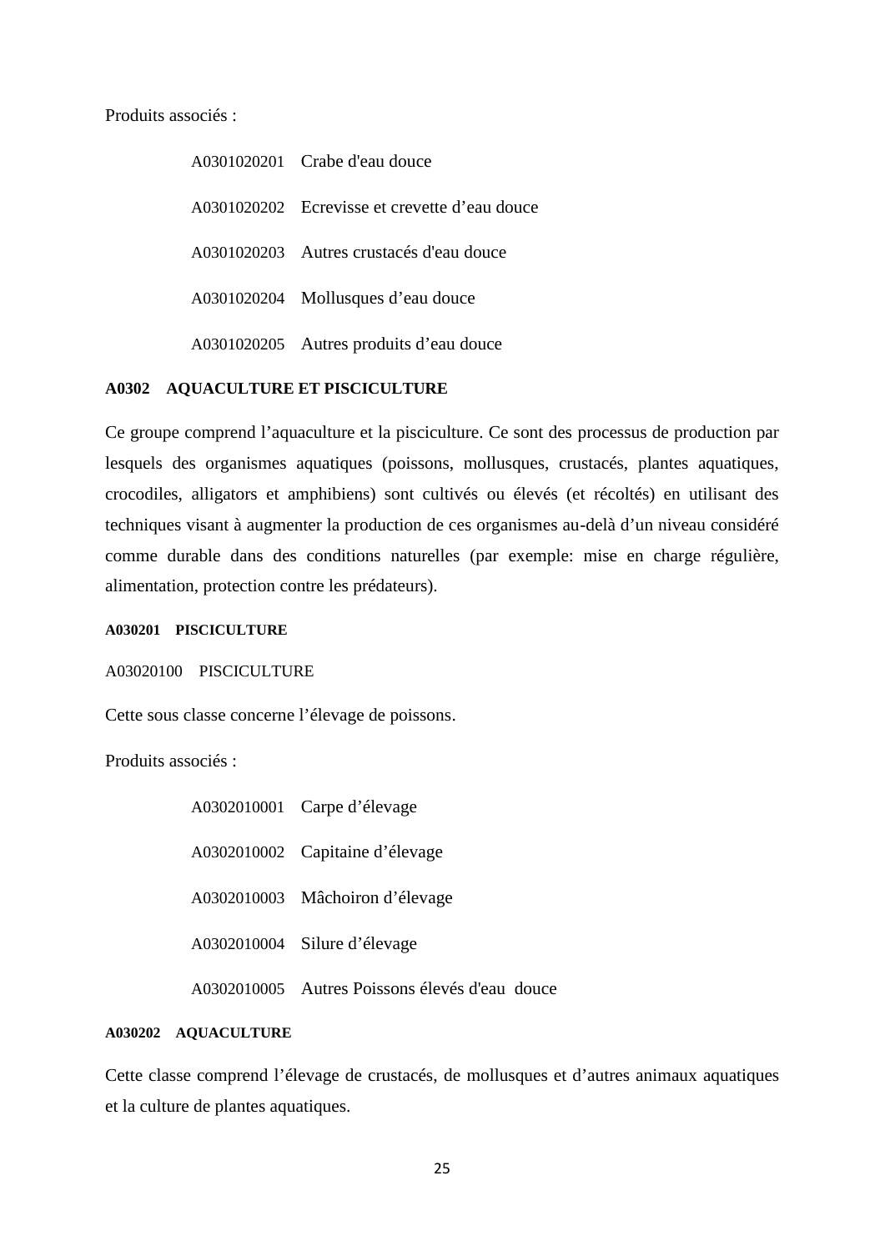Produits associés :

A0301020201 Crabe d'eau douce A0301020202 Ecrevisse et crevette d'eau douce A0301020203 Autres crustacés d'eau douce A0301020204 Mollusques d'eau douce A0301020205 Autres produits d'eau douce

## **A0302 AQUACULTURE ET PISCICULTURE**

Ce groupe comprend l'aquaculture et la pisciculture. Ce sont des processus de production par lesquels des organismes aquatiques (poissons, mollusques, crustacés, plantes aquatiques, crocodiles, alligators et amphibiens) sont cultivés ou élevés (et récoltés) en utilisant des techniques visant à augmenter la production de ces organismes au-delà d'un niveau considéré comme durable dans des conditions naturelles (par exemple: mise en charge régulière, alimentation, protection contre les prédateurs).

**A030201 PISCICULTURE**

A03020100 PISCICULTURE

Cette sous classe concerne l'élevage de poissons.

Produits associés :

| A0302010001 Carpe d'élevage                    |
|------------------------------------------------|
| A0302010002 Capitaine d'élevage                |
| A0302010003 Mâchoiron d'élevage                |
| A0302010004 Silure d'élevage                   |
| A0302010005 Autres Poissons élevés d'eau douce |

## **A030202 AQUACULTURE**

Cette classe comprend l'élevage de crustacés, de mollusques et d'autres animaux aquatiques et la culture de plantes aquatiques.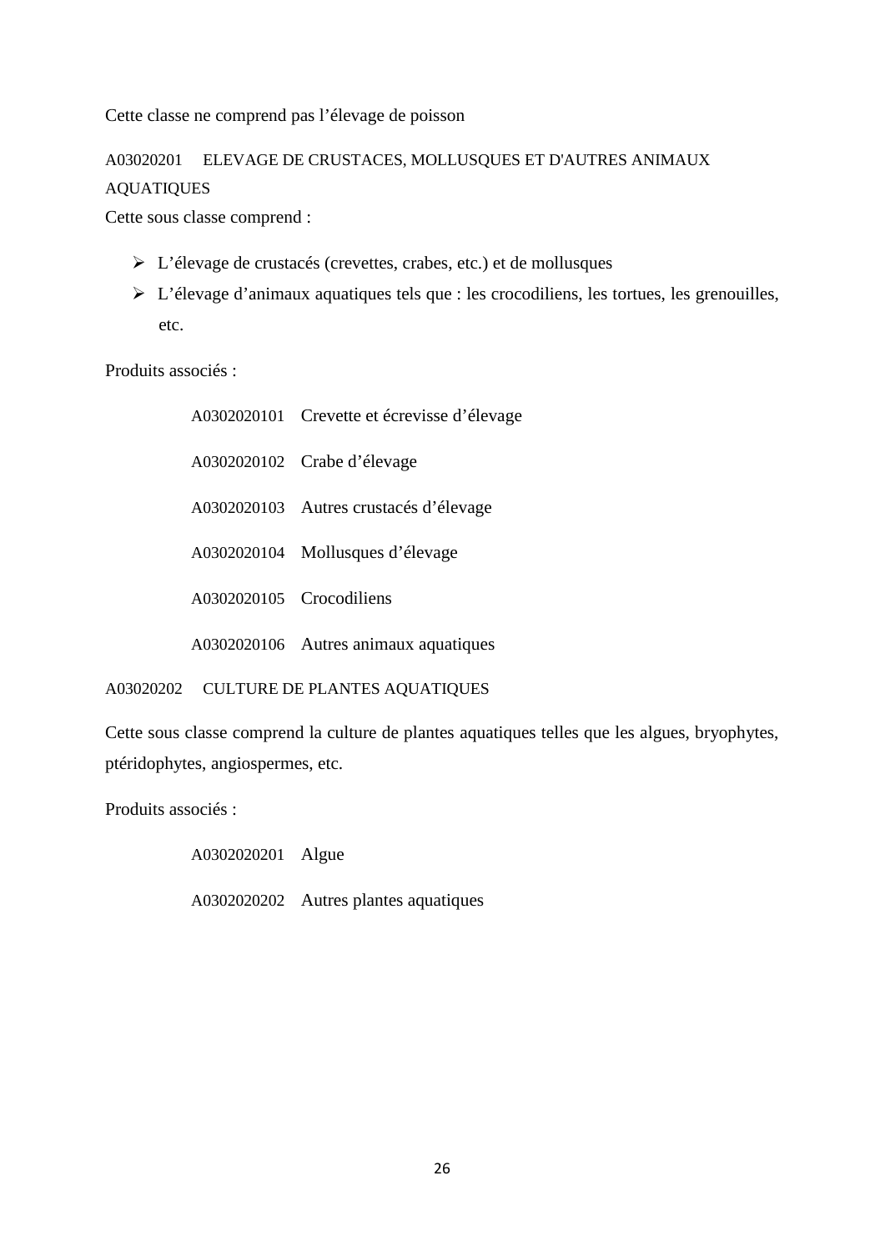Cette classe ne comprend pas l'élevage de poisson

## A03020201 ELEVAGE DE CRUSTACES, MOLLUSQUES ET D'AUTRES ANIMAUX AQUATIQUES

Cette sous classe comprend :

- L'élevage de crustacés (crevettes, crabes, etc.) et de mollusques
- L'élevage d'animaux aquatiques tels que : les crocodiliens, les tortues, les grenouilles, etc.

Produits associés :

|                          | A0302020101 Crevette et écrevisse d'élevage |
|--------------------------|---------------------------------------------|
|                          | A0302020102 Crabe d'élevage                 |
|                          | A0302020103 Autres crustacés d'élevage      |
|                          | A0302020104 Mollusques d'élevage            |
| A0302020105 Crocodiliens |                                             |
|                          | A0302020106 Autres animaux aquatiques       |

A03020202 CULTURE DE PLANTES AQUATIQUES

Cette sous classe comprend la culture de plantes aquatiques telles que les algues, bryophytes, ptéridophytes, angiospermes, etc.

Produits associés :

A0302020201 Algue

A0302020202 Autres plantes aquatiques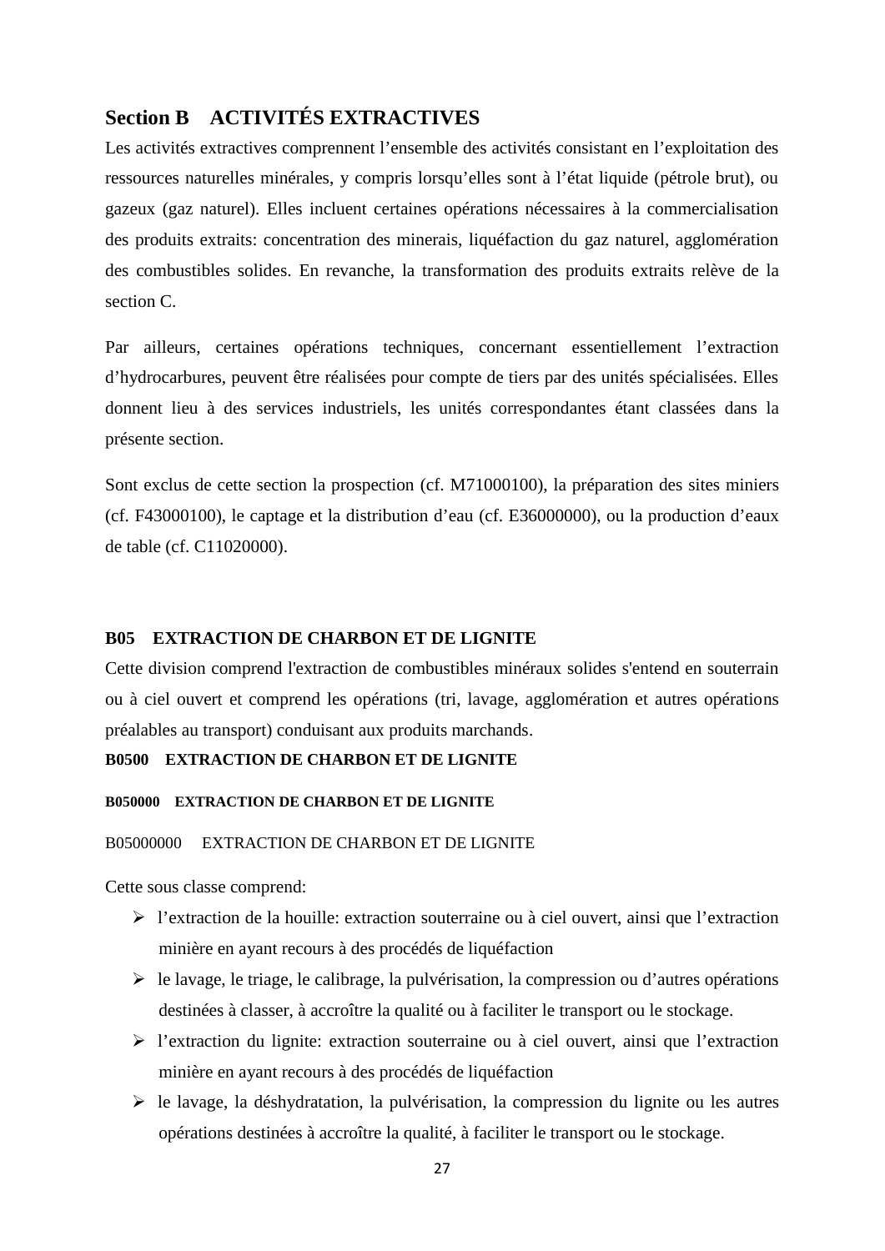## **Section B ACTIVITÉS EXTRACTIVES**

Les activités extractives comprennent l'ensemble des activités consistant en l'exploitation des ressources naturelles minérales, y compris lorsqu'elles sont à l'état liquide (pétrole brut), ou gazeux (gaz naturel). Elles incluent certaines opérations nécessaires à la commercialisation des produits extraits: concentration des minerais, liquéfaction du gaz naturel, agglomération des combustibles solides. En revanche, la transformation des produits extraits relève de la section C.

Par ailleurs, certaines opérations techniques, concernant essentiellement l'extraction d'hydrocarbures, peuvent être réalisées pour compte de tiers par des unités spécialisées. Elles donnent lieu à des services industriels, les unités correspondantes étant classées dans la présente section.

Sont exclus de cette section la prospection (cf. M71000100), la préparation des sites miniers (cf. F43000100), le captage et la distribution d'eau (cf. E36000000), ou la production d'eaux de table (cf. C11020000).

#### **B05 EXTRACTION DE CHARBON ET DE LIGNITE**

Cette division comprend l'extraction de combustibles minéraux solides s'entend en souterrain ou à ciel ouvert et comprend les opérations (tri, lavage, agglomération et autres opérations préalables au transport) conduisant aux produits marchands.

## **B0500 EXTRACTION DE CHARBON ET DE LIGNITE**

### **B050000 EXTRACTION DE CHARBON ET DE LIGNITE**

#### B05000000 EXTRACTION DE CHARBON ET DE LIGNITE

Cette sous classe comprend:

- l'extraction de la houille: extraction souterraine ou à ciel ouvert, ainsi que l'extraction minière en ayant recours à des procédés de liquéfaction
- $\triangleright$  le lavage, le triage, le calibrage, la pulvérisation, la compression ou d'autres opérations destinées à classer, à accroître la qualité ou à faciliter le transport ou le stockage.
- l'extraction du lignite: extraction souterraine ou à ciel ouvert, ainsi que l'extraction minière en ayant recours à des procédés de liquéfaction
- $\triangleright$  le lavage, la déshydratation, la pulvérisation, la compression du lignite ou les autres opérations destinées à accroître la qualité, à faciliter le transport ou le stockage.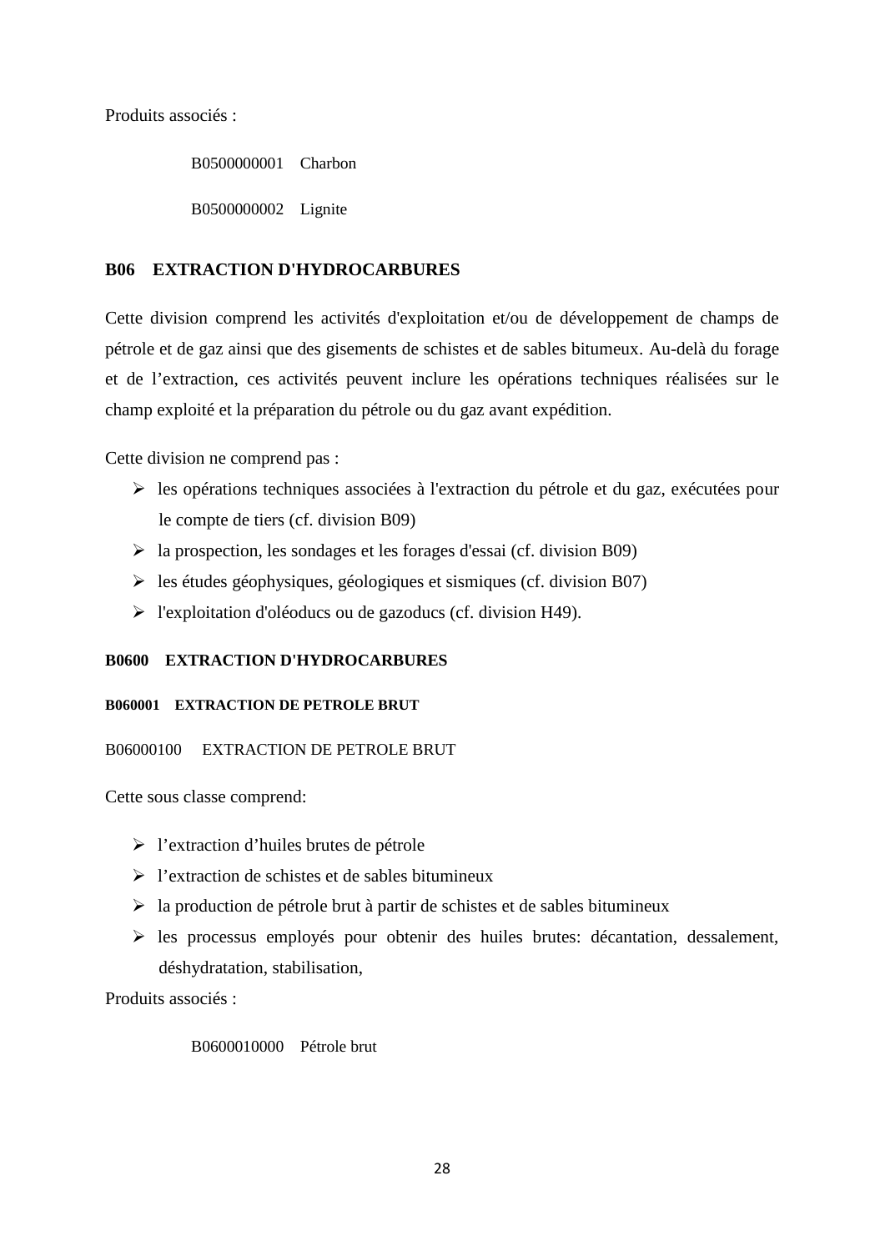Produits associés :

B0500000001 Charbon B0500000002 Lignite

## **B06 EXTRACTION D'HYDROCARBURES**

Cette division comprend les activités d'exploitation et/ou de développement de champs de pétrole et de gaz ainsi que des gisements de schistes et de sables bitumeux. Au-delà du forage et de l'extraction, ces activités peuvent inclure les opérations techniques réalisées sur le champ exploité et la préparation du pétrole ou du gaz avant expédition.

Cette division ne comprend pas :

- les opérations techniques associées à l'extraction du pétrole et du gaz, exécutées pour le compte de tiers (cf. division B09)
- $\triangleright$  la prospection, les sondages et les forages d'essai (cf. division B09)
- $\geq$  les études géophysiques, géologiques et sismiques (cf. division B07)
- $\triangleright$  l'exploitation d'oléoducs ou de gazoducs (cf. division H49).

## **B0600 EXTRACTION D'HYDROCARBURES**

## **B060001 EXTRACTION DE PETROLE BRUT**

## B06000100 EXTRACTION DE PETROLE BRUT

Cette sous classe comprend:

- l'extraction d'huiles brutes de pétrole
- $\triangleright$  l'extraction de schistes et de sables bitumineux
- $\triangleright$  la production de pétrole brut à partir de schistes et de sables bitumineux
- $\triangleright$  les processus employés pour obtenir des huiles brutes: décantation, dessalement, déshydratation, stabilisation,

Produits associés :

## B0600010000 Pétrole brut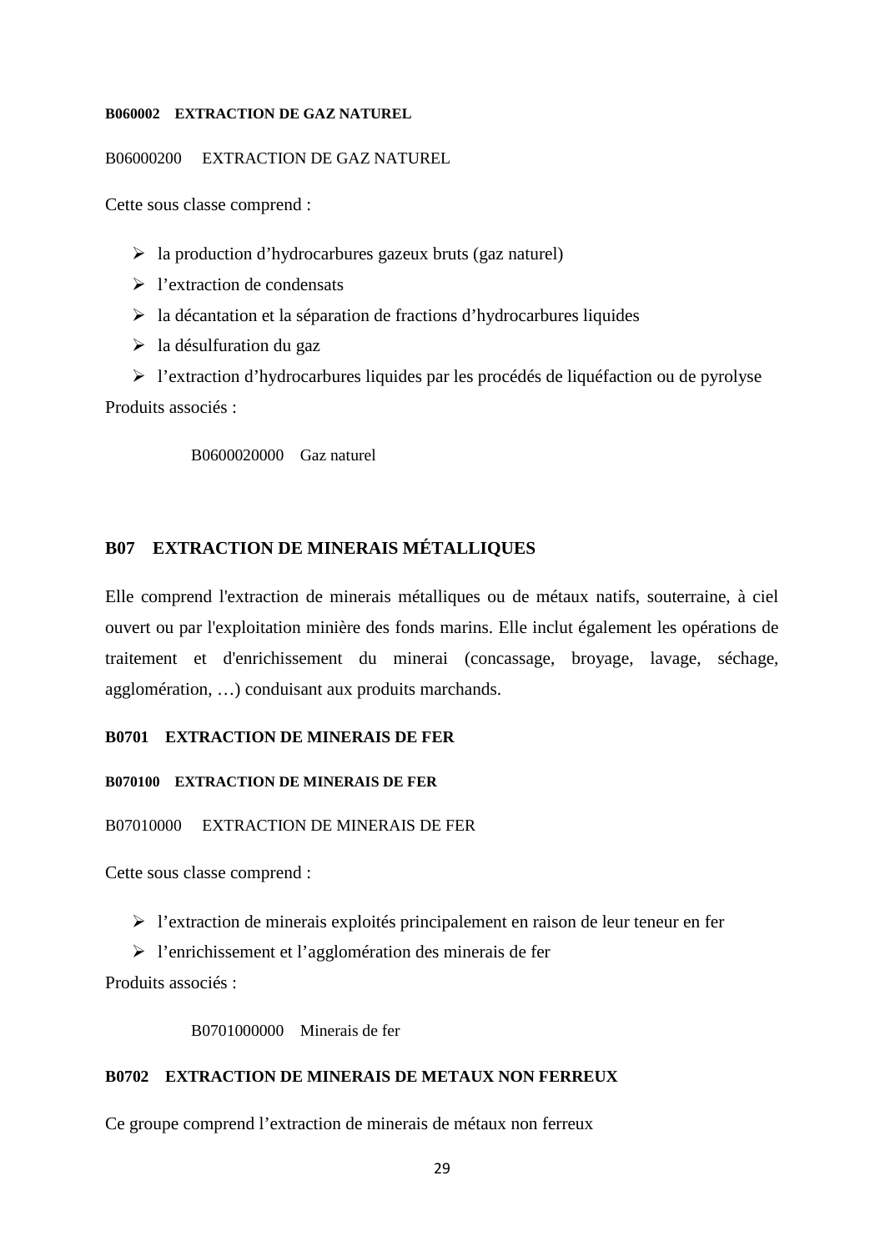### **B060002 EXTRACTION DE GAZ NATUREL**

B06000200 EXTRACTION DE GAZ NATUREL

Cette sous classe comprend :

- $\triangleright$  la production d'hydrocarbures gazeux bruts (gaz naturel)
- l'extraction de condensats
- $\triangleright$  la décantation et la séparation de fractions d'hydrocarbures liquides
- $\triangleright$  la désulfuration du gaz

 l'extraction d'hydrocarbures liquides par les procédés de liquéfaction ou de pyrolyse Produits associés :

B0600020000 Gaz naturel

## **B07 EXTRACTION DE MINERAIS MÉTALLIQUES**

Elle comprend l'extraction de minerais métalliques ou de métaux natifs, souterraine, à ciel ouvert ou par l'exploitation minière des fonds marins. Elle inclut également les opérations de traitement et d'enrichissement du minerai (concassage, broyage, lavage, séchage, agglomération, …) conduisant aux produits marchands.

## **B0701 EXTRACTION DE MINERAIS DE FER**

#### **B070100 EXTRACTION DE MINERAIS DE FER**

#### B07010000 EXTRACTION DE MINERAIS DE FER

Cette sous classe comprend :

 $\triangleright$  l'extraction de minerais exploités principalement en raison de leur teneur en fer

l'enrichissement et l'agglomération des minerais de fer

Produits associés :

B0701000000 Minerais de fer

## **B0702 EXTRACTION DE MINERAIS DE METAUX NON FERREUX**

Ce groupe comprend l'extraction de minerais de métaux non ferreux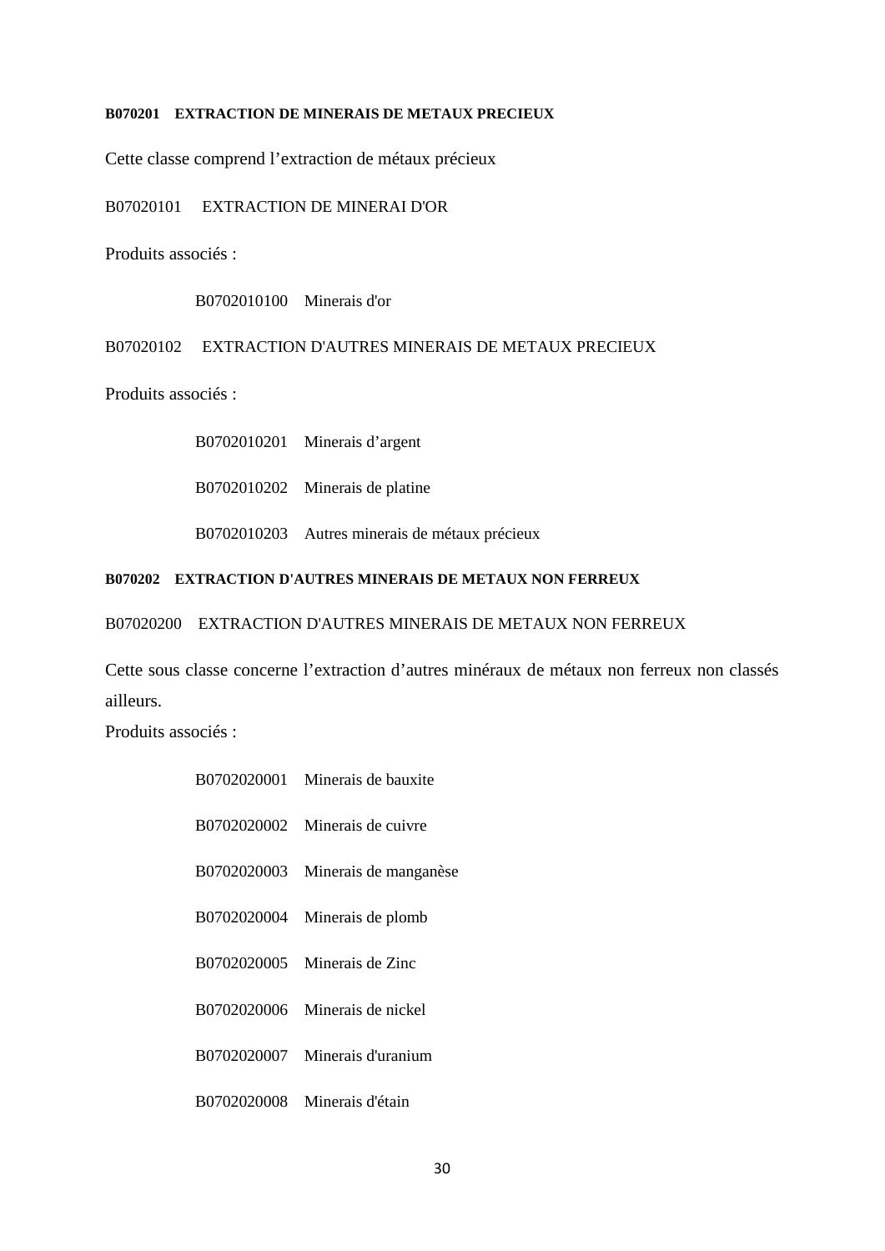#### **B070201 EXTRACTION DE MINERAIS DE METAUX PRECIEUX**

Cette classe comprend l'extraction de métaux précieux

B07020101 EXTRACTION DE MINERAI D'OR

Produits associés :

B0702010100 Minerais d'or

B07020102 EXTRACTION D'AUTRES MINERAIS DE METAUX PRECIEUX

Produits associés :

B0702010201 Minerais d'argent B0702010202 Minerais de platine B0702010203 Autres minerais de métaux précieux

## **B070202 EXTRACTION D'AUTRES MINERAIS DE METAUX NON FERREUX**

B07020200 EXTRACTION D'AUTRES MINERAIS DE METAUX NON FERREUX

Cette sous classe concerne l'extraction d'autres minéraux de métaux non ferreux non classés ailleurs.

Produits associés :

| B0702020001 Minerais de bauxite   |
|-----------------------------------|
| B0702020002 Minerais de cuivre    |
| B0702020003 Minerais de manganèse |
| B0702020004 Minerais de plomb     |
| B0702020005 Minerais de Zinc      |
| B0702020006 Minerais de nickel    |
| B0702020007 Minerais d'uranium    |
| B0702020008 Minerais d'étain      |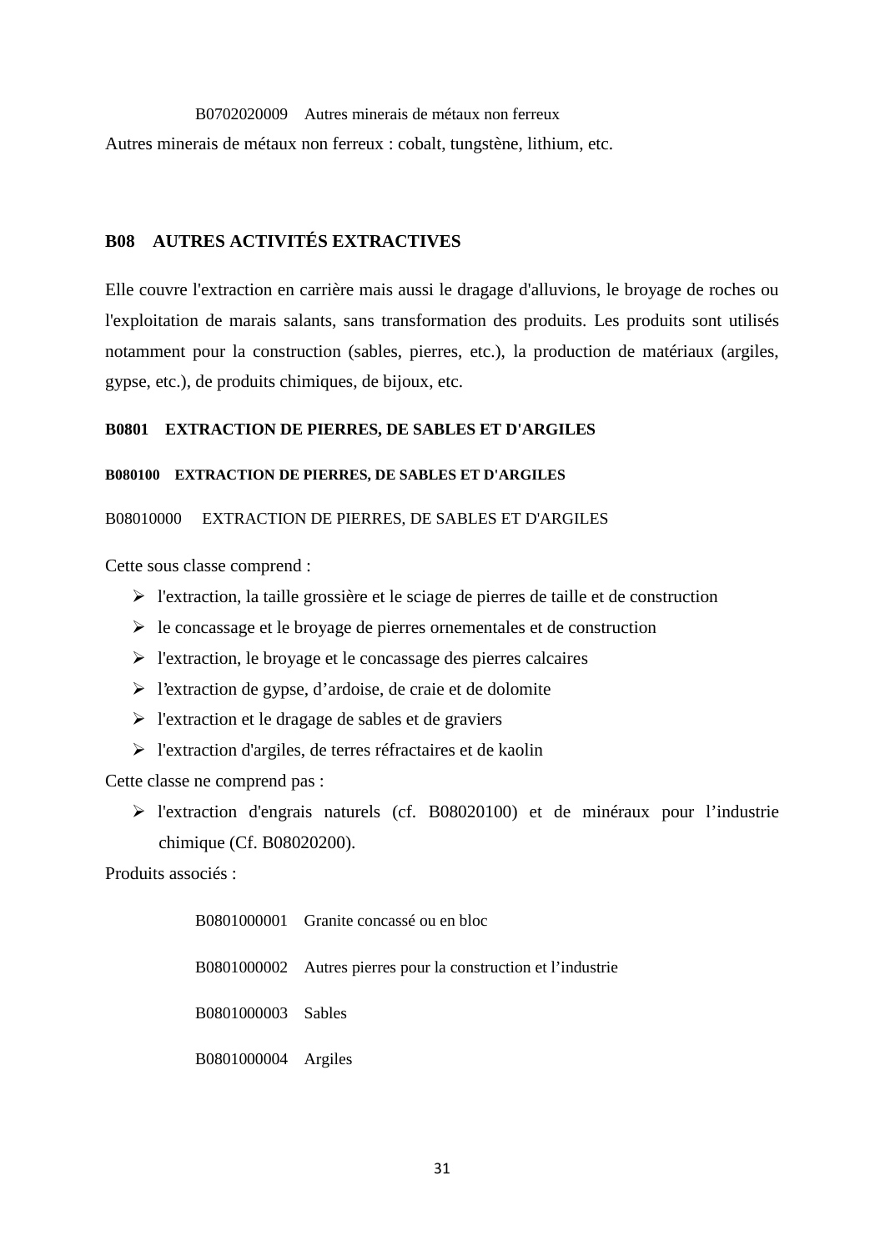B0702020009 Autres minerais de métaux non ferreux Autres minerais de métaux non ferreux : cobalt, tungstène, lithium, etc.

## **B08 AUTRES ACTIVITÉS EXTRACTIVES**

Elle couvre l'extraction en carrière mais aussi le dragage d'alluvions, le broyage de roches ou l'exploitation de marais salants, sans transformation des produits. Les produits sont utilisés notamment pour la construction (sables, pierres, etc.), la production de matériaux (argiles, gypse, etc.), de produits chimiques, de bijoux, etc.

## **B0801 EXTRACTION DE PIERRES, DE SABLES ET D'ARGILES**

#### **B080100 EXTRACTION DE PIERRES, DE SABLES ET D'ARGILES**

## B08010000 EXTRACTION DE PIERRES, DE SABLES ET D'ARGILES

Cette sous classe comprend :

- $\triangleright$  l'extraction, la taille grossière et le sciage de pierres de taille et de construction
- $\triangleright$  le concassage et le broyage de pierres ornementales et de construction
- l'extraction, le broyage et le concassage des pierres calcaires
- l'extraction de gypse, d'ardoise, de craie et de dolomite
- $\triangleright$  l'extraction et le dragage de sables et de graviers
- l'extraction d'argiles, de terres réfractaires et de kaolin

Cette classe ne comprend pas :

 l'extraction d'engrais naturels (cf. B08020100) et de minéraux pour l'industrie chimique (Cf. B08020200).

Produits associés :

B0801000001 Granite concassé ou en bloc B0801000002 Autres pierres pour la construction et l'industrie B0801000003 Sables B0801000004 Argiles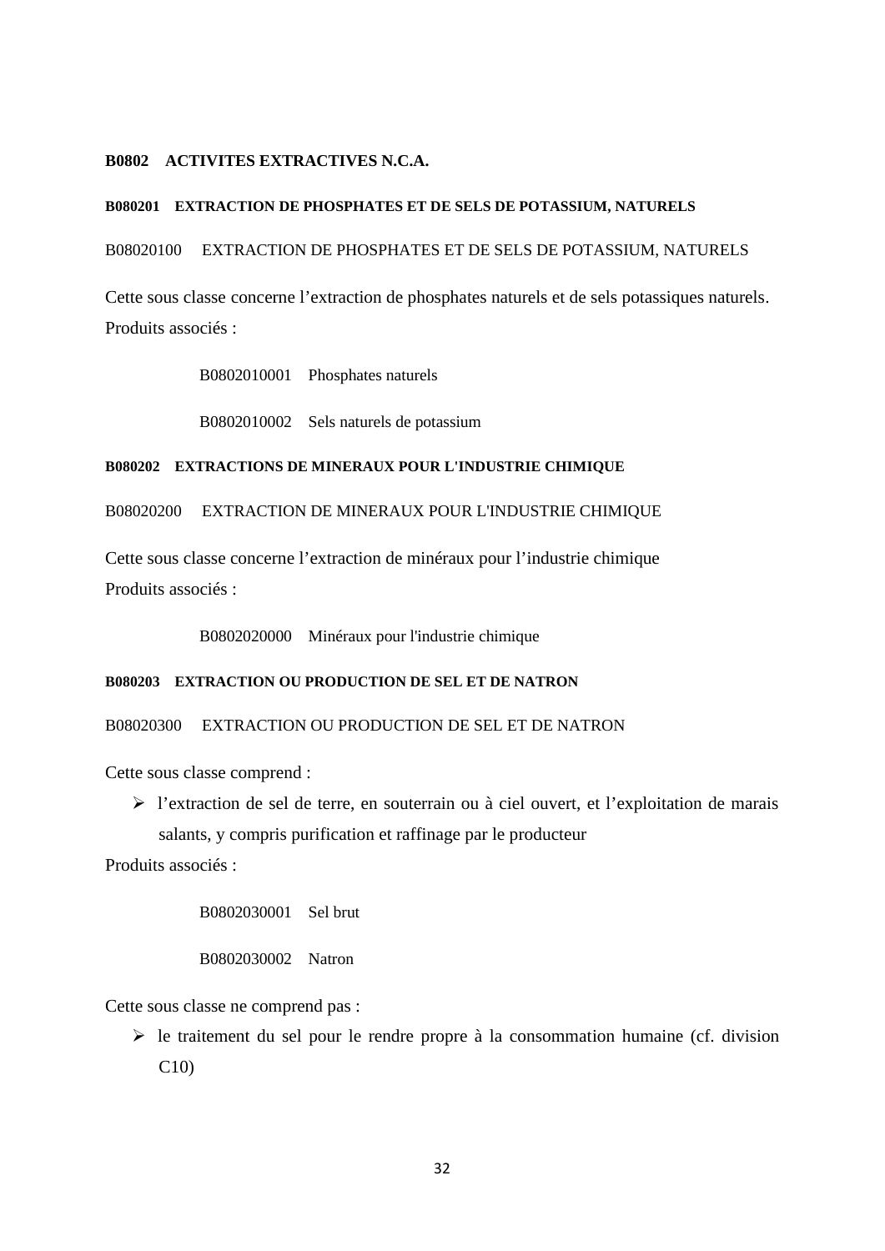#### **B0802 ACTIVITES EXTRACTIVES N.C.A.**

## **B080201 EXTRACTION DE PHOSPHATES ET DE SELS DE POTASSIUM, NATURELS**

B08020100 EXTRACTION DE PHOSPHATES ET DE SELS DE POTASSIUM, NATURELS

Cette sous classe concerne l'extraction de phosphates naturels et de sels potassiques naturels. Produits associés :

B0802010001 Phosphates naturels

B0802010002 Sels naturels de potassium

#### **B080202 EXTRACTIONS DE MINERAUX POUR L'INDUSTRIE CHIMIQUE**

B08020200 EXTRACTION DE MINERAUX POUR L'INDUSTRIE CHIMIQUE

Cette sous classe concerne l'extraction de minéraux pour l'industrie chimique Produits associés :

B0802020000 Minéraux pour l'industrie chimique

#### **B080203 EXTRACTION OU PRODUCTION DE SEL ET DE NATRON**

B08020300 EXTRACTION OU PRODUCTION DE SEL ET DE NATRON

Cette sous classe comprend :

 l'extraction de sel de terre, en souterrain ou à ciel ouvert, et l'exploitation de marais salants, y compris purification et raffinage par le producteur

Produits associés :

B0802030001 Sel brut

B0802030002 Natron

Cette sous classe ne comprend pas :

 $\triangleright$  le traitement du sel pour le rendre propre à la consommation humaine (cf. division  $C10$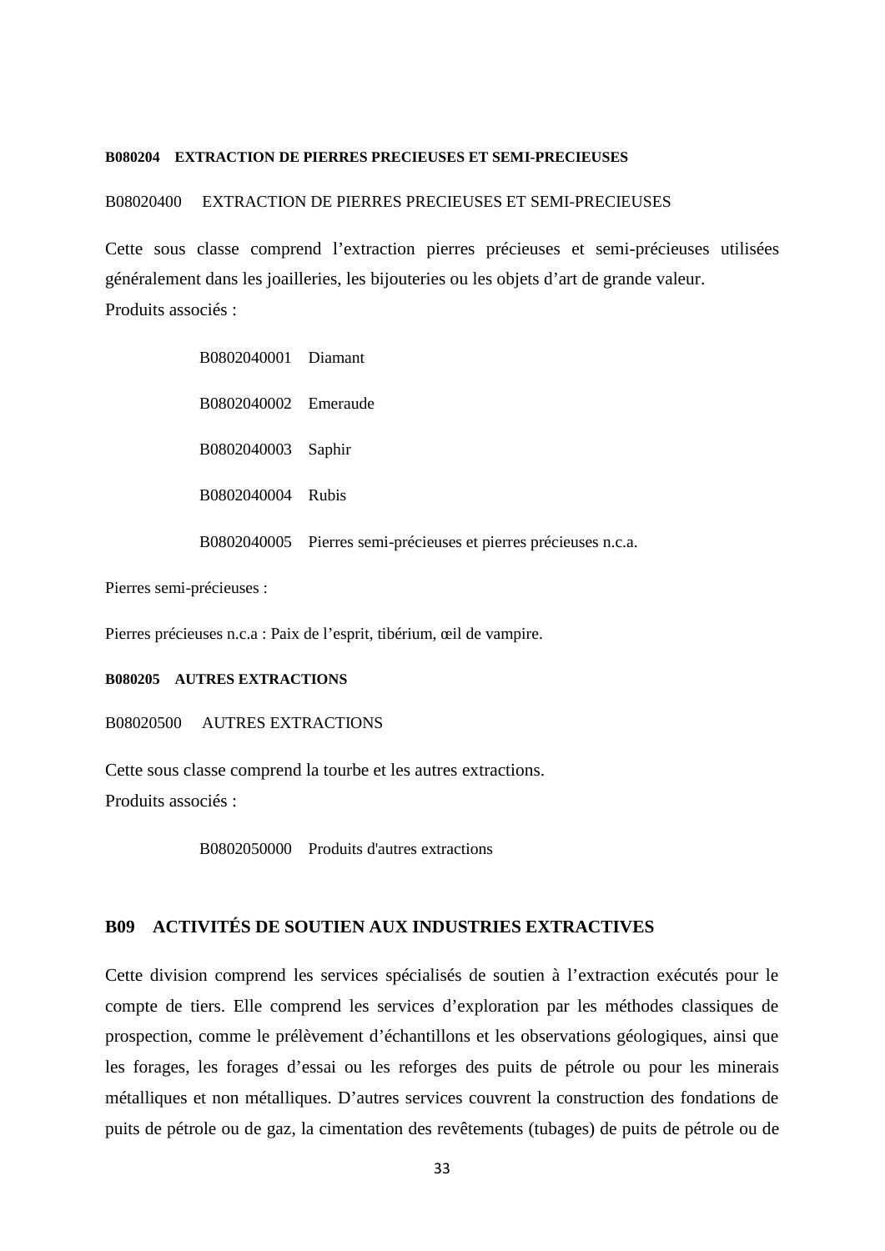#### **B080204 EXTRACTION DE PIERRES PRECIEUSES ET SEMI-PRECIEUSES**

#### B08020400 EXTRACTION DE PIERRES PRECIEUSES ET SEMI-PRECIEUSES

Cette sous classe comprend l'extraction pierres précieuses et semi-précieuses utilisées généralement dans les joailleries, les bijouteries ou les objets d'art de grande valeur. Produits associés :

| B0802040001 Diamant  |                                                                  |
|----------------------|------------------------------------------------------------------|
| B0802040002 Emeraude |                                                                  |
| B0802040003 Saphir   |                                                                  |
| B0802040004 Rubis    |                                                                  |
|                      | B0802040005 Pierres semi-précieuses et pierres précieuses n.c.a. |

Pierres semi-précieuses :

Pierres précieuses n.c.a : Paix de l'esprit, tibérium, œil de vampire.

#### **B080205 AUTRES EXTRACTIONS**

B08020500 AUTRES EXTRACTIONS

Cette sous classe comprend la tourbe et les autres extractions. Produits associés :

B0802050000 Produits d'autres extractions

## **B09 ACTIVITÉS DE SOUTIEN AUX INDUSTRIES EXTRACTIVES**

Cette division comprend les services spécialisés de soutien à l'extraction exécutés pour le compte de tiers. Elle comprend les services d'exploration par les méthodes classiques de prospection, comme le prélèvement d'échantillons et les observations géologiques, ainsi que les forages, les forages d'essai ou les reforges des puits de pétrole ou pour les minerais métalliques et non métalliques. D'autres services couvrent la construction des fondations de puits de pétrole ou de gaz, la cimentation des revêtements (tubages) de puits de pétrole ou de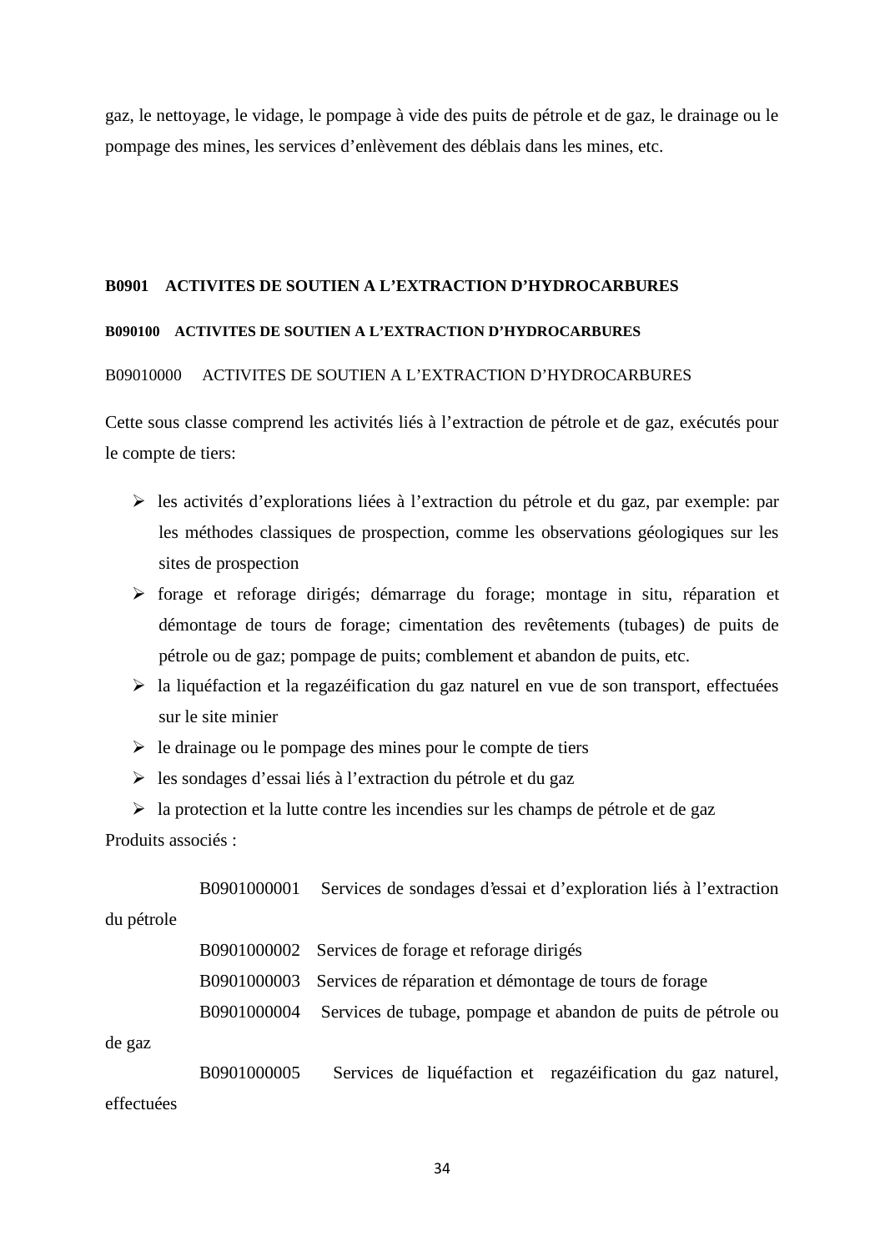gaz, le nettoyage, le vidage, le pompage à vide des puits de pétrole et de gaz, le drainage ou le pompage des mines, les services d'enlèvement des déblais dans les mines, etc.

## **B0901 ACTIVITES DE SOUTIEN A L'EXTRACTION D'HYDROCARBURES**

#### **B090100 ACTIVITES DE SOUTIEN A L'EXTRACTION D'HYDROCARBURES**

#### B09010000 ACTIVITES DE SOUTIEN A L'EXTRACTION D'HYDROCARBURES

Cette sous classe comprend les activités liés à l'extraction de pétrole et de gaz, exécutés pour le compte de tiers:

- les activités d'explorations liées à l'extraction du pétrole et du gaz, par exemple: par les méthodes classiques de prospection, comme les observations géologiques sur les sites de prospection
- forage et reforage dirigés; démarrage du forage; montage in situ, réparation et démontage de tours de forage; cimentation des revêtements (tubages) de puits de pétrole ou de gaz; pompage de puits; comblement et abandon de puits, etc.
- $\triangleright$  la liquéfaction et la regazéification du gaz naturel en vue de son transport, effectuées sur le site minier
- $\triangleright$  le drainage ou le pompage des mines pour le compte de tiers
- les sondages d'essai liés à l'extraction du pétrole et du gaz

 $\triangleright$  la protection et la lutte contre les incendies sur les champs de pétrole et de gaz Produits associés :

|            |             | B0901000001 Services de sondages d'essai et d'exploration liés à l'extraction |
|------------|-------------|-------------------------------------------------------------------------------|
| du pétrole |             |                                                                               |
|            |             | B0901000002 Services de forage et reforage dirigés                            |
|            | B0901000003 | Services de réparation et démontage de tours de forage                        |
|            | B0901000004 | Services de tubage, pompage et abandon de puits de pétrole ou                 |
| de gaz     |             |                                                                               |
|            | B0901000005 | Services de liquéfaction et regazéification du gaz naturel,                   |
| effectuées |             |                                                                               |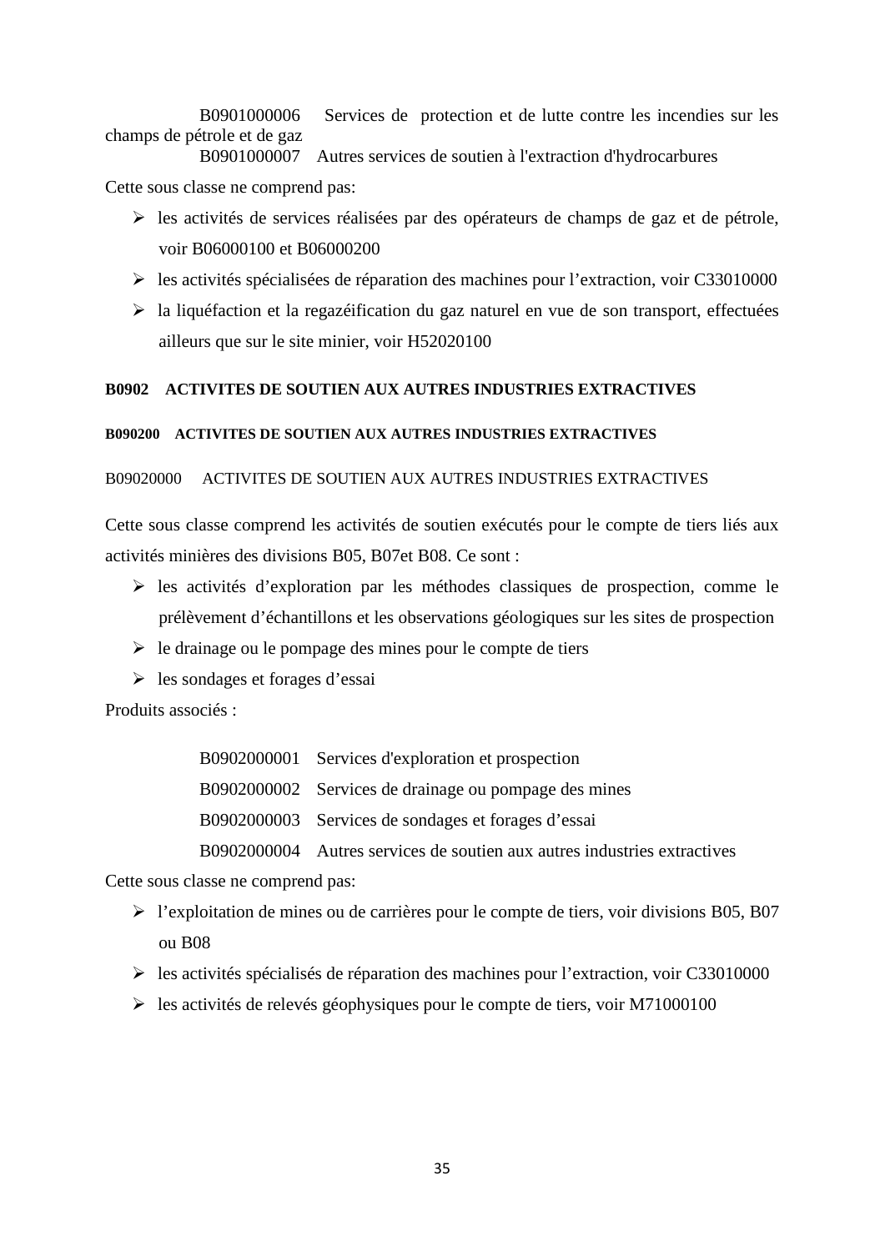B0901000006 Services de protection et de lutte contre les incendies sur les champs de pétrole et de gaz B0901000007 Autres services de soutien à l'extraction d'hydrocarbures

Cette sous classe ne comprend pas:

- $\triangleright$  les activités de services réalisées par des opérateurs de champs de gaz et de pétrole, voir B06000100 et B06000200
- les activités spécialisées de réparation des machines pour l'extraction, voir C33010000
- $\triangleright$  la liquéfaction et la regazéification du gaz naturel en vue de son transport, effectuées ailleurs que sur le site minier, voir H52020100

## **B0902 ACTIVITES DE SOUTIEN AUX AUTRES INDUSTRIES EXTRACTIVES**

## **B090200 ACTIVITES DE SOUTIEN AUX AUTRES INDUSTRIES EXTRACTIVES**

## B09020000 ACTIVITES DE SOUTIEN AUX AUTRES INDUSTRIES EXTRACTIVES

Cette sous classe comprend les activités de soutien exécutés pour le compte de tiers liés aux activités minières des divisions B05, B07et B08. Ce sont :

- $\triangleright$  les activités d'exploration par les méthodes classiques de prospection, comme le prélèvement d'échantillons et les observations géologiques sur les sites de prospection
- $\triangleright$  le drainage ou le pompage des mines pour le compte de tiers
- les sondages et forages d'essai

Produits associés :

| B0902000001 Services d'exploration et prospection                        |
|--------------------------------------------------------------------------|
| B0902000002 Services de drainage ou pompage des mines                    |
| B0902000003 Services de sondages et forages d'essai                      |
| B0902000004 Autres services de soutien aux autres industries extractives |

Cette sous classe ne comprend pas:

- $\triangleright$  l'exploitation de mines ou de carrières pour le compte de tiers, voir divisions B05, B07 ou B08
- $\triangleright$  les activités spécialisés de réparation des machines pour l'extraction, voir C33010000
- $\blacktriangleright$  les activités de relevés géophysiques pour le compte de tiers, voir M71000100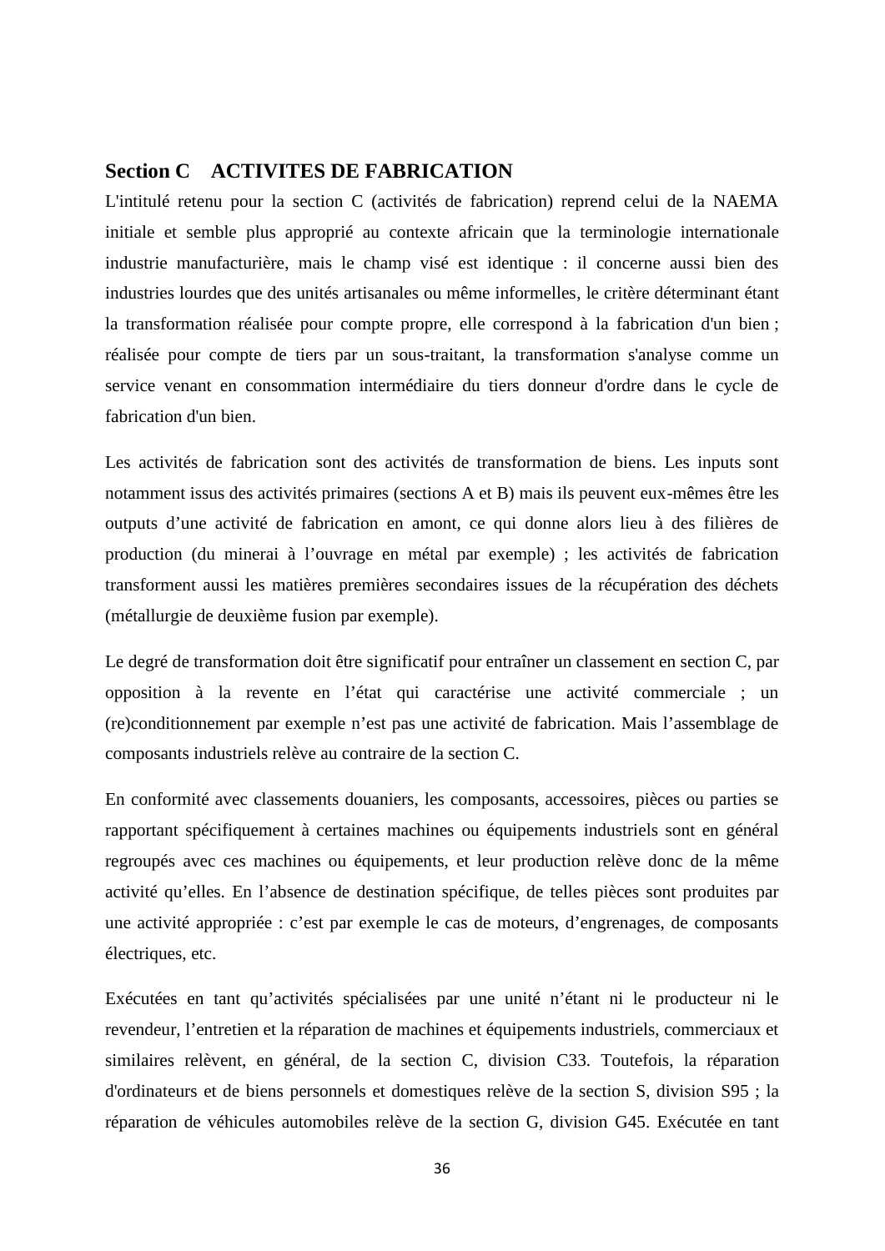## **Section C ACTIVITES DE FABRICATION**

L'intitulé retenu pour la section C (activités de fabrication) reprend celui de la NAEMA initiale et semble plus approprié au contexte africain que la terminologie internationale industrie manufacturière, mais le champ visé est identique : il concerne aussi bien des industries lourdes que des unités artisanales ou même informelles, le critère déterminant étant la transformation réalisée pour compte propre, elle correspond à la fabrication d'un bien ; réalisée pour compte de tiers par un sous-traitant, la transformation s'analyse comme un service venant en consommation intermédiaire du tiers donneur d'ordre dans le cycle de fabrication d'un bien.

Les activités de fabrication sont des activités de transformation de biens. Les inputs sont notamment issus des activités primaires (sections A et B) mais ils peuvent eux-mêmes être les outputs d'une activité de fabrication en amont, ce qui donne alors lieu à des filières de production (du minerai à l'ouvrage en métal par exemple) ; les activités de fabrication transforment aussi les matières premières secondaires issues de la récupération des déchets (métallurgie de deuxième fusion par exemple).

Le degré de transformation doit être significatif pour entraîner un classement en section C, par opposition à la revente en l'état qui caractérise une activité commerciale ; un (re)conditionnement par exemple n'est pas une activité de fabrication. Mais l'assemblage de composants industriels relève au contraire de la section C.

En conformité avec classements douaniers, les composants, accessoires, pièces ou parties se rapportant spécifiquement à certaines machines ou équipements industriels sont en général regroupés avec ces machines ou équipements, et leur production relève donc de la même activité qu'elles. En l'absence de destination spécifique, de telles pièces sont produites par une activité appropriée : c'est par exemple le cas de moteurs, d'engrenages, de composants électriques, etc.

Exécutées en tant qu'activités spécialisées par une unité n'étant ni le producteur ni le revendeur, l'entretien et la réparation de machines et équipements industriels, commerciaux et similaires relèvent, en général, de la section C, division C33. Toutefois, la réparation d'ordinateurs et de biens personnels et domestiques relève de la section S, division S95 ; la réparation de véhicules automobiles relève de la section G, division G45. Exécutée en tant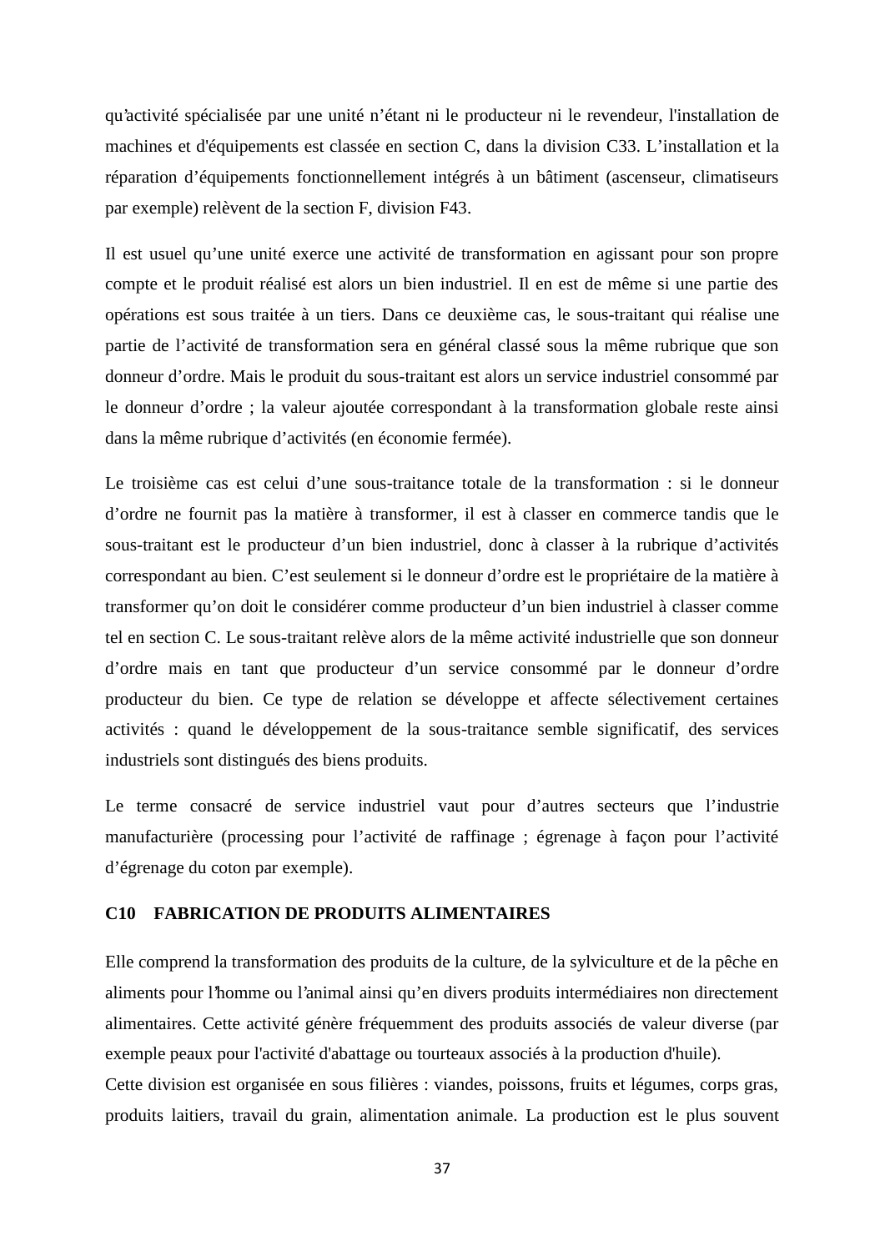qu'activité spécialisée par une unité n'étant ni le producteur ni le revendeur, l'installation de machines et d'équipements est classée en section C, dans la division C33. L'installation et la réparation d'équipements fonctionnellement intégrés à un bâtiment (ascenseur, climatiseurs par exemple) relèvent de la section F, division F43.

Il est usuel qu'une unité exerce une activité de transformation en agissant pour son propre compte et le produit réalisé est alors un bien industriel. Il en est de même si une partie des opérations est sous traitée à un tiers. Dans ce deuxième cas, le sous-traitant qui réalise une partie de l'activité de transformation sera en général classé sous la même rubrique que son donneur d'ordre. Mais le produit du sous-traitant est alors un service industriel consommé par le donneur d'ordre ; la valeur ajoutée correspondant à la transformation globale reste ainsi dans la même rubrique d'activités (en économie fermée).

Le troisième cas est celui d'une sous-traitance totale de la transformation : si le donneur d'ordre ne fournit pas la matière à transformer, il est à classer en commerce tandis que le sous-traitant est le producteur d'un bien industriel, donc à classer à la rubrique d'activités correspondant au bien. C'est seulement si le donneur d'ordre est le propriétaire de la matière à transformer qu'on doit le considérer comme producteur d'un bien industriel à classer comme tel en section C. Le sous-traitant relève alors de la même activité industrielle que son donneur d'ordre mais en tant que producteur d'un service consommé par le donneur d'ordre producteur du bien. Ce type de relation se développe et affecte sélectivement certaines activités : quand le développement de la sous-traitance semble significatif, des services industriels sont distingués des biens produits.

Le terme consacré de service industriel vaut pour d'autres secteurs que l'industrie manufacturière (processing pour l'activité de raffinage ; égrenage à façon pour l'activité d'égrenage du coton par exemple).

#### **C10 FABRICATION DE PRODUITS ALIMENTAIRES**

Elle comprend la transformation des produits de la culture, de la sylviculture et de la pêche en aliments pour l'homme ou l'animal ainsi qu'en divers produits intermédiaires non directement alimentaires. Cette activité génère fréquemment des produits associés de valeur diverse (par exemple peaux pour l'activité d'abattage ou tourteaux associés à la production d'huile).

Cette division est organisée en sous filières : viandes, poissons, fruits et légumes, corps gras, produits laitiers, travail du grain, alimentation animale. La production est le plus souvent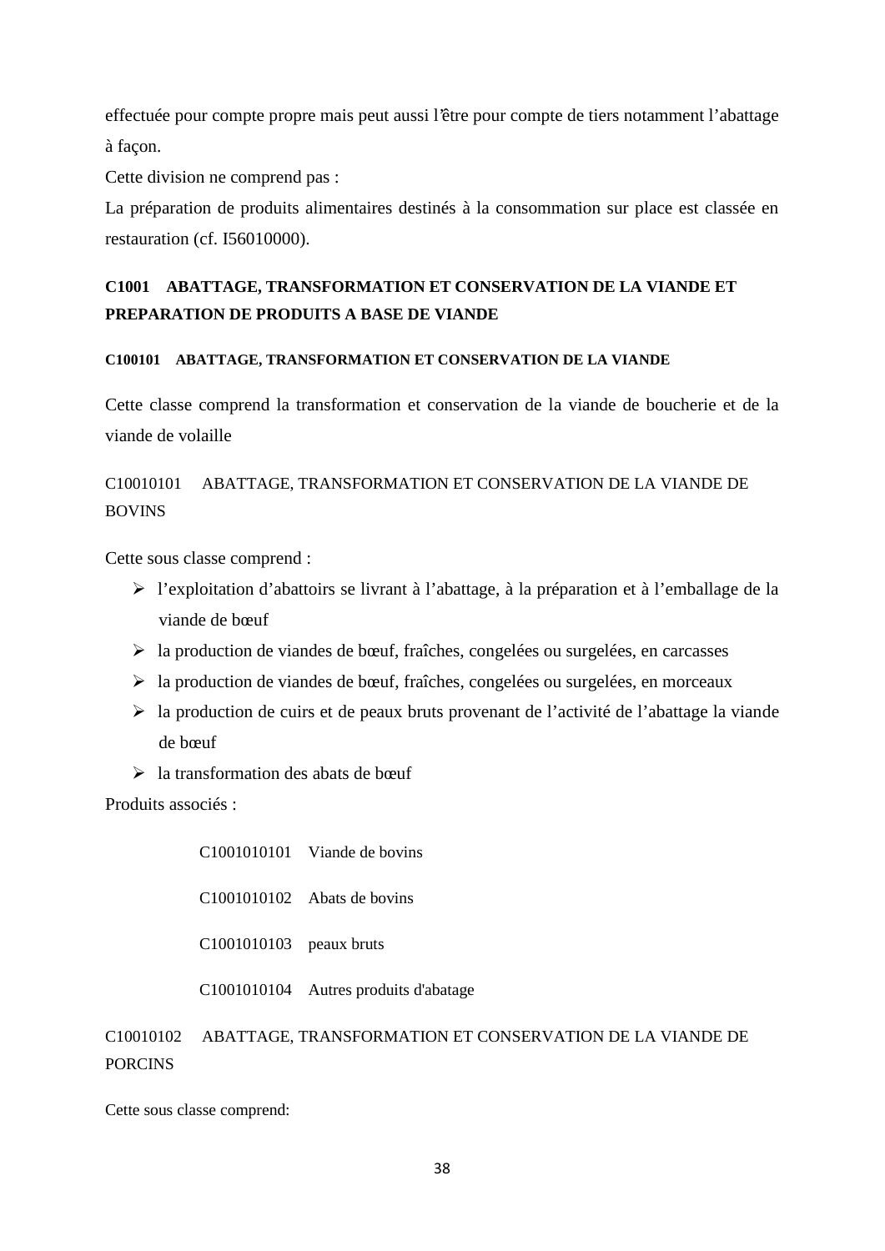effectuée pour compte propre mais peut aussi l'être pour compte de tiers notamment l'abattage à façon.

Cette division ne comprend pas :

La préparation de produits alimentaires destinés à la consommation sur place est classée en restauration (cf. I56010000).

# **C1001 ABATTAGE, TRANSFORMATION ET CONSERVATION DE LA VIANDE ET PREPARATION DE PRODUITS A BASE DE VIANDE**

# **C100101 ABATTAGE, TRANSFORMATION ET CONSERVATION DE LA VIANDE**

Cette classe comprend la transformation et conservation de la viande de boucherie et de la viande de volaille

# C10010101 ABATTAGE, TRANSFORMATION ET CONSERVATION DE LA VIANDE DE BOVINS

Cette sous classe comprend :

- l'exploitation d'abattoirs se livrant à l'abattage, à la préparation et à l'emballage de la viande de bœuf
- $\triangleright$  la production de viandes de bœuf, fraîches, congelées ou surgelées, en carcasses
- $\triangleright$  la production de viandes de bœuf, fraîches, congelées ou surgelées, en morceaux
- la production de cuirs et de peaux bruts provenant de l'activité de l'abattage la viande de bœuf
- $\geq$  la transformation des abats de bœuf

Produits associés :

C1001010101 Viande de bovins

C1001010102 Abats de bovins

C1001010103 peaux bruts

C1001010104 Autres produits d'abatage

C10010102 ABATTAGE, TRANSFORMATION ET CONSERVATION DE LA VIANDE DE PORCINS

Cette sous classe comprend: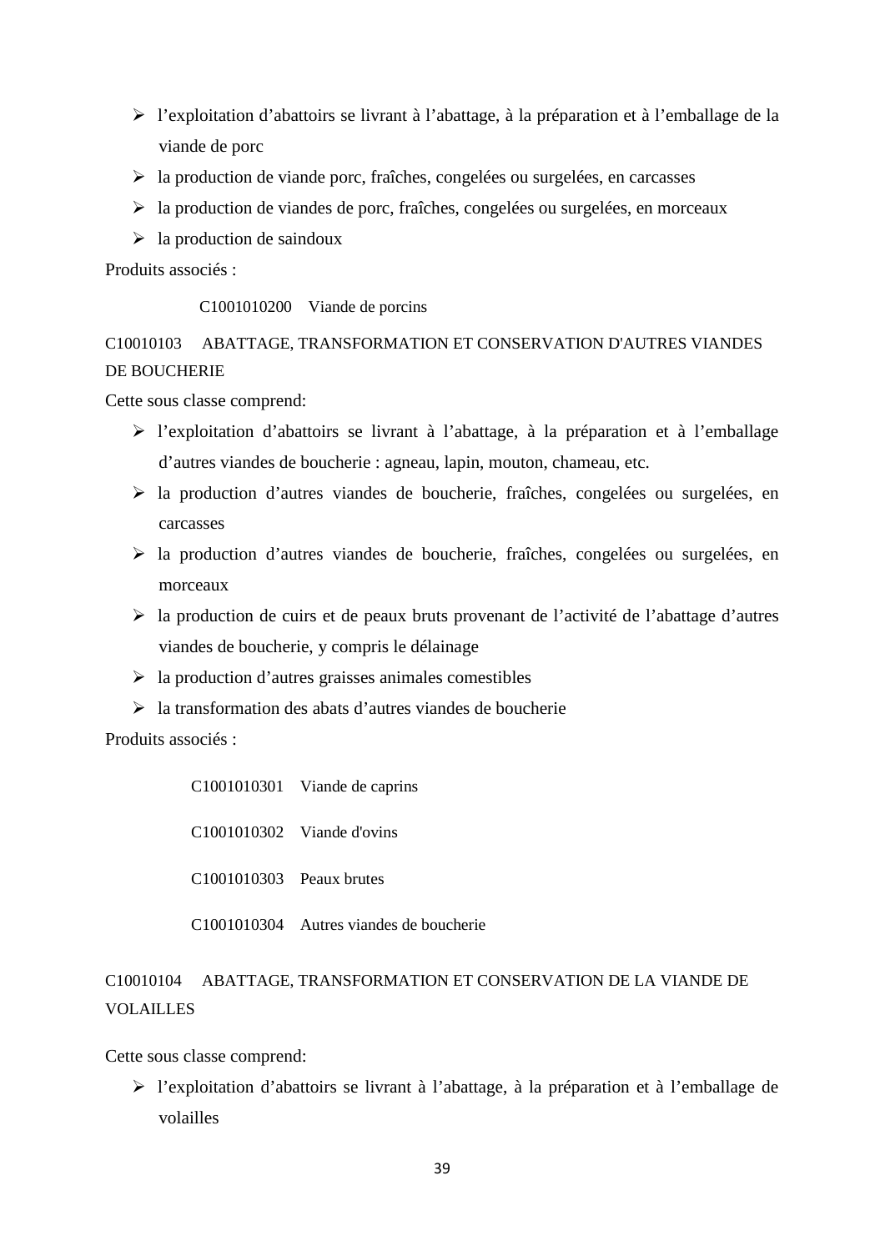- l'exploitation d'abattoirs se livrant à l'abattage, à la préparation et à l'emballage de la viande de porc
- $\triangleright$  la production de viande porc, fraîches, congelées ou surgelées, en carcasses
- $\triangleright$  la production de viandes de porc, fraîches, congelées ou surgelées, en morceaux
- $\geq$  la production de saindoux

Produits associés :

C1001010200 Viande de porcins

C10010103 ABATTAGE, TRANSFORMATION ET CONSERVATION D'AUTRES VIANDES DE BOUCHERIE

Cette sous classe comprend:

- l'exploitation d'abattoirs se livrant à l'abattage, à la préparation et à l'emballage d'autres viandes de boucherie : agneau, lapin, mouton, chameau, etc.
- la production d'autres viandes de boucherie, fraîches, congelées ou surgelées, en carcasses
- la production d'autres viandes de boucherie, fraîches, congelées ou surgelées, en morceaux
- la production de cuirs et de peaux bruts provenant de l'activité de l'abattage d'autres viandes de boucherie, y compris le délainage
- $\triangleright$  la production d'autres graisses animales comestibles
- $\geq$ la transformation des abats d'autres viandes de boucherie

Produits associés :

C1001010301 Viande de caprins C1001010302 Viande d'ovins C1001010303 Peaux brutes

C1001010304 Autres viandes de boucherie

# C10010104 ABATTAGE, TRANSFORMATION ET CONSERVATION DE LA VIANDE DE VOLAILLES

Cette sous classe comprend:

 l'exploitation d'abattoirs se livrant à l'abattage, à la préparation et à l'emballage de volailles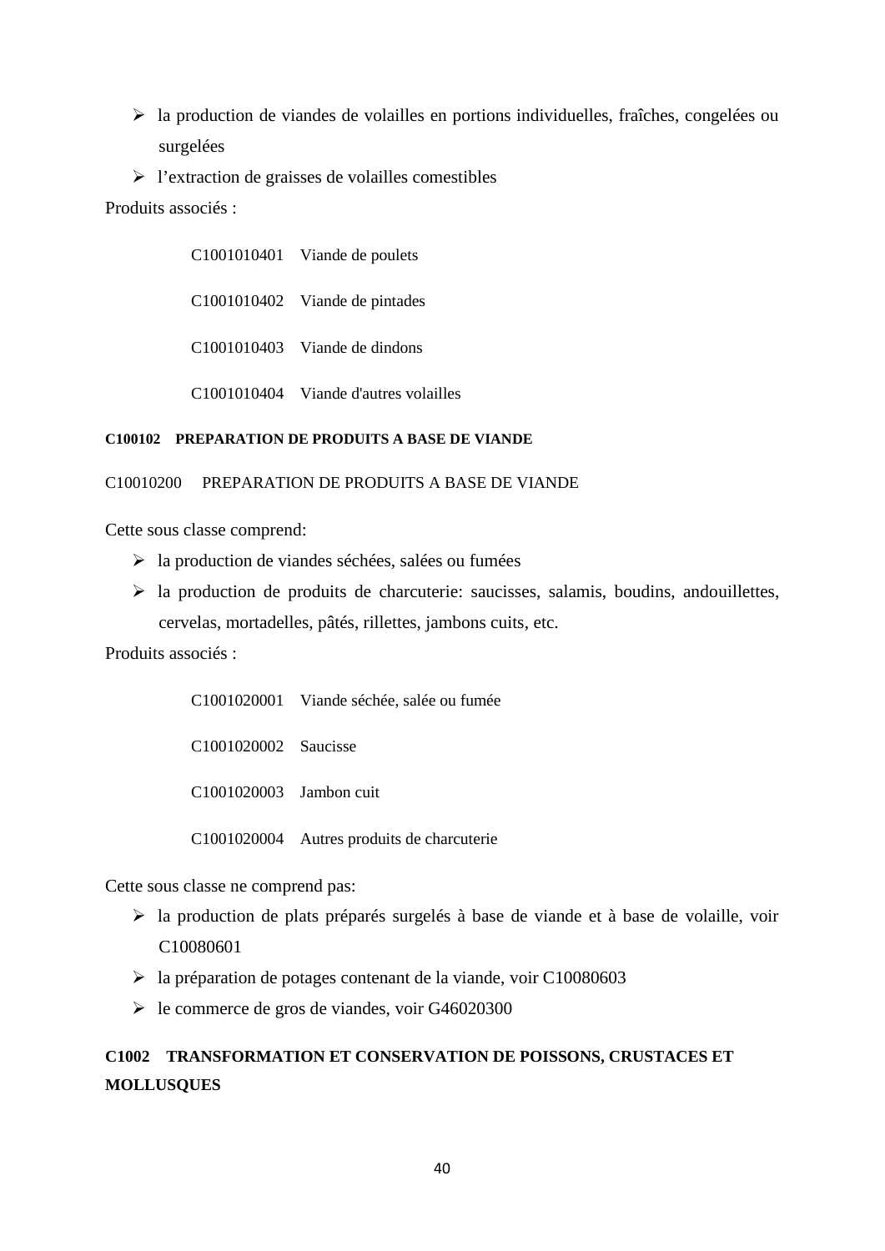- la production de viandes de volailles en portions individuelles, fraîches, congelées ou surgelées
- $\triangleright$  l'extraction de graisses de volailles comestibles

Produits associés :

| C1001010401 Viande de poulets         |
|---------------------------------------|
| C1001010402 Viande de pintades        |
| C1001010403 Viande de dindons         |
| C1001010404 Viande d'autres volailles |

## **C100102 PREPARATION DE PRODUITS A BASE DE VIANDE**

## C10010200 PREPARATION DE PRODUITS A BASE DE VIANDE

Cette sous classe comprend:

- $\triangleright$  la production de viandes séchées, salées ou fumées
- $\triangleright$  la production de produits de charcuterie: saucisses, salamis, boudins, andouillettes, cervelas, mortadelles, pâtés, rillettes, jambons cuits, etc.

Produits associés :

|                         | C1001020001 Viande séchée, salée ou fumée  |
|-------------------------|--------------------------------------------|
| C1001020002 Saucisse    |                                            |
| C1001020003 Jambon cuit |                                            |
|                         | C1001020004 Autres produits de charcuterie |

Cette sous classe ne comprend pas:

- la production de plats préparés surgelés à base de viande et à base de volaille, voir C10080601
- la préparation de potages contenant de la viande, voir C10080603
- $\blacktriangleright$  le commerce de gros de viandes, voir G46020300

# **C1002 TRANSFORMATION ET CONSERVATION DE POISSONS, CRUSTACES ET MOLLUSQUES**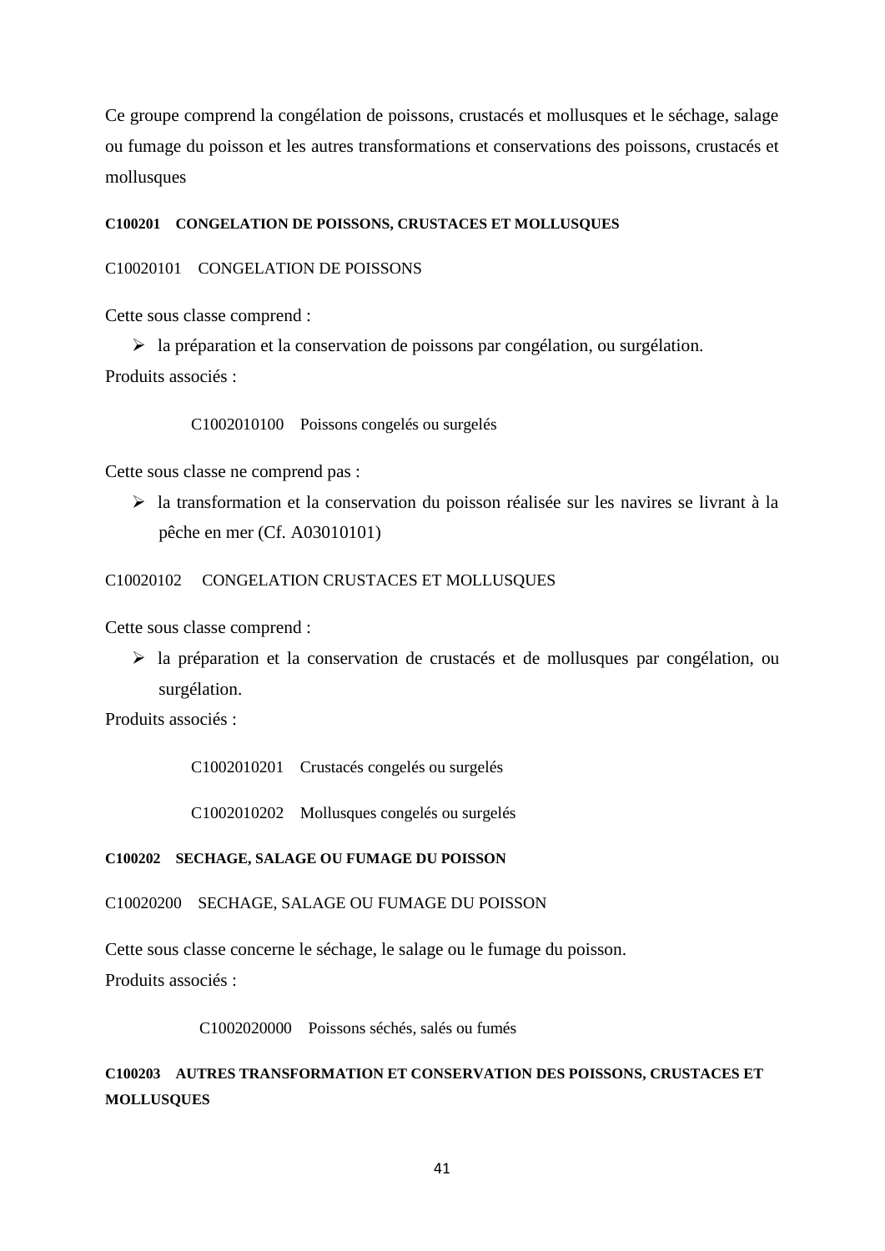Ce groupe comprend la congélation de poissons, crustacés et mollusques et le séchage, salage ou fumage du poisson et les autres transformations et conservations des poissons, crustacés et mollusques

## **C100201 CONGELATION DE POISSONS, CRUSTACES ET MOLLUSQUES**

C10020101 CONGELATION DE POISSONS

Cette sous classe comprend :

 $\triangleright$  la préparation et la conservation de poissons par congélation, ou surgélation. Produits associés :

C1002010100 Poissons congelés ou surgelés

Cette sous classe ne comprend pas :

 la transformation et la conservation du poisson réalisée sur les navires se livrant à la pêche en mer (Cf. A03010101)

C10020102 CONGELATION CRUSTACES ET MOLLUSQUES

Cette sous classe comprend :

 la préparation et la conservation de crustacés et de mollusques par congélation, ou surgélation.

Produits associés :

C1002010201 Crustacés congelés ou surgelés

C1002010202 Mollusques congelés ou surgelés

### **C100202 SECHAGE, SALAGE OU FUMAGE DU POISSON**

C10020200 SECHAGE, SALAGE OU FUMAGE DU POISSON

Cette sous classe concerne le séchage, le salage ou le fumage du poisson.

Produits associés :

C1002020000 Poissons séchés, salés ou fumés

**C100203 AUTRES TRANSFORMATION ET CONSERVATION DES POISSONS, CRUSTACES ET MOLLUSQUES**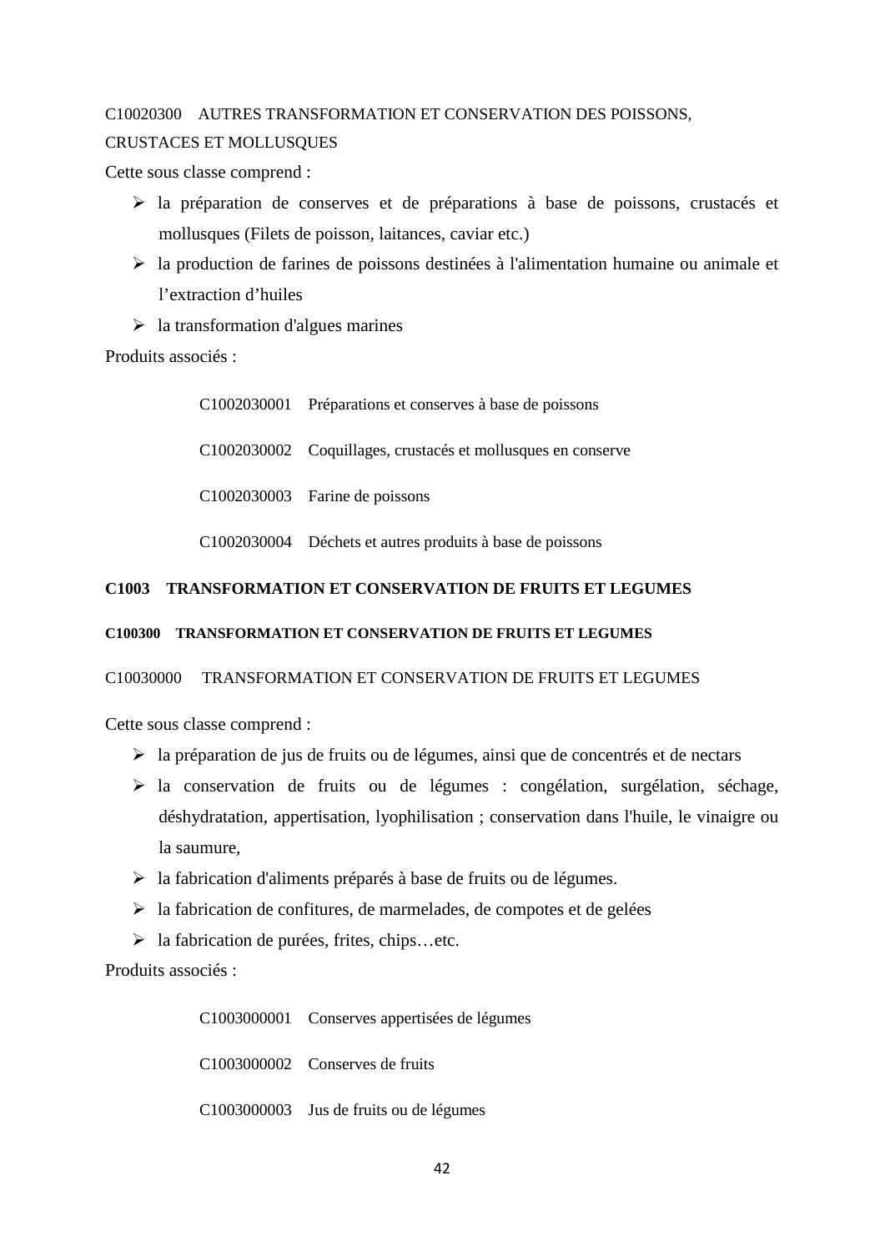# C10020300 AUTRES TRANSFORMATION ET CONSERVATION DES POISSONS, CRUSTACES ET MOLLUSQUES

Cette sous classe comprend :

- $\triangleright$  la préparation de conserves et de préparations à base de poissons, crustacés et mollusques (Filets de poisson, laitances, caviar etc.)
- $\triangleright$  la production de farines de poissons destinées à l'alimentation humaine ou animale et l'extraction d'huiles
- $\geq$  la transformation d'algues marines

Produits associés :

C1002030001 Préparations et conserves à base de poissons C1002030002 Coquillages, crustacés et mollusques en conserve C1002030003 Farine de poissons C1002030004 Déchets et autres produits à base de poissons

# **C1003 TRANSFORMATION ET CONSERVATION DE FRUITS ET LEGUMES**

## **C100300 TRANSFORMATION ET CONSERVATION DE FRUITS ET LEGUMES**

C10030000 TRANSFORMATION ET CONSERVATION DE FRUITS ET LEGUMES

Cette sous classe comprend :

- $\triangleright$  la préparation de jus de fruits ou de légumes, ainsi que de concentrés et de nectars
- la conservation de fruits ou de légumes : congélation, surgélation, séchage, déshydratation, appertisation, lyophilisation ; conservation dans l'huile, le vinaigre ou la saumure,
- $\triangleright$  la fabrication d'aliments préparés à base de fruits ou de légumes.
- $\triangleright$  la fabrication de confitures, de marmelades, de compotes et de gelées
- la fabrication de purées, frites, chips…etc.

Produits associés :

C1003000001 Conserves appertisées de légumes

C1003000002 Conserves de fruits

C1003000003 Jus de fruits ou de légumes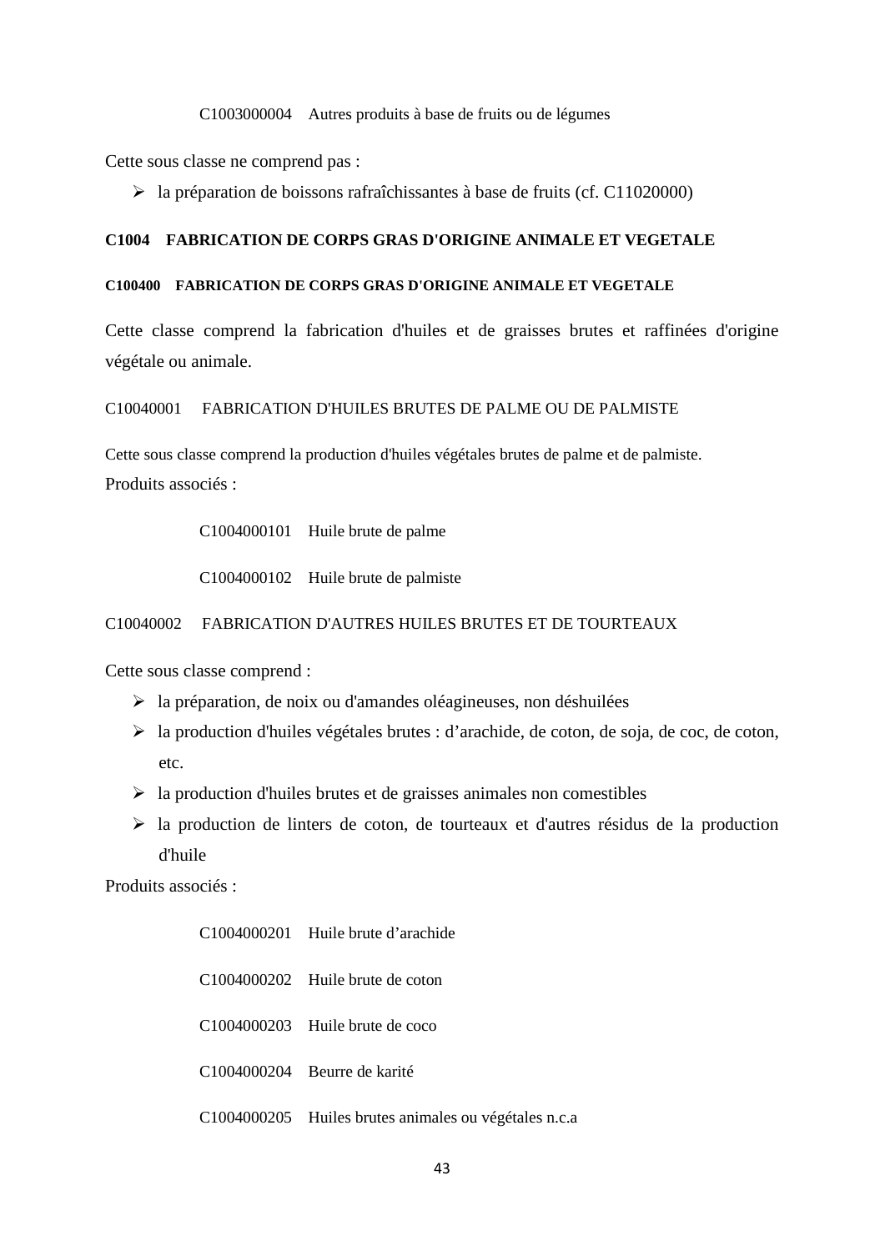#### C1003000004 Autres produits à base de fruits ou de légumes

Cette sous classe ne comprend pas :

 $\blacktriangleright$  la préparation de boissons rafraîchissantes à base de fruits (cf. C11020000)

## **C1004 FABRICATION DE CORPS GRAS D'ORIGINE ANIMALE ET VEGETALE**

## **C100400 FABRICATION DE CORPS GRAS D'ORIGINE ANIMALE ET VEGETALE**

Cette classe comprend la fabrication d'huiles et de graisses brutes et raffinées d'origine végétale ou animale.

#### C10040001 FABRICATION D'HUILES BRUTES DE PALME OU DE PALMISTE

Cette sous classe comprend la production d'huiles végétales brutes de palme et de palmiste. Produits associés :

C1004000101 Huile brute de palme

C1004000102 Huile brute de palmiste

### C10040002 FABRICATION D'AUTRES HUILES BRUTES ET DE TOURTEAUX

Cette sous classe comprend :

- $\triangleright$  la préparation, de noix ou d'amandes oléagineuses, non déshuilées
- la production d'huiles végétales brutes : d'arachide, de coton, de soja, de coc, de coton, etc.
- $\triangleright$  la production d'huiles brutes et de graisses animales non comestibles
- la production de linters de coton, de tourteaux et d'autres résidus de la production d'huile

| C1004000201 Huile brute d'arachide                    |
|-------------------------------------------------------|
| C1004000202 Huile brute de coton                      |
| C1004000203 Huile brute de coco                       |
| C1004000204 Beurre de karité                          |
| C1004000205 Huiles brutes animales ou végétales n.c.a |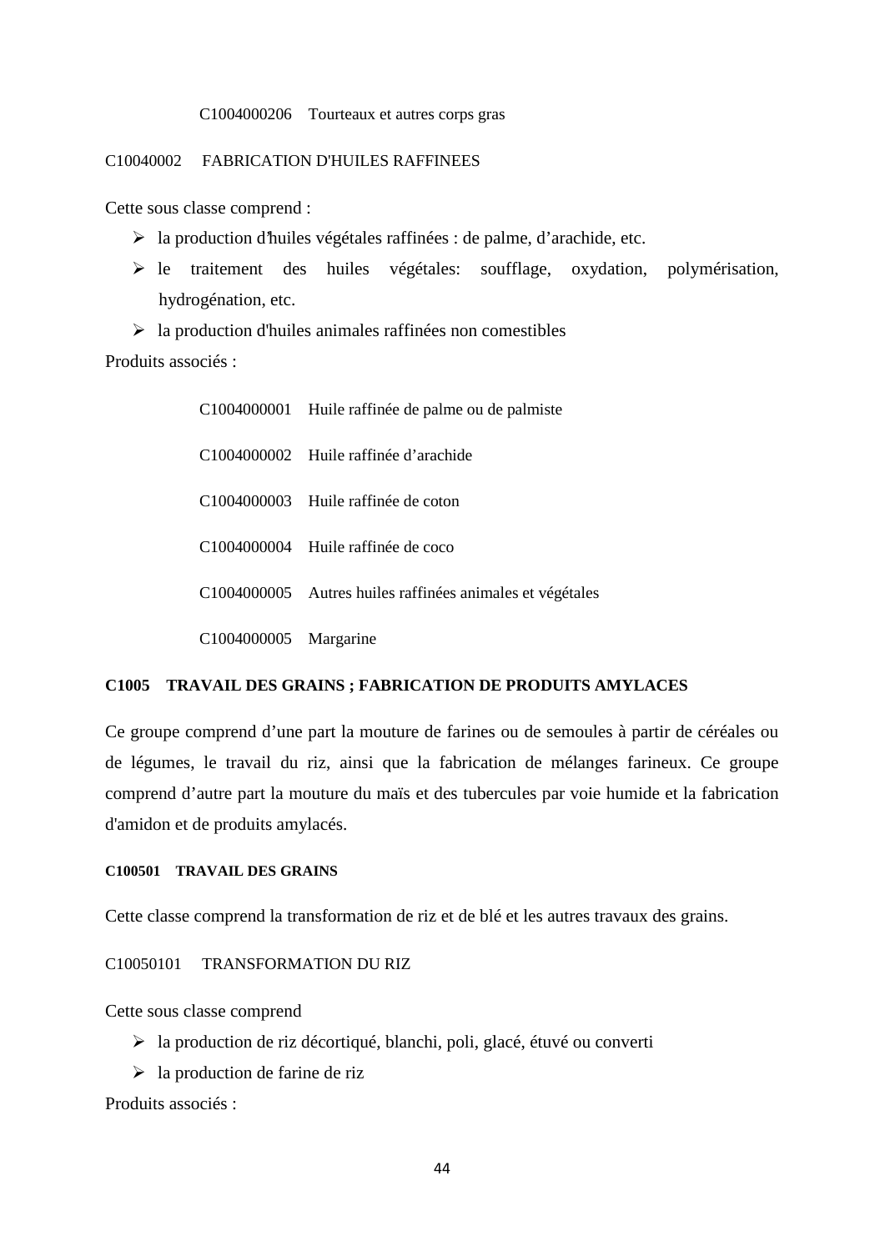#### C1004000206 Tourteaux et autres corps gras

### C10040002 FABRICATION D'HUILES RAFFINEES

Cette sous classe comprend :

- la production d'huiles végétales raffinées : de palme, d'arachide, etc.
- le traitement des huiles végétales: soufflage, oxydation, polymérisation, hydrogénation, etc.
- $\triangleright$  la production d'huiles animales raffinées non comestibles Produits associés :

|                       | C1004000001 Huile raffinée de palme ou de palmiste        |
|-----------------------|-----------------------------------------------------------|
|                       | C1004000002 Huile raffinée d'arachide                     |
|                       | C1004000003 Huile raffinée de coton                       |
|                       | C1004000004 Huile raffinée de coco                        |
|                       | C1004000005 Autres huiles raffinées animales et végétales |
| C1004000005 Margarine |                                                           |

### **C1005 TRAVAIL DES GRAINS ; FABRICATION DE PRODUITS AMYLACES**

Ce groupe comprend d'une part la mouture de farines ou de semoules à partir de céréales ou de légumes, le travail du riz, ainsi que la fabrication de mélanges farineux. Ce groupe comprend d'autre part la mouture du maïs et des tubercules par voie humide et la fabrication d'amidon et de produits amylacés.

#### **C100501 TRAVAIL DES GRAINS**

Cette classe comprend la transformation de riz et de blé et les autres travaux des grains.

### C10050101 TRANSFORMATION DU RIZ

Cette sous classe comprend

- la production de riz décortiqué, blanchi, poli, glacé, étuvé ou converti
- $\triangleright$  la production de farine de riz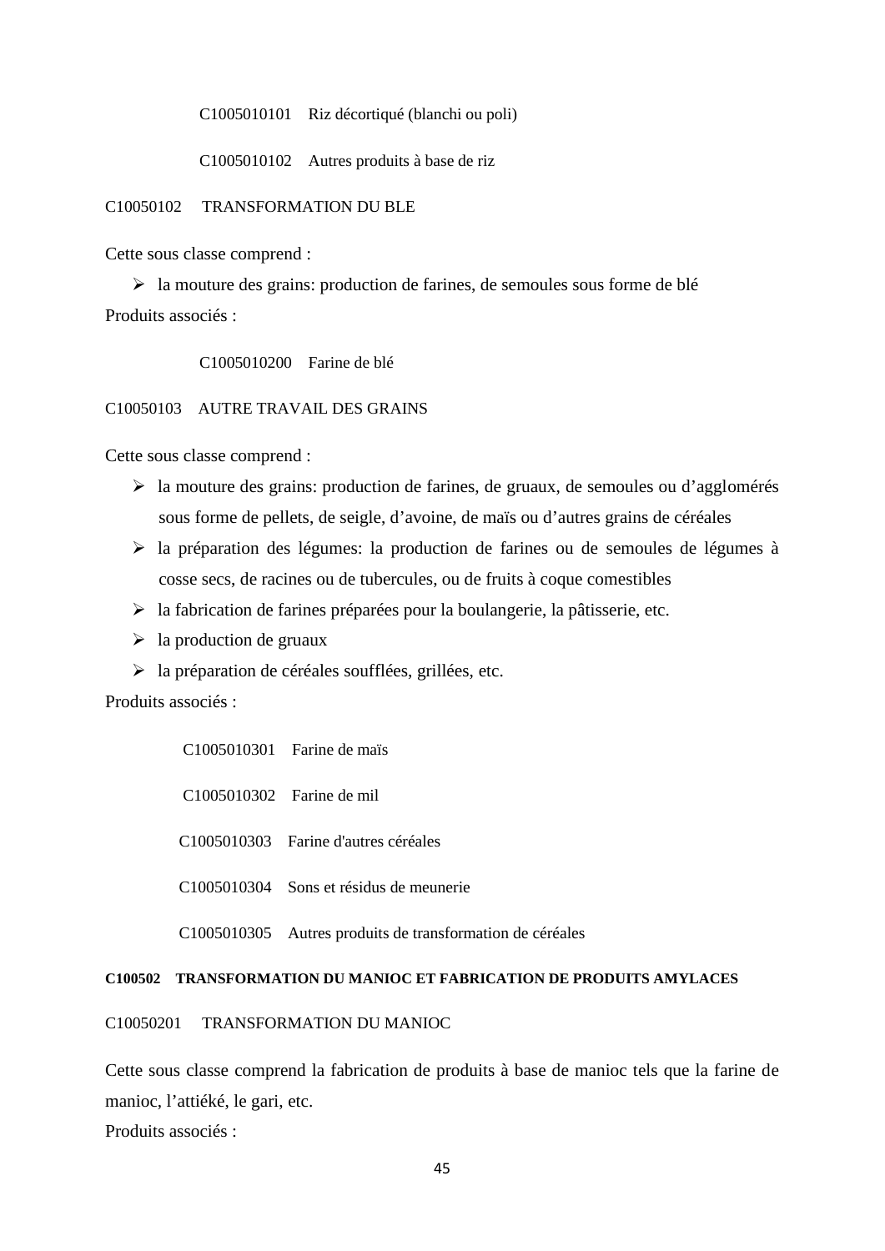C1005010101 Riz décortiqué (blanchi ou poli)

C1005010102 Autres produits à base de riz

## C10050102 TRANSFORMATION DU BLE

Cette sous classe comprend :

 $\triangleright$  la mouture des grains: production de farines, de semoules sous forme de blé Produits associés :

C1005010200 Farine de blé

#### C10050103 AUTRE TRAVAIL DES GRAINS

Cette sous classe comprend :

- $\triangleright$  la mouture des grains: production de farines, de gruaux, de semoules ou d'agglomérés sous forme de pellets, de seigle, d'avoine, de maïs ou d'autres grains de céréales
- la préparation des légumes: la production de farines ou de semoules de légumes à cosse secs, de racines ou de tubercules, ou de fruits à coque comestibles
- $\triangleright$  la fabrication de farines préparées pour la boulangerie, la pâtisserie, etc.
- $\triangleright$  la production de gruaux
- $\triangleright$  la préparation de céréales soufflées, grillées, etc.

Produits associés :

C1005010301 Farine de maïs C1005010302 Farine de mil C1005010303 Farine d'autres céréales C1005010304 Sons et résidus de meunerie C1005010305 Autres produits de transformation de céréales

#### **C100502 TRANSFORMATION DU MANIOC ET FABRICATION DE PRODUITS AMYLACES**

C10050201 TRANSFORMATION DU MANIOC

Cette sous classe comprend la fabrication de produits à base de manioc tels que la farine de manioc, l'attiéké, le gari, etc.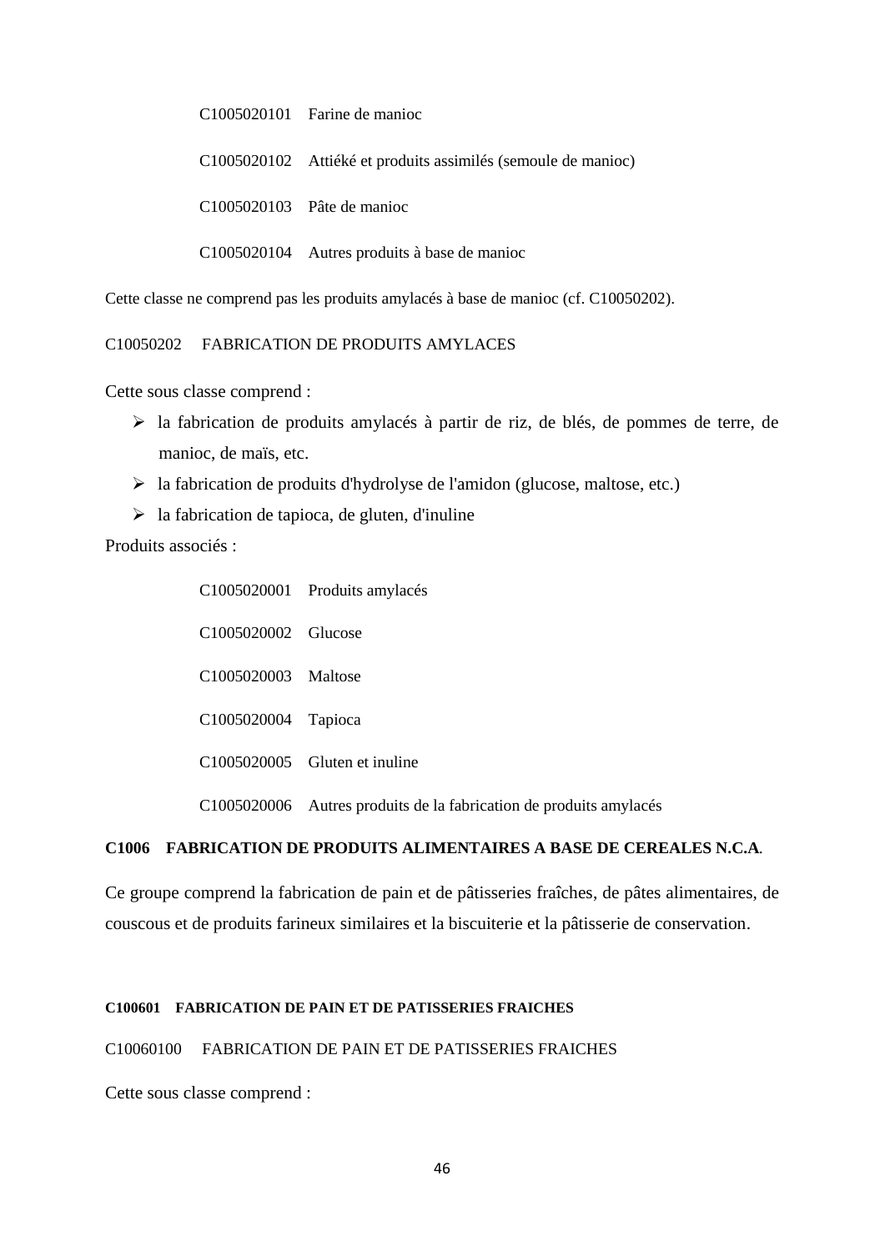C1005020101 Farine de manioc

C1005020102 Attiéké et produits assimilés (semoule de manioc)

C1005020103 Pâte de manioc

C1005020104 Autres produits à base de manioc

Cette classe ne comprend pas les produits amylacés à base de manioc (cf. C10050202).

C10050202 FABRICATION DE PRODUITS AMYLACES

Cette sous classe comprend :

- la fabrication de produits amylacés à partir de riz, de blés, de pommes de terre, de manioc, de maïs, etc.
- $\triangleright$  la fabrication de produits d'hydrolyse de l'amidon (glucose, maltose, etc.)
- $\triangleright$  la fabrication de tapioca, de gluten, d'inuline

Produits associés :

|                     | C1005020001 Produits amylacés                                      |
|---------------------|--------------------------------------------------------------------|
| C1005020002 Glucose |                                                                    |
| C1005020003 Maltose |                                                                    |
| C1005020004 Tapioca |                                                                    |
|                     | C1005020005 Gluten et inuline                                      |
|                     | C1005020006 Autres produits de la fabrication de produits amylacés |

### **C1006 FABRICATION DE PRODUITS ALIMENTAIRES A BASE DE CEREALES N.C.A**.

Ce groupe comprend la fabrication de pain et de pâtisseries fraîches, de pâtes alimentaires, de couscous et de produits farineux similaires et la biscuiterie et la pâtisserie de conservation.

## **C100601 FABRICATION DE PAIN ET DE PATISSERIES FRAICHES**

# C10060100 FABRICATION DE PAIN ET DE PATISSERIES FRAICHES

Cette sous classe comprend :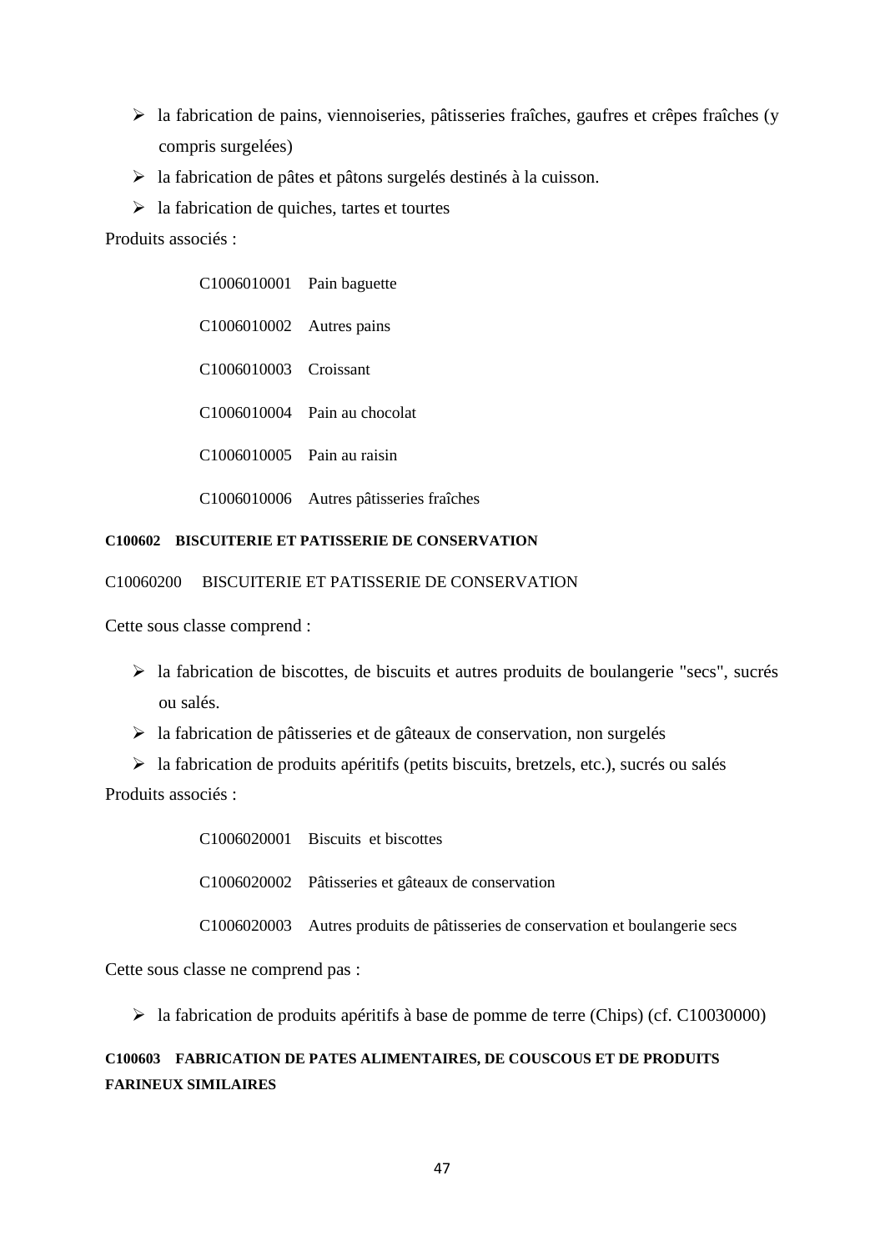- $\triangleright$  la fabrication de pains, viennoiseries, pâtisseries fraîches, gaufres et crêpes fraîches (y compris surgelées)
- la fabrication de pâtes et pâtons surgelés destinés à la cuisson.
- $\triangleright$  la fabrication de quiches, tartes et tourtes

Produits associés :

| C1006010001 Pain baguette  |                                         |
|----------------------------|-----------------------------------------|
| C1006010002 Autres pains   |                                         |
| C1006010003 Croissant      |                                         |
|                            | C1006010004 Pain au chocolat            |
| C1006010005 Pain au raisin |                                         |
|                            | C1006010006 Autres pâtisseries fraîches |

## **C100602 BISCUITERIE ET PATISSERIE DE CONSERVATION**

C10060200 BISCUITERIE ET PATISSERIE DE CONSERVATION

Cette sous classe comprend :

- la fabrication de biscottes, de biscuits et autres produits de boulangerie "secs", sucrés ou salés.
- $\geq$  la fabrication de pâtisseries et de gâteaux de conservation, non surgelés

 $\triangleright$  la fabrication de produits apéritifs (petits biscuits, bretzels, etc.), sucrés ou salés Produits associés :

| C1006020001 Biscuits et biscottes                                              |
|--------------------------------------------------------------------------------|
| C1006020002 Pâtisseries et gâteaux de conservation                             |
| C1006020003 Autres produits de pâtisseries de conservation et boulangerie secs |

Cette sous classe ne comprend pas :

 $\blacktriangleright$  la fabrication de produits apéritifs à base de pomme de terre (Chips) (cf. C10030000)

# **C100603 FABRICATION DE PATES ALIMENTAIRES, DE COUSCOUS ET DE PRODUITS FARINEUX SIMILAIRES**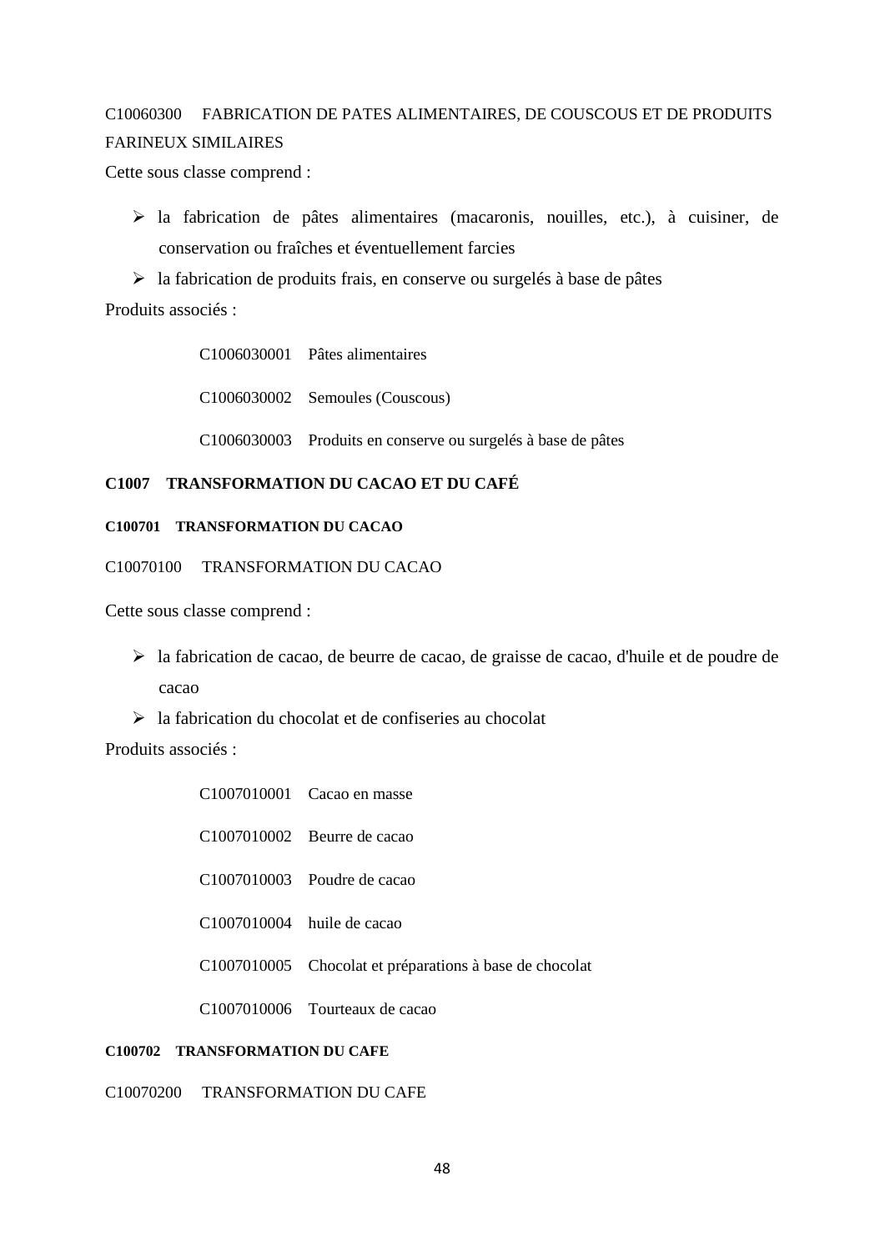# C10060300 FABRICATION DE PATES ALIMENTAIRES, DE COUSCOUS ET DE PRODUITS FARINEUX SIMILAIRES

Cette sous classe comprend :

 la fabrication de pâtes alimentaires (macaronis, nouilles, etc.), à cuisiner, de conservation ou fraîches et éventuellement farcies

 $\triangleright$  la fabrication de produits frais, en conserve ou surgelés à base de pâtes Produits associés :

> C1006030001 Pâtes alimentaires C1006030002 Semoules (Couscous)

C1006030003 Produits en conserve ou surgelés à base de pâtes

# **C1007 TRANSFORMATION DU CACAO ET DU CAFÉ**

## **C100701 TRANSFORMATION DU CACAO**

C10070100 TRANSFORMATION DU CACAO

Cette sous classe comprend :

- la fabrication de cacao, de beurre de cacao, de graisse de cacao, d'huile et de poudre de cacao
- $\geq$  la fabrication du chocolat et de confiseries au chocolat

Produits associés :

| C1007010001 Cacao en masse                              |
|---------------------------------------------------------|
| $C1007010002$ Beurre de cacao                           |
| $C1007010003$ Poudre de cacao                           |
| $C1007010004$ huile de cacao                            |
| C1007010005 Chocolat et préparations à base de chocolat |
| C1007010006 Tourteaux de cacao                          |
|                                                         |

# **C100702 TRANSFORMATION DU CAFE**

C10070200 TRANSFORMATION DU CAFE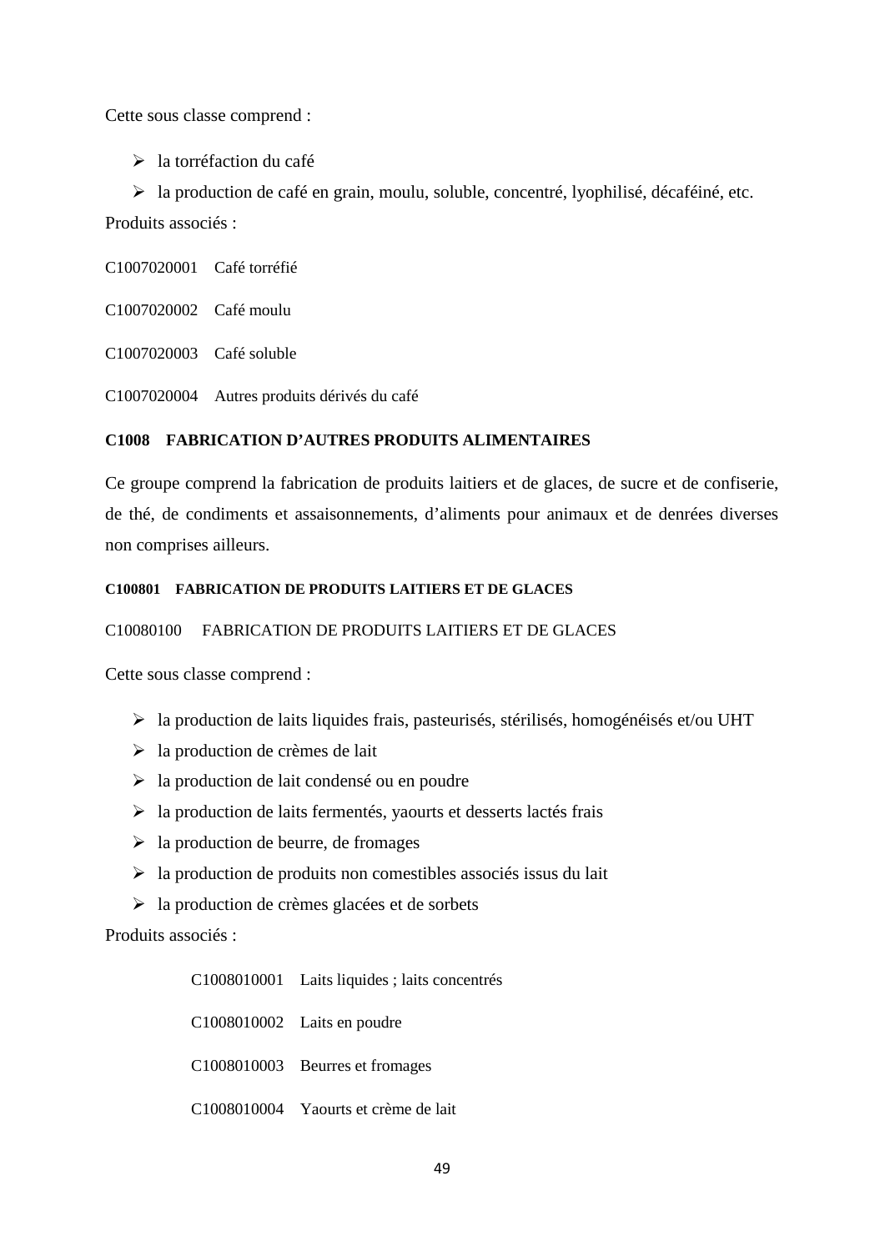Cette sous classe comprend :

> la torréfaction du café

 la production de café en grain, moulu, soluble, concentré, lyophilisé, décaféiné, etc. Produits associés :

C1007020001 Café torréfié

C1007020002 Café moulu

C1007020003 Café soluble

C1007020004 Autres produits dérivés du café

# **C1008 FABRICATION D'AUTRES PRODUITS ALIMENTAIRES**

Ce groupe comprend la fabrication de produits laitiers et de glaces, de sucre et de confiserie, de thé, de condiments et assaisonnements, d'aliments pour animaux et de denrées diverses non comprises ailleurs.

# **C100801 FABRICATION DE PRODUITS LAITIERS ET DE GLACES**

# C10080100 FABRICATION DE PRODUITS LAITIERS ET DE GLACES

Cette sous classe comprend :

- la production de laits liquides frais, pasteurisés, stérilisés, homogénéisés et/ou UHT
- $\geq$  la production de crèmes de lait
- $\geq$  la production de lait condensé ou en poudre
- $\triangleright$  la production de laits fermentés, yaourts et desserts lactés frais
- $\triangleright$  la production de beurre, de fromages
- $\triangleright$  la production de produits non comestibles associés issus du lait
- $\triangleright$  la production de crèmes glacées et de sorbets

Produits associés :

C1008010001 Laits liquides ; laits concentrés C1008010002 Laits en poudre C1008010003 Beurres et fromages C1008010004 Yaourts et crème de lait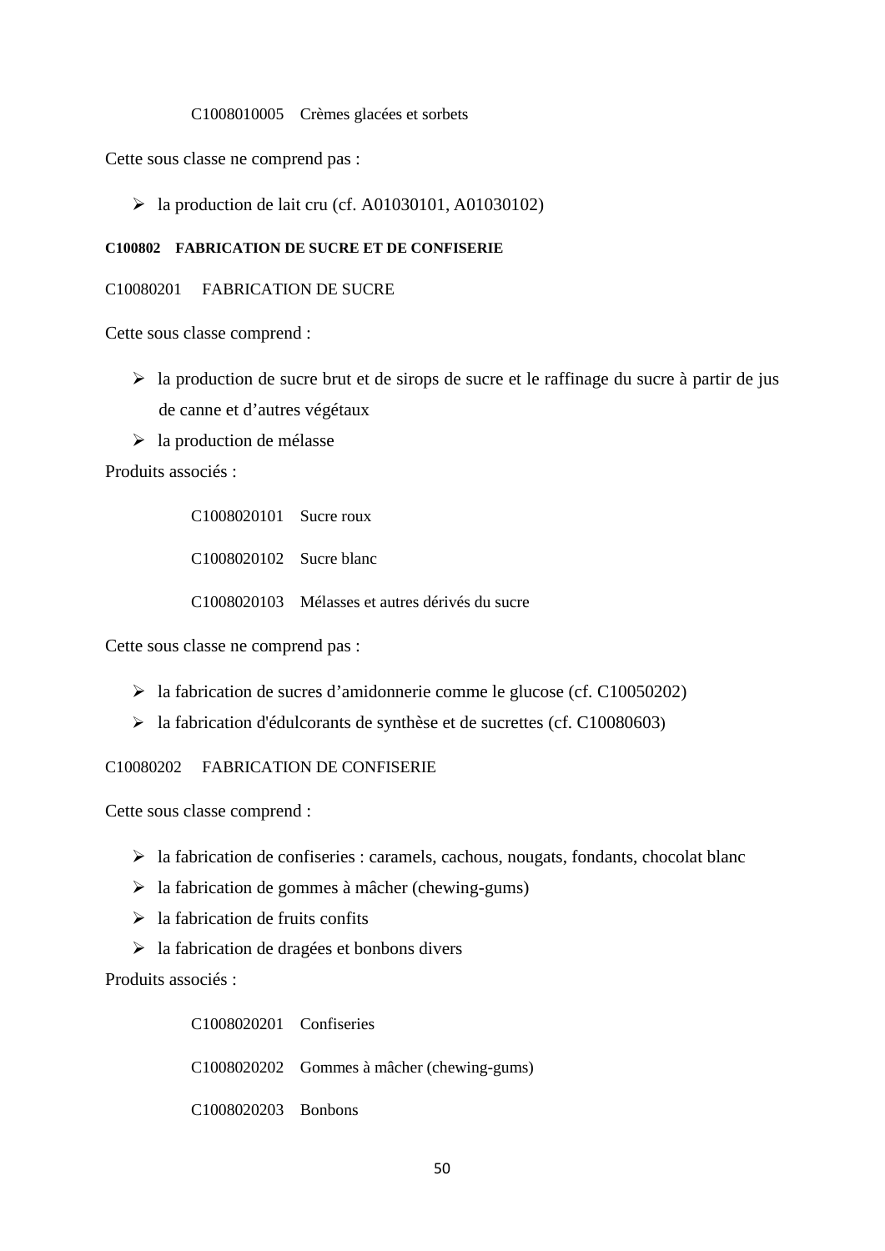#### C1008010005 Crèmes glacées et sorbets

Cette sous classe ne comprend pas :

 $\blacktriangleright$  la production de lait cru (cf. A01030101, A01030102)

### **C100802 FABRICATION DE SUCRE ET DE CONFISERIE**

#### C10080201 FABRICATION DE SUCRE

Cette sous classe comprend :

- $\triangleright$  la production de sucre brut et de sirops de sucre et le raffinage du sucre à partir de jus de canne et d'autres végétaux
- $\triangleright$  la production de mélasse

Produits associés :

C1008020101 Sucre roux C1008020102 Sucre blanc C1008020103 Mélasses et autres dérivés du sucre

Cette sous classe ne comprend pas :

- la fabrication de sucres d'amidonnerie comme le glucose (cf. C10050202)
- $\blacktriangleright$  la fabrication d'édulcorants de synthèse et de sucrettes (cf. C10080603)

C10080202 FABRICATION DE CONFISERIE

Cette sous classe comprend :

- $\triangleright$  la fabrication de confiseries : caramels, cachous, nougats, fondants, chocolat blanc
- $\geq$  la fabrication de gommes à mâcher (chewing-gums)
- $\triangleright$  la fabrication de fruits confits
- $\triangleright$  la fabrication de dragées et bonbons divers

Produits associés :

C1008020201 Confiseries C1008020202 Gommes à mâcher (chewing-gums) C1008020203 Bonbons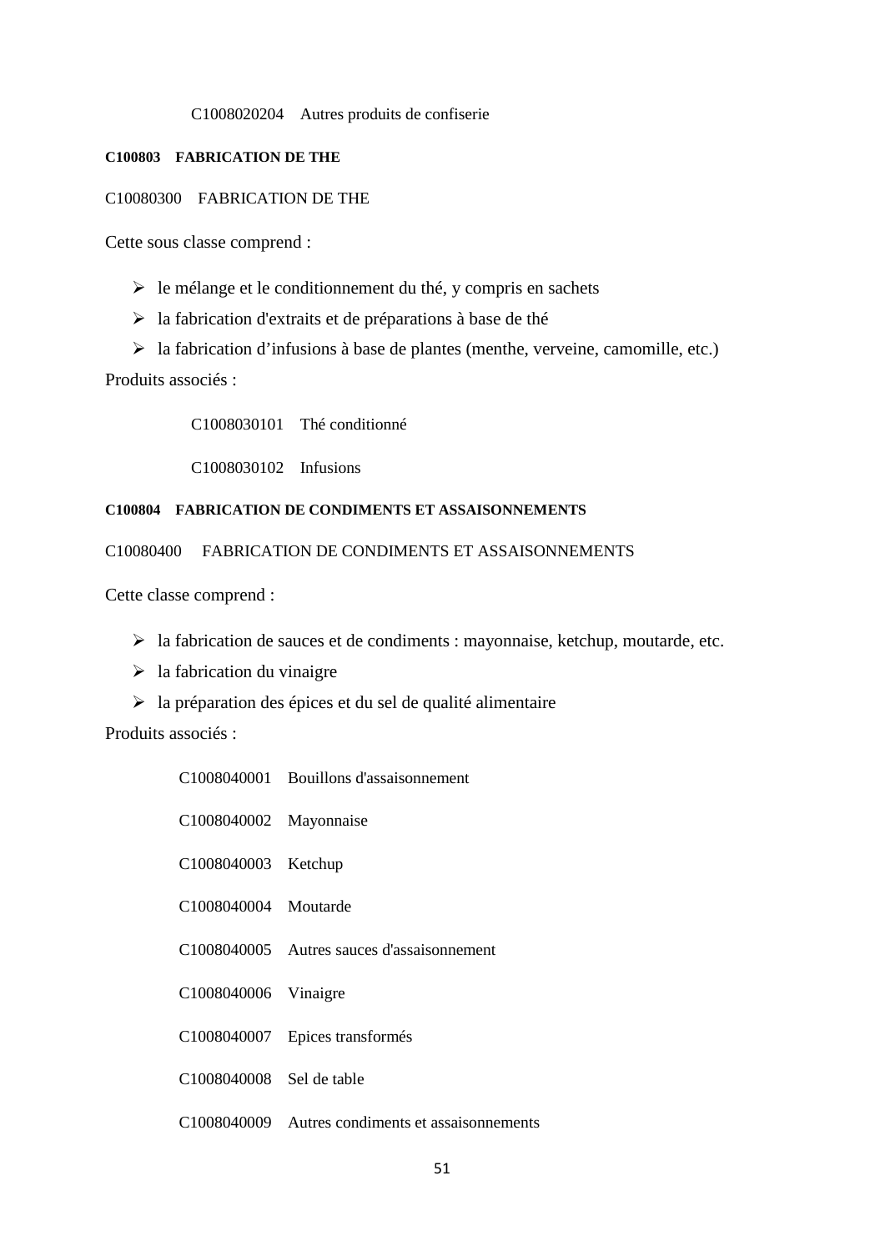#### C1008020204 Autres produits de confiserie

### **C100803 FABRICATION DE THE**

## C10080300 FABRICATION DE THE

Cette sous classe comprend :

- $\triangleright$  le mélange et le conditionnement du thé, y compris en sachets
- $\triangleright$  la fabrication d'extraits et de préparations à base de thé
- $\triangleright$  la fabrication d'infusions à base de plantes (menthe, verveine, camomille, etc.) Produits associés :

C1008030101 Thé conditionné

C1008030102 Infusions

### **C100804 FABRICATION DE CONDIMENTS ET ASSAISONNEMENTS**

C10080400 FABRICATION DE CONDIMENTS ET ASSAISONNEMENTS

Cette classe comprend :

- $\triangleright$  la fabrication de sauces et de condiments : mayonnaise, ketchup, moutarde, etc.
- $\triangleright$  la fabrication du vinaigre
- $\triangleright$  la préparation des épices et du sel de qualité alimentaire

|                          | C1008040001 Bouillons d'assaisonnement           |
|--------------------------|--------------------------------------------------|
| C1008040002 Mayonnaise   |                                                  |
| C1008040003 Ketchup      |                                                  |
| C1008040004 Moutarde     |                                                  |
|                          | C1008040005 Autres sauces d'assaisonnement       |
| C1008040006 Vinaigre     |                                                  |
|                          | C1008040007 Epices transformés                   |
| C1008040008 Sel de table |                                                  |
|                          | C1008040009 Autres condiments et assaisonnements |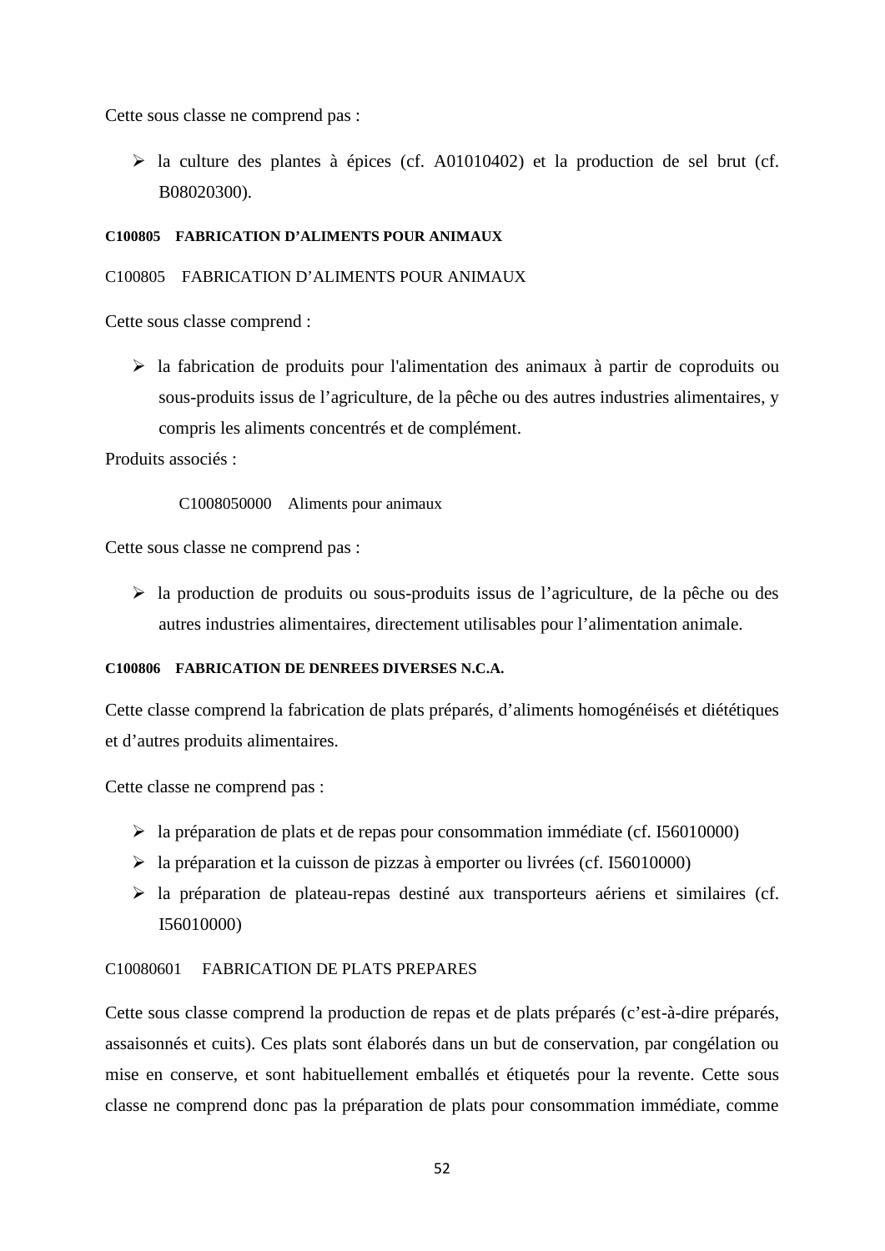Cette sous classe ne comprend pas :

 $\triangleright$  la culture des plantes à épices (cf. A01010402) et la production de sel brut (cf. B08020300).

### **C100805 FABRICATION D'ALIMENTS POUR ANIMAUX**

## C100805 FABRICATION D'ALIMENTS POUR ANIMAUX

Cette sous classe comprend :

 $\triangleright$  la fabrication de produits pour l'alimentation des animaux à partir de coproduits ou sous-produits issus de l'agriculture, de la pêche ou des autres industries alimentaires, y compris les aliments concentrés et de complément.

Produits associés :

C1008050000 Aliments pour animaux

Cette sous classe ne comprend pas :

 $\triangleright$  la production de produits ou sous-produits issus de l'agriculture, de la pêche ou des autres industries alimentaires, directement utilisables pour l'alimentation animale.

### **C100806 FABRICATION DE DENREES DIVERSES N.C.A.**

Cette classe comprend la fabrication de plats préparés, d'aliments homogénéisés et diététiques et d'autres produits alimentaires.

Cette classe ne comprend pas :

- $\blacktriangleright$  la préparation de plats et de repas pour consommation immédiate (cf. I56010000)
- $\geq$  la préparation et la cuisson de pizzas à emporter ou livrées (cf. 156010000)
- $\triangleright$  la préparation de plateau-repas destiné aux transporteurs aériens et similaires (cf. I56010000)

# C10080601 FABRICATION DE PLATS PREPARES

Cette sous classe comprend la production de repas et de plats préparés (c'est-à-dire préparés, assaisonnés et cuits). Ces plats sont élaborés dans un but de conservation, par congélation ou mise en conserve, et sont habituellement emballés et étiquetés pour la revente. Cette sous classe ne comprend donc pas la préparation de plats pour consommation immédiate, comme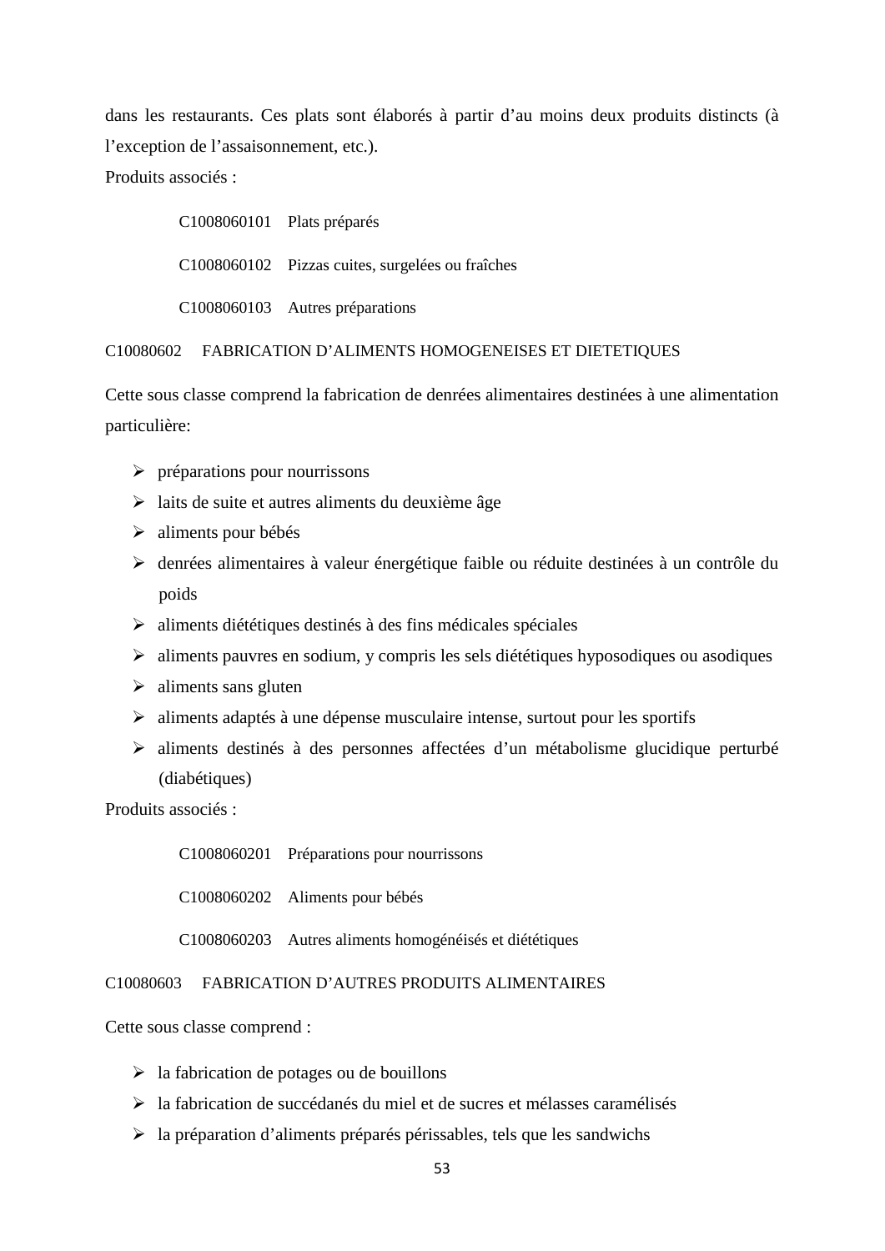dans les restaurants. Ces plats sont élaborés à partir d'au moins deux produits distincts (à l'exception de l'assaisonnement, etc.). Produits associés :

> C1008060101 Plats préparés C1008060102 Pizzas cuites, surgelées ou fraîches C1008060103 Autres préparations

C10080602 FABRICATION D'ALIMENTS HOMOGENEISES ET DIETETIQUES

Cette sous classe comprend la fabrication de denrées alimentaires destinées à une alimentation particulière:

- $\triangleright$  préparations pour nourrissons
- $\triangleright$  laits de suite et autres aliments du deuxième âge
- > aliments pour bébés
- denrées alimentaires à valeur énergétique faible ou réduite destinées à un contrôle du poids
- $\triangleright$  aliments diététiques destinés à des fins médicales spéciales
- aliments pauvres en sodium, y compris les sels diététiques hyposodiques ou asodiques
- $\triangleright$  aliments sans gluten
- $\triangleright$  aliments adaptés à une dépense musculaire intense, surtout pour les sportifs
- aliments destinés à des personnes affectées d'un métabolisme glucidique perturbé (diabétiques)

Produits associés :

C1008060201 Préparations pour nourrissons

C1008060202 Aliments pour bébés

C1008060203 Autres aliments homogénéisés et diététiques

## C10080603 FABRICATION D'AUTRES PRODUITS ALIMENTAIRES

Cette sous classe comprend :

- $\geq$  la fabrication de potages ou de bouillons
- la fabrication de succédanés du miel et de sucres et mélasses caramélisés
- $\triangleright$  la préparation d'aliments préparés périssables, tels que les sandwichs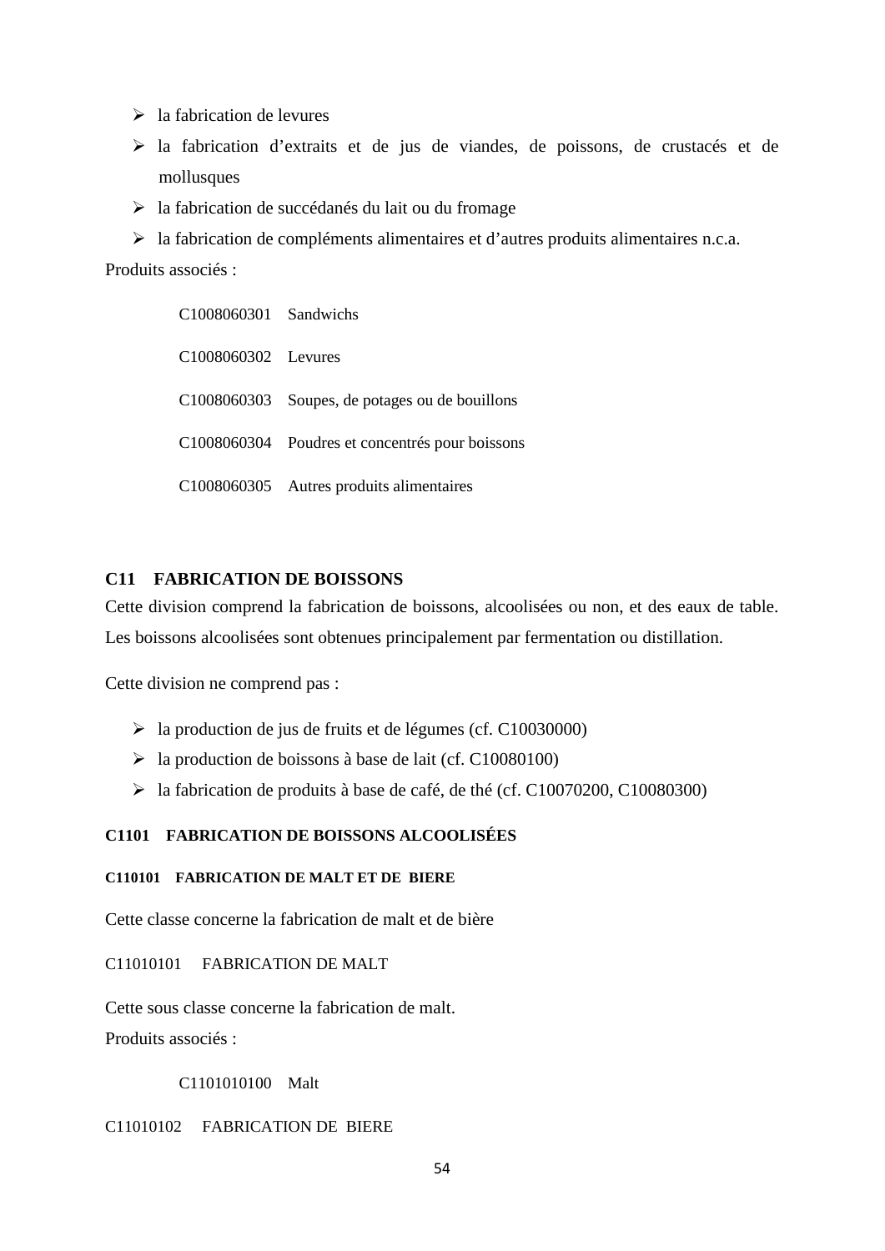- $\triangleright$  la fabrication de levures
- la fabrication d'extraits et de jus de viandes, de poissons, de crustacés et de mollusques
- $\triangleright$  la fabrication de succédanés du lait ou du fromage
- la fabrication de compléments alimentaires et d'autres produits alimentaires n.c.a.

Produits associés :

| $C1008060301$ Sandwichs |                                                 |
|-------------------------|-------------------------------------------------|
| C1008060302 Levures     |                                                 |
|                         | C1008060303 Soupes, de potages ou de bouillons  |
|                         | C1008060304 Poudres et concentrés pour boissons |
|                         | C1008060305 Autres produits alimentaires        |

# **C11 FABRICATION DE BOISSONS**

Cette division comprend la fabrication de boissons, alcoolisées ou non, et des eaux de table. Les boissons alcoolisées sont obtenues principalement par fermentation ou distillation.

Cette division ne comprend pas :

- la production de jus de fruits et de légumes (cf. C10030000)
- $\geq$  la production de boissons à base de lait (cf. C10080100)
- la fabrication de produits à base de café, de thé (cf. C10070200, C10080300)

## **C1101 FABRICATION DE BOISSONS ALCOOLISÉES**

### **C110101 FABRICATION DE MALT ET DE BIERE**

Cette classe concerne la fabrication de malt et de bière

C11010101 FABRICATION DE MALT

Cette sous classe concerne la fabrication de malt.

Produits associés :

C1101010100 Malt

## C11010102 FABRICATION DE BIERE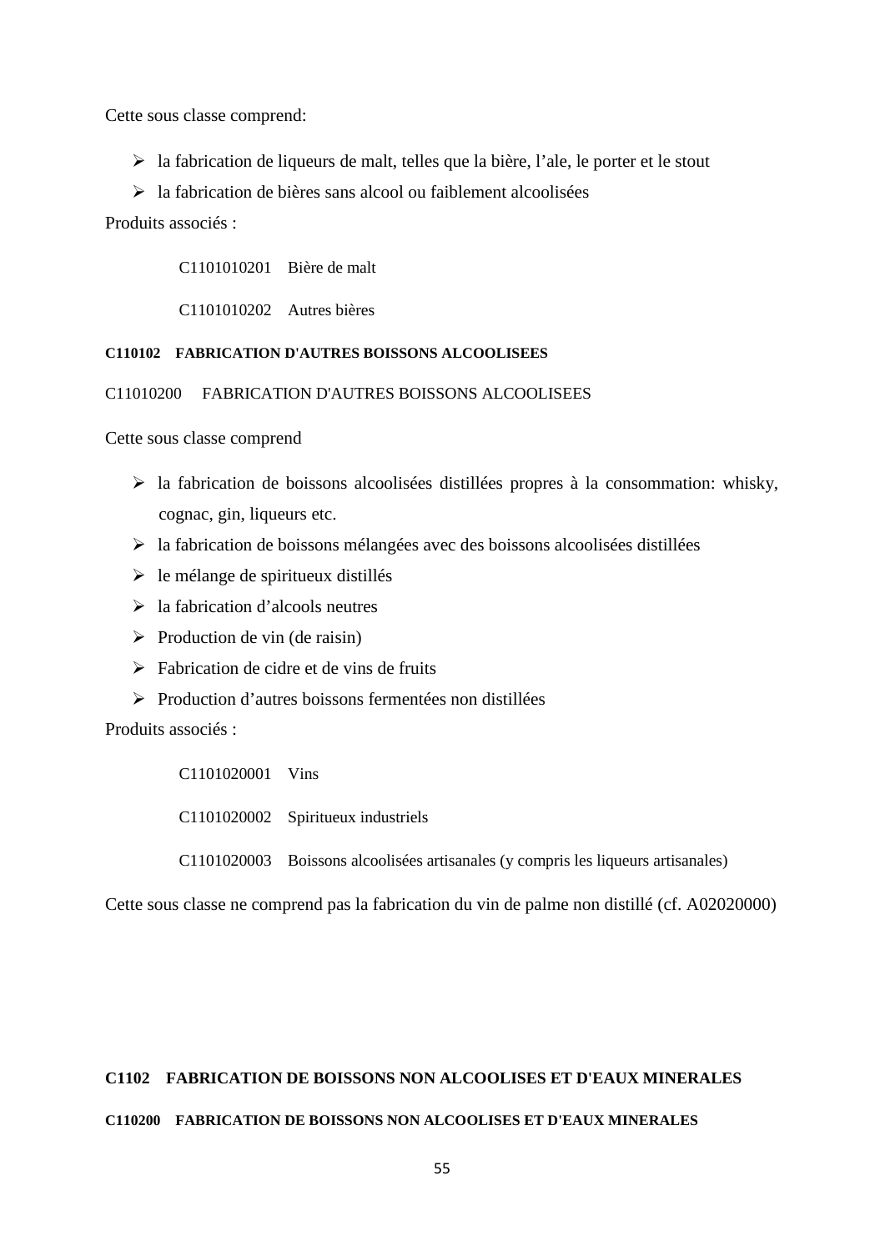Cette sous classe comprend:

- $\triangleright$  la fabrication de liqueurs de malt, telles que la bière, l'ale, le porter et le stout
- $\triangleright$  la fabrication de bières sans alcool ou faiblement alcoolisées

Produits associés :

C1101010201 Bière de malt

C1101010202 Autres bières

# **C110102 FABRICATION D'AUTRES BOISSONS ALCOOLISEES**

C11010200 FABRICATION D'AUTRES BOISSONS ALCOOLISEES

Cette sous classe comprend

- $\triangleright$  la fabrication de boissons alcoolisées distillées propres à la consommation: whisky, cognac, gin, liqueurs etc.
- $\triangleright$  la fabrication de boissons mélangées avec des boissons alcoolisées distillées
- $\triangleright$  le mélange de spiritueux distillés
- $\geq$ la fabrication d'alcools neutres
- $\triangleright$  Production de vin (de raisin)
- $\triangleright$  Fabrication de cidre et de vins de fruits
- $\triangleright$  Production d'autres boissons fermentées non distillées

Produits associés :

C1101020001 Vins

C1101020002 Spiritueux industriels

C1101020003 Boissons alcoolisées artisanales (y compris les liqueurs artisanales)

Cette sous classe ne comprend pas la fabrication du vin de palme non distillé (cf. A02020000)

## **C1102 FABRICATION DE BOISSONS NON ALCOOLISES ET D'EAUX MINERALES**

#### **C110200 FABRICATION DE BOISSONS NON ALCOOLISES ET D'EAUX MINERALES**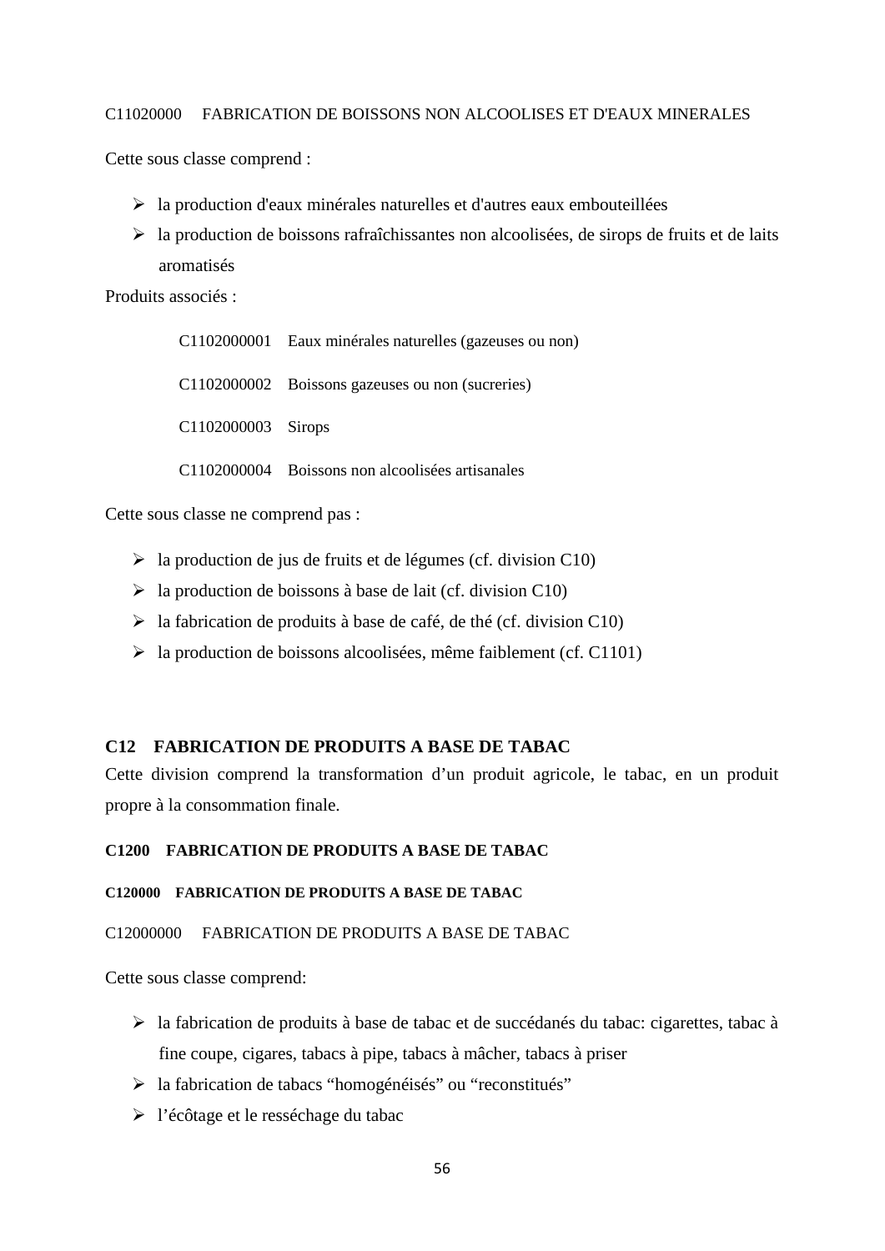### C11020000 FABRICATION DE BOISSONS NON ALCOOLISES ET D'EAUX MINERALES

Cette sous classe comprend :

- la production d'eaux minérales naturelles et d'autres eaux embouteillées
- $\triangleright$  la production de boissons rafraîchissantes non alcoolisées, de sirops de fruits et de laits aromatisés

Produits associés :

C1102000001 Eaux minérales naturelles (gazeuses ou non) C1102000002 Boissons gazeuses ou non (sucreries) C1102000003 Sirops C1102000004 Boissons non alcoolisées artisanales

Cette sous classe ne comprend pas :

- $\triangleright$  la production de jus de fruits et de légumes (cf. division C10)
- $\triangleright$  la production de boissons à base de lait (cf. division C10)
- $\triangleright$  la fabrication de produits à base de café, de thé (cf. division C10)
- $\triangleright$  la production de boissons alcoolisées, même faiblement (cf. C1101)

## **C12 FABRICATION DE PRODUITS A BASE DE TABAC**

Cette division comprend la transformation d'un produit agricole, le tabac, en un produit propre à la consommation finale.

#### **C1200 FABRICATION DE PRODUITS A BASE DE TABAC**

#### **C120000 FABRICATION DE PRODUITS A BASE DE TABAC**

### C12000000 FABRICATION DE PRODUITS A BASE DE TABAC

Cette sous classe comprend:

- la fabrication de produits à base de tabac et de succédanés du tabac: cigarettes, tabac à fine coupe, cigares, tabacs à pipe, tabacs à mâcher, tabacs à priser
- la fabrication de tabacs "homogénéisés" ou "reconstitués"
- l'écôtage et le resséchage du tabac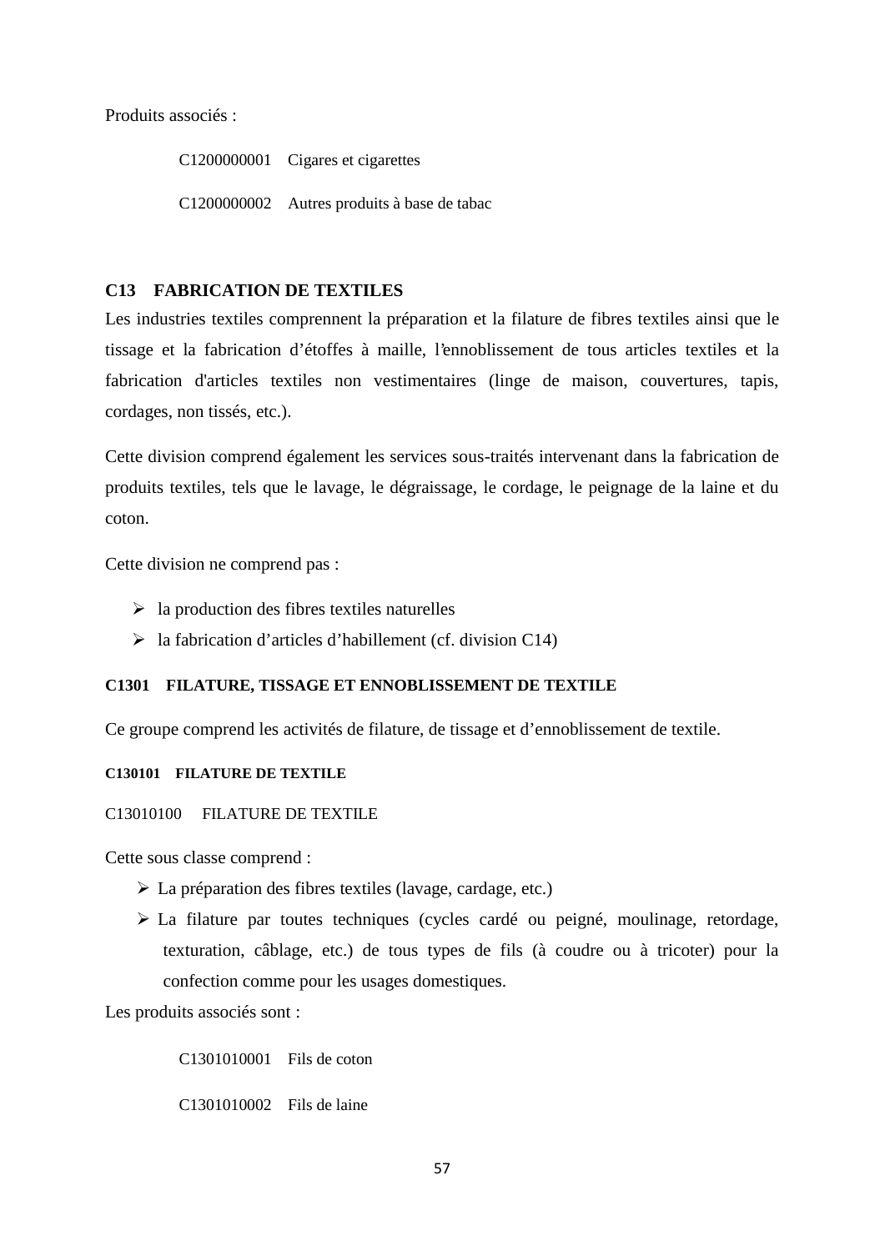Produits associés :

C1200000001 Cigares et cigarettes C1200000002 Autres produits à base de tabac

# **C13 FABRICATION DE TEXTILES**

Les industries textiles comprennent la préparation et la filature de fibres textiles ainsi que le tissage et la fabrication d'étoffes à maille, l'ennoblissement de tous articles textiles et la fabrication d'articles textiles non vestimentaires (linge de maison, couvertures, tapis, cordages, non tissés, etc.).

Cette division comprend également les services sous-traités intervenant dans la fabrication de produits textiles, tels que le lavage, le dégraissage, le cordage, le peignage de la laine et du coton.

Cette division ne comprend pas :

- $\triangleright$  la production des fibres textiles naturelles
- $\triangleright$  la fabrication d'articles d'habillement (cf. division C14)

# **C1301 FILATURE, TISSAGE ET ENNOBLISSEMENT DE TEXTILE**

Ce groupe comprend les activités de filature, de tissage et d'ennoblissement de textile.

# **C130101 FILATURE DE TEXTILE**

C13010100 FILATURE DE TEXTILE

Cette sous classe comprend :

- La préparation des fibres textiles (lavage, cardage, etc.)
- La filature par toutes techniques (cycles cardé ou peigné, moulinage, retordage, texturation, câblage, etc.) de tous types de fils (à coudre ou à tricoter) pour la confection comme pour les usages domestiques.

Les produits associés sont :

C1301010001 Fils de coton C1301010002 Fils de laine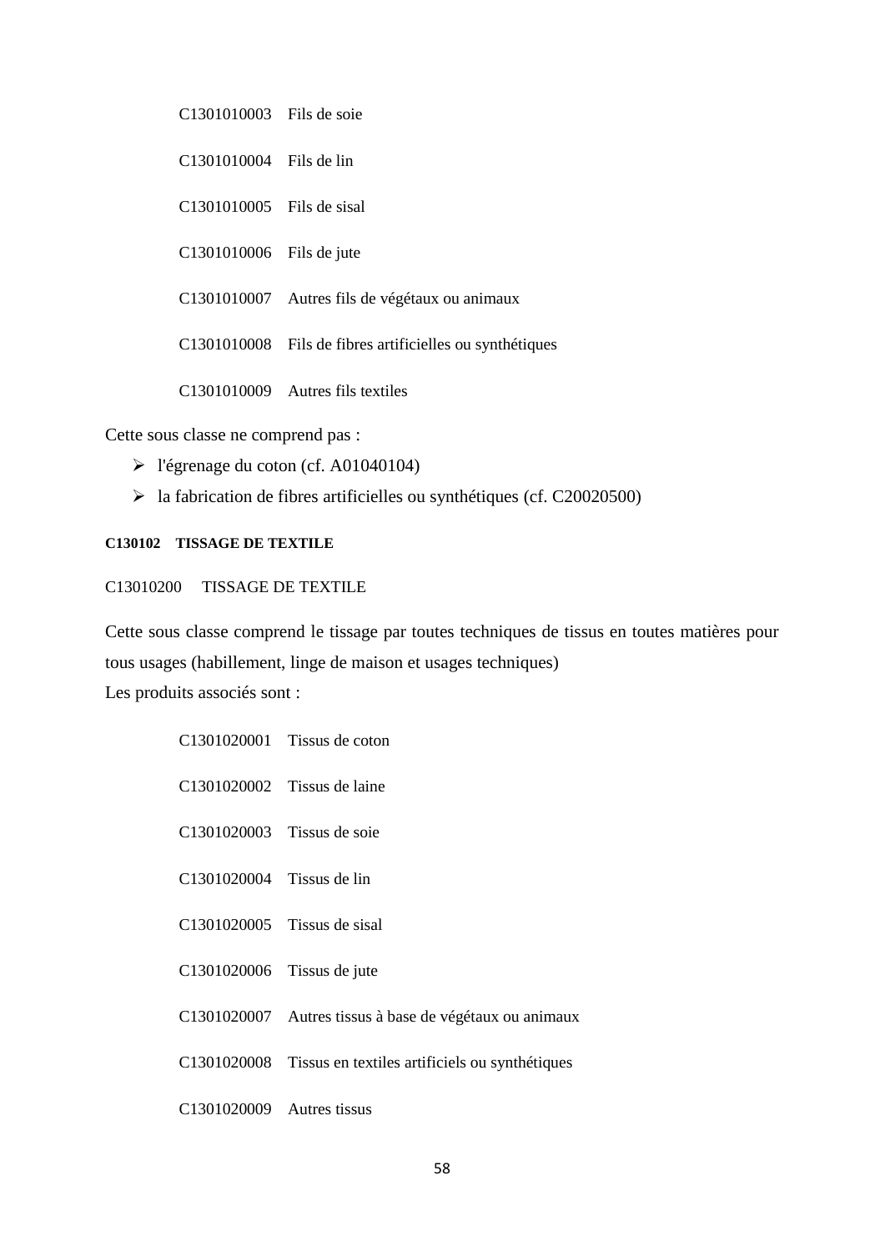C1301010003 Fils de soie C1301010004 Fils de lin C1301010005 Fils de sisal C1301010006 Fils de jute C1301010007 Autres fils de végétaux ou animaux C1301010008 Fils de fibres artificielles ou synthétiques C1301010009 Autres fils textiles

Cette sous classe ne comprend pas :

- l'égrenage du coton (cf. A01040104)
- $\blacktriangleright$  la fabrication de fibres artificielles ou synthétiques (cf. C20020500)

#### **C130102 TISSAGE DE TEXTILE**

#### C13010200 TISSAGE DE TEXTILE

Cette sous classe comprend le tissage par toutes techniques de tissus en toutes matières pour tous usages (habillement, linge de maison et usages techniques) Les produits associés sont :

- C1301020001 Tissus de coton
- C1301020002 Tissus de laine
- C1301020003 Tissus de soie
- C1301020004 Tissus de lin
- C1301020005 Tissus de sisal
- C1301020006 Tissus de jute
- C1301020007 Autres tissus à base de végétaux ou animaux
- C1301020008 Tissus en textiles artificiels ou synthétiques
- C1301020009 Autres tissus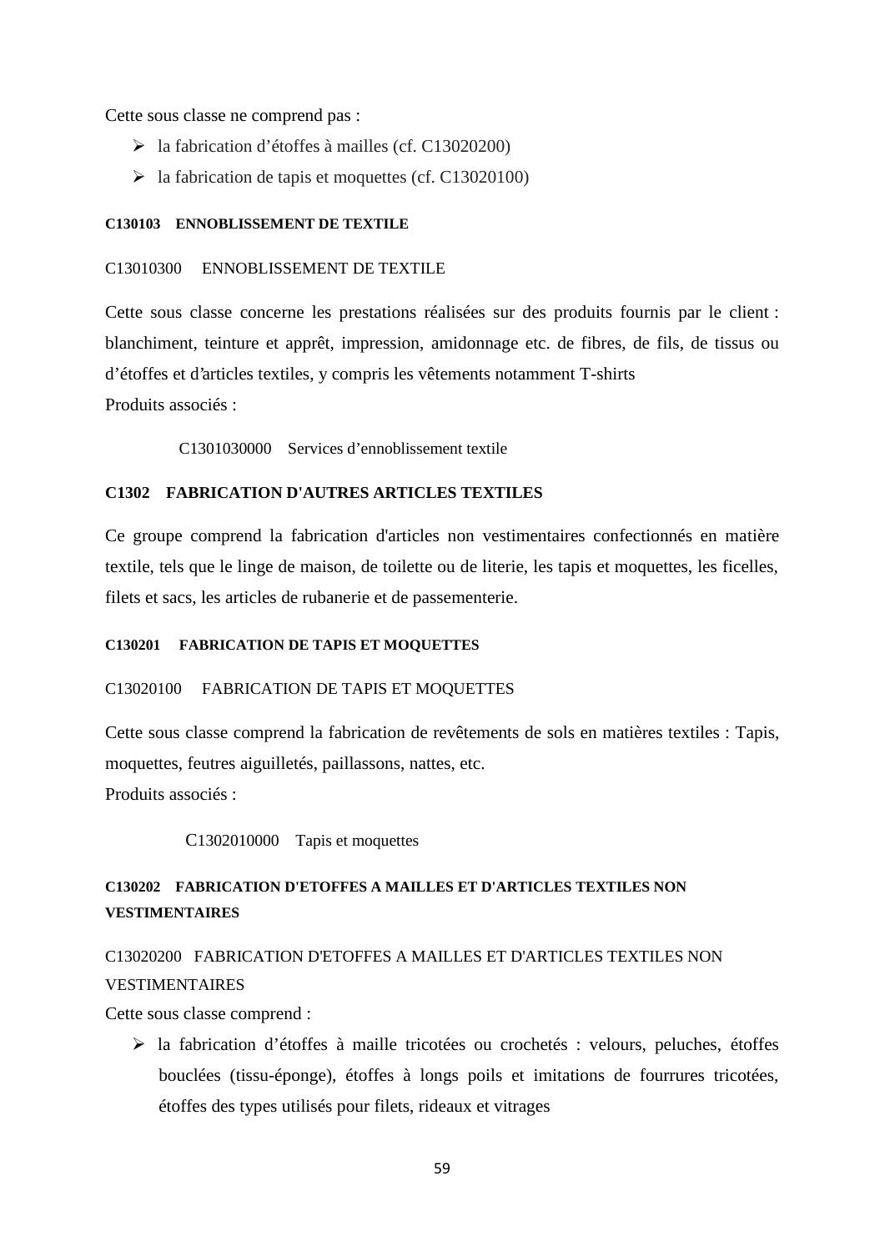Cette sous classe ne comprend pas :

- la fabrication d'étoffes à mailles (cf. C13020200)
- $\blacktriangleright$  la fabrication de tapis et moquettes (cf. C13020100)

## **C130103 ENNOBLISSEMENT DE TEXTILE**

### C13010300 ENNOBLISSEMENT DE TEXTILE

Cette sous classe concerne les prestations réalisées sur des produits fournis par le client : blanchiment, teinture et apprêt, impression, amidonnage etc. de fibres, de fils, de tissus ou d'étoffes et d'articles textiles, y compris les vêtements notamment T-shirts Produits associés :

C1301030000 Services d'ennoblissement textile

# **C1302 FABRICATION D'AUTRES ARTICLES TEXTILES**

Ce groupe comprend la fabrication d'articles non vestimentaires confectionnés en matière textile, tels que le linge de maison, de toilette ou de literie, les tapis et moquettes, les ficelles, filets et sacs, les articles de rubanerie et de passementerie.

### **C130201 FABRICATION DE TAPIS ET MOQUETTES**

# C13020100 FABRICATION DE TAPIS ET MOQUETTES

Cette sous classe comprend la fabrication de revêtements de sols en matières textiles : Tapis, moquettes, feutres aiguilletés, paillassons, nattes, etc. Produits associés :

C1302010000 Tapis et moquettes

# **C130202 FABRICATION D'ETOFFES A MAILLES ET D'ARTICLES TEXTILES NON VESTIMENTAIRES**

# C13020200 FABRICATION D'ETOFFES A MAILLES ET D'ARTICLES TEXTILES NON VESTIMENTAIRES

Cette sous classe comprend :

 la fabrication d'étoffes à maille tricotées ou crochetés : velours, peluches, étoffes bouclées (tissu-éponge), étoffes à longs poils et imitations de fourrures tricotées, étoffes des types utilisés pour filets, rideaux et vitrages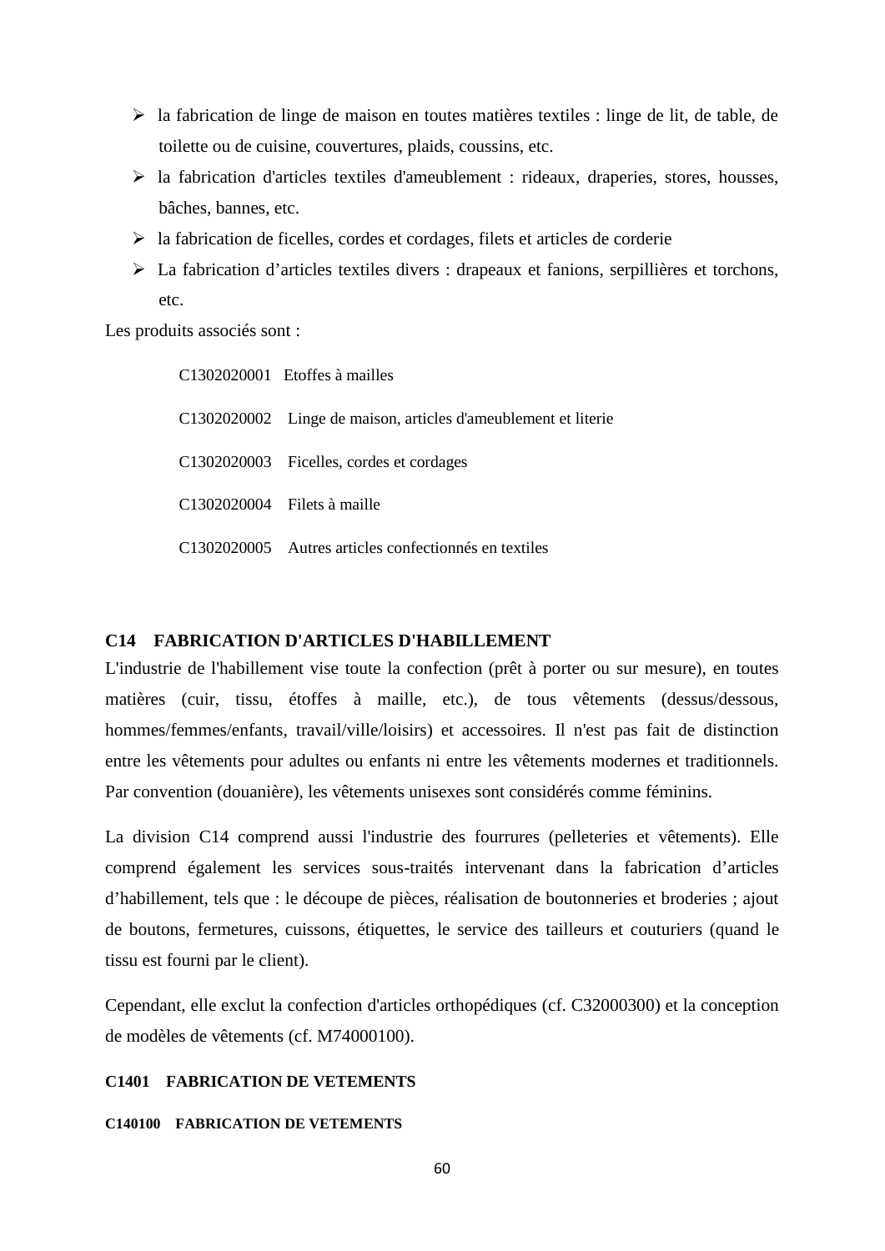- $\triangleright$  la fabrication de linge de maison en toutes matières textiles : linge de lit, de table, de toilette ou de cuisine, couvertures, plaids, coussins, etc.
- $\triangleright$  la fabrication d'articles textiles d'ameublement : rideaux, draperies, stores, housses, bâches, bannes, etc.
- $\triangleright$  la fabrication de ficelles, cordes et cordages, filets et articles de corderie
- La fabrication d'articles textiles divers : drapeaux et fanions, serpillières et torchons, etc.

Les produits associés sont :

| C1302020001 Etoffes à mailles                                  |
|----------------------------------------------------------------|
| C1302020002 Linge de maison, articles d'ameublement et literie |
| C1302020003 Ficelles, cordes et cordages                       |
| C1302020004 Filets à maille                                    |
| C1302020005 Autres articles confectionnés en textiles          |

## **C14 FABRICATION D'ARTICLES D'HABILLEMENT**

L'industrie de l'habillement vise toute la confection (prêt à porter ou sur mesure), en toutes matières (cuir, tissu, étoffes à maille, etc.), de tous vêtements (dessus/dessous, hommes/femmes/enfants, travail/ville/loisirs) et accessoires. Il n'est pas fait de distinction entre les vêtements pour adultes ou enfants ni entre les vêtements modernes et traditionnels. Par convention (douanière), les vêtements unisexes sont considérés comme féminins.

La division C14 comprend aussi l'industrie des fourrures (pelleteries et vêtements). Elle comprend également les services sous-traités intervenant dans la fabrication d'articles d'habillement, tels que : le découpe de pièces, réalisation de boutonneries et broderies ; ajout de boutons, fermetures, cuissons, étiquettes, le service des tailleurs et couturiers (quand le tissu est fourni par le client).

Cependant, elle exclut la confection d'articles orthopédiques (cf. C32000300) et la conception de modèles de vêtements (cf. M74000100).

# **C1401 FABRICATION DE VETEMENTS**

#### **C140100 FABRICATION DE VETEMENTS**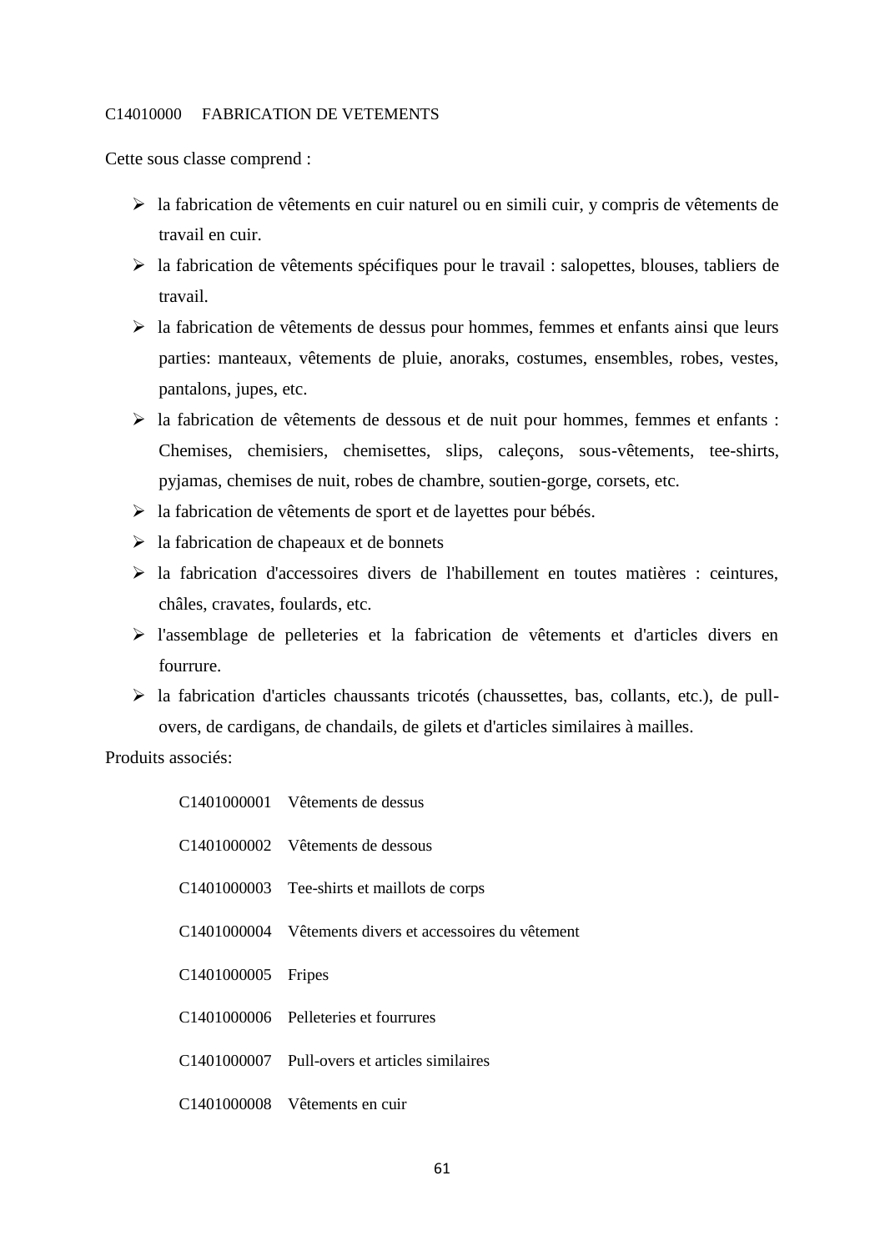### C14010000 FABRICATION DE VETEMENTS

Cette sous classe comprend :

- la fabrication de vêtements en cuir naturel ou en simili cuir, y compris de vêtements de travail en cuir.
- la fabrication de vêtements spécifiques pour le travail : salopettes, blouses, tabliers de travail.
- $\triangleright$  la fabrication de vêtements de dessus pour hommes, femmes et enfants ainsi que leurs parties: manteaux, vêtements de pluie, anoraks, costumes, ensembles, robes, vestes, pantalons, jupes, etc.
- la fabrication de vêtements de dessous et de nuit pour hommes, femmes et enfants : Chemises, chemisiers, chemisettes, slips, caleçons, sous-vêtements, tee-shirts, pyjamas, chemises de nuit, robes de chambre, soutien-gorge, corsets, etc.
- $\triangleright$  la fabrication de vêtements de sport et de layettes pour bébés.
- $\triangleright$  la fabrication de chapeaux et de bonnets
- la fabrication d'accessoires divers de l'habillement en toutes matières : ceintures, châles, cravates, foulards, etc.
- l'assemblage de pelleteries et la fabrication de vêtements et d'articles divers en fourrure.
- la fabrication d'articles chaussants tricotés (chaussettes, bas, collants, etc.), de pull overs, de cardigans, de chandails, de gilets et d'articles similaires à mailles.

|                    | C1401000001 Vêtements de dessus                         |
|--------------------|---------------------------------------------------------|
|                    | C1401000002 Vêtements de dessous                        |
|                    | C1401000003 Tee-shirts et maillots de corps             |
|                    | C1401000004 Vêtements divers et accessoires du vêtement |
| C1401000005 Fripes |                                                         |
|                    | C1401000006 Pelleteries et fourrures                    |
|                    | C1401000007 Pull-overs et articles similaires           |
|                    | C1401000008 Vêtements en cuir                           |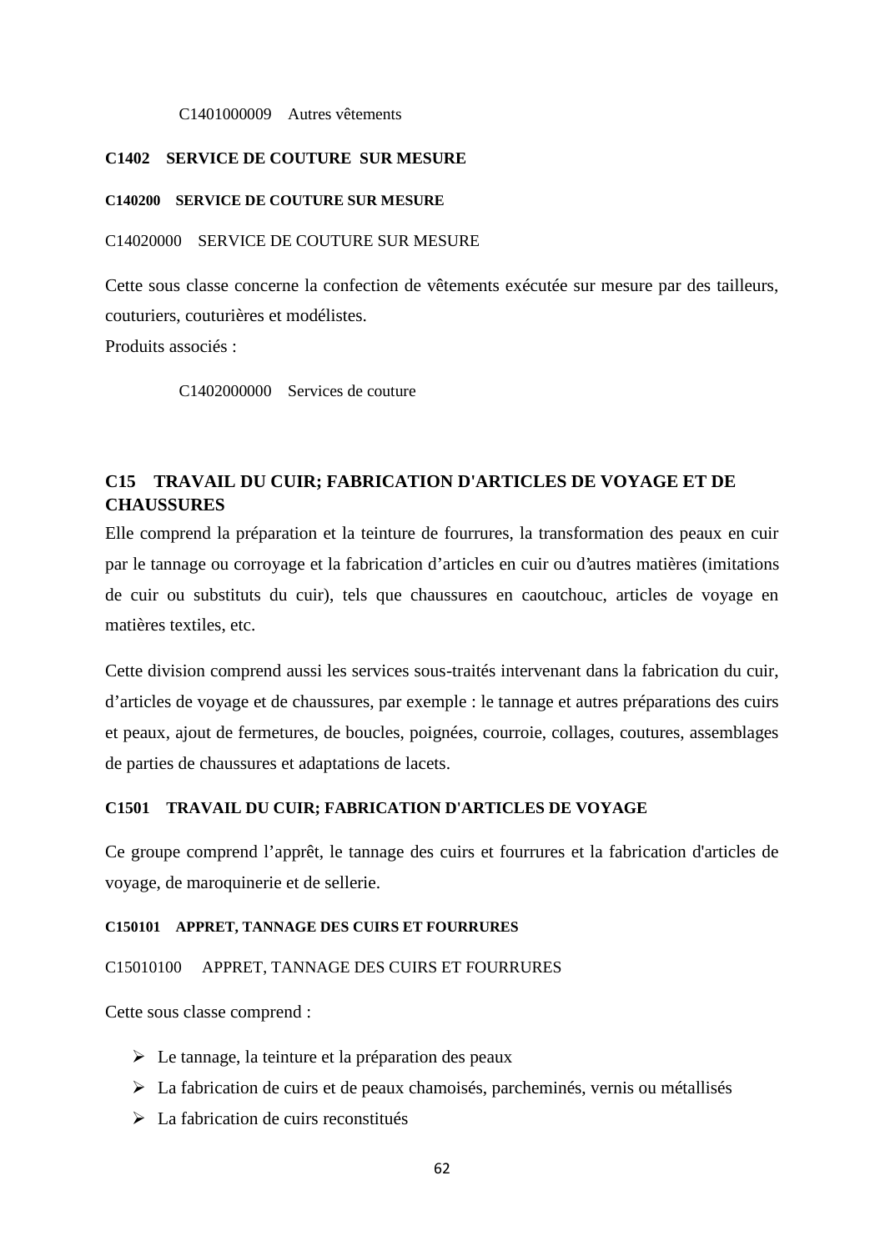#### C1401000009 Autres vêtements

# **C1402 SERVICE DE COUTURE SUR MESURE**

#### **C140200 SERVICE DE COUTURE SUR MESURE**

## C14020000 SERVICE DE COUTURE SUR MESURE

Cette sous classe concerne la confection de vêtements exécutée sur mesure par des tailleurs, couturiers, couturières et modélistes. Produits associés :

C1402000000 Services de couture

# **C15 TRAVAIL DU CUIR; FABRICATION D'ARTICLES DE VOYAGE ET DE CHAUSSURES**

Elle comprend la préparation et la teinture de fourrures, la transformation des peaux en cuir par le tannage ou corroyage et la fabrication d'articles en cuir ou d'autres matières (imitations de cuir ou substituts du cuir), tels que chaussures en caoutchouc, articles de voyage en matières textiles, etc.

Cette division comprend aussi les services sous-traités intervenant dans la fabrication du cuir, d'articles de voyage et de chaussures, par exemple : le tannage et autres préparations des cuirs et peaux, ajout de fermetures, de boucles, poignées, courroie, collages, coutures, assemblages de parties de chaussures et adaptations de lacets.

## **C1501 TRAVAIL DU CUIR; FABRICATION D'ARTICLES DE VOYAGE**

Ce groupe comprend l'apprêt, le tannage des cuirs et fourrures et la fabrication d'articles de voyage, de maroquinerie et de sellerie.

#### **C150101 APPRET, TANNAGE DES CUIRS ET FOURRURES**

C15010100 APPRET, TANNAGE DES CUIRS ET FOURRURES

Cette sous classe comprend :

- Le tannage, la teinture et la préparation des peaux
- $\triangleright$  La fabrication de cuirs et de peaux chamoisés, parcheminés, vernis ou métallisés
- $\triangleright$  La fabrication de cuirs reconstitués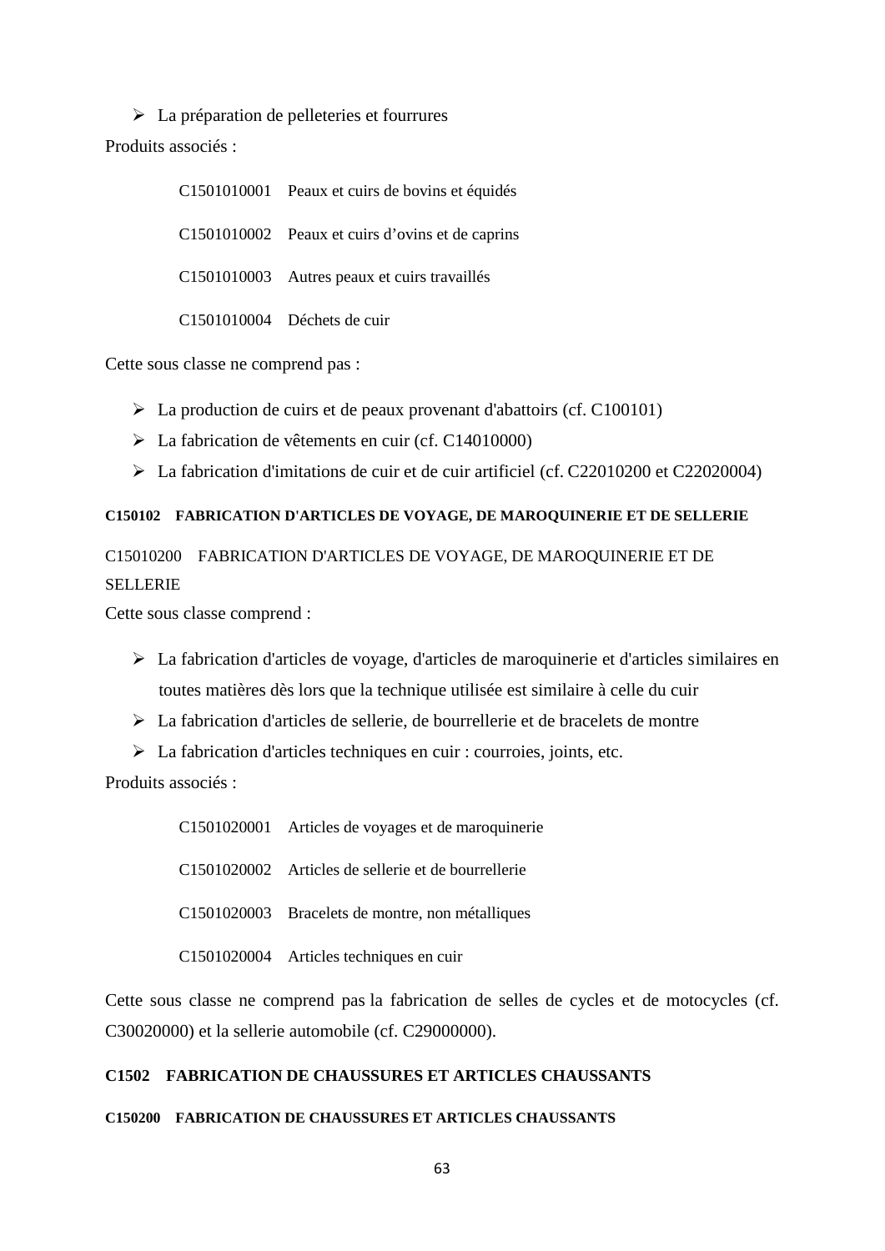$\triangleright$  La préparation de pelleteries et fourrures Produits associés :

> C1501010001 Peaux et cuirs de bovins et équidés C1501010002 Peaux et cuirs d'ovins et de caprins C1501010003 Autres peaux et cuirs travaillés C1501010004 Déchets de cuir

Cette sous classe ne comprend pas :

- $\triangleright$  La production de cuirs et de peaux provenant d'abattoirs (cf. C100101)
- La fabrication de vêtements en cuir (cf. C14010000)
- La fabrication d'imitations de cuir et de cuir artificiel (cf. C22010200 et C22020004)

# **C150102 FABRICATION D'ARTICLES DE VOYAGE, DE MAROQUINERIE ET DE SELLERIE**

C15010200 FABRICATION D'ARTICLES DE VOYAGE, DE MAROQUINERIE ET DE **SELLERIE** 

Cette sous classe comprend :

- La fabrication d'articles de voyage, d'articles de maroquinerie et d'articles similaires en toutes matières dès lors que la technique utilisée est similaire à celle du cuir
- La fabrication d'articles de sellerie, de bourrellerie et de bracelets de montre
- La fabrication d'articles techniques en cuir : courroies, joints, etc.

Produits associés :

C1501020001 Articles de voyages et de maroquinerie C1501020002 Articles de sellerie et de bourrellerie C1501020003 Bracelets de montre, non métalliques C1501020004 Articles techniques en cuir

Cette sous classe ne comprend pas la fabrication de selles de cycles et de motocycles (cf. C30020000) et la sellerie automobile (cf. C29000000).

# **C1502 FABRICATION DE CHAUSSURES ET ARTICLES CHAUSSANTS**

### **C150200 FABRICATION DE CHAUSSURES ET ARTICLES CHAUSSANTS**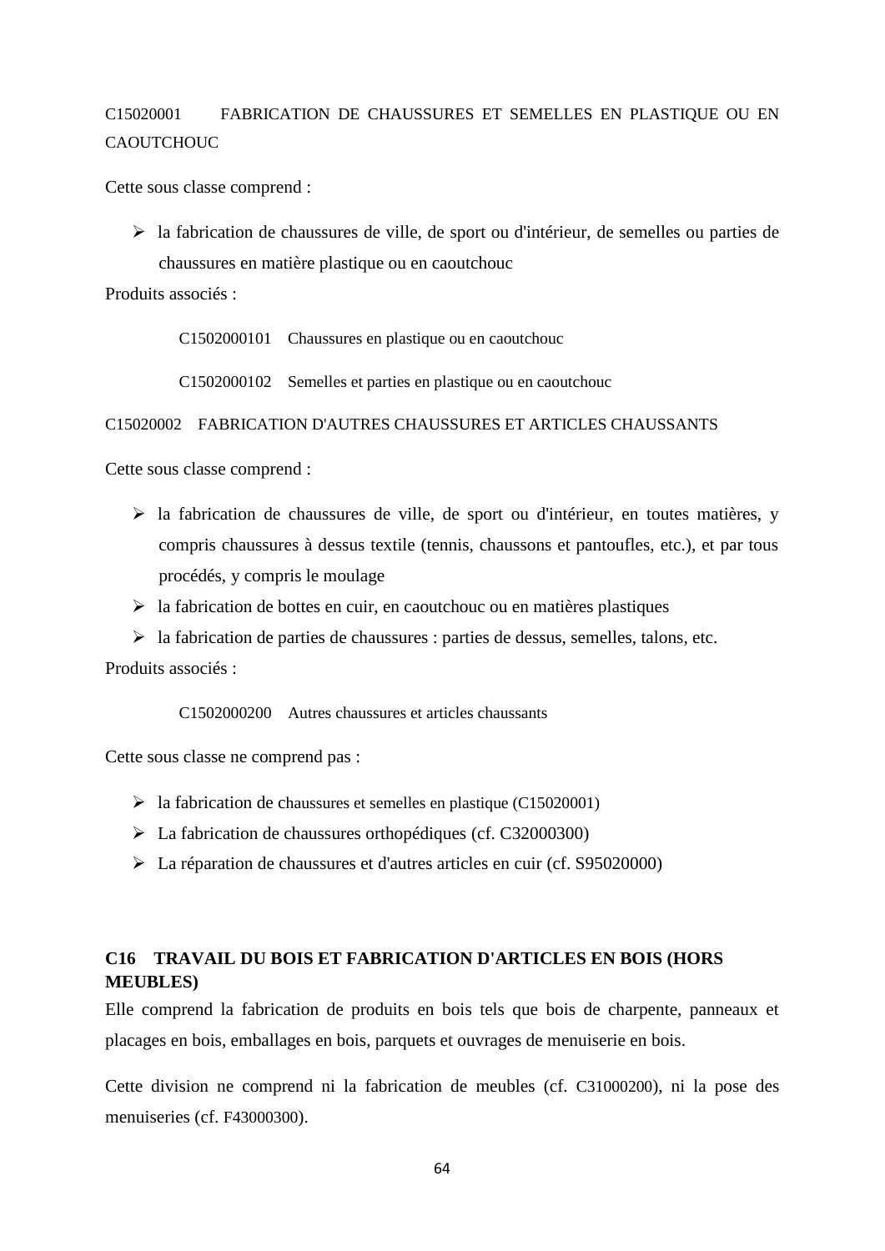# C15020001 FABRICATION DE CHAUSSURES ET SEMELLES EN PLASTIQUE OU EN **CAOUTCHOUC**

Cette sous classe comprend :

 la fabrication de chaussures de ville, de sport ou d'intérieur, de semelles ou parties de chaussures en matière plastique ou en caoutchouc

Produits associés :

C1502000101 Chaussures en plastique ou en caoutchouc

C1502000102 Semelles et parties en plastique ou en caoutchouc

#### C15020002 FABRICATION D'AUTRES CHAUSSURES ET ARTICLES CHAUSSANTS

Cette sous classe comprend :

- $\triangleright$  la fabrication de chaussures de ville, de sport ou d'intérieur, en toutes matières, y compris chaussures à dessus textile (tennis, chaussons et pantoufles, etc.), et par tous procédés, y compris le moulage
- $\triangleright$  la fabrication de bottes en cuir, en caoutchouc ou en matières plastiques
- $\triangleright$  la fabrication de parties de chaussures : parties de dessus, semelles, talons, etc.

Produits associés :

C1502000200 Autres chaussures et articles chaussants

Cette sous classe ne comprend pas :

- $\blacktriangleright$  la fabrication de chaussures et semelles en plastique (C15020001)
- La fabrication de chaussures orthopédiques (cf. C32000300)
- La réparation de chaussures et d'autres articles en cuir (cf. S95020000)

# **C16 TRAVAIL DU BOIS ET FABRICATION D'ARTICLES EN BOIS (HORS MEUBLES)**

Elle comprend la fabrication de produits en bois tels que bois de charpente, panneaux et placages en bois, emballages en bois, parquets et ouvrages de menuiserie en bois.

Cette division ne comprend ni la fabrication de meubles (cf. C31000200), ni la pose des menuiseries (cf. F43000300).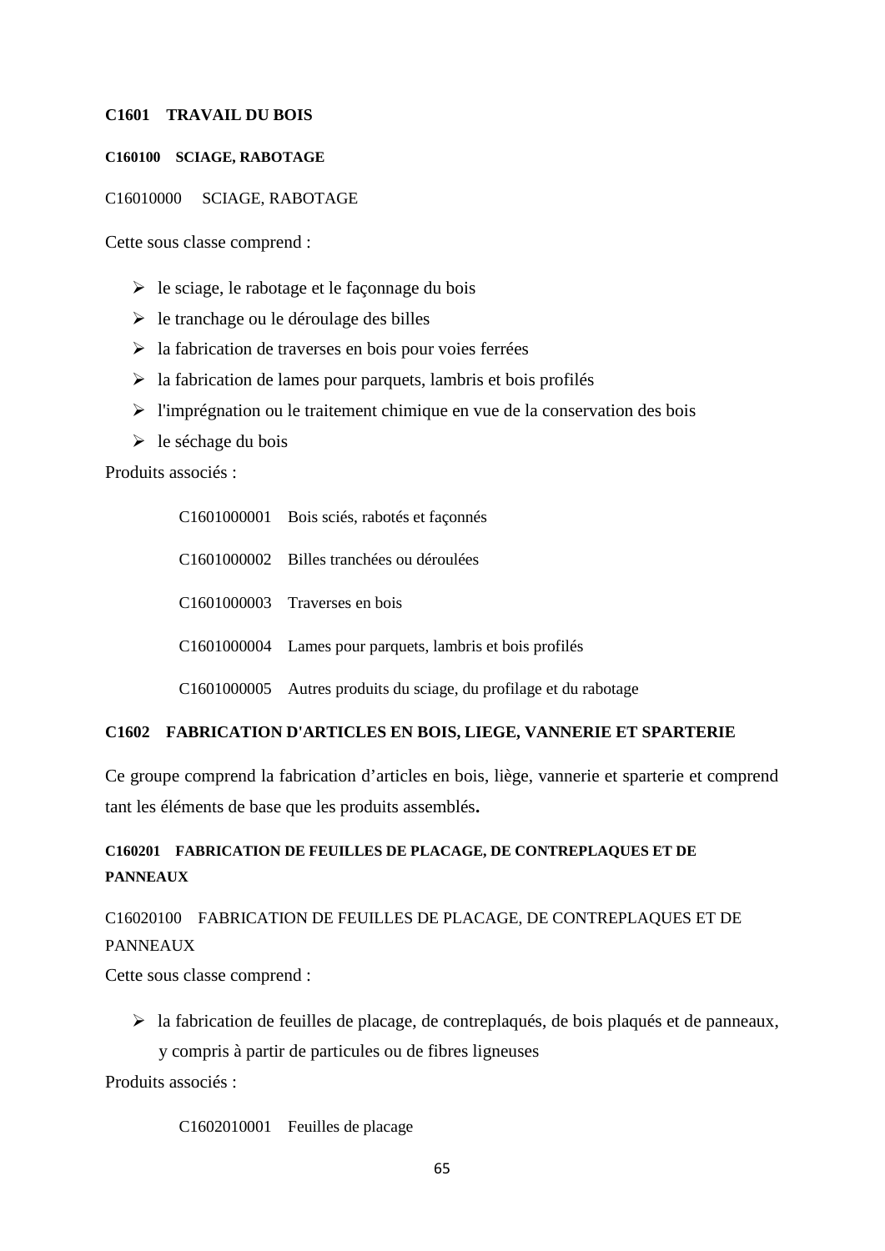## **C1601 TRAVAIL DU BOIS**

### **C160100 SCIAGE, RABOTAGE**

#### C16010000 SCIAGE, RABOTAGE

Cette sous classe comprend :

- $\triangleright$  le sciage, le rabotage et le façonnage du bois
- $\triangleright$  le tranchage ou le déroulage des billes
- $\triangleright$  la fabrication de traverses en bois pour voies ferrées
- $\triangleright$  la fabrication de lames pour parquets, lambris et bois profilés
- $\triangleright$  l'imprégnation ou le traitement chimique en vue de la conservation des bois
- $\triangleright$  le séchage du bois

Produits associés :

|  | C1601000001 Bois sciés, rabotés et façonnés                        |
|--|--------------------------------------------------------------------|
|  | C1601000002 Billes tranchées ou déroulées                          |
|  | C <sub>1601000003</sub> Traverses en bois                          |
|  | C1601000004 Lames pour parquets, lambris et bois profilés          |
|  | C1601000005 Autres produits du sciage, du profilage et du rabotage |

## **C1602 FABRICATION D'ARTICLES EN BOIS, LIEGE, VANNERIE ET SPARTERIE**

Ce groupe comprend la fabrication d'articles en bois, liège, vannerie et sparterie et comprend tant les éléments de base que les produits assemblés**.**

# **C160201 FABRICATION DE FEUILLES DE PLACAGE, DE CONTREPLAQUES ET DE PANNEAUX**

# C16020100 FABRICATION DE FEUILLES DE PLACAGE, DE CONTREPLAQUES ET DE PANNEAUX

Cette sous classe comprend :

 $\triangleright$  la fabrication de feuilles de placage, de contreplaqués, de bois plaqués et de panneaux,

y compris à partir de particules ou de fibres ligneuses

Produits associés :

C1602010001 Feuilles de placage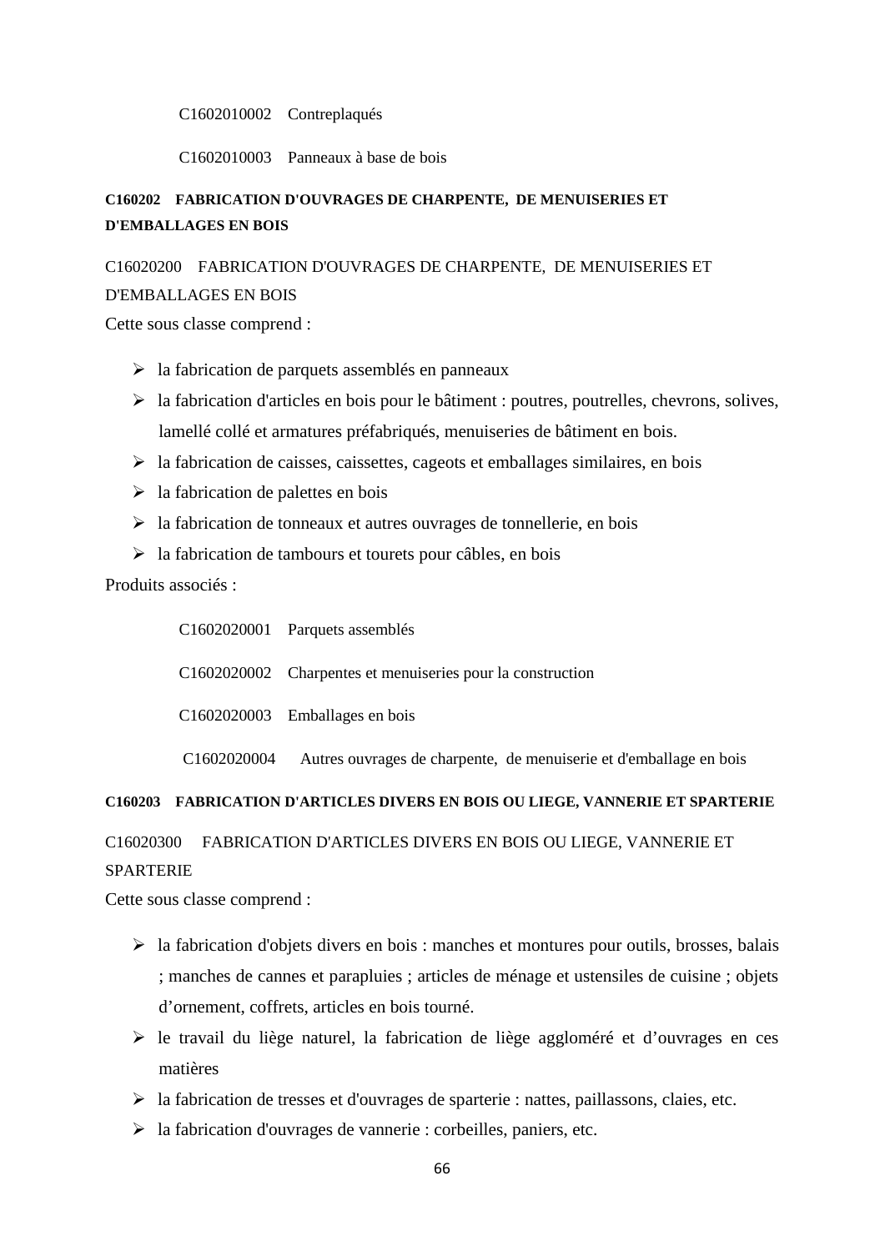C1602010002 Contreplaqués

C1602010003 Panneaux à base de bois

# **C160202 FABRICATION D'OUVRAGES DE CHARPENTE, DE MENUISERIES ET D'EMBALLAGES EN BOIS**

# C16020200 FABRICATION D'OUVRAGES DE CHARPENTE, DE MENUISERIES ET

#### D'EMBALLAGES EN BOIS

Cette sous classe comprend :

- $\triangleright$  la fabrication de parquets assemblés en panneaux
- $\triangleright$  la fabrication d'articles en bois pour le bâtiment : poutres, poutrelles, chevrons, solives, lamellé collé et armatures préfabriqués, menuiseries de bâtiment en bois.
- $\triangleright$  la fabrication de caisses, caissettes, cageots et emballages similaires, en bois
- $\triangleright$  la fabrication de palettes en bois
- $\triangleright$  la fabrication de tonneaux et autres ouvrages de tonnellerie, en bois
- $\triangleright$  la fabrication de tambours et tourets pour câbles, en bois

Produits associés :

|                         | C1602020001 Parquets assemblés                                     |
|-------------------------|--------------------------------------------------------------------|
|                         | C1602020002 Charpentes et menuiseries pour la construction         |
|                         | $C1602020003$ Emballages en bois                                   |
| C <sub>1602020004</sub> | Autres ouvrages de charpente, de menuiserie et d'emballage en bois |

### **C160203 FABRICATION D'ARTICLES DIVERS EN BOIS OU LIEGE, VANNERIE ET SPARTERIE**

# C16020300 FABRICATION D'ARTICLES DIVERS EN BOIS OU LIEGE, VANNERIE ET **SPARTERIE**

Cette sous classe comprend :

- $\triangleright$  la fabrication d'objets divers en bois : manches et montures pour outils, brosses, balais ; manches de cannes et parapluies ; articles de ménage et ustensiles de cuisine ; objets d'ornement, coffrets, articles en bois tourné.
- $\triangleright$  le travail du liège naturel, la fabrication de liège aggloméré et d'ouvrages en ces matières
- $\triangleright$  la fabrication de tresses et d'ouvrages de sparterie : nattes, paillassons, claies, etc.
- $\triangleright$  la fabrication d'ouvrages de vannerie : corbeilles, paniers, etc.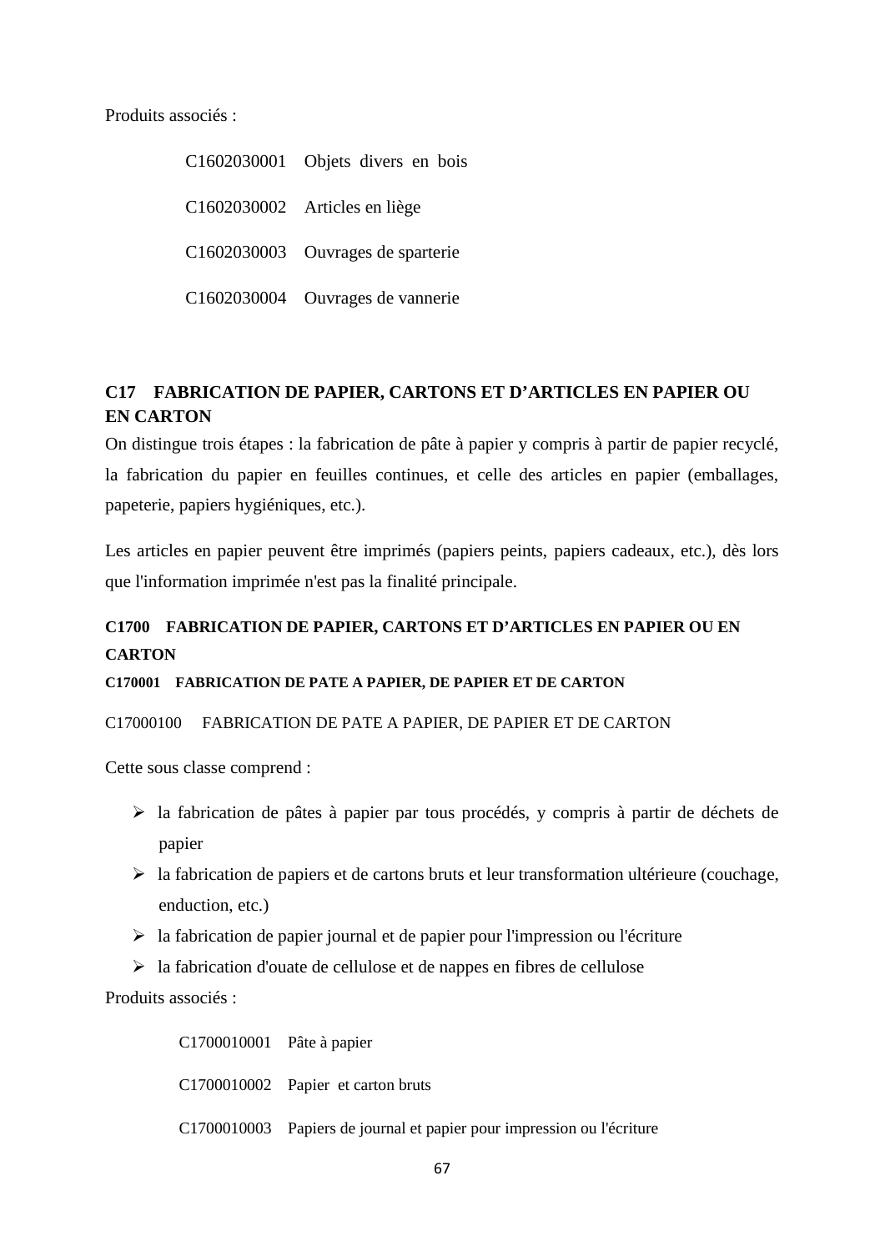Produits associés :

C1602030001 Objets divers en bois C1602030002 Articles en liège C1602030003 Ouvrages de sparterie C1602030004 Ouvrages de vannerie

# **C17 FABRICATION DE PAPIER, CARTONS ET D'ARTICLES EN PAPIER OU EN CARTON**

On distingue trois étapes : la fabrication de pâte à papier y compris à partir de papier recyclé, la fabrication du papier en feuilles continues, et celle des articles en papier (emballages, papeterie, papiers hygiéniques, etc.).

Les articles en papier peuvent être imprimés (papiers peints, papiers cadeaux, etc.), dès lors que l'information imprimée n'est pas la finalité principale.

# **C1700 FABRICATION DE PAPIER, CARTONS ET D'ARTICLES EN PAPIER OU EN CARTON**

# **C170001 FABRICATION DE PATE A PAPIER, DE PAPIER ET DE CARTON**

C17000100 FABRICATION DE PATE A PAPIER, DE PAPIER ET DE CARTON

Cette sous classe comprend :

- $\triangleright$  la fabrication de pâtes à papier par tous procédés, y compris à partir de déchets de papier
- $\triangleright$  la fabrication de papiers et de cartons bruts et leur transformation ultérieure (couchage, enduction, etc.)
- $\geq$  la fabrication de papier journal et de papier pour l'impression ou l'écriture
- $\triangleright$  la fabrication d'ouate de cellulose et de nappes en fibres de cellulose

Produits associés :

C1700010001 Pâte à papier C1700010002 Papier et carton bruts C1700010003 Papiers de journal et papier pour impression ou l'écriture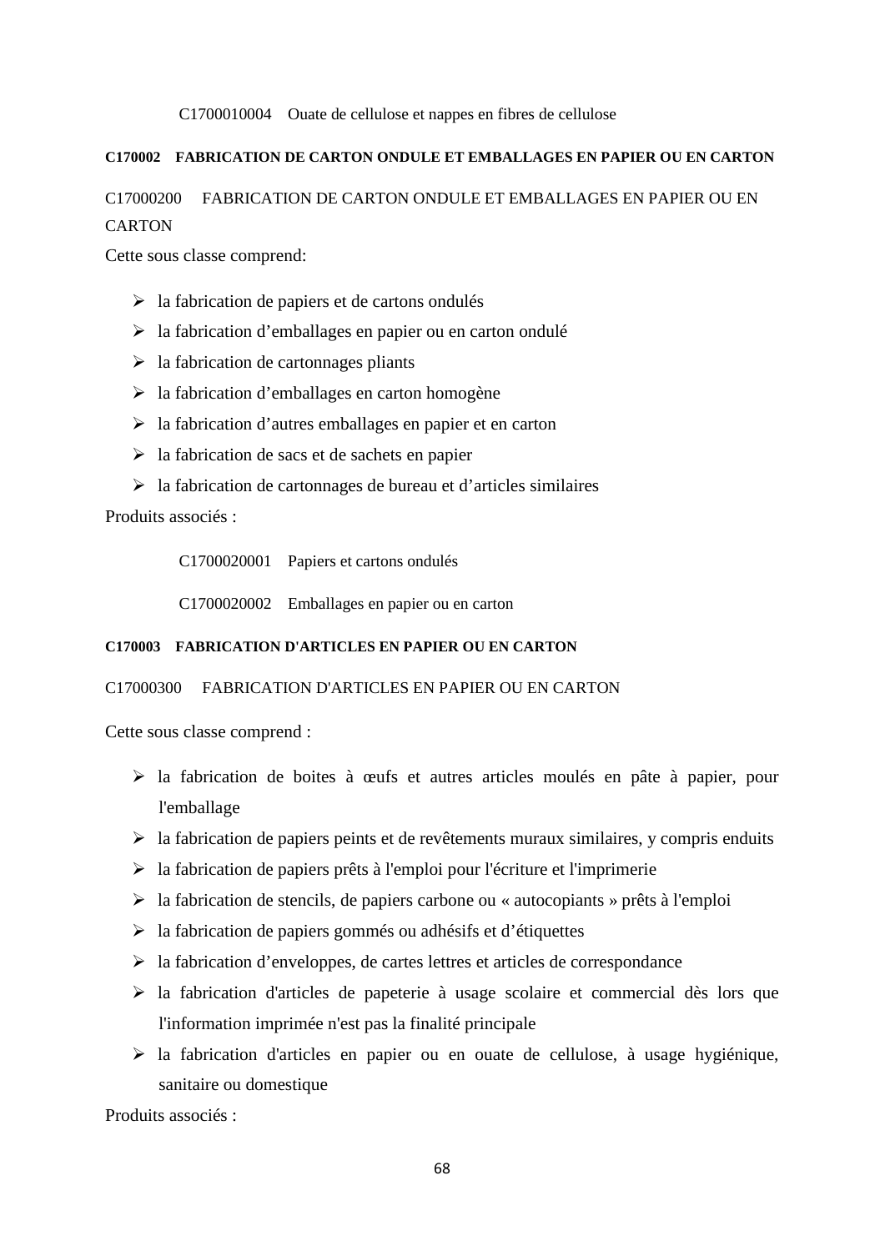### C1700010004 Ouate de cellulose et nappes en fibres de cellulose

# **C170002 FABRICATION DE CARTON ONDULE ET EMBALLAGES EN PAPIER OU EN CARTON**

# C17000200 FABRICATION DE CARTON ONDULE ET EMBALLAGES EN PAPIER OU EN **CARTON**

Cette sous classe comprend:

- $\triangleright$  la fabrication de papiers et de cartons ondulés
- $\triangleright$  la fabrication d'emballages en papier ou en carton ondulé
- $\triangleright$  la fabrication de cartonnages pliants
- $\triangleright$  la fabrication d'emballages en carton homogène
- $\triangleright$  la fabrication d'autres emballages en papier et en carton
- $\triangleright$  la fabrication de sacs et de sachets en papier
- $\triangleright$  la fabrication de cartonnages de bureau et d'articles similaires

Produits associés :

C1700020001 Papiers et cartons ondulés

C1700020002 Emballages en papier ou en carton

#### **C170003 FABRICATION D'ARTICLES EN PAPIER OU EN CARTON**

### C17000300 FABRICATION D'ARTICLES EN PAPIER OU EN CARTON

Cette sous classe comprend :

- la fabrication de boites à œufs et autres articles moulés en pâte à papier, pour l'emballage
- $\triangleright$  la fabrication de papiers peints et de revêtements muraux similaires, y compris enduits
- $\triangleright$  la fabrication de papiers prêts à l'emploi pour l'écriture et l'imprimerie
- $\triangleright$  la fabrication de stencils, de papiers carbone ou « autocopiants » prêts à l'emploi
- $\triangleright$  la fabrication de papiers gommés ou adhésifs et d'étiquettes
- $\triangleright$  la fabrication d'enveloppes, de cartes lettres et articles de correspondance
- $\triangleright$  la fabrication d'articles de papeterie à usage scolaire et commercial dès lors que l'information imprimée n'est pas la finalité principale
- la fabrication d'articles en papier ou en ouate de cellulose, à usage hygiénique, sanitaire ou domestique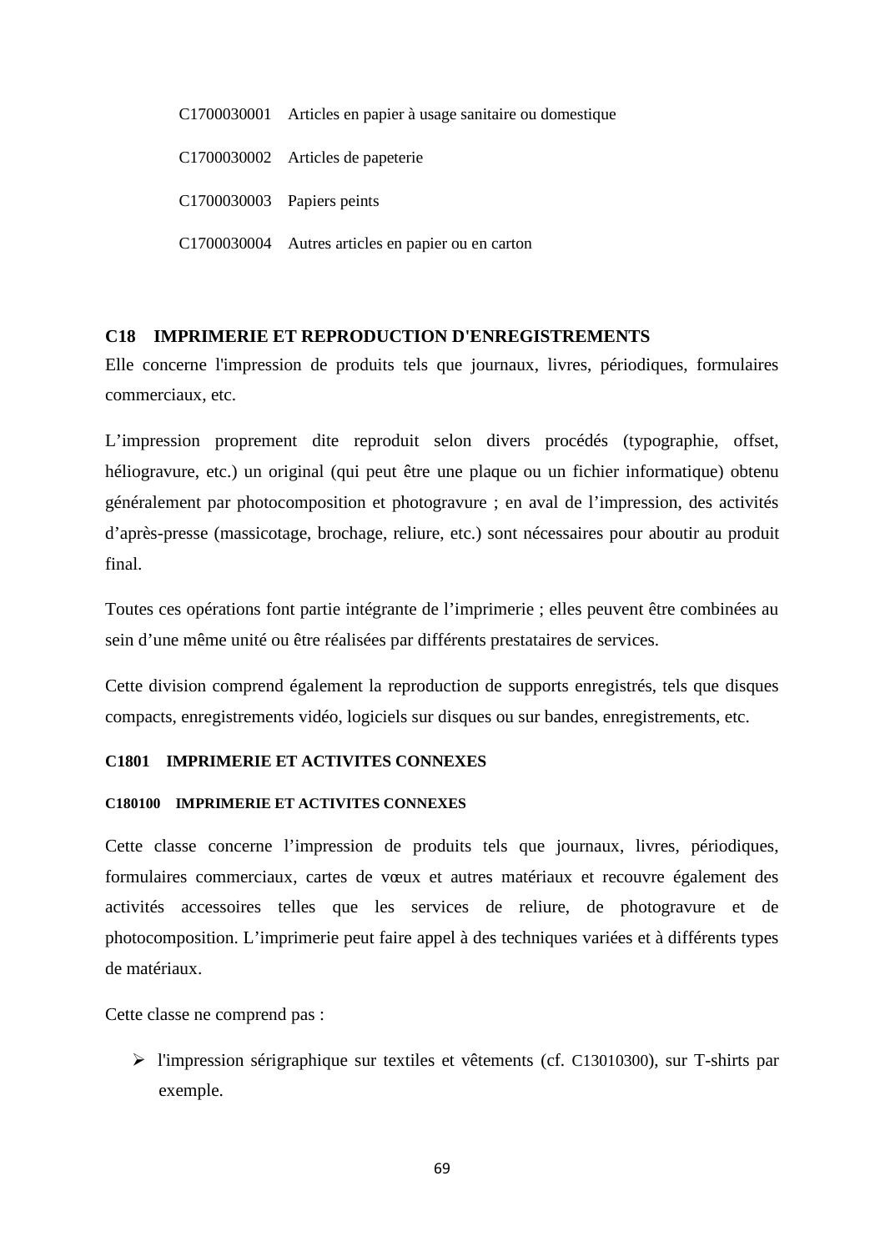C1700030001 Articles en papier à usage sanitaire ou domestique C1700030002 Articles de papeterie C1700030003 Papiers peints C1700030004 Autres articles en papier ou en carton

# **C18 IMPRIMERIE ET REPRODUCTION D'ENREGISTREMENTS**

Elle concerne l'impression de produits tels que journaux, livres, périodiques, formulaires commerciaux, etc.

L'impression proprement dite reproduit selon divers procédés (typographie, offset, héliogravure, etc.) un original (qui peut être une plaque ou un fichier informatique) obtenu généralement par photocomposition et photogravure ; en aval de l'impression, des activités d'après-presse (massicotage, brochage, reliure, etc.) sont nécessaires pour aboutir au produit final.

Toutes ces opérations font partie intégrante de l'imprimerie ; elles peuvent être combinées au sein d'une même unité ou être réalisées par différents prestataires de services.

Cette division comprend également la reproduction de supports enregistrés, tels que disques compacts, enregistrements vidéo, logiciels sur disques ou sur bandes, enregistrements, etc.

# **C1801 IMPRIMERIE ET ACTIVITES CONNEXES**

#### **C180100 IMPRIMERIE ET ACTIVITES CONNEXES**

Cette classe concerne l'impression de produits tels que journaux, livres, périodiques, formulaires commerciaux, cartes de vœux et autres matériaux et recouvre également des activités accessoires telles que les services de reliure, de photogravure et de photocomposition. L'imprimerie peut faire appel à des techniques variées et à différents types de matériaux.

Cette classe ne comprend pas :

 l'impression sérigraphique sur textiles et vêtements (cf. C13010300), sur T-shirts par exemple.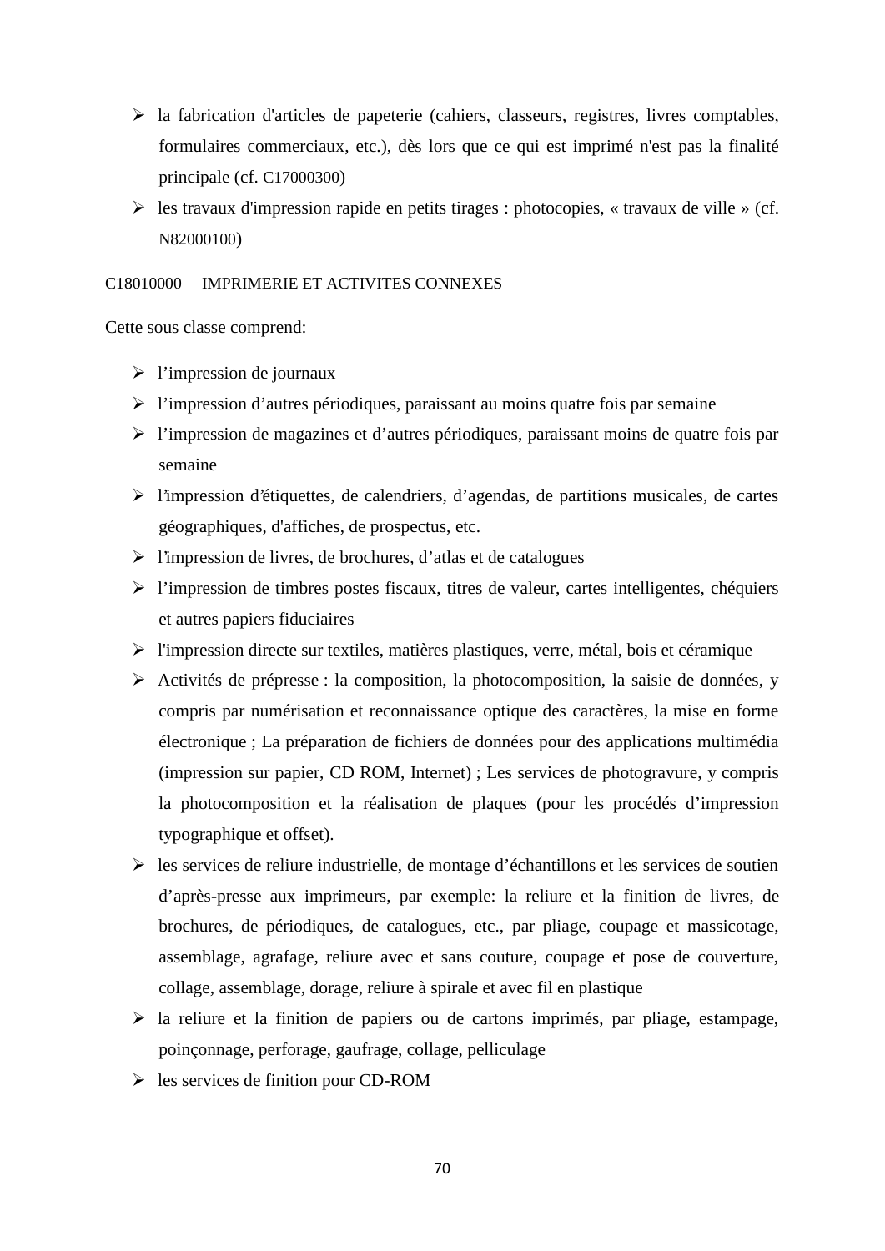- $\triangleright$  la fabrication d'articles de papeterie (cahiers, classeurs, registres, livres comptables, formulaires commerciaux, etc.), dès lors que ce qui est imprimé n'est pas la finalité principale (cf. C17000300)
- $\triangleright$  les travaux d'impression rapide en petits tirages : photocopies, « travaux de ville » (cf. N82000100)

## C18010000 IMPRIMERIE ET ACTIVITES CONNEXES

Cette sous classe comprend:

- $\triangleright$  l'impression de journaux
- l'impression d'autres périodiques, paraissant au moins quatre fois par semaine
- l'impression de magazines et d'autres périodiques, paraissant moins de quatre fois par semaine
- l'impression d'étiquettes, de calendriers, d'agendas, de partitions musicales, de cartes géographiques, d'affiches, de prospectus, etc.
- $\triangleright$  l'impression de livres, de brochures, d'atlas et de catalogues
- l'impression de timbres postes fiscaux, titres de valeur, cartes intelligentes, chéquiers et autres papiers fiduciaires
- $\triangleright$  l'impression directe sur textiles, matières plastiques, verre, métal, bois et céramique
- Activités de prépresse : la composition, la photocomposition, la saisie de données, y compris par numérisation et reconnaissance optique des caractères, la mise en forme électronique ; La préparation de fichiers de données pour des applications multimédia (impression sur papier, CD ROM, Internet) ; Les services de photogravure, y compris la photocomposition et la réalisation de plaques (pour les procédés d'impression typographique et offset).
- $\triangleright$  les services de reliure industrielle, de montage d'échantillons et les services de soutien d'après-presse aux imprimeurs, par exemple: la reliure et la finition de livres, de brochures, de périodiques, de catalogues, etc., par pliage, coupage et massicotage, assemblage, agrafage, reliure avec et sans couture, coupage et pose de couverture, collage, assemblage, dorage, reliure à spirale et avec fil en plastique
- la reliure et la finition de papiers ou de cartons imprimés, par pliage, estampage, poinçonnage, perforage, gaufrage, collage, pelliculage
- $\triangleright$  les services de finition pour CD-ROM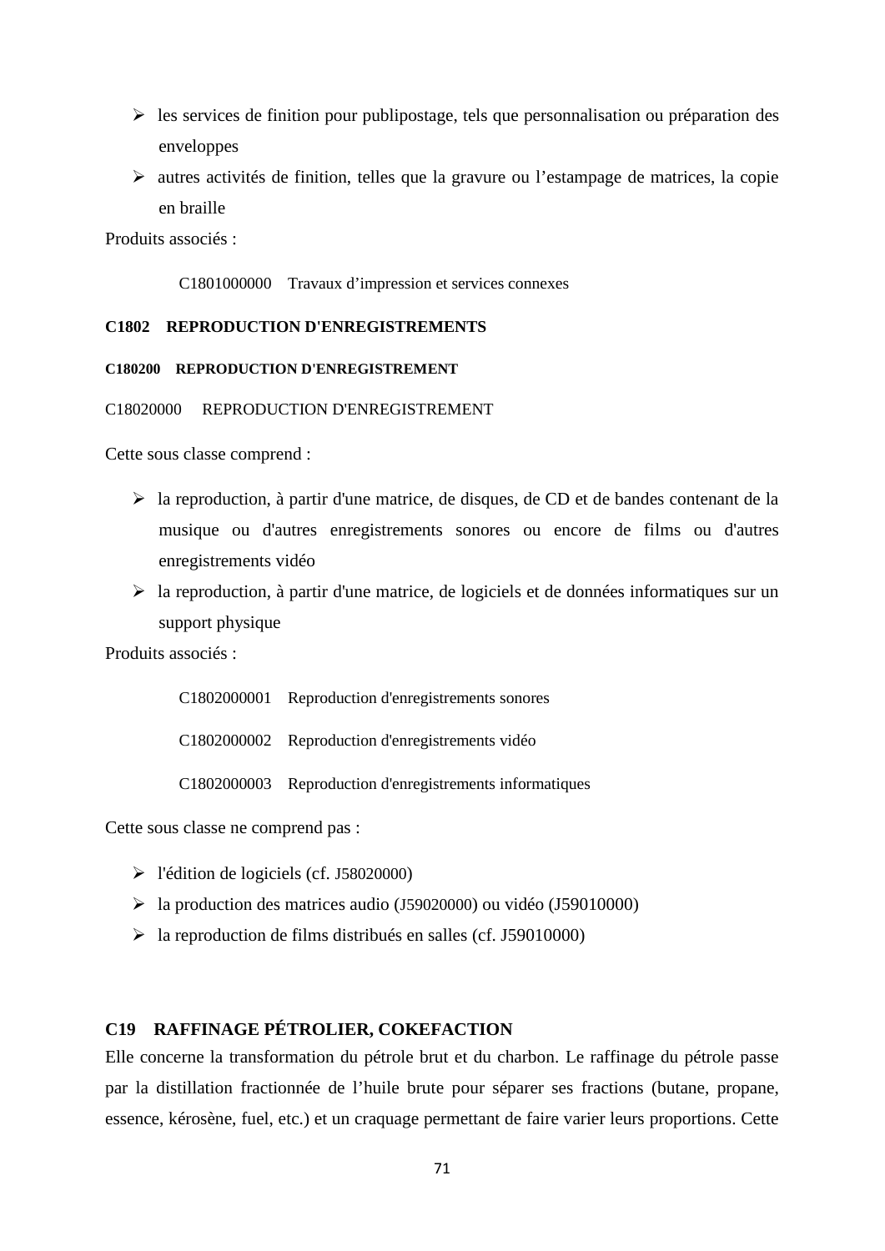- $\triangleright$  les services de finition pour publipostage, tels que personnalisation ou préparation des enveloppes
- autres activités de finition, telles que la gravure ou l'estampage de matrices, la copie en braille

Produits associés :

C1801000000 Travaux d'impression et services connexes

### **C1802 REPRODUCTION D'ENREGISTREMENTS**

# **C180200 REPRODUCTION D'ENREGISTREMENT**

#### C18020000 REPRODUCTION D'ENREGISTREMENT

Cette sous classe comprend :

- $\triangleright$  la reproduction, à partir d'une matrice, de disques, de CD et de bandes contenant de la musique ou d'autres enregistrements sonores ou encore de films ou d'autres enregistrements vidéo
- $\geq$  la reproduction, à partir d'une matrice, de logiciels et de données informatiques sur un support physique

Produits associés :

C1802000001 Reproduction d'enregistrements sonores

C1802000002 Reproduction d'enregistrements vidéo

C1802000003 Reproduction d'enregistrements informatiques

Cette sous classe ne comprend pas :

- l'édition de logiciels (cf. J58020000)
- la production des matrices audio (J59020000) ou vidéo (J59010000)
- la reproduction de films distribués en salles (cf. J59010000)

# **C19 RAFFINAGE PÉTROLIER, COKEFACTION**

Elle concerne la transformation du pétrole brut et du charbon. Le raffinage du pétrole passe par la distillation fractionnée de l'huile brute pour séparer ses fractions (butane, propane, essence, kérosène, fuel, etc.) et un craquage permettant de faire varier leurs proportions. Cette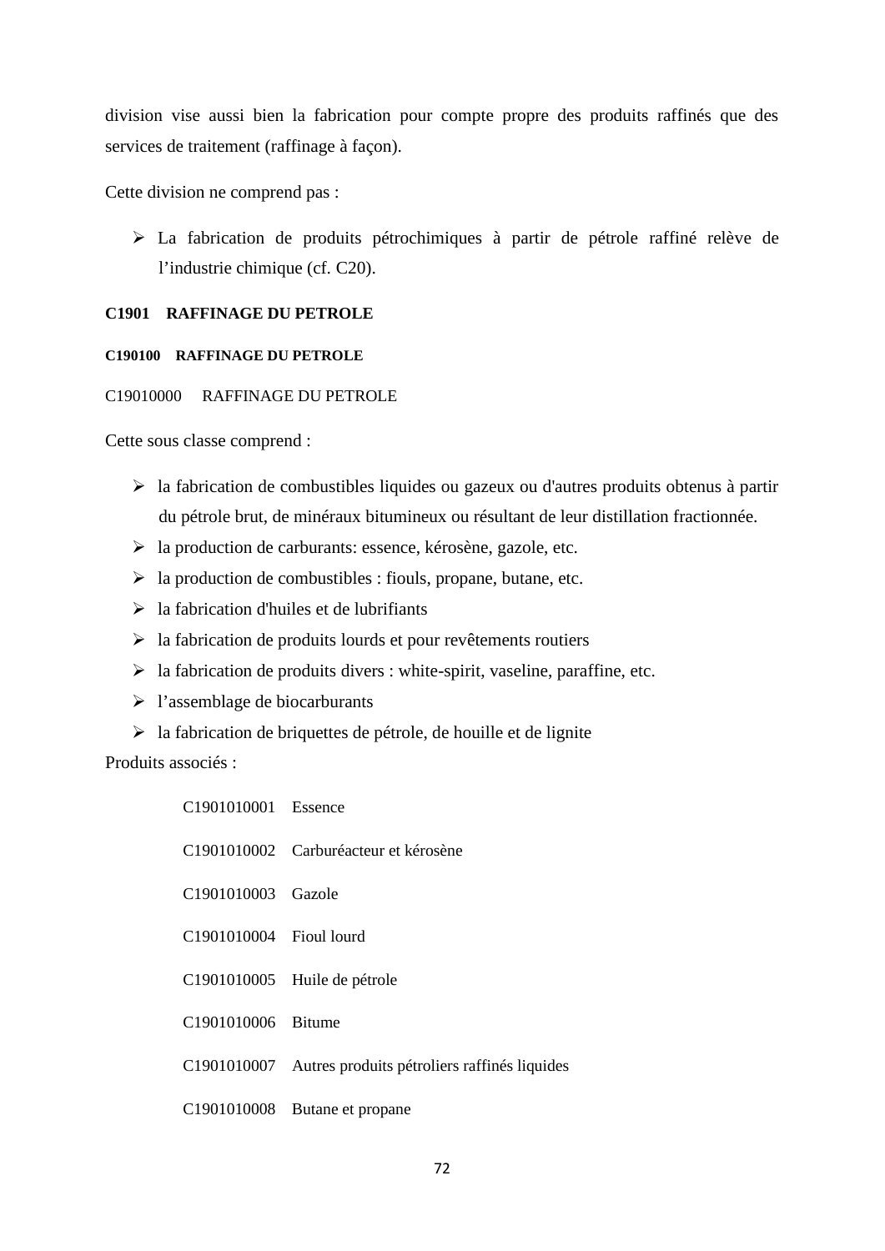division vise aussi bien la fabrication pour compte propre des produits raffinés que des services de traitement (raffinage à façon).

Cette division ne comprend pas :

 La fabrication de produits pétrochimiques à partir de pétrole raffiné relève de l'industrie chimique (cf. C20).

# **C1901 RAFFINAGE DU PETROLE**

## **C190100 RAFFINAGE DU PETROLE**

## C19010000 RAFFINAGE DU PETROLE

Cette sous classe comprend :

- $\triangleright$  la fabrication de combustibles liquides ou gazeux ou d'autres produits obtenus à partir du pétrole brut, de minéraux bitumineux ou résultant de leur distillation fractionnée.
- la production de carburants: essence, kérosène, gazole, etc.
- $\triangleright$  la production de combustibles : fiouls, propane, butane, etc.
- $\geq$  la fabrication d'huiles et de lubrifiants
- $\triangleright$  la fabrication de produits lourds et pour revêtements routiers
- $\triangleright$  la fabrication de produits divers : white-spirit, vaseline, paraffine, etc.
- $\triangleright$  l'assemblage de biocarburants
- $\triangleright$  la fabrication de briquettes de pétrole, de houille et de lignite

| C <sub>1901010001</sub> Essence |                                                          |
|---------------------------------|----------------------------------------------------------|
|                                 | C1901010002 Carburéacteur et kérosène                    |
| C1901010003 Gazole              |                                                          |
| C1901010004 Fioul lourd         |                                                          |
|                                 | C1901010005 Huile de pétrole                             |
| C1901010006 Bitume              |                                                          |
|                                 | C1901010007 Autres produits pétroliers raffinés liquides |
|                                 | C1901010008 Butane et propane                            |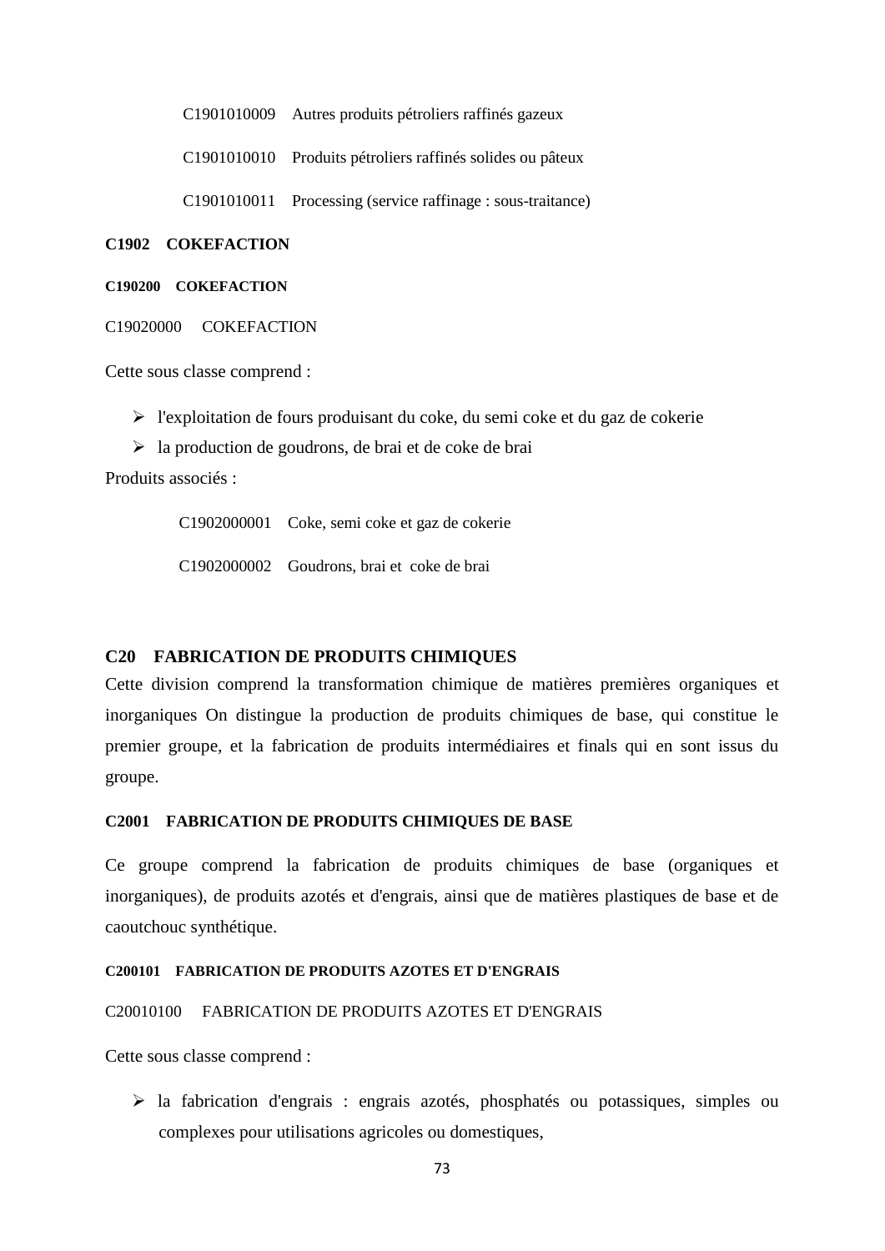C1901010009 Autres produits pétroliers raffinés gazeux

C1901010010 Produits pétroliers raffinés solides ou pâteux

C1901010011 Processing (service raffinage : sous-traitance)

#### **C1902 COKEFACTION**

#### **C190200 COKEFACTION**

C19020000 COKEFACTION

Cette sous classe comprend :

 $\triangleright$  l'exploitation de fours produisant du coke, du semi coke et du gaz de cokerie

 $\geq$  la production de goudrons, de brai et de coke de brai

Produits associés :

C1902000001 Coke, semi coke et gaz de cokerie

C1902000002 Goudrons, brai et coke de brai

### **C20 FABRICATION DE PRODUITS CHIMIQUES**

Cette division comprend la transformation chimique de matières premières organiques et inorganiques On distingue la production de produits chimiques de base, qui constitue le premier groupe, et la fabrication de produits intermédiaires et finals qui en sont issus du groupe.

### **C2001 FABRICATION DE PRODUITS CHIMIQUES DE BASE**

Ce groupe comprend la fabrication de produits chimiques de base (organiques et inorganiques), de produits azotés et d'engrais, ainsi que de matières plastiques de base et de caoutchouc synthétique.

### **C200101 FABRICATION DE PRODUITS AZOTES ET D'ENGRAIS**

#### C20010100 FABRICATION DE PRODUITS AZOTES ET D'ENGRAIS

Cette sous classe comprend :

 la fabrication d'engrais : engrais azotés, phosphatés ou potassiques, simples ou complexes pour utilisations agricoles ou domestiques,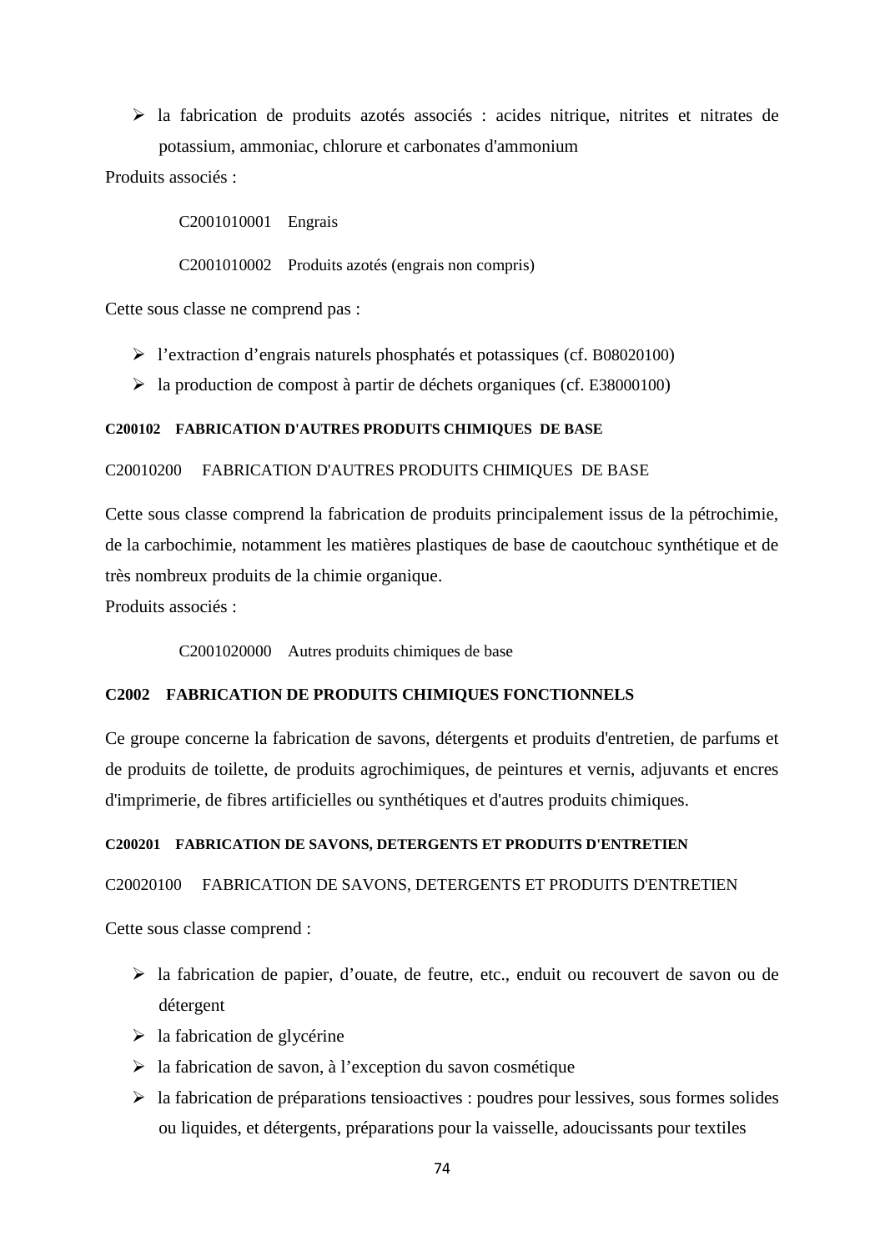la fabrication de produits azotés associés : acides nitrique, nitrites et nitrates de potassium, ammoniac, chlorure et carbonates d'ammonium

Produits associés :

C2001010001 Engrais

C2001010002 Produits azotés (engrais non compris)

Cette sous classe ne comprend pas :

- l'extraction d'engrais naturels phosphatés et potassiques (cf. B08020100)
- $\blacktriangleright$  la production de compost à partir de déchets organiques (cf. E38000100)

## **C200102 FABRICATION D'AUTRES PRODUITS CHIMIQUES DE BASE**

### C20010200 FABRICATION D'AUTRES PRODUITS CHIMIQUES DE BASE

Cette sous classe comprend la fabrication de produits principalement issus de la pétrochimie, de la carbochimie, notamment les matières plastiques de base de caoutchouc synthétique et de très nombreux produits de la chimie organique.

Produits associés :

C2001020000 Autres produits chimiques de base

## **C2002 FABRICATION DE PRODUITS CHIMIQUES FONCTIONNELS**

Ce groupe concerne la fabrication de savons, détergents et produits d'entretien, de parfums et de produits de toilette, de produits agrochimiques, de peintures et vernis, adjuvants et encres d'imprimerie, de fibres artificielles ou synthétiques et d'autres produits chimiques.

### **C200201 FABRICATION DE SAVONS, DETERGENTS ET PRODUITS D'ENTRETIEN**

### C20020100 FABRICATION DE SAVONS, DETERGENTS ET PRODUITS D'ENTRETIEN

- la fabrication de papier, d'ouate, de feutre, etc., enduit ou recouvert de savon ou de détergent
- $\triangleright$  la fabrication de glycérine
- $\geq$ la fabrication de savon, à l'exception du savon cosmétique
- $\triangleright$  la fabrication de préparations tensioactives : poudres pour lessives, sous formes solides ou liquides, et détergents, préparations pour la vaisselle, adoucissants pour textiles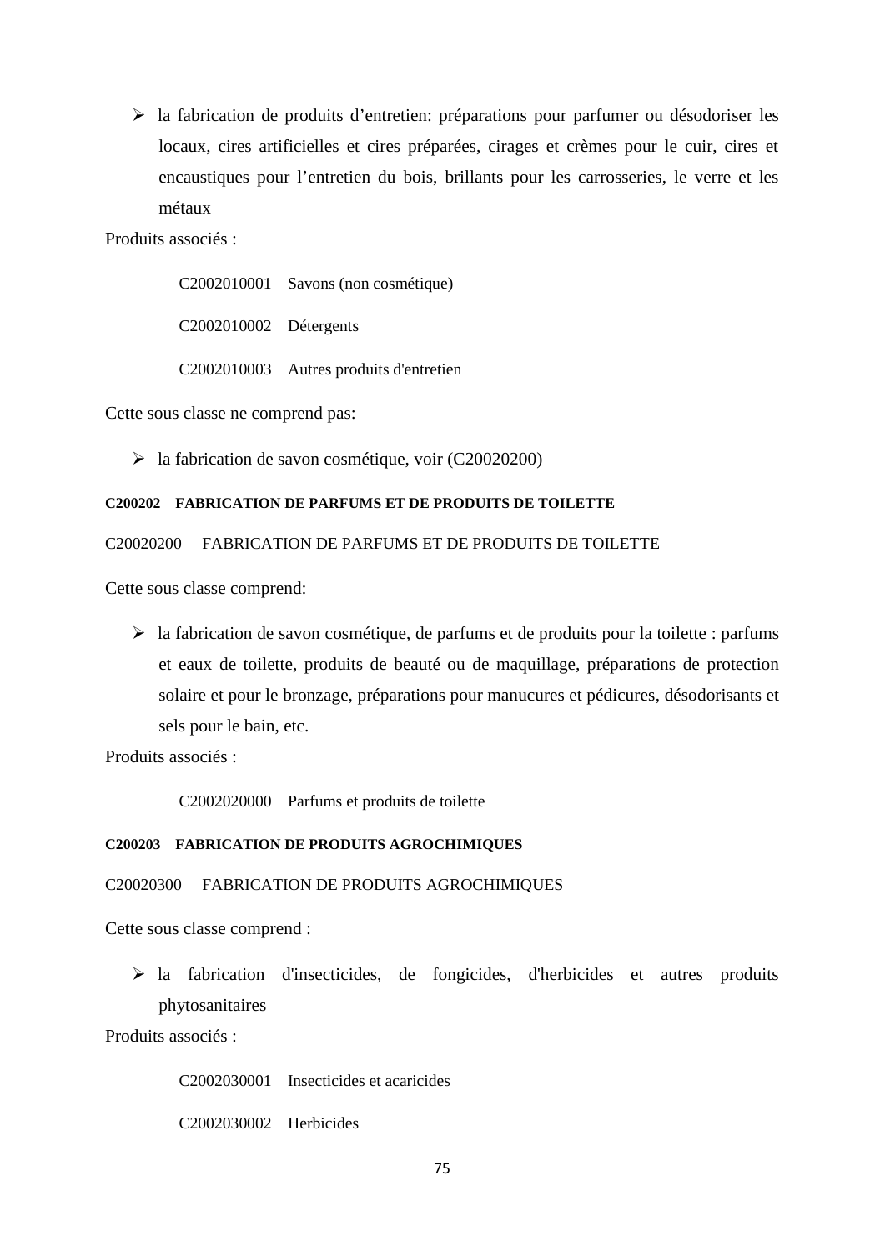$\triangleright$  la fabrication de produits d'entretien: préparations pour parfumer ou désodoriser les locaux, cires artificielles et cires préparées, cirages et crèmes pour le cuir, cires et encaustiques pour l'entretien du bois, brillants pour les carrosseries, le verre et les métaux

Produits associés :

C2002010001 Savons (non cosmétique) C2002010002 Détergents

C2002010003 Autres produits d'entretien

Cette sous classe ne comprend pas:

 $\blacktriangleright$  la fabrication de savon cosmétique, voir (C20020200)

## **C200202 FABRICATION DE PARFUMS ET DE PRODUITS DE TOILETTE**

### C20020200 FABRICATION DE PARFUMS ET DE PRODUITS DE TOILETTE

Cette sous classe comprend:

 $\triangleright$  la fabrication de savon cosmétique, de parfums et de produits pour la toilette : parfums et eaux de toilette, produits de beauté ou de maquillage, préparations de protection solaire et pour le bronzage, préparations pour manucures et pédicures, désodorisants et sels pour le bain, etc.

Produits associés :

C2002020000 Parfums et produits de toilette

#### **C200203 FABRICATION DE PRODUITS AGROCHIMIQUES**

### C20020300 FABRICATION DE PRODUITS AGROCHIMIQUES

Cette sous classe comprend :

 la fabrication d'insecticides, de fongicides, d'herbicides et autres produits phytosanitaires

Produits associés :

C2002030001 Insecticides et acaricides

C2002030002 Herbicides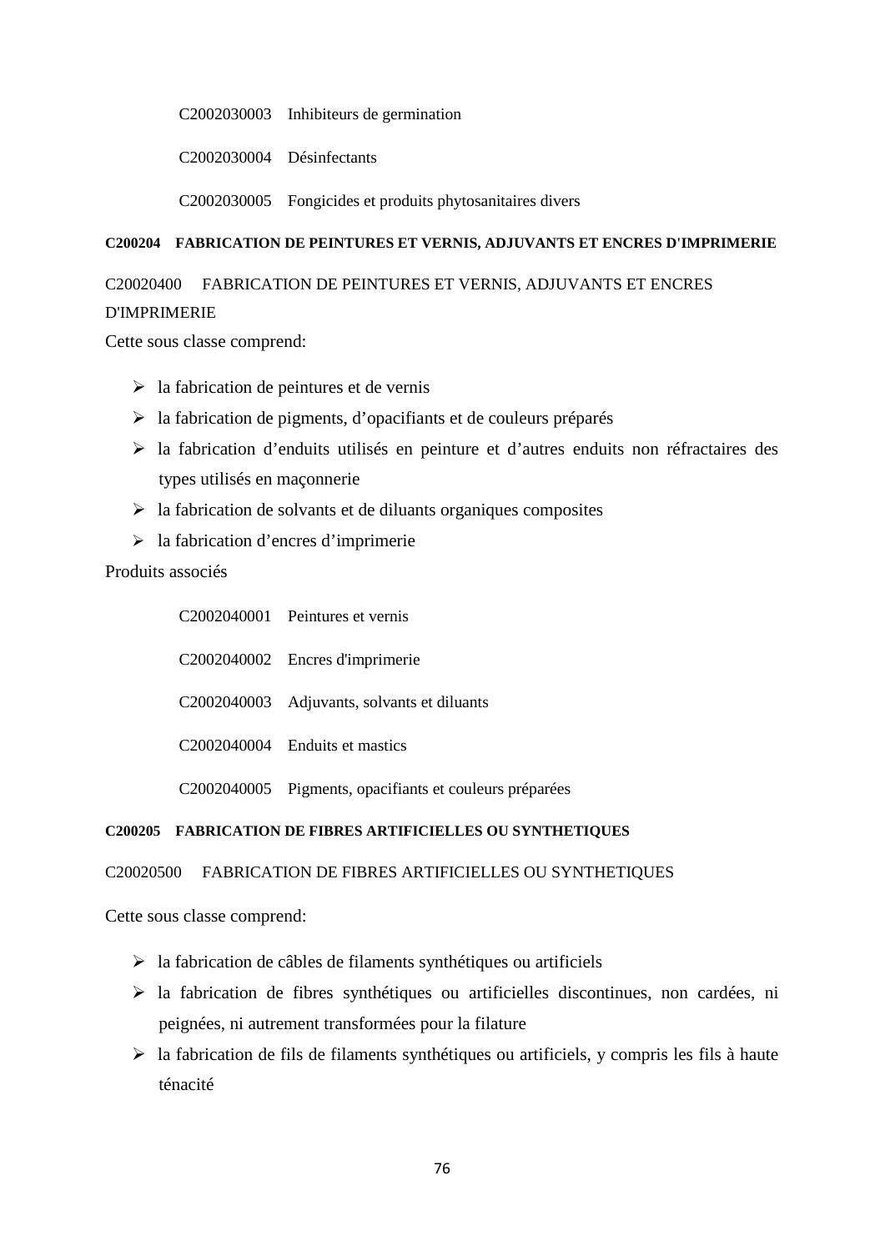C2002030003 Inhibiteurs de germination

C2002030004 Désinfectants

C2002030005 Fongicides et produits phytosanitaires divers

## **C200204 FABRICATION DE PEINTURES ET VERNIS, ADJUVANTS ET ENCRES D'IMPRIMERIE**

# C20020400 FABRICATION DE PEINTURES ET VERNIS, ADJUVANTS ET ENCRES D'IMPRIMERIE

Cette sous classe comprend:

- $\triangleright$  la fabrication de peintures et de vernis
- $\triangleright$  la fabrication de pigments, d'opacifiants et de couleurs préparés
- la fabrication d'enduits utilisés en peinture et d'autres enduits non réfractaires des types utilisés en maçonnerie
- $\triangleright$  la fabrication de solvants et de diluants organiques composites
- la fabrication d'encres d'imprimerie

## Produits associés

| C2002040001 Peintures et vernis                         |
|---------------------------------------------------------|
| C2002040002 Encres d'imprimerie                         |
| C2002040003 Adjuvants, solvants et diluants             |
| C2002040004 Enduits et mastics                          |
| C2002040005 Pigments, opacifiants et couleurs préparées |

## **C200205 FABRICATION DE FIBRES ARTIFICIELLES OU SYNTHETIQUES**

## C20020500 FABRICATION DE FIBRES ARTIFICIELLES OU SYNTHETIQUES

- $\triangleright$  la fabrication de câbles de filaments synthétiques ou artificiels
- $\triangleright$  la fabrication de fibres synthétiques ou artificielles discontinues, non cardées, ni peignées, ni autrement transformées pour la filature
- la fabrication de fils de filaments synthétiques ou artificiels, y compris les fils à haute ténacité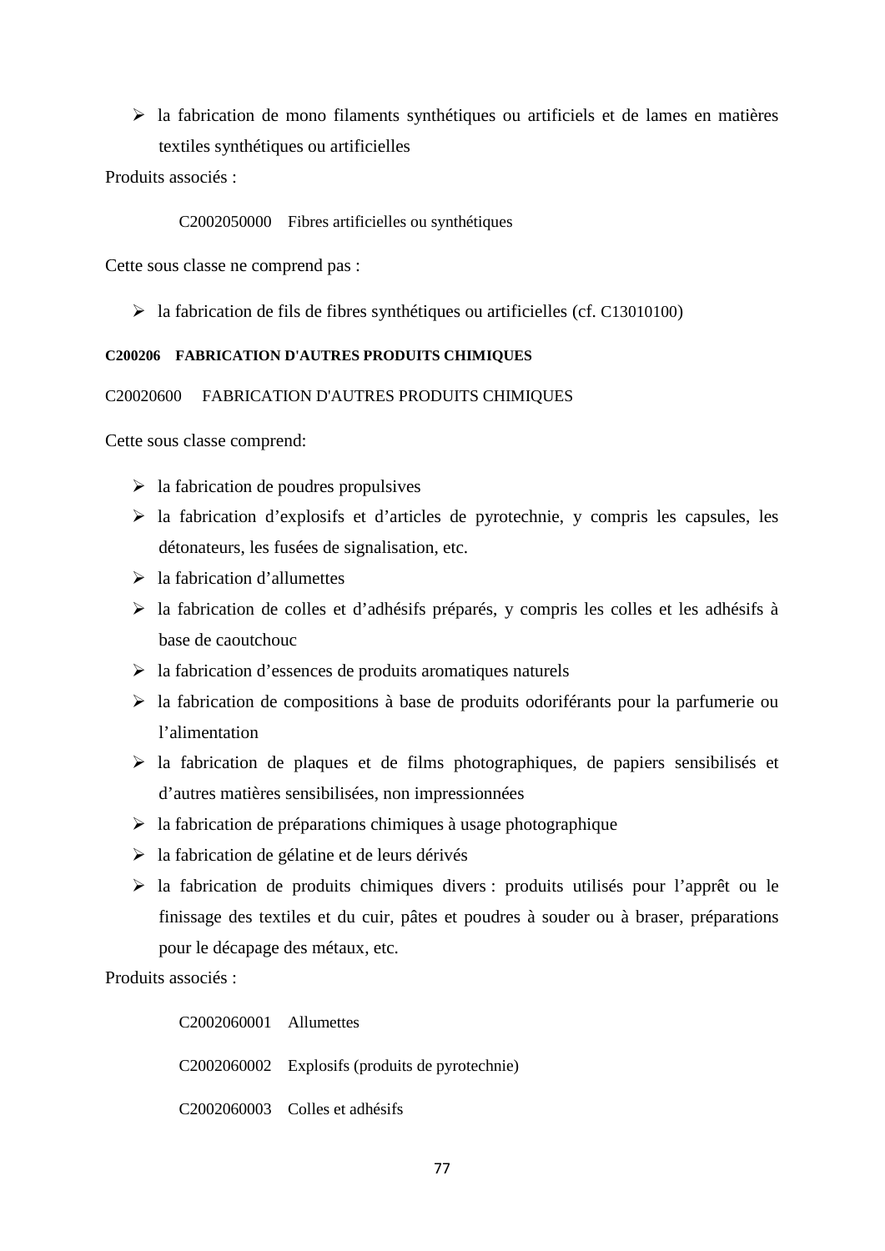$\triangleright$  la fabrication de mono filaments synthétiques ou artificiels et de lames en matières textiles synthétiques ou artificielles

Produits associés :

C2002050000 Fibres artificielles ou synthétiques

Cette sous classe ne comprend pas :

la fabrication de fils de fibres synthétiques ou artificielles (cf. C13010100)

### **C200206 FABRICATION D'AUTRES PRODUITS CHIMIQUES**

### C20020600 FABRICATION D'AUTRES PRODUITS CHIMIQUES

Cette sous classe comprend:

- $\triangleright$  la fabrication de poudres propulsives
- la fabrication d'explosifs et d'articles de pyrotechnie, y compris les capsules, les détonateurs, les fusées de signalisation, etc.
- $\geq$ la fabrication d'allumettes
- la fabrication de colles et d'adhésifs préparés, y compris les colles et les adhésifs à base de caoutchouc
- $\triangleright$  la fabrication d'essences de produits aromatiques naturels
- $\triangleright$  la fabrication de compositions à base de produits odoriférants pour la parfumerie ou l'alimentation
- $\triangleright$  la fabrication de plaques et de films photographiques, de papiers sensibilisés et d'autres matières sensibilisées, non impressionnées
- $\triangleright$  la fabrication de préparations chimiques à usage photographique
- la fabrication de gélatine et de leurs dérivés
- $\triangleright$  la fabrication de produits chimiques divers : produits utilisés pour l'apprêt ou le finissage des textiles et du cuir, pâtes et poudres à souder ou à braser, préparations pour le décapage des métaux, etc.

Produits associés :

C2002060001 Allumettes C2002060002 Explosifs (produits de pyrotechnie) C2002060003 Colles et adhésifs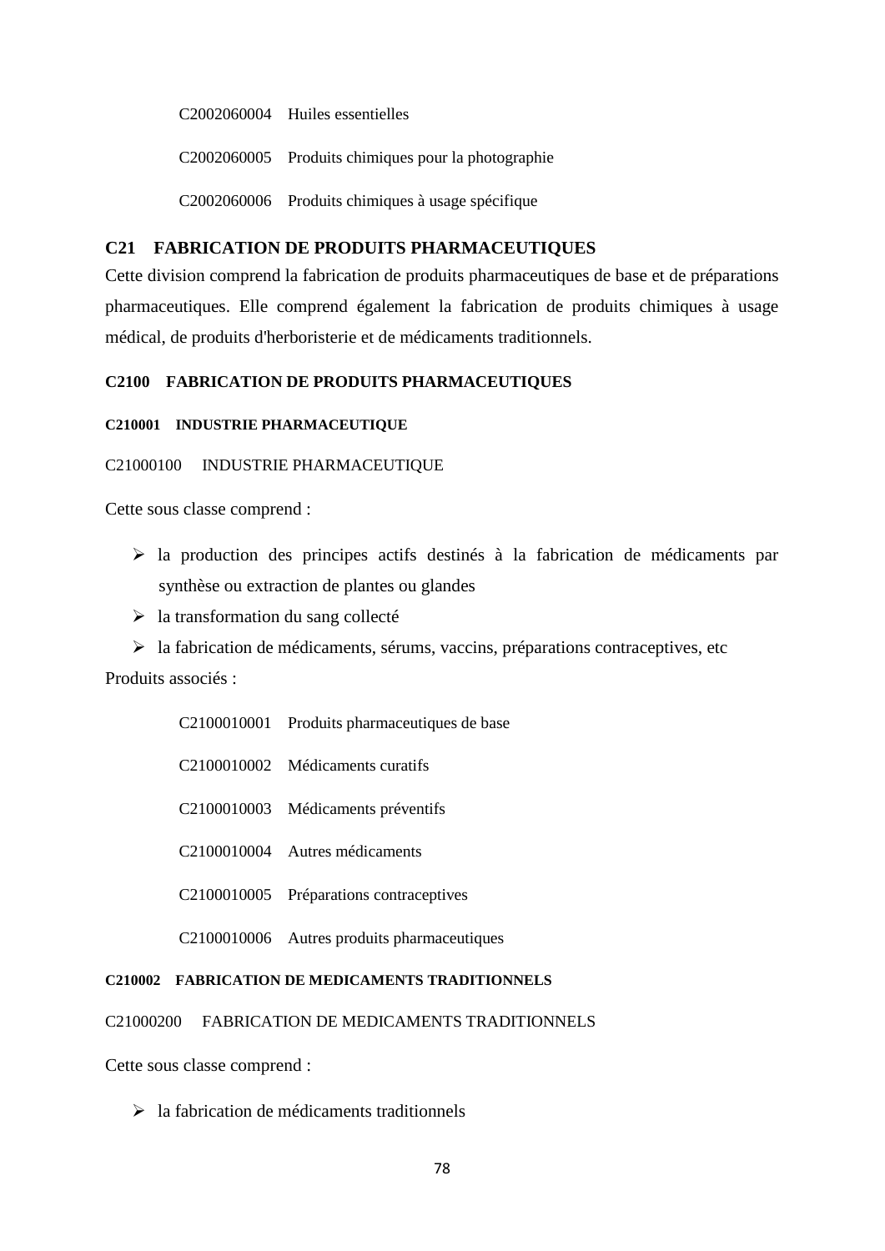C2002060004 Huiles essentielles

C2002060005 Produits chimiques pour la photographie

C2002060006 Produits chimiques à usage spécifique

### **C21 FABRICATION DE PRODUITS PHARMACEUTIQUES**

Cette division comprend la fabrication de produits pharmaceutiques de base et de préparations pharmaceutiques. Elle comprend également la fabrication de produits chimiques à usage médical, de produits d'herboristerie et de médicaments traditionnels.

## **C2100 FABRICATION DE PRODUITS PHARMACEUTIQUES**

#### **C210001 INDUSTRIE PHARMACEUTIQUE**

#### C21000100 INDUSTRIE PHARMACEUTIQUE

Cette sous classe comprend :

- la production des principes actifs destinés à la fabrication de médicaments par synthèse ou extraction de plantes ou glandes
- $\triangleright$  la transformation du sang collecté
- $\triangleright$  la fabrication de médicaments, sérums, vaccins, préparations contraceptives, etc

Produits associés :

|  | C2100010001 Produits pharmaceutiques de base |
|--|----------------------------------------------|
|--|----------------------------------------------|

- C2100010002 Médicaments curatifs
- C2100010003 Médicaments préventifs
- C2100010004 Autres médicaments
- C2100010005 Préparations contraceptives
- C2100010006 Autres produits pharmaceutiques

#### **C210002 FABRICATION DE MEDICAMENTS TRADITIONNELS**

C21000200 FABRICATION DE MEDICAMENTS TRADITIONNELS

Cette sous classe comprend :

 $\triangleright$  la fabrication de médicaments traditionnels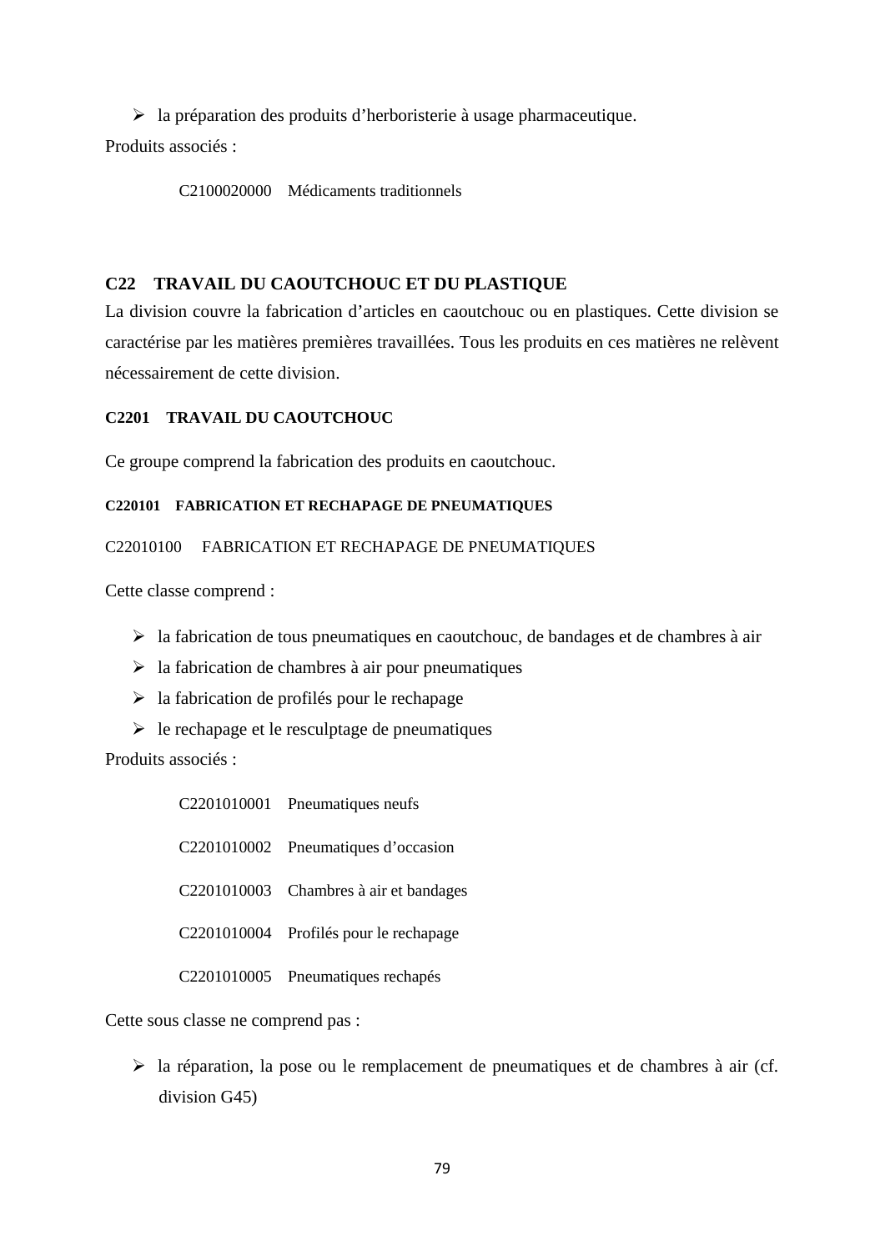$\triangleright$  la préparation des produits d'herboristerie à usage pharmaceutique.

Produits associés :

C2100020000 Médicaments traditionnels

# **C22 TRAVAIL DU CAOUTCHOUC ET DU PLASTIQUE**

La division couvre la fabrication d'articles en caoutchouc ou en plastiques. Cette division se caractérise par les matières premières travaillées. Tous les produits en ces matières ne relèvent nécessairement de cette division.

## **C2201 TRAVAIL DU CAOUTCHOUC**

Ce groupe comprend la fabrication des produits en caoutchouc.

## **C220101 FABRICATION ET RECHAPAGE DE PNEUMATIQUES**

## C22010100 FABRICATION ET RECHAPAGE DE PNEUMATIQUES

Cette classe comprend :

- $\triangleright$  la fabrication de tous pneumatiques en caoutchouc, de bandages et de chambres à air
- $\geq$  la fabrication de chambres à air pour pneumatiques
- $\geq$  la fabrication de profilés pour le rechapage
- $\triangleright$  le rechapage et le resculptage de pneumatiques

Produits associés :

| C2201010001 Pneumatiques neufs         |
|----------------------------------------|
| C2201010002 Pneumatiques d'occasion    |
| C2201010003 Chambres à air et bandages |
| C2201010004 Profilés pour le rechapage |
| C2201010005 Pneumatiques rechapés      |

Cette sous classe ne comprend pas :

 la réparation, la pose ou le remplacement de pneumatiques et de chambres à air (cf. division G45)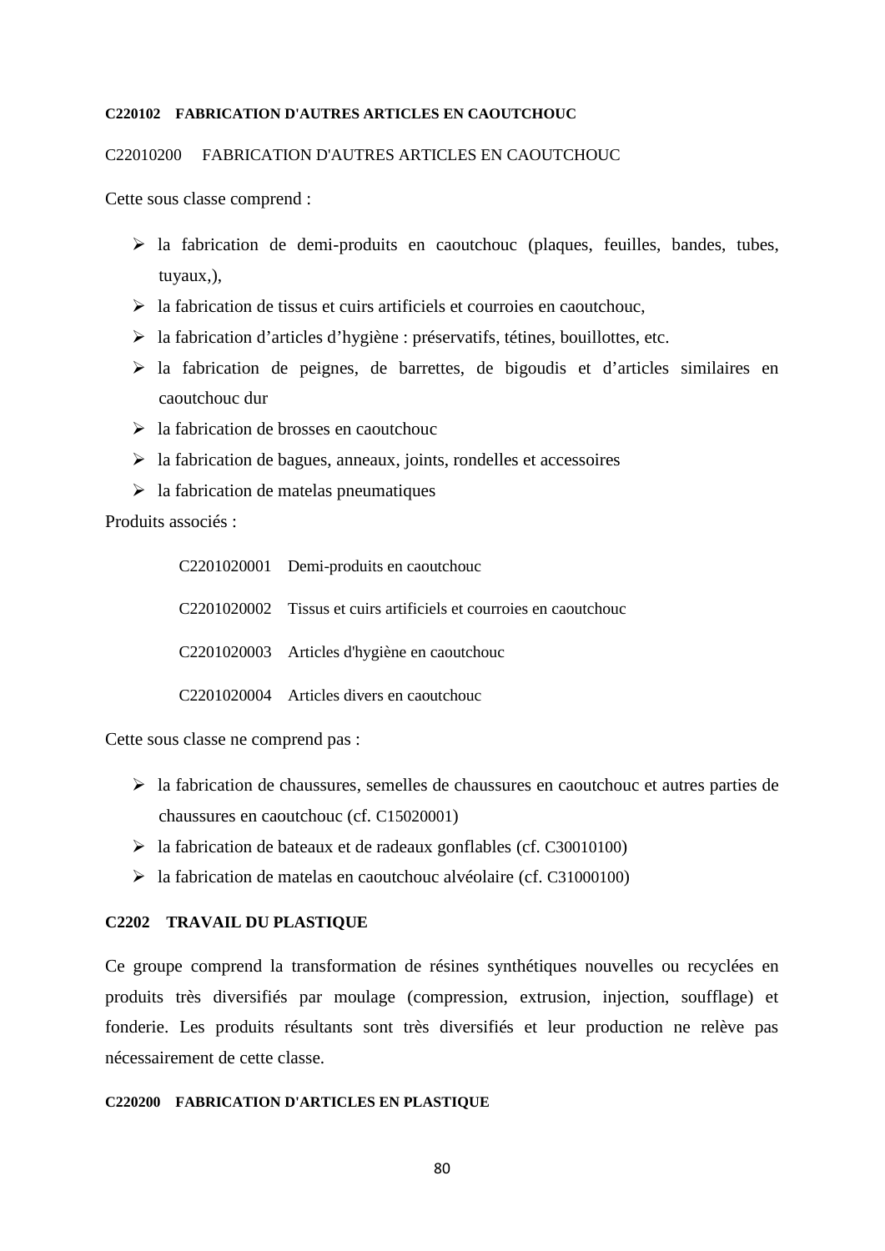#### **C220102 FABRICATION D'AUTRES ARTICLES EN CAOUTCHOUC**

## C22010200 FABRICATION D'AUTRES ARTICLES EN CAOUTCHOUC

Cette sous classe comprend :

- $\triangleright$  la fabrication de demi-produits en caoutchouc (plaques, feuilles, bandes, tubes, tuyaux,),
- $\geq$  la fabrication de tissus et cuirs artificiels et courroies en caoutchouc,
- la fabrication d'articles d'hygiène : préservatifs, tétines, bouillottes, etc.
- $\triangleright$  la fabrication de peignes, de barrettes, de bigoudis et d'articles similaires en caoutchouc dur
- $\geq$  la fabrication de brosses en caoutchouc
- $\triangleright$  la fabrication de bagues, anneaux, joints, rondelles et accessoires
- $\triangleright$  la fabrication de matelas pneumatiques

Produits associés :

| C2201020001 Demi-produits en caoutchouc                            |
|--------------------------------------------------------------------|
| C2201020002 Tissus et cuirs artificiels et courroies en caoutchouc |
| C2201020003 Articles d'hygiène en caoutchouc                       |
| C2201020004 Articles divers en caoutchouc                          |

Cette sous classe ne comprend pas :

- la fabrication de chaussures, semelles de chaussures en caoutchouc et autres parties de chaussures en caoutchouc (cf. C15020001)
- $\blacktriangleright$  la fabrication de bateaux et de radeaux gonflables (cf. C30010100)
- la fabrication de matelas en caoutchouc alvéolaire (cf. C31000100)

## **C2202 TRAVAIL DU PLASTIQUE**

Ce groupe comprend la transformation de résines synthétiques nouvelles ou recyclées en produits très diversifiés par moulage (compression, extrusion, injection, soufflage) et fonderie. Les produits résultants sont très diversifiés et leur production ne relève pas nécessairement de cette classe.

### **C220200 FABRICATION D'ARTICLES EN PLASTIQUE**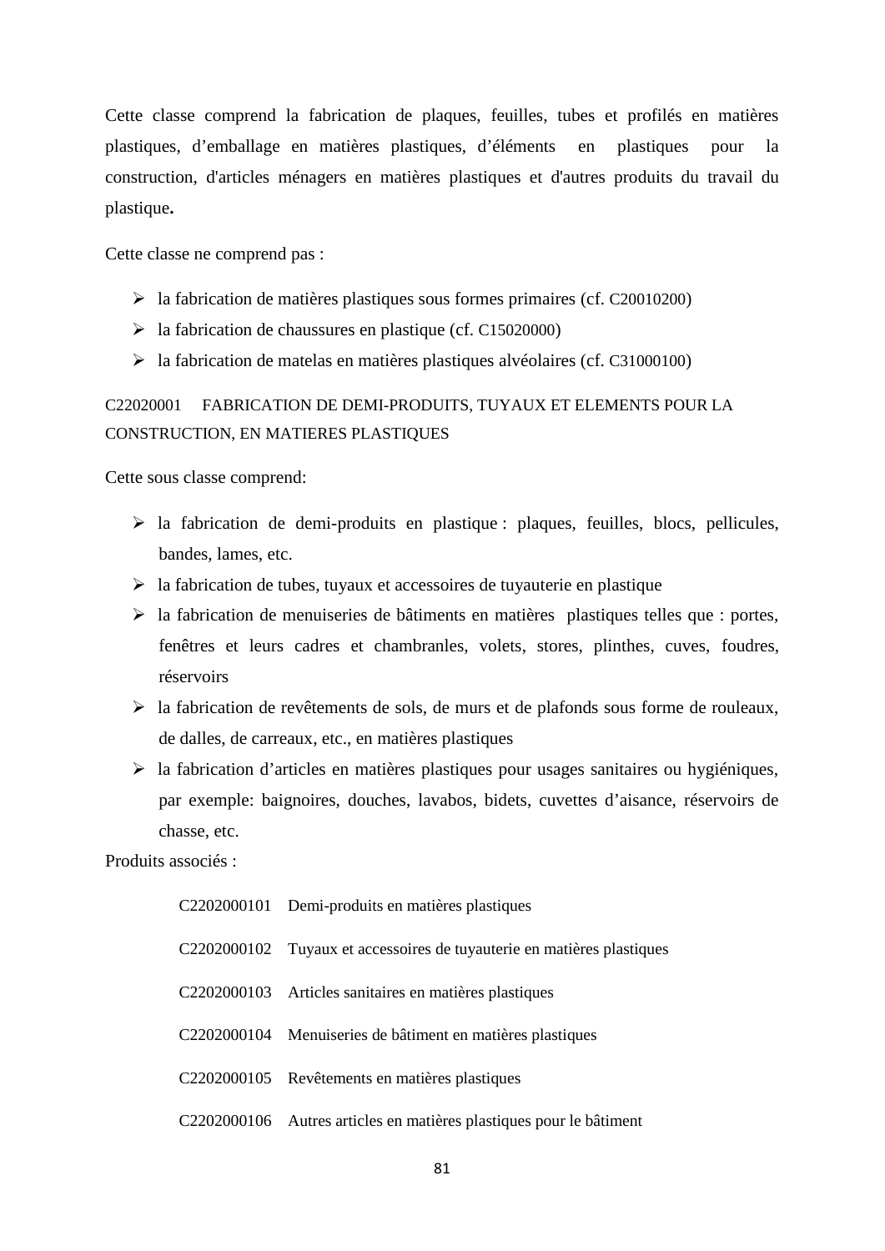Cette classe comprend la fabrication de plaques, feuilles, tubes et profilés en matières plastiques, d'emballage en matières plastiques, d'éléments en plastiques pour la construction, d'articles ménagers en matières plastiques et d'autres produits du travail du plastique**.**

Cette classe ne comprend pas :

- $\blacktriangleright$  la fabrication de matières plastiques sous formes primaires (cf. C20010200)
- $\geq$  la fabrication de chaussures en plastique (cf. C15020000)
- $\blacktriangleright$  la fabrication de matelas en matières plastiques alvéolaires (cf. C31000100)

# C22020001 FABRICATION DE DEMI-PRODUITS, TUYAUX ET ELEMENTS POUR LA CONSTRUCTION, EN MATIERES PLASTIQUES

Cette sous classe comprend:

- $\triangleright$  la fabrication de demi-produits en plastique : plaques, feuilles, blocs, pellicules, bandes, lames, etc.
- $\triangleright$  la fabrication de tubes, tuyaux et accessoires de tuyauterie en plastique
- $\triangleright$  la fabrication de menuiseries de bâtiments en matières plastiques telles que : portes, fenêtres et leurs cadres et chambranles, volets, stores, plinthes, cuves, foudres, réservoirs
- $\triangleright$  la fabrication de revêtements de sols, de murs et de plafonds sous forme de rouleaux, de dalles, de carreaux, etc., en matières plastiques
- $\triangleright$  la fabrication d'articles en matières plastiques pour usages sanitaires ou hygiéniques, par exemple: baignoires, douches, lavabos, bidets, cuvettes d'aisance, réservoirs de chasse, etc.

Produits associés :

| C2202000101 Demi-produits en matières plastiques                       |
|------------------------------------------------------------------------|
| C2202000102 Tuyaux et accessoires de tuyauterie en matières plastiques |
| C2202000103 Articles sanitaires en matières plastiques                 |
| C2202000104 Menuiseries de bâtiment en matières plastiques             |
| C2202000105 Revêtements en matières plastiques                         |
| C2202000106 Autres articles en matières plastiques pour le bâtiment    |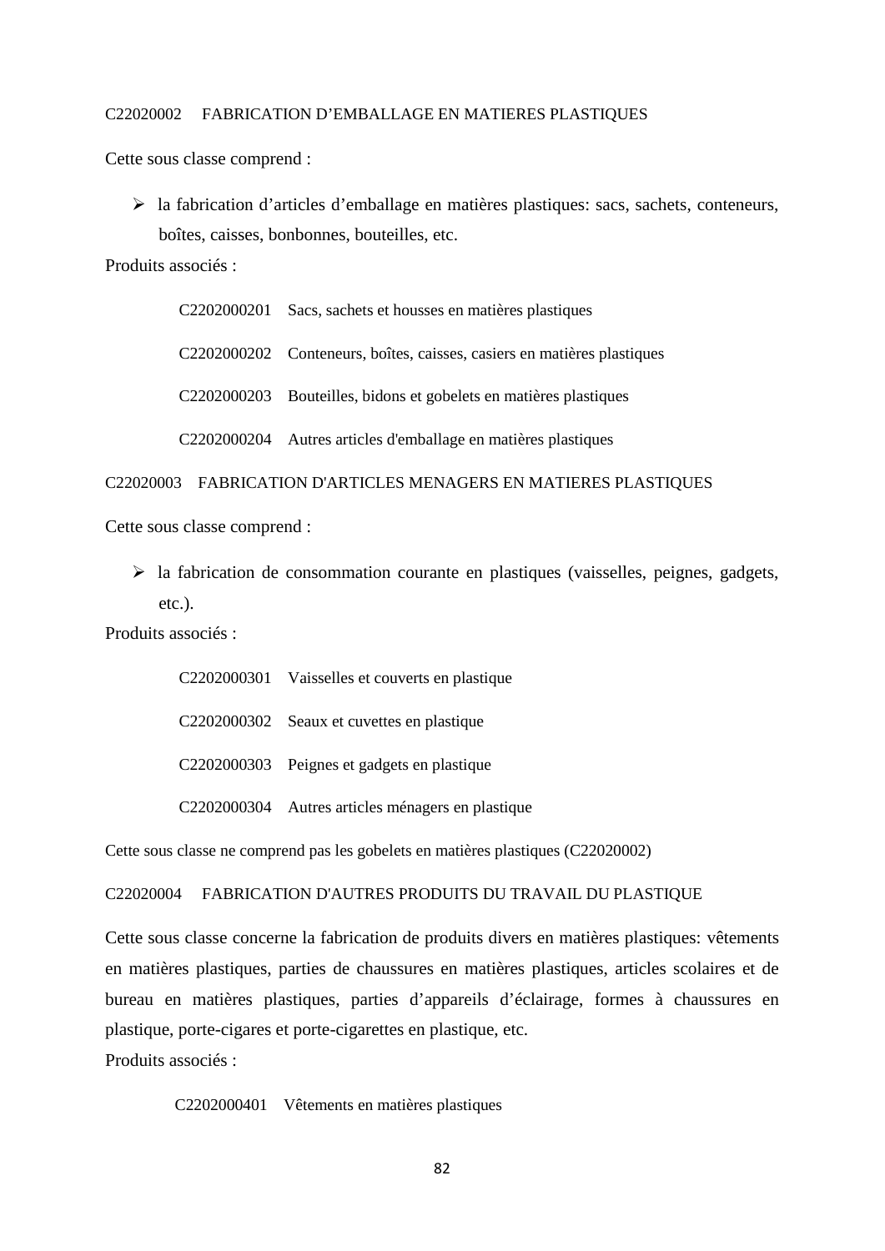### C22020002 FABRICATION D'EMBALLAGE EN MATIERES PLASTIQUES

Cette sous classe comprend :

 $\triangleright$  la fabrication d'articles d'emballage en matières plastiques: sacs, sachets, conteneurs, boîtes, caisses, bonbonnes, bouteilles, etc.

Produits associés :

C2202000201 Sacs, sachets et housses en matières plastiques

C2202000202 Conteneurs, boîtes, caisses, casiers en matières plastiques

C2202000203 Bouteilles, bidons et gobelets en matières plastiques

C2202000204 Autres articles d'emballage en matières plastiques

C22020003 FABRICATION D'ARTICLES MENAGERS EN MATIERES PLASTIQUES

Cette sous classe comprend :

 $\triangleright$  la fabrication de consommation courante en plastiques (vaisselles, peignes, gadgets, etc.).

Produits associés :

C2202000301 Vaisselles et couverts en plastique C2202000302 Seaux et cuvettes en plastique C2202000303 Peignes et gadgets en plastique

C2202000304 Autres articles ménagers en plastique

Cette sous classe ne comprend pas les gobelets en matières plastiques (C22020002)

#### C22020004 FABRICATION D'AUTRES PRODUITS DU TRAVAIL DU PLASTIQUE

Cette sous classe concerne la fabrication de produits divers en matières plastiques: vêtements en matières plastiques, parties de chaussures en matières plastiques, articles scolaires et de bureau en matières plastiques, parties d'appareils d'éclairage, formes à chaussures en plastique, porte-cigares et porte-cigarettes en plastique, etc.

Produits associés :

C2202000401 Vêtements en matières plastiques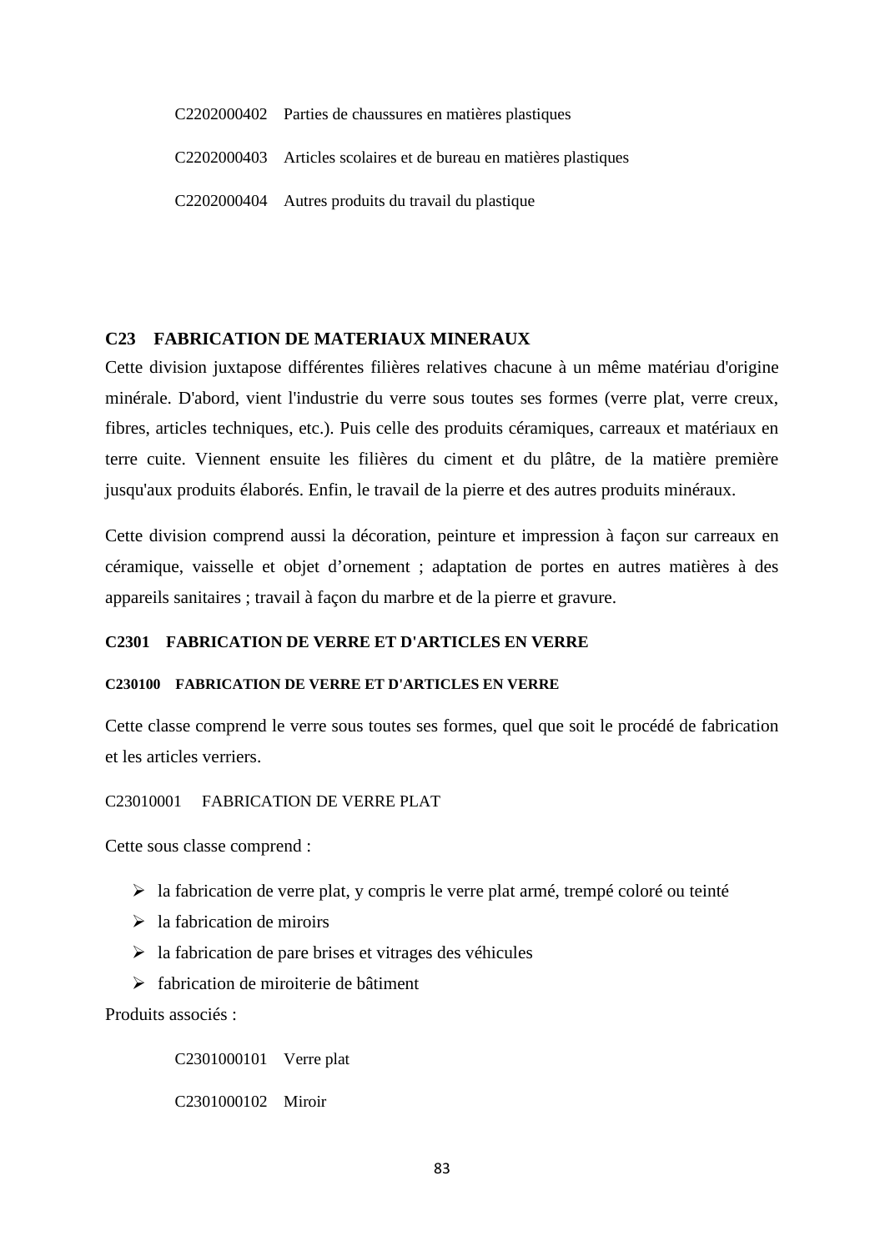- C2202000402 Parties de chaussures en matières plastiques
- C2202000403 Articles scolaires et de bureau en matières plastiques
- C2202000404 Autres produits du travail du plastique

## **C23 FABRICATION DE MATERIAUX MINERAUX**

Cette division juxtapose différentes filières relatives chacune à un même matériau d'origine minérale. D'abord, vient l'industrie du verre sous toutes ses formes (verre plat, verre creux, fibres, articles techniques, etc.). Puis celle des produits céramiques, carreaux et matériaux en terre cuite. Viennent ensuite les filières du ciment et du plâtre, de la matière première jusqu'aux produits élaborés. Enfin, le travail de la pierre et des autres produits minéraux.

Cette division comprend aussi la décoration, peinture et impression à façon sur carreaux en céramique, vaisselle et objet d'ornement ; adaptation de portes en autres matières à des appareils sanitaires ; travail à façon du marbre et de la pierre et gravure.

## **C2301 FABRICATION DE VERRE ET D'ARTICLES EN VERRE**

### **C230100 FABRICATION DE VERRE ET D'ARTICLES EN VERRE**

Cette classe comprend le verre sous toutes ses formes, quel que soit le procédé de fabrication et les articles verriers.

#### C23010001 FABRICATION DE VERRE PLAT

Cette sous classe comprend :

- $\triangleright$  la fabrication de verre plat, y compris le verre plat armé, trempé coloré ou teinté
- $\geq$  la fabrication de miroirs
- $\triangleright$  la fabrication de pare brises et vitrages des véhicules
- fabrication de miroiterie de bâtiment

Produits associés :

C2301000101 Verre plat C2301000102 Miroir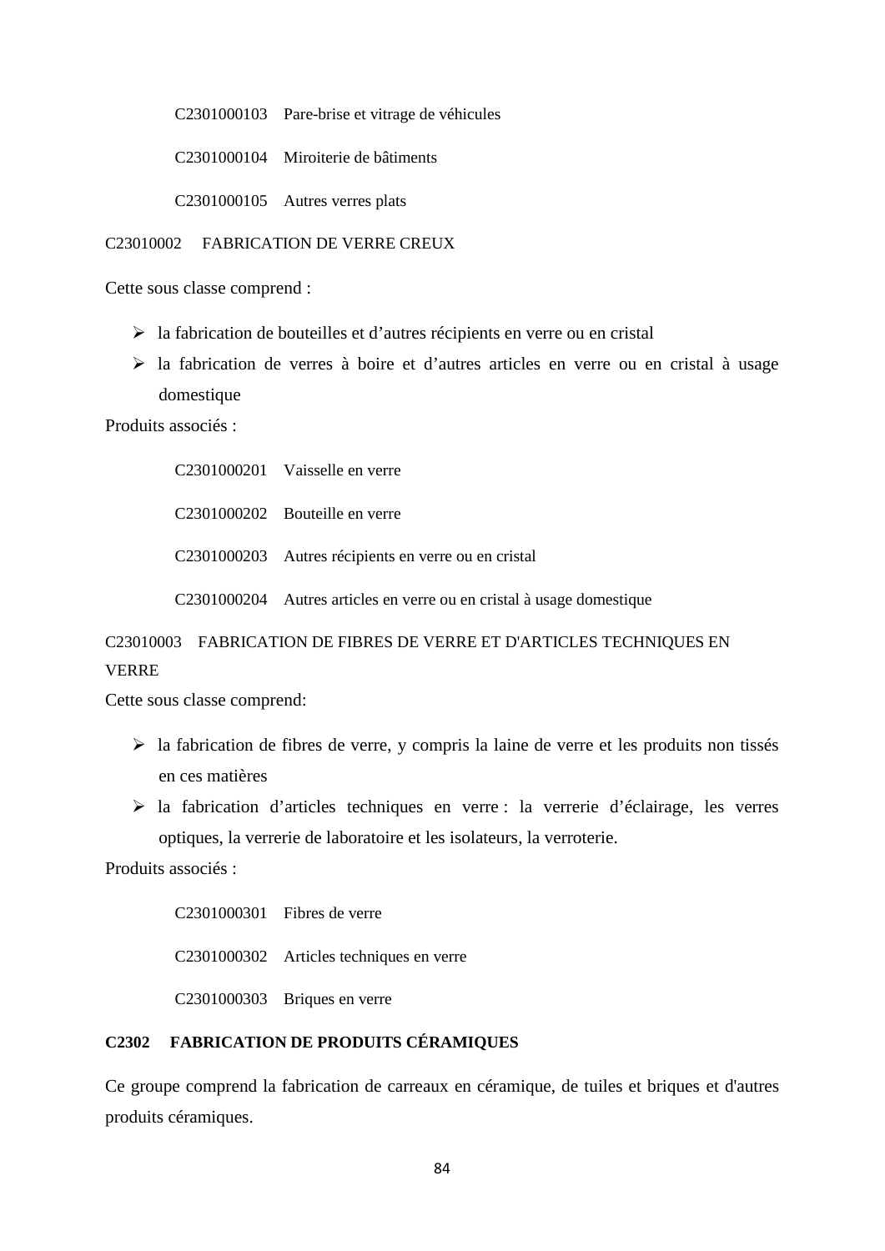C2301000103 Pare-brise et vitrage de véhicules

C2301000104 Miroiterie de bâtiments

C2301000105 Autres verres plats

#### C23010002 FABRICATION DE VERRE CREUX

Cette sous classe comprend :

- la fabrication de bouteilles et d'autres récipients en verre ou en cristal
- la fabrication de verres à boire et d'autres articles en verre ou en cristal à usage domestique

Produits associés :

C2301000201 Vaisselle en verre C2301000202 Bouteille en verre C2301000203 Autres récipients en verre ou en cristal C2301000204 Autres articles en verre ou en cristal à usage domestique

# C23010003 FABRICATION DE FIBRES DE VERRE ET D'ARTICLES TECHNIQUES EN VERRE

Cette sous classe comprend:

- $\triangleright$  la fabrication de fibres de verre, y compris la laine de verre et les produits non tissés en ces matières
- la fabrication d'articles techniques en verre : la verrerie d'éclairage, les verres optiques, la verrerie de laboratoire et les isolateurs, la verroterie.

Produits associés :

C2301000301 Fibres de verre C2301000302 Articles techniques en verre C2301000303 Briques en verre

## **C2302 FABRICATION DE PRODUITS CÉRAMIQUES**

Ce groupe comprend la fabrication de carreaux en céramique, de tuiles et briques et d'autres produits céramiques.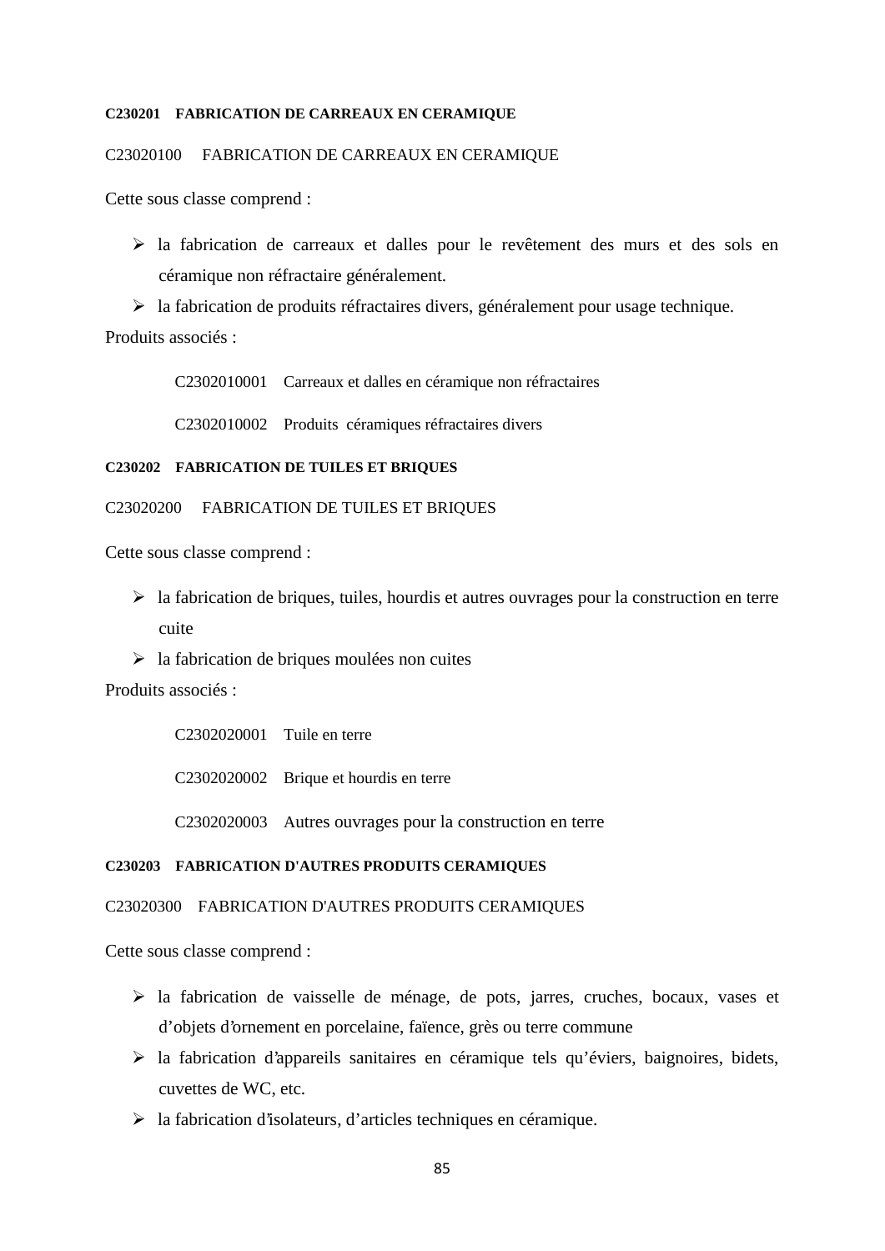#### **C230201 FABRICATION DE CARREAUX EN CERAMIQUE**

#### C23020100 FABRICATION DE CARREAUX EN CERAMIQUE

Cette sous classe comprend :

- la fabrication de carreaux et dalles pour le revêtement des murs et des sols en céramique non réfractaire généralement.
- la fabrication de produits réfractaires divers, généralement pour usage technique.

Produits associés :

C2302010001 Carreaux et dalles en céramique non réfractaires

C2302010002 Produits céramiques réfractaires divers

#### **C230202 FABRICATION DE TUILES ET BRIQUES**

#### C23020200 FABRICATION DE TUILES ET BRIQUES

Cette sous classe comprend :

- $\triangleright$  la fabrication de briques, tuiles, hourdis et autres ouvrages pour la construction en terre cuite
- $\triangleright$  la fabrication de briques moulées non cuites

Produits associés :

C2302020001 Tuile en terre C2302020002 Brique et hourdis en terre

C2302020003 Autres ouvrages pour la construction en terre

## **C230203 FABRICATION D'AUTRES PRODUITS CERAMIQUES**

### C23020300 FABRICATION D'AUTRES PRODUITS CERAMIQUES

- la fabrication de vaisselle de ménage, de pots, jarres, cruches, bocaux, vases et d'objets d'ornement en porcelaine, faïence, grès ou terre commune
- $\triangleright$  la fabrication d'appareils sanitaires en céramique tels qu'éviers, baignoires, bidets, cuvettes de WC, etc.
- la fabrication d'isolateurs, d'articles techniques en céramique.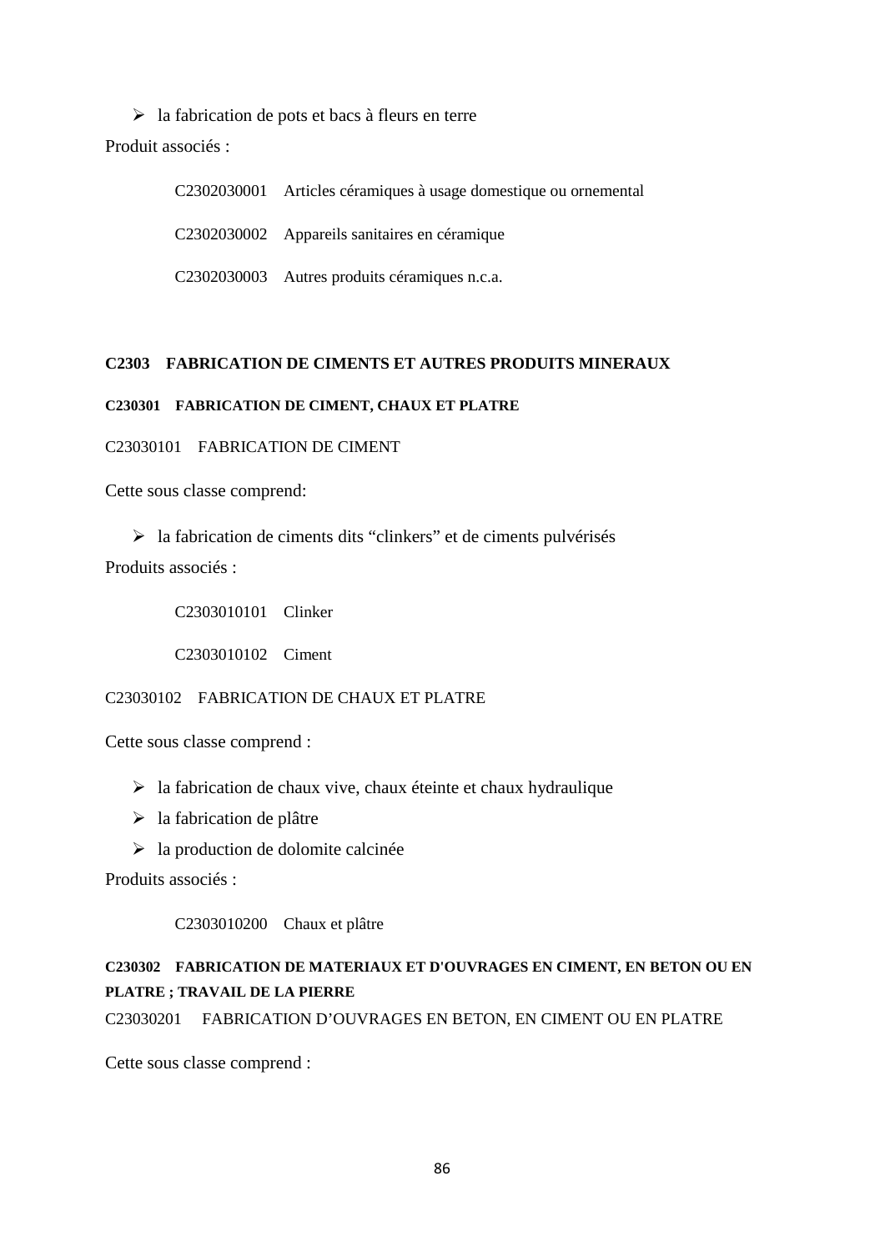$\triangleright$  la fabrication de pots et bacs à fleurs en terre Produit associés :

> C2302030001 Articles céramiques à usage domestique ou ornemental C2302030002 Appareils sanitaires en céramique C2302030003 Autres produits céramiques n.c.a.

## **C2303 FABRICATION DE CIMENTS ET AUTRES PRODUITS MINERAUX**

### **C230301 FABRICATION DE CIMENT, CHAUX ET PLATRE**

C23030101 FABRICATION DE CIMENT

Cette sous classe comprend:

 $\triangleright$  la fabrication de ciments dits "clinkers" et de ciments pulvérisés Produits associés :

C2303010101 Clinker

C2303010102 Ciment

C23030102 FABRICATION DE CHAUX ET PLATRE

Cette sous classe comprend :

- $\triangleright$  la fabrication de chaux vive, chaux éteinte et chaux hydraulique
- $\triangleright$  la fabrication de plâtre
- $\triangleright$  la production de dolomite calcinée

Produits associés :

C2303010200 Chaux et plâtre

# **C230302 FABRICATION DE MATERIAUX ET D'OUVRAGES EN CIMENT, EN BETON OU EN PLATRE ; TRAVAIL DE LA PIERRE**

C23030201 FABRICATION D'OUVRAGES EN BETON, EN CIMENT OU EN PLATRE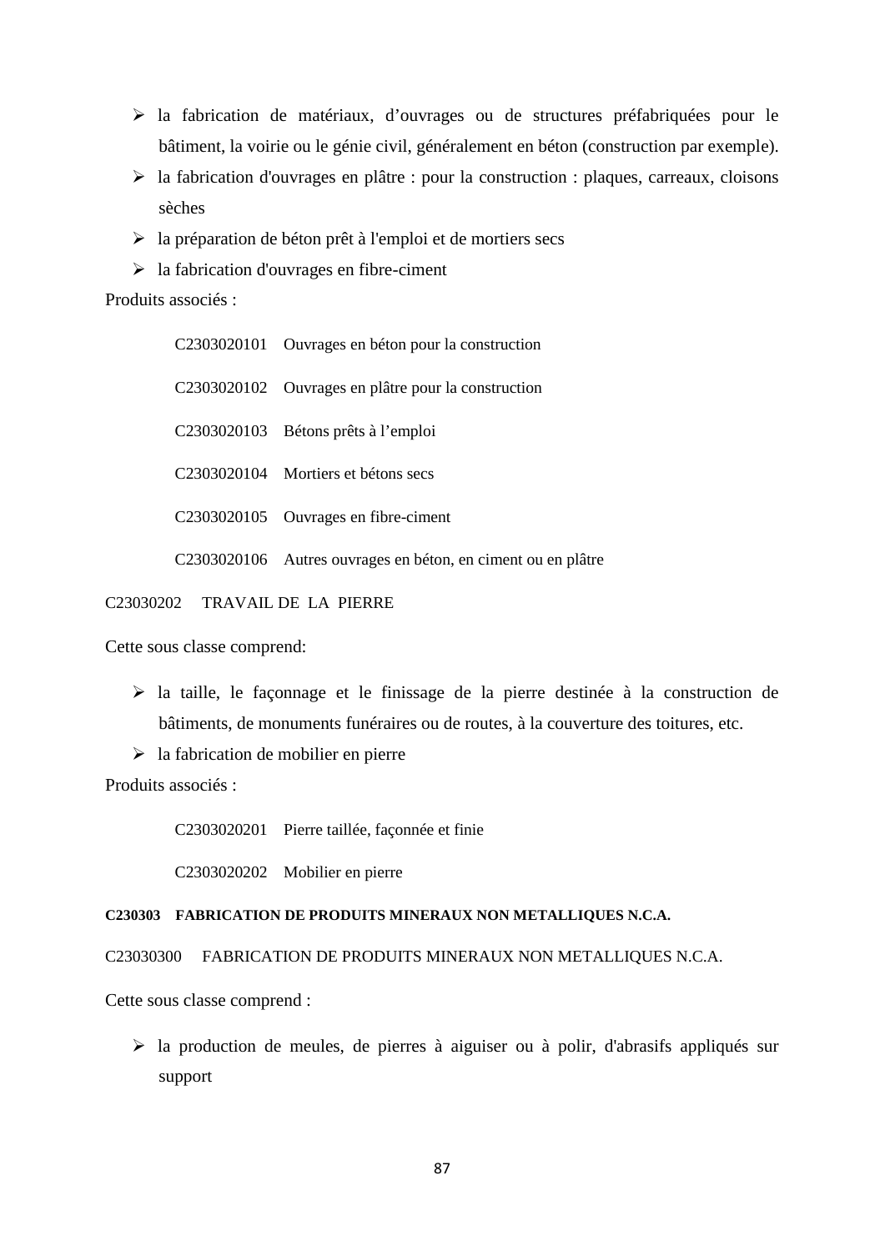- $\triangleright$  la fabrication de matériaux, d'ouvrages ou de structures préfabriquées pour le bâtiment, la voirie ou le génie civil, généralement en béton (construction par exemple).
- la fabrication d'ouvrages en plâtre : pour la construction : plaques, carreaux, cloisons sèches
- $\triangleright$  la préparation de béton prêt à l'emploi et de mortiers secs
- $\geq$ la fabrication d'ouvrages en fibre-ciment

Produits associés :

| C2303020101 Ouvrages en béton pour la construction           |
|--------------------------------------------------------------|
| C2303020102 Ouvrages en plâtre pour la construction          |
| C <sub>2303020103</sub> Bétons prêts à l'emploi              |
| C <sub>2303020104</sub> Mortiers et bétons secs              |
| C2303020105 Ouvrages en fibre-ciment                         |
| C2303020106 Autres ouvrages en béton, en ciment ou en plâtre |

C23030202 TRAVAIL DE LA PIERRE

Cette sous classe comprend:

- la taille, le façonnage et le finissage de la pierre destinée à la construction de bâtiments, de monuments funéraires ou de routes, à la couverture des toitures, etc.
- $\triangleright$  la fabrication de mobilier en pierre

Produits associés :

C2303020201 Pierre taillée, façonnée et finie

C2303020202 Mobilier en pierre

#### **C230303 FABRICATION DE PRODUITS MINERAUX NON METALLIQUES N.C.A.**

C23030300 FABRICATION DE PRODUITS MINERAUX NON METALLIQUES N.C.A.

Cette sous classe comprend :

 $\triangleright$  la production de meules, de pierres à aiguiser ou à polir, d'abrasifs appliqués sur support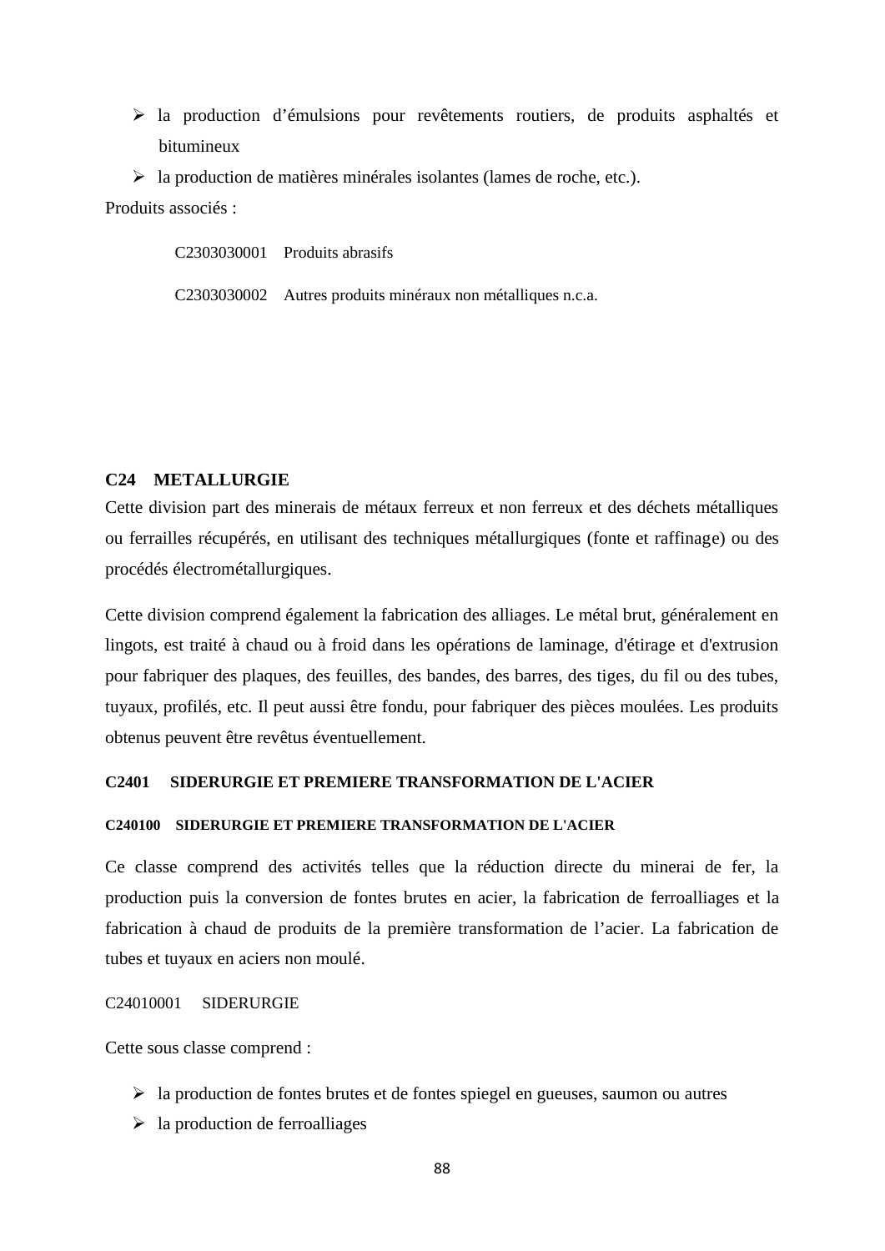- la production d'émulsions pour revêtements routiers, de produits asphaltés et bitumineux
- $\triangleright$  la production de matières minérales isolantes (lames de roche, etc.).

Produits associés :

C2303030001 Produits abrasifs

C2303030002 Autres produits minéraux non métalliques n.c.a.

## **C24 METALLURGIE**

Cette division part des minerais de métaux ferreux et non ferreux et des déchets métalliques ou ferrailles récupérés, en utilisant des techniques métallurgiques (fonte et raffinage) ou des procédés électrométallurgiques.

Cette division comprend également la fabrication des alliages. Le métal brut, généralement en lingots, est traité à chaud ou à froid dans les opérations de laminage, d'étirage et d'extrusion pour fabriquer des plaques, des feuilles, des bandes, des barres, des tiges, du fil ou des tubes, tuyaux, profilés, etc. Il peut aussi être fondu, pour fabriquer des pièces moulées. Les produits obtenus peuvent être revêtus éventuellement.

## **C2401 SIDERURGIE ET PREMIERE TRANSFORMATION DE L'ACIER**

### **C240100 SIDERURGIE ET PREMIERE TRANSFORMATION DE L'ACIER**

Ce classe comprend des activités telles que la réduction directe du minerai de fer, la production puis la conversion de fontes brutes en acier, la fabrication de ferroalliages et la fabrication à chaud de produits de la première transformation de l'acier. La fabrication de tubes et tuyaux en aciers non moulé.

#### C24010001 SIDERURGIE

- $\triangleright$  la production de fontes brutes et de fontes spiegel en gueuses, saumon ou autres
- $\geq$  la production de ferroalliages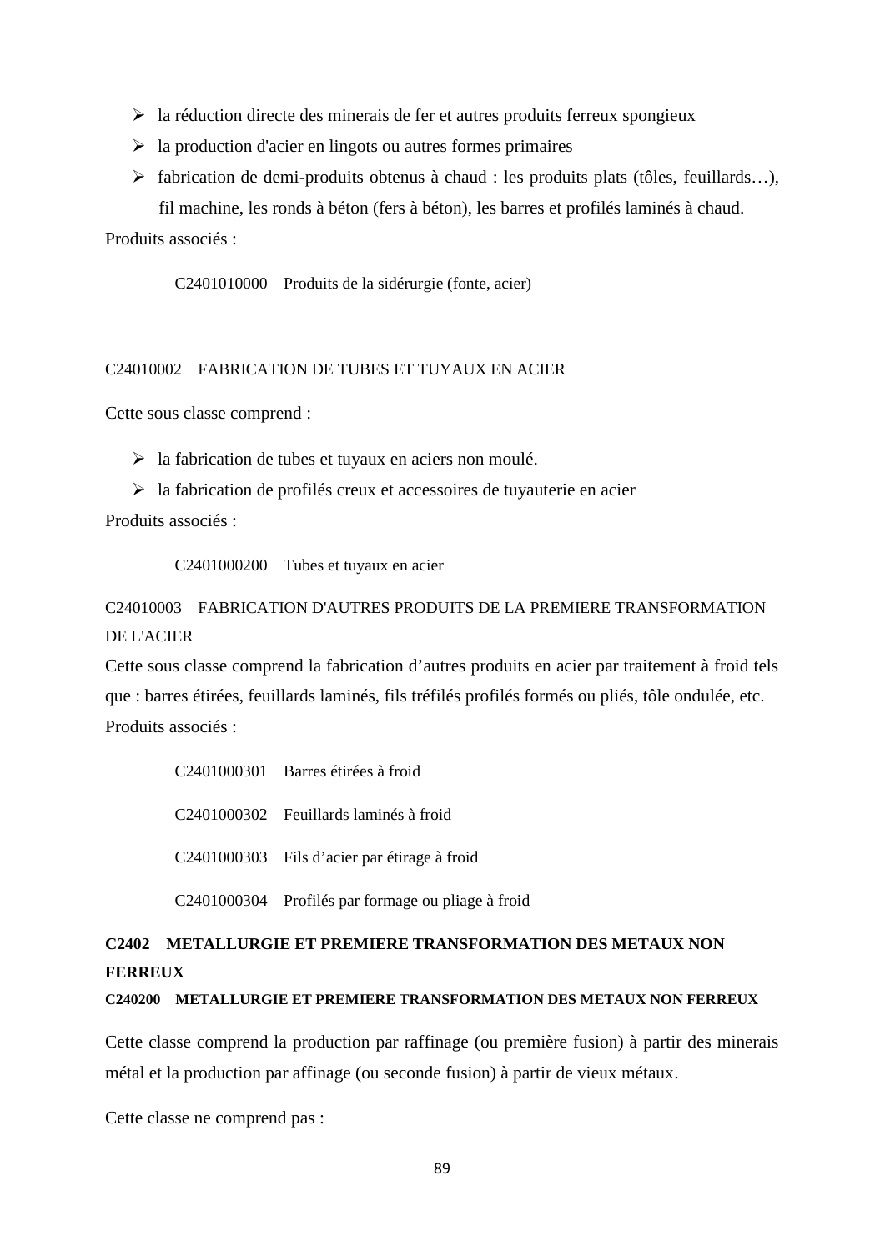- $\triangleright$  la réduction directe des minerais de fer et autres produits ferreux spongieux
- $\triangleright$  la production d'acier en lingots ou autres formes primaires
- $\triangleright$  fabrication de demi-produits obtenus à chaud : les produits plats (tôles, feuillards...),

fil machine, les ronds à béton (fers à béton), les barres et profilés laminés à chaud.

Produits associés :

C2401010000 Produits de la sidérurgie (fonte, acier)

## C24010002 FABRICATION DE TUBES ET TUYAUX EN ACIER

Cette sous classe comprend :

 $\triangleright$  la fabrication de tubes et tuyaux en aciers non moulé.

 $\triangleright$  la fabrication de profilés creux et accessoires de tuyauterie en acier

Produits associés :

C2401000200 Tubes et tuyaux en acier

# C24010003 FABRICATION D'AUTRES PRODUITS DE LA PREMIERE TRANSFORMATION DE L'ACIER

Cette sous classe comprend la fabrication d'autres produits en acier par traitement à froid tels que : barres étirées, feuillards laminés, fils tréfilés profilés formés ou pliés, tôle ondulée, etc. Produits associés :

| C2401000301 Barres étirées à froid                 |
|----------------------------------------------------|
| C <sub>2401000302</sub> Feuillards laminés à froid |
| C2401000303 Fils d'acier par étirage à froid       |
| C2401000304 Profilés par formage ou pliage à froid |

# **C2402 METALLURGIE ET PREMIERE TRANSFORMATION DES METAUX NON FERREUX**

## **C240200 METALLURGIE ET PREMIERE TRANSFORMATION DES METAUX NON FERREUX**

Cette classe comprend la production par raffinage (ou première fusion) à partir des minerais métal et la production par affinage (ou seconde fusion) à partir de vieux métaux.

Cette classe ne comprend pas :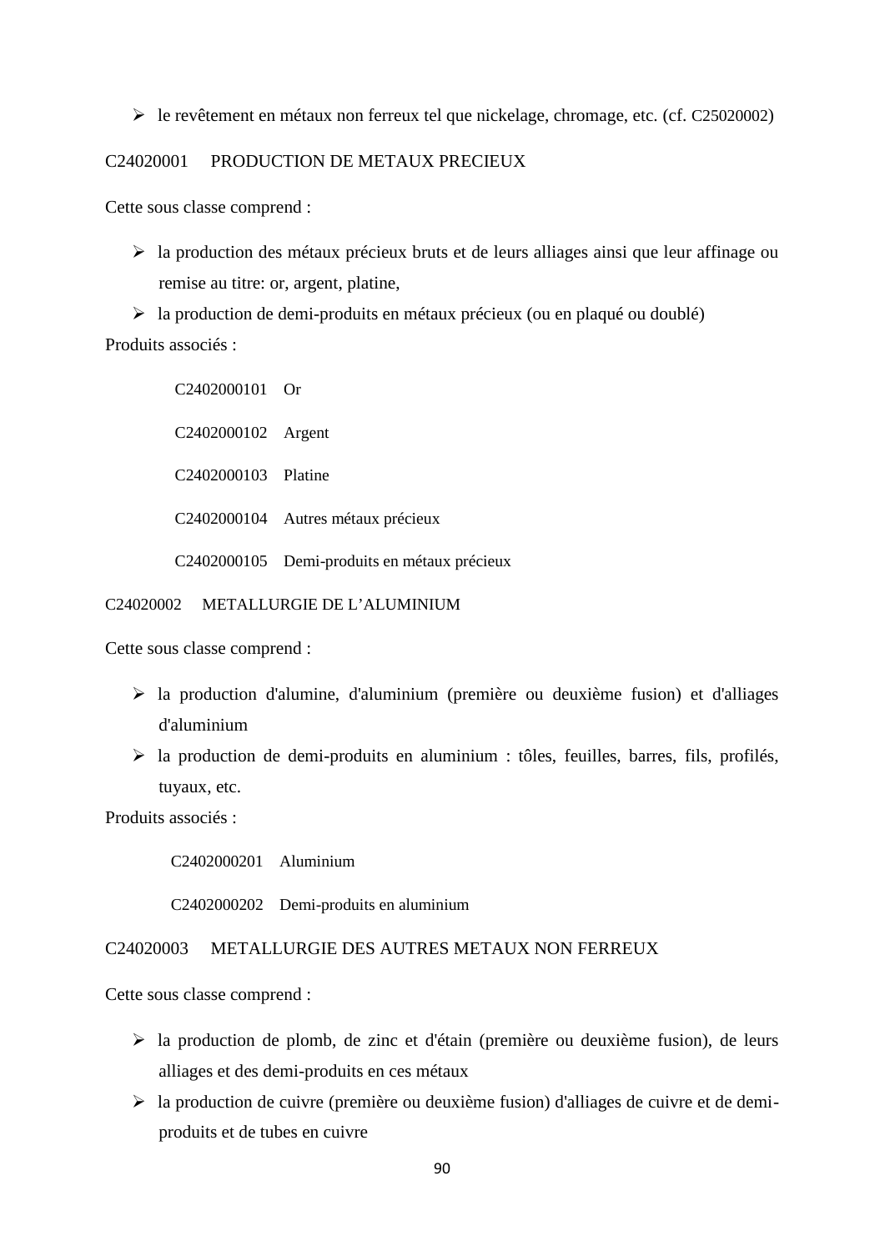$\triangleright$  le revêtement en métaux non ferreux tel que nickelage, chromage, etc. (cf. C25020002)

## C24020001 PRODUCTION DE METAUX PRECIEUX

Cette sous classe comprend :

 la production des métaux précieux bruts et de leurs alliages ainsi que leur affinage ou remise au titre: or, argent, platine,

 $\triangleright$  la production de demi-produits en métaux précieux (ou en plaqué ou doublé) Produits associés :

> C2402000101 Or C2402000102 Argent C2402000103 Platine C2402000104 Autres métaux précieux C2402000105 Demi-produits en métaux précieux

### C24020002 METALLURGIE DE L'ALUMINIUM

Cette sous classe comprend :

- la production d'alumine, d'aluminium (première ou deuxième fusion) et d'alliages d'aluminium
- $\triangleright$  la production de demi-produits en aluminium : tôles, feuilles, barres, fils, profilés, tuyaux, etc.

Produits associés :

C2402000201 Aluminium

C2402000202 Demi-produits en aluminium

## C24020003 METALLURGIE DES AUTRES METAUX NON FERREUX

- la production de plomb, de zinc et d'étain (première ou deuxième fusion), de leurs alliages et des demi-produits en ces métaux
- la production de cuivre (première ou deuxième fusion) d'alliages de cuivre et de demi produits et de tubes en cuivre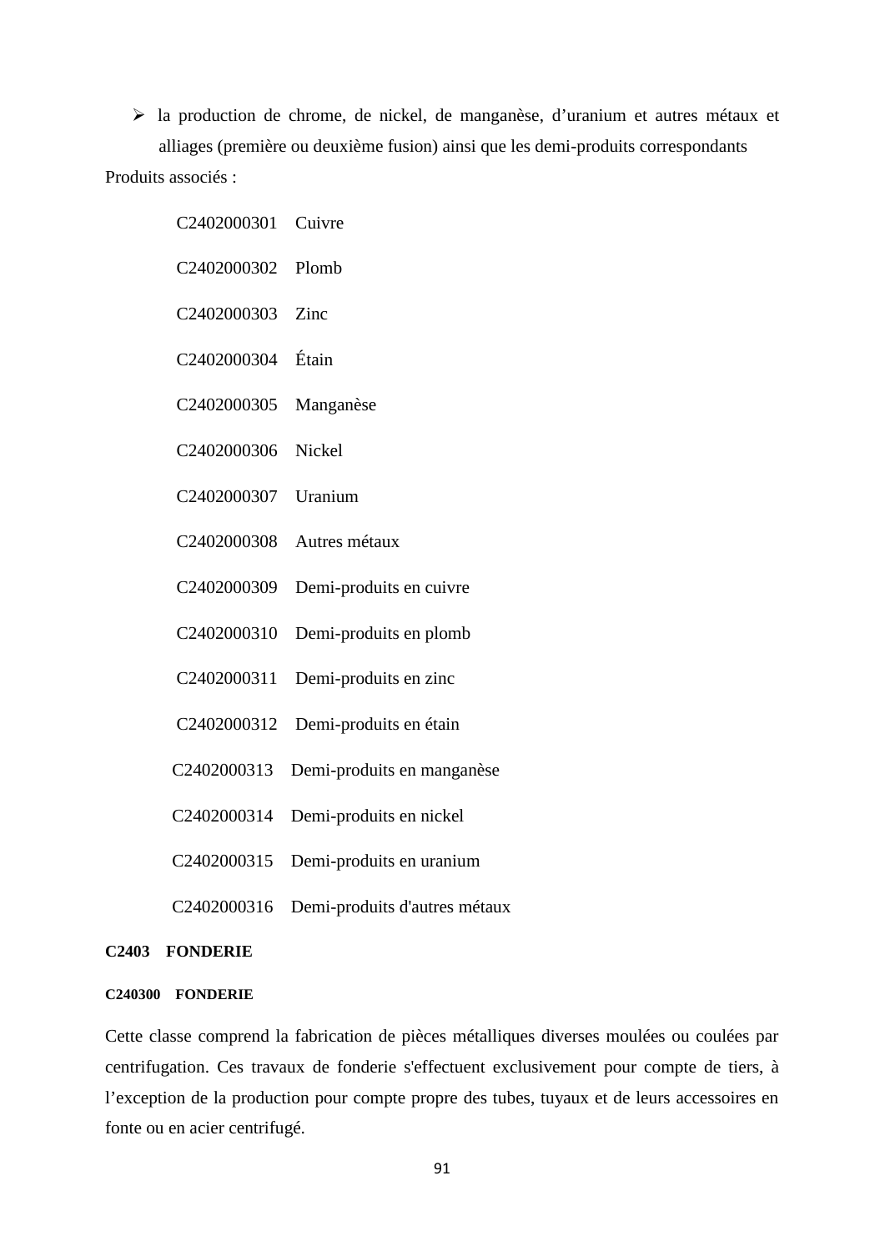la production de chrome, de nickel, de manganèse, d'uranium et autres métaux et alliages (première ou deuxième fusion) ainsi que les demi-produits correspondants Produits associés :

| C2402000301             | Cuivre                     |
|-------------------------|----------------------------|
| C2402000302             | Plomb                      |
| C2402000303             | Zinc                       |
| C2402000304             | Étain                      |
| C2402000305             | Manganèse                  |
| C2402000306             | <b>Nickel</b>              |
| C2402000307             | Uranium                    |
| C2402000308             | Autres métaux              |
| C2402000309             | Demi-produits en cuivre    |
| C2402000310             | Demi-produits en plomb     |
| C <sub>2402000311</sub> | Demi-produits en zinc      |
| C2402000312             | Demi-produits en étain     |
| C2402000313             | Demi-produits en manganèse |
| C2402000314             | Demi-produits en nickel    |
| C2402000315             | Demi-produits en uranium   |

C2402000316 Demi-produits d'autres métaux

## **C2403 FONDERIE**

### **C240300 FONDERIE**

Cette classe comprend la fabrication de pièces métalliques diverses moulées ou coulées par centrifugation. Ces travaux de fonderie s'effectuent exclusivement pour compte de tiers, à l'exception de la production pour compte propre des tubes, tuyaux et de leurs accessoires en fonte ou en acier centrifugé.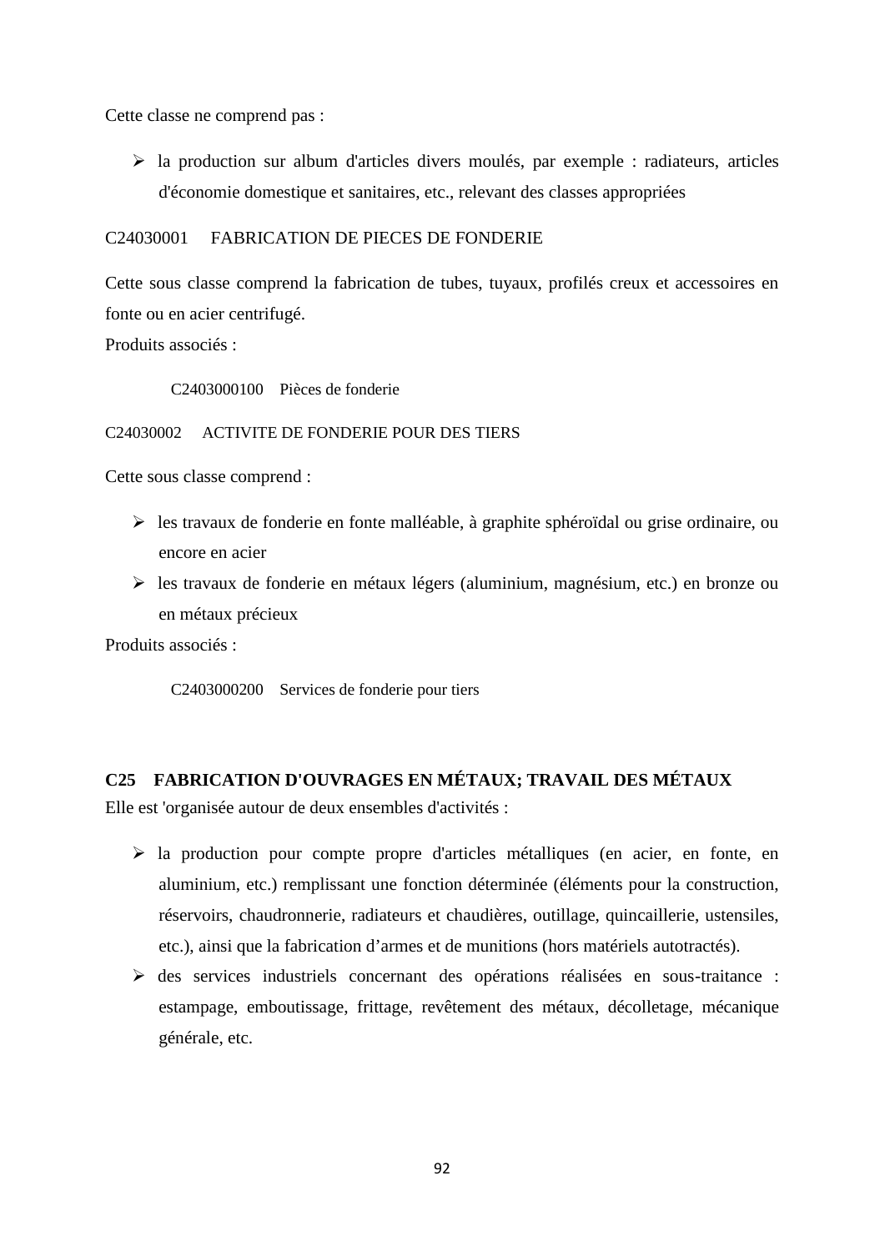Cette classe ne comprend pas :

 $\triangleright$  la production sur album d'articles divers moulés, par exemple : radiateurs, articles d'économie domestique et sanitaires, etc., relevant des classes appropriées

## C24030001 FABRICATION DE PIECES DE FONDERIE

Cette sous classe comprend la fabrication de tubes, tuyaux, profilés creux et accessoires en fonte ou en acier centrifugé.

Produits associés :

C2403000100 Pièces de fonderie

## C24030002 ACTIVITE DE FONDERIE POUR DES TIERS

Cette sous classe comprend :

- $\triangleright$  les travaux de fonderie en fonte malléable, à graphite sphéroïdal ou grise ordinaire, ou encore en acier
- les travaux de fonderie en métaux légers (aluminium, magnésium, etc.) en bronze ou en métaux précieux

Produits associés :

C2403000200 Services de fonderie pour tiers

# **C25 FABRICATION D'OUVRAGES EN MÉTAUX; TRAVAIL DES MÉTAUX**

Elle est 'organisée autour de deux ensembles d'activités :

- $\triangleright$  la production pour compte propre d'articles métalliques (en acier, en fonte, en aluminium, etc.) remplissant une fonction déterminée (éléments pour la construction, réservoirs, chaudronnerie, radiateurs et chaudières, outillage, quincaillerie, ustensiles, etc.), ainsi que la fabrication d'armes et de munitions (hors matériels autotractés).
- des services industriels concernant des opérations réalisées en sous-traitance : estampage, emboutissage, frittage, revêtement des métaux, décolletage, mécanique générale, etc.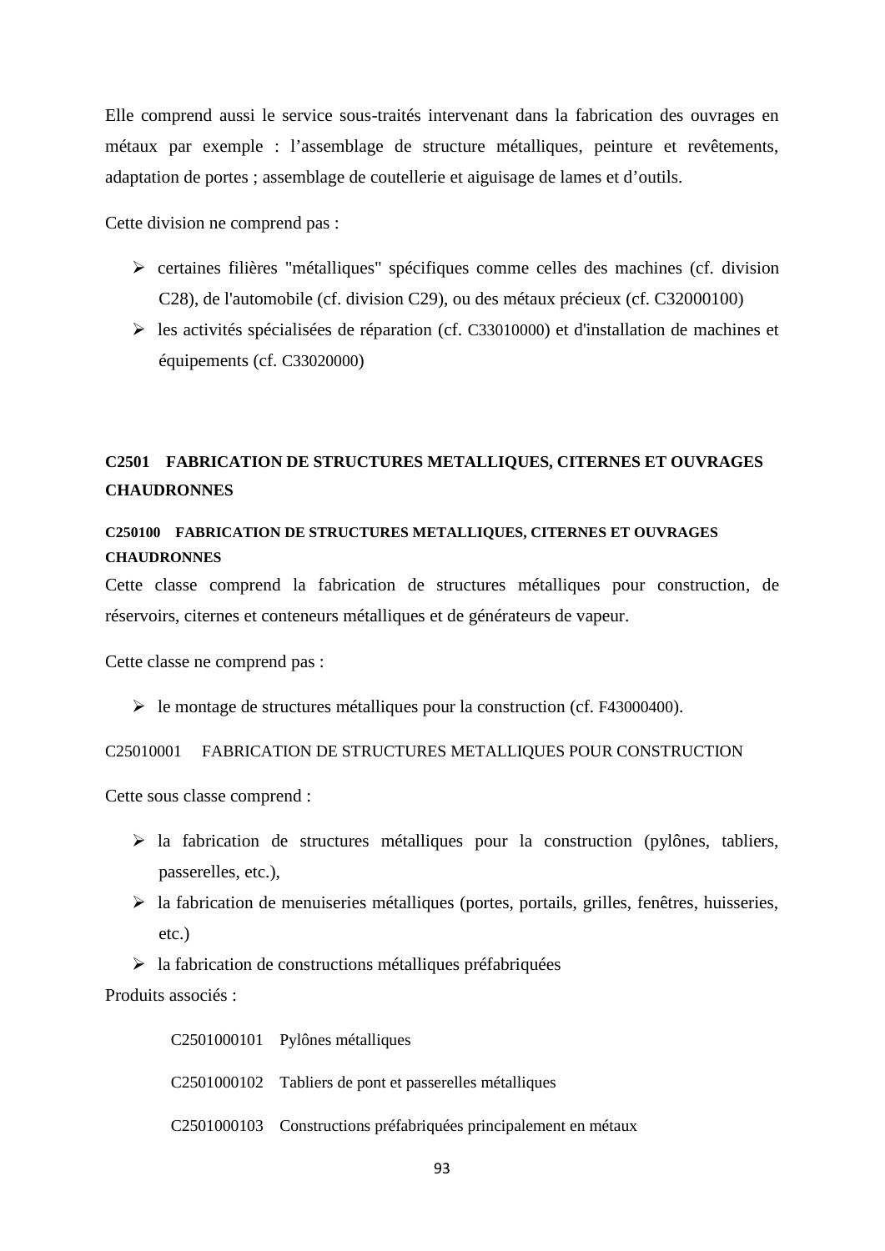Elle comprend aussi le service sous-traités intervenant dans la fabrication des ouvrages en métaux par exemple : l'assemblage de structure métalliques, peinture et revêtements, adaptation de portes ; assemblage de coutellerie et aiguisage de lames et d'outils.

Cette division ne comprend pas :

- certaines filières "métalliques" spécifiques comme celles des machines (cf. division C28), de l'automobile (cf. division C29), ou des métaux précieux (cf. C32000100)
- $\triangleright$  les activités spécialisées de réparation (cf. C33010000) et d'installation de machines et équipements (cf. C33020000)

# **C2501 FABRICATION DE STRUCTURES METALLIQUES, CITERNES ET OUVRAGES CHAUDRONNES**

# **C250100 FABRICATION DE STRUCTURES METALLIQUES, CITERNES ET OUVRAGES CHAUDRONNES**

Cette classe comprend la fabrication de structures métalliques pour construction, de réservoirs, citernes et conteneurs métalliques et de générateurs de vapeur.

Cette classe ne comprend pas :

le montage de structures métalliques pour la construction (cf. F43000400).

### C25010001 FABRICATION DE STRUCTURES METALLIQUES POUR CONSTRUCTION

Cette sous classe comprend :

- $\triangleright$  la fabrication de structures métalliques pour la construction (pylônes, tabliers, passerelles, etc.),
- $\triangleright$  la fabrication de menuiseries métalliques (portes, portails, grilles, fenêtres, huisseries, etc.)
- $\triangleright$  la fabrication de constructions métalliques préfabriquées

Produits associés :

C2501000101 Pylônes métalliques C2501000102 Tabliers de pont et passerelles métalliques C2501000103 Constructions préfabriquées principalement en métaux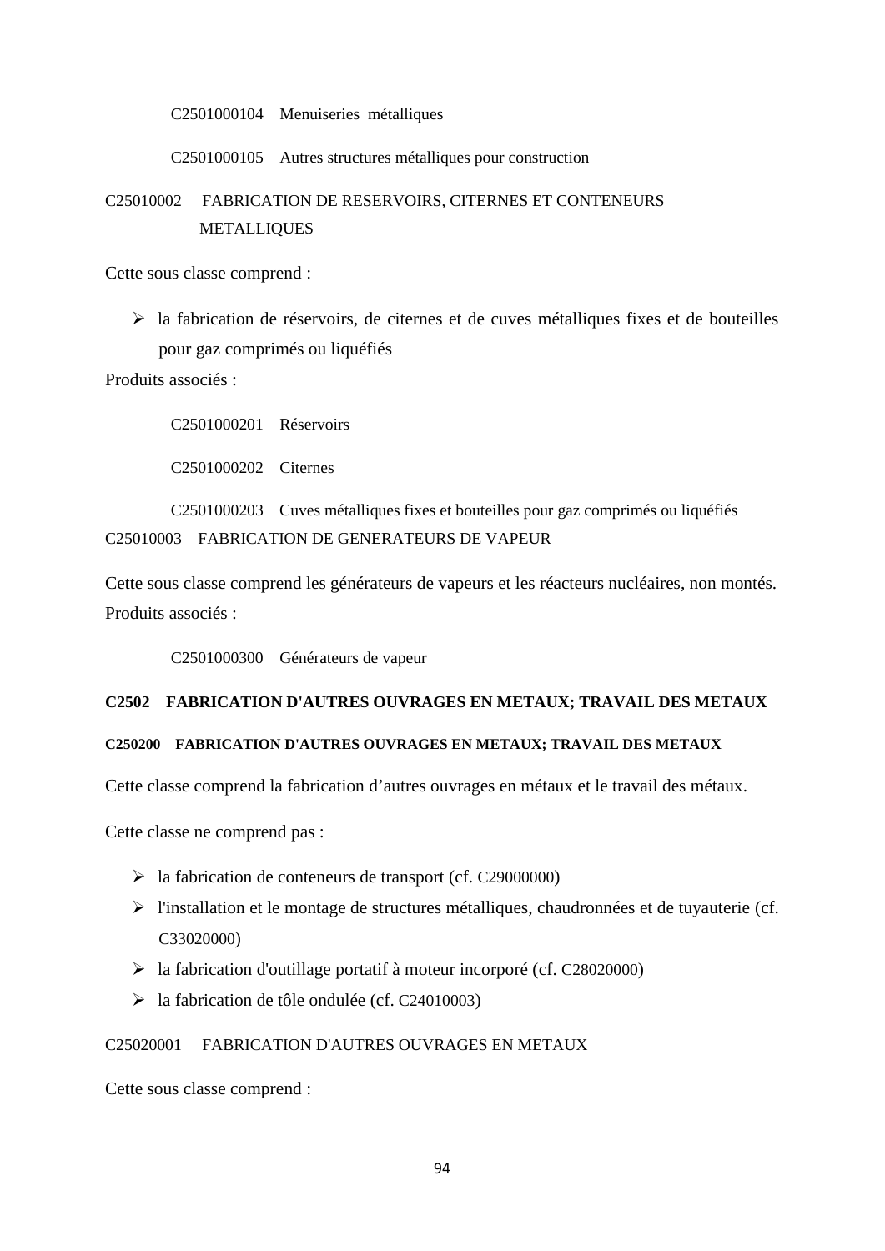C2501000104 Menuiseries métalliques

C2501000105 Autres structures métalliques pour construction

# C25010002 FABRICATION DE RESERVOIRS, CITERNES ET CONTENEURS METALLIQUES

Cette sous classe comprend :

 $\triangleright$  la fabrication de réservoirs, de citernes et de cuves métalliques fixes et de bouteilles pour gaz comprimés ou liquéfiés

Produits associés :

C2501000201 Réservoirs

C2501000202 Citernes

C2501000203 Cuves métalliques fixes et bouteilles pour gaz comprimés ou liquéfiés C25010003 FABRICATION DE GENERATEURS DE VAPEUR

Cette sous classe comprend les générateurs de vapeurs et les réacteurs nucléaires, non montés. Produits associés :

C2501000300 Générateurs de vapeur

## **C2502 FABRICATION D'AUTRES OUVRAGES EN METAUX; TRAVAIL DES METAUX**

### **C250200 FABRICATION D'AUTRES OUVRAGES EN METAUX; TRAVAIL DES METAUX**

Cette classe comprend la fabrication d'autres ouvrages en métaux et le travail des métaux.

Cette classe ne comprend pas :

- la fabrication de conteneurs de transport (cf. C29000000)
- l'installation et le montage de structures métalliques, chaudronnées et de tuyauterie (cf. C33020000)
- $\blacktriangleright$  la fabrication d'outillage portatif à moteur incorporé (cf. C28020000)
- $\blacktriangleright$  la fabrication de tôle ondulée (cf. C24010003)

## C25020001 FABRICATION D'AUTRES OUVRAGES EN METAUX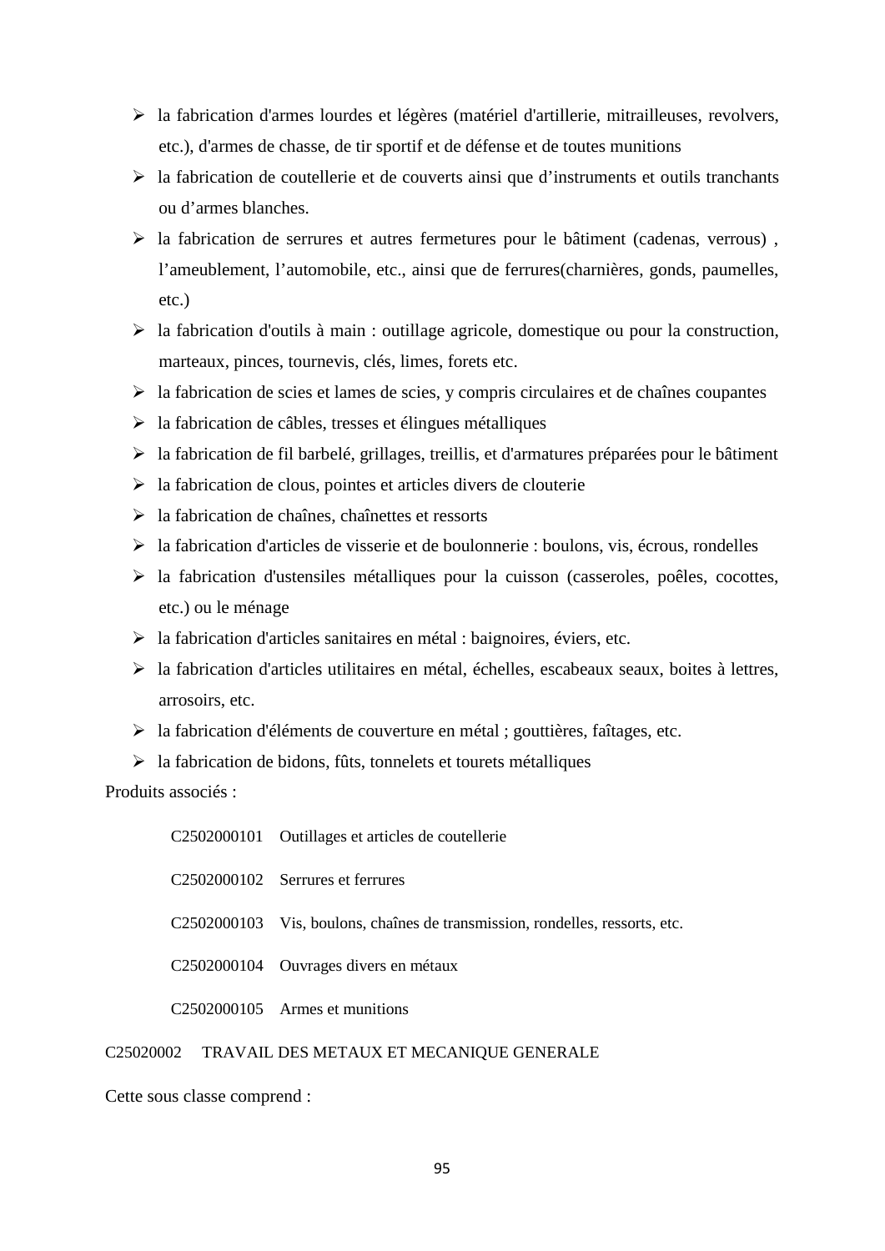- la fabrication d'armes lourdes et légères (matériel d'artillerie, mitrailleuses, revolvers, etc.), d'armes de chasse, de tir sportif et de défense et de toutes munitions
- $\triangleright$  la fabrication de coutellerie et de couverts ainsi que d'instruments et outils tranchants ou d'armes blanches.
- $\triangleright$  la fabrication de serrures et autres fermetures pour le bâtiment (cadenas, verrous), l'ameublement, l'automobile, etc., ainsi que de ferrures(charnières, gonds, paumelles, etc.)
- $\triangleright$  la fabrication d'outils à main : outillage agricole, domestique ou pour la construction, marteaux, pinces, tournevis, clés, limes, forets etc.
- $\triangleright$  la fabrication de scies et lames de scies, y compris circulaires et de chaînes coupantes
- $\triangleright$  la fabrication de câbles, tresses et élingues métalliques
- $\triangleright$  la fabrication de fil barbelé, grillages, treillis, et d'armatures préparées pour le bâtiment
- $\geq$  la fabrication de clous, pointes et articles divers de clouterie
- $\triangleright$  la fabrication de chaînes, chaînettes et ressorts
- $\triangleright$  la fabrication d'articles de visserie et de boulonnerie : boulons, vis, écrous, rondelles
- $\triangleright$  la fabrication d'ustensiles métalliques pour la cuisson (casseroles, poêles, cocottes, etc.) ou le ménage
- $\triangleright$  la fabrication d'articles sanitaires en métal : baignoires, éviers, etc.
- la fabrication d'articles utilitaires en métal, échelles, escabeaux seaux, boites à lettres, arrosoirs, etc.
- la fabrication d'éléments de couverture en métal ; gouttières, faîtages, etc.
- $\triangleright$  la fabrication de bidons, fûts, tonnelets et tourets métalliques

Produits associés :

C2502000101 Outillages et articles de coutellerie C2502000102 Serrures et ferrures C2502000103 Vis, boulons, chaînes de transmission, rondelles, ressorts, etc. C2502000104 Ouvrages divers en métaux C2502000105 Armes et munitions

## C25020002 TRAVAIL DES METAUX ET MECANIQUE GENERALE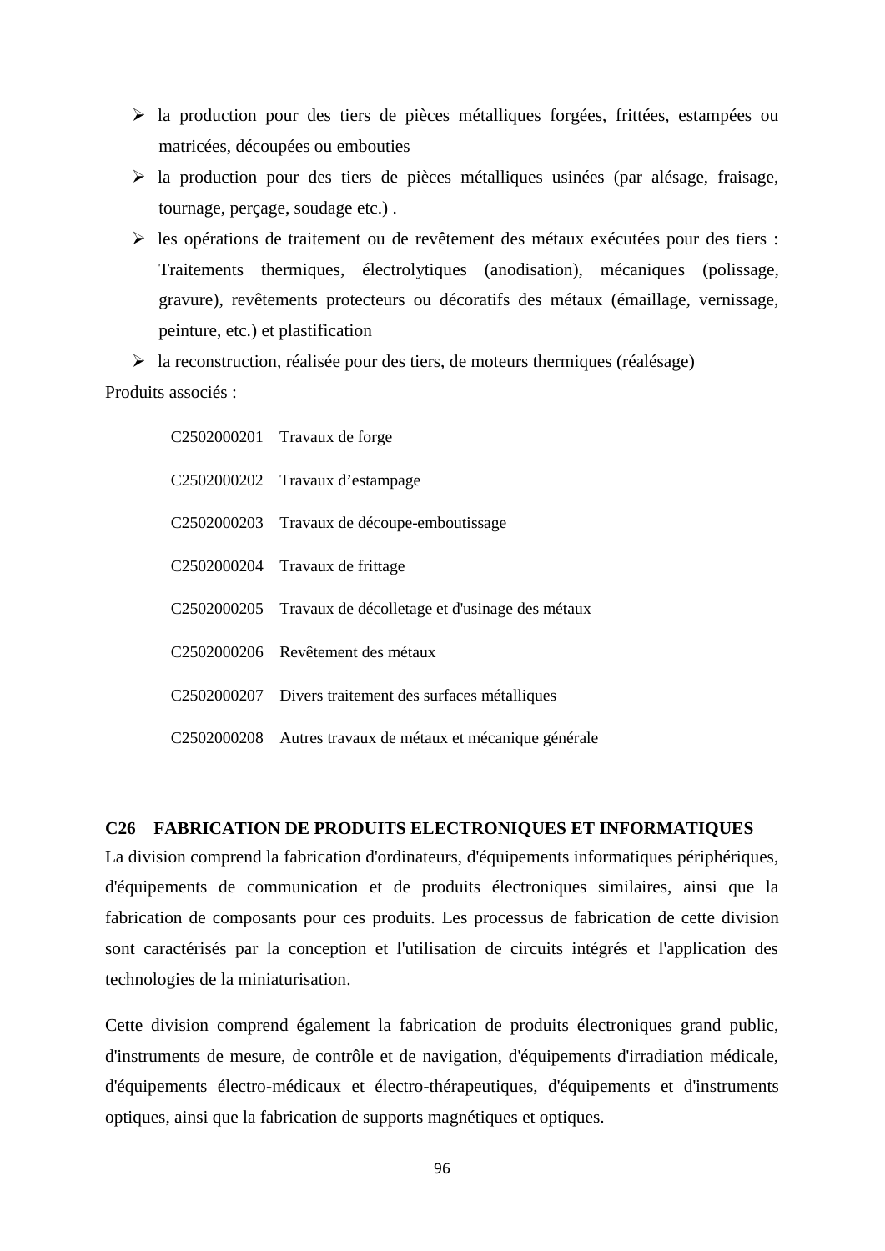- la production pour des tiers de pièces métalliques forgées, frittées, estampées ou matricées, découpées ou embouties
- $\triangleright$  la production pour des tiers de pièces métalliques usinées (par alésage, fraisage, tournage, perçage, soudage etc.) .
- les opérations de traitement ou de revêtement des métaux exécutées pour des tiers : Traitements thermiques, électrolytiques (anodisation), mécaniques (polissage, gravure), revêtements protecteurs ou décoratifs des métaux (émaillage, vernissage, peinture, etc.) et plastification
- $\triangleright$  la reconstruction, réalisée pour des tiers, de moteurs thermiques (réalésage)

Produits associés :

| C2502000201 Travaux de forge                               |
|------------------------------------------------------------|
| C2502000202 Travaux d'estampage                            |
| C2502000203 Travaux de découpe-emboutissage                |
| C2502000204 Travaux de frittage                            |
| C2502000205 Travaux de décolletage et d'usinage des métaux |
| C2502000206 Revêtement des métaux                          |
| C2502000207 Divers traitement des surfaces métalliques     |
| C2502000208 Autres travaux de métaux et mécanique générale |

# **C26 FABRICATION DE PRODUITS ELECTRONIQUES ET INFORMATIQUES**

La division comprend la fabrication d'ordinateurs, d'équipements informatiques périphériques, d'équipements de communication et de produits électroniques similaires, ainsi que la fabrication de composants pour ces produits. Les processus de fabrication de cette division sont caractérisés par la conception et l'utilisation de circuits intégrés et l'application des technologies de la miniaturisation.

Cette division comprend également la fabrication de produits électroniques grand public, d'instruments de mesure, de contrôle et de navigation, d'équipements d'irradiation médicale, d'équipements électro-médicaux et électro-thérapeutiques, d'équipements et d'instruments optiques, ainsi que la fabrication de supports magnétiques et optiques.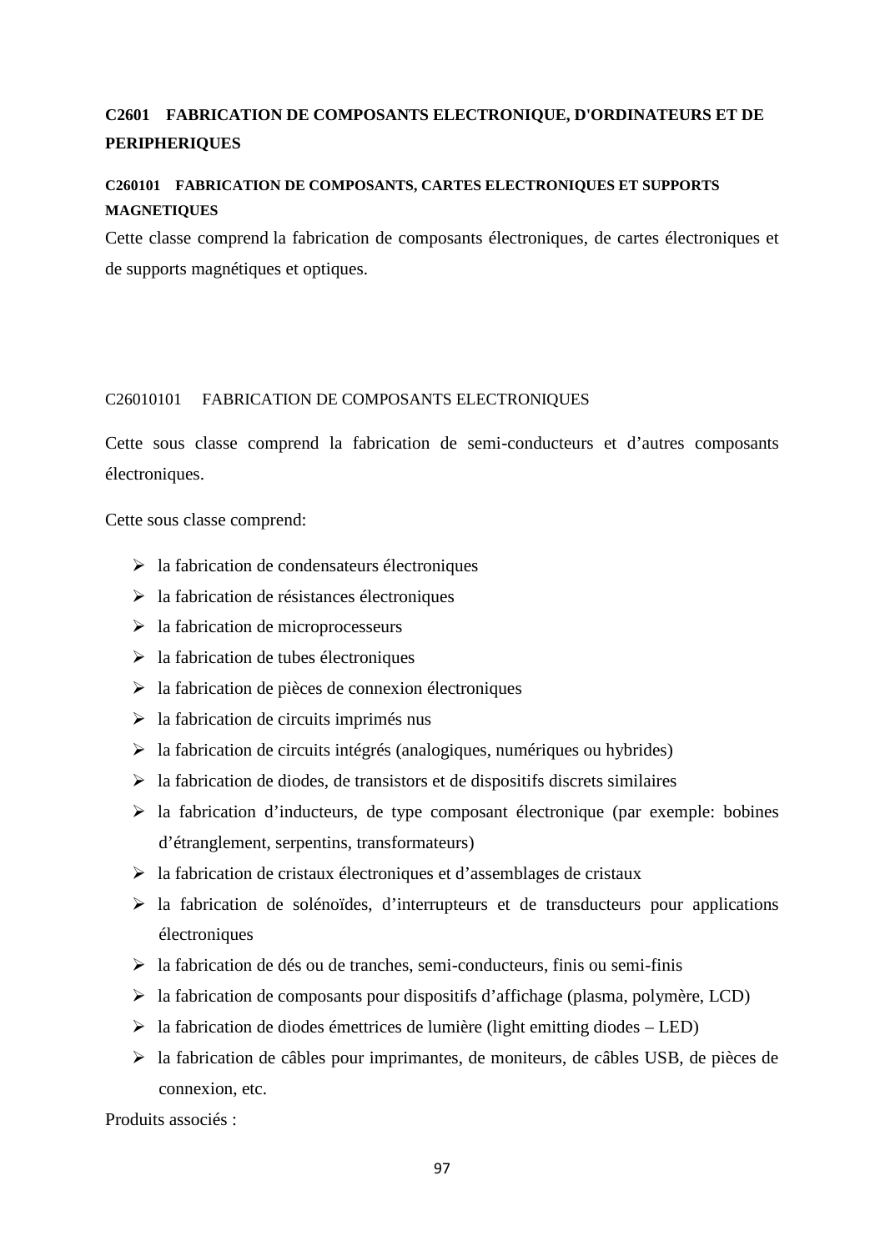# **C2601 FABRICATION DE COMPOSANTS ELECTRONIQUE, D'ORDINATEURS ET DE PERIPHERIQUES**

# **C260101 FABRICATION DE COMPOSANTS, CARTES ELECTRONIQUES ET SUPPORTS MAGNETIQUES**

Cette classe comprend la fabrication de composants électroniques, de cartes électroniques et de supports magnétiques et optiques.

## C26010101 FABRICATION DE COMPOSANTS ELECTRONIQUES

Cette sous classe comprend la fabrication de semi-conducteurs et d'autres composants électroniques.

Cette sous classe comprend:

- $\triangleright$  la fabrication de condensateurs électroniques
- $\geq$ la fabrication de résistances électroniques
- $\triangleright$  la fabrication de microprocesseurs
- $\geq$  la fabrication de tubes électroniques
- $\triangleright$  la fabrication de pièces de connexion électroniques
- $\triangleright$  la fabrication de circuits imprimés nus
- $\triangleright$  la fabrication de circuits intégrés (analogiques, numériques ou hybrides)
- $\triangleright$  la fabrication de diodes, de transistors et de dispositifs discrets similaires
- $\triangleright$  la fabrication d'inducteurs, de type composant électronique (par exemple: bobines d'étranglement, serpentins, transformateurs)
- $\triangleright$  la fabrication de cristaux électroniques et d'assemblages de cristaux
- $\triangleright$  la fabrication de solénoïdes, d'interrupteurs et de transducteurs pour applications électroniques
- $\triangleright$  la fabrication de dés ou de tranches, semi-conducteurs, finis ou semi-finis
- $\triangleright$  la fabrication de composants pour dispositifs d'affichage (plasma, polymère, LCD)
- $\triangleright$  la fabrication de diodes émettrices de lumière (light emitting diodes LED)
- la fabrication de câbles pour imprimantes, de moniteurs, de câbles USB, de pièces de connexion, etc.

Produits associés :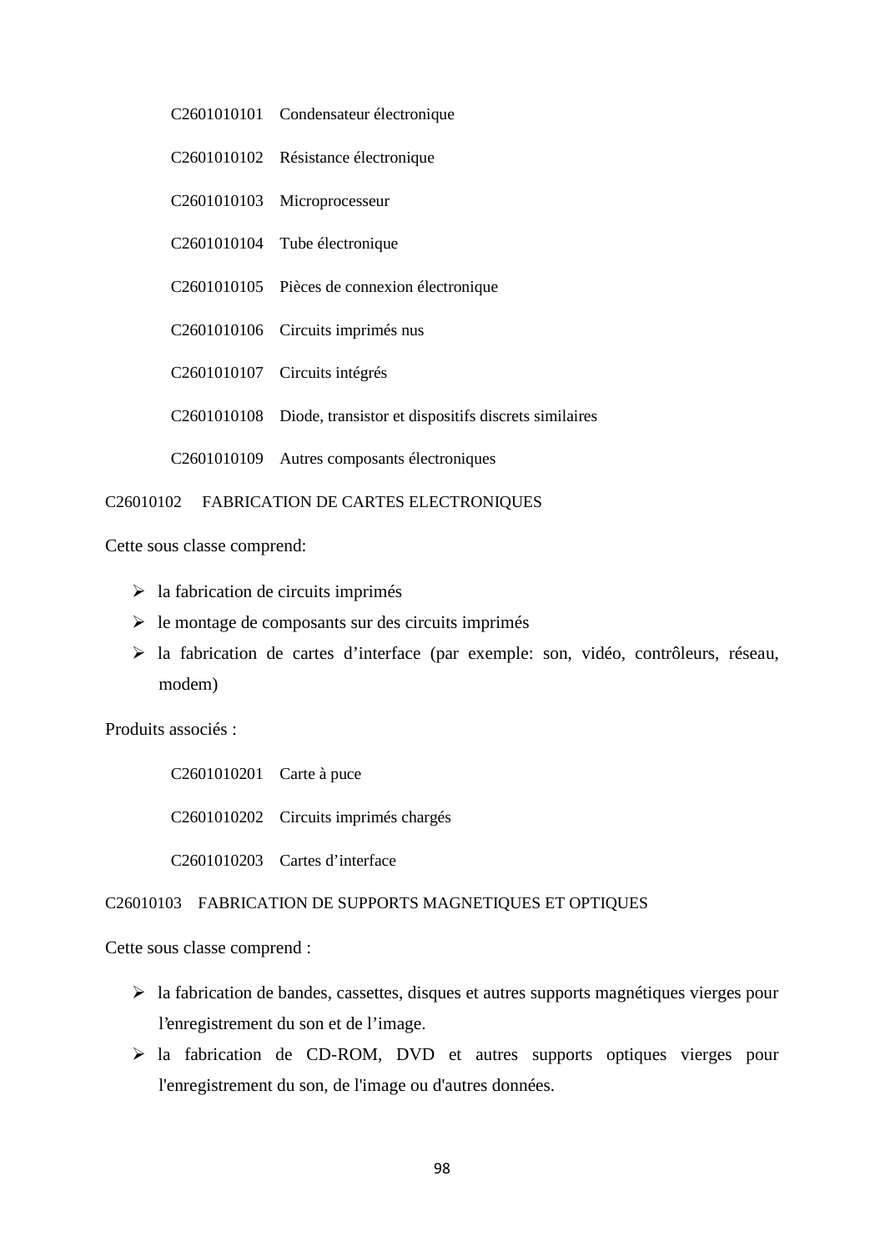- C2601010101 Condensateur électronique
- C2601010102 Résistance électronique

C2601010103 Microprocesseur

- C2601010104 Tube électronique
- C2601010105 Pièces de connexion électronique
- C2601010106 Circuits imprimés nus
- C2601010107 Circuits intégrés

C2601010108 Diode, transistor et dispositifs discrets similaires

C2601010109 Autres composants électroniques

## C26010102 FABRICATION DE CARTES ELECTRONIQUES

Cette sous classe comprend:

- $\triangleright$  la fabrication de circuits imprimés
- $\triangleright$  le montage de composants sur des circuits imprimés
- la fabrication de cartes d'interface (par exemple: son, vidéo, contrôleurs, réseau, modem)

Produits associés :

C2601010201 Carte à puce C2601010202 Circuits imprimés chargés C2601010203 Cartes d'interface

## C26010103 FABRICATION DE SUPPORTS MAGNETIQUES ET OPTIQUES

- la fabrication de bandes, cassettes, disques et autres supports magnétiques vierges pour l'enregistrement du son et de l'image.
- la fabrication de CD-ROM, DVD et autres supports optiques vierges pour l'enregistrement du son, de l'image ou d'autres données.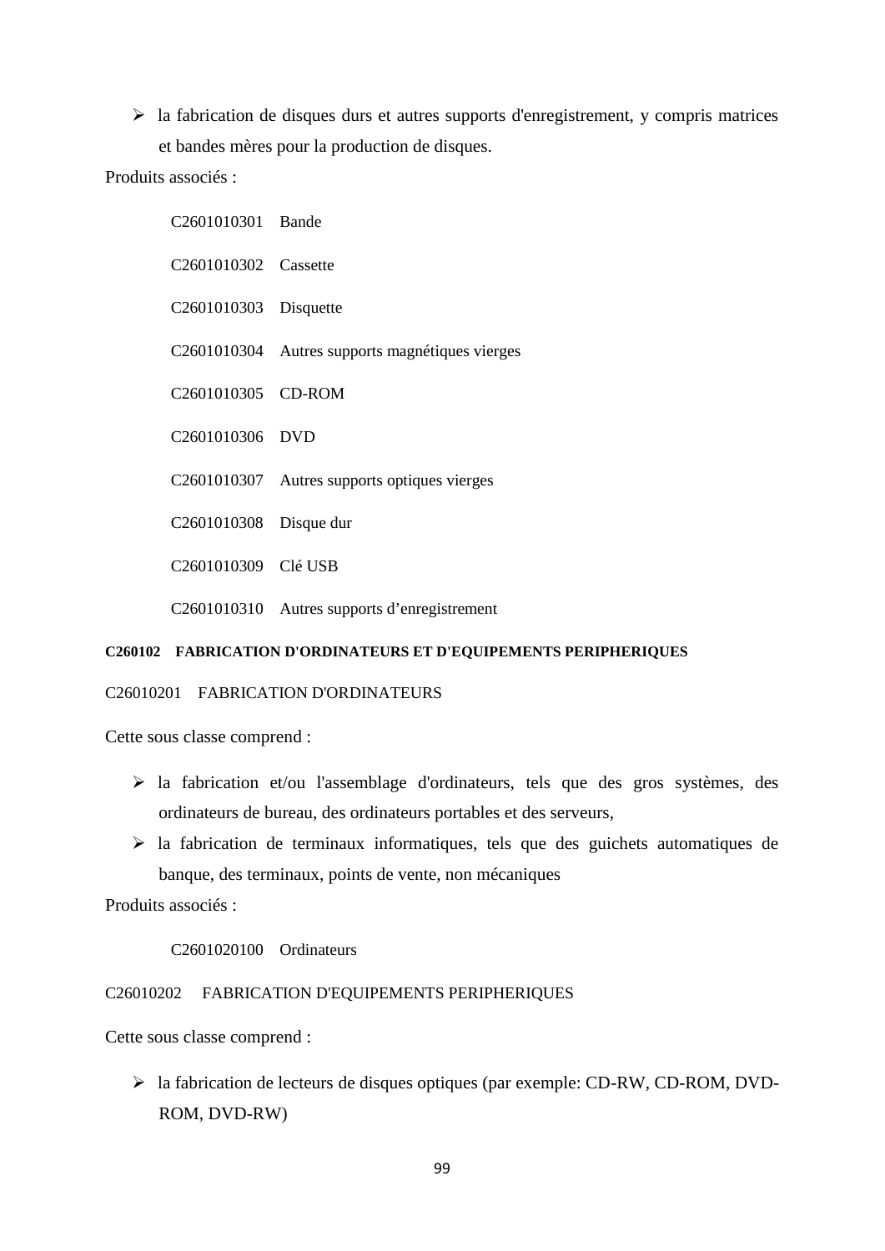$\triangleright$  la fabrication de disques durs et autres supports d'enregistrement, y compris matrices et bandes mères pour la production de disques.

Produits associés :

| C2601010301 Bande                 |                                                 |
|-----------------------------------|-------------------------------------------------|
| C <sub>2601010302</sub> Cassette  |                                                 |
| C <sub>2601010303</sub> Disquette |                                                 |
|                                   | C2601010304 Autres supports magnétiques vierges |
| C2601010305 CD-ROM                |                                                 |
| C2601010306 DVD                   |                                                 |
|                                   | C2601010307 Autres supports optiques vierges    |
| C2601010308 Disque dur            |                                                 |
| C2601010309 Clé USB               |                                                 |
|                                   | C2601010310 Autres supports d'enregistrement    |

#### **C260102 FABRICATION D'ORDINATEURS ET D'EQUIPEMENTS PERIPHERIQUES**

## C26010201 FABRICATION D'ORDINATEURS

Cette sous classe comprend :

- la fabrication et/ou l'assemblage d'ordinateurs, tels que des gros systèmes, des ordinateurs de bureau, des ordinateurs portables et des serveurs,
- $\triangleright$  la fabrication de terminaux informatiques, tels que des guichets automatiques de banque, des terminaux, points de vente, non mécaniques

Produits associés :

C2601020100 Ordinateurs

#### C26010202 FABRICATION D'EQUIPEMENTS PERIPHERIQUES

Cette sous classe comprend :

 la fabrication de lecteurs de disques optiques (par exemple: CD-RW, CD-ROM, DVD- ROM, DVD-RW)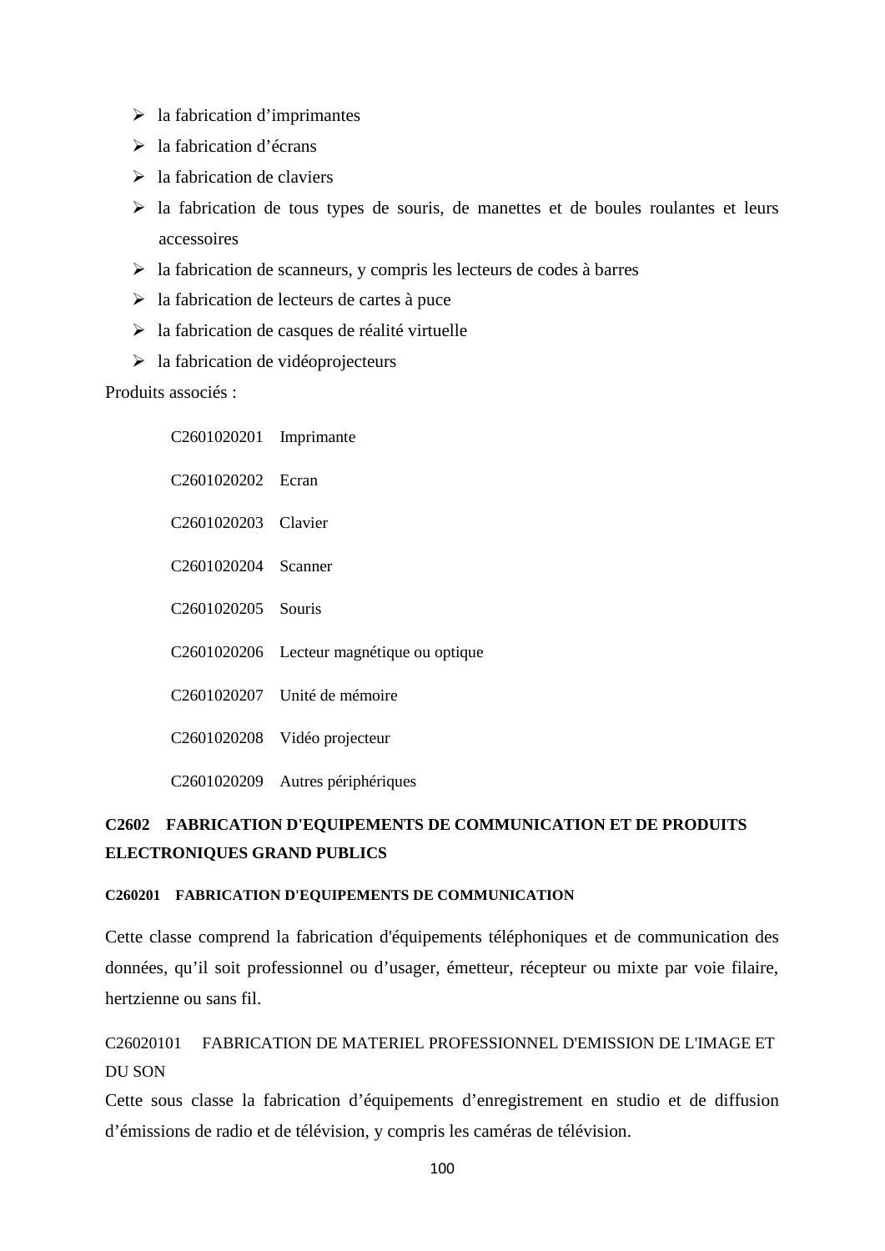- $\triangleright$  la fabrication d'imprimantes
- > la fabrication d'écrans
- $\geq$ la fabrication de claviers
- la fabrication de tous types de souris, de manettes et de boules roulantes et leurs accessoires
- $\triangleright$  la fabrication de scanneurs, y compris les lecteurs de codes à barres
- $\geq$  la fabrication de lecteurs de cartes à puce
- $\triangleright$  la fabrication de casques de réalité virtuelle
- $\triangleright$  la fabrication de vidéoprojecteurs

Produits associés :

| C2601020201 Imprimante         |                                           |
|--------------------------------|-------------------------------------------|
| C <sub>2601020202</sub> Ecran  |                                           |
| C2601020203 Clavier            |                                           |
| C2601020204 Scanner            |                                           |
| C <sub>2601020205</sub> Souris |                                           |
|                                | C2601020206 Lecteur magnétique ou optique |
|                                | C <sub>26</sub> 01020207 Unité de mémoire |
|                                | C2601020208 Vidéo projecteur              |
|                                | C2601020209 Autres périphériques          |

# **C2602 FABRICATION D'EQUIPEMENTS DE COMMUNICATION ET DE PRODUITS ELECTRONIQUES GRAND PUBLICS**

## **C260201 FABRICATION D'EQUIPEMENTS DE COMMUNICATION**

Cette classe comprend la fabrication d'équipements téléphoniques et de communication des données, qu'il soit professionnel ou d'usager, émetteur, récepteur ou mixte par voie filaire, hertzienne ou sans fil.

# C26020101 FABRICATION DE MATERIEL PROFESSIONNEL D'EMISSION DE L'IMAGE ET DU SON

Cette sous classe la fabrication d'équipements d'enregistrement en studio et de diffusion d'émissions de radio et de télévision, y compris les caméras de télévision.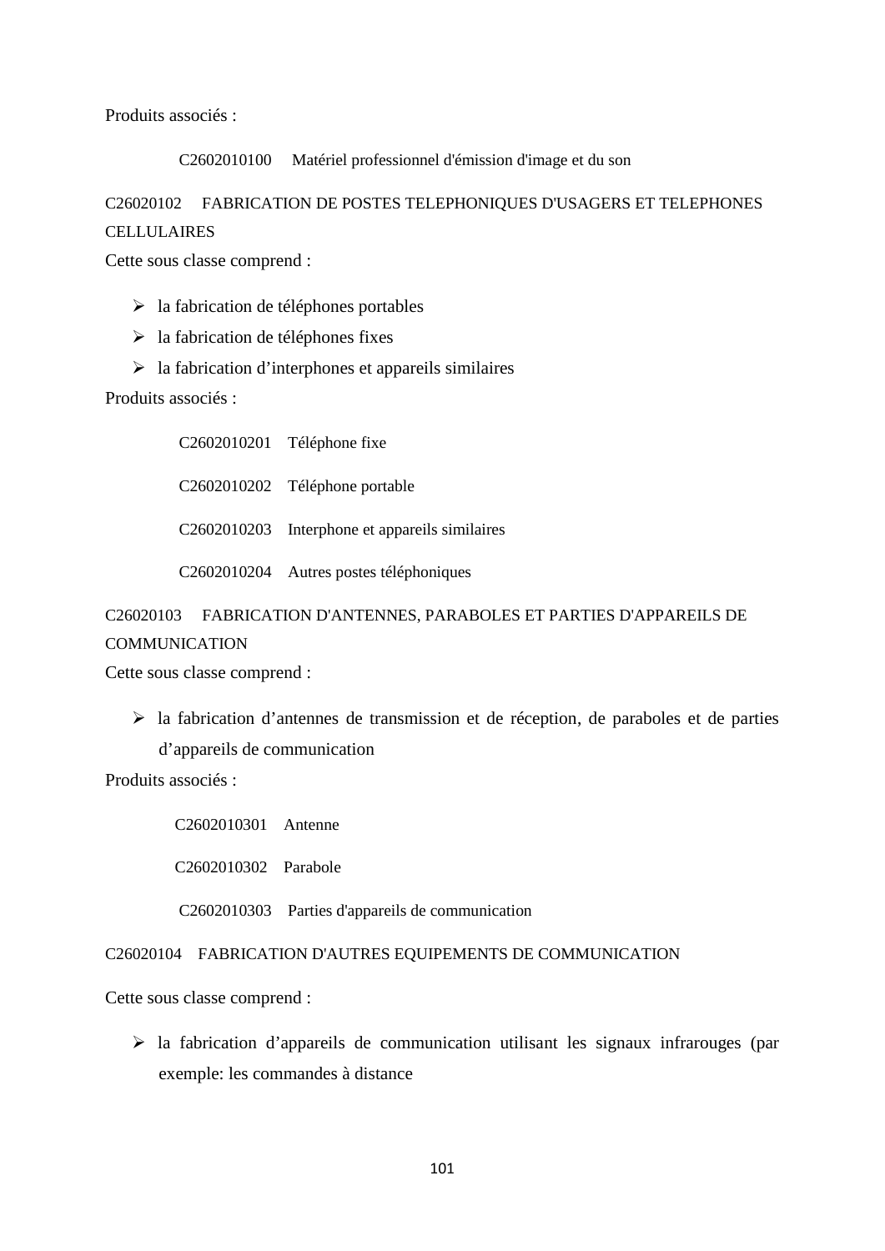Produits associés :

C2602010100 Matériel professionnel d'émission d'image et du son

## C26020102 FABRICATION DE POSTES TELEPHONIQUES D'USAGERS ET TELEPHONES

### CELLULAIRES

Cette sous classe comprend :

- $\geq$  la fabrication de téléphones portables
- $\triangleright$  la fabrication de téléphones fixes
- $\triangleright$  la fabrication d'interphones et appareils similaires

Produits associés :

C2602010201 Téléphone fixe C2602010202 Téléphone portable C2602010203 Interphone et appareils similaires C2602010204 Autres postes téléphoniques

# C26020103 FABRICATION D'ANTENNES, PARABOLES ET PARTIES D'APPAREILS DE **COMMUNICATION**

Cette sous classe comprend :

 $\triangleright$  la fabrication d'antennes de transmission et de réception, de paraboles et de parties d'appareils de communication

Produits associés :

C2602010301 Antenne

C2602010302 Parabole

C2602010303 Parties d'appareils de communication

## C26020104 FABRICATION D'AUTRES EQUIPEMENTS DE COMMUNICATION

Cette sous classe comprend :

 $\triangleright$  la fabrication d'appareils de communication utilisant les signaux infrarouges (par exemple: les commandes à distance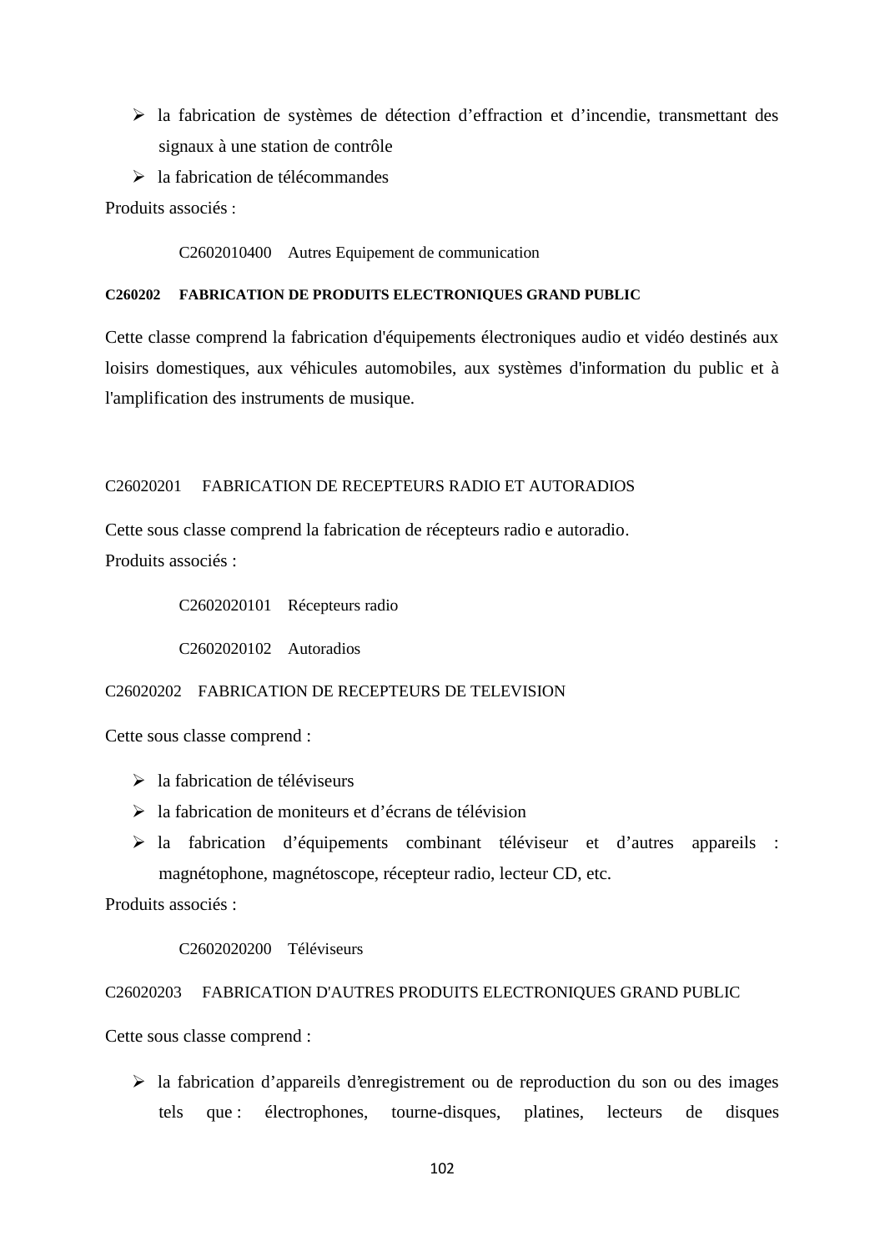- la fabrication de systèmes de détection d'effraction et d'incendie, transmettant des signaux à une station de contrôle
- la fabrication de télécommandes

Produits associés ·

C2602010400 Autres Equipement de communication

### **C260202 FABRICATION DE PRODUITS ELECTRONIQUES GRAND PUBLIC**

Cette classe comprend la fabrication d'équipements électroniques audio et vidéo destinés aux loisirs domestiques, aux véhicules automobiles, aux systèmes d'information du public et à l'amplification des instruments de musique.

## C26020201 FABRICATION DE RECEPTEURS RADIO ET AUTORADIOS

Cette sous classe comprend la fabrication de récepteurs radio e autoradio. Produits associés :

C2602020101 Récepteurs radio

C2602020102 Autoradios

## C26020202 FABRICATION DE RECEPTEURS DE TELEVISION

Cette sous classe comprend :

- $\geq$ la fabrication de téléviseurs
- $\geq$  la fabrication de moniteurs et d'écrans de télévision
- la fabrication d'équipements combinant téléviseur et d'autres appareils : magnétophone, magnétoscope, récepteur radio, lecteur CD, etc.

Produits associés :

#### C2602020200 Téléviseurs

### C26020203 FABRICATION D'AUTRES PRODUITS ELECTRONIQUES GRAND PUBLIC

Cette sous classe comprend :

 $\triangleright$  la fabrication d'appareils d'enregistrement ou de reproduction du son ou des images tels que : électrophones, tourne-disques, platines, lecteurs de disques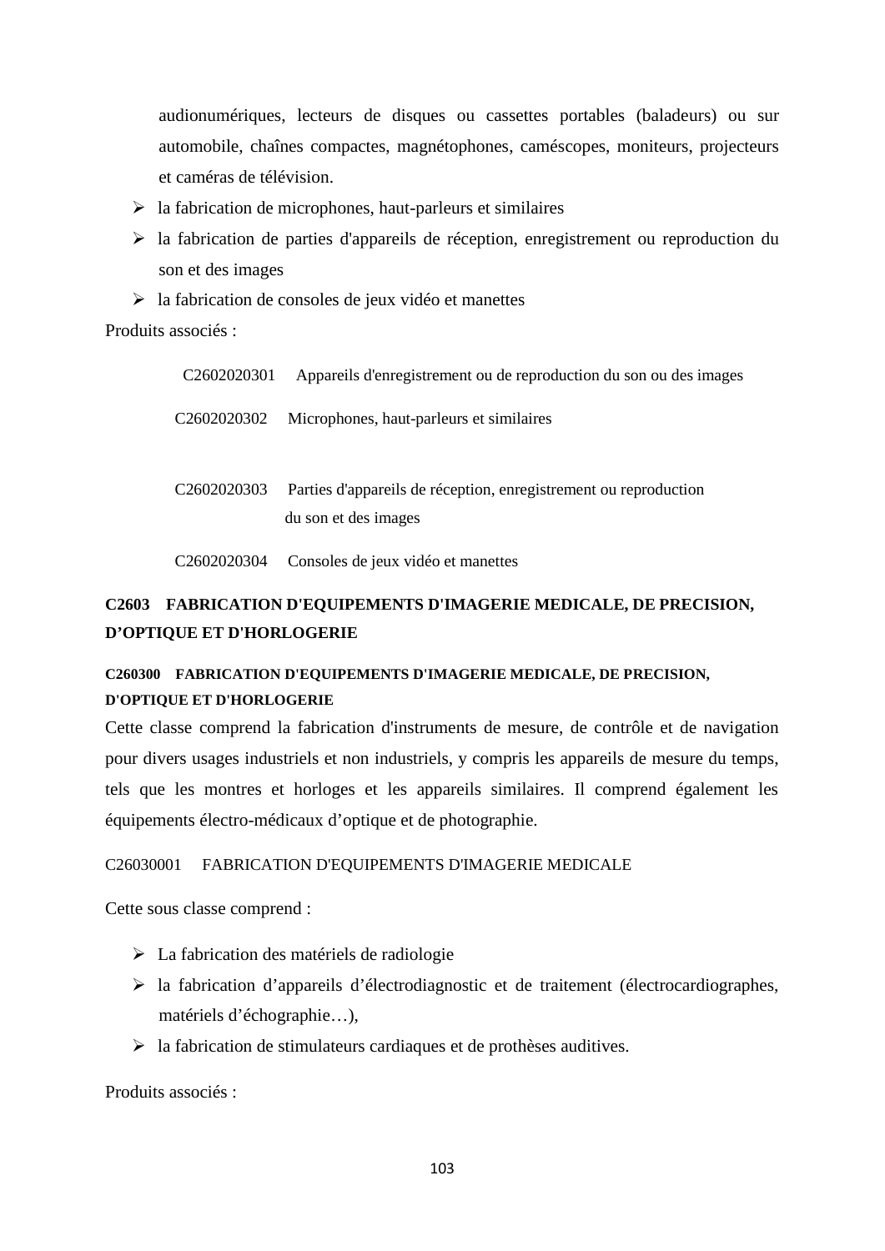audionumériques, lecteurs de disques ou cassettes portables (baladeurs) ou sur automobile, chaînes compactes, magnétophones, caméscopes, moniteurs, projecteurs et caméras de télévision.

- $\triangleright$  la fabrication de microphones, haut-parleurs et similaires
- $\triangleright$  la fabrication de parties d'appareils de réception, enregistrement ou reproduction du son et des images
- $\triangleright$  la fabrication de consoles de jeux vidéo et manettes

Produits associés ·

| C <sub>26</sub> 02020301 | Appareils d'enregistrement ou de reproduction du son ou des images                       |
|--------------------------|------------------------------------------------------------------------------------------|
| C <sub>26</sub> 02020302 | Microphones, haut-parleurs et similaires                                                 |
| C <sub>26</sub> 02020303 | Parties d'appareils de réception, enregistrement ou reproduction<br>du son et des images |
| C <sub>26</sub> 02020304 | Consoles de jeux vidéo et manettes                                                       |

# **C2603 FABRICATION D'EQUIPEMENTS D'IMAGERIE MEDICALE, DE PRECISION, D'OPTIQUE ET D'HORLOGERIE**

# **C260300 FABRICATION D'EQUIPEMENTS D'IMAGERIE MEDICALE, DE PRECISION, D'OPTIQUE ET D'HORLOGERIE**

Cette classe comprend la fabrication d'instruments de mesure, de contrôle et de navigation pour divers usages industriels et non industriels, y compris les appareils de mesure du temps, tels que les montres et horloges et les appareils similaires. Il comprend également les équipements électro-médicaux d'optique et de photographie.

# C26030001 FABRICATION D'EQUIPEMENTS D'IMAGERIE MEDICALE

Cette sous classe comprend :

- $\triangleright$  La fabrication des matériels de radiologie
- $\triangleright$  la fabrication d'appareils d'électrodiagnostic et de traitement (électrocardiographes, matériels d'échographie…),
- $\triangleright$  la fabrication de stimulateurs cardiaques et de prothèses auditives.

Produits associés :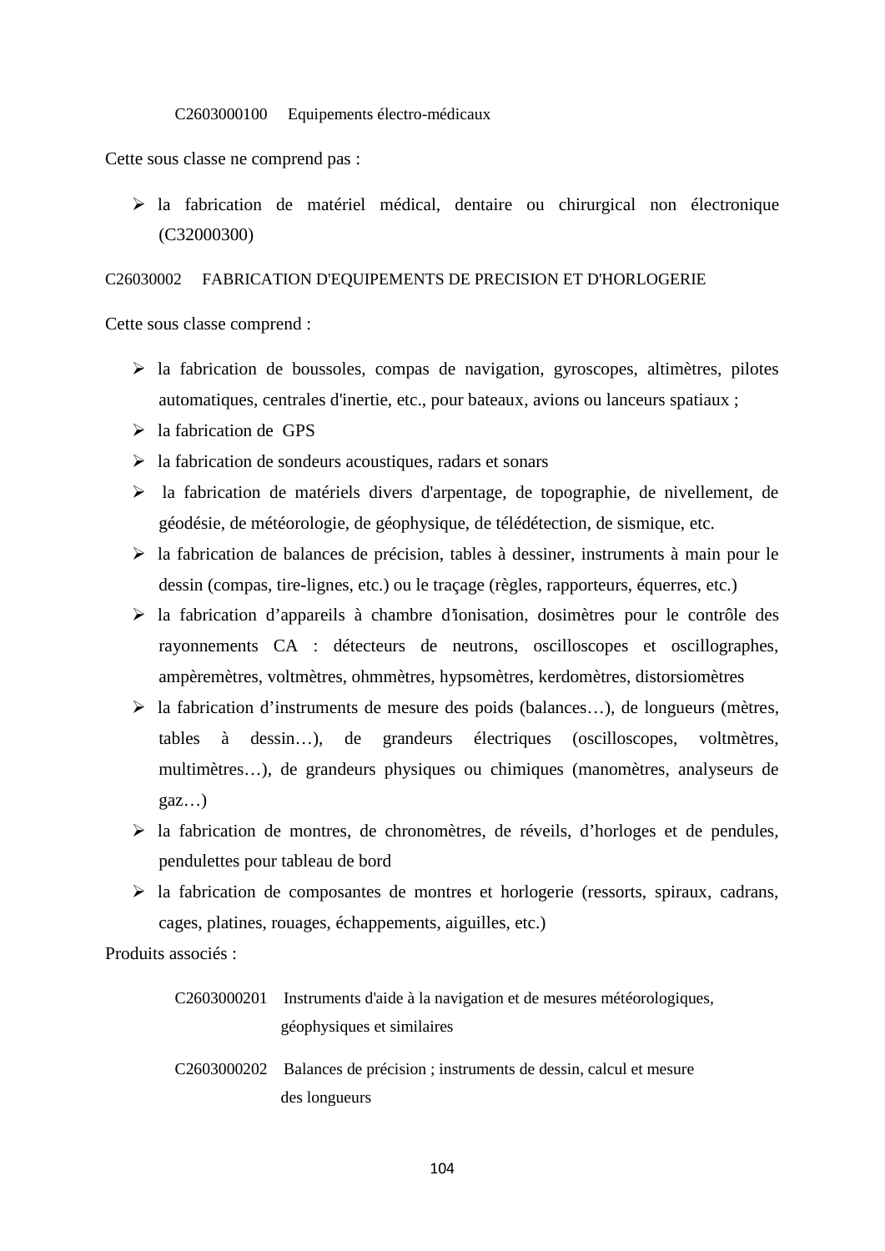#### C2603000100 Equipements électro-médicaux

Cette sous classe ne comprend pas :

 $\triangleright$  la fabrication de matériel médical, dentaire ou chirurgical non électronique (C32000300)

## C26030002 FABRICATION D'EQUIPEMENTS DE PRECISION ET D'HORLOGERIE

Cette sous classe comprend :

- $\triangleright$  la fabrication de boussoles, compas de navigation, gyroscopes, altimètres, pilotes automatiques, centrales d'inertie, etc., pour bateaux, avions ou lanceurs spatiaux ;
- $\triangleright$  la fabrication de GPS
- $\triangleright$  la fabrication de sondeurs acoustiques, radars et sonars
- la fabrication de matériels divers d'arpentage, de topographie, de nivellement, de géodésie, de météorologie, de géophysique, de télédétection, de sismique, etc.
- $\triangleright$  la fabrication de balances de précision, tables à dessiner, instruments à main pour le dessin (compas, tire-lignes, etc.) ou le traçage (règles, rapporteurs, équerres, etc.)
- la fabrication d'appareils à chambre d'ionisation, dosimètres pour le contrôle des rayonnements CA : détecteurs de neutrons, oscilloscopes et oscillographes, ampèremètres, voltmètres, ohmmètres, hypsomètres, kerdomètres, distorsiomètres
- $\triangleright$  la fabrication d'instruments de mesure des poids (balances...), de longueurs (mètres, tables à dessin…), de grandeurs électriques (oscilloscopes, voltmètres, multimètres…), de grandeurs physiques ou chimiques (manomètres, analyseurs de gaz…)
- $\triangleright$  la fabrication de montres, de chronomètres, de réveils, d'horloges et de pendules, pendulettes pour tableau de bord
- $\triangleright$  la fabrication de composantes de montres et horlogerie (ressorts, spiraux, cadrans, cages, platines, rouages, échappements, aiguilles, etc.)

Produits associés :

| C2603000201 Instruments d'aide à la navigation et de mesures météorologiques, |
|-------------------------------------------------------------------------------|
| géophysiques et similaires                                                    |

C2603000202 Balances de précision ; instruments de dessin, calcul et mesure des longueurs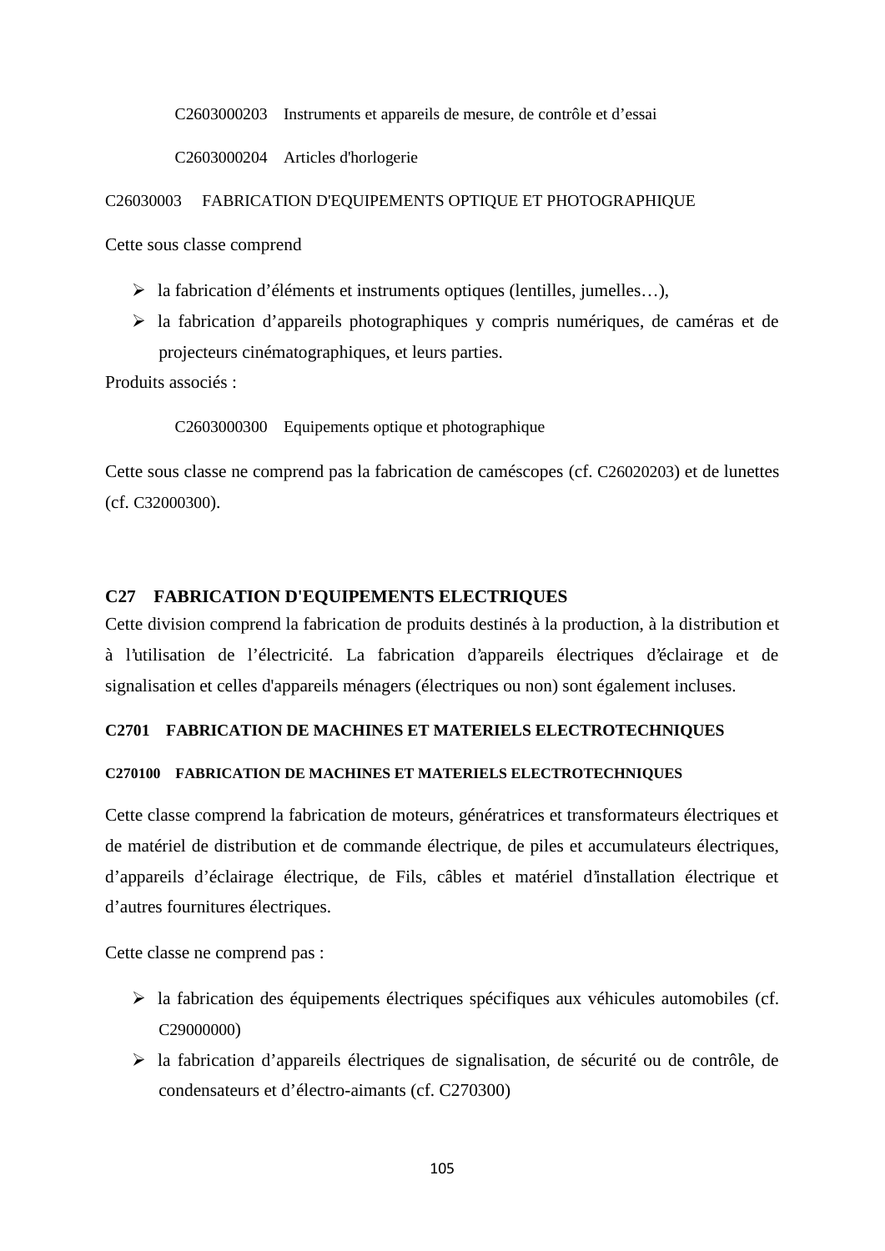C2603000203 Instruments et appareils de mesure, de contrôle et d'essai

C2603000204 Articles d'horlogerie

C26030003 FABRICATION D'EQUIPEMENTS OPTIQUE ET PHOTOGRAPHIQUE

Cette sous classe comprend

- la fabrication d'éléments et instruments optiques (lentilles, jumelles…),
- la fabrication d'appareils photographiques y compris numériques, de caméras et de projecteurs cinématographiques, et leurs parties.

Produits associés :

C2603000300 Equipements optique et photographique

Cette sous classe ne comprend pas la fabrication de caméscopes (cf. C26020203) et de lunettes (cf. C32000300).

## **C27 FABRICATION D'EQUIPEMENTS ELECTRIQUES**

Cette division comprend la fabrication de produits destinés à la production, à la distribution et à l'utilisation de l'électricité. La fabrication d'appareils électriques d'éclairage et de signalisation et celles d'appareils ménagers (électriques ou non) sont également incluses.

### **C2701 FABRICATION DE MACHINES ET MATERIELS ELECTROTECHNIQUES**

### **C270100 FABRICATION DE MACHINES ET MATERIELS ELECTROTECHNIQUES**

Cette classe comprend la fabrication de moteurs, génératrices et transformateurs électriques et de matériel de distribution et de commande électrique, de piles et accumulateurs électriques, d'appareils d'éclairage électrique, de Fils, câbles et matériel d'installation électrique et d'autres fournitures électriques.

Cette classe ne comprend pas :

- la fabrication des équipements électriques spécifiques aux véhicules automobiles (cf. C29000000)
- la fabrication d'appareils électriques de signalisation, de sécurité ou de contrôle, de condensateurs et d'électro-aimants (cf. C270300)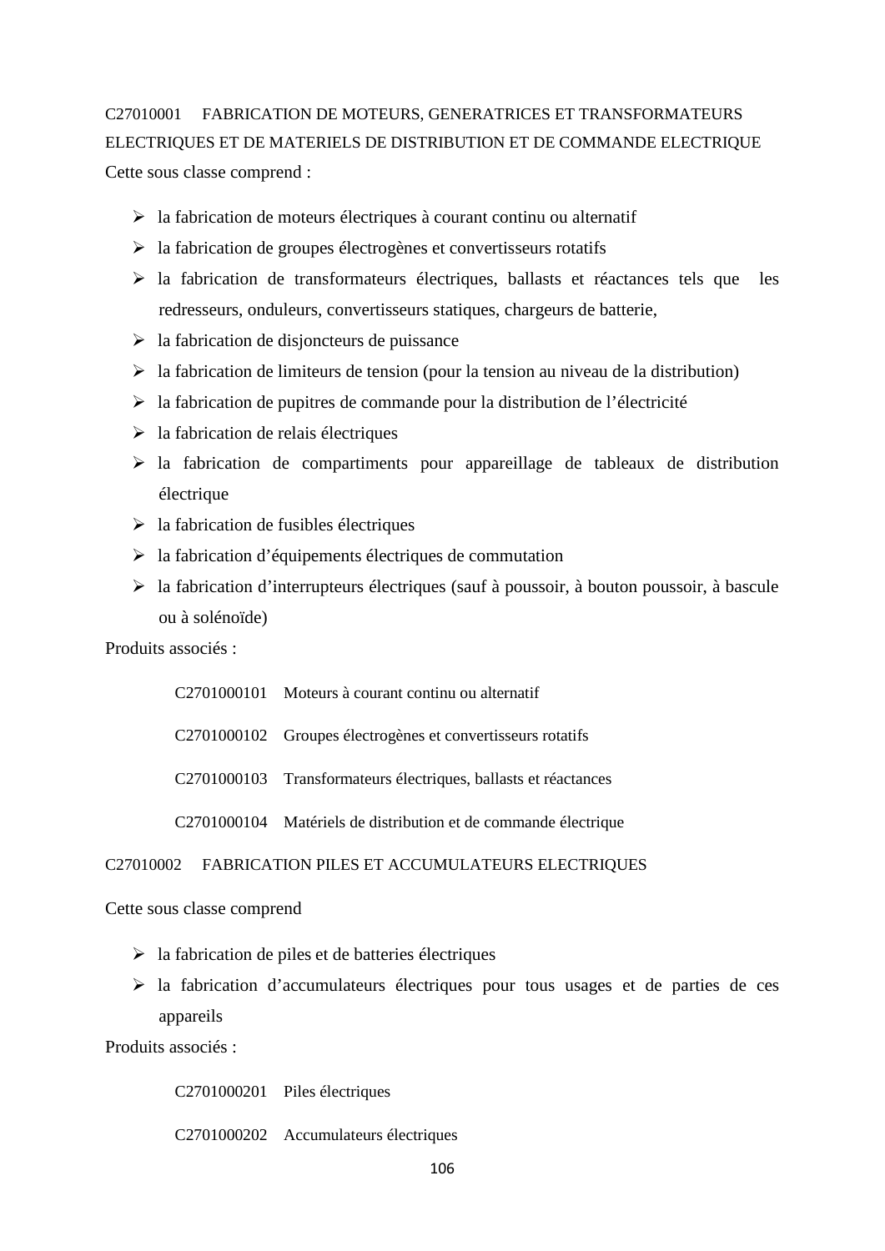# C27010001 FABRICATION DE MOTEURS, GENERATRICES ET TRANSFORMATEURS ELECTRIQUES ET DE MATERIELS DE DISTRIBUTION ET DE COMMANDE ELECTRIQUE Cette sous classe comprend :

- $\triangleright$  la fabrication de moteurs électriques à courant continu ou alternatif
- $\triangleright$  la fabrication de groupes électrogènes et convertisseurs rotatifs
- $\triangleright$  la fabrication de transformateurs électriques, ballasts et réactances tels que les redresseurs, onduleurs, convertisseurs statiques, chargeurs de batterie,
- $\geq$  la fabrication de disjoncteurs de puissance
- $\triangleright$  la fabrication de limiteurs de tension (pour la tension au niveau de la distribution)
- $\triangleright$  la fabrication de pupitres de commande pour la distribution de l'électricité
- $\geq$  la fabrication de relais électriques
- $\geq$  la fabrication de compartiments pour appareillage de tableaux de distribution électrique
- $\triangleright$  la fabrication de fusibles électriques
- $\geq$  la fabrication d'équipements électriques de commutation
- la fabrication d'interrupteurs électriques (sauf à poussoir, à bouton poussoir, à bascule ou à solénoïde)

Produits associés :

C2701000101 Moteurs à courant continu ou alternatif

C2701000102 Groupes électrogènes et convertisseurs rotatifs

C2701000103 Transformateurs électriques, ballasts et réactances

C2701000104 Matériels de distribution et de commande électrique

#### C27010002 FABRICATION PILES ET ACCUMULATEURS ELECTRIQUES

### Cette sous classe comprend

- $\triangleright$  la fabrication de piles et de batteries électriques
- $\triangleright$  la fabrication d'accumulateurs électriques pour tous usages et de parties de ces appareils

Produits associés :

C2701000201 Piles électriques

C2701000202 Accumulateurs électriques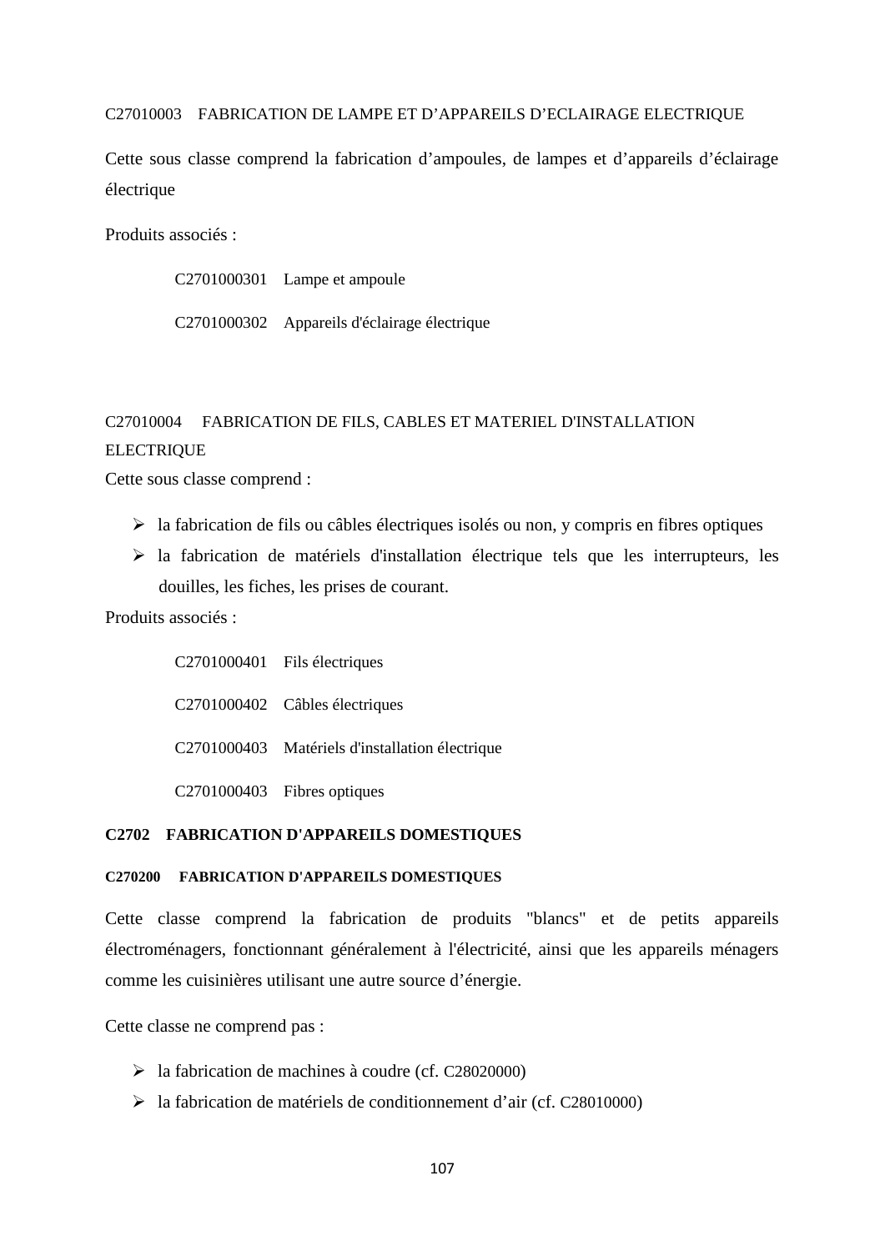### C27010003 FABRICATION DE LAMPE ET D'APPAREILS D'ECLAIRAGE ELECTRIQUE

Cette sous classe comprend la fabrication d'ampoules, de lampes et d'appareils d'éclairage électrique

Produits associés :

C2701000301 Lampe et ampoule

C2701000302 Appareils d'éclairage électrique

# C27010004 FABRICATION DE FILS, CABLES ET MATERIEL D'INSTALLATION **ELECTRIQUE**

Cette sous classe comprend :

- $\triangleright$  la fabrication de fils ou câbles électriques isolés ou non, y compris en fibres optiques
- $\triangleright$  la fabrication de matériels d'installation électrique tels que les interrupteurs, les douilles, les fiches, les prises de courant.

Produits associés :

C2701000401 Fils électriques C2701000402 Câbles électriques C2701000403 Matériels d'installation électrique C2701000403 Fibres optiques

### **C2702 FABRICATION D'APPAREILS DOMESTIQUES**

### **C270200 FABRICATION D'APPAREILS DOMESTIQUES**

Cette classe comprend la fabrication de produits "blancs" et de petits appareils électroménagers, fonctionnant généralement à l'électricité, ainsi que les appareils ménagers comme les cuisinières utilisant une autre source d'énergie.

Cette classe ne comprend pas :

- $\blacktriangleright$  la fabrication de machines à coudre (cf. C28020000)
- la fabrication de matériels de conditionnement d'air (cf. C28010000)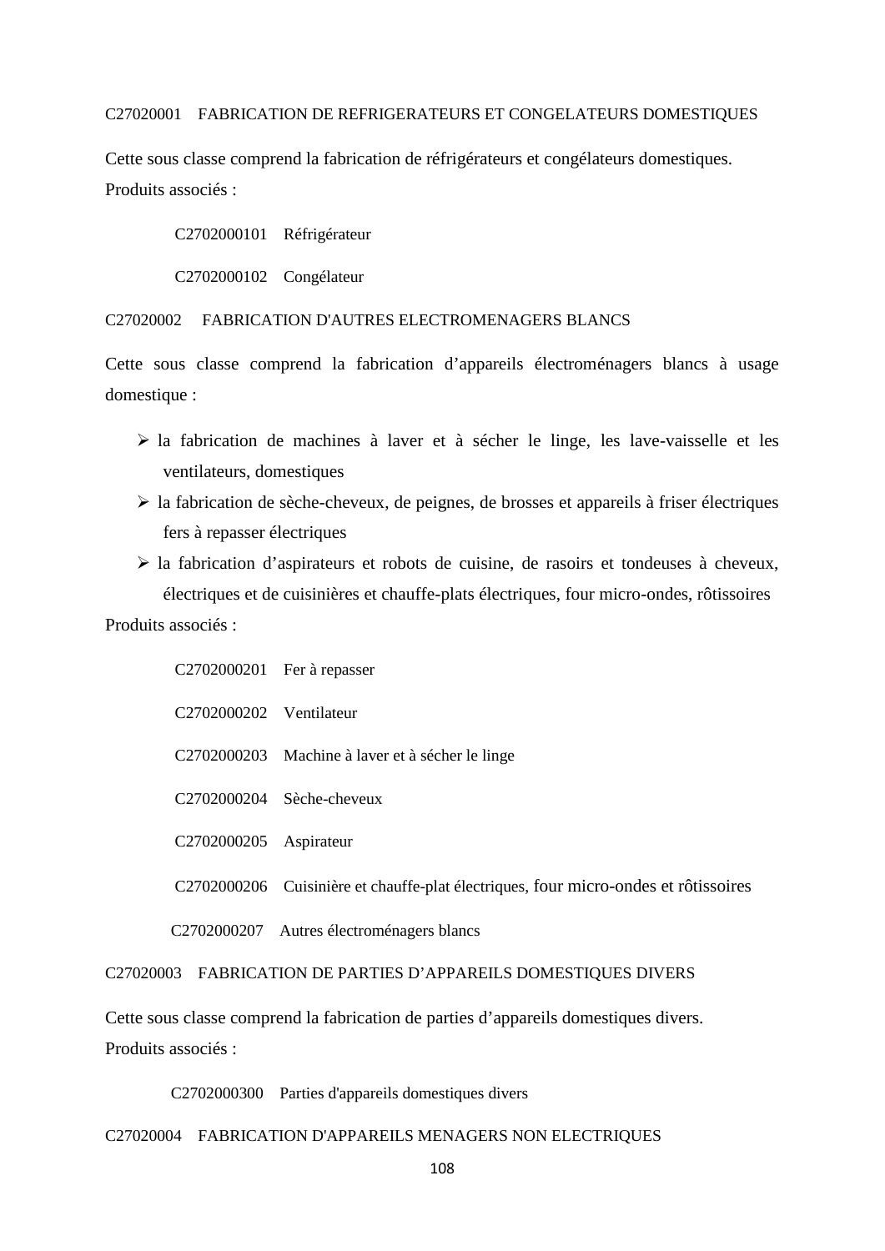#### C27020001 FABRICATION DE REFRIGERATEURS ET CONGELATEURS DOMESTIQUES

Cette sous classe comprend la fabrication de réfrigérateurs et congélateurs domestiques. Produits associés :

C2702000101 Réfrigérateur

C2702000102 Congélateur

C27020002 FABRICATION D'AUTRES ELECTROMENAGERS BLANCS

Cette sous classe comprend la fabrication d'appareils électroménagers blancs à usage domestique :

- la fabrication de machines à laver et à sécher le linge, les lave-vaisselle et les ventilateurs, domestiques
- $\triangleright$  la fabrication de sèche-cheveux, de peignes, de brosses et appareils à friser électriques fers à repasser électriques
- la fabrication d'aspirateurs et robots de cuisine, de rasoirs et tondeuses à cheveux, électriques et de cuisinières et chauffe-plats électriques, four micro-ondes, rôtissoires

Produits associés :

|                         | $C2702000201$ Fer à repasser                                                        |
|-------------------------|-------------------------------------------------------------------------------------|
| C2702000202 Ventilateur |                                                                                     |
|                         | C2702000203 Machine à laver et à sécher le linge                                    |
|                         | $C2702000204$ Sèche-cheveux                                                         |
| C <sub>2702000205</sub> | Aspirateur                                                                          |
|                         | C2702000206 Cuisinière et chauffe-plat électriques, four micro-ondes et rôtissoires |
|                         | C2702000207 Autres électroménagers blancs                                           |

C27020003 FABRICATION DE PARTIES D'APPAREILS DOMESTIQUES DIVERS

Cette sous classe comprend la fabrication de parties d'appareils domestiques divers. Produits associés :

C2702000300 Parties d'appareils domestiques divers

## C27020004 FABRICATION D'APPAREILS MENAGERS NON ELECTRIQUES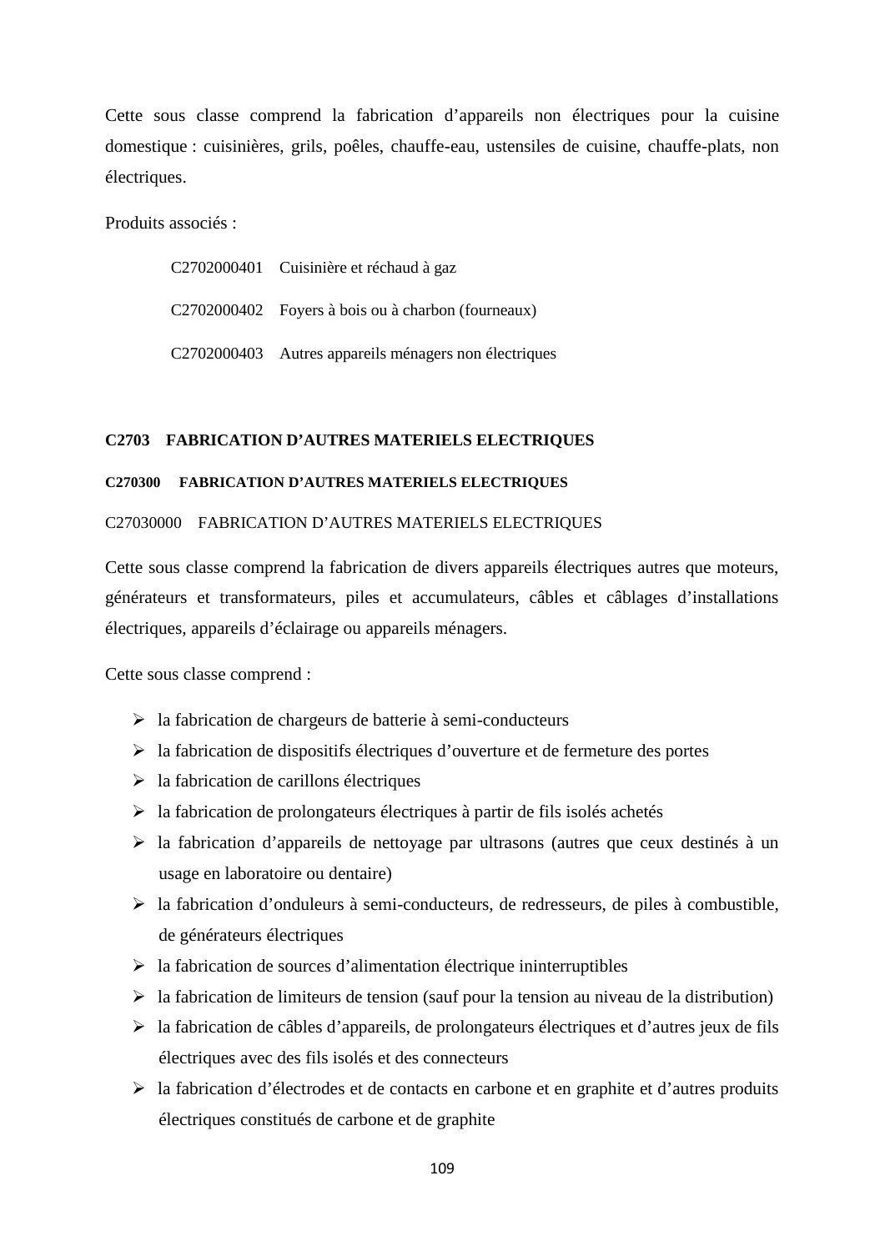Cette sous classe comprend la fabrication d'appareils non électriques pour la cuisine domestique : cuisinières, grils, poêles, chauffe-eau, ustensiles de cuisine, chauffe-plats, non électriques.

Produits associés :

| C2702000401 Cuisinière et réchaud à gaz               |
|-------------------------------------------------------|
| C2702000402 Foyers à bois ou à charbon (fourneaux)    |
| C2702000403 Autres appareils ménagers non électriques |

## **C2703 FABRICATION D'AUTRES MATERIELS ELECTRIQUES**

## **C270300 FABRICATION D'AUTRES MATERIELS ELECTRIQUES**

### C27030000 FABRICATION D'AUTRES MATERIELS ELECTRIQUES

Cette sous classe comprend la fabrication de divers appareils électriques autres que moteurs, générateurs et transformateurs, piles et accumulateurs, câbles et câblages d'installations électriques, appareils d'éclairage ou appareils ménagers.

Cette sous classe comprend :

- la fabrication de chargeurs de batterie à semi-conducteurs
- $\triangleright$  la fabrication de dispositifs électriques d'ouverture et de fermeture des portes
- $\triangleright$  la fabrication de carillons électriques
- $\triangleright$  la fabrication de prolongateurs électriques à partir de fils isolés achetés
- la fabrication d'appareils de nettoyage par ultrasons (autres que ceux destinés à un usage en laboratoire ou dentaire)
- la fabrication d'onduleurs à semi-conducteurs, de redresseurs, de piles à combustible, de générateurs électriques
- $\triangleright$  la fabrication de sources d'alimentation électrique ininterruptibles
- $\triangleright$  la fabrication de limiteurs de tension (sauf pour la tension au niveau de la distribution)
- la fabrication de câbles d'appareils, de prolongateurs électriques et d'autres jeux de fils électriques avec des fils isolés et des connecteurs
- la fabrication d'électrodes et de contacts en carbone et en graphite et d'autres produits électriques constitués de carbone et de graphite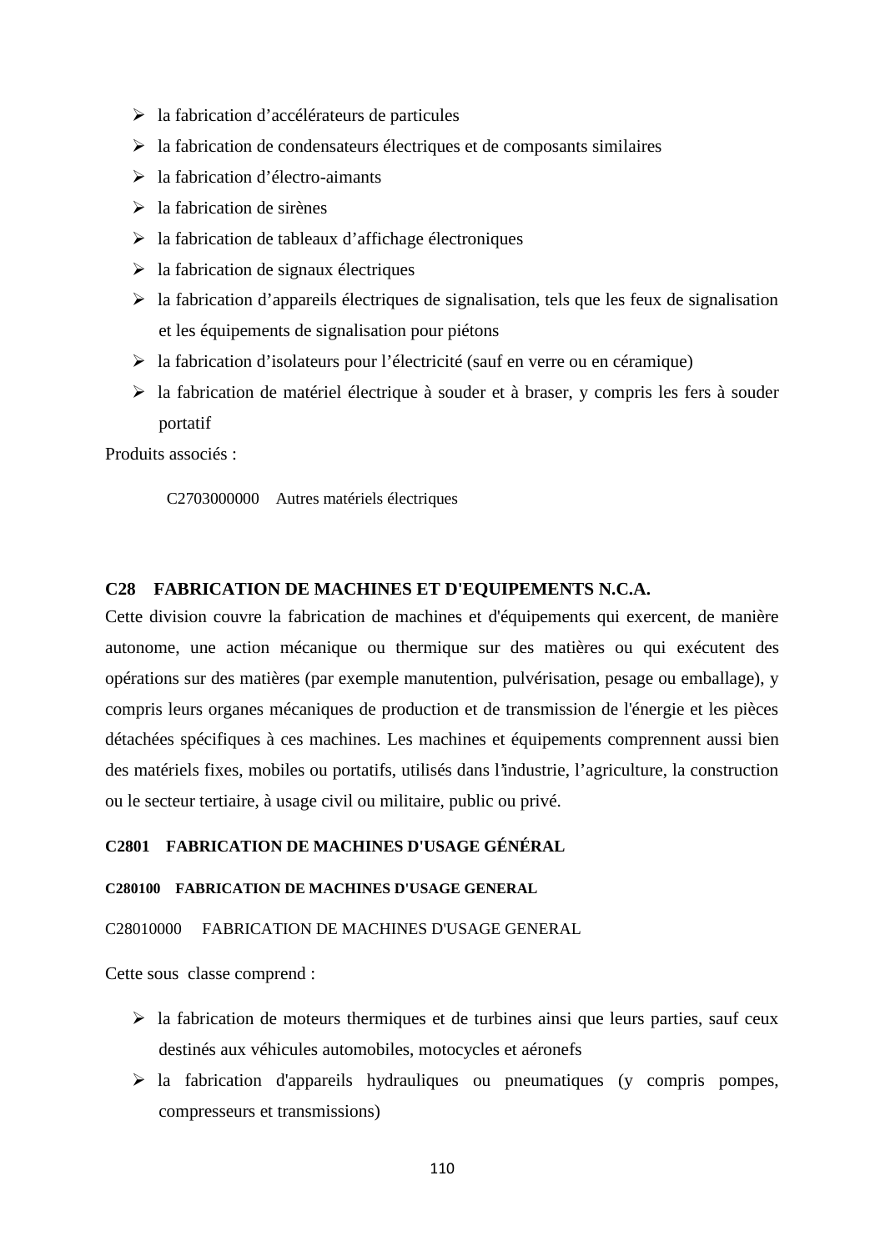- $\triangleright$  la fabrication d'accélérateurs de particules
- $\triangleright$  la fabrication de condensateurs électriques et de composants similaires
- la fabrication d'électro-aimants
- $\geq$ la fabrication de sirènes
- $\triangleright$  la fabrication de tableaux d'affichage électroniques
- $\geq$  la fabrication de signaux électriques
- $\triangleright$  la fabrication d'appareils électriques de signalisation, tels que les feux de signalisation et les équipements de signalisation pour piétons
- $\triangleright$  la fabrication d'isolateurs pour l'électricité (sauf en verre ou en céramique)
- $\triangleright$  la fabrication de matériel électrique à souder et à braser, y compris les fers à souder portatif

Produits associés :

C2703000000 Autres matériels électriques

## **C28 FABRICATION DE MACHINES ET D'EQUIPEMENTS N.C.A.**

Cette division couvre la fabrication de machines et d'équipements qui exercent, de manière autonome, une action mécanique ou thermique sur des matières ou qui exécutent des opérations sur des matières (par exemple manutention, pulvérisation, pesage ou emballage), y compris leurs organes mécaniques de production et de transmission de l'énergie et les pièces détachées spécifiques à ces machines. Les machines et équipements comprennent aussi bien des matériels fixes, mobiles ou portatifs, utilisés dans l'industrie, l'agriculture, la construction ou le secteur tertiaire, à usage civil ou militaire, public ou privé.

## **C2801 FABRICATION DE MACHINES D'USAGE GÉNÉRAL**

### **C280100 FABRICATION DE MACHINES D'USAGE GENERAL**

### C28010000 FABRICATION DE MACHINES D'USAGE GENERAL

Cette sous classe comprend :

- $\triangleright$  la fabrication de moteurs thermiques et de turbines ainsi que leurs parties, sauf ceux destinés aux véhicules automobiles, motocycles et aéronefs
- $\triangleright$  la fabrication d'appareils hydrauliques ou pneumatiques (y compris pompes, compresseurs et transmissions)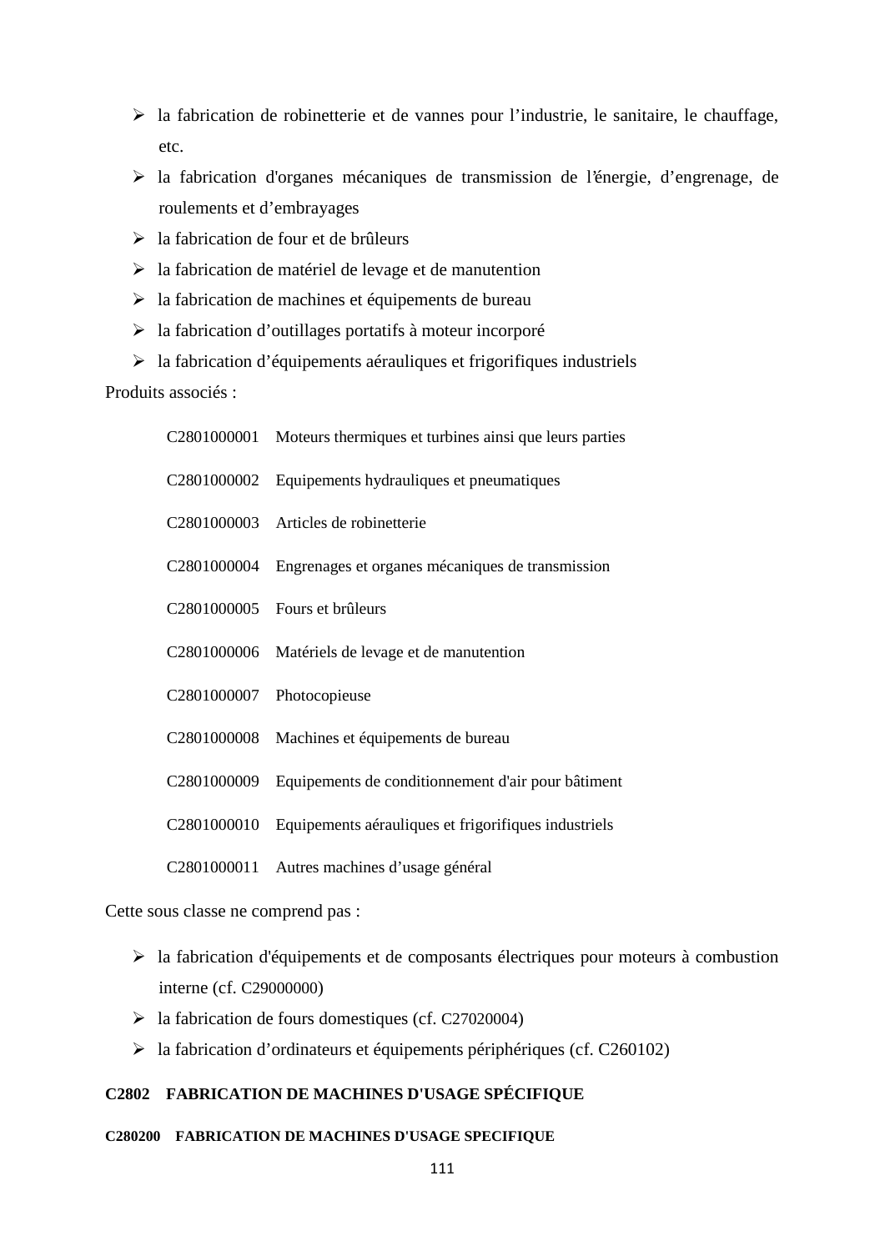- $\triangleright$  la fabrication de robinetterie et de vannes pour l'industrie, le sanitaire, le chauffage, etc.
- la fabrication d'organes mécaniques de transmission de l'énergie, d'engrenage, de roulements et d'embrayages
- $\geq$  la fabrication de four et de brûleurs
- $\geq$  la fabrication de matériel de levage et de manutention
- $\triangleright$  la fabrication de machines et équipements de bureau
- $\triangleright$  la fabrication d'outillages portatifs à moteur incorporé
- $\triangleright$  la fabrication d'équipements aérauliques et frigorifiques industriels

# Produits associés :

| C2801000001 Moteurs thermiques et turbines ainsi que leurs parties |
|--------------------------------------------------------------------|
| C <sub>2801000002</sub> Equipements hydrauliques et pneumatiques   |
|                                                                    |

- C2801000003 Articles de robinetterie
- C2801000004 Engrenages et organes mécaniques de transmission
- C2801000005 Fours et brûleurs
- C2801000006 Matériels de levage et de manutention
- C2801000007 Photocopieuse
- C2801000008 Machines et équipements de bureau
- C2801000009 Equipements de conditionnement d'air pour bâtiment
- C2801000010 Equipements aérauliques et frigorifiques industriels
- C2801000011 Autres machines d'usage général

Cette sous classe ne comprend pas :

- la fabrication d'équipements et de composants électriques pour moteurs à combustion interne (cf. C29000000)
- la fabrication de fours domestiques (cf. C27020004)
- la fabrication d'ordinateurs et équipements périphériques (cf. C260102)

## **C2802 FABRICATION DE MACHINES D'USAGE SPÉCIFIQUE**

## **C280200 FABRICATION DE MACHINES D'USAGE SPECIFIQUE**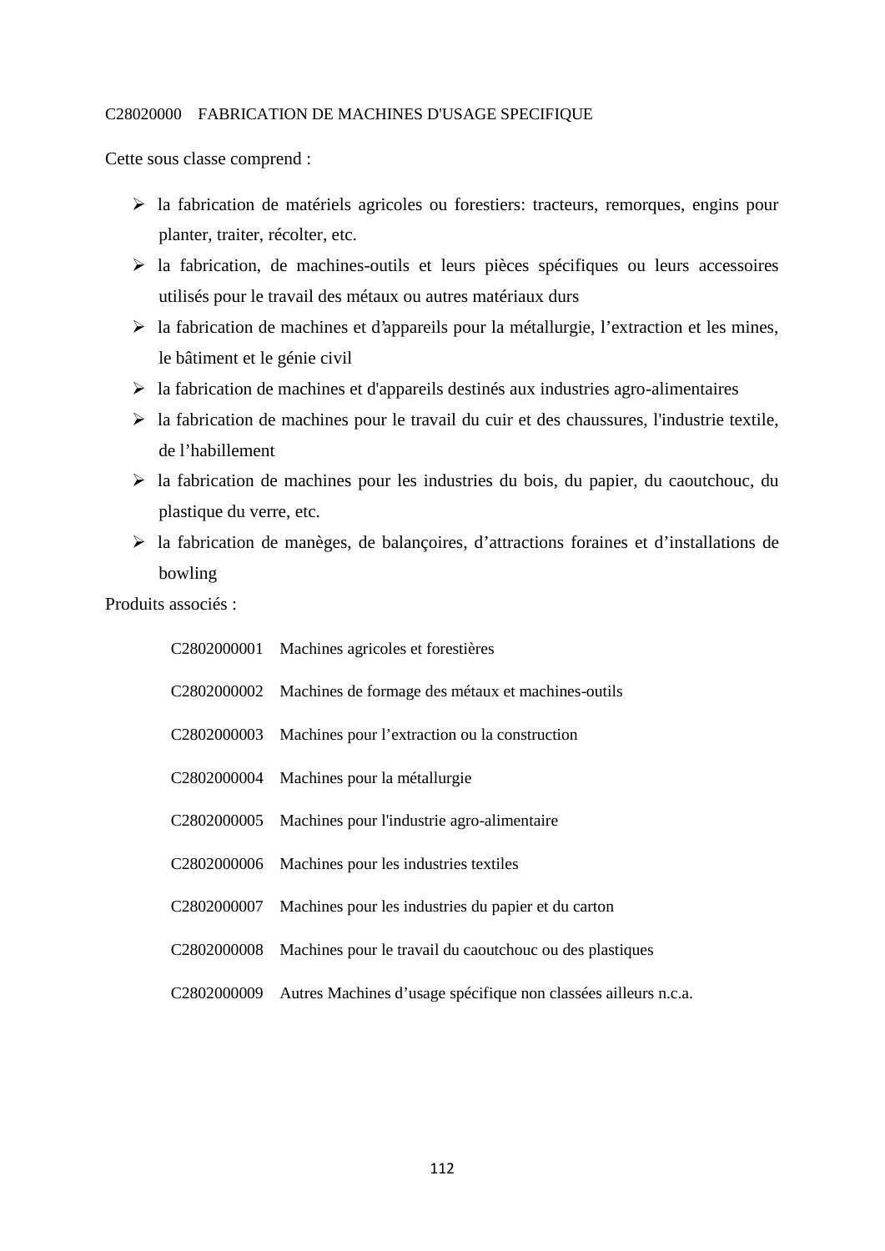### C28020000 FABRICATION DE MACHINES D'USAGE SPECIFIQUE

Cette sous classe comprend :

- la fabrication de matériels agricoles ou forestiers: tracteurs, remorques, engins pour planter, traiter, récolter, etc.
- $\triangleright$  la fabrication, de machines-outils et leurs pièces spécifiques ou leurs accessoires utilisés pour le travail des métaux ou autres matériaux durs
- $\triangleright$  la fabrication de machines et d'appareils pour la métallurgie, l'extraction et les mines, le bâtiment et le génie civil
- $\triangleright$  la fabrication de machines et d'appareils destinés aux industries agro-alimentaires
- $\triangleright$  la fabrication de machines pour le travail du cuir et des chaussures, l'industrie textile, de l'habillement
- $\triangleright$  la fabrication de machines pour les industries du bois, du papier, du caoutchouc, du plastique du verre, etc.
- la fabrication de manèges, de balançoires, d'attractions foraines et d'installations de bowling

Produits associés :

| C2802000001 Machines agricoles et forestières                               |
|-----------------------------------------------------------------------------|
| C2802000002 Machines de formage des métaux et machines-outils               |
| C2802000003 Machines pour l'extraction ou la construction                   |
| C2802000004 Machines pour la métallurgie                                    |
| C2802000005 Machines pour l'industrie agro-alimentaire                      |
| C2802000006 Machines pour les industries textiles                           |
| C2802000007 Machines pour les industries du papier et du carton             |
| C2802000008 Machines pour le travail du caoutchouc ou des plastiques        |
| C2802000009 Autres Machines d'usage spécifique non classées ailleurs n.c.a. |
|                                                                             |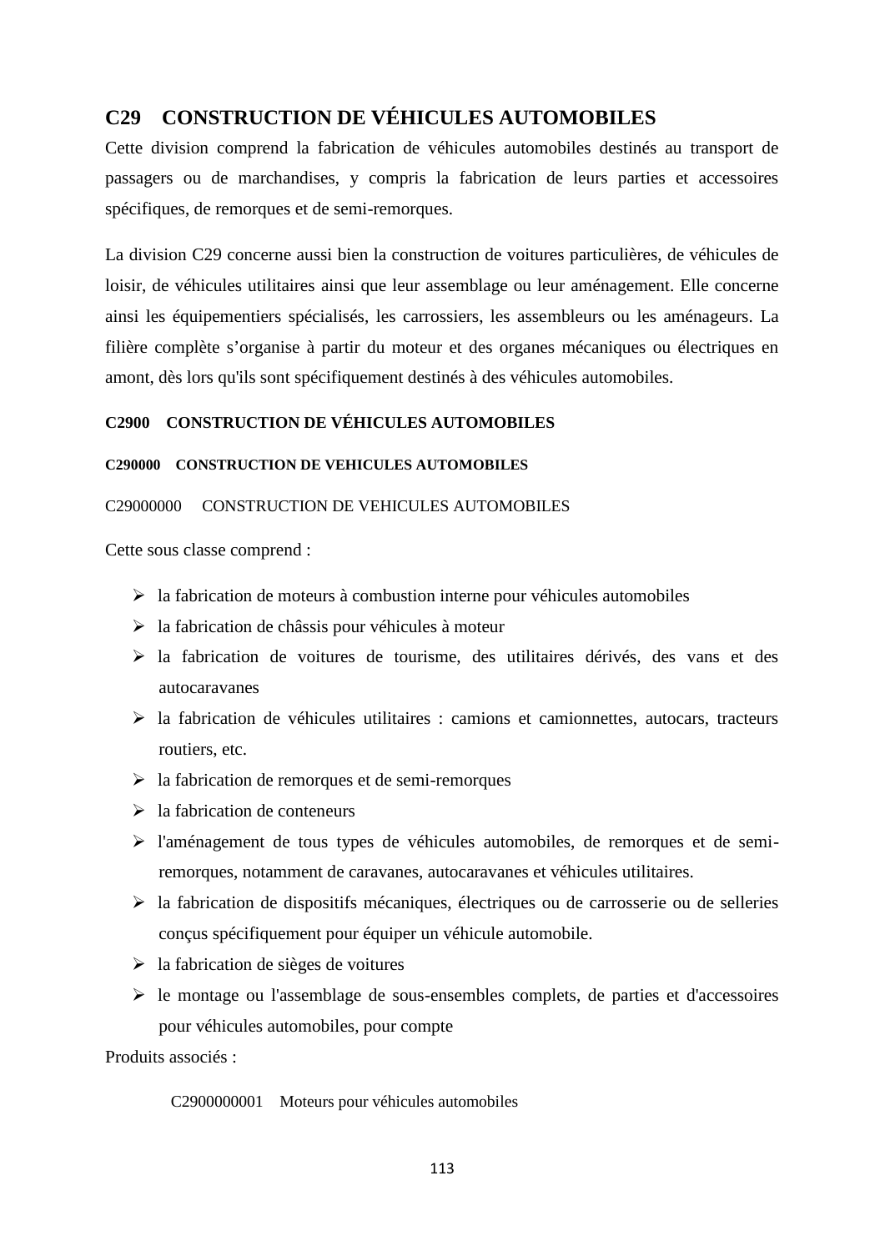# **C29 CONSTRUCTION DE VÉHICULES AUTOMOBILES**

Cette division comprend la fabrication de véhicules automobiles destinés au transport de passagers ou de marchandises, y compris la fabrication de leurs parties et accessoires spécifiques, de remorques et de semi-remorques.

La division C29 concerne aussi bien la construction de voitures particulières, de véhicules de loisir, de véhicules utilitaires ainsi que leur assemblage ou leur aménagement. Elle concerne ainsi les équipementiers spécialisés, les carrossiers, les assembleurs ou les aménageurs. La filière complète s'organise à partir du moteur et des organes mécaniques ou électriques en amont, dès lors qu'ils sont spécifiquement destinés à des véhicules automobiles.

# **C2900 CONSTRUCTION DE VÉHICULES AUTOMOBILES**

# **C290000 CONSTRUCTION DE VEHICULES AUTOMOBILES**

## C29000000 CONSTRUCTION DE VEHICULES AUTOMOBILES

Cette sous classe comprend :

- $\triangleright$  la fabrication de moteurs à combustion interne pour véhicules automobiles
- $\geq$  la fabrication de châssis pour véhicules à moteur
- la fabrication de voitures de tourisme, des utilitaires dérivés, des vans et des autocaravanes
- $\triangleright$  la fabrication de véhicules utilitaires : camions et camionnettes, autocars, tracteurs routiers, etc.
- $\triangleright$  la fabrication de remorques et de semi-remorques
- $\geq$  la fabrication de conteneurs
- $\triangleright$  l'aménagement de tous types de véhicules automobiles, de remorques et de semiremorques, notamment de caravanes, autocaravanes et véhicules utilitaires.
- $\triangleright$  la fabrication de dispositifs mécaniques, électriques ou de carrosserie ou de selleries conçus spécifiquement pour équiper un véhicule automobile.
- $\geq$  la fabrication de sièges de voitures
- $\triangleright$  le montage ou l'assemblage de sous-ensembles complets, de parties et d'accessoires pour véhicules automobiles, pour compte

Produits associés :

C2900000001 Moteurs pour véhicules automobiles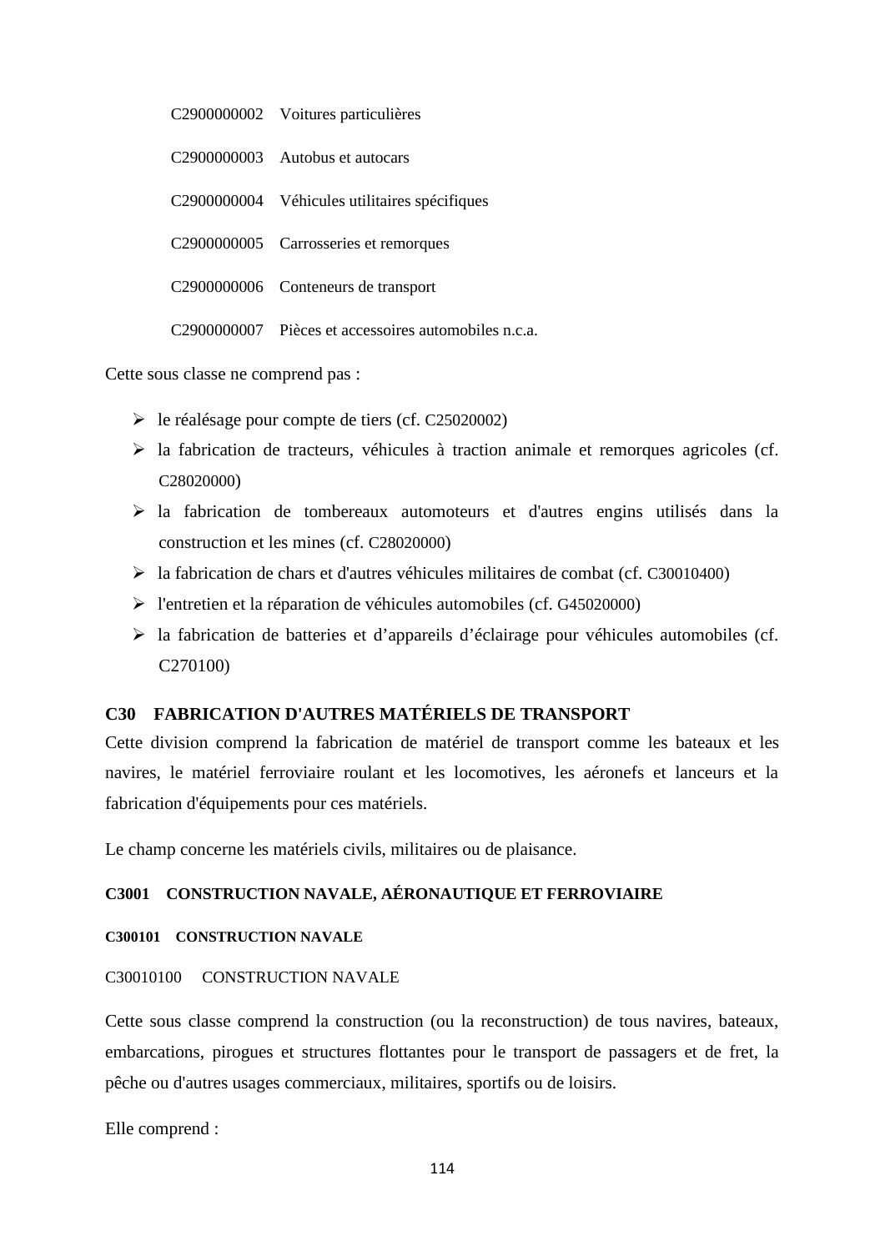| C2900000002 Voitures particulières                              |
|-----------------------------------------------------------------|
| C <sub>2900000003</sub> Autobus et autocars                     |
| C2900000004 Véhicules utilitaires spécifiques                   |
| C2900000005 Carrosseries et remorques                           |
| C2900000006 Conteneurs de transport                             |
| C <sub>290000000</sub> Pièces et accessoires automobiles n.c.a. |

Cette sous classe ne comprend pas :

- le réalésage pour compte de tiers (cf. C25020002)
- $\triangleright$  la fabrication de tracteurs, véhicules à traction animale et remorques agricoles (cf. C<sub>28020000</sub>
- la fabrication de tombereaux automoteurs et d'autres engins utilisés dans la construction et les mines (cf. C28020000)
- la fabrication de chars et d'autres véhicules militaires de combat (cf. C30010400)
- l'entretien et la réparation de véhicules automobiles (cf. G45020000)
- $\triangleright$  la fabrication de batteries et d'appareils d'éclairage pour véhicules automobiles (cf. C270100)

# **C30 FABRICATION D'AUTRES MATÉRIELS DE TRANSPORT**

Cette division comprend la fabrication de matériel de transport comme les bateaux et les navires, le matériel ferroviaire roulant et les locomotives, les aéronefs et lanceurs et la fabrication d'équipements pour ces matériels.

Le champ concerne les matériels civils, militaires ou de plaisance.

# **C3001 CONSTRUCTION NAVALE, AÉRONAUTIQUE ET FERROVIAIRE**

## **C300101 CONSTRUCTION NAVALE**

### C30010100 CONSTRUCTION NAVALE

Cette sous classe comprend la construction (ou la reconstruction) de tous navires, bateaux, embarcations, pirogues et structures flottantes pour le transport de passagers et de fret, la pêche ou d'autres usages commerciaux, militaires, sportifs ou de loisirs.

Elle comprend :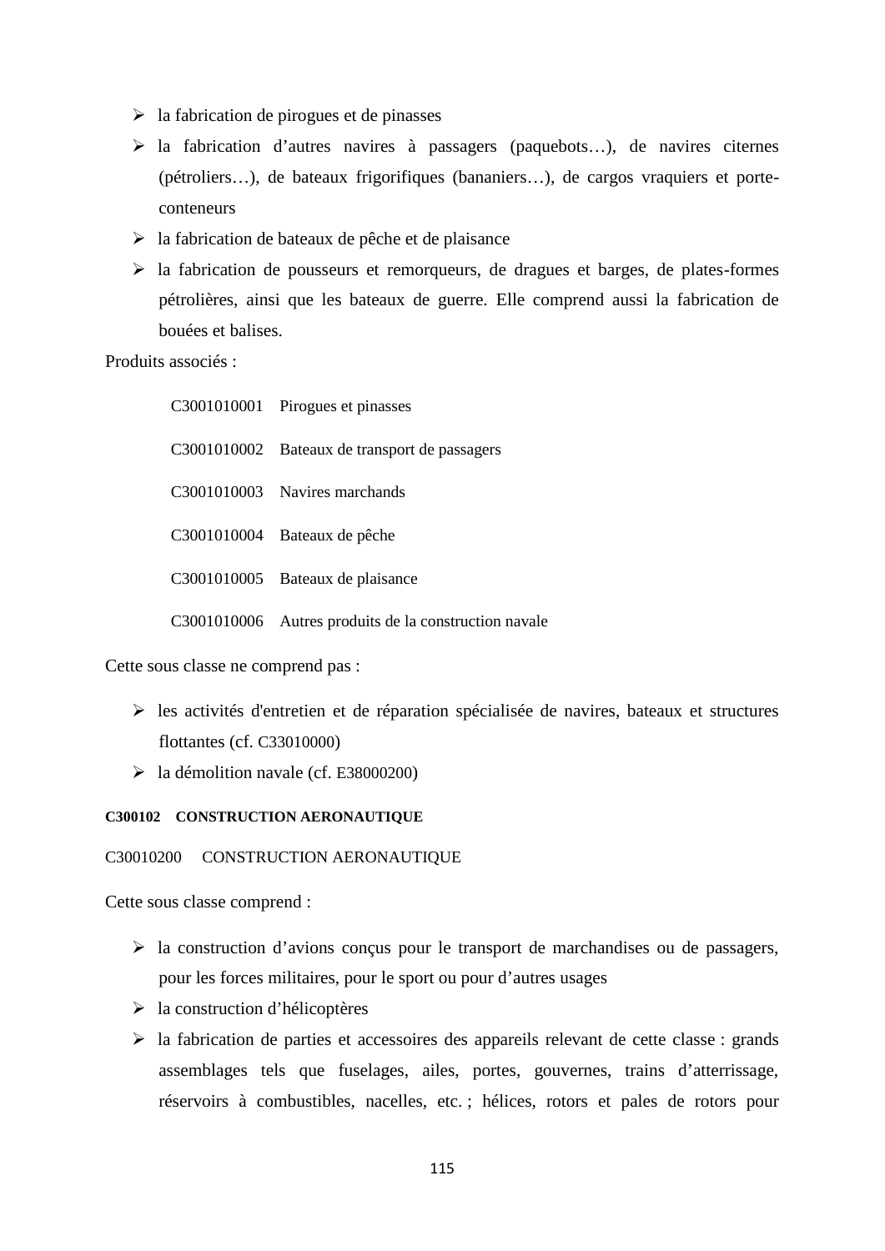- $\triangleright$  la fabrication de pirogues et de pinasses
- la fabrication d'autres navires à passagers (paquebots…), de navires citernes (pétroliers…), de bateaux frigorifiques (bananiers…), de cargos vraquiers et porte conteneurs
- $\triangleright$  la fabrication de bateaux de pêche et de plaisance
- $\geq$  la fabrication de pousseurs et remorqueurs, de dragues et barges, de plates-formes pétrolières, ainsi que les bateaux de guerre. Elle comprend aussi la fabrication de bouées et balises.

Produits associés :

| C3001010001 Pirogues et pinasses                      |
|-------------------------------------------------------|
| C3001010002 Bateaux de transport de passagers         |
| C3001010003 Navires marchands                         |
| C3001010004 Bateaux de pêche                          |
| C3001010005 Bateaux de plaisance                      |
| C3001010006 Autres produits de la construction navale |

Cette sous classe ne comprend pas :

- les activités d'entretien et de réparation spécialisée de navires, bateaux et structures flottantes (cf. C33010000)
- $\blacktriangleright$  la démolition navale (cf. E38000200)

## **C300102 CONSTRUCTION AERONAUTIQUE**

### C30010200 CONSTRUCTION AERONAUTIQUE

Cette sous classe comprend :

- $\triangleright$  la construction d'avions conçus pour le transport de marchandises ou de passagers, pour les forces militaires, pour le sport ou pour d'autres usages
- la construction d'hélicoptères
- $\triangleright$  la fabrication de parties et accessoires des appareils relevant de cette classe : grands assemblages tels que fuselages, ailes, portes, gouvernes, trains d'atterrissage, réservoirs à combustibles, nacelles, etc. ; hélices, rotors et pales de rotors pour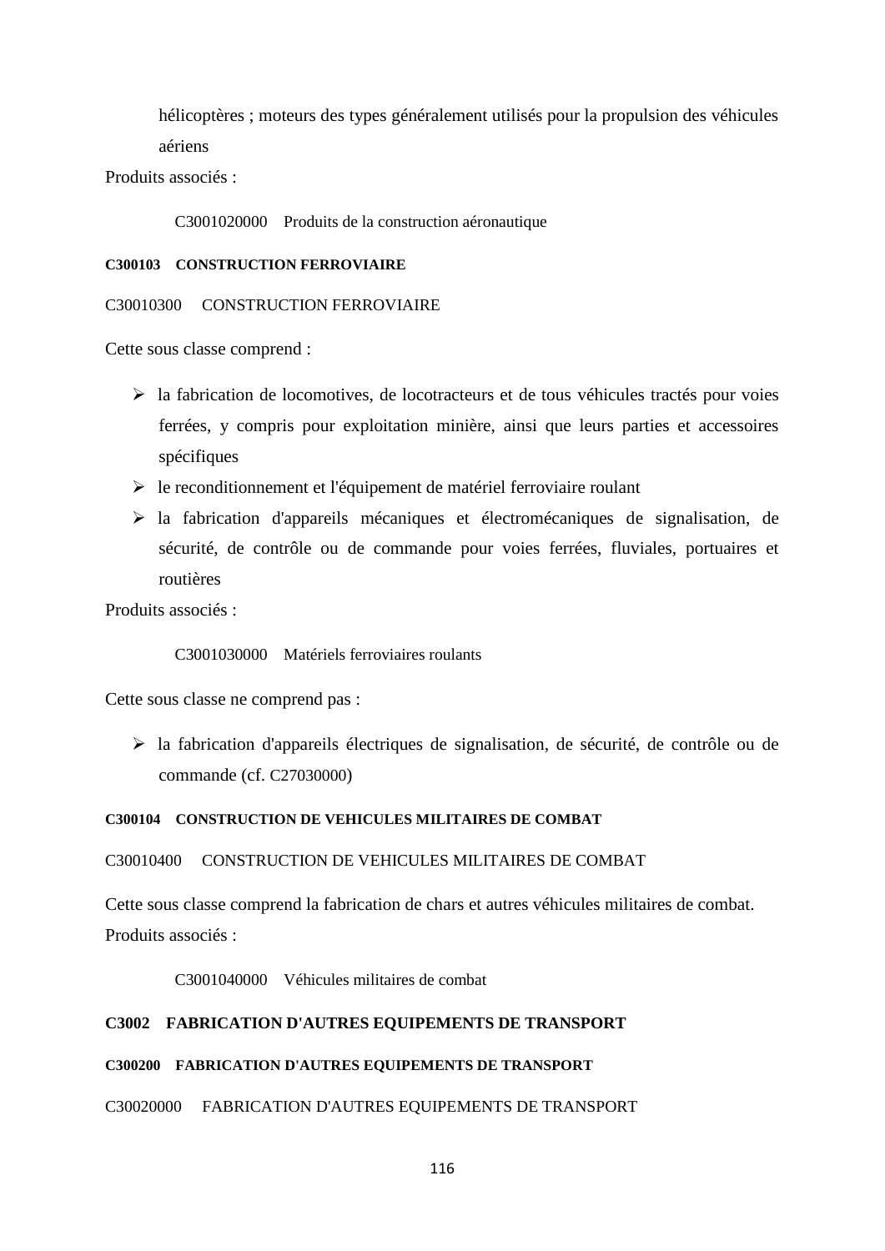hélicoptères ; moteurs des types généralement utilisés pour la propulsion des véhicules aériens

Produits associés :

C3001020000 Produits de la construction aéronautique

### **C300103 CONSTRUCTION FERROVIAIRE**

### C30010300 CONSTRUCTION FERROVIAIRE

Cette sous classe comprend :

- $\triangleright$  la fabrication de locomotives, de locotracteurs et de tous véhicules tractés pour voies ferrées, y compris pour exploitation minière, ainsi que leurs parties et accessoires spécifiques
- $\triangleright$  le reconditionnement et l'équipement de matériel ferroviaire roulant
- la fabrication d'appareils mécaniques et électromécaniques de signalisation, de sécurité, de contrôle ou de commande pour voies ferrées, fluviales, portuaires et routières

Produits associés :

C3001030000 Matériels ferroviaires roulants

Cette sous classe ne comprend pas :

 $\triangleright$  la fabrication d'appareils électriques de signalisation, de sécurité, de contrôle ou de commande (cf. C27030000)

### **C300104 CONSTRUCTION DE VEHICULES MILITAIRES DE COMBAT**

C30010400 CONSTRUCTION DE VEHICULES MILITAIRES DE COMBAT

Cette sous classe comprend la fabrication de chars et autres véhicules militaires de combat. Produits associés :

C3001040000 Véhicules militaires de combat

## **C3002 FABRICATION D'AUTRES EQUIPEMENTS DE TRANSPORT**

## **C300200 FABRICATION D'AUTRES EQUIPEMENTS DE TRANSPORT**

### C30020000 FABRICATION D'AUTRES EQUIPEMENTS DE TRANSPORT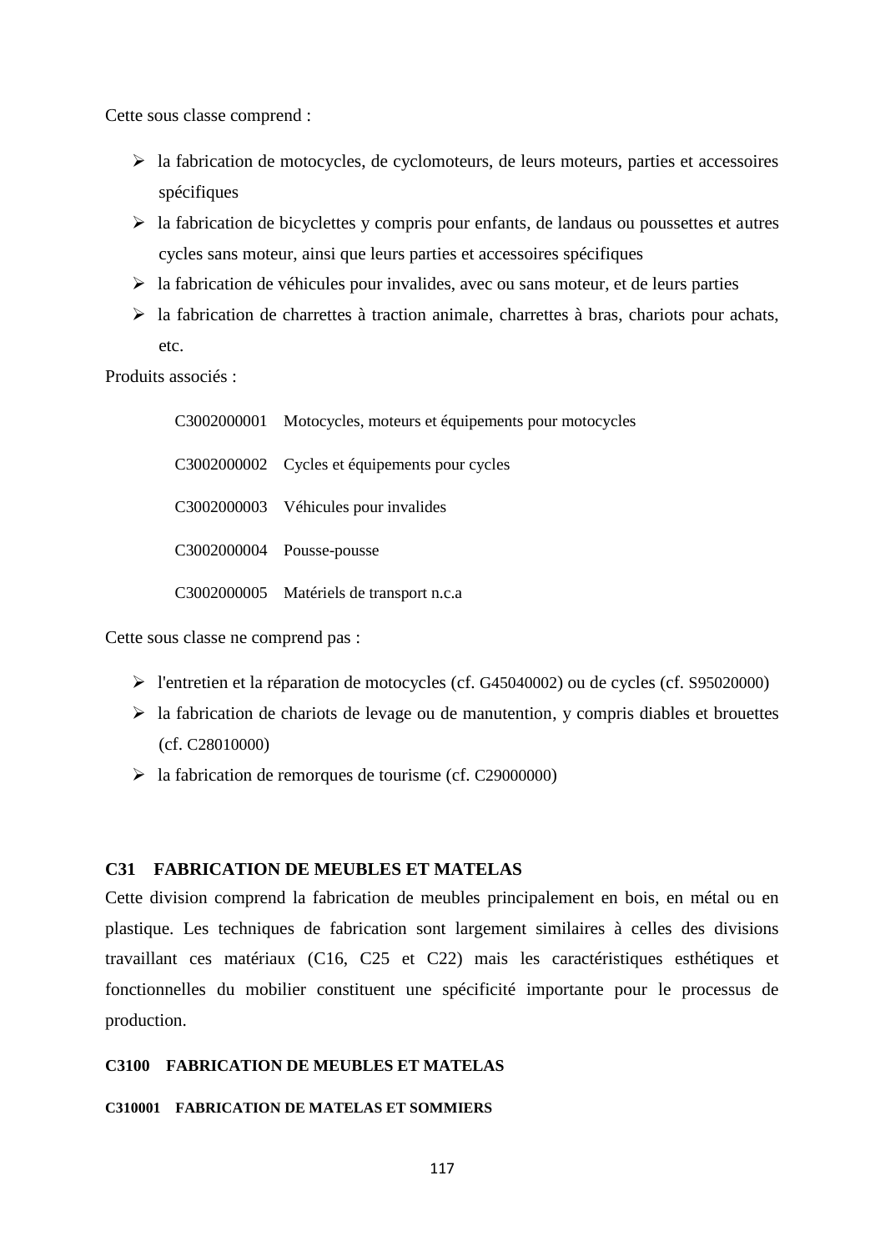Cette sous classe comprend :

- $\triangleright$  la fabrication de motocycles, de cyclomoteurs, de leurs moteurs, parties et accessoires spécifiques
- $\triangleright$  la fabrication de bicyclettes y compris pour enfants, de landaus ou poussettes et autres cycles sans moteur, ainsi que leurs parties et accessoires spécifiques
- $\triangleright$  la fabrication de véhicules pour invalides, avec ou sans moteur, et de leurs parties
- $\triangleright$  la fabrication de charrettes à traction animale, charrettes à bras, chariots pour achats, etc.

Produits associés :

C3002000001 Motocycles, moteurs et équipements pour motocycles C3002000002 Cycles et équipements pour cycles C3002000003 Véhicules pour invalides C3002000004 Pousse-pousse C3002000005 Matériels de transport n.c.a

Cette sous classe ne comprend pas :

- l'entretien et la réparation de motocycles (cf. G45040002) ou de cycles (cf. S95020000)
- $\triangleright$  la fabrication de chariots de levage ou de manutention, y compris diables et brouettes (cf. C28010000)
- $\blacktriangleright$  la fabrication de remorques de tourisme (cf. C29000000)

## **C31 FABRICATION DE MEUBLES ET MATELAS**

Cette division comprend la fabrication de meubles principalement en bois, en métal ou en plastique. Les techniques de fabrication sont largement similaires à celles des divisions travaillant ces matériaux (C16, C25 et C22) mais les caractéristiques esthétiques et fonctionnelles du mobilier constituent une spécificité importante pour le processus de production.

## **C3100 FABRICATION DE MEUBLES ET MATELAS**

### **C310001 FABRICATION DE MATELAS ET SOMMIERS**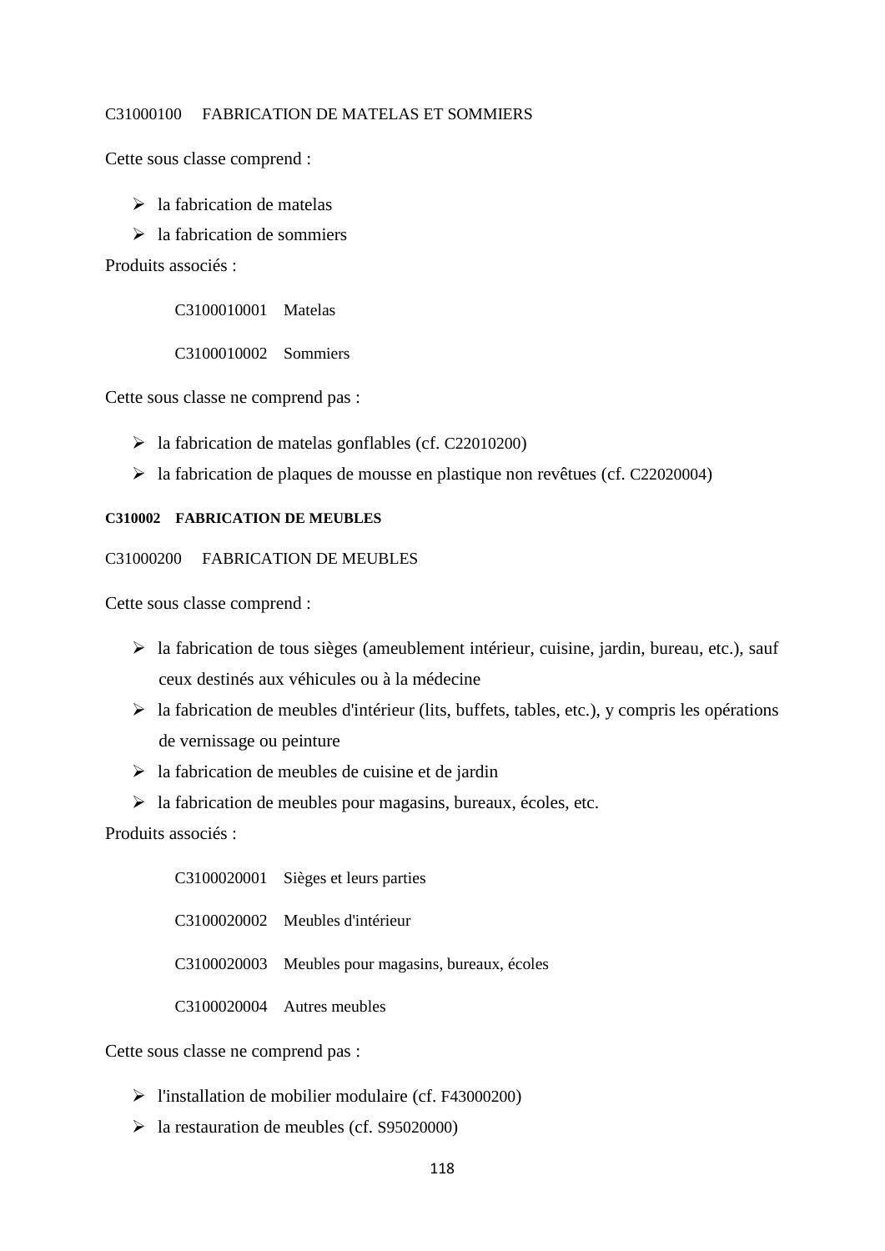## C31000100 FABRICATION DE MATELAS ET SOMMIERS

Cette sous classe comprend :

- $\triangleright$  la fabrication de matelas
- $\geq$  la fabrication de sommiers

Produits associés :

C3100010001 Matelas

C3100010002 Sommiers

Cette sous classe ne comprend pas :

- $\blacktriangleright$  la fabrication de matelas gonflables (cf. C22010200)
- la fabrication de plaques de mousse en plastique non revêtues (cf. C22020004)

## **C310002 FABRICATION DE MEUBLES**

### C31000200 FABRICATION DE MEUBLES

Cette sous classe comprend :

- la fabrication de tous sièges (ameublement intérieur, cuisine, jardin, bureau, etc.), sauf ceux destinés aux véhicules ou à la médecine
- $\triangleright$  la fabrication de meubles d'intérieur (lits, buffets, tables, etc.), y compris les opérations de vernissage ou peinture
- $\geq$  la fabrication de meubles de cuisine et de jardin
- $\triangleright$  la fabrication de meubles pour magasins, bureaux, écoles, etc.

Produits associés :

C3100020001 Sièges et leurs parties C3100020002 Meubles d'intérieur C3100020003 Meubles pour magasins, bureaux, écoles C3100020004 Autres meubles

Cette sous classe ne comprend pas :

- l'installation de mobilier modulaire (cf. F43000200)
- $\blacktriangleright$  la restauration de meubles (cf. S95020000)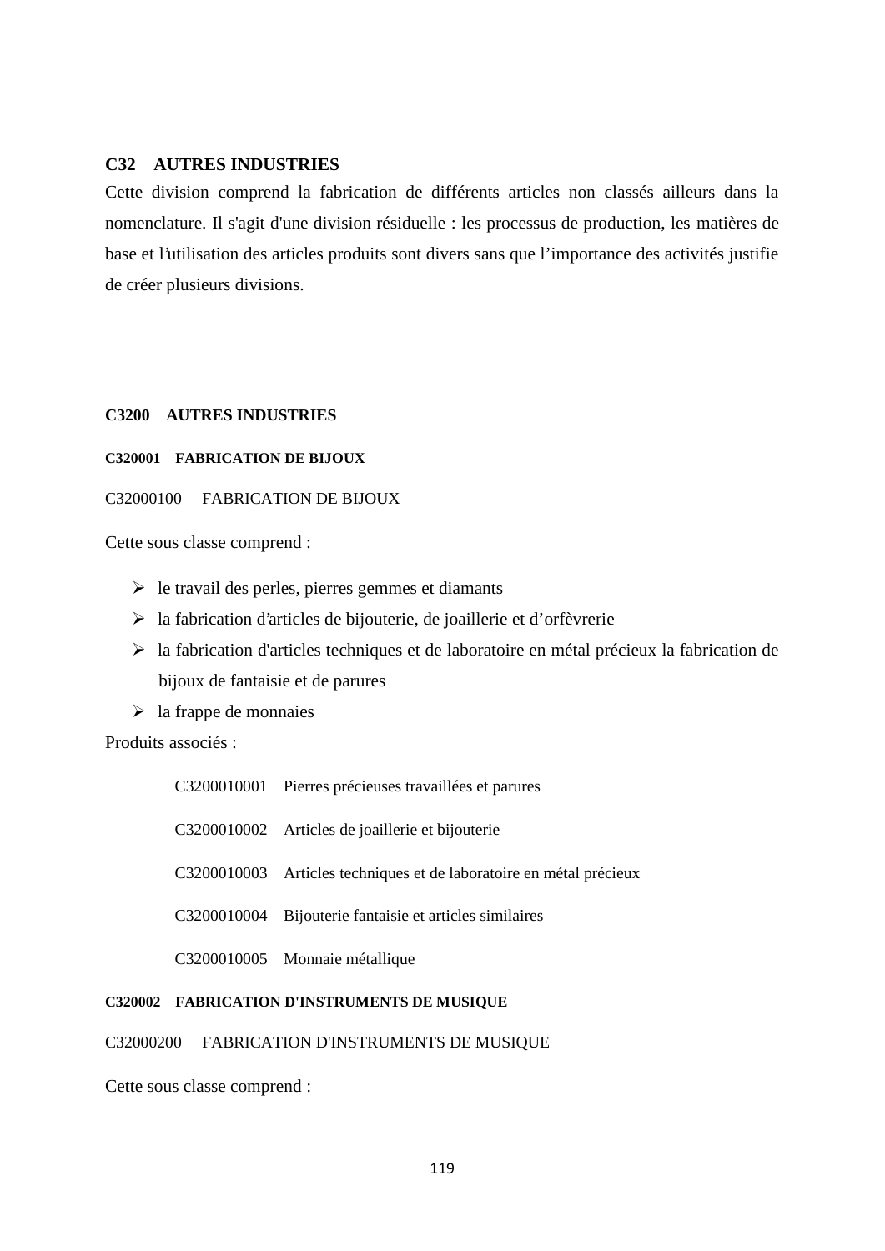## **C32 AUTRES INDUSTRIES**

Cette division comprend la fabrication de différents articles non classés ailleurs dans la nomenclature. Il s'agit d'une division résiduelle : les processus de production, les matières de base et l'utilisation des articles produits sont divers sans que l'importance des activités justifie de créer plusieurs divisions.

# **C3200 AUTRES INDUSTRIES**

## **C320001 FABRICATION DE BIJOUX**

# C32000100 FABRICATION DE BIJOUX

Cette sous classe comprend :

- $\triangleright$  le travail des perles, pierres gemmes et diamants
- $\triangleright$  la fabrication d'articles de bijouterie, de joaillerie et d'orfèvrerie
- la fabrication d'articles techniques et de laboratoire en métal précieux la fabrication de bijoux de fantaisie et de parures
- $\geq$  la frappe de monnaies

Produits associés :

| C3200010001 Pierres précieuses travaillées et parures               |
|---------------------------------------------------------------------|
| C3200010002 Articles de joaillerie et bijouterie                    |
| C3200010003 Articles techniques et de laboratoire en métal précieux |
| C3200010004 Bijouterie fantaisie et articles similaires             |
| C3200010005 Monnaie métallique                                      |

# **C320002 FABRICATION D'INSTRUMENTS DE MUSIQUE**

## C32000200 FABRICATION D'INSTRUMENTS DE MUSIQUE

Cette sous classe comprend :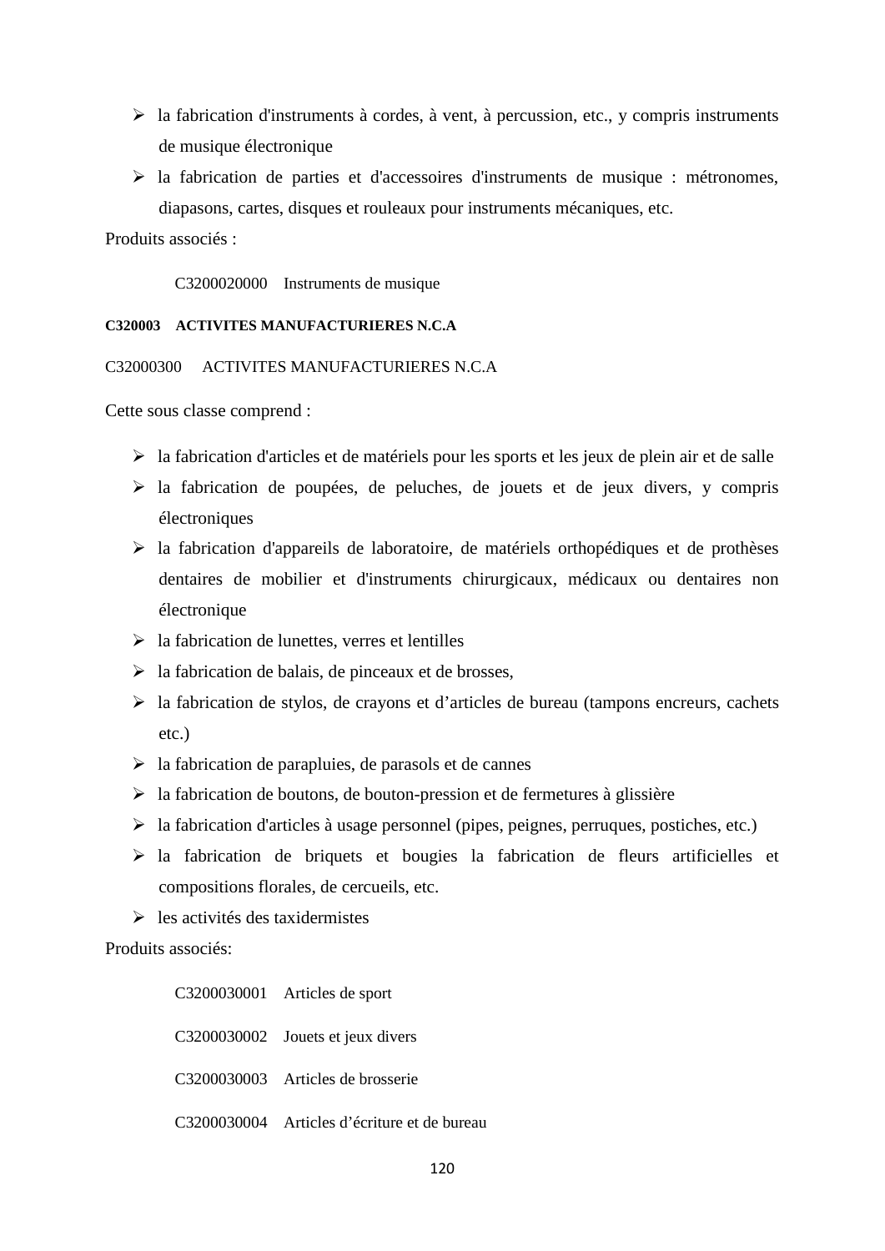- $\triangleright$  la fabrication d'instruments à cordes, à vent, à percussion, etc., y compris instruments de musique électronique
- $\triangleright$  la fabrication de parties et d'accessoires d'instruments de musique : métronomes, diapasons, cartes, disques et rouleaux pour instruments mécaniques, etc.

Produits associés :

C3200020000 Instruments de musique

### **C320003 ACTIVITES MANUFACTURIERES N.C.A**

C32000300 ACTIVITES MANUFACTURIERES N.C.A

Cette sous classe comprend :

- $\triangleright$  la fabrication d'articles et de matériels pour les sports et les jeux de plein air et de salle
- $\triangleright$  la fabrication de poupées, de peluches, de jouets et de jeux divers, y compris électroniques
- $\triangleright$  la fabrication d'appareils de laboratoire, de matériels orthopédiques et de prothèses dentaires de mobilier et d'instruments chirurgicaux, médicaux ou dentaires non électronique
- $\triangleright$  la fabrication de lunettes, verres et lentilles
- $\triangleright$  la fabrication de balais, de pinceaux et de brosses,
- $\triangleright$  la fabrication de stylos, de crayons et d'articles de bureau (tampons encreurs, cachets etc.)
- $\triangleright$  la fabrication de parapluies, de parasols et de cannes
- $\triangleright$  la fabrication de boutons, de bouton-pression et de fermetures à glissière
- $\triangleright$  la fabrication d'articles à usage personnel (pipes, peignes, perruques, postiches, etc.)
- la fabrication de briquets et bougies la fabrication de fleurs artificielles et compositions florales, de cercueils, etc.
- $\geq$  les activités des taxidermistes

Produits associés:

| C3200030001 Articles de sport                |
|----------------------------------------------|
| C3200030002 Jouets et jeux divers            |
| C3200030003 Articles de brosserie            |
| C3200030004 Articles d'écriture et de bureau |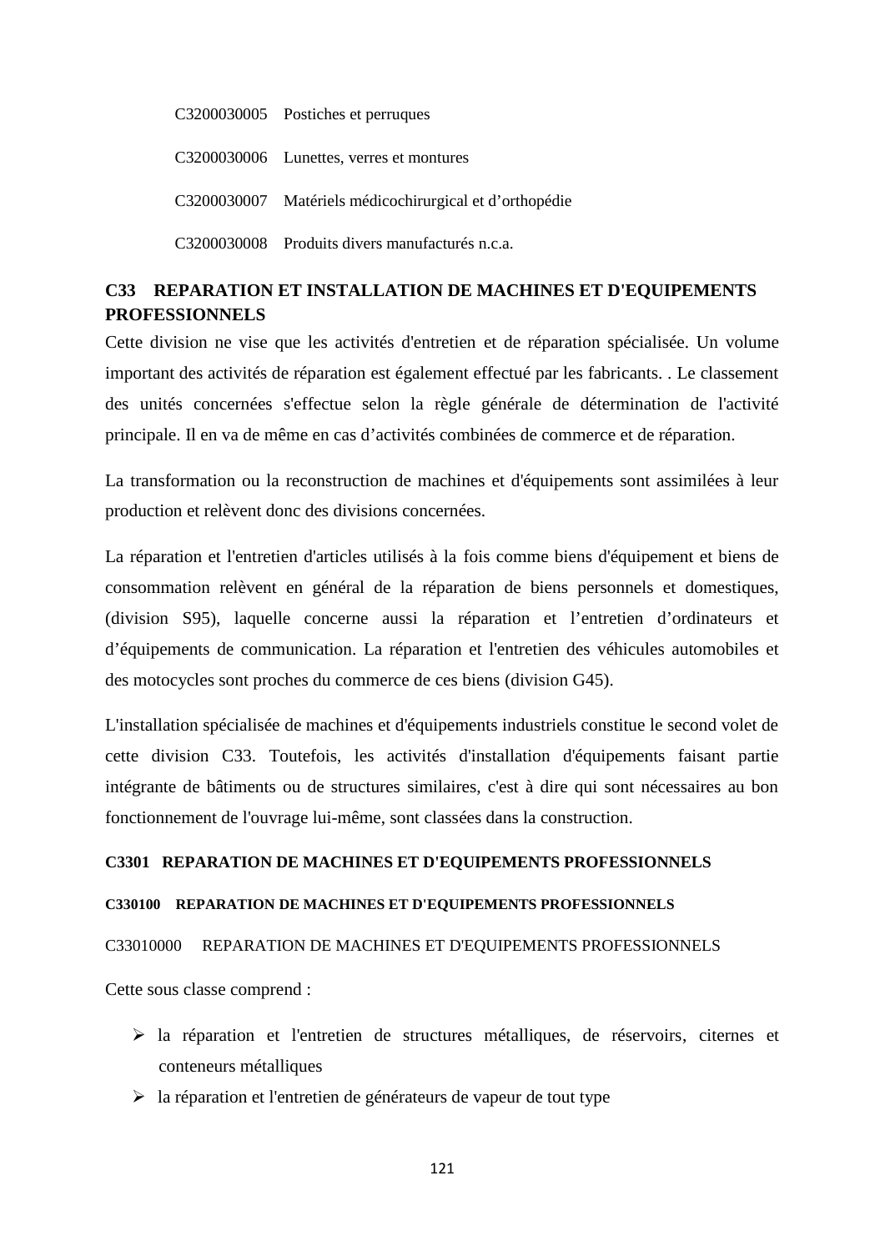C3200030005 Postiches et perruques C3200030006 Lunettes, verres et montures C3200030007 Matériels médicochirurgical et d'orthopédie C3200030008 Produits divers manufacturés n.c.a.

# **C33 REPARATION ET INSTALLATION DE MACHINES ET D'EQUIPEMENTS PROFESSIONNELS**

Cette division ne vise que les activités d'entretien et de réparation spécialisée. Un volume important des activités de réparation est également effectué par les fabricants. . Le classement des unités concernées s'effectue selon la règle générale de détermination de l'activité principale. Il en va de même en cas d'activités combinées de commerce et de réparation.

La transformation ou la reconstruction de machines et d'équipements sont assimilées à leur production et relèvent donc des divisions concernées.

La réparation et l'entretien d'articles utilisés à la fois comme biens d'équipement et biens de consommation relèvent en général de la réparation de biens personnels et domestiques, (division S95), laquelle concerne aussi la réparation et l'entretien d'ordinateurs et d'équipements de communication. La réparation et l'entretien des véhicules automobiles et des motocycles sont proches du commerce de ces biens (division G45).

L'installation spécialisée de machines et d'équipements industriels constitue le second volet de cette division C33. Toutefois, les activités d'installation d'équipements faisant partie intégrante de bâtiments ou de structures similaires, c'est à dire qui sont nécessaires au bon fonctionnement de l'ouvrage lui-même, sont classées dans la construction.

## **C3301 REPARATION DE MACHINES ET D'EQUIPEMENTS PROFESSIONNELS**

## **C330100 REPARATION DE MACHINES ET D'EQUIPEMENTS PROFESSIONNELS**

### C33010000 REPARATION DE MACHINES ET D'EQUIPEMENTS PROFESSIONNELS

Cette sous classe comprend :

- la réparation et l'entretien de structures métalliques, de réservoirs, citernes et conteneurs métalliques
- $\triangleright$  la réparation et l'entretien de générateurs de vapeur de tout type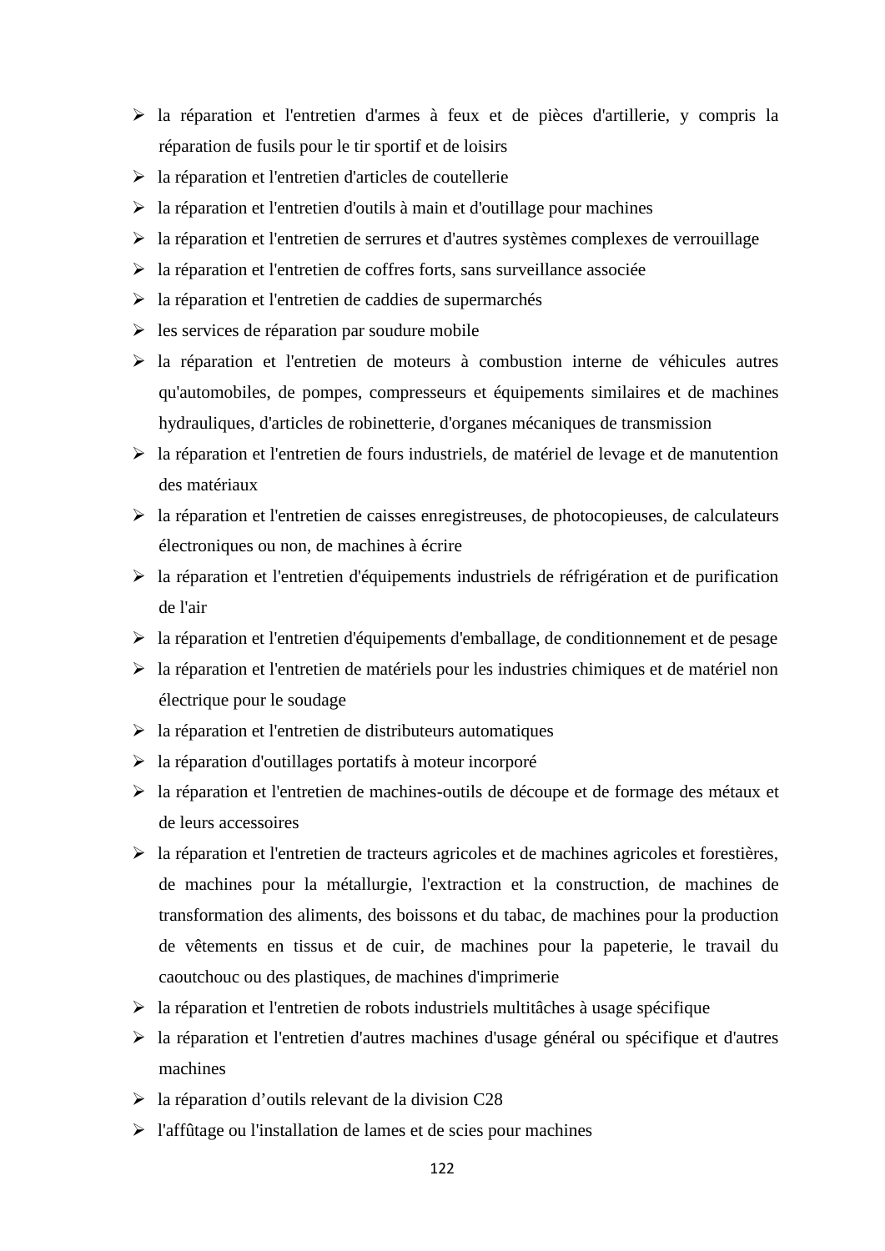- la réparation et l'entretien d'armes à feux et de pièces d'artillerie, y compris la réparation de fusils pour le tir sportif et de loisirs
- la réparation et l'entretien d'articles de coutellerie
- $\triangleright$  la réparation et l'entretien d'outils à main et d'outillage pour machines
- la réparation et l'entretien de serrures et d'autres systèmes complexes de verrouillage
- $\triangleright$  la réparation et l'entretien de coffres forts, sans surveillance associée
- $\triangleright$  la réparation et l'entretien de caddies de supermarchés
- $\triangleright$  les services de réparation par soudure mobile
- $\triangleright$  la réparation et l'entretien de moteurs à combustion interne de véhicules autres qu'automobiles, de pompes, compresseurs et équipements similaires et de machines hydrauliques, d'articles de robinetterie, d'organes mécaniques de transmission
- $\triangleright$  la réparation et l'entretien de fours industriels, de matériel de levage et de manutention des matériaux
- la réparation et l'entretien de caisses enregistreuses, de photocopieuses, de calculateurs électroniques ou non, de machines à écrire
- la réparation et l'entretien d'équipements industriels de réfrigération et de purification de l'air
- la réparation et l'entretien d'équipements d'emballage, de conditionnement et de pesage
- la réparation et l'entretien de matériels pour les industries chimiques et de matériel non électrique pour le soudage
- $\triangleright$  la réparation et l'entretien de distributeurs automatiques
- la réparation d'outillages portatifs à moteur incorporé
- la réparation et l'entretien de machines-outils de découpe et de formage des métaux et de leurs accessoires
- $\triangleright$  la réparation et l'entretien de tracteurs agricoles et de machines agricoles et forestières, de machines pour la métallurgie, l'extraction et la construction, de machines de transformation des aliments, des boissons et du tabac, de machines pour la production de vêtements en tissus et de cuir, de machines pour la papeterie, le travail du caoutchouc ou des plastiques, de machines d'imprimerie
- $\geq$ la réparation et l'entretien de robots industriels multitâches à usage spécifique
- la réparation et l'entretien d'autres machines d'usage général ou spécifique et d'autres machines
- $\geq$  la réparation d'outils relevant de la division C28
- $\triangleright$  l'affûtage ou l'installation de lames et de scies pour machines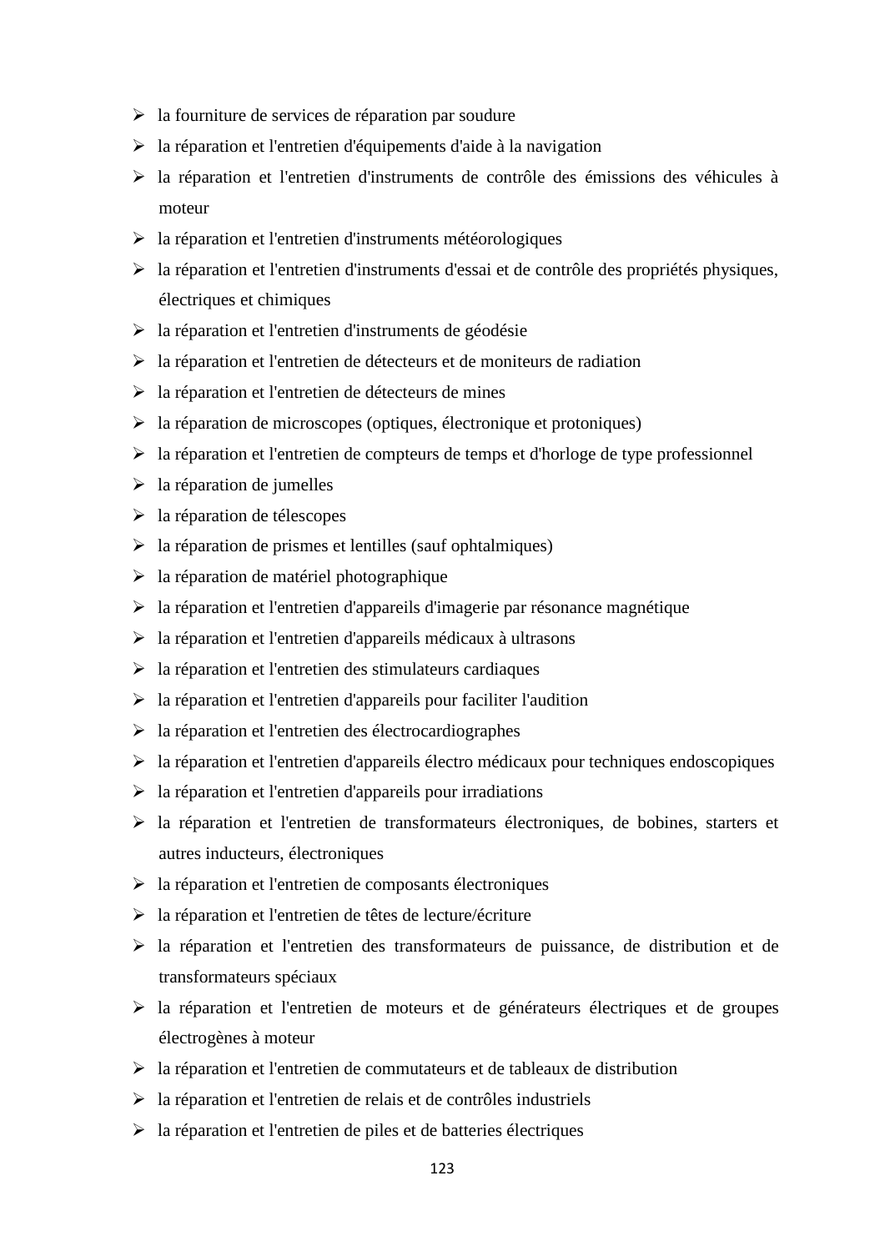- $\triangleright$  la fourniture de services de réparation par soudure
- $\triangleright$  la réparation et l'entretien d'équipements d'aide à la navigation
- la réparation et l'entretien d'instruments de contrôle des émissions des véhicules à moteur
- la réparation et l'entretien d'instruments météorologiques
- la réparation et l'entretien d'instruments d'essai et de contrôle des propriétés physiques, électriques et chimiques
- la réparation et l'entretien d'instruments de géodésie
- $\triangleright$  la réparation et l'entretien de détecteurs et de moniteurs de radiation
- $\triangleright$  la réparation et l'entretien de détecteurs de mines
- $\triangleright$  la réparation de microscopes (optiques, électronique et protoniques)
- la réparation et l'entretien de compteurs de temps et d'horloge de type professionnel
- $\triangleright$  la réparation de jumelles
- $\triangleright$  la réparation de télescopes
- $\triangleright$  la réparation de prismes et lentilles (sauf ophtalmiques)
- $\triangleright$  la réparation de matériel photographique
- la réparation et l'entretien d'appareils d'imagerie par résonance magnétique
- la réparation et l'entretien d'appareils médicaux à ultrasons
- $\geq$  la réparation et l'entretien des stimulateurs cardiaques
- $\triangleright$  la réparation et l'entretien d'appareils pour faciliter l'audition
- $\triangleright$  la réparation et l'entretien des électrocardiographes
- la réparation et l'entretien d'appareils électro médicaux pour techniques endoscopiques
- $\triangleright$  la réparation et l'entretien d'appareils pour irradiations
- la réparation et l'entretien de transformateurs électroniques, de bobines, starters et autres inducteurs, électroniques
- la réparation et l'entretien de composants électroniques
- la réparation et l'entretien de têtes de lecture/écriture
- la réparation et l'entretien des transformateurs de puissance, de distribution et de transformateurs spéciaux
- la réparation et l'entretien de moteurs et de générateurs électriques et de groupes électrogènes à moteur
- $\triangleright$  la réparation et l'entretien de commutateurs et de tableaux de distribution
- la réparation et l'entretien de relais et de contrôles industriels
- $\triangleright$  la réparation et l'entretien de piles et de batteries électriques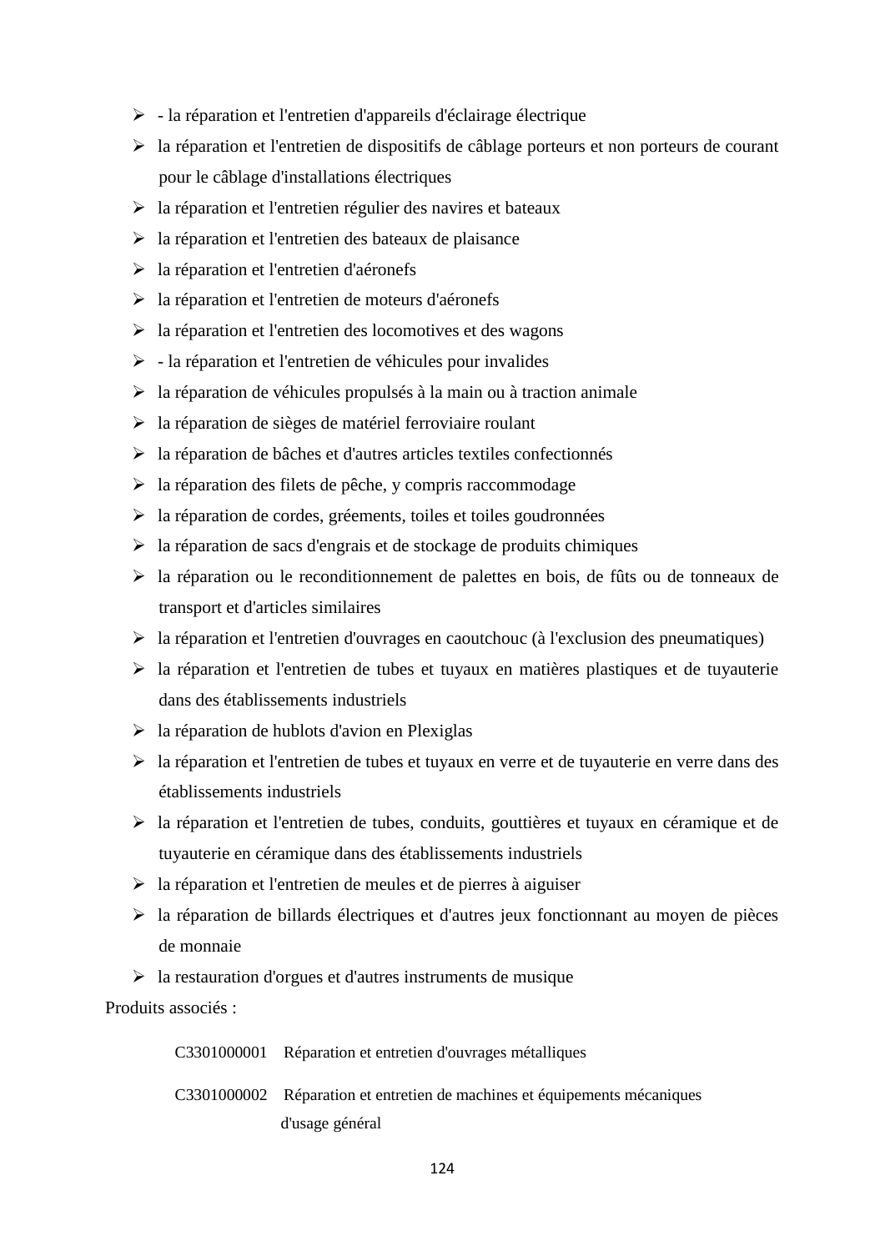- $\triangleright$  la réparation et l'entretien d'appareils d'éclairage électrique
- la réparation et l'entretien de dispositifs de câblage porteurs et non porteurs de courant pour le câblage d'installations électriques
- $\triangleright$  la réparation et l'entretien régulier des navires et bateaux
- $\triangleright$  la réparation et l'entretien des bateaux de plaisance
- la réparation et l'entretien d'aéronefs
- la réparation et l'entretien de moteurs d'aéronefs
- la réparation et l'entretien des locomotives et des wagons
- $\triangleright$  la réparation et l'entretien de véhicules pour invalides
- $\triangleright$  la réparation de véhicules propulsés à la main ou à traction animale
- $\triangleright$  la réparation de sièges de matériel ferroviaire roulant
- la réparation de bâches et d'autres articles textiles confectionnés
- $\triangleright$  la réparation des filets de pêche, y compris raccommodage
- la réparation de cordes, gréements, toiles et toiles goudronnées
- $\triangleright$  la réparation de sacs d'engrais et de stockage de produits chimiques
- la réparation ou le reconditionnement de palettes en bois, de fûts ou de tonneaux de transport et d'articles similaires
- $\triangleright$  la réparation et l'entretien d'ouvrages en caoutchouc (à l'exclusion des pneumatiques)
- $\triangleright$  la réparation et l'entretien de tubes et tuyaux en matières plastiques et de tuyauterie dans des établissements industriels
- $\triangleright$  la réparation de hublots d'avion en Plexiglas
- la réparation et l'entretien de tubes et tuyaux en verre et de tuyauterie en verre dans des établissements industriels
- la réparation et l'entretien de tubes, conduits, gouttières et tuyaux en céramique et de tuyauterie en céramique dans des établissements industriels
- $\triangleright$  la réparation et l'entretien de meules et de pierres à aiguiser
- $\triangleright$  la réparation de billards électriques et d'autres jeux fonctionnant au moyen de pièces de monnaie
- $\triangleright$  la restauration d'orgues et d'autres instruments de musique

Produits associés :

| C3301000001 Réparation et entretien d'ouvrages métalliques                |
|---------------------------------------------------------------------------|
| C3301000002 Réparation et entretien de machines et équipements mécaniques |
| d'usage général                                                           |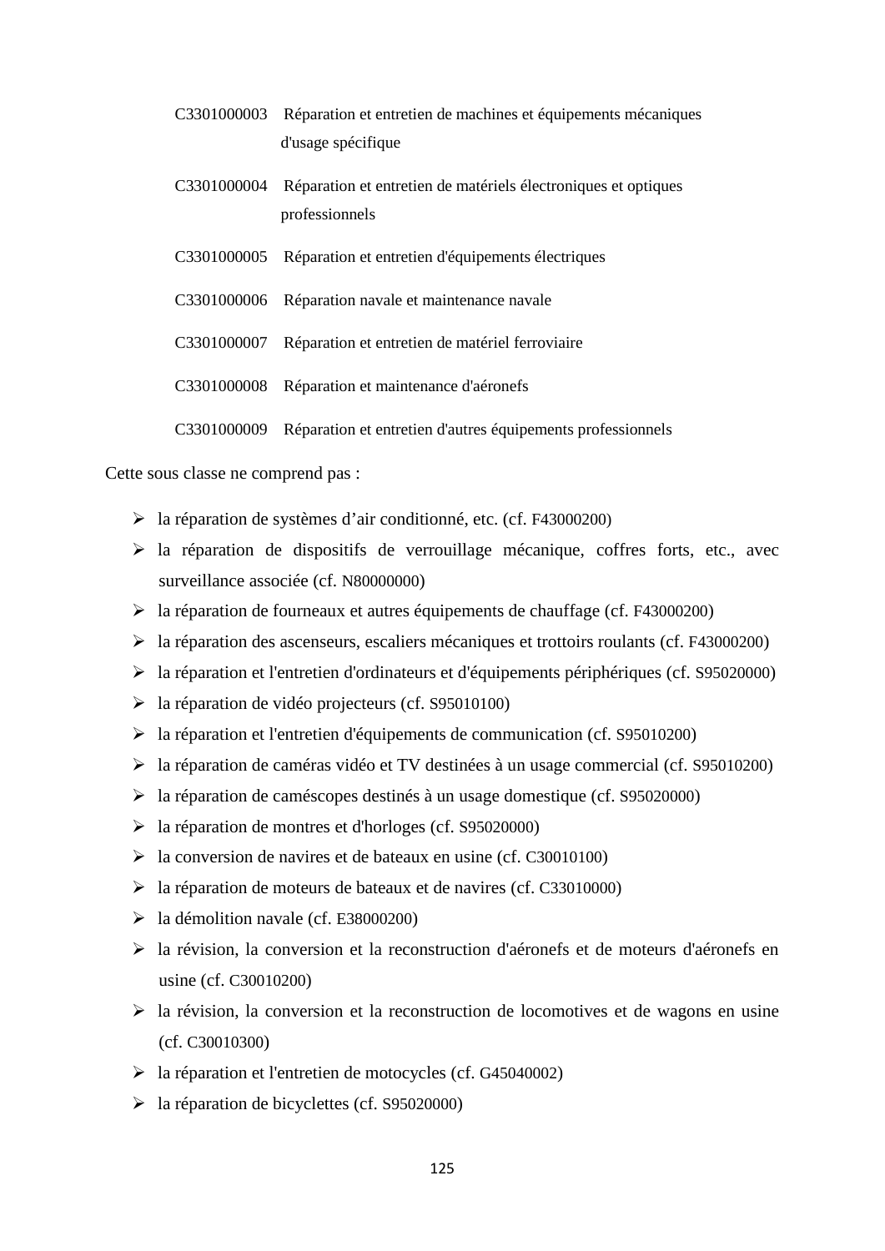| C3301000003 | Réparation et entretien de machines et équipements mécaniques<br>d'usage spécifique |
|-------------|-------------------------------------------------------------------------------------|
| C3301000004 | Réparation et entretien de matériels électroniques et optiques<br>professionnels    |
| C3301000005 | Réparation et entretien d'équipements électriques                                   |
| C3301000006 | Réparation navale et maintenance navale                                             |
| C3301000007 | Réparation et entretien de matériel ferroviaire                                     |
| C3301000008 | Réparation et maintenance d'aéronefs                                                |
| C3301000009 | Réparation et entretien d'autres équipements professionnels                         |

Cette sous classe ne comprend pas :

- la réparation de systèmes d'air conditionné, etc. (cf. F43000200)
- $\triangleright$  la réparation de dispositifs de verrouillage mécanique, coffres forts, etc., avec surveillance associée (cf. N80000000)
- la réparation de fourneaux et autres équipements de chauffage (cf. F43000200)
- la réparation des ascenseurs, escaliers mécaniques et trottoirs roulants (cf. F43000200)
- la réparation et l'entretien d'ordinateurs et d'équipements périphériques (cf. S95020000)
- la réparation de vidéo projecteurs (cf. S95010100)
- la réparation et l'entretien d'équipements de communication (cf. S95010200)
- la réparation de caméras vidéo et TV destinées à un usage commercial (cf. S95010200)
- la réparation de caméscopes destinés à un usage domestique (cf. S95020000)
- la réparation de montres et d'horloges (cf. S95020000)
- $\blacktriangleright$  la conversion de navires et de bateaux en usine (cf. C30010100)
- la réparation de moteurs de bateaux et de navires (cf. C33010000)
- $\geq$  1a démolition navale (cf. E38000200)
- la révision, la conversion et la reconstruction d'aéronefs et de moteurs d'aéronefs en usine (cf. C30010200)
- $\triangleright$  la révision, la conversion et la reconstruction de locomotives et de wagons en usine (cf. C30010300)
- la réparation et l'entretien de motocycles (cf. G45040002)
- la réparation de bicyclettes (cf. S95020000)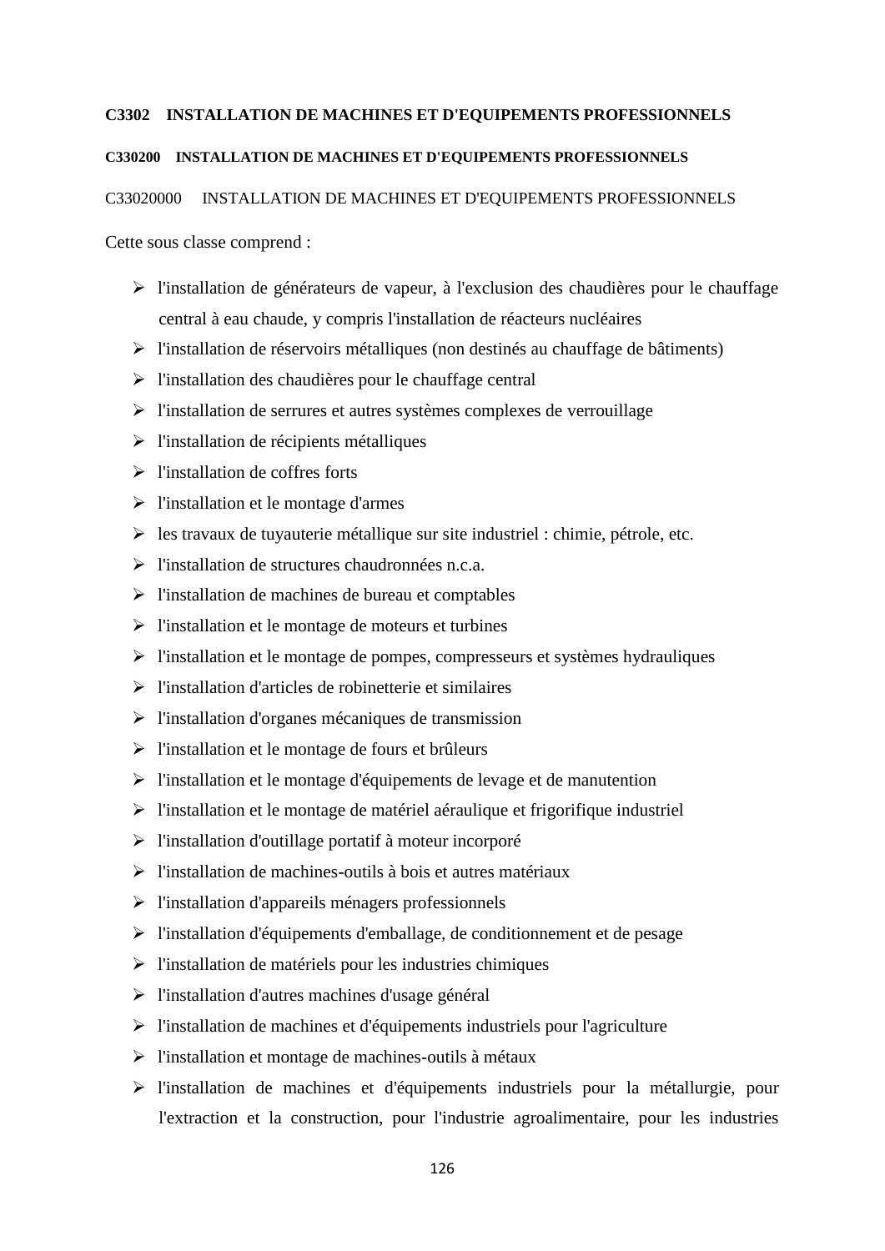## **C3302 INSTALLATION DE MACHINES ET D'EQUIPEMENTS PROFESSIONNELS**

# **C330200 INSTALLATION DE MACHINES ET D'EQUIPEMENTS PROFESSIONNELS**

C33020000 INSTALLATION DE MACHINES ET D'EQUIPEMENTS PROFESSIONNELS

Cette sous classe comprend :

- l'installation de générateurs de vapeur, à l'exclusion des chaudières pour le chauffage central à eau chaude, y compris l'installation de réacteurs nucléaires
- l'installation de réservoirs métalliques (non destinés au chauffage de bâtiments)
- $\triangleright$  l'installation des chaudières pour le chauffage central
- $\triangleright$  l'installation de serrures et autres systèmes complexes de verrouillage
- $\triangleright$  l'installation de récipients métalliques
- $\triangleright$  l'installation de coffres forts
- $\triangleright$  l'installation et le montage d'armes
- $\triangleright$  les travaux de tuyauterie métallique sur site industriel : chimie, pétrole, etc.
- l'installation de structures chaudronnées n.c.a.
- $\triangleright$  l'installation de machines de bureau et comptables
- $\triangleright$  l'installation et le montage de moteurs et turbines
- l'installation et le montage de pompes, compresseurs et systèmes hydrauliques
- $\triangleright$  l'installation d'articles de robinetterie et similaires
- $\triangleright$  l'installation d'organes mécaniques de transmission
- $\triangleright$  l'installation et le montage de fours et brûleurs
- $\triangleright$  l'installation et le montage d'équipements de levage et de manutention
- l'installation et le montage de matériel aéraulique et frigorifique industriel
- $\triangleright$  l'installation d'outillage portatif à moteur incorporé
- $\triangleright$  l'installation de machines-outils à bois et autres matériaux
- l'installation d'appareils ménagers professionnels
- l'installation d'équipements d'emballage, de conditionnement et de pesage
- $\triangleright$  l'installation de matériels pour les industries chimiques
- l'installation d'autres machines d'usage général
- $\triangleright$  l'installation de machines et d'équipements industriels pour l'agriculture
- $\triangleright$  l'installation et montage de machines-outils à métaux
- l'installation de machines et d'équipements industriels pour la métallurgie, pour l'extraction et la construction, pour l'industrie agroalimentaire, pour les industries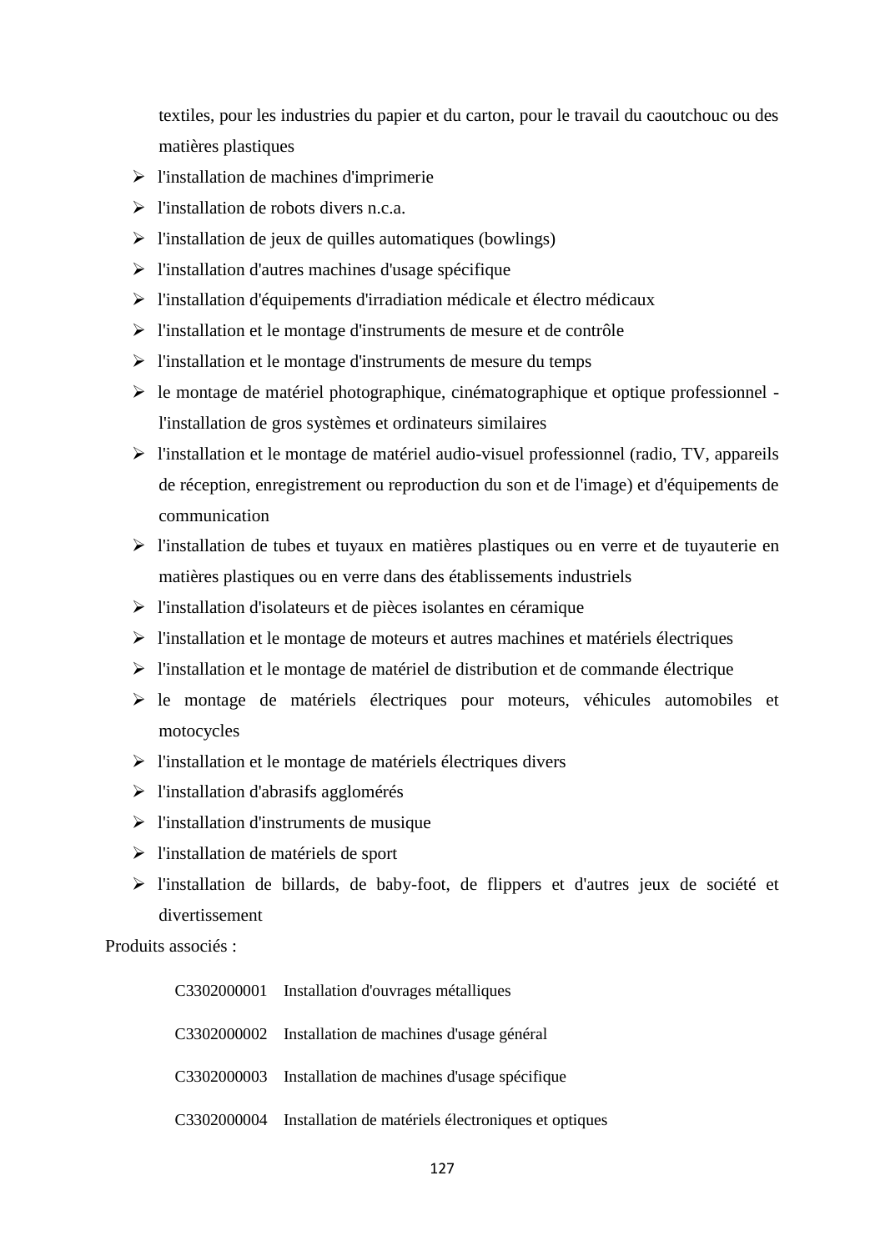textiles, pour les industries du papier et du carton, pour le travail du caoutchouc ou des matières plastiques

- $\triangleright$  l'installation de machines d'imprimerie
- $\triangleright$  l'installation de robots divers n.c.a.
- $\triangleright$  l'installation de jeux de quilles automatiques (bowlings)
- $\triangleright$  l'installation d'autres machines d'usage spécifique
- l'installation d'équipements d'irradiation médicale et électro médicaux
- l'installation et le montage d'instruments de mesure et de contrôle
- l'installation et le montage d'instruments de mesure du temps
- $\triangleright$  le montage de matériel photographique, cinématographique et optique professionnel l'installation de gros systèmes et ordinateurs similaires
- $\triangleright$  l'installation et le montage de matériel audio-visuel professionnel (radio, TV, appareils de réception, enregistrement ou reproduction du son et de l'image) et d'équipements de communication
- l'installation de tubes et tuyaux en matières plastiques ou en verre et de tuyauterie en matières plastiques ou en verre dans des établissements industriels
- l'installation d'isolateurs et de pièces isolantes en céramique
- l'installation et le montage de moteurs et autres machines et matériels électriques
- $\triangleright$  l'installation et le montage de matériel de distribution et de commande électrique
- le montage de matériels électriques pour moteurs, véhicules automobiles et motocycles
- $\triangleright$  l'installation et le montage de matériels électriques divers
- $\triangleright$  l'installation d'abrasifs agglomérés
- $\triangleright$  l'installation d'instruments de musique
- l'installation de matériels de sport
- l'installation de billards, de baby-foot, de flippers et d'autres jeux de société et divertissement

Produits associés :

| C3302000001 Installation d'ouvrages métalliques                 |
|-----------------------------------------------------------------|
| C3302000002 Installation de machines d'usage général            |
| C3302000003 Installation de machines d'usage spécifique         |
| C3302000004 Installation de matériels électroniques et optiques |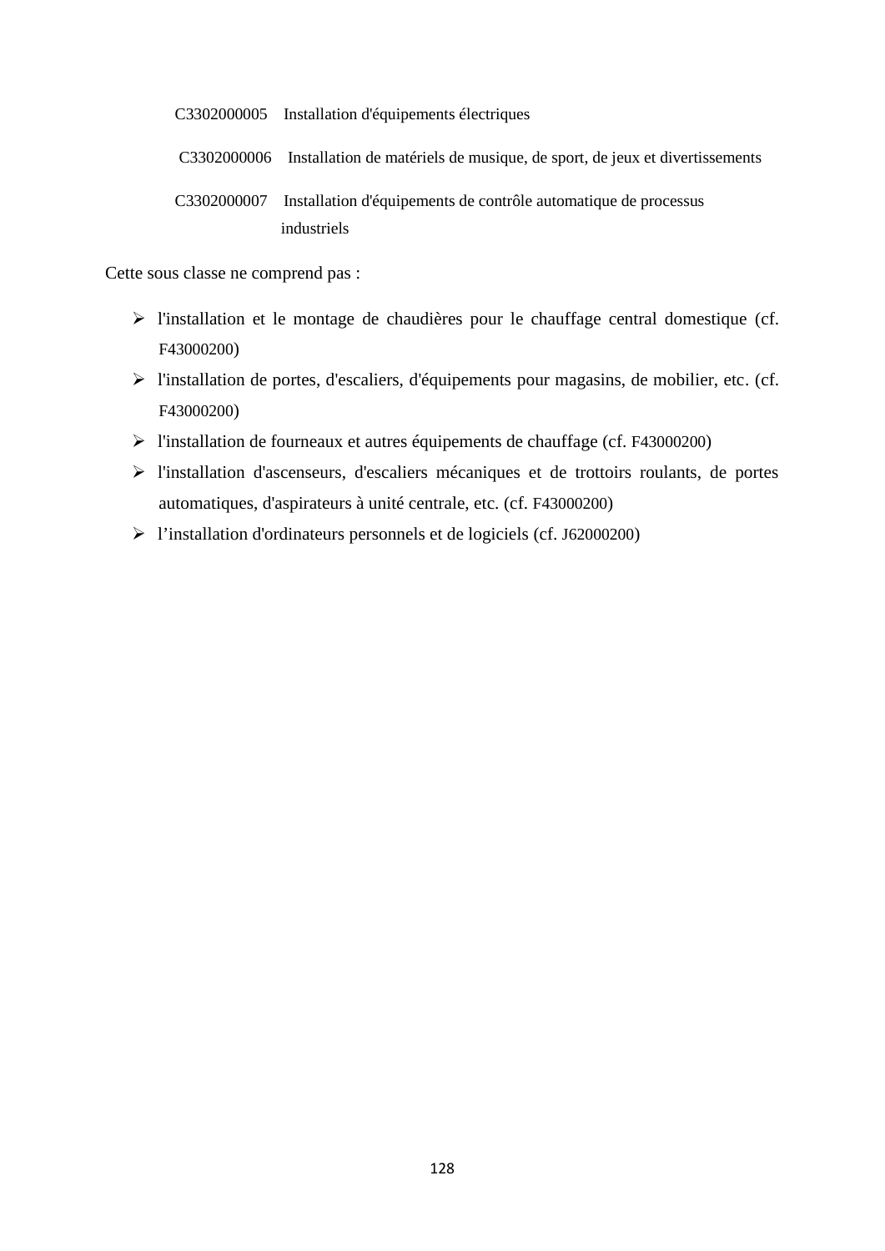C3302000005 Installation d'équipements électriques

C3302000006 Installation de matériels de musique, de sport, de jeux et divertissements

C3302000007 Installation d'équipements de contrôle automatique de processus industriels

Cette sous classe ne comprend pas :

- l'installation et le montage de chaudières pour le chauffage central domestique (cf. F43000200)
- l'installation de portes, d'escaliers, d'équipements pour magasins, de mobilier, etc. (cf. F43000200)
- l'installation de fourneaux et autres équipements de chauffage (cf. F43000200)
- l'installation d'ascenseurs, d'escaliers mécaniques et de trottoirs roulants, de portes automatiques, d'aspirateurs à unité centrale, etc. (cf. F43000200)
- l'installation d'ordinateurs personnels et de logiciels (cf. J62000200)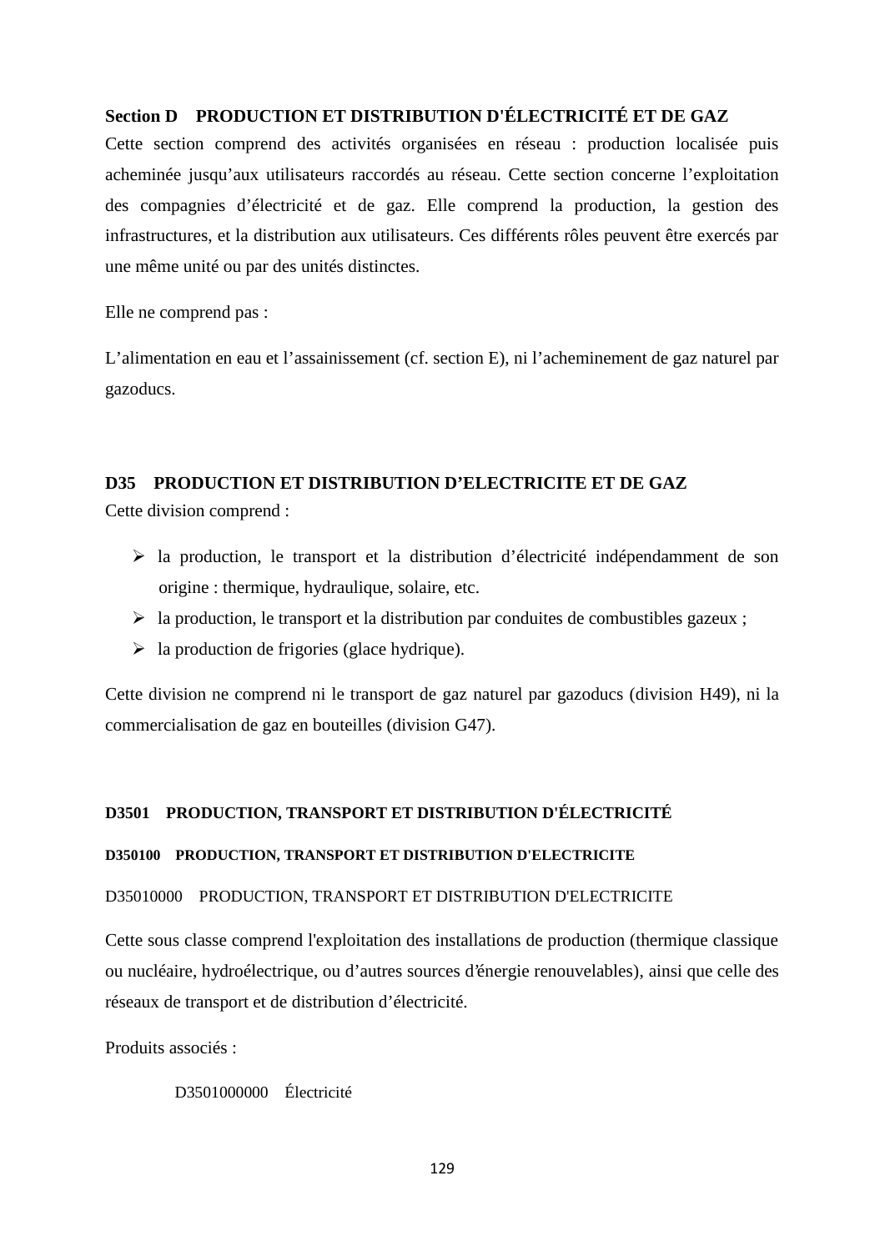# **Section D PRODUCTION ET DISTRIBUTION D'ÉLECTRICITÉ ET DE GAZ**

Cette section comprend des activités organisées en réseau : production localisée puis acheminée jusqu'aux utilisateurs raccordés au réseau. Cette section concerne l'exploitation des compagnies d'électricité et de gaz. Elle comprend la production, la gestion des infrastructures, et la distribution aux utilisateurs. Ces différents rôles peuvent être exercés par une même unité ou par des unités distinctes.

Elle ne comprend pas :

L'alimentation en eau et l'assainissement (cf. section E), ni l'acheminement de gaz naturel par gazoducs.

# **D35 PRODUCTION ET DISTRIBUTION D'ELECTRICITE ET DE GAZ**

Cette division comprend :

- la production, le transport et la distribution d'électricité indépendamment de son origine : thermique, hydraulique, solaire, etc.
- $\triangleright$  la production, le transport et la distribution par conduites de combustibles gazeux ;
- $\triangleright$  la production de frigories (glace hydrique).

Cette division ne comprend ni le transport de gaz naturel par gazoducs (division H49), ni la commercialisation de gaz en bouteilles (division G47).

# **D3501 PRODUCTION, TRANSPORT ET DISTRIBUTION D'ÉLECTRICITÉ**

## **D350100 PRODUCTION, TRANSPORT ET DISTRIBUTION D'ELECTRICITE**

## D35010000 PRODUCTION, TRANSPORT ET DISTRIBUTION D'ELECTRICITE

Cette sous classe comprend l'exploitation des installations de production (thermique classique ou nucléaire, hydroélectrique, ou d'autres sources d'énergie renouvelables), ainsi que celle des réseaux de transport et de distribution d'électricité.

Produits associés :

D3501000000 Électricité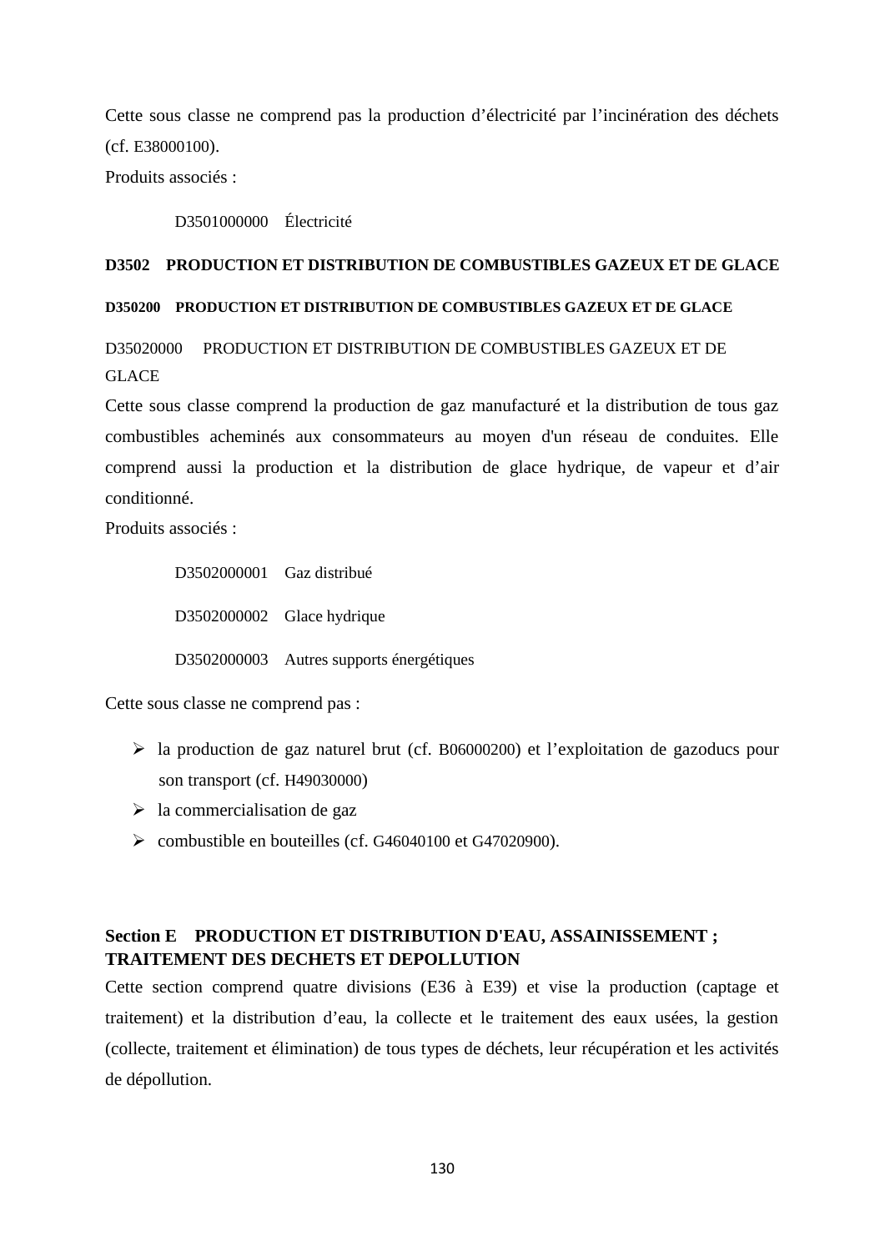Cette sous classe ne comprend pas la production d'électricité par l'incinération des déchets (cf. E38000100).

Produits associés :

D3501000000 Électricité

## **D3502 PRODUCTION ET DISTRIBUTION DE COMBUSTIBLES GAZEUX ET DE GLACE**

## **D350200 PRODUCTION ET DISTRIBUTION DE COMBUSTIBLES GAZEUX ET DE GLACE**

D35020000 PRODUCTION ET DISTRIBUTION DE COMBUSTIBLES GAZEUX ET DE GLACE

Cette sous classe comprend la production de gaz manufacturé et la distribution de tous gaz combustibles acheminés aux consommateurs au moyen d'un réseau de conduites. Elle comprend aussi la production et la distribution de glace hydrique, de vapeur et d'air conditionné.

Produits associés :

D3502000001 Gaz distribué D3502000002 Glace hydrique D3502000003 Autres supports énergétiques

Cette sous classe ne comprend pas :

- la production de gaz naturel brut (cf. B06000200) et l'exploitation de gazoducs pour son transport (cf. H49030000)
- $\triangleright$  la commercialisation de gaz
- combustible en bouteilles (cf. G46040100 et G47020900).

# **Section E PRODUCTION ET DISTRIBUTION D'EAU, ASSAINISSEMENT ; TRAITEMENT DES DECHETS ET DEPOLLUTION**

Cette section comprend quatre divisions (E36 à E39) et vise la production (captage et traitement) et la distribution d'eau, la collecte et le traitement des eaux usées, la gestion (collecte, traitement et élimination) de tous types de déchets, leur récupération et les activités de dépollution.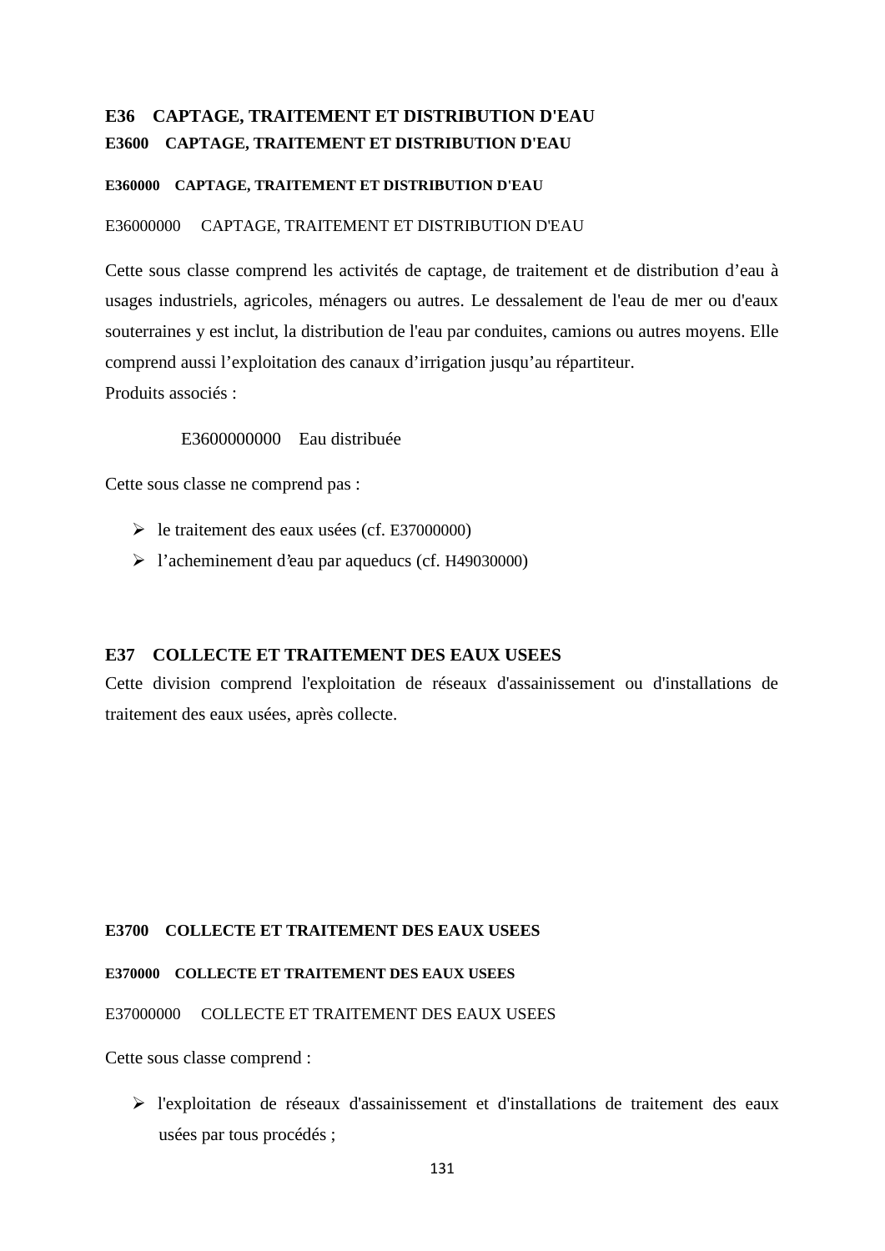# **E36 CAPTAGE, TRAITEMENT ET DISTRIBUTION D'EAU E3600 CAPTAGE, TRAITEMENT ET DISTRIBUTION D'EAU**

# **E360000 CAPTAGE, TRAITEMENT ET DISTRIBUTION D'EAU**

# E36000000 CAPTAGE, TRAITEMENT ET DISTRIBUTION D'EAU

Cette sous classe comprend les activités de captage, de traitement et de distribution d'eau à usages industriels, agricoles, ménagers ou autres. Le dessalement de l'eau de mer ou d'eaux souterraines y est inclut, la distribution de l'eau par conduites, camions ou autres moyens. Elle comprend aussi l'exploitation des canaux d'irrigation jusqu'au répartiteur. Produits associés :

# E3600000000 Eau distribuée

Cette sous classe ne comprend pas :

- le traitement des eaux usées (cf. E37000000)
- l'acheminement d'eau par aqueducs (cf. H49030000)

## **E37 COLLECTE ET TRAITEMENT DES EAUX USEES**

Cette division comprend l'exploitation de réseaux d'assainissement ou d'installations de traitement des eaux usées, après collecte.

## **E3700 COLLECTE ET TRAITEMENT DES EAUX USEES**

## **E370000 COLLECTE ET TRAITEMENT DES EAUX USEES**

## E37000000 COLLECTE ET TRAITEMENT DES EAUX USEES

Cette sous classe comprend :

 l'exploitation de réseaux d'assainissement et d'installations de traitement des eaux usées par tous procédés ;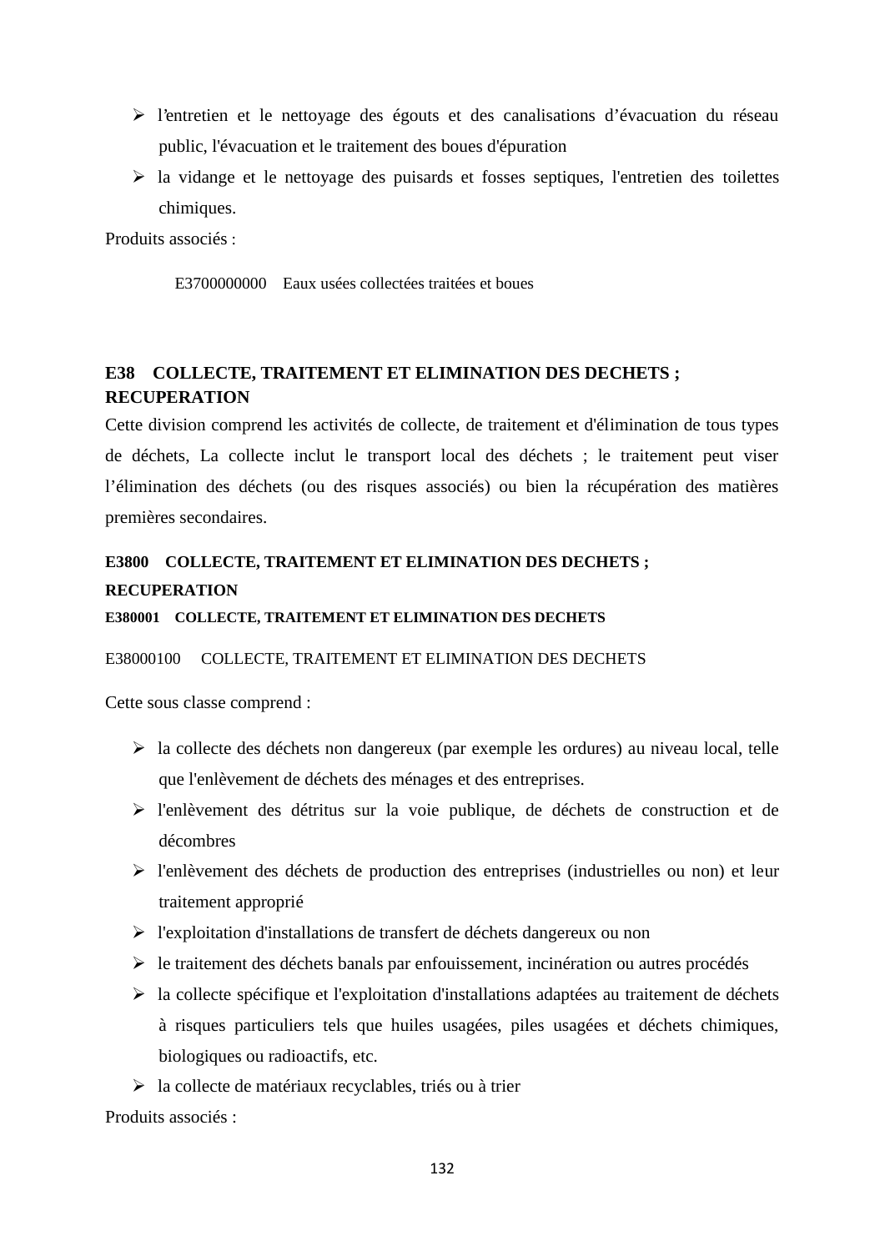- l'entretien et le nettoyage des égouts et des canalisations d'évacuation du réseau public, l'évacuation et le traitement des boues d'épuration
- $\triangleright$  la vidange et le nettoyage des puisards et fosses septiques, l'entretien des toilettes chimiques.

Produits associés :

E3700000000 Eaux usées collectées traitées et boues

# **E38 COLLECTE, TRAITEMENT ET ELIMINATION DES DECHETS ; RECUPERATION**

Cette division comprend les activités de collecte, de traitement et d'élimination de tous types de déchets, La collecte inclut le transport local des déchets ; le traitement peut viser l'élimination des déchets (ou des risques associés) ou bien la récupération des matières premières secondaires.

# **E3800 COLLECTE, TRAITEMENT ET ELIMINATION DES DECHETS ; RECUPERATION**

### **E380001 COLLECTE, TRAITEMENT ET ELIMINATION DES DECHETS**

## E38000100 COLLECTE, TRAITEMENT ET ELIMINATION DES DECHETS

Cette sous classe comprend :

- $\triangleright$  la collecte des déchets non dangereux (par exemple les ordures) au niveau local, telle que l'enlèvement de déchets des ménages et des entreprises.
- l'enlèvement des détritus sur la voie publique, de déchets de construction et de décombres
- l'enlèvement des déchets de production des entreprises (industrielles ou non) et leur traitement approprié
- $\triangleright$  l'exploitation d'installations de transfert de déchets dangereux ou non
- $\triangleright$  le traitement des déchets banals par enfouissement, incinération ou autres procédés
- $\triangleright$  la collecte spécifique et l'exploitation d'installations adaptées au traitement de déchets à risques particuliers tels que huiles usagées, piles usagées et déchets chimiques, biologiques ou radioactifs, etc.
- $\triangleright$  la collecte de matériaux recyclables, triés ou à trier

Produits associés :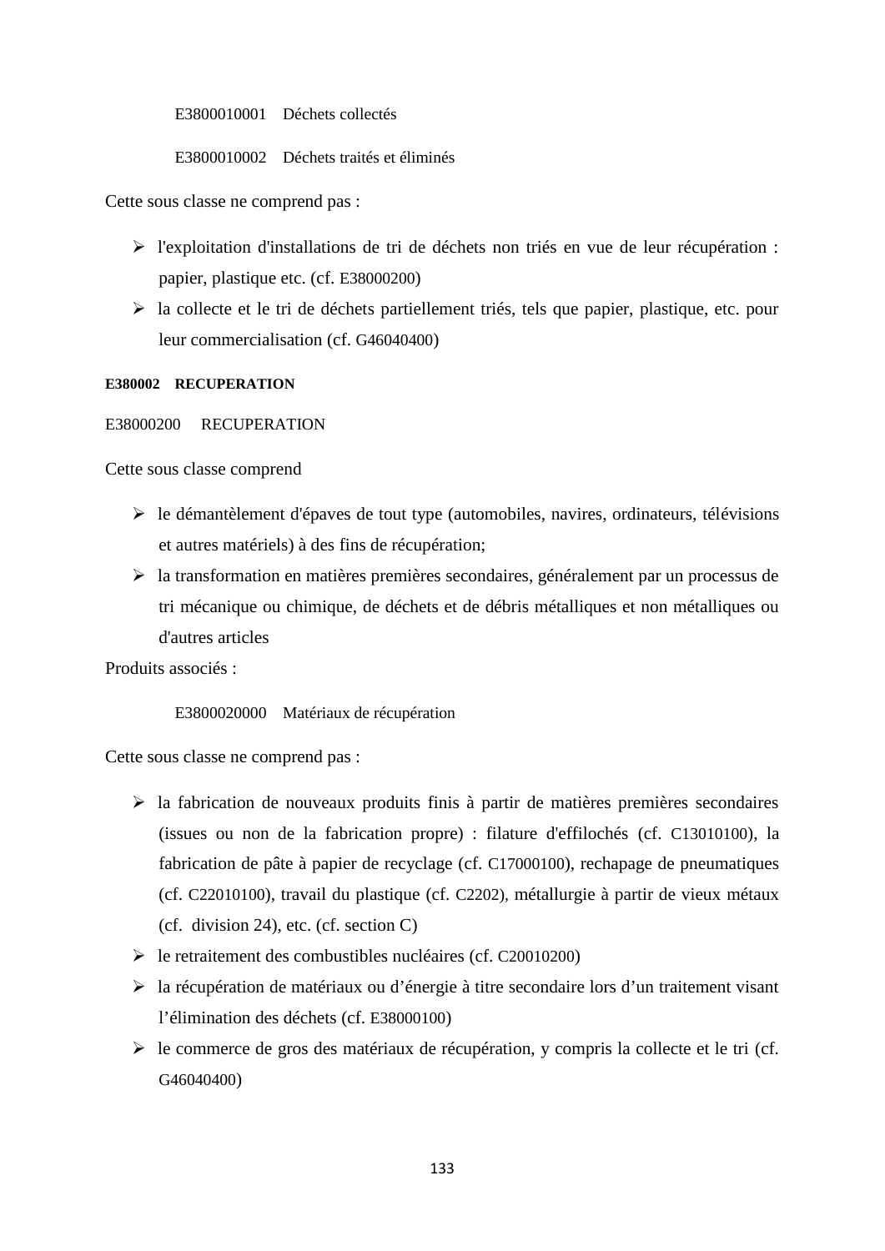E3800010001 Déchets collectés

E3800010002 Déchets traités et éliminés

Cette sous classe ne comprend pas :

- l'exploitation d'installations de tri de déchets non triés en vue de leur récupération : papier, plastique etc. (cf. E38000200)
- la collecte et le tri de déchets partiellement triés, tels que papier, plastique, etc. pour leur commercialisation (cf. G46040400)

### **E380002 RECUPERATION**

## E38000200 RECUPERATION

Cette sous classe comprend

- $\triangleright$  le démantèlement d'épaves de tout type (automobiles, navires, ordinateurs, télévisions et autres matériels) à des fins de récupération;
- la transformation en matières premières secondaires, généralement par un processus de tri mécanique ou chimique, de déchets et de débris métalliques et non métalliques ou d'autres articles

Produits associés :

## E3800020000 Matériaux de récupération

Cette sous classe ne comprend pas :

- $\triangleright$  la fabrication de nouveaux produits finis à partir de matières premières secondaires (issues ou non de la fabrication propre) : filature d'effilochés (cf. C13010100), la fabrication de pâte à papier de recyclage (cf. C17000100), rechapage de pneumatiques (cf. C22010100), travail du plastique (cf. C2202), métallurgie à partir de vieux métaux (cf. division 24), etc. (cf. section C)
- le retraitement des combustibles nucléaires (cf. C20010200)
- la récupération de matériaux ou d'énergie à titre secondaire lors d'un traitement visant l'élimination des déchets (cf. E38000100)
- $\triangleright$  le commerce de gros des matériaux de récupération, y compris la collecte et le tri (cf. G46040400)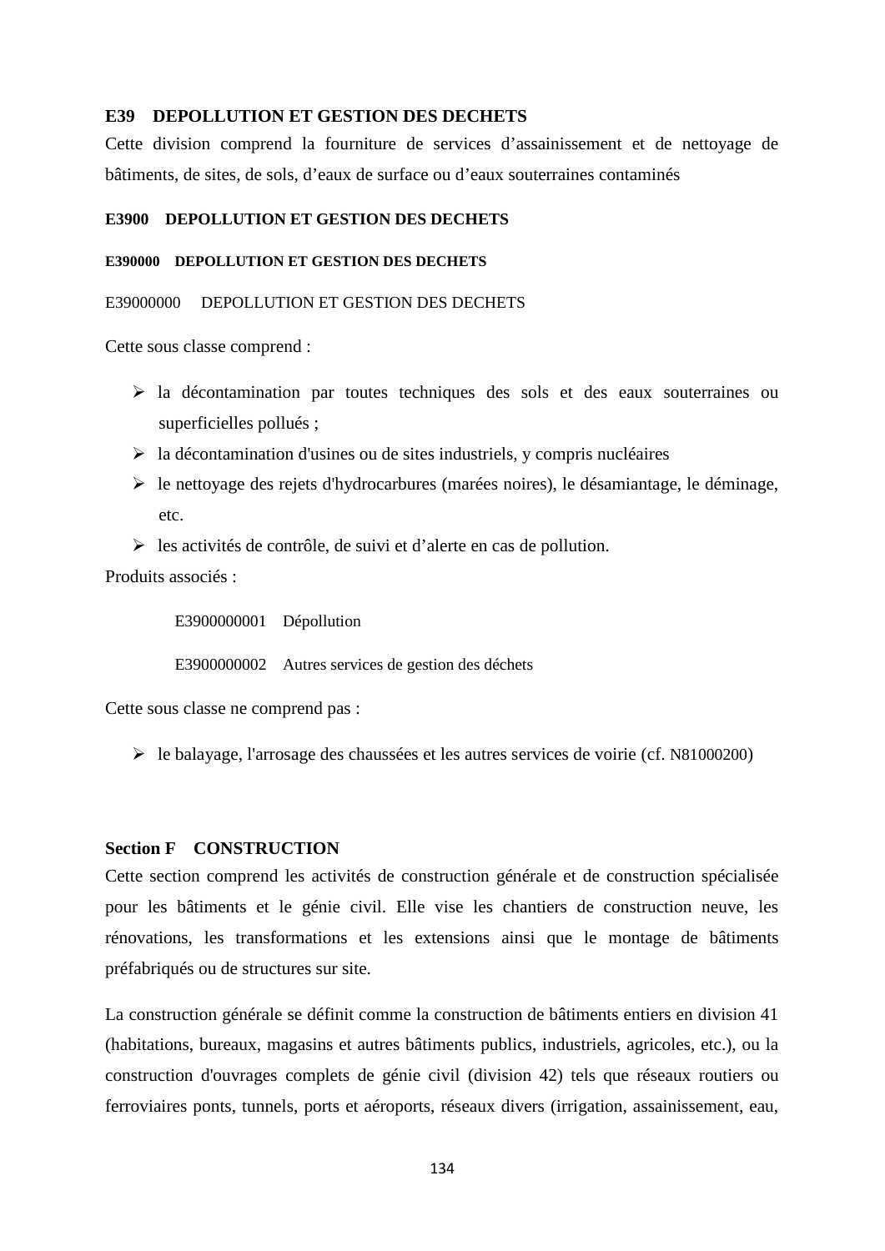### **E39 DEPOLLUTION ET GESTION DES DECHETS**

Cette division comprend la fourniture de services d'assainissement et de nettoyage de bâtiments, de sites, de sols, d'eaux de surface ou d'eaux souterraines contaminés

## **E3900 DEPOLLUTION ET GESTION DES DECHETS**

### **E390000 DEPOLLUTION ET GESTION DES DECHETS**

## E39000000 DEPOLLUTION ET GESTION DES DECHETS

Cette sous classe comprend :

- la décontamination par toutes techniques des sols et des eaux souterraines ou superficielles pollués ;
- $\triangleright$  la décontamination d'usines ou de sites industriels, y compris nucléaires
- $\triangleright$  le nettoyage des rejets d'hydrocarbures (marées noires), le désamiantage, le déminage, etc.
- $\geq$  les activités de contrôle, de suivi et d'alerte en cas de pollution.

Produits associés :

E3900000001 Dépollution

E3900000002 Autres services de gestion des déchets

Cette sous classe ne comprend pas :

le balayage, l'arrosage des chaussées et les autres services de voirie (cf. N81000200)

## **Section F CONSTRUCTION**

Cette section comprend les activités de construction générale et de construction spécialisée pour les bâtiments et le génie civil. Elle vise les chantiers de construction neuve, les rénovations, les transformations et les extensions ainsi que le montage de bâtiments préfabriqués ou de structures sur site.

La construction générale se définit comme la construction de bâtiments entiers en division 41 (habitations, bureaux, magasins et autres bâtiments publics, industriels, agricoles, etc.), ou la construction d'ouvrages complets de génie civil (division 42) tels que réseaux routiers ou ferroviaires ponts, tunnels, ports et aéroports, réseaux divers (irrigation, assainissement, eau,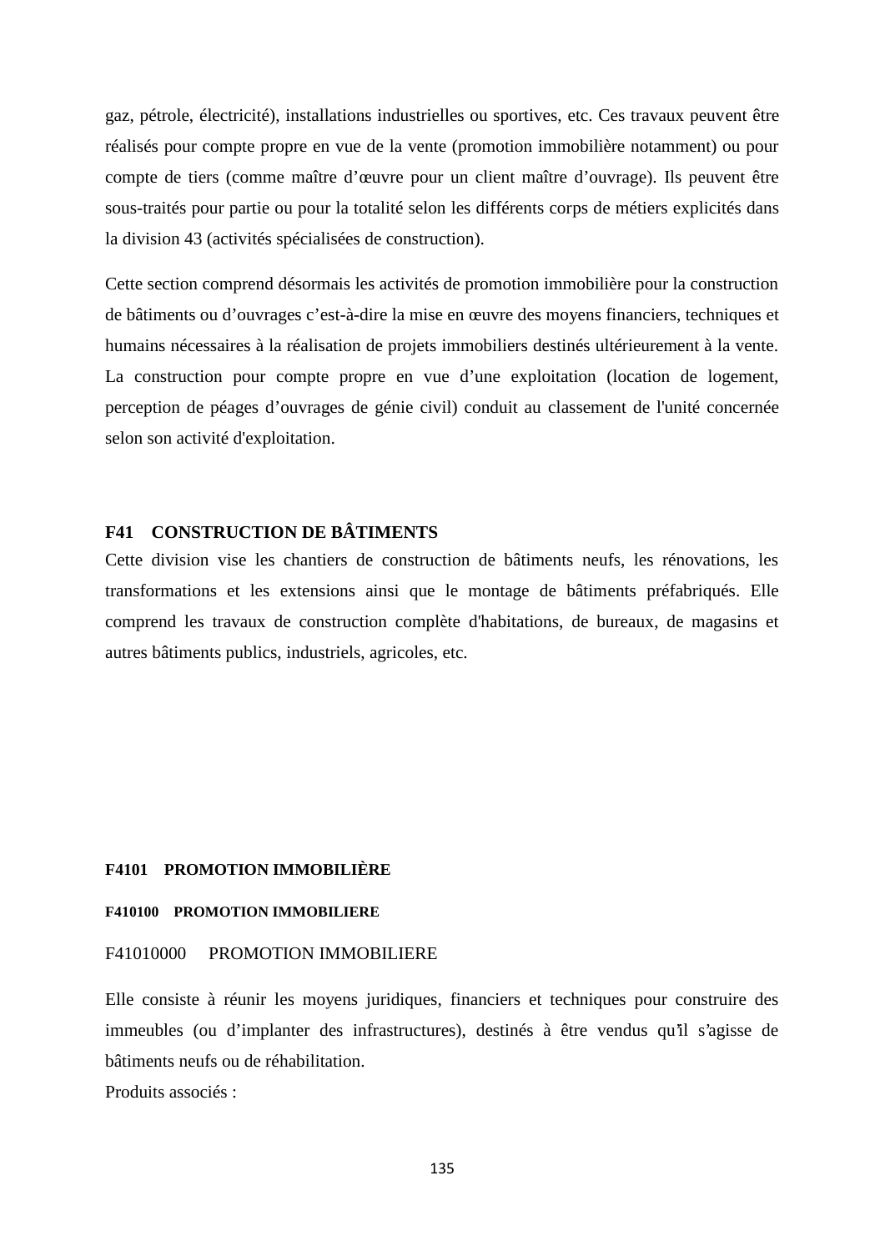gaz, pétrole, électricité), installations industrielles ou sportives, etc. Ces travaux peuvent être réalisés pour compte propre en vue de la vente (promotion immobilière notamment) ou pour compte de tiers (comme maître d'œuvre pour un client maître d'ouvrage). Ils peuvent être sous-traités pour partie ou pour la totalité selon les différents corps de métiers explicités dans la division 43 (activités spécialisées de construction).

Cette section comprend désormais les activités de promotion immobilière pour la construction de bâtiments ou d'ouvrages c'est-à-dire la mise en œuvre des moyens financiers, techniques et humains nécessaires à la réalisation de projets immobiliers destinés ultérieurement à la vente. La construction pour compte propre en vue d'une exploitation (location de logement, perception de péages d'ouvrages de génie civil) conduit au classement de l'unité concernée selon son activité d'exploitation.

# **F41 CONSTRUCTION DE BÂTIMENTS**

Cette division vise les chantiers de construction de bâtiments neufs, les rénovations, les transformations et les extensions ainsi que le montage de bâtiments préfabriqués. Elle comprend les travaux de construction complète d'habitations, de bureaux, de magasins et autres bâtiments publics, industriels, agricoles, etc.

### **F4101 PROMOTION IMMOBILIÈRE**

### **F410100 PROMOTION IMMOBILIERE**

## F41010000 PROMOTION IMMOBILIERE

Elle consiste à réunir les moyens juridiques, financiers et techniques pour construire des immeubles (ou d'implanter des infrastructures), destinés à être vendus qu'il s'agisse de bâtiments neufs ou de réhabilitation.

Produits associés :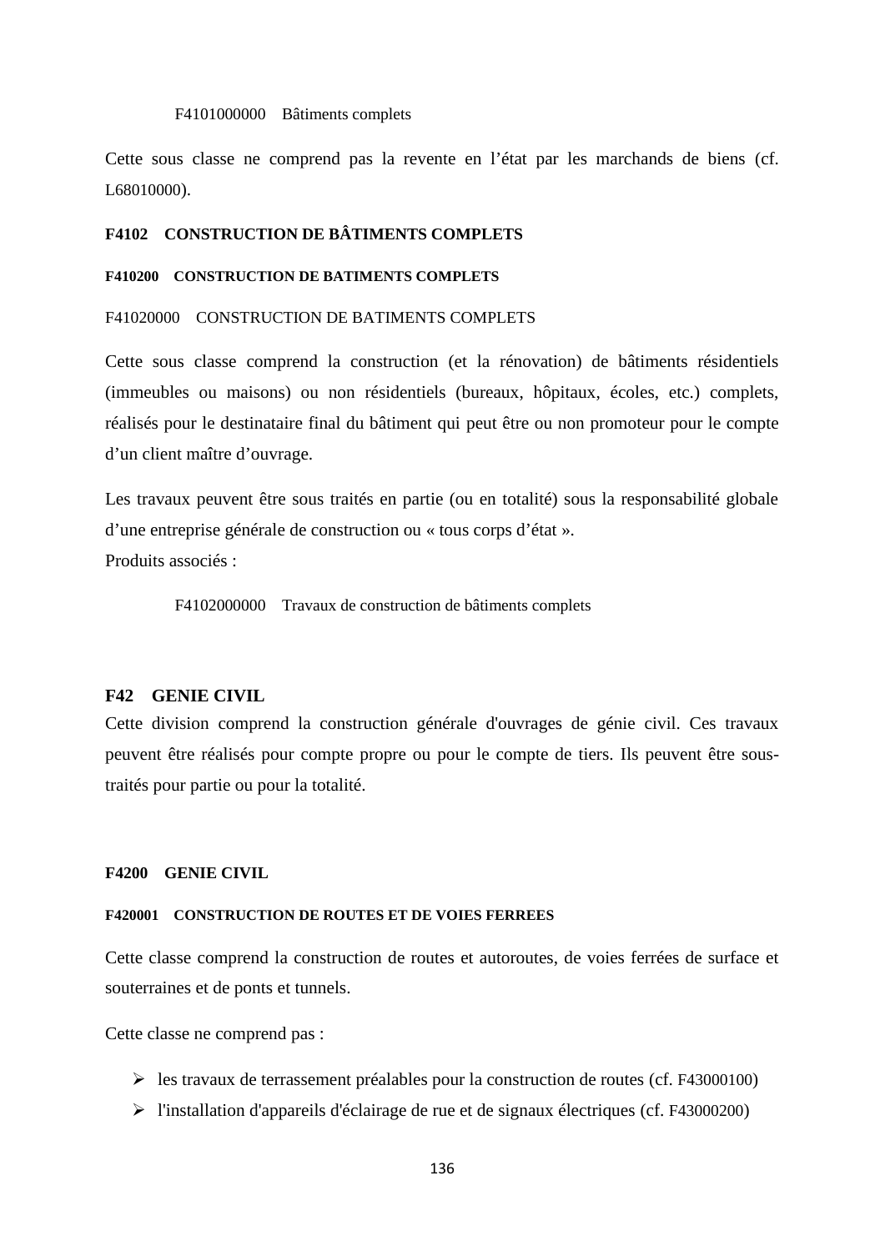### F4101000000 Bâtiments complets

Cette sous classe ne comprend pas la revente en l'état par les marchands de biens (cf. L68010000).

## **F4102 CONSTRUCTION DE BÂTIMENTS COMPLETS**

### **F410200 CONSTRUCTION DE BATIMENTS COMPLETS**

## F41020000 CONSTRUCTION DE BATIMENTS COMPLETS

Cette sous classe comprend la construction (et la rénovation) de bâtiments résidentiels (immeubles ou maisons) ou non résidentiels (bureaux, hôpitaux, écoles, etc.) complets, réalisés pour le destinataire final du bâtiment qui peut être ou non promoteur pour le compte d'un client maître d'ouvrage.

Les travaux peuvent être sous traités en partie (ou en totalité) sous la responsabilité globale d'une entreprise générale de construction ou « tous corps d'état ». Produits associés :

F4102000000 Travaux de construction de bâtiments complets

### **F42 GENIE CIVIL**

Cette division comprend la construction générale d'ouvrages de génie civil. Ces travaux peuvent être réalisés pour compte propre ou pour le compte de tiers. Ils peuvent être soustraités pour partie ou pour la totalité.

### **F4200 GENIE CIVIL**

### **F420001 CONSTRUCTION DE ROUTES ET DE VOIES FERREES**

Cette classe comprend la construction de routes et autoroutes, de voies ferrées de surface et souterraines et de ponts et tunnels.

Cette classe ne comprend pas :

- $\triangleright$  les travaux de terrassement préalables pour la construction de routes (cf. F43000100)
- l'installation d'appareils d'éclairage de rue et de signaux électriques (cf. F43000200)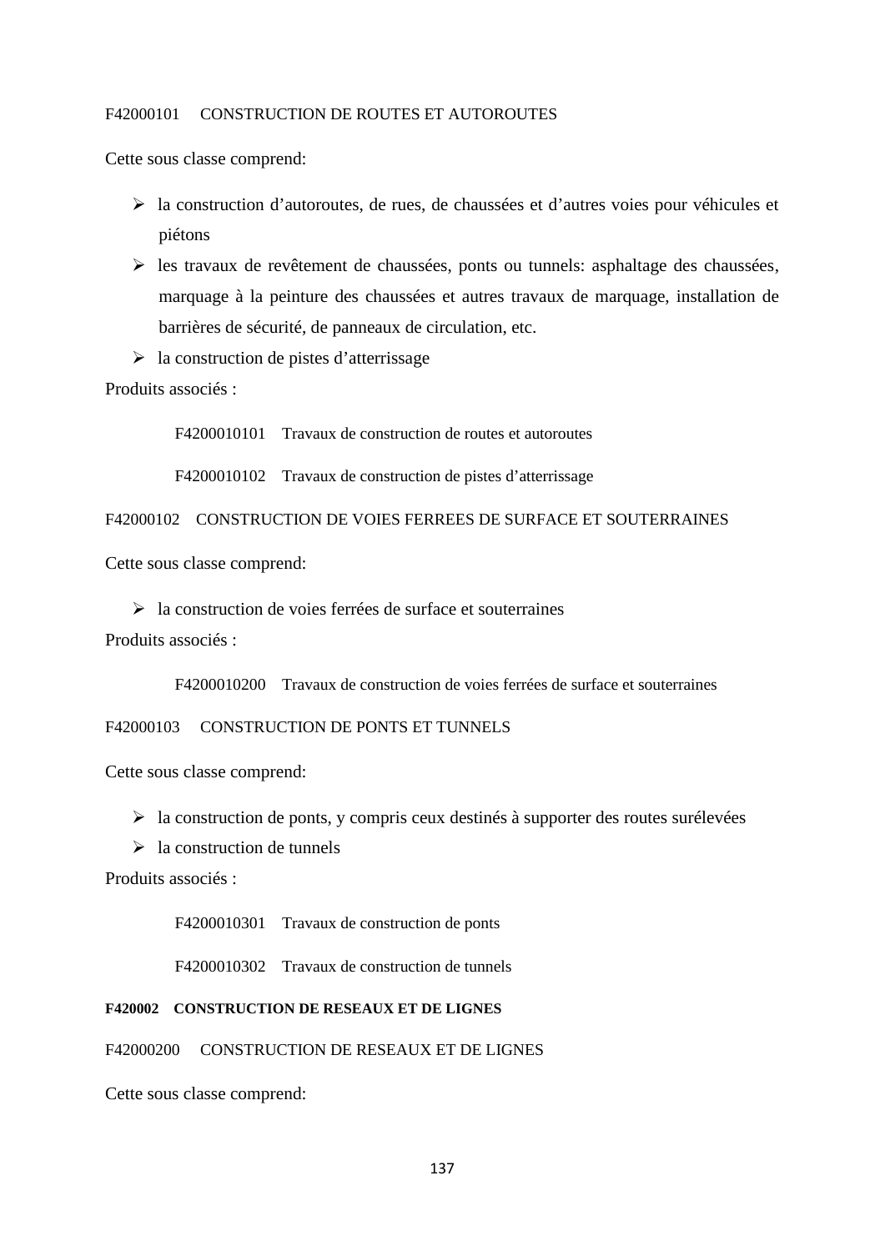## F42000101 CONSTRUCTION DE ROUTES ET AUTOROUTES

Cette sous classe comprend:

- la construction d'autoroutes, de rues, de chaussées et d'autres voies pour véhicules et piétons
- $\triangleright$  les travaux de revêtement de chaussées, ponts ou tunnels: asphaltage des chaussées, marquage à la peinture des chaussées et autres travaux de marquage, installation de barrières de sécurité, de panneaux de circulation, etc.
- $\geq$ la construction de pistes d'atterrissage

Produits associés :

F4200010101 Travaux de construction de routes et autoroutes

F4200010102 Travaux de construction de pistes d'atterrissage

F42000102 CONSTRUCTION DE VOIES FERREES DE SURFACE ET SOUTERRAINES

Cette sous classe comprend:

 $\geq$  la construction de voies ferrées de surface et souterraines

Produits associés :

F4200010200 Travaux de construction de voies ferrées de surface et souterraines

## F42000103 CONSTRUCTION DE PONTS ET TUNNELS

Cette sous classe comprend:

- $\triangleright$  la construction de ponts, y compris ceux destinés à supporter des routes surélevées
- $\geq$  la construction de tunnels

Produits associés :

F4200010301 Travaux de construction de ponts

F4200010302 Travaux de construction de tunnels

### **F420002 CONSTRUCTION DE RESEAUX ET DE LIGNES**

F42000200 CONSTRUCTION DE RESEAUX ET DE LIGNES

Cette sous classe comprend: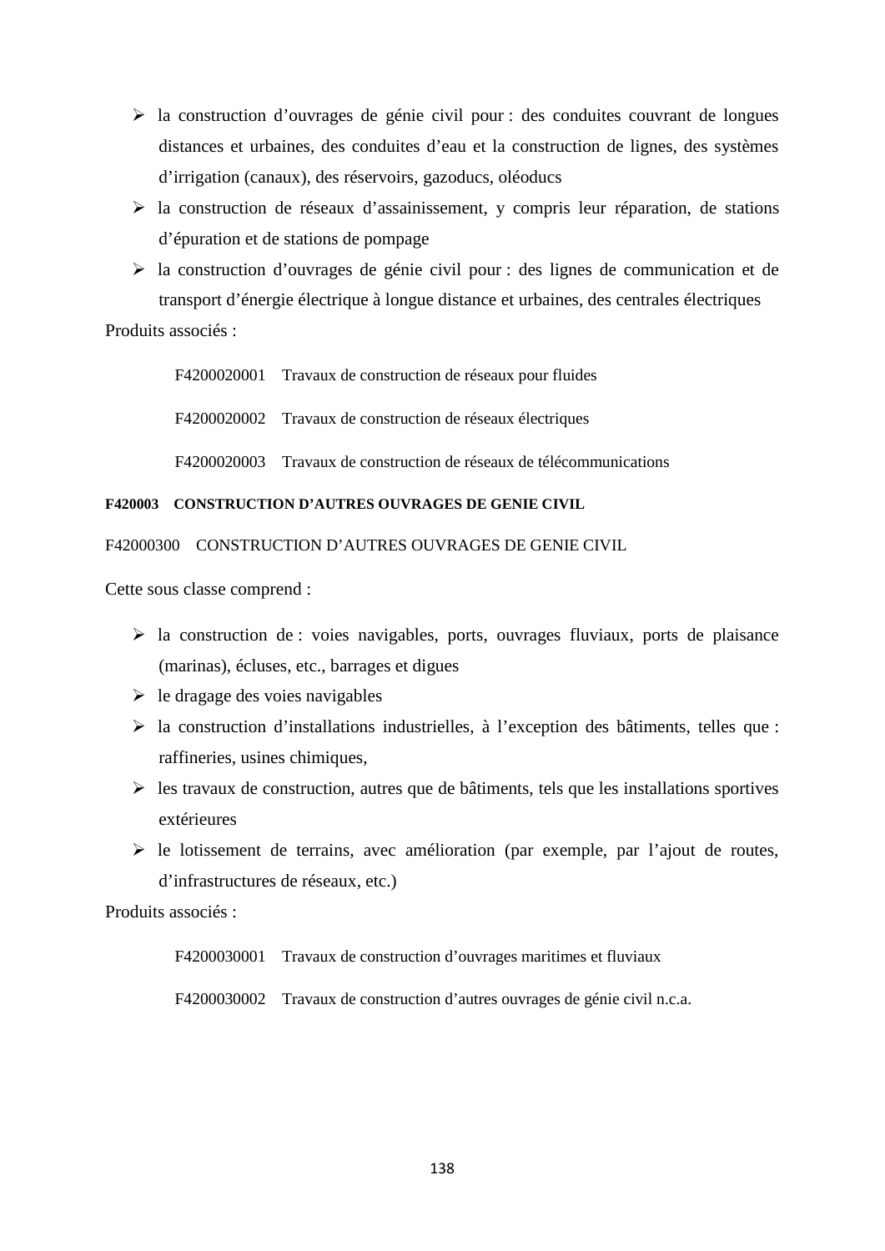- $\triangleright$  la construction d'ouvrages de génie civil pour : des conduites couvrant de longues distances et urbaines, des conduites d'eau et la construction de lignes, des systèmes d'irrigation (canaux), des réservoirs, gazoducs, oléoducs
- $\triangleright$  la construction de réseaux d'assainissement, y compris leur réparation, de stations d'épuration et de stations de pompage
- la construction d'ouvrages de génie civil pour : des lignes de communication et de transport d'énergie électrique à longue distance et urbaines, des centrales électriques

# Produits associés ·

F4200020001 Travaux de construction de réseaux pour fluides F4200020002 Travaux de construction de réseaux électriques F4200020003 Travaux de construction de réseaux de télécommunications

## **F420003 CONSTRUCTION D'AUTRES OUVRAGES DE GENIE CIVIL**

F42000300 CONSTRUCTION D'AUTRES OUVRAGES DE GENIE CIVIL

Cette sous classe comprend :

- $\triangleright$  la construction de : voies navigables, ports, ouvrages fluviaux, ports de plaisance (marinas), écluses, etc., barrages et digues
- $\triangleright$  le dragage des voies navigables
- la construction d'installations industrielles, à l'exception des bâtiments, telles que : raffineries, usines chimiques,
- $\triangleright$  les travaux de construction, autres que de bâtiments, tels que les installations sportives extérieures
- $\triangleright$  le lotissement de terrains, avec amélioration (par exemple, par l'ajout de routes, d'infrastructures de réseaux, etc.)

Produits associés :

F4200030001 Travaux de construction d'ouvrages maritimes et fluviaux

F4200030002 Travaux de construction d'autres ouvrages de génie civil n.c.a.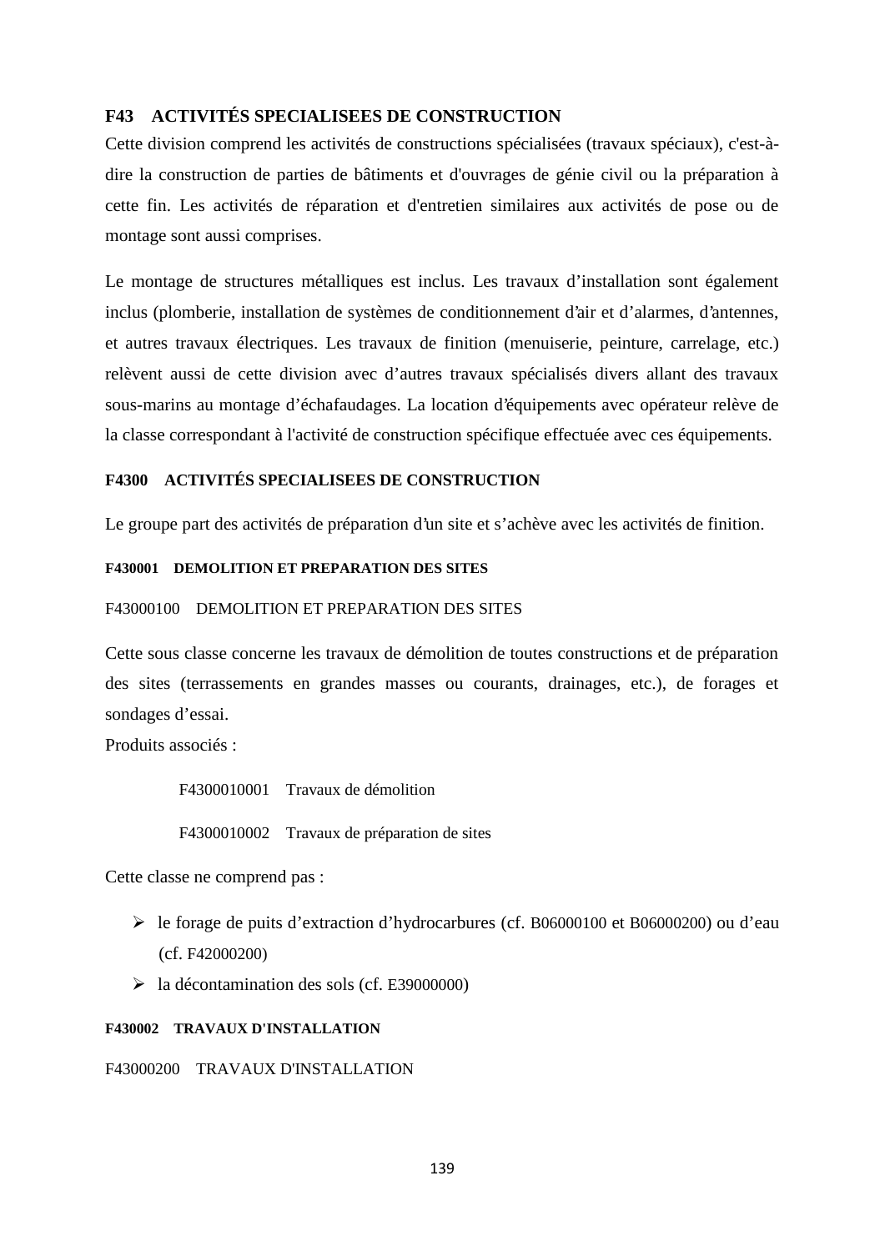# **F43 ACTIVITÉS SPECIALISEES DE CONSTRUCTION**

Cette division comprend les activités de constructions spécialisées (travaux spéciaux), c'est-à dire la construction de parties de bâtiments et d'ouvrages de génie civil ou la préparation à cette fin. Les activités de réparation et d'entretien similaires aux activités de pose ou de montage sont aussi comprises.

Le montage de structures métalliques est inclus. Les travaux d'installation sont également inclus (plomberie, installation de systèmes de conditionnement d'air et d'alarmes, d'antennes, et autres travaux électriques. Les travaux de finition (menuiserie, peinture, carrelage, etc.) relèvent aussi de cette division avec d'autres travaux spécialisés divers allant des travaux sous-marins au montage d'échafaudages. La location d'équipements avec opérateur relève de la classe correspondant à l'activité de construction spécifique effectuée avec ces équipements.

# **F4300 ACTIVITÉS SPECIALISEES DE CONSTRUCTION**

Le groupe part des activités de préparation d'un site et s'achève avec les activités de finition.

### **F430001 DEMOLITION ET PREPARATION DES SITES**

### F43000100 DEMOLITION ET PREPARATION DES SITES

Cette sous classe concerne les travaux de démolition de toutes constructions et de préparation des sites (terrassements en grandes masses ou courants, drainages, etc.), de forages et sondages d'essai.

Produits associés :

F4300010001 Travaux de démolition F4300010002 Travaux de préparation de sites

Cette classe ne comprend pas :

- le forage de puits d'extraction d'hydrocarbures (cf. B06000100 et B06000200) ou d'eau (cf. F42000200)
- $\blacktriangleright$  la décontamination des sols (cf. E39000000)

#### **F430002 TRAVAUX D'INSTALLATION**

## F43000200 TRAVAUX D'INSTALLATION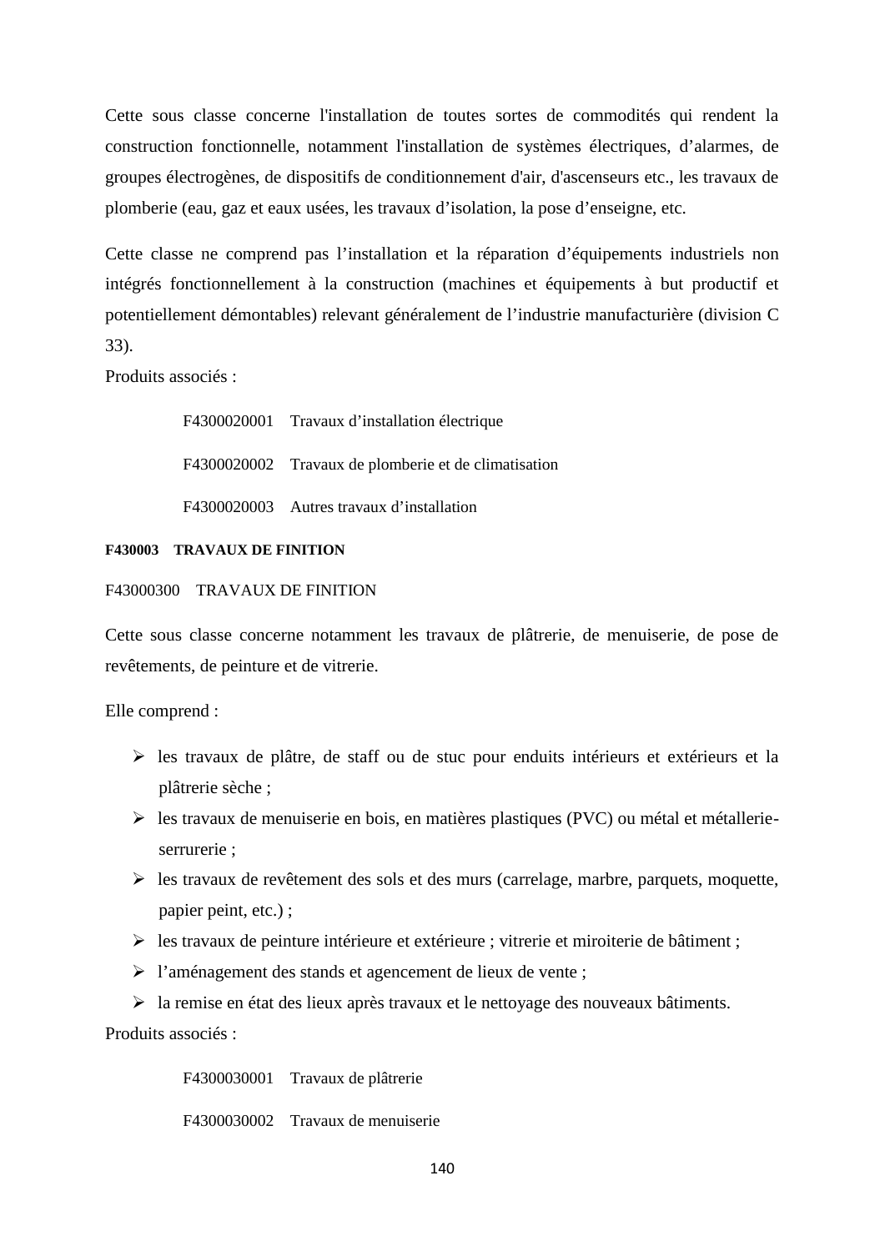Cette sous classe concerne l'installation de toutes sortes de commodités qui rendent la construction fonctionnelle, notamment l'installation de systèmes électriques, d'alarmes, de groupes électrogènes, de dispositifs de conditionnement d'air, d'ascenseurs etc., les travaux de plomberie (eau, gaz et eaux usées, les travaux d'isolation, la pose d'enseigne, etc.

Cette classe ne comprend pas l'installation et la réparation d'équipements industriels non intégrés fonctionnellement à la construction (machines et équipements à but productif et potentiellement démontables) relevant généralement de l'industrie manufacturière (division C 33).

Produits associés :

F4300020001 Travaux d'installation électrique F4300020002 Travaux de plomberie et de climatisation F4300020003 Autres travaux d'installation

## **F430003 TRAVAUX DE FINITION**

### F43000300 TRAVAUX DE FINITION

Cette sous classe concerne notamment les travaux de plâtrerie, de menuiserie, de pose de revêtements, de peinture et de vitrerie.

Elle comprend :

- $\triangleright$  les travaux de plâtre, de staff ou de stuc pour enduits intérieurs et extérieurs et la plâtrerie sèche ;
- les travaux de menuiserie en bois, en matières plastiques (PVC) ou métal et métallerie serrurerie ;
- $\triangleright$  les travaux de revêtement des sols et des murs (carrelage, marbre, parquets, moquette, papier peint, etc.) ;
- $\triangleright$  les travaux de peinture intérieure et extérieure ; vitrerie et miroiterie de bâtiment ;
- l'aménagement des stands et agencement de lieux de vente ;
- la remise en état des lieux après travaux et le nettoyage des nouveaux bâtiments.

Produits associés :

F4300030001 Travaux de plâtrerie

F4300030002 Travaux de menuiserie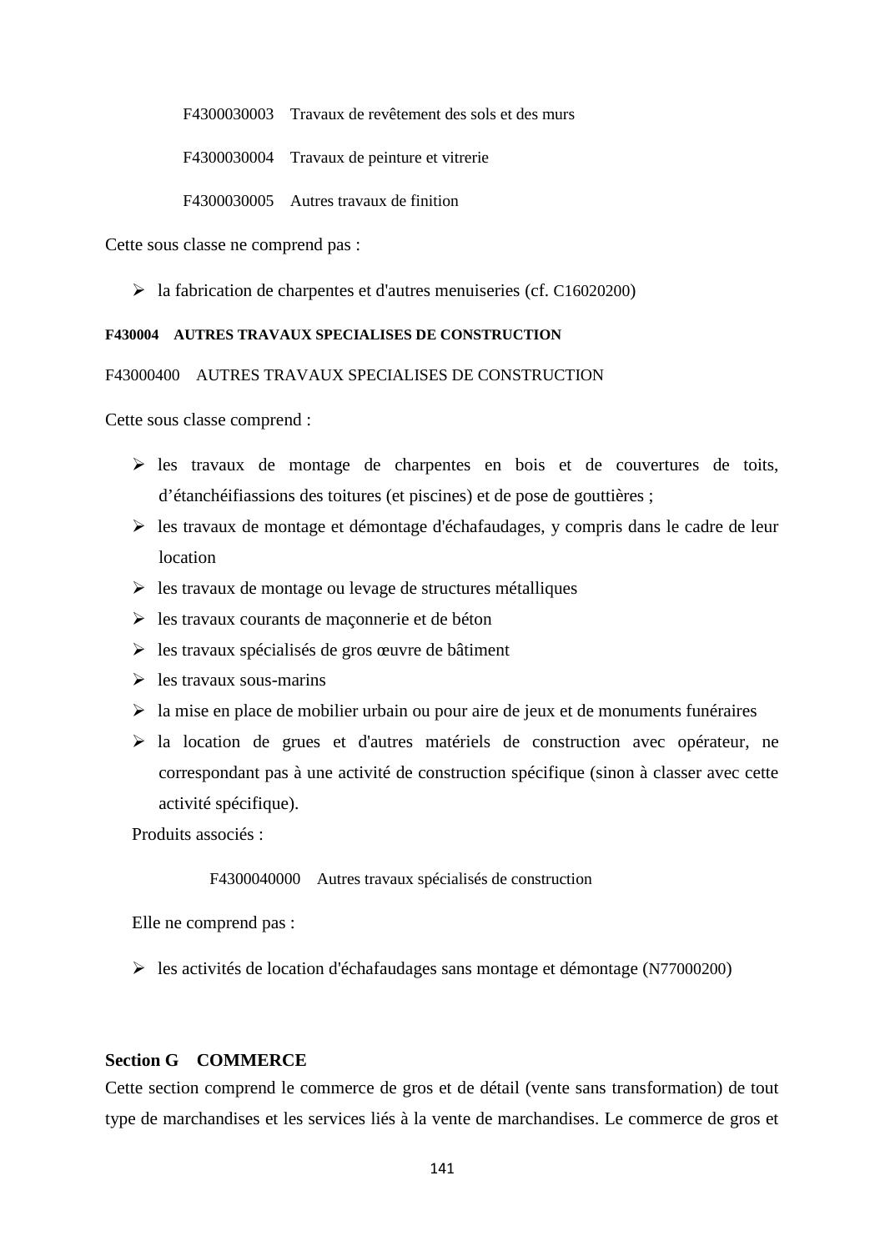F4300030003 Travaux de revêtement des sols et des murs

F4300030004 Travaux de peinture et vitrerie

F4300030005 Autres travaux de finition

Cette sous classe ne comprend pas :

 $\blacktriangleright$  la fabrication de charpentes et d'autres menuiseries (cf. C16020200)

### **F430004 AUTRES TRAVAUX SPECIALISES DE CONSTRUCTION**

F43000400 AUTRES TRAVAUX SPECIALISES DE CONSTRUCTION

Cette sous classe comprend :

- $\triangleright$  les travaux de montage de charpentes en bois et de couvertures de toits, d'étanchéifiassions des toitures (et piscines) et de pose de gouttières ;
- $\triangleright$  les travaux de montage et démontage d'échafaudages, y compris dans le cadre de leur location
- $\triangleright$  les travaux de montage ou levage de structures métalliques
- $\triangleright$  les travaux courants de maçonnerie et de béton
- $\triangleright$  les travaux spécialisés de gros œuvre de bâtiment
- $\geq$  les travaux sous-marins
- $\triangleright$  la mise en place de mobilier urbain ou pour aire de jeux et de monuments funéraires
- la location de grues et d'autres matériels de construction avec opérateur, ne correspondant pas à une activité de construction spécifique (sinon à classer avec cette activité spécifique).

Produits associés :

F4300040000 Autres travaux spécialisés de construction

Elle ne comprend pas :

les activités de location d'échafaudages sans montage et démontage (N77000200)

## **Section G COMMERCE**

Cette section comprend le commerce de gros et de détail (vente sans transformation) de tout type de marchandises et les services liés à la vente de marchandises. Le commerce de gros et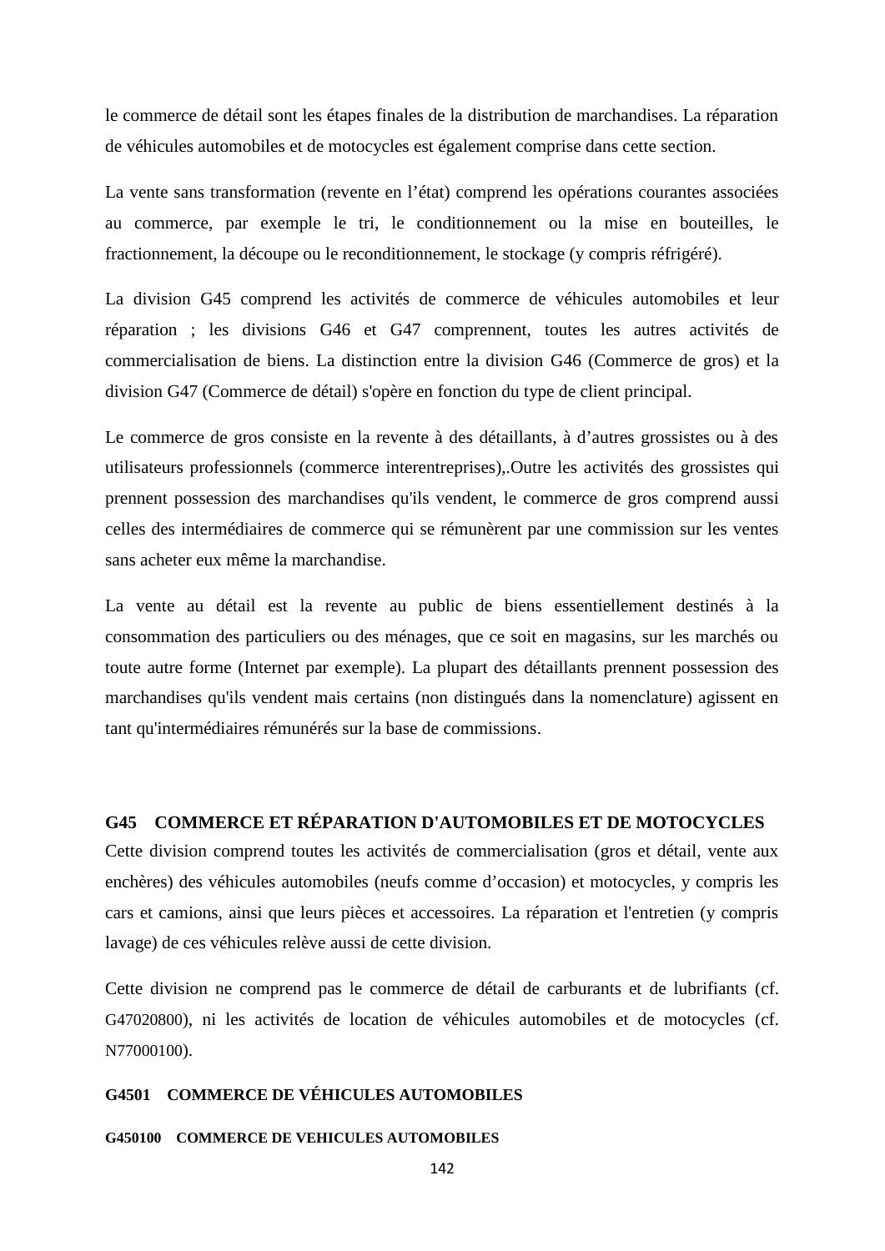le commerce de détail sont les étapes finales de la distribution de marchandises. La réparation de véhicules automobiles et de motocycles est également comprise dans cette section.

La vente sans transformation (revente en l'état) comprend les opérations courantes associées au commerce, par exemple le tri, le conditionnement ou la mise en bouteilles, le fractionnement, la découpe ou le reconditionnement, le stockage (y compris réfrigéré).

La division G45 comprend les activités de commerce de véhicules automobiles et leur réparation ; les divisions G46 et G47 comprennent, toutes les autres activités de commercialisation de biens. La distinction entre la division G46 (Commerce de gros) et la division G47 (Commerce de détail) s'opère en fonction du type de client principal.

Le commerce de gros consiste en la revente à des détaillants, à d'autres grossistes ou à des utilisateurs professionnels (commerce interentreprises),.Outre les activités des grossistes qui prennent possession des marchandises qu'ils vendent, le commerce de gros comprend aussi celles des intermédiaires de commerce qui se rémunèrent par une commission sur les ventes sans acheter eux même la marchandise.

La vente au détail est la revente au public de biens essentiellement destinés à la consommation des particuliers ou des ménages, que ce soit en magasins, sur les marchés ou toute autre forme (Internet par exemple). La plupart des détaillants prennent possession des marchandises qu'ils vendent mais certains (non distingués dans la nomenclature) agissent en tant qu'intermédiaires rémunérés sur la base de commissions.

# **G45 COMMERCE ET RÉPARATION D'AUTOMOBILES ET DE MOTOCYCLES**

Cette division comprend toutes les activités de commercialisation (gros et détail, vente aux enchères) des véhicules automobiles (neufs comme d'occasion) et motocycles, y compris les cars et camions, ainsi que leurs pièces et accessoires. La réparation et l'entretien (y compris lavage) de ces véhicules relève aussi de cette division.

Cette division ne comprend pas le commerce de détail de carburants et de lubrifiants (cf. G47020800), ni les activités de location de véhicules automobiles et de motocycles (cf. N77000100).

## **G4501 COMMERCE DE VÉHICULES AUTOMOBILES**

### **G450100 COMMERCE DE VEHICULES AUTOMOBILES**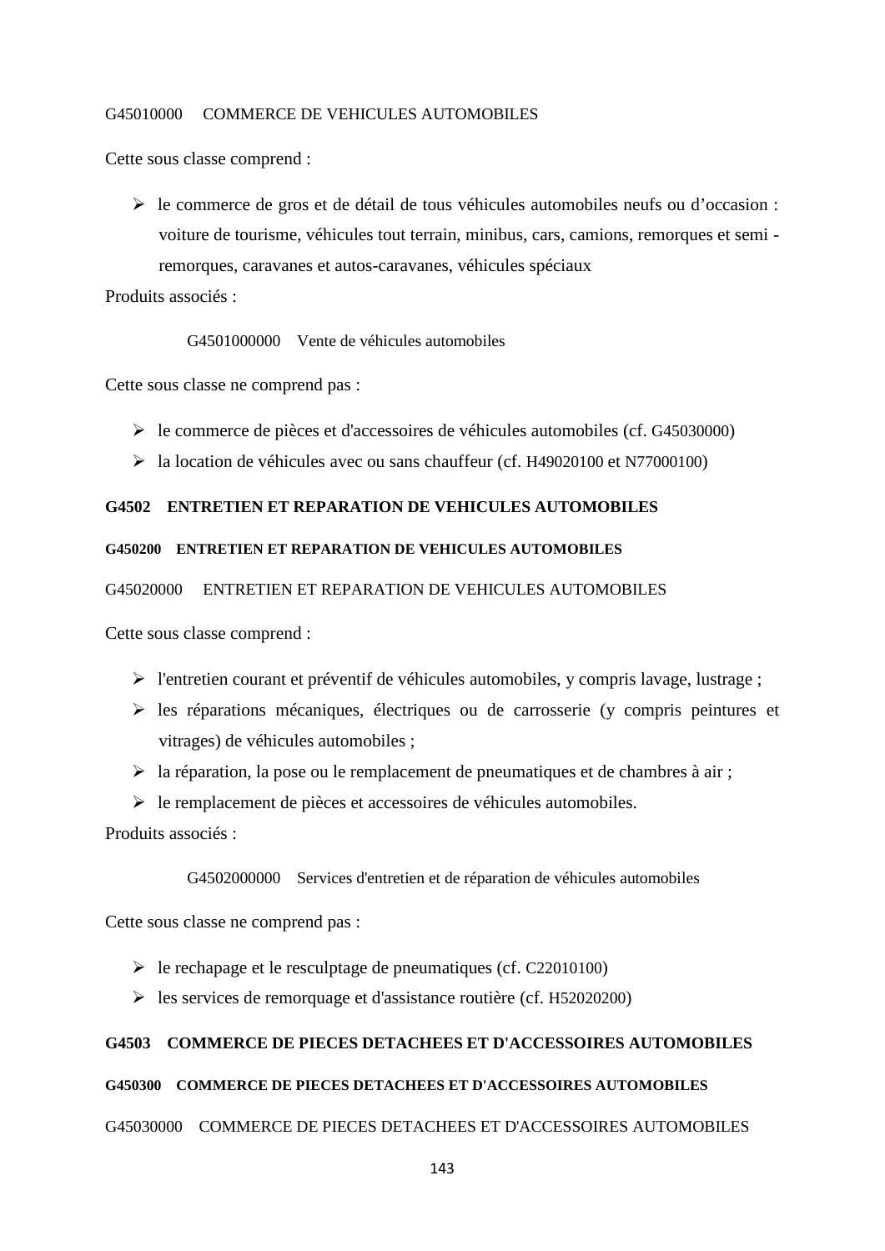### G45010000 COMMERCE DE VEHICULES AUTOMOBILES

Cette sous classe comprend :

 $\triangleright$  le commerce de gros et de détail de tous véhicules automobiles neufs ou d'occasion : voiture de tourisme, véhicules tout terrain, minibus, cars, camions, remorques et semi remorques, caravanes et autos-caravanes, véhicules spéciaux

Produits associés :

G4501000000 Vente de véhicules automobiles

Cette sous classe ne comprend pas :

- le commerce de pièces et d'accessoires de véhicules automobiles (cf. G45030000)
- la location de véhicules avec ou sans chauffeur (cf. H49020100 et N77000100)

## **G4502 ENTRETIEN ET REPARATION DE VEHICULES AUTOMOBILES**

## **G450200 ENTRETIEN ET REPARATION DE VEHICULES AUTOMOBILES**

G45020000 ENTRETIEN ET REPARATION DE VEHICULES AUTOMOBILES

Cette sous classe comprend :

- l'entretien courant et préventif de véhicules automobiles, y compris lavage, lustrage ;
- les réparations mécaniques, électriques ou de carrosserie (y compris peintures et vitrages) de véhicules automobiles ;
- $\triangleright$  la réparation, la pose ou le remplacement de pneumatiques et de chambres à air ;
- $\triangleright$  le remplacement de pièces et accessoires de véhicules automobiles.

Produits associés :

G4502000000 Services d'entretien et de réparation de véhicules automobiles

Cette sous classe ne comprend pas :

- $\blacktriangleright$  le rechapage et le resculptage de pneumatiques (cf. C22010100)
- $\triangleright$  les services de remorquage et d'assistance routière (cf. H52020200)

## **G4503 COMMERCE DE PIECES DETACHEES ET D'ACCESSOIRES AUTOMOBILES**

### **G450300 COMMERCE DE PIECES DETACHEES ET D'ACCESSOIRES AUTOMOBILES**

#### G45030000 COMMERCE DE PIECES DETACHEES ET D'ACCESSOIRES AUTOMOBILES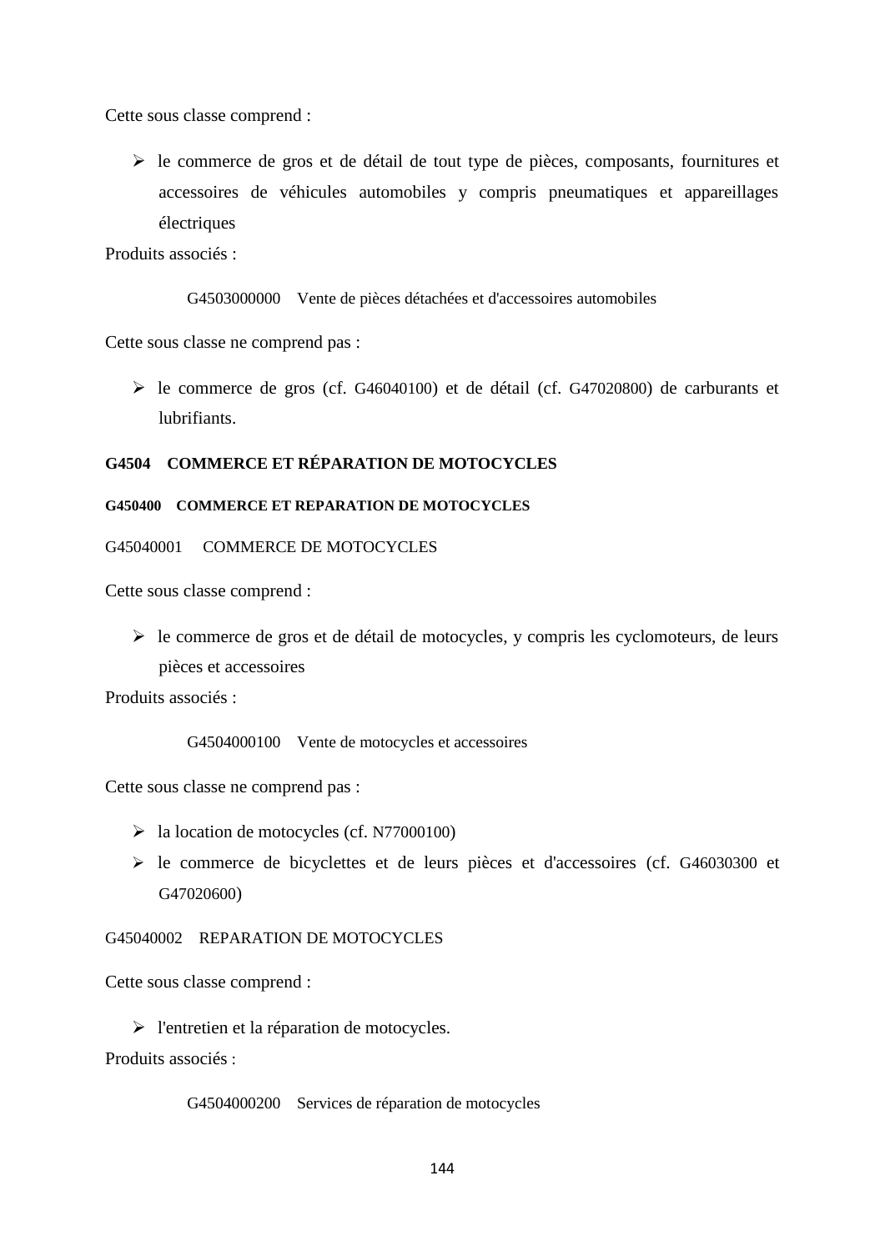Cette sous classe comprend :

 $\triangleright$  le commerce de gros et de détail de tout type de pièces, composants, fournitures et accessoires de véhicules automobiles y compris pneumatiques et appareillages électriques

Produits associés :

G4503000000 Vente de pièces détachées et d'accessoires automobiles

Cette sous classe ne comprend pas :

 le commerce de gros (cf. G46040100) et de détail (cf. G47020800) de carburants et lubrifiants.

# **G4504 COMMERCE ET RÉPARATION DE MOTOCYCLES**

### **G450400 COMMERCE ET REPARATION DE MOTOCYCLES**

### G45040001 COMMERCE DE MOTOCYCLES

Cette sous classe comprend :

 $\triangleright$  le commerce de gros et de détail de motocycles, y compris les cyclomoteurs, de leurs pièces et accessoires

Produits associés :

G4504000100 Vente de motocycles et accessoires

Cette sous classe ne comprend pas :

- $\blacktriangleright$  la location de motocycles (cf. N77000100)
- le commerce de bicyclettes et de leurs pièces et d'accessoires (cf. G46030300 et G47020600)

## G45040002 REPARATION DE MOTOCYCLES

Cette sous classe comprend :

> l'entretien et la réparation de motocycles.

Produits associés :

G4504000200 Services de réparation de motocycles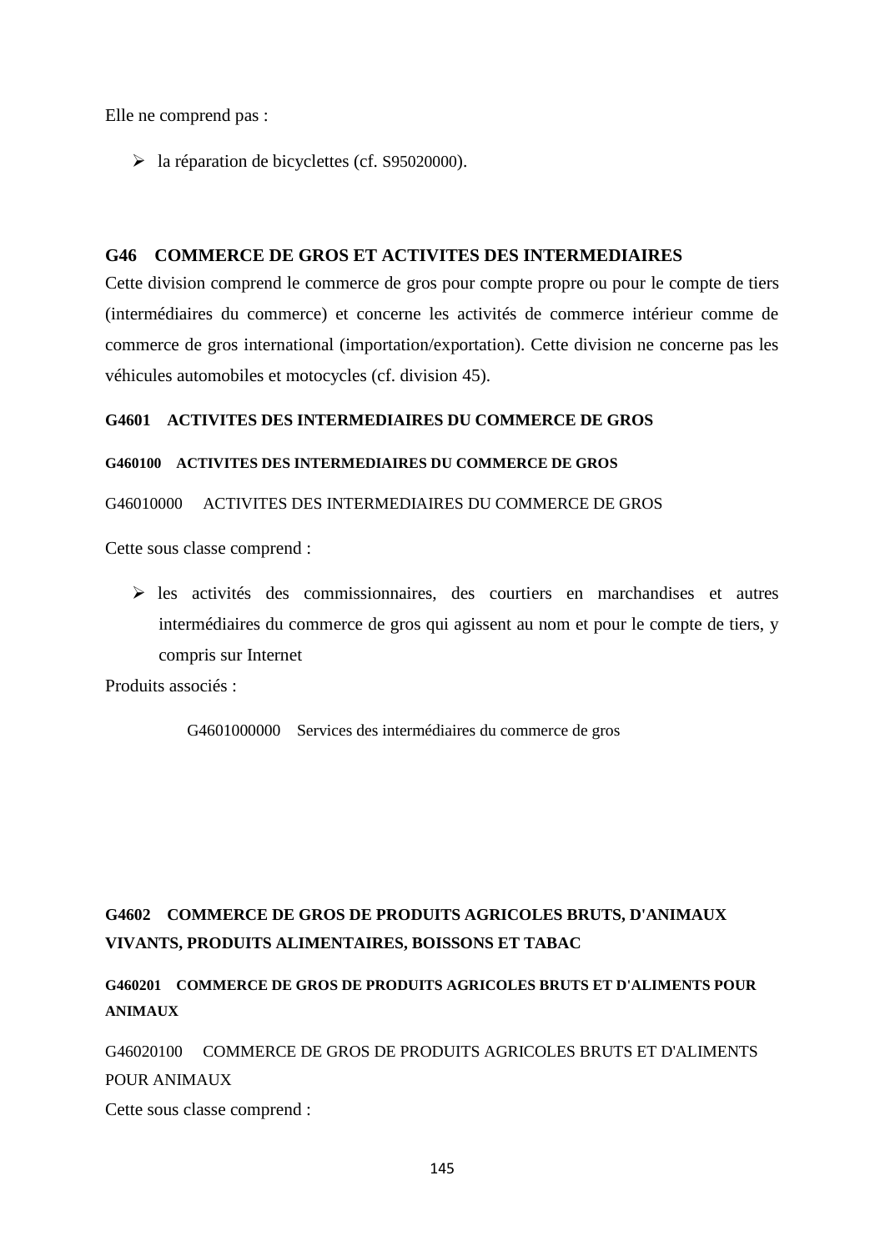Elle ne comprend pas :

la réparation de bicyclettes (cf. S95020000).

# **G46 COMMERCE DE GROS ET ACTIVITES DES INTERMEDIAIRES**

Cette division comprend le commerce de gros pour compte propre ou pour le compte de tiers (intermédiaires du commerce) et concerne les activités de commerce intérieur comme de commerce de gros international (importation/exportation). Cette division ne concerne pas les véhicules automobiles et motocycles (cf. division 45).

## **G4601 ACTIVITES DES INTERMEDIAIRES DU COMMERCE DE GROS**

## **G460100 ACTIVITES DES INTERMEDIAIRES DU COMMERCE DE GROS**

## G46010000 ACTIVITES DES INTERMEDIAIRES DU COMMERCE DE GROS

Cette sous classe comprend :

 les activités des commissionnaires, des courtiers en marchandises et autres intermédiaires du commerce de gros qui agissent au nom et pour le compte de tiers, y compris sur Internet

Produits associés :

G4601000000 Services des intermédiaires du commerce de gros

# **G4602 COMMERCE DE GROS DE PRODUITS AGRICOLES BRUTS, D'ANIMAUX VIVANTS, PRODUITS ALIMENTAIRES, BOISSONS ET TABAC**

# **G460201 COMMERCE DE GROS DE PRODUITS AGRICOLES BRUTS ET D'ALIMENTS POUR ANIMAUX**

G46020100 COMMERCE DE GROS DE PRODUITS AGRICOLES BRUTS ET D'ALIMENTS POUR ANIMAUX

Cette sous classe comprend :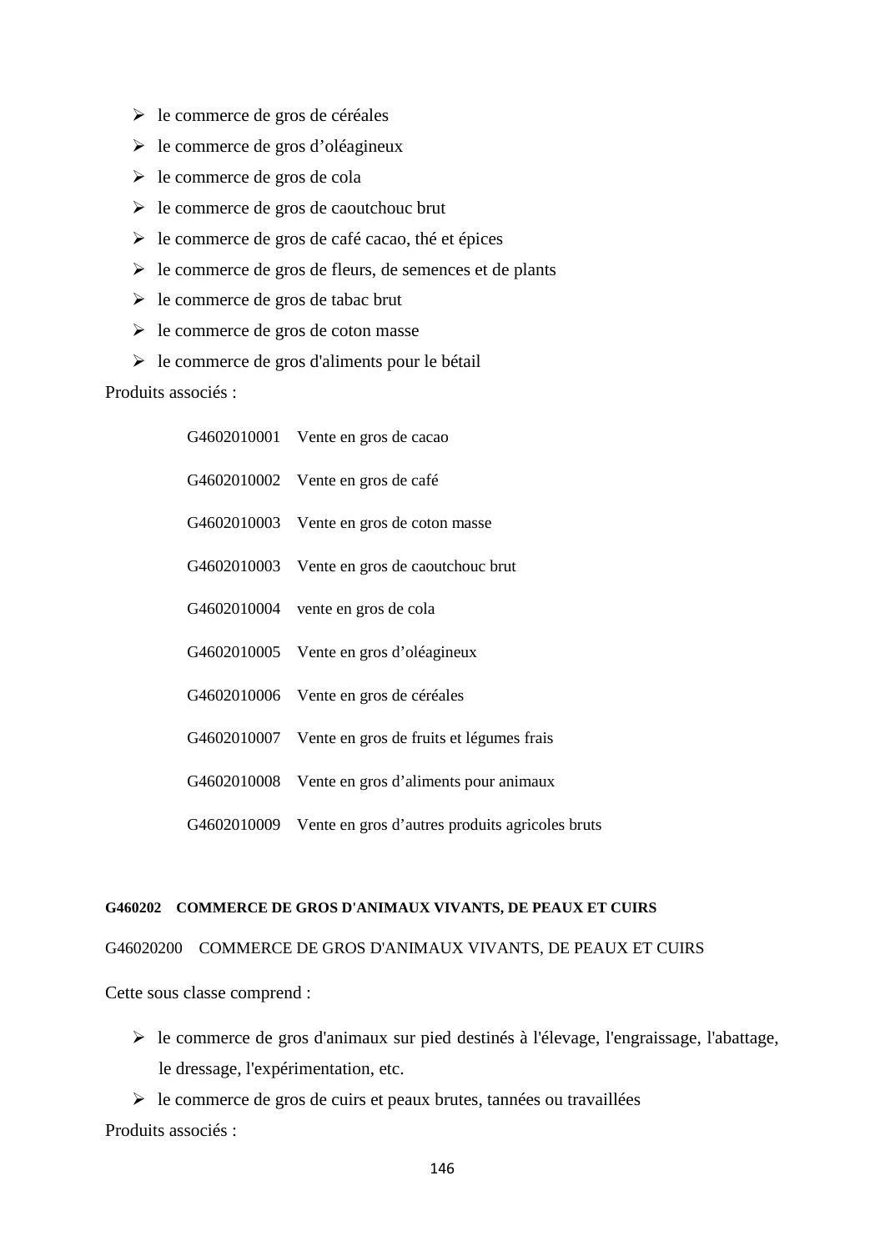- le commerce de gros de céréales
- $\triangleright$  le commerce de gros d'oléagineux
- le commerce de gros de cola
- $\triangleright$  le commerce de gros de caoutchouc brut
- $\triangleright$  le commerce de gros de café cacao, thé et épices
- $\triangleright$  le commerce de gros de fleurs, de semences et de plants
- $\triangleright$  le commerce de gros de tabac brut
- $\triangleright$  le commerce de gros de coton masse
- $\triangleright$  le commerce de gros d'aliments pour le bétail

# Produits associés :

| G4602010001 Vente en gros de cacao                          |
|-------------------------------------------------------------|
| G4602010002 Vente en gros de café                           |
| G4602010003 Vente en gros de coton masse                    |
| G4602010003 Vente en gros de caoutchouc brut                |
| G4602010004 vente en gros de cola                           |
| G4602010005 Vente en gros d'oléagineux                      |
| G4602010006 Vente en gros de céréales                       |
| G4602010007 Vente en gros de fruits et légumes frais        |
| G4602010008 Vente en gros d'aliments pour animaux           |
| G4602010009 Vente en gros d'autres produits agricoles bruts |

### **G460202 COMMERCE DE GROS D'ANIMAUX VIVANTS, DE PEAUX ET CUIRS**

G46020200 COMMERCE DE GROS D'ANIMAUX VIVANTS, DE PEAUX ET CUIRS

Cette sous classe comprend :

 $\triangleright$  le commerce de gros d'animaux sur pied destinés à l'élevage, l'engraissage, l'abattage, le dressage, l'expérimentation, etc.

 $\triangleright$  le commerce de gros de cuirs et peaux brutes, tannées ou travaillées Produits associés :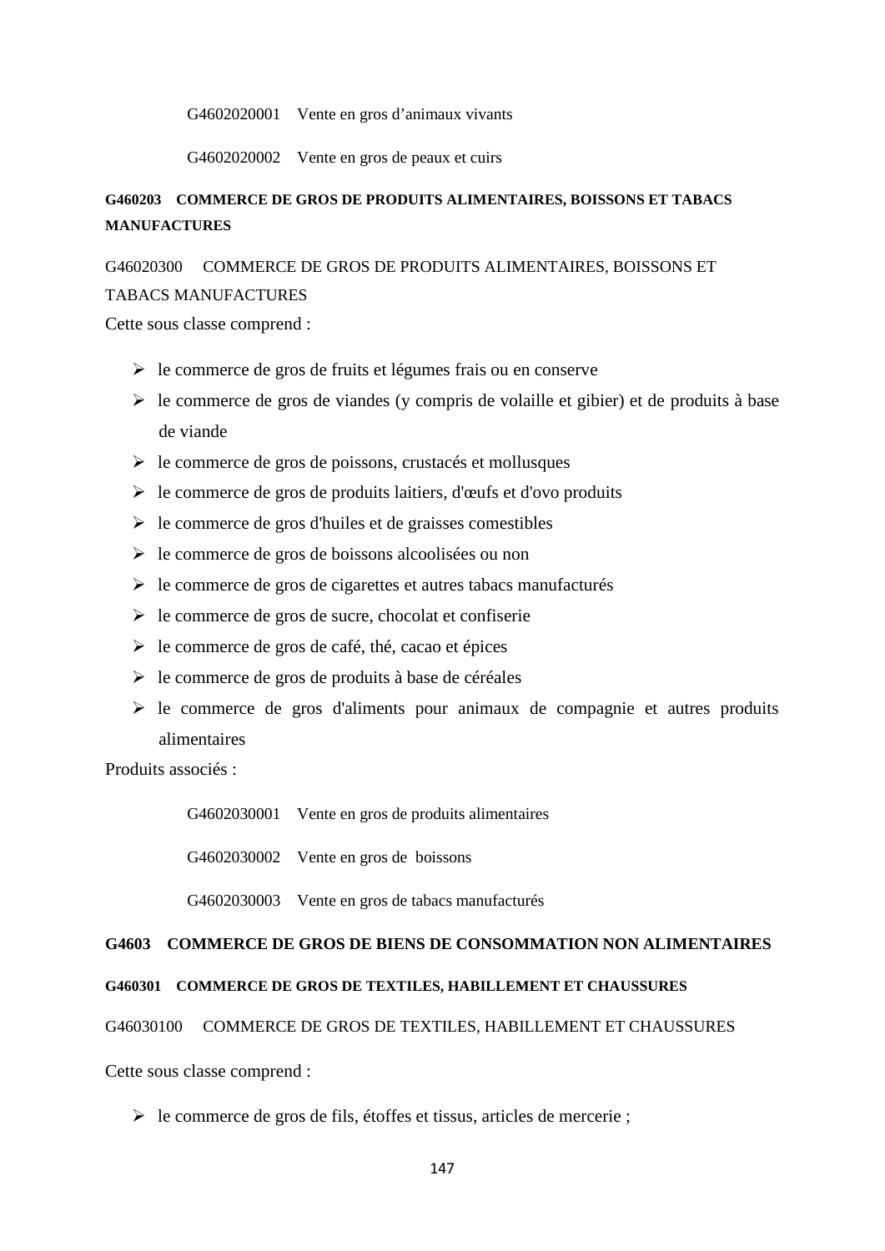G4602020001 Vente en gros d'animaux vivants

G4602020002 Vente en gros de peaux et cuirs

# **G460203 COMMERCE DE GROS DE PRODUITS ALIMENTAIRES, BOISSONS ET TABACS MANUFACTURES**

## G46020300 COMMERCE DE GROS DE PRODUITS ALIMENTAIRES, BOISSONS ET

## TABACS MANUFACTURES

Cette sous classe comprend :

- $\triangleright$  le commerce de gros de fruits et légumes frais ou en conserve
- $\triangleright$  le commerce de gros de viandes (y compris de volaille et gibier) et de produits à base de viande
- $\triangleright$  le commerce de gros de poissons, crustacés et mollusques
- $\triangleright$  le commerce de gros de produits laitiers, d'œufs et d'ovo produits
- $\triangleright$  le commerce de gros d'huiles et de graisses comestibles
- $\triangleright$  le commerce de gros de boissons alcoolisées ou non
- $\triangleright$  le commerce de gros de cigarettes et autres tabacs manufacturés
- $\triangleright$  le commerce de gros de sucre, chocolat et confiserie
- $\triangleright$  le commerce de gros de café, thé, cacao et épices
- $\triangleright$  le commerce de gros de produits à base de céréales
- $\triangleright$  le commerce de gros d'aliments pour animaux de compagnie et autres produits alimentaires

Produits associés :

G4602030001 Vente en gros de produits alimentaires

G4602030002 Vente en gros de boissons

G4602030003 Vente en gros de tabacs manufacturés

### **G4603 COMMERCE DE GROS DE BIENS DE CONSOMMATION NON ALIMENTAIRES**

# **G460301 COMMERCE DE GROS DE TEXTILES, HABILLEMENT ET CHAUSSURES**

## G46030100 COMMERCE DE GROS DE TEXTILES, HABILLEMENT ET CHAUSSURES

Cette sous classe comprend :

 $\triangleright$  le commerce de gros de fils, étoffes et tissus, articles de mercerie ;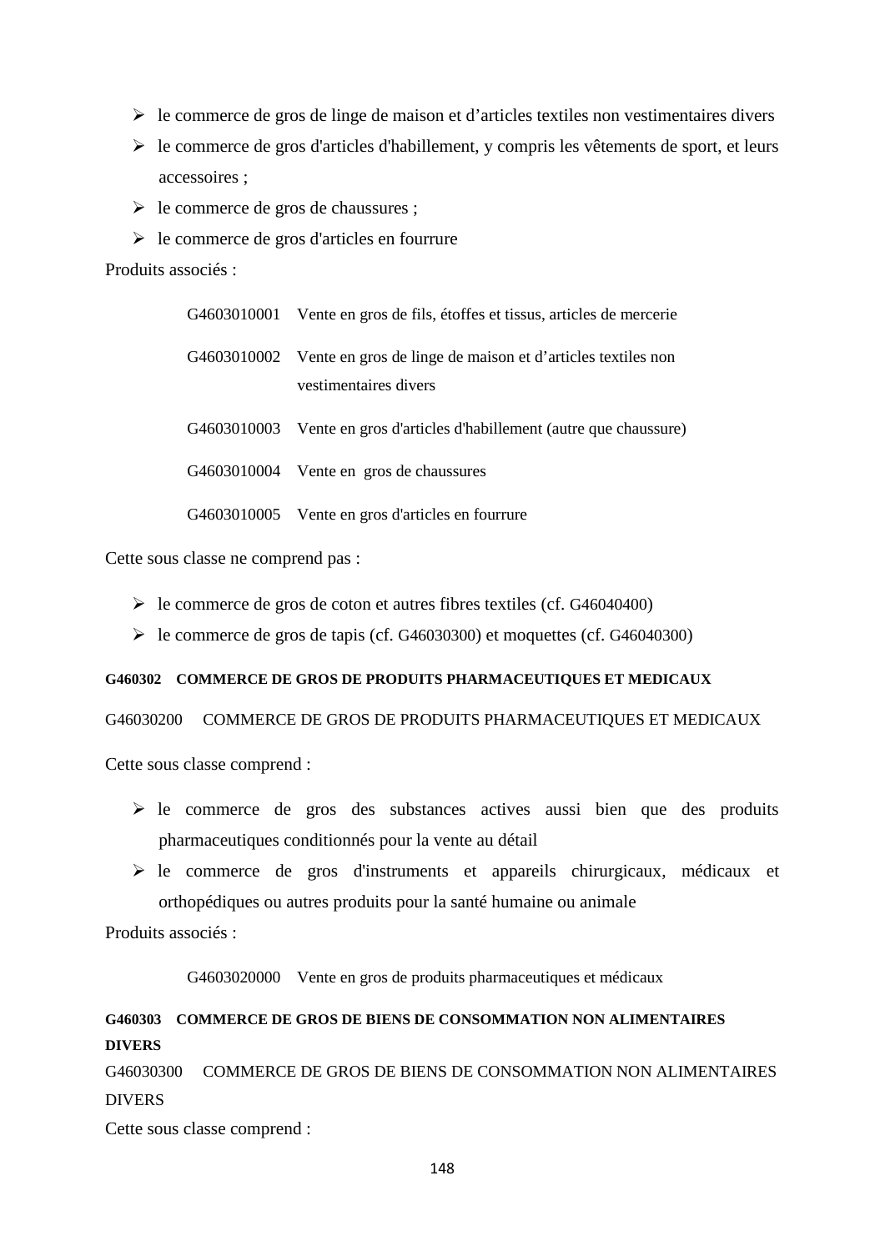- $\triangleright$  le commerce de gros de linge de maison et d'articles textiles non vestimentaires divers
- $\triangleright$  le commerce de gros d'articles d'habillement, y compris les vêtements de sport, et leurs accessoires ;
- $\triangleright$  le commerce de gros de chaussures ;
- $\triangleright$  le commerce de gros d'articles en fourrure

Produits associés :

|             | G4603010001 Vente en gros de fils, étoffes et tissus, articles de mercerie                       |
|-------------|--------------------------------------------------------------------------------------------------|
|             | G4603010002 Vente en gros de linge de maison et d'articles textiles non<br>vestimentaires divers |
| G4603010003 | Vente en gros d'articles d'habillement (autre que chaussure)                                     |
|             | G4603010004 Vente en gros de chaussures                                                          |
|             | G4603010005 Vente en gros d'articles en fourrure                                                 |

Cette sous classe ne comprend pas :

- $\blacktriangleright$  le commerce de gros de coton et autres fibres textiles (cf. G46040400)
- $\blacktriangleright$  le commerce de gros de tapis (cf. G46030300) et moquettes (cf. G46040300)

## **G460302 COMMERCE DE GROS DE PRODUITS PHARMACEUTIQUES ET MEDICAUX**

G46030200 COMMERCE DE GROS DE PRODUITS PHARMACEUTIQUES ET MEDICAUX

Cette sous classe comprend :

- $\triangleright$  le commerce de gros des substances actives aussi bien que des produits pharmaceutiques conditionnés pour la vente au détail
- $\triangleright$  le commerce de gros d'instruments et appareils chirurgicaux, médicaux et orthopédiques ou autres produits pour la santé humaine ou animale

Produits associés :

G4603020000 Vente en gros de produits pharmaceutiques et médicaux

# **G460303 COMMERCE DE GROS DE BIENS DE CONSOMMATION NON ALIMENTAIRES DIVERS**

G46030300 COMMERCE DE GROS DE BIENS DE CONSOMMATION NON ALIMENTAIRES DIVERS

Cette sous classe comprend :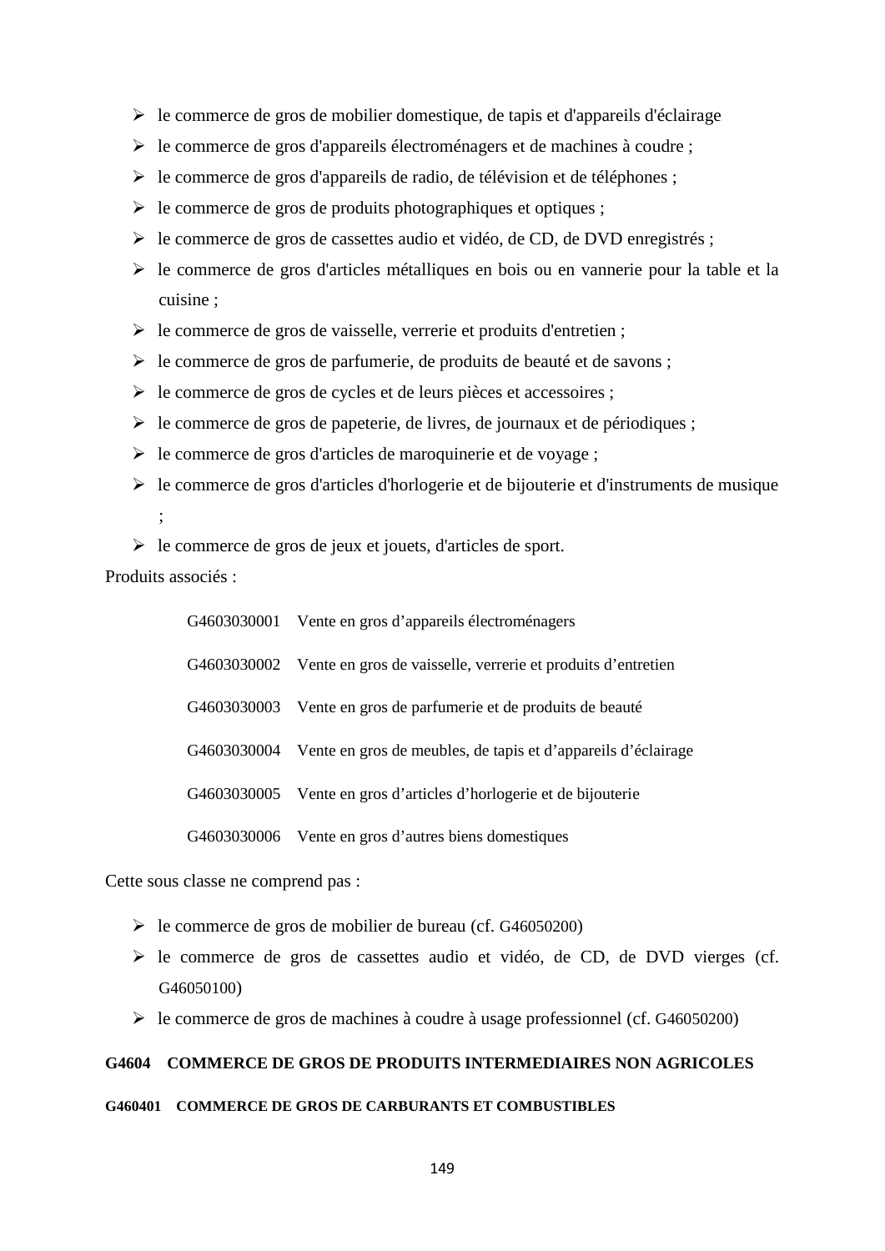- $\triangleright$  le commerce de gros de mobilier domestique, de tapis et d'appareils d'éclairage
- $\triangleright$  le commerce de gros d'appareils électroménagers et de machines à coudre ;
- $\triangleright$  le commerce de gros d'appareils de radio, de télévision et de téléphones ;
- $\triangleright$  le commerce de gros de produits photographiques et optiques ;
- $\triangleright$  le commerce de gros de cassettes audio et vidéo, de CD, de DVD enregistrés ;
- le commerce de gros d'articles métalliques en bois ou en vannerie pour la table et la cuisine ;
- $\triangleright$  le commerce de gros de vaisselle, verrerie et produits d'entretien ;
- $\triangleright$  le commerce de gros de parfumerie, de produits de beauté et de savons ;
- le commerce de gros de cycles et de leurs pièces et accessoires ;
- $\triangleright$  le commerce de gros de papeterie, de livres, de journaux et de périodiques ;
- $\triangleright$  le commerce de gros d'articles de maroquinerie et de voyage ;
- $\triangleright$  le commerce de gros d'articles d'horlogerie et de bijouterie et d'instruments de musique ;
- $\triangleright$  le commerce de gros de jeux et jouets, d'articles de sport.

Produits associés :

| G4603030001 Vente en gros d'appareils électroménagers                     |
|---------------------------------------------------------------------------|
| G4603030002 Vente en gros de vaisselle, verrerie et produits d'entretien  |
| G4603030003 Vente en gros de parfumerie et de produits de beauté          |
| G4603030004 Vente en gros de meubles, de tapis et d'appareils d'éclairage |
| G4603030005 Vente en gros d'articles d'horlogerie et de bijouterie        |
| G4603030006 Vente en gros d'autres biens domestiques                      |

Cette sous classe ne comprend pas :

- le commerce de gros de mobilier de bureau (cf. G46050200)
- $\triangleright$  le commerce de gros de cassettes audio et vidéo, de CD, de DVD vierges (cf. G46050100)
- le commerce de gros de machines à coudre à usage professionnel (cf. G46050200)

## **G4604 COMMERCE DE GROS DE PRODUITS INTERMEDIAIRES NON AGRICOLES**

#### **G460401 COMMERCE DE GROS DE CARBURANTS ET COMBUSTIBLES**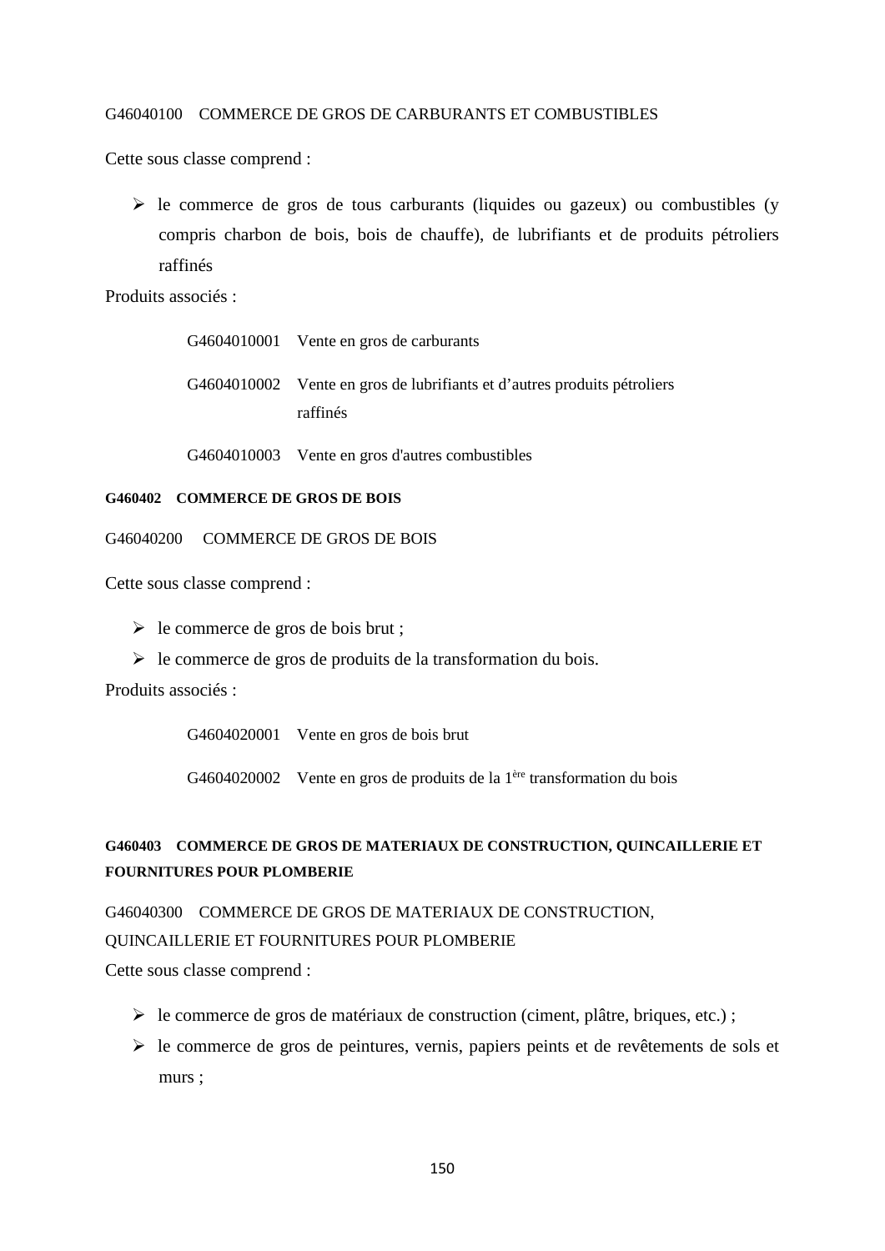### G46040100 COMMERCE DE GROS DE CARBURANTS ET COMBUSTIBLES

Cette sous classe comprend :

 $\triangleright$  le commerce de gros de tous carburants (liquides ou gazeux) ou combustibles (y compris charbon de bois, bois de chauffe), de lubrifiants et de produits pétroliers raffinés

Produits associés :

| G4604010001 Vente en gros de carburants                                  |
|--------------------------------------------------------------------------|
| G4604010002 Vente en gros de lubrifiants et d'autres produits pétroliers |
| raffinés                                                                 |

G4604010003 Vente en gros d'autres combustibles

## **G460402 COMMERCE DE GROS DE BOIS**

G46040200 COMMERCE DE GROS DE BOIS

Cette sous classe comprend :

 $\triangleright$  le commerce de gros de bois brut ;

 $\triangleright$  le commerce de gros de produits de la transformation du bois.

Produits associés :

G4604020001 Vente en gros de bois brut

G4604020002 Vente en gros de produits de la 1ère transformation du bois

# **G460403 COMMERCE DE GROS DE MATERIAUX DE CONSTRUCTION, QUINCAILLERIE ET FOURNITURES POUR PLOMBERIE**

G46040300 COMMERCE DE GROS DE MATERIAUX DE CONSTRUCTION,

### QUINCAILLERIE ET FOURNITURES POUR PLOMBERIE

Cette sous classe comprend :

- $\triangleright$  le commerce de gros de matériaux de construction (ciment, plâtre, briques, etc.);
- le commerce de gros de peintures, vernis, papiers peints et de revêtements de sols et murs ;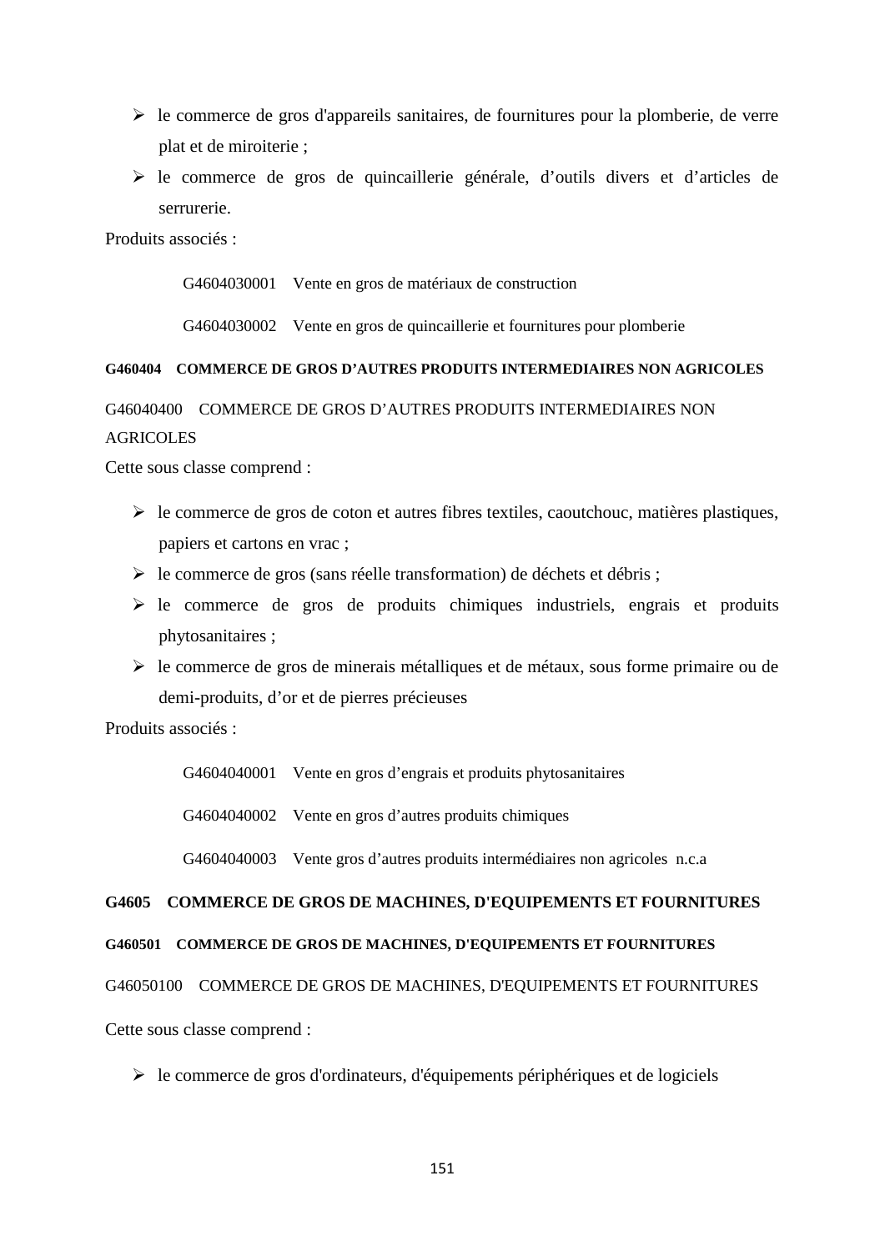- $\triangleright$  le commerce de gros d'appareils sanitaires, de fournitures pour la plomberie, de verre plat et de miroiterie ;
- le commerce de gros de quincaillerie générale, d'outils divers et d'articles de serrurerie.

Produits associés :

G4604030001 Vente en gros de matériaux de construction

G4604030002 Vente en gros de quincaillerie et fournitures pour plomberie

## **G460404 COMMERCE DE GROS D'AUTRES PRODUITS INTERMEDIAIRES NON AGRICOLES**

G46040400 COMMERCE DE GROS D'AUTRES PRODUITS INTERMEDIAIRES NON **AGRICOLES** 

Cette sous classe comprend :

- $\triangleright$  le commerce de gros de coton et autres fibres textiles, caoutchouc, matières plastiques, papiers et cartons en vrac ;
- $\triangleright$  le commerce de gros (sans réelle transformation) de déchets et débris ;
- $\triangleright$  le commerce de gros de produits chimiques industriels, engrais et produits phytosanitaires ;
- $\triangleright$  le commerce de gros de minerais métalliques et de métaux, sous forme primaire ou de demi-produits, d'or et de pierres précieuses

Produits associés :

G4604040001 Vente en gros d'engrais et produits phytosanitaires

G4604040002 Vente en gros d'autres produits chimiques

G4604040003 Vente gros d'autres produits intermédiaires non agricoles n.c.a

# **G4605 COMMERCE DE GROS DE MACHINES, D'EQUIPEMENTS ET FOURNITURES**

### **G460501 COMMERCE DE GROS DE MACHINES, D'EQUIPEMENTS ET FOURNITURES**

### G46050100 COMMERCE DE GROS DE MACHINES, D'EQUIPEMENTS ET FOURNITURES

Cette sous classe comprend :

 $\triangleright$  le commerce de gros d'ordinateurs, d'équipements périphériques et de logiciels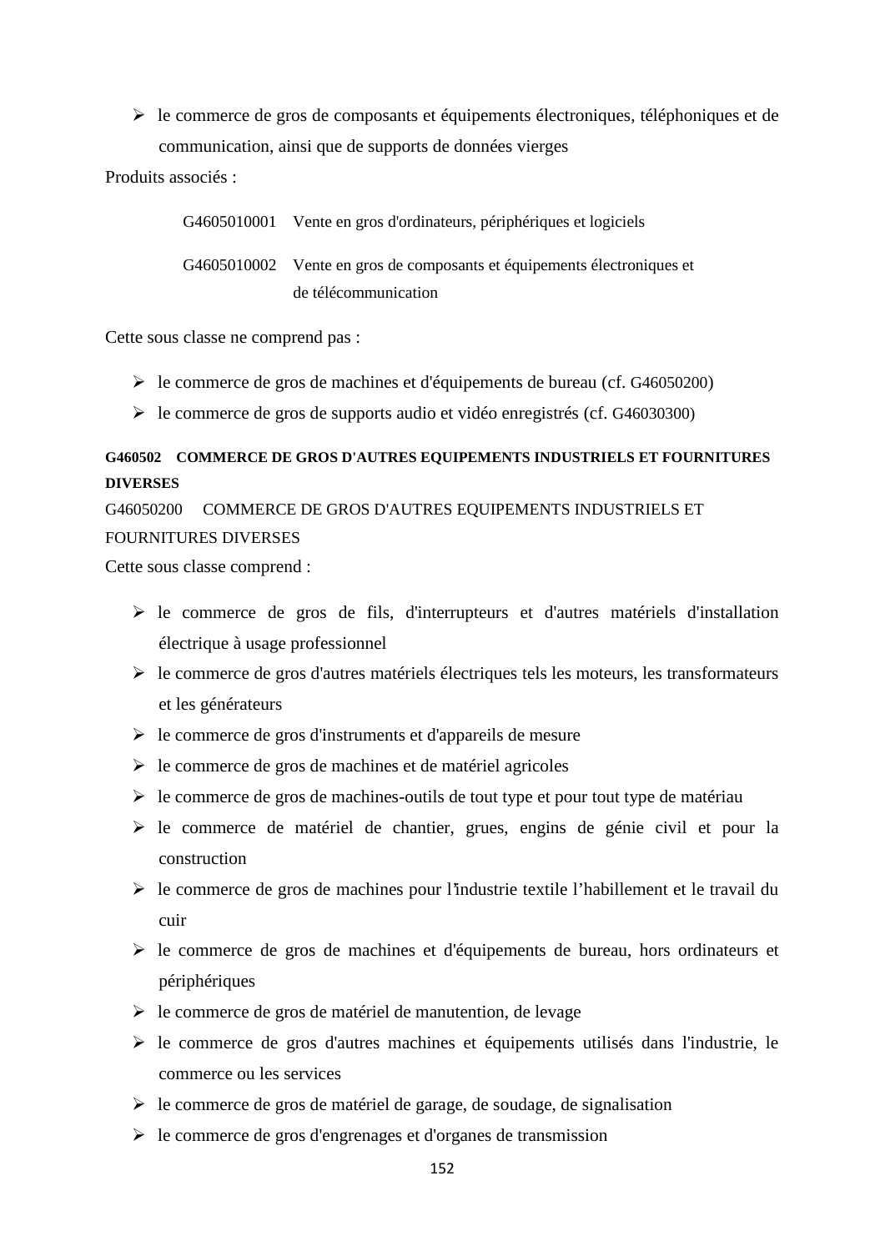$\triangleright$  le commerce de gros de composants et équipements électroniques, téléphoniques et de communication, ainsi que de supports de données vierges

Produits associés :

| G4605010001 Vente en gros d'ordinateurs, périphériques et logiciels     |
|-------------------------------------------------------------------------|
| G4605010002 Vente en gros de composants et équipements électroniques et |
| de télécommunication                                                    |

Cette sous classe ne comprend pas :

- le commerce de gros de machines et d'équipements de bureau (cf. G46050200)
- $\blacktriangleright$  le commerce de gros de supports audio et vidéo enregistrés (cf. G46030300)

# **G460502 COMMERCE DE GROS D'AUTRES EQUIPEMENTS INDUSTRIELS ET FOURNITURES DIVERSES**

G46050200 COMMERCE DE GROS D'AUTRES EQUIPEMENTS INDUSTRIELS ET FOURNITURES DIVERSES

Cette sous classe comprend :

- $\triangleright$  le commerce de gros de fils, d'interrupteurs et d'autres matériels d'installation électrique à usage professionnel
- $\triangleright$  le commerce de gros d'autres matériels électriques tels les moteurs, les transformateurs et les générateurs
- $\triangleright$  le commerce de gros d'instruments et d'appareils de mesure
- $\triangleright$  le commerce de gros de machines et de matériel agricoles
- $\triangleright$  le commerce de gros de machines-outils de tout type et pour tout type de matériau
- le commerce de matériel de chantier, grues, engins de génie civil et pour la construction
- $\triangleright$  le commerce de gros de machines pour l'industrie textile l'habillement et le travail du cuir
- $\triangleright$  le commerce de gros de machines et d'équipements de bureau, hors ordinateurs et périphériques
- $\triangleright$  le commerce de gros de matériel de manutention, de levage
- $\triangleright$  le commerce de gros d'autres machines et équipements utilisés dans l'industrie, le commerce ou les services
- $\triangleright$  le commerce de gros de matériel de garage, de soudage, de signalisation
- $\triangleright$  le commerce de gros d'engrenages et d'organes de transmission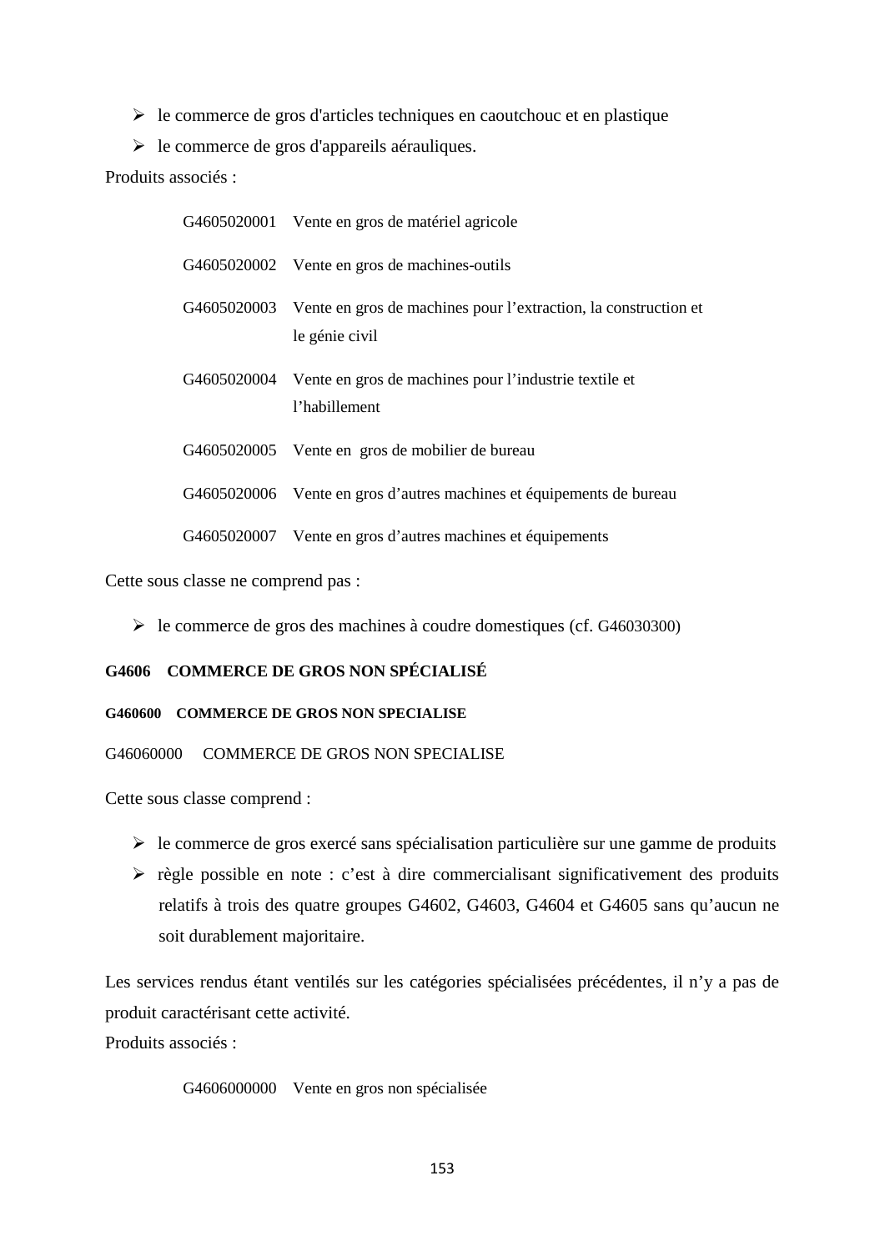$\triangleright$  le commerce de gros d'articles techniques en caoutchouc et en plastique

 $\triangleright$  le commerce de gros d'appareils aérauliques.

Produits associés :

| G4605020001 Vente en gros de matériel agricole                                                |
|-----------------------------------------------------------------------------------------------|
| G4605020002 Vente en gros de machines-outils                                                  |
| G4605020003 Vente en gros de machines pour l'extraction, la construction et<br>le génie civil |
| G4605020004 Vente en gros de machines pour l'industrie textile et<br>l'habillement            |
| G4605020005 Vente en gros de mobilier de bureau                                               |
| G4605020006 Vente en gros d'autres machines et équipements de bureau                          |
| G4605020007 Vente en gros d'autres machines et équipements                                    |

Cette sous classe ne comprend pas :

 $\triangleright$  le commerce de gros des machines à coudre domestiques (cf. G46030300)

# **G4606 COMMERCE DE GROS NON SPÉCIALISÉ**

### **G460600 COMMERCE DE GROS NON SPECIALISE**

G46060000 COMMERCE DE GROS NON SPECIALISE

Cette sous classe comprend :

- $\triangleright$  le commerce de gros exercé sans spécialisation particulière sur une gamme de produits
- $\triangleright$  règle possible en note : c'est à dire commercialisant significativement des produits relatifs à trois des quatre groupes G4602, G4603, G4604 et G4605 sans qu'aucun ne soit durablement majoritaire.

Les services rendus étant ventilés sur les catégories spécialisées précédentes, il n'y a pas de produit caractérisant cette activité.

Produits associés :

G4606000000 Vente en gros non spécialisée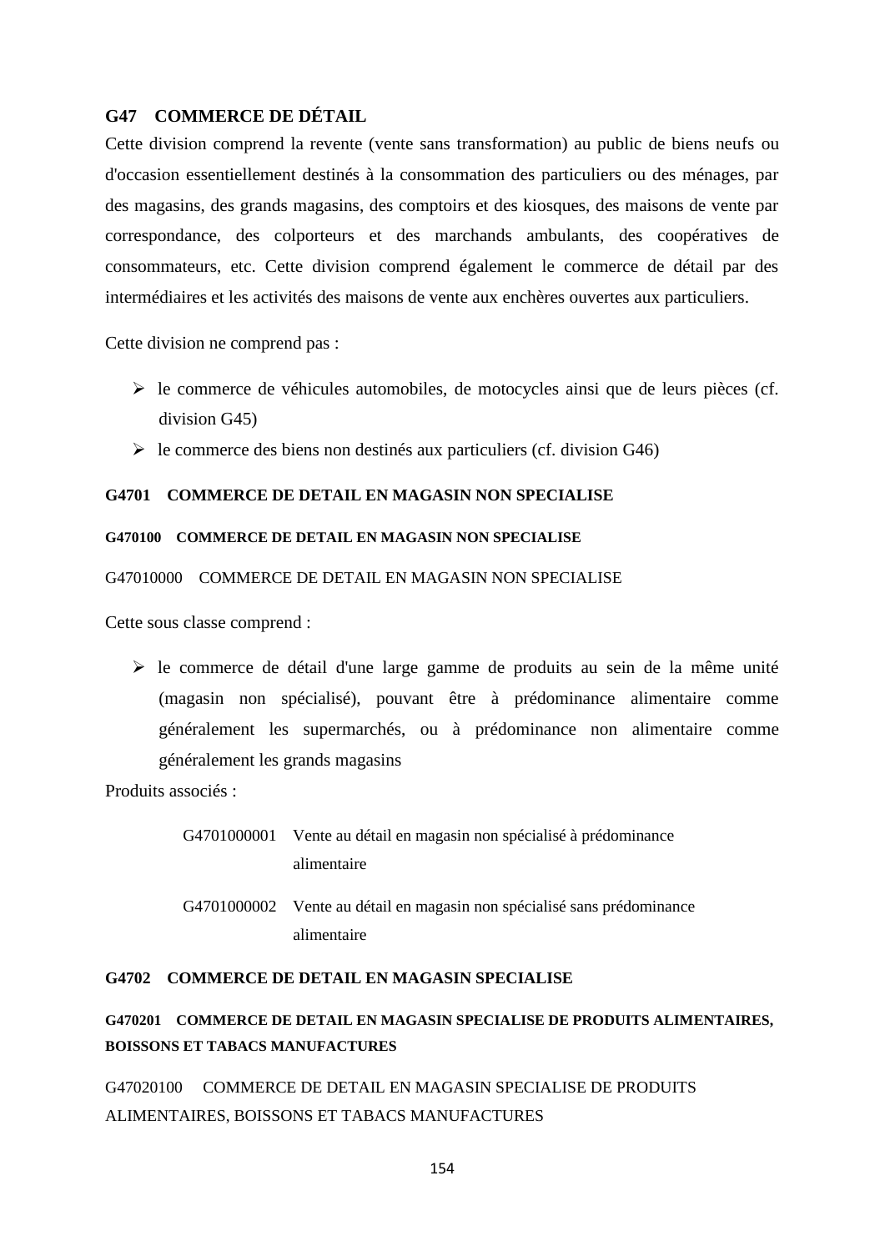# **G47 COMMERCE DE DÉTAIL**

Cette division comprend la revente (vente sans transformation) au public de biens neufs ou d'occasion essentiellement destinés à la consommation des particuliers ou des ménages, par des magasins, des grands magasins, des comptoirs et des kiosques, des maisons de vente par correspondance, des colporteurs et des marchands ambulants, des coopératives de consommateurs, etc. Cette division comprend également le commerce de détail par des intermédiaires et les activités des maisons de vente aux enchères ouvertes aux particuliers.

Cette division ne comprend pas :

- $\triangleright$  le commerce de véhicules automobiles, de motocycles ainsi que de leurs pièces (cf. division G45)
- $\triangleright$  le commerce des biens non destinés aux particuliers (cf. division G46)

### **G4701 COMMERCE DE DETAIL EN MAGASIN NON SPECIALISE**

#### **G470100 COMMERCE DE DETAIL EN MAGASIN NON SPECIALISE**

G47010000 COMMERCE DE DETAIL EN MAGASIN NON SPECIALISE

Cette sous classe comprend :

 $\triangleright$  le commerce de détail d'une large gamme de produits au sein de la même unité (magasin non spécialisé), pouvant être à prédominance alimentaire comme généralement les supermarchés, ou à prédominance non alimentaire comme généralement les grands magasins

Produits associés :

- G4701000001 Vente au détail en magasin non spécialisé à prédominance alimentaire
- G4701000002 Vente au détail en magasin non spécialisé sans prédominance alimentaire

#### **G4702 COMMERCE DE DETAIL EN MAGASIN SPECIALISE**

# **G470201 COMMERCE DE DETAIL EN MAGASIN SPECIALISE DE PRODUITS ALIMENTAIRES, BOISSONS ET TABACS MANUFACTURES**

G47020100 COMMERCE DE DETAIL EN MAGASIN SPECIALISE DE PRODUITS ALIMENTAIRES, BOISSONS ET TABACS MANUFACTURES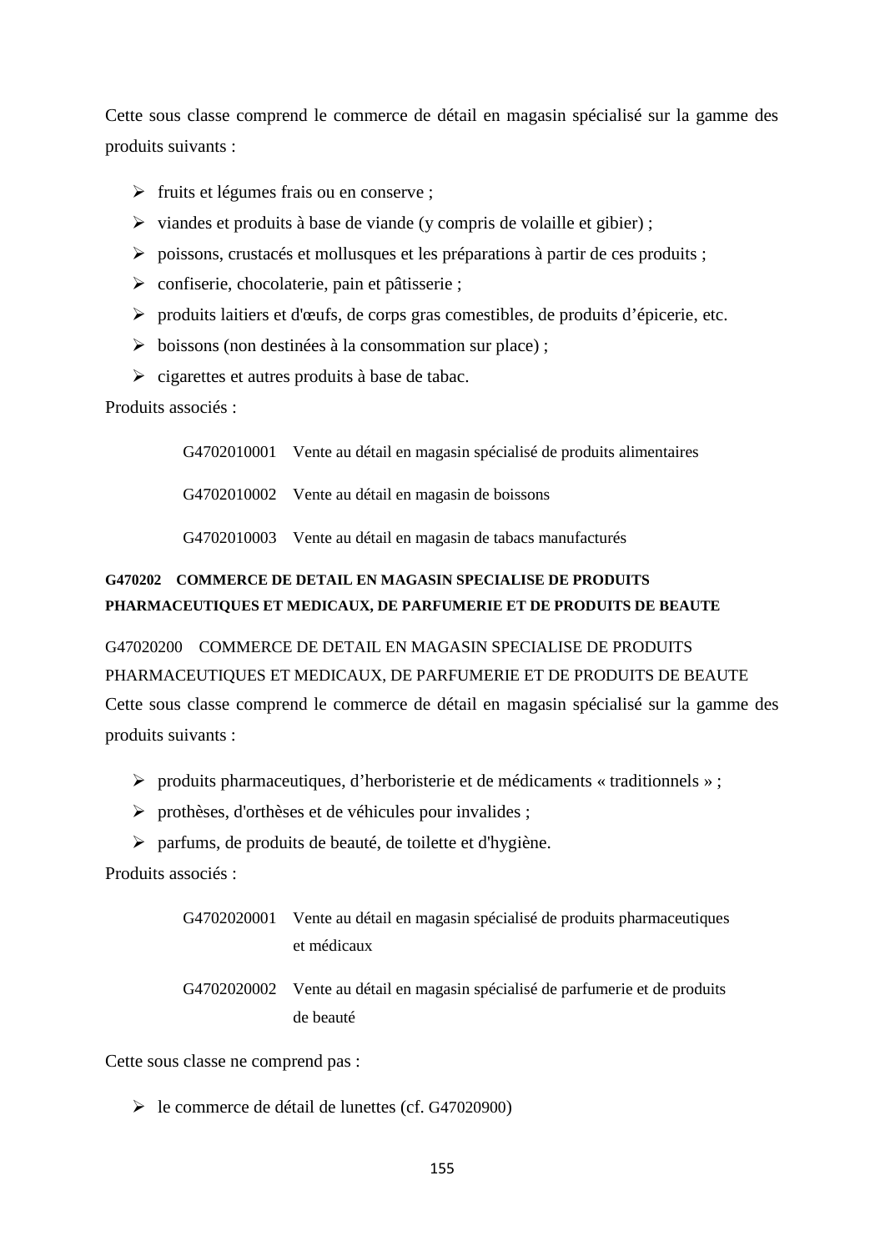Cette sous classe comprend le commerce de détail en magasin spécialisé sur la gamme des produits suivants :

- $\triangleright$  fruits et légumes frais ou en conserve ;
- $\triangleright$  viandes et produits à base de viande (y compris de volaille et gibier);
- $\triangleright$  poissons, crustacés et mollusques et les préparations à partir de ces produits ;
- confiserie, chocolaterie, pain et pâtisserie ;
- produits laitiers et d'œufs, de corps gras comestibles, de produits d'épicerie, etc.
- $\triangleright$  boissons (non destinées à la consommation sur place);
- $\triangleright$  cigarettes et autres produits à base de tabac.

Produits associés :

G4702010001 Vente au détail en magasin spécialisé de produits alimentaires

G4702010002 Vente au détail en magasin de boissons

G4702010003 Vente au détail en magasin de tabacs manufacturés

# **G470202 COMMERCE DE DETAIL EN MAGASIN SPECIALISE DE PRODUITS PHARMACEUTIQUES ET MEDICAUX, DE PARFUMERIE ET DE PRODUITS DE BEAUTE**

# G47020200 COMMERCE DE DETAIL EN MAGASIN SPECIALISE DE PRODUITS PHARMACEUTIQUES ET MEDICAUX, DE PARFUMERIE ET DE PRODUITS DE BEAUTE

Cette sous classe comprend le commerce de détail en magasin spécialisé sur la gamme des produits suivants :

- produits pharmaceutiques, d'herboristerie et de médicaments « traditionnels » ;
- prothèses, d'orthèses et de véhicules pour invalides ;
- $\triangleright$  parfums, de produits de beauté, de toilette et d'hygiène.

Produits associés :

| G4702020001 Vente au détail en magasin spécialisé de produits pharmaceutiques |
|-------------------------------------------------------------------------------|
| et médicaux                                                                   |

G4702020002 Vente au détail en magasin spécialisé de parfumerie et de produits de beauté

Cette sous classe ne comprend pas :

le commerce de détail de lunettes (cf. G47020900)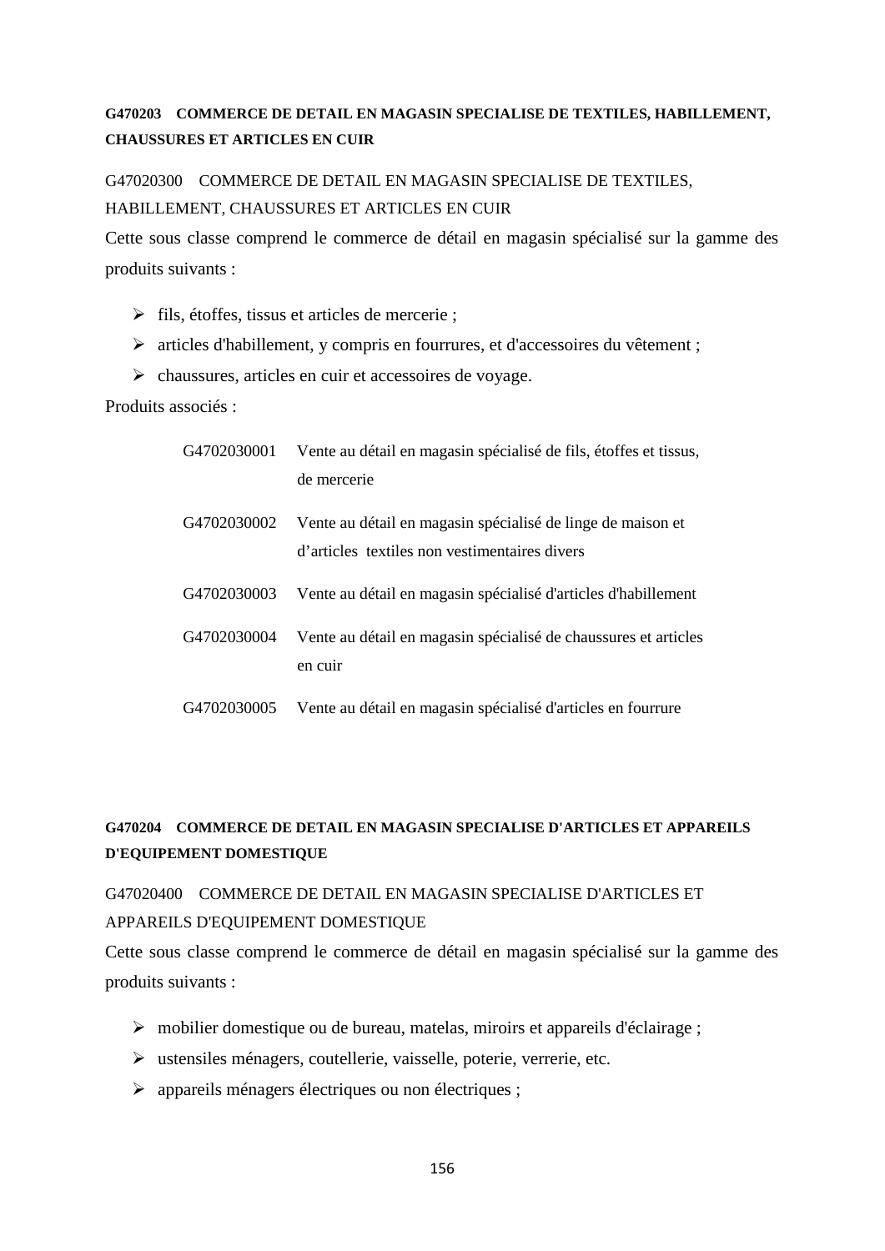# **G470203 COMMERCE DE DETAIL EN MAGASIN SPECIALISE DE TEXTILES, HABILLEMENT, CHAUSSURES ET ARTICLES EN CUIR**

G47020300 COMMERCE DE DETAIL EN MAGASIN SPECIALISE DE TEXTILES, HABILLEMENT, CHAUSSURES ET ARTICLES EN CUIR

Cette sous classe comprend le commerce de détail en magasin spécialisé sur la gamme des produits suivants :

- $\triangleright$  fils, étoffes, tissus et articles de mercerie ;
- articles d'habillement, y compris en fourrures, et d'accessoires du vêtement ;
- $\triangleright$  chaussures, articles en cuir et accessoires de voyage.

Produits associés :

| G4702030001 | Vente au détail en magasin spécialisé de fils, étoffes et tissus,<br>de mercerie                             |
|-------------|--------------------------------------------------------------------------------------------------------------|
| G4702030002 | Vente au détail en magasin spécialisé de linge de maison et<br>d'articles textiles non vestimentaires divers |
| G4702030003 | Vente au détail en magasin spécialisé d'articles d'habillement                                               |
| G4702030004 | Vente au détail en magasin spécialisé de chaussures et articles<br>en cuir                                   |
| G4702030005 | Vente au détail en magasin spécialisé d'articles en fourrure                                                 |

# **G470204 COMMERCE DE DETAIL EN MAGASIN SPECIALISE D'ARTICLES ET APPAREILS D'EQUIPEMENT DOMESTIQUE**

# G47020400 COMMERCE DE DETAIL EN MAGASIN SPECIALISE D'ARTICLES ET APPAREILS D'EQUIPEMENT DOMESTIQUE

Cette sous classe comprend le commerce de détail en magasin spécialisé sur la gamme des produits suivants :

- mobilier domestique ou de bureau, matelas, miroirs et appareils d'éclairage ;
- ustensiles ménagers, coutellerie, vaisselle, poterie, verrerie, etc.
- appareils ménagers électriques ou non électriques ;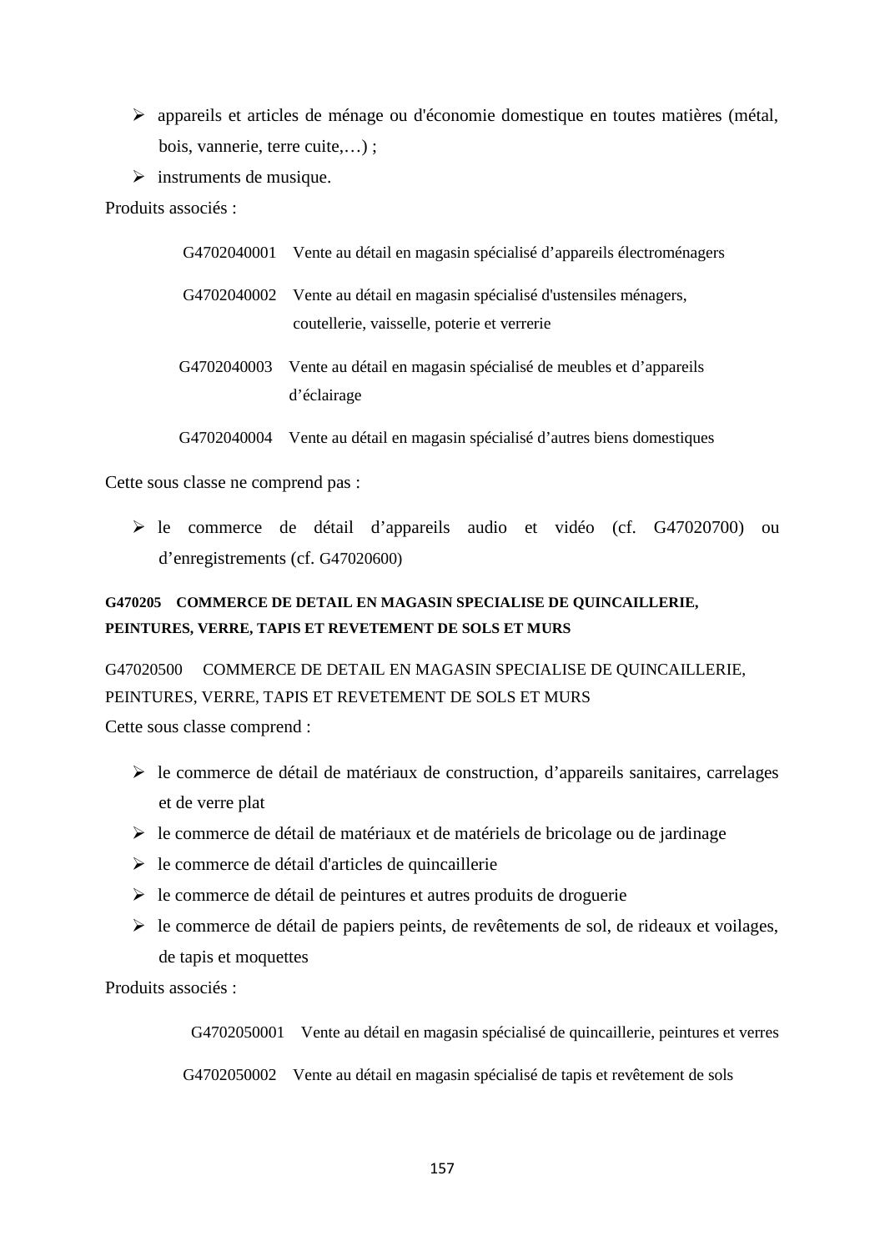- appareils et articles de ménage ou d'économie domestique en toutes matières (métal, bois, vannerie, terre cuite,…) ;
- $\triangleright$  instruments de musique.

Produits associés :

| G4702040001 | Vente au détail en magasin spécialisé d'appareils électroménagers                                                       |
|-------------|-------------------------------------------------------------------------------------------------------------------------|
|             | G4702040002 Vente au détail en magasin spécialisé d'ustensiles ménagers,<br>coutellerie, vaisselle, poterie et verrerie |
|             | G4702040003 Vente au détail en magasin spécialisé de meubles et d'appareils<br>d'éclairage                              |
| G4702040004 | Vente au détail en magasin spécialisé d'autres biens domestiques                                                        |

Cette sous classe ne comprend pas :

 le commerce de détail d'appareils audio et vidéo (cf. G47020700) ou d'enregistrements (cf. G47020600)

# **G470205 COMMERCE DE DETAIL EN MAGASIN SPECIALISE DE QUINCAILLERIE, PEINTURES, VERRE, TAPIS ET REVETEMENT DE SOLS ET MURS**

G47020500 COMMERCE DE DETAIL EN MAGASIN SPECIALISE DE QUINCAILLERIE, PEINTURES, VERRE, TAPIS ET REVETEMENT DE SOLS ET MURS Cette sous classe comprend :

- $\triangleright$  le commerce de détail de matériaux de construction, d'appareils sanitaires, carrelages et de verre plat
- $\triangleright$  le commerce de détail de matériaux et de matériels de bricolage ou de jardinage
- $\triangleright$  le commerce de détail d'articles de quincaillerie
- $\triangleright$  le commerce de détail de peintures et autres produits de droguerie
- $\triangleright$  le commerce de détail de papiers peints, de revêtements de sol, de rideaux et voilages, de tapis et moquettes

Produits associés :

G4702050001 Vente au détail en magasin spécialisé de quincaillerie, peintures et verres

G4702050002 Vente au détail en magasin spécialisé de tapis et revêtement de sols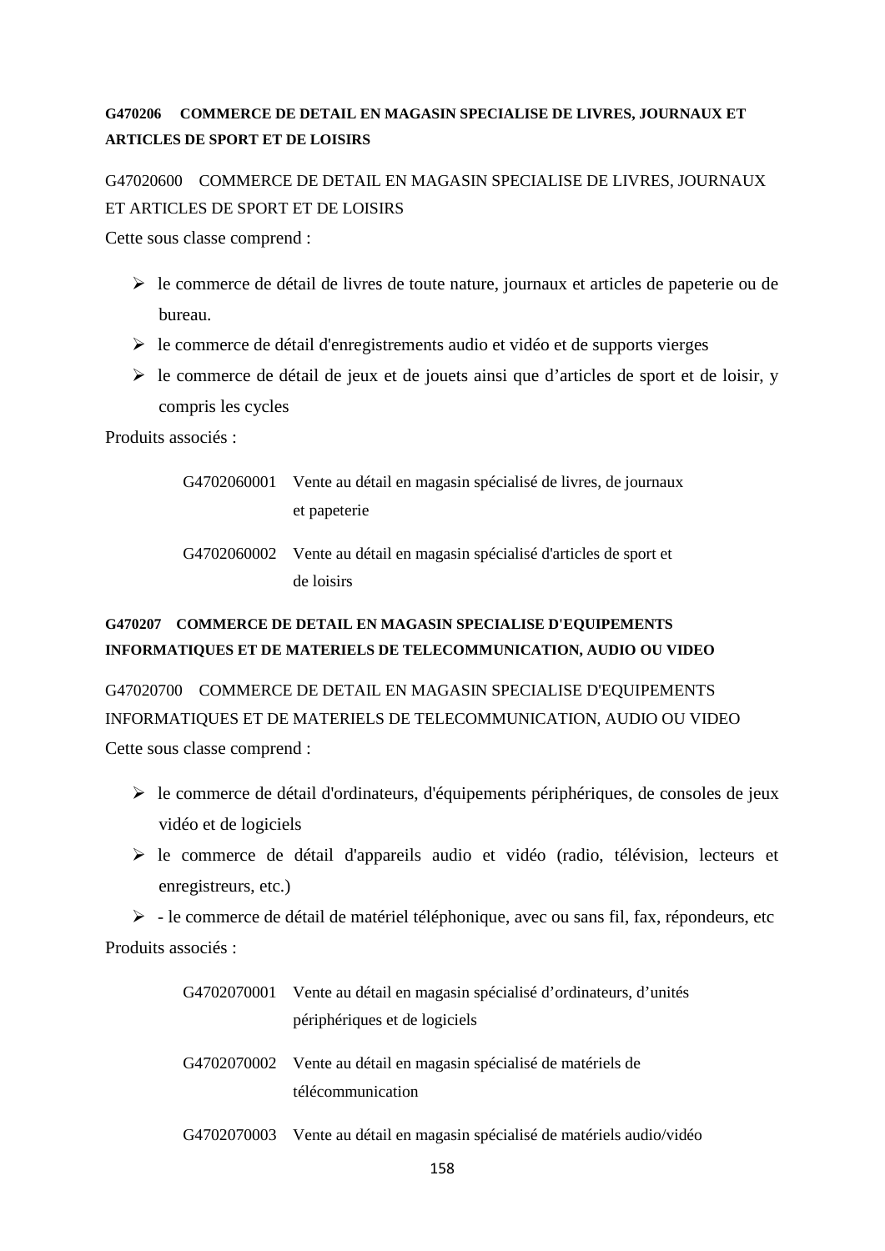# **G470206 COMMERCE DE DETAIL EN MAGASIN SPECIALISE DE LIVRES, JOURNAUX ET ARTICLES DE SPORT ET DE LOISIRS**

G47020600 COMMERCE DE DETAIL EN MAGASIN SPECIALISE DE LIVRES, JOURNAUX ET ARTICLES DE SPORT ET DE LOISIRS

Cette sous classe comprend :

- $\triangleright$  le commerce de détail de livres de toute nature, journaux et articles de papeterie ou de bureau.
- $\triangleright$  le commerce de détail d'enregistrements audio et vidéo et de supports vierges
- $\triangleright$  le commerce de détail de jeux et de jouets ainsi que d'articles de sport et de loisir, y compris les cycles

Produits associés :

- G4702060001 Vente au détail en magasin spécialisé de livres, de journaux et papeterie
- G4702060002 Vente au détail en magasin spécialisé d'articles de sport et de loisirs

# **G470207 COMMERCE DE DETAIL EN MAGASIN SPECIALISE D'EQUIPEMENTS INFORMATIQUES ET DE MATERIELS DE TELECOMMUNICATION, AUDIO OU VIDEO**

G47020700 COMMERCE DE DETAIL EN MAGASIN SPECIALISE D'EQUIPEMENTS INFORMATIQUES ET DE MATERIELS DE TELECOMMUNICATION, AUDIO OU VIDEO Cette sous classe comprend :

- le commerce de détail d'ordinateurs, d'équipements périphériques, de consoles de jeux vidéo et de logiciels
- le commerce de détail d'appareils audio et vidéo (radio, télévision, lecteurs et enregistreurs, etc.)

 $\triangleright$  - le commerce de détail de matériel téléphonique, avec ou sans fil, fax, répondeurs, etc Produits associés :

| G4702070001 | Vente au détail en magasin spécialisé d'ordinateurs, d'unités              |
|-------------|----------------------------------------------------------------------------|
|             | périphériques et de logiciels                                              |
|             | G4702070002 Vente au détail en magasin spécialisé de matériels de          |
|             | télécommunication                                                          |
|             | G4702070003 Vente au détail en magasin spécialisé de matériels audio/vidéo |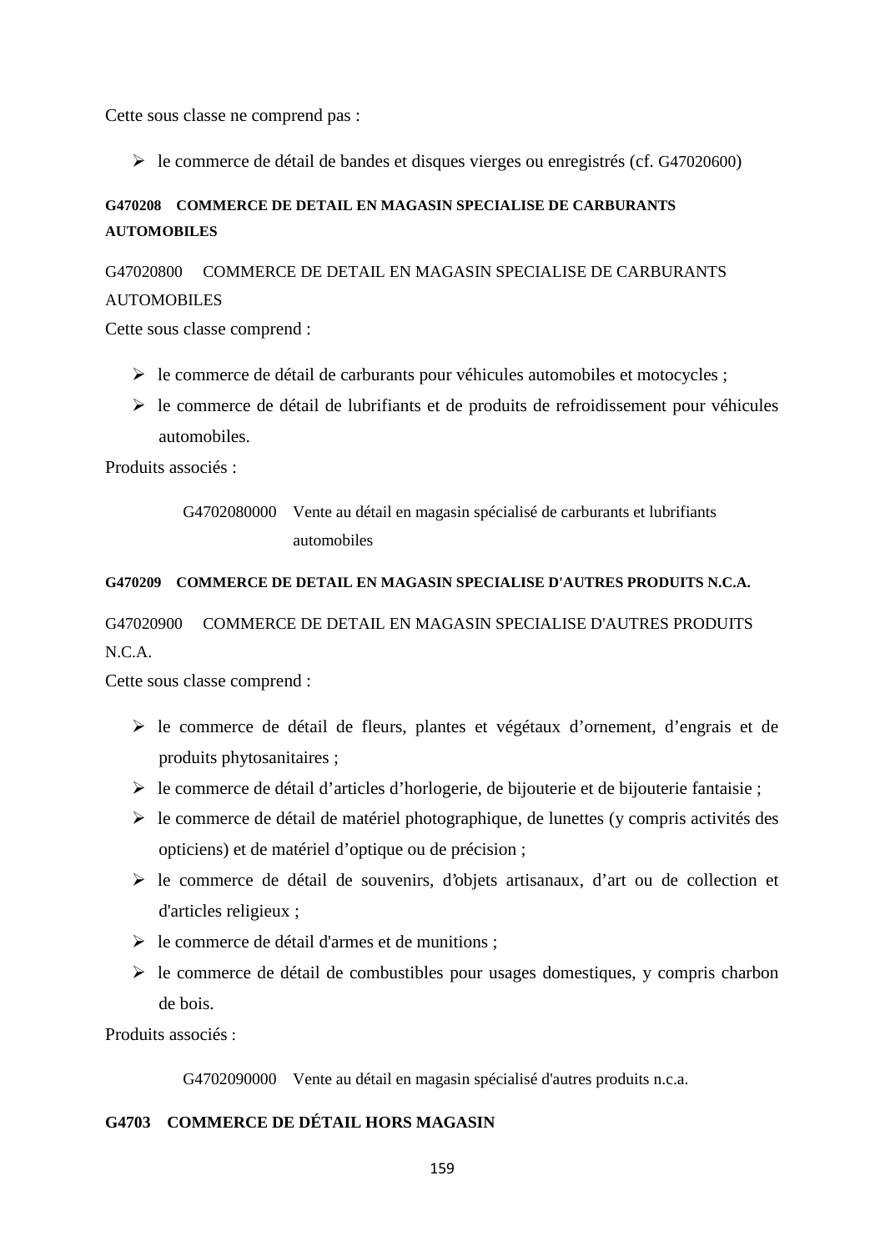Cette sous classe ne comprend pas :

le commerce de détail de bandes et disques vierges ou enregistrés (cf. G47020600)

# **G470208 COMMERCE DE DETAIL EN MAGASIN SPECIALISE DE CARBURANTS AUTOMOBILES**

# G47020800 COMMERCE DE DETAIL EN MAGASIN SPECIALISE DE CARBURANTS AUTOMOBILES

Cette sous classe comprend :

- $\triangleright$  le commerce de détail de carburants pour véhicules automobiles et motocycles ;
- $\triangleright$  le commerce de détail de lubrifiants et de produits de refroidissement pour véhicules automobiles.

Produits associés :

# G4702080000 Vente au détail en magasin spécialisé de carburants et lubrifiants automobiles

## **G470209 COMMERCE DE DETAIL EN MAGASIN SPECIALISE D'AUTRES PRODUITS N.C.A.**

# G47020900 COMMERCE DE DETAIL EN MAGASIN SPECIALISE D'AUTRES PRODUITS N.C.A.

Cette sous classe comprend :

- le commerce de détail de fleurs, plantes et végétaux d'ornement, d'engrais et de produits phytosanitaires ;
- le commerce de détail d'articles d'horlogerie, de bijouterie et de bijouterie fantaisie ;
- $\triangleright$  le commerce de détail de matériel photographique, de lunettes (y compris activités des opticiens) et de matériel d'optique ou de précision ;
- $\triangleright$  le commerce de détail de souvenirs, d'objets artisanaux, d'art ou de collection et d'articles religieux ;
- $\triangleright$  le commerce de détail d'armes et de munitions ;
- $\triangleright$  le commerce de détail de combustibles pour usages domestiques, y compris charbon de bois.

Produits associés :

G4702090000 Vente au détail en magasin spécialisé d'autres produits n.c.a.

# **G4703 COMMERCE DE DÉTAIL HORS MAGASIN**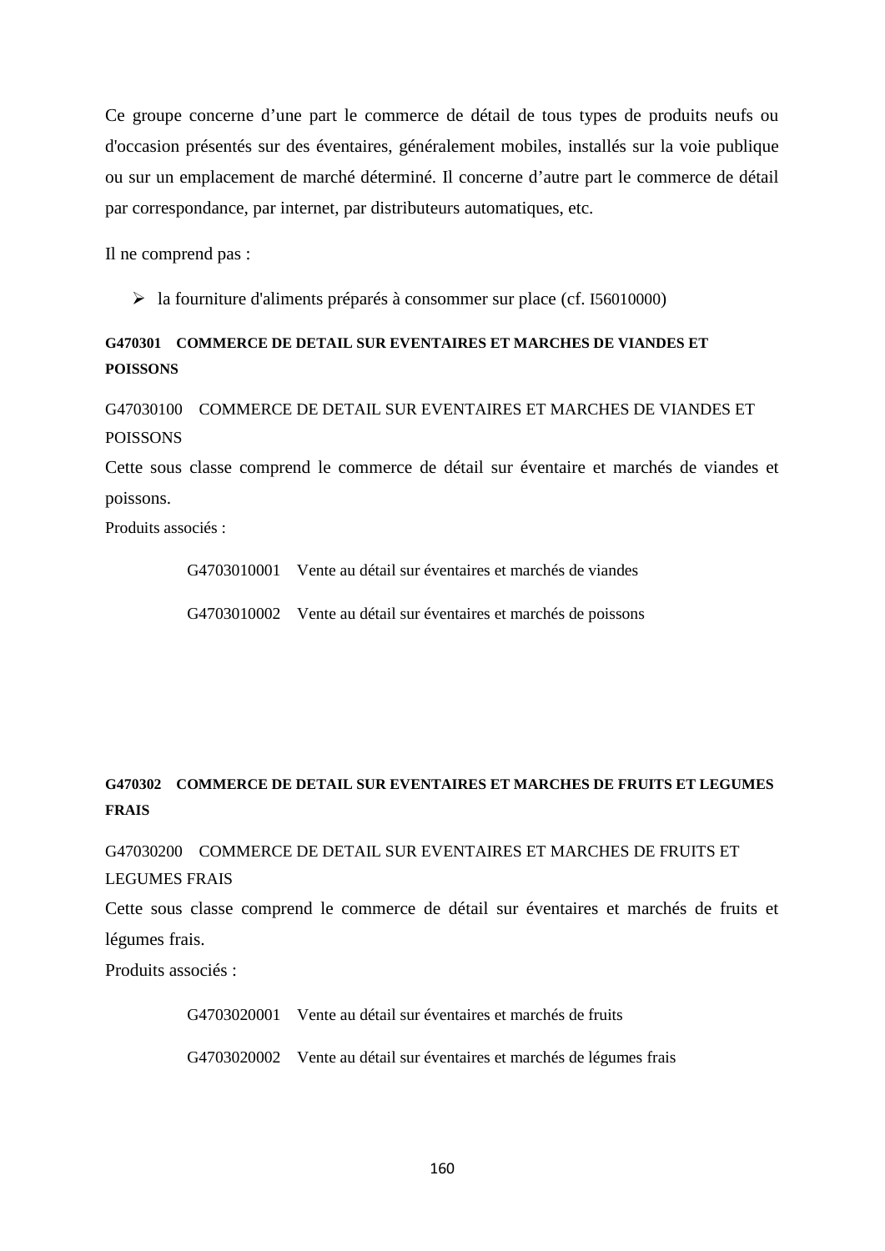Ce groupe concerne d'une part le commerce de détail de tous types de produits neufs ou d'occasion présentés sur des éventaires, généralement mobiles, installés sur la voie publique ou sur un emplacement de marché déterminé. Il concerne d'autre part le commerce de détail par correspondance, par internet, par distributeurs automatiques, etc.

Il ne comprend pas :

la fourniture d'aliments préparés à consommer sur place (cf. I56010000)

# **G470301 COMMERCE DE DETAIL SUR EVENTAIRES ET MARCHES DE VIANDES ET POISSONS**

G47030100 COMMERCE DE DETAIL SUR EVENTAIRES ET MARCHES DE VIANDES ET POISSONS

Cette sous classe comprend le commerce de détail sur éventaire et marchés de viandes et poissons.

Produits associés :

G4703010001 Vente au détail sur éventaires et marchés de viandes

G4703010002 Vente au détail sur éventaires et marchés de poissons

# **G470302 COMMERCE DE DETAIL SUR EVENTAIRES ET MARCHES DE FRUITS ET LEGUMES FRAIS**

G47030200 COMMERCE DE DETAIL SUR EVENTAIRES ET MARCHES DE FRUITS ET LEGUMES FRAIS

Cette sous classe comprend le commerce de détail sur éventaires et marchés de fruits et légumes frais.

Produits associés :

G4703020001 Vente au détail sur éventaires et marchés de fruits

G4703020002 Vente au détail sur éventaires et marchés de légumes frais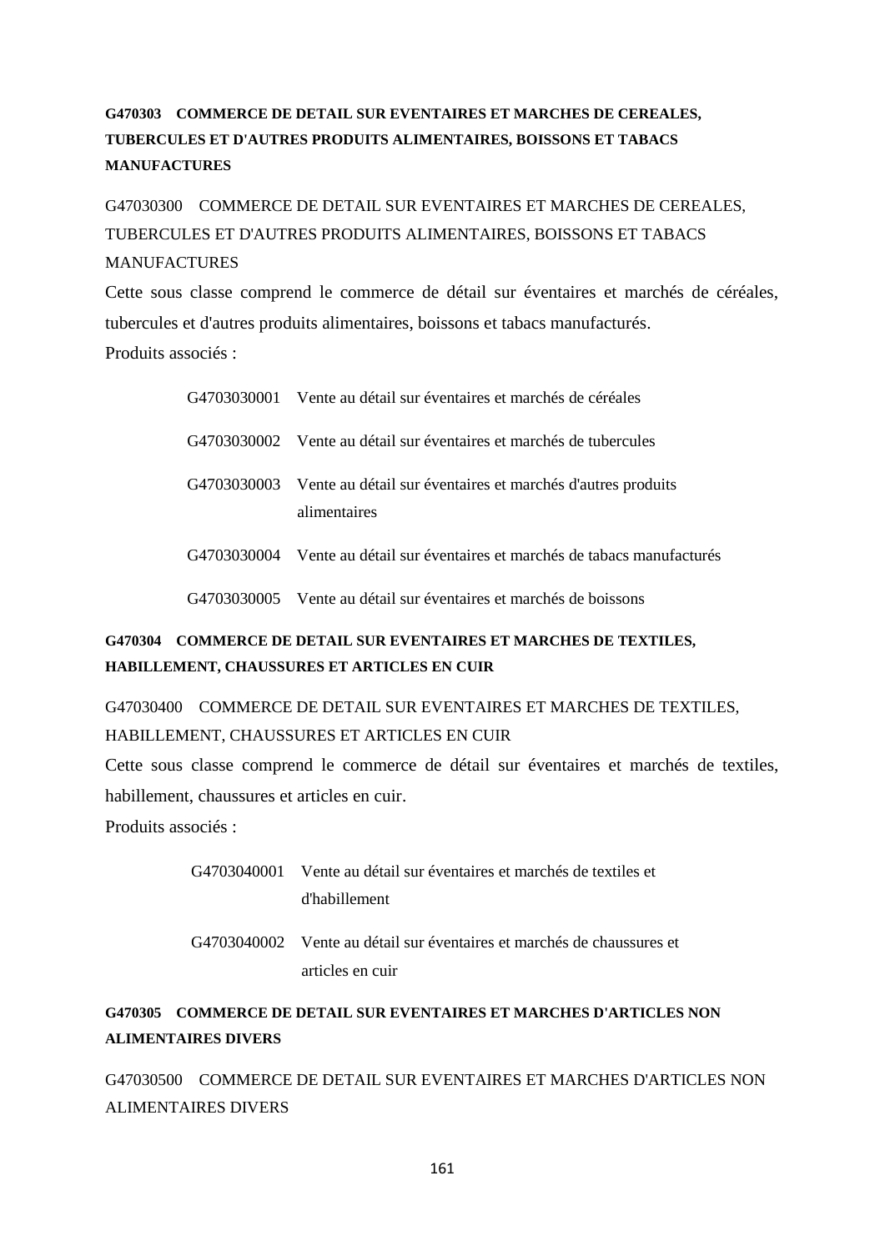# **G470303 COMMERCE DE DETAIL SUR EVENTAIRES ET MARCHES DE CEREALES, TUBERCULES ET D'AUTRES PRODUITS ALIMENTAIRES, BOISSONS ET TABACS MANUFACTURES**

G47030300 COMMERCE DE DETAIL SUR EVENTAIRES ET MARCHES DE CEREALES, TUBERCULES ET D'AUTRES PRODUITS ALIMENTAIRES, BOISSONS ET TABACS MANUFACTURES

Cette sous classe comprend le commerce de détail sur éventaires et marchés de céréales, tubercules et d'autres produits alimentaires, boissons et tabacs manufacturés.

Produits associés :

| G4703030001 Vente au détail sur éventaires et marchés de céréales                       |
|-----------------------------------------------------------------------------------------|
| G4703030002 Vente au détail sur éventaires et marchés de tubercules                     |
| G4703030003 Vente au détail sur éventaires et marchés d'autres produits<br>alimentaires |
| G4703030004 Vente au détail sur éventaires et marchés de tabacs manufacturés            |
| G4703030005 Vente au détail sur éventaires et marchés de boissons                       |

# **G470304 COMMERCE DE DETAIL SUR EVENTAIRES ET MARCHES DE TEXTILES, HABILLEMENT, CHAUSSURES ET ARTICLES EN CUIR**

G47030400 COMMERCE DE DETAIL SUR EVENTAIRES ET MARCHES DE TEXTILES, HABILLEMENT, CHAUSSURES ET ARTICLES EN CUIR

Cette sous classe comprend le commerce de détail sur éventaires et marchés de textiles, habillement, chaussures et articles en cuir.

Produits associés :

G4703040001 Vente au détail sur éventaires et marchés de textiles et d'habillement

G4703040002 Vente au détail sur éventaires et marchés de chaussures et articles en cuir

# **G470305 COMMERCE DE DETAIL SUR EVENTAIRES ET MARCHES D'ARTICLES NON ALIMENTAIRES DIVERS**

G47030500 COMMERCE DE DETAIL SUR EVENTAIRES ET MARCHES D'ARTICLES NON ALIMENTAIRES DIVERS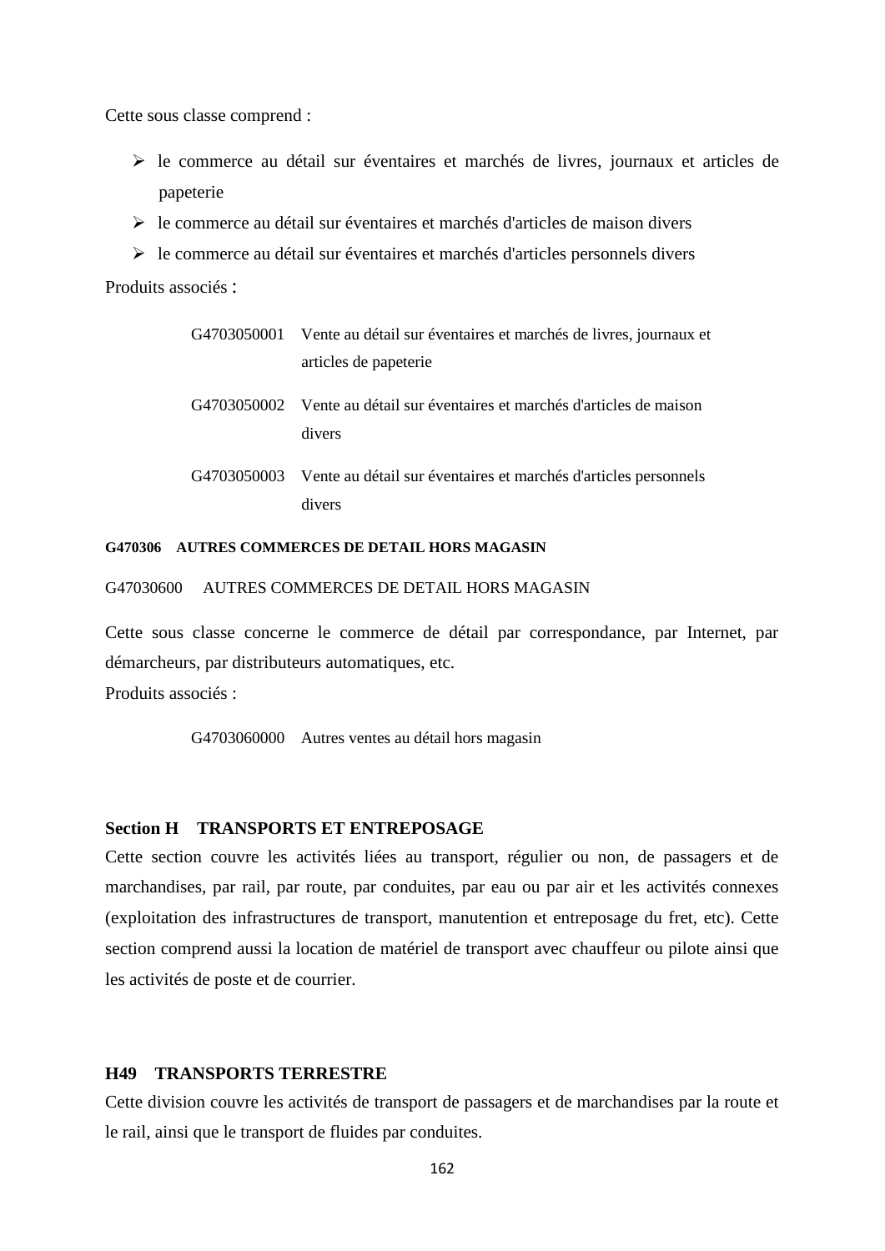Cette sous classe comprend :

- le commerce au détail sur éventaires et marchés de livres, journaux et articles de papeterie
- le commerce au détail sur éventaires et marchés d'articles de maison divers
- $\triangleright$  le commerce au détail sur éventaires et marchés d'articles personnels divers

Produits associés :

| G4703050001 | Vente au détail sur éventaires et marchés de livres, journaux et<br>articles de papeterie |
|-------------|-------------------------------------------------------------------------------------------|
|             | G4703050002 Vente au détail sur éventaires et marchés d'articles de maison<br>divers      |
| G4703050003 | Vente au détail sur éventaires et marchés d'articles personnels<br>divers                 |

### **G470306 AUTRES COMMERCES DE DETAIL HORS MAGASIN**

G47030600 AUTRES COMMERCES DE DETAIL HORS MAGASIN

Cette sous classe concerne le commerce de détail par correspondance, par Internet, par démarcheurs, par distributeurs automatiques, etc.

Produits associés :

G4703060000 Autres ventes au détail hors magasin

## **Section H TRANSPORTS ET ENTREPOSAGE**

Cette section couvre les activités liées au transport, régulier ou non, de passagers et de marchandises, par rail, par route, par conduites, par eau ou par air et les activités connexes (exploitation des infrastructures de transport, manutention et entreposage du fret, etc). Cette section comprend aussi la location de matériel de transport avec chauffeur ou pilote ainsi que les activités de poste et de courrier.

# **H49 TRANSPORTS TERRESTRE**

Cette division couvre les activités de transport de passagers et de marchandises par la route et le rail, ainsi que le transport de fluides par conduites.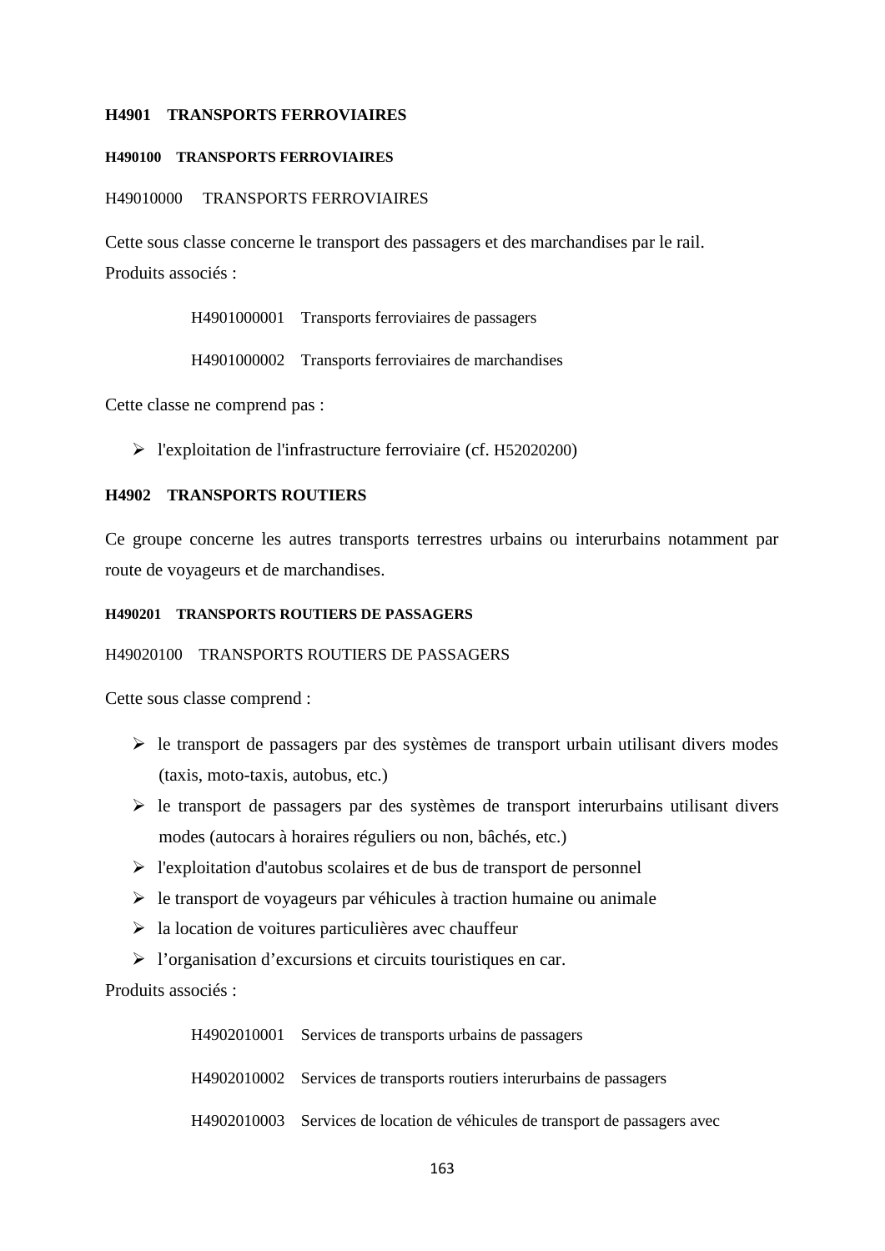### **H4901 TRANSPORTS FERROVIAIRES**

## **H490100 TRANSPORTS FERROVIAIRES**

#### H49010000 TRANSPORTS FERROVIAIRES

Cette sous classe concerne le transport des passagers et des marchandises par le rail. Produits associés :

H4901000001 Transports ferroviaires de passagers

H4901000002 Transports ferroviaires de marchandises

Cette classe ne comprend pas :

l'exploitation de l'infrastructure ferroviaire (cf. H52020200)

### **H4902 TRANSPORTS ROUTIERS**

Ce groupe concerne les autres transports terrestres urbains ou interurbains notamment par route de voyageurs et de marchandises.

### **H490201 TRANSPORTS ROUTIERS DE PASSAGERS**

#### H49020100 TRANSPORTS ROUTIERS DE PASSAGERS

Cette sous classe comprend :

- $\triangleright$  le transport de passagers par des systèmes de transport urbain utilisant divers modes (taxis, moto-taxis, autobus, etc.)
- $\triangleright$  le transport de passagers par des systèmes de transport interurbains utilisant divers modes (autocars à horaires réguliers ou non, bâchés, etc.)
- $\triangleright$  l'exploitation d'autobus scolaires et de bus de transport de personnel
- $\triangleright$  le transport de voyageurs par véhicules à traction humaine ou animale
- $\triangleright$  la location de voitures particulières avec chauffeur
- l'organisation d'excursions et circuits touristiques en car.

Produits associés :

H4902010001 Services de transports urbains de passagers H4902010002 Services de transports routiers interurbains de passagers H4902010003 Services de location de véhicules de transport de passagers avec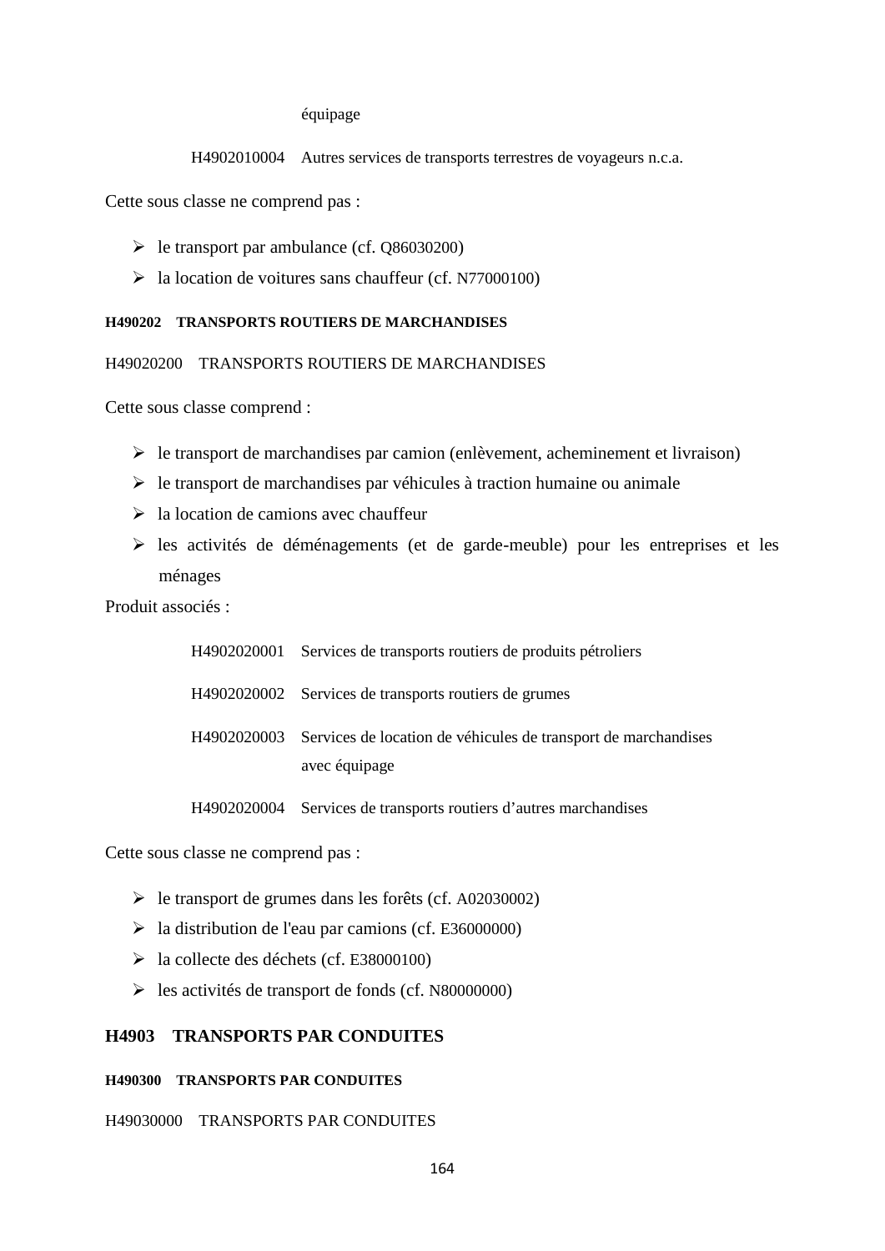#### équipage

H4902010004 Autres services de transports terrestres de voyageurs n.c.a.

Cette sous classe ne comprend pas :

- $\blacktriangleright$  le transport par ambulance (cf. Q86030200)
- $\blacktriangleright$  la location de voitures sans chauffeur (cf. N77000100)

#### **H490202 TRANSPORTS ROUTIERS DE MARCHANDISES**

H49020200 TRANSPORTS ROUTIERS DE MARCHANDISES

Cette sous classe comprend :

- $\triangleright$  le transport de marchandises par camion (enlèvement, acheminement et livraison)
- $\triangleright$  le transport de marchandises par véhicules à traction humaine ou animale
- $\geq$  la location de camions avec chauffeur
- $\triangleright$  les activités de déménagements (et de garde-meuble) pour les entreprises et les ménages

Produit associés :

| H4902020001 | Services de transports routiers de produits pétroliers                          |
|-------------|---------------------------------------------------------------------------------|
|             | H4902020002 Services de transports routiers de grumes                           |
| H4902020003 | Services de location de véhicules de transport de marchandises<br>avec équipage |

H4902020004 Services de transports routiers d'autres marchandises

Cette sous classe ne comprend pas :

- le transport de grumes dans les forêts (cf. A02030002)
- $\geq$  la distribution de l'eau par camions (cf. E36000000)
- la collecte des déchets (cf. E38000100)
- $\blacktriangleright$  les activités de transport de fonds (cf. N80000000)

# **H4903 TRANSPORTS PAR CONDUITES**

#### **H490300 TRANSPORTS PAR CONDUITES**

H49030000 TRANSPORTS PAR CONDUITES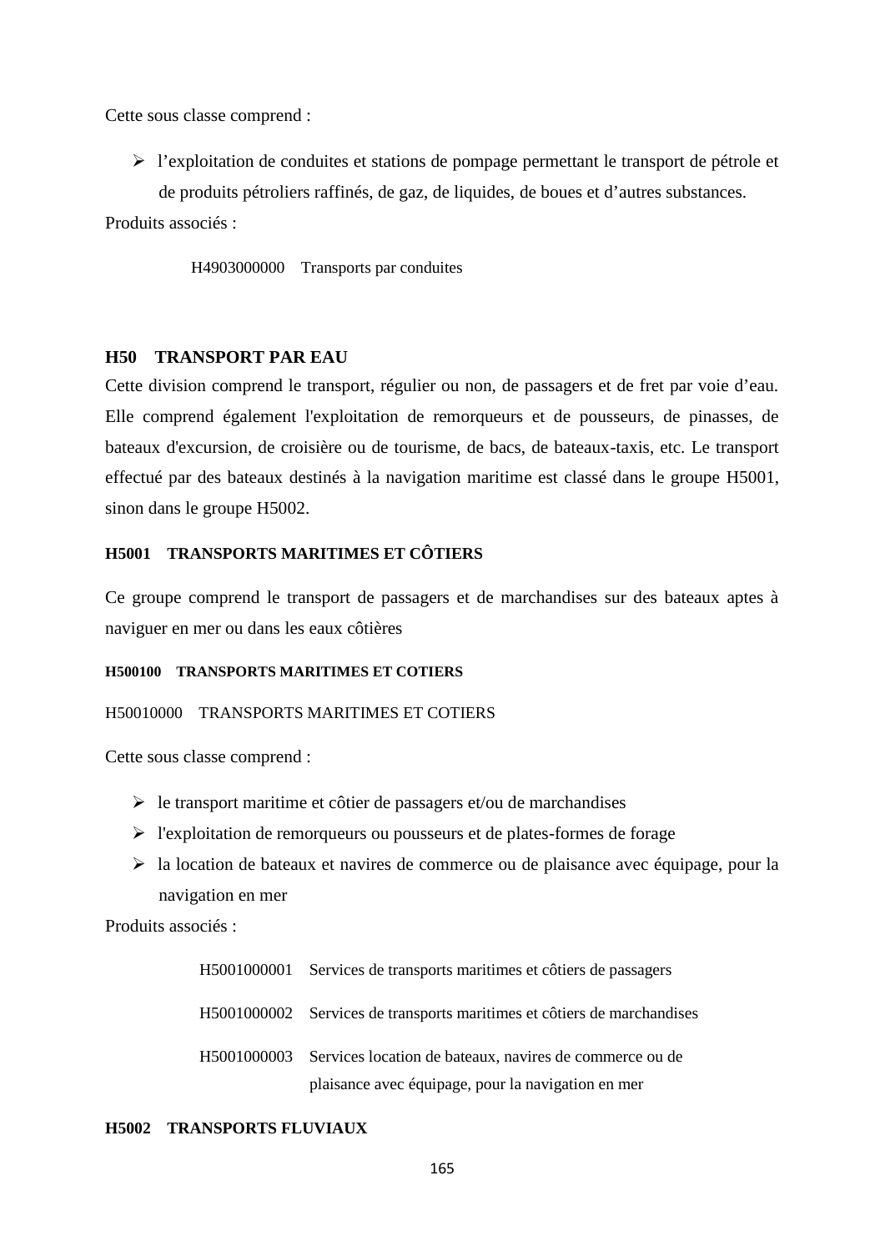Cette sous classe comprend :

 $\triangleright$  l'exploitation de conduites et stations de pompage permettant le transport de pétrole et de produits pétroliers raffinés, de gaz, de liquides, de boues et d'autres substances.

Produits associés :

H4903000000 Transports par conduites

## **H50 TRANSPORT PAR EAU**

Cette division comprend le transport, régulier ou non, de passagers et de fret par voie d'eau. Elle comprend également l'exploitation de remorqueurs et de pousseurs, de pinasses, de bateaux d'excursion, de croisière ou de tourisme, de bacs, de bateaux-taxis, etc. Le transport effectué par des bateaux destinés à la navigation maritime est classé dans le groupe H5001, sinon dans le groupe H5002.

## **H5001 TRANSPORTS MARITIMES ET CÔTIERS**

Ce groupe comprend le transport de passagers et de marchandises sur des bateaux aptes à naviguer en mer ou dans les eaux côtières

#### **H500100 TRANSPORTS MARITIMES ET COTIERS**

#### H50010000 TRANSPORTS MARITIMES ET COTIERS

Cette sous classe comprend :

- $\triangleright$  le transport maritime et côtier de passagers et/ou de marchandises
- $\triangleright$  l'exploitation de remorqueurs ou pousseurs et de plates-formes de forage
- la location de bateaux et navires de commerce ou de plaisance avec équipage, pour la navigation en mer

Produits associés :

| H5001000001 Services de transports maritimes et côtiers de passagers    |
|-------------------------------------------------------------------------|
| H5001000002 Services de transports maritimes et côtiers de marchandises |
| H5001000003 Services location de bateaux, navires de commerce ou de     |
| plaisance avec équipage, pour la navigation en mer                      |

#### **H5002 TRANSPORTS FLUVIAUX**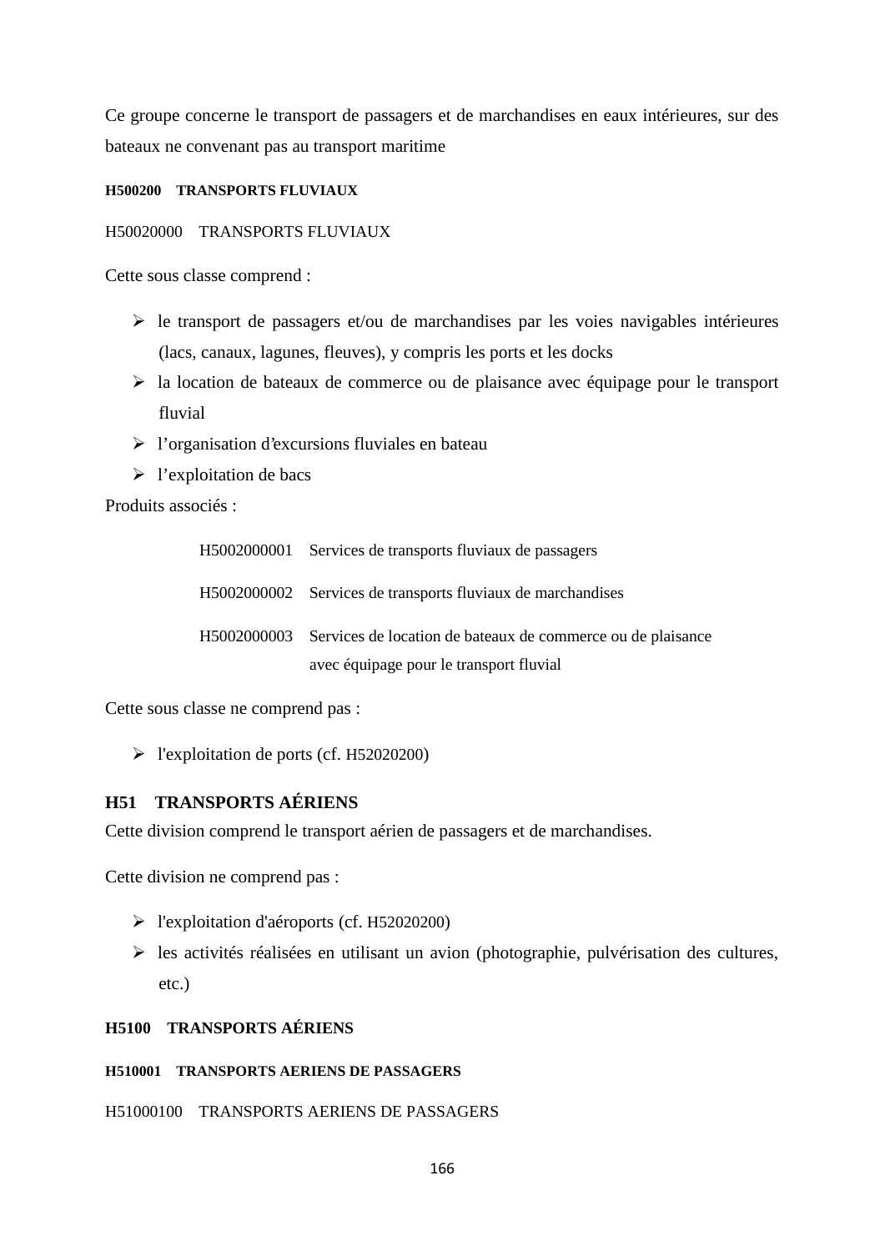Ce groupe concerne le transport de passagers et de marchandises en eaux intérieures, sur des bateaux ne convenant pas au transport maritime

## **H500200 TRANSPORTS FLUVIAUX**

## H50020000 TRANSPORTS FLUVIAUX

Cette sous classe comprend :

- $\triangleright$  le transport de passagers et/ou de marchandises par les voies navigables intérieures (lacs, canaux, lagunes, fleuves), y compris les ports et les docks
- $\triangleright$  la location de bateaux de commerce ou de plaisance avec équipage pour le transport fluvial
- $\triangleright$  l'organisation d'excursions fluviales en bateau
- $\triangleright$  l'exploitation de bacs

Produits associés :

| H5002000001 Services de transports fluviaux de passagers                                                           |
|--------------------------------------------------------------------------------------------------------------------|
| H5002000002 Services de transports fluviaux de marchandises                                                        |
| H5002000003 Services de location de bateaux de commerce ou de plaisance<br>avec équipage pour le transport fluvial |

Cette sous classe ne comprend pas :

l'exploitation de ports (cf. H52020200)

# **H51 TRANSPORTS AÉRIENS**

Cette division comprend le transport aérien de passagers et de marchandises.

Cette division ne comprend pas :

- l'exploitation d'aéroports (cf. H52020200)
- $\triangleright$  les activités réalisées en utilisant un avion (photographie, pulvérisation des cultures, etc.)

# **H5100 TRANSPORTS AÉRIENS**

# **H510001 TRANSPORTS AERIENS DE PASSAGERS**

H51000100 TRANSPORTS AERIENS DE PASSAGERS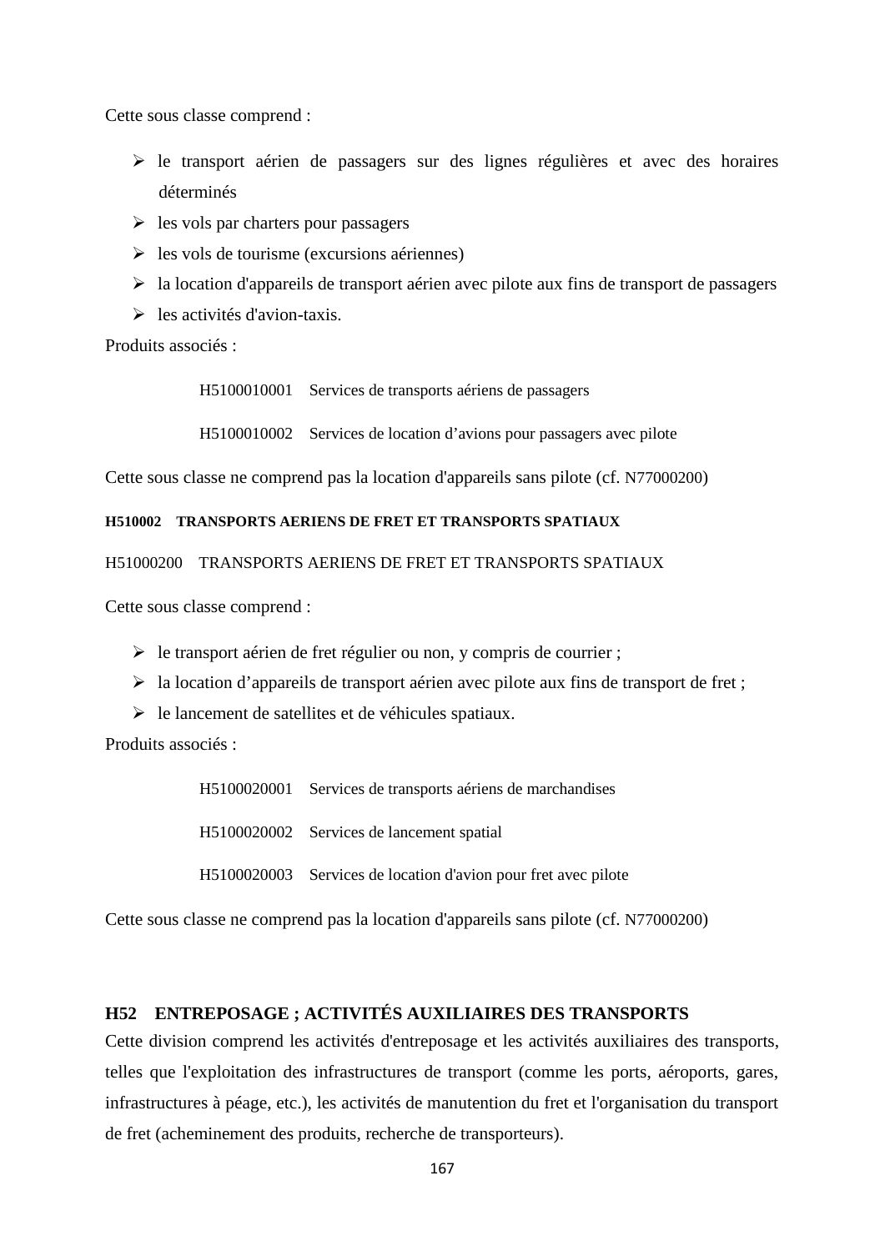Cette sous classe comprend :

- $\triangleright$  le transport aérien de passagers sur des lignes régulières et avec des horaires déterminés
- $\geq$  les vols par charters pour passagers
- $\triangleright$  les vols de tourisme (excursions aériennes)
- $\triangleright$  la location d'appareils de transport aérien avec pilote aux fins de transport de passagers
- $\triangleright$  les activités d'avion-taxis.

Produits associés :

H5100010001 Services de transports aériens de passagers

H5100010002 Services de location d'avions pour passagers avec pilote

Cette sous classe ne comprend pas la location d'appareils sans pilote (cf. N77000200)

## **H510002 TRANSPORTS AERIENS DE FRET ET TRANSPORTS SPATIAUX**

H51000200 TRANSPORTS AERIENS DE FRET ET TRANSPORTS SPATIAUX

Cette sous classe comprend :

- $\triangleright$  le transport aérien de fret régulier ou non, y compris de courrier ;
- $\triangleright$  la location d'appareils de transport aérien avec pilote aux fins de transport de fret ;
- $\triangleright$  le lancement de satellites et de véhicules spatiaux.

Produits associés :

H5100020001 Services de transports aériens de marchandises H5100020002 Services de lancement spatial H5100020003 Services de location d'avion pour fret avec pilote

Cette sous classe ne comprend pas la location d'appareils sans pilote (cf. N77000200)

# **H52 ENTREPOSAGE ; ACTIVITÉS AUXILIAIRES DES TRANSPORTS**

Cette division comprend les activités d'entreposage et les activités auxiliaires des transports, telles que l'exploitation des infrastructures de transport (comme les ports, aéroports, gares, infrastructures à péage, etc.), les activités de manutention du fret et l'organisation du transport de fret (acheminement des produits, recherche de transporteurs).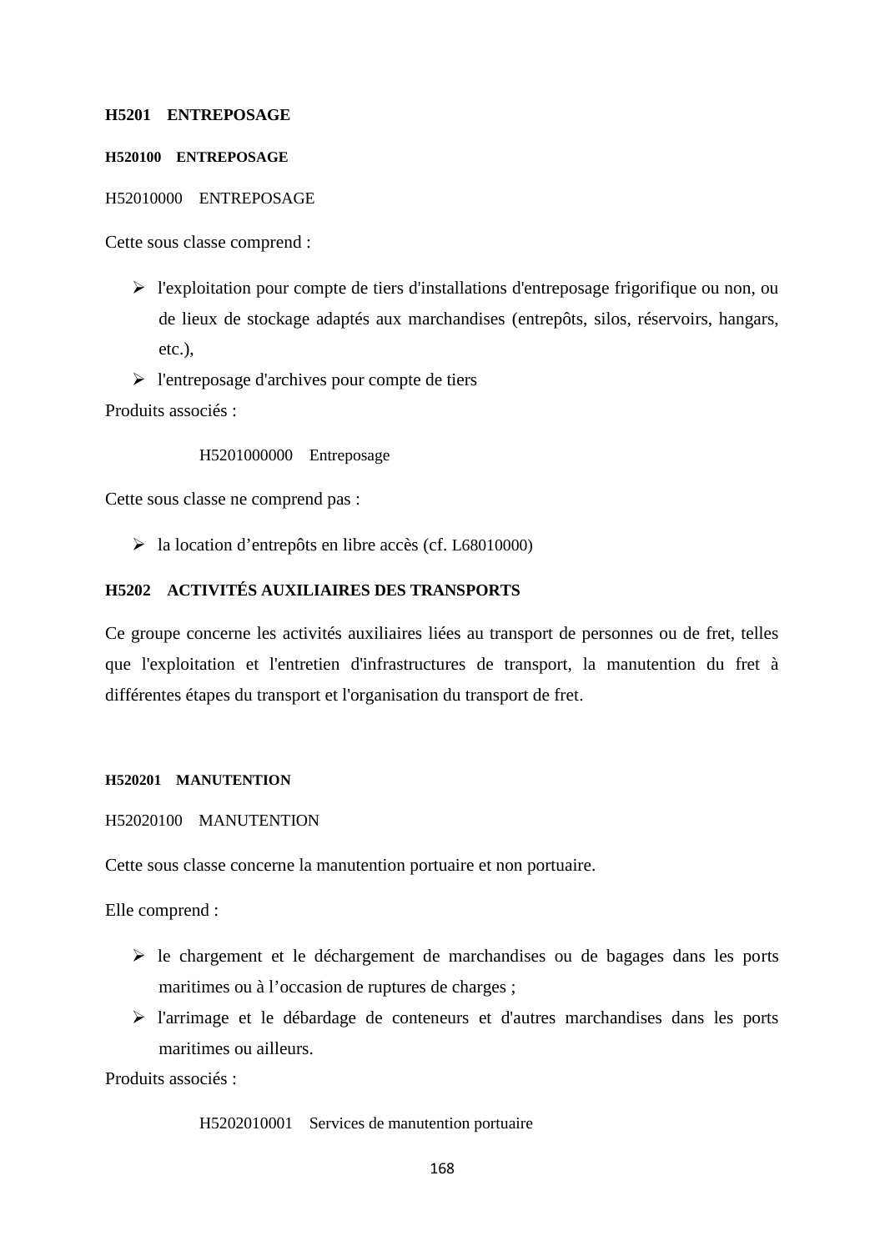### **H5201 ENTREPOSAGE**

## **H520100 ENTREPOSAGE**

#### H52010000 ENTREPOSAGE

Cette sous classe comprend :

- l'exploitation pour compte de tiers d'installations d'entreposage frigorifique ou non, ou de lieux de stockage adaptés aux marchandises (entrepôts, silos, réservoirs, hangars, etc.),
- $\triangleright$  l'entreposage d'archives pour compte de tiers

Produits associés :

H5201000000 Entreposage

Cette sous classe ne comprend pas :

la location d'entrepôts en libre accès (cf. L68010000)

## **H5202 ACTIVITÉS AUXILIAIRES DES TRANSPORTS**

Ce groupe concerne les activités auxiliaires liées au transport de personnes ou de fret, telles que l'exploitation et l'entretien d'infrastructures de transport, la manutention du fret à différentes étapes du transport et l'organisation du transport de fret.

#### **H520201 MANUTENTION**

H52020100 MANUTENTION

Cette sous classe concerne la manutention portuaire et non portuaire.

Elle comprend :

- $\triangleright$  le chargement et le déchargement de marchandises ou de bagages dans les ports maritimes ou à l'occasion de ruptures de charges ;
- l'arrimage et le débardage de conteneurs et d'autres marchandises dans les ports maritimes ou ailleurs.

Produits associés :

H5202010001 Services de manutention portuaire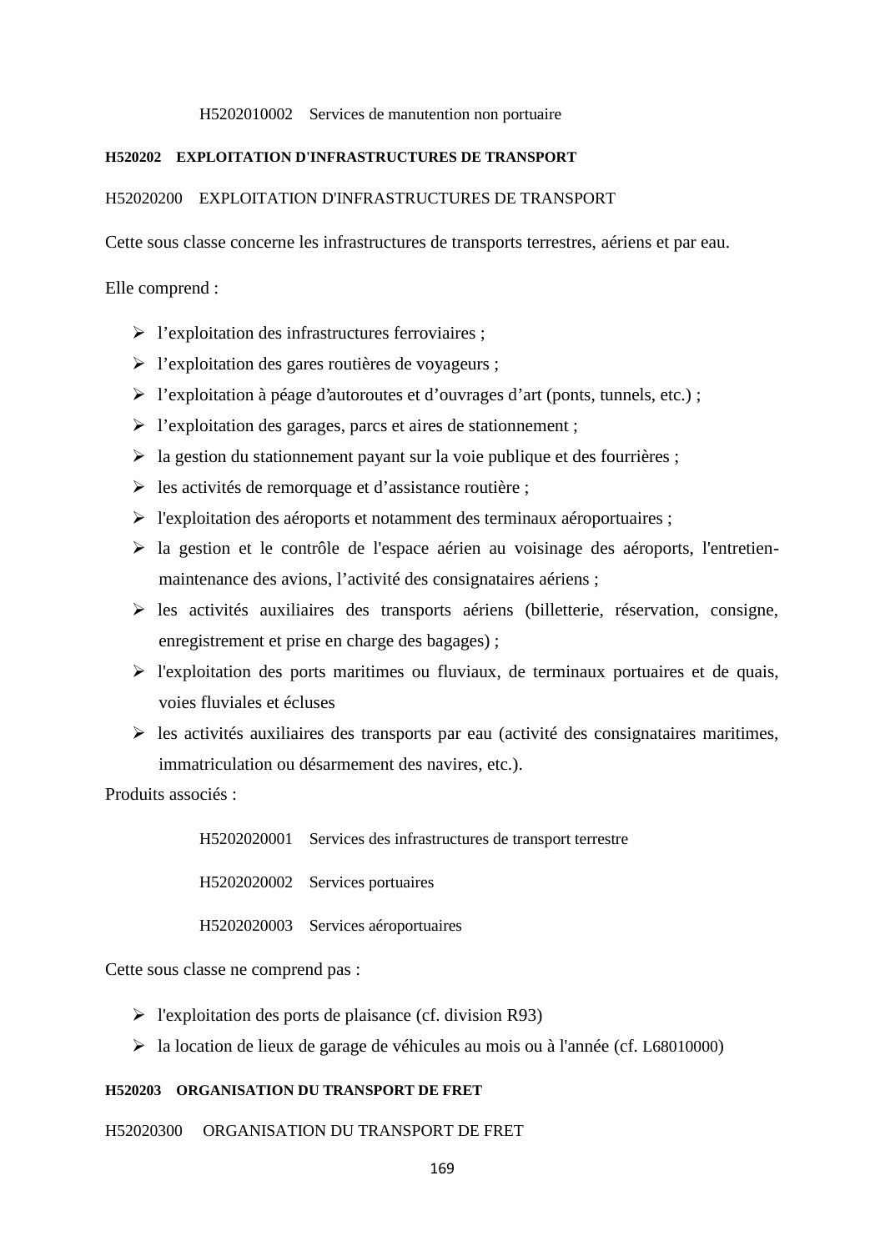#### H5202010002 Services de manutention non portuaire

#### **H520202 EXPLOITATION D'INFRASTRUCTURES DE TRANSPORT**

#### H52020200 EXPLOITATION D'INFRASTRUCTURES DE TRANSPORT

Cette sous classe concerne les infrastructures de transports terrestres, aériens et par eau.

Elle comprend :

- $\triangleright$  l'exploitation des infrastructures ferroviaires ;
- l'exploitation des gares routières de voyageurs ;
- l'exploitation à péage d'autoroutes et d'ouvrages d'art (ponts, tunnels, etc.) ;
- $\triangleright$  l'exploitation des garages, parcs et aires de stationnement ;
- $\triangleright$  la gestion du stationnement payant sur la voie publique et des fourrières ;
- $\triangleright$  les activités de remorquage et d'assistance routière ;
- l'exploitation des aéroports et notamment des terminaux aéroportuaires ;
- la gestion et le contrôle de l'espace aérien au voisinage des aéroports, l'entretien maintenance des avions, l'activité des consignataires aériens ;
- les activités auxiliaires des transports aériens (billetterie, réservation, consigne, enregistrement et prise en charge des bagages) ;
- $\triangleright$  l'exploitation des ports maritimes ou fluviaux, de terminaux portuaires et de quais, voies fluviales et écluses
- $\triangleright$  les activités auxiliaires des transports par eau (activité des consignataires maritimes, immatriculation ou désarmement des navires, etc.).

Produits associés :

H5202020001 Services des infrastructures de transport terrestre

H5202020002 Services portuaires

H5202020003 Services aéroportuaires

Cette sous classe ne comprend pas :

- $\triangleright$  l'exploitation des ports de plaisance (cf. division R93)
- la location de lieux de garage de véhicules au mois ou à l'année (cf. L68010000)

#### **H520203 ORGANISATION DU TRANSPORT DE FRET**

H52020300 ORGANISATION DU TRANSPORT DE FRET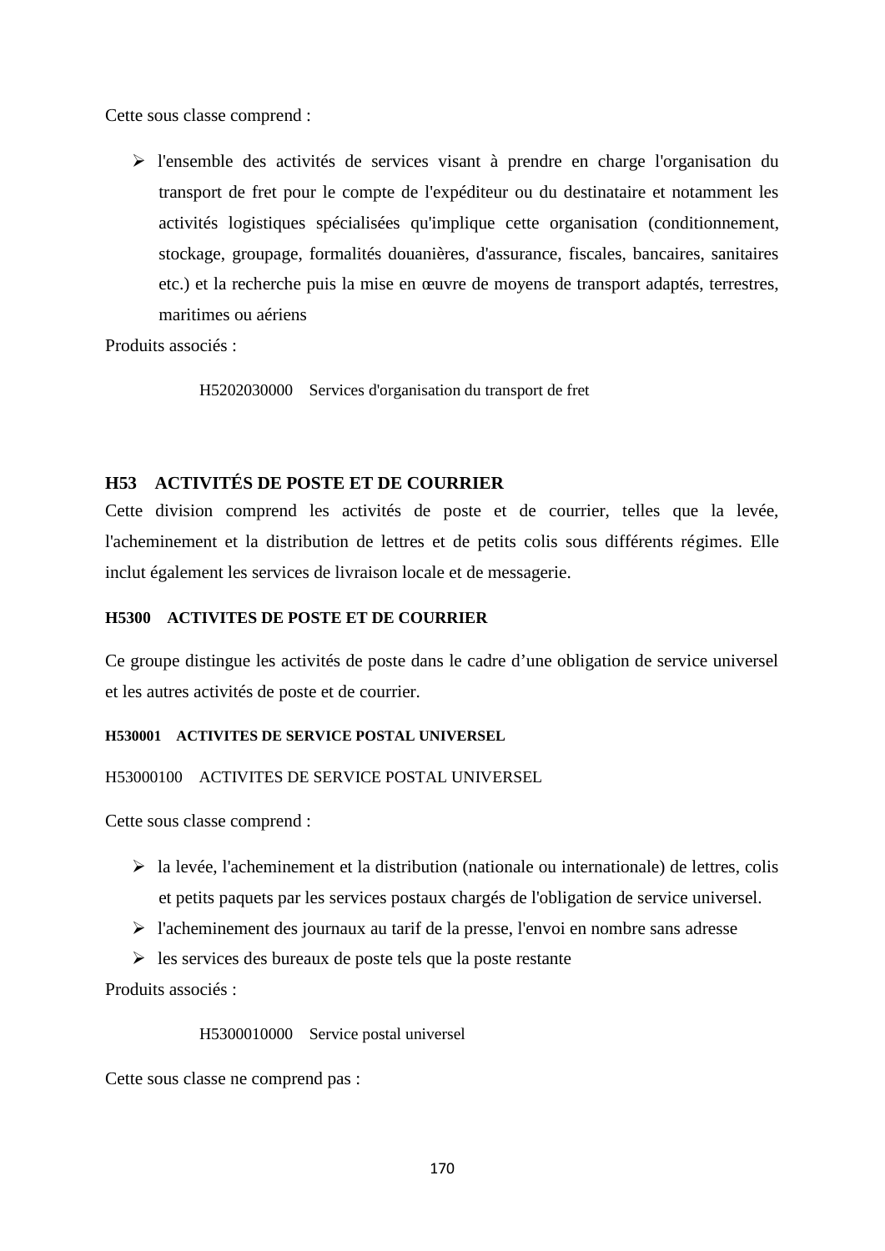Cette sous classe comprend :

 l'ensemble des activités de services visant à prendre en charge l'organisation du transport de fret pour le compte de l'expéditeur ou du destinataire et notamment les activités logistiques spécialisées qu'implique cette organisation (conditionnement, stockage, groupage, formalités douanières, d'assurance, fiscales, bancaires, sanitaires etc.) et la recherche puis la mise en œuvre de moyens de transport adaptés, terrestres, maritimes ou aériens

Produits associés :

H5202030000 Services d'organisation du transport de fret

# **H53 ACTIVITÉS DE POSTE ET DE COURRIER**

Cette division comprend les activités de poste et de courrier, telles que la levée, l'acheminement et la distribution de lettres et de petits colis sous différents régimes. Elle inclut également les services de livraison locale et de messagerie.

## **H5300 ACTIVITES DE POSTE ET DE COURRIER**

Ce groupe distingue les activités de poste dans le cadre d'une obligation de service universel et les autres activités de poste et de courrier.

### **H530001 ACTIVITES DE SERVICE POSTAL UNIVERSEL**

## H53000100 ACTIVITES DE SERVICE POSTAL UNIVERSEL

Cette sous classe comprend :

- $\triangleright$  la levée, l'acheminement et la distribution (nationale ou internationale) de lettres, colis et petits paquets par les services postaux chargés de l'obligation de service universel.
- $\triangleright$  l'acheminement des journaux au tarif de la presse, l'envoi en nombre sans adresse
- $\triangleright$  les services des bureaux de poste tels que la poste restante

Produits associés :

H5300010000 Service postal universel

Cette sous classe ne comprend pas :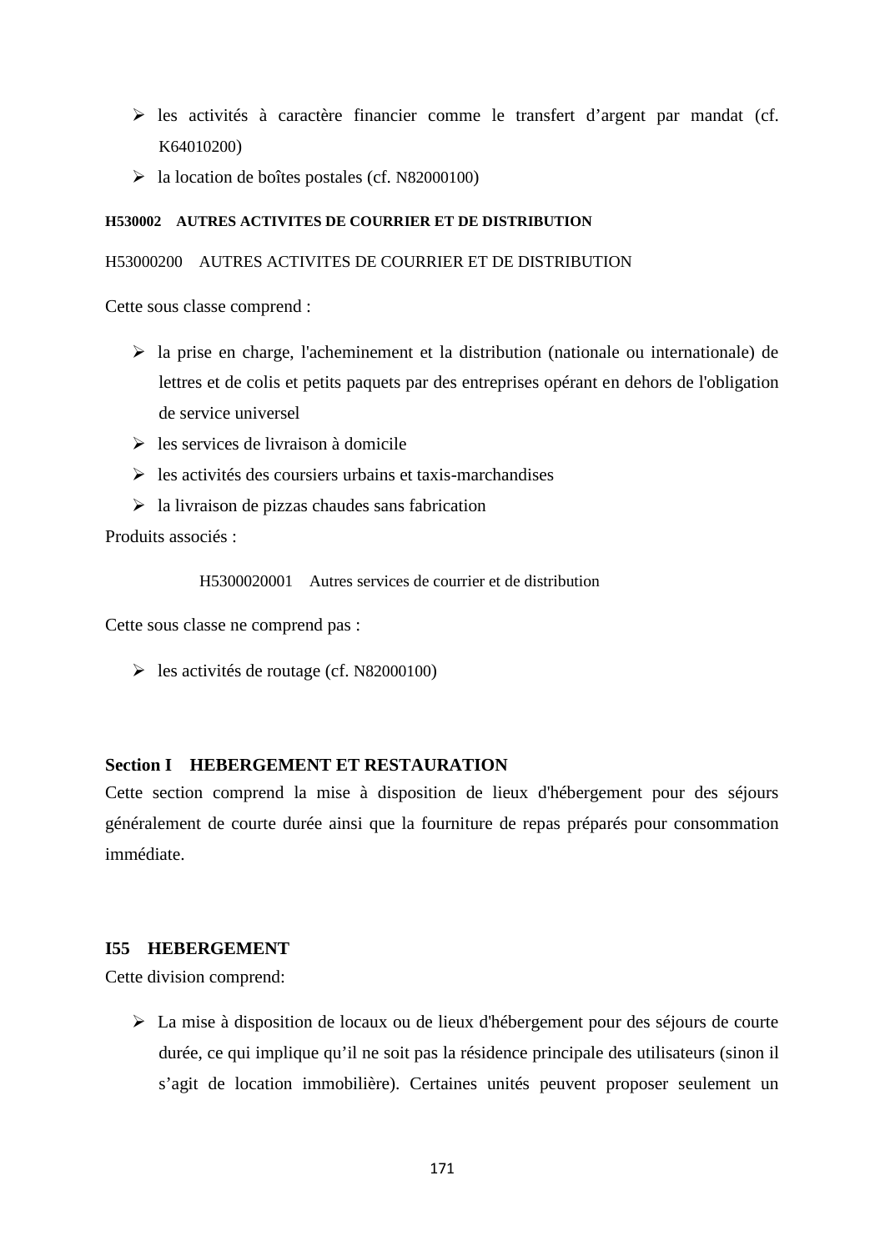- $\triangleright$  les activités à caractère financier comme le transfert d'argent par mandat (cf. K64010200)
- la location de boîtes postales (cf. N82000100)

## **H530002 AUTRES ACTIVITES DE COURRIER ET DE DISTRIBUTION**

#### H53000200 AUTRES ACTIVITES DE COURRIER ET DE DISTRIBUTION

Cette sous classe comprend :

- $\triangleright$  la prise en charge, l'acheminement et la distribution (nationale ou internationale) de lettres et de colis et petits paquets par des entreprises opérant en dehors de l'obligation de service universel
- $\geq$  les services de livraison à domicile
- $\triangleright$  les activités des coursiers urbains et taxis-marchandises
- $\triangleright$  la livraison de pizzas chaudes sans fabrication

Produits associés :

H5300020001 Autres services de courrier et de distribution

Cette sous classe ne comprend pas :

 $\blacktriangleright$  les activités de routage (cf. N82000100)

# **Section I HEBERGEMENT ET RESTAURATION**

Cette section comprend la mise à disposition de lieux d'hébergement pour des séjours généralement de courte durée ainsi que la fourniture de repas préparés pour consommation immédiate.

### **I55 HEBERGEMENT**

Cette division comprend:

 La mise à disposition de locaux ou de lieux d'hébergement pour des séjours de courte durée, ce qui implique qu'il ne soit pas la résidence principale des utilisateurs (sinon il s'agit de location immobilière). Certaines unités peuvent proposer seulement un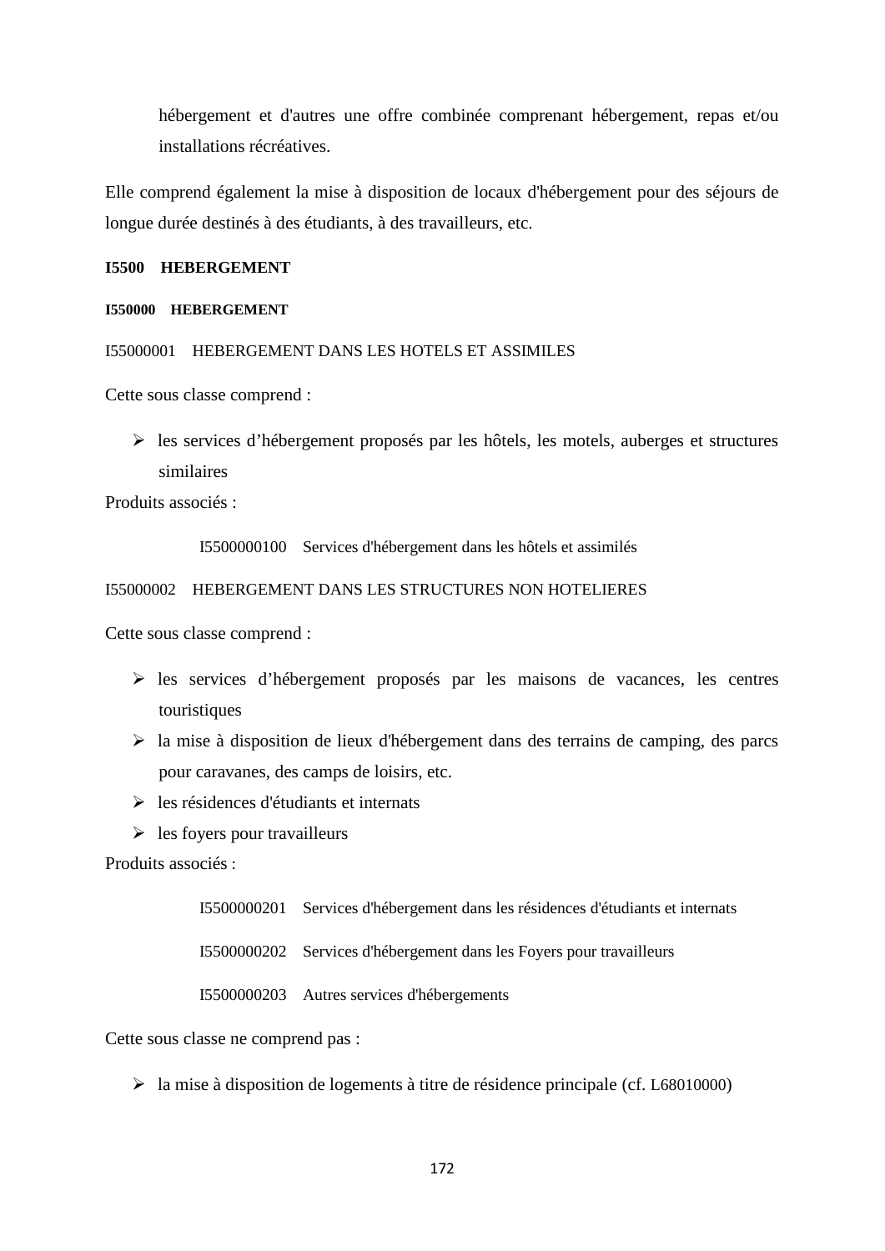hébergement et d'autres une offre combinée comprenant hébergement, repas et/ou installations récréatives.

Elle comprend également la mise à disposition de locaux d'hébergement pour des séjours de longue durée destinés à des étudiants, à des travailleurs, etc.

### **I5500 HEBERGEMENT**

### **I550000 HEBERGEMENT**

I55000001 HEBERGEMENT DANS LES HOTELS ET ASSIMILES

Cette sous classe comprend :

 $\triangleright$  les services d'hébergement proposés par les hôtels, les motels, auberges et structures similaires

Produits associés :

I5500000100 Services d'hébergement dans les hôtels et assimilés

#### I55000002 HEBERGEMENT DANS LES STRUCTURES NON HOTELIERES

Cette sous classe comprend :

- $\triangleright$  les services d'hébergement proposés par les maisons de vacances, les centres touristiques
- la mise à disposition de lieux d'hébergement dans des terrains de camping, des parcs pour caravanes, des camps de loisirs, etc.
- $\triangleright$  les résidences d'étudiants et internats
- $\triangleright$  les foyers pour travailleurs

Produits associés :

I5500000201 Services d'hébergement dans les résidences d'étudiants et internats

I5500000202 Services d'hébergement dans les Foyers pour travailleurs

I5500000203 Autres services d'hébergements

Cette sous classe ne comprend pas :

la mise à disposition de logements à titre de résidence principale (cf. L68010000)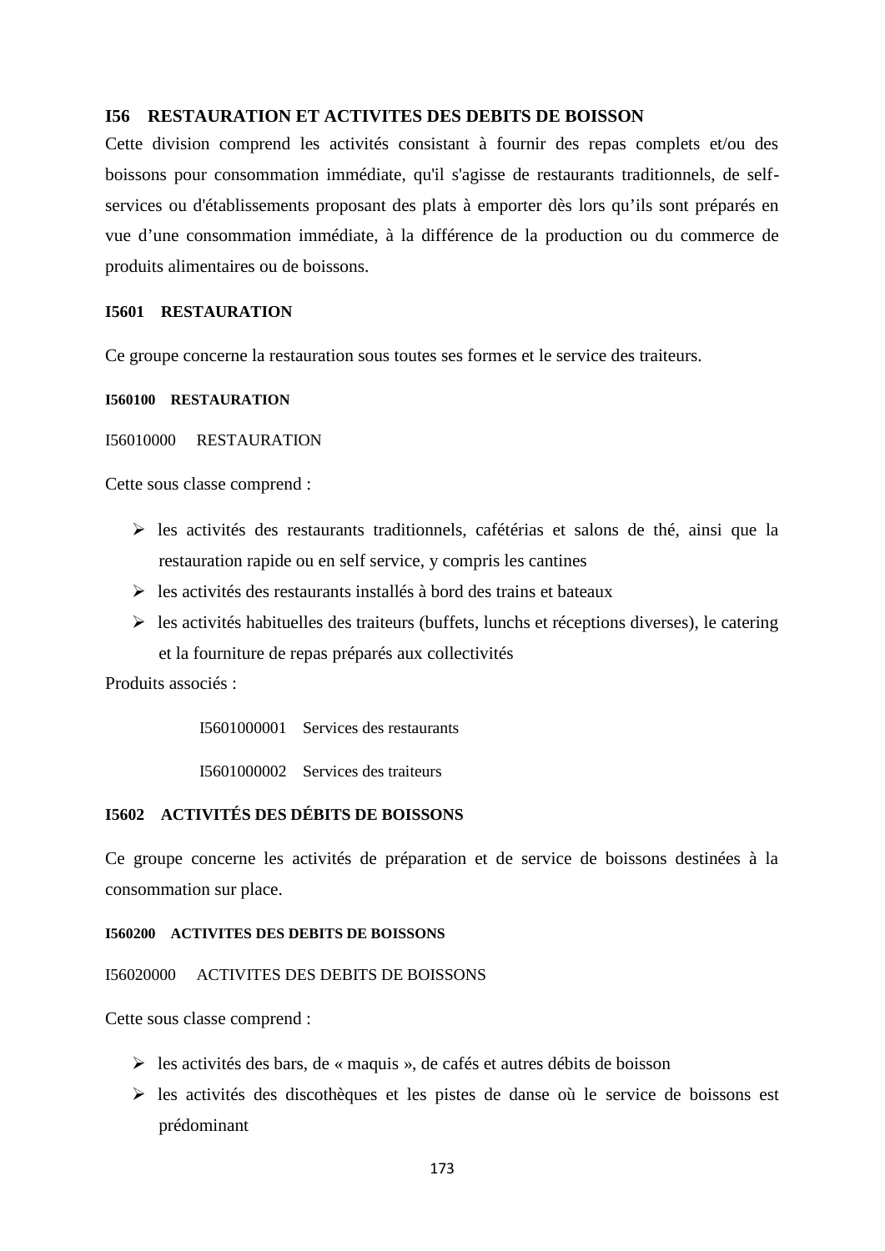### **I56 RESTAURATION ET ACTIVITES DES DEBITS DE BOISSON**

Cette division comprend les activités consistant à fournir des repas complets et/ou des boissons pour consommation immédiate, qu'il s'agisse de restaurants traditionnels, de self services ou d'établissements proposant des plats à emporter dès lors qu'ils sont préparés en vue d'une consommation immédiate, à la différence de la production ou du commerce de produits alimentaires ou de boissons.

#### **I5601 RESTAURATION**

Ce groupe concerne la restauration sous toutes ses formes et le service des traiteurs.

### **I560100 RESTAURATION**

#### I56010000 RESTAURATION

Cette sous classe comprend :

- $\triangleright$  les activités des restaurants traditionnels, cafétérias et salons de thé, ainsi que la restauration rapide ou en self service, y compris les cantines
- $\triangleright$  les activités des restaurants installés à bord des trains et bateaux
- $\triangleright$  les activités habituelles des traiteurs (buffets, lunchs et réceptions diverses), le catering et la fourniture de repas préparés aux collectivités

Produits associés :

I5601000001 Services des restaurants

I5601000002 Services des traiteurs

# **I5602 ACTIVITÉS DES DÉBITS DE BOISSONS**

Ce groupe concerne les activités de préparation et de service de boissons destinées à la consommation sur place.

### **I560200 ACTIVITES DES DEBITS DE BOISSONS**

I56020000 ACTIVITES DES DEBITS DE BOISSONS

Cette sous classe comprend :

- $\triangleright$  les activités des bars, de « maquis », de cafés et autres débits de boisson
- $\triangleright$  les activités des discothèques et les pistes de danse où le service de boissons est prédominant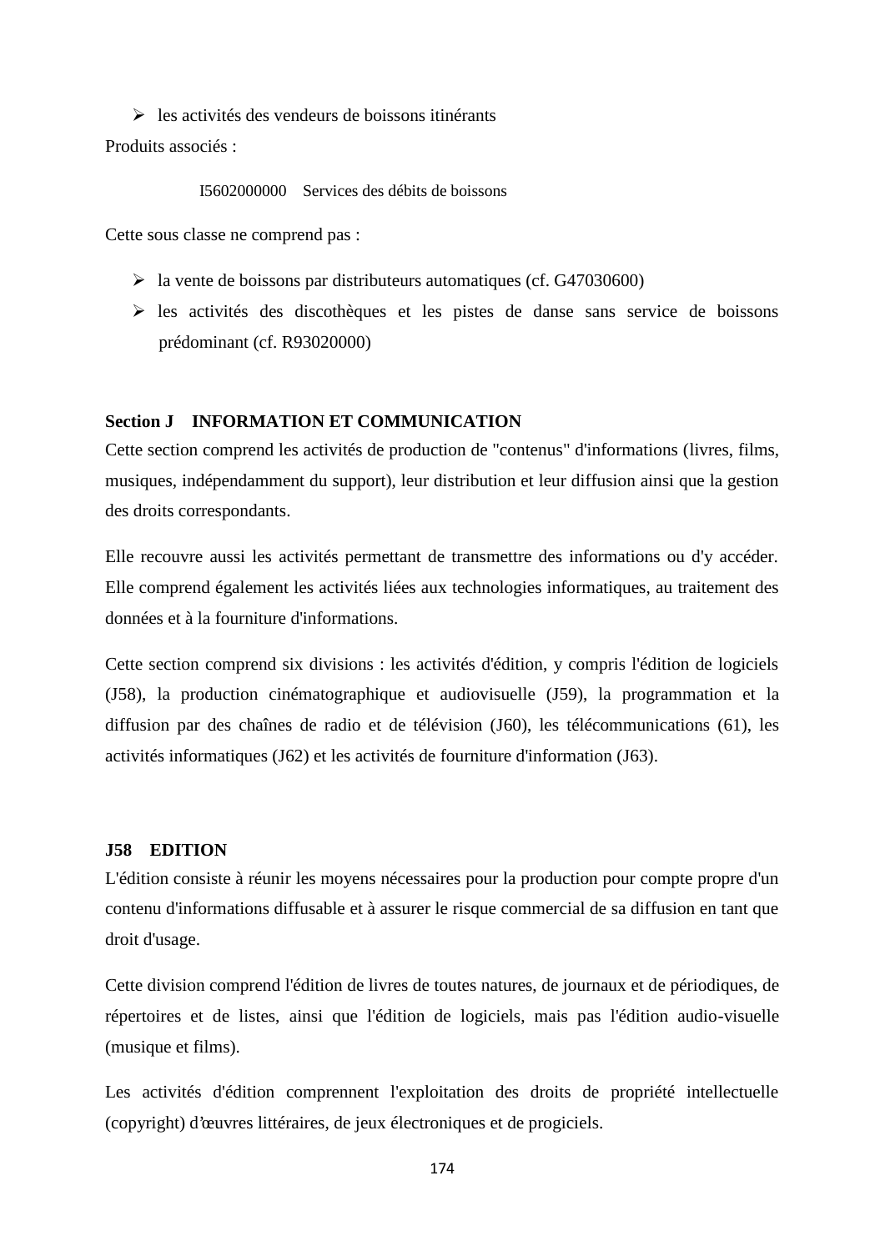$\triangleright$  les activités des vendeurs de boissons itinérants Produits associés :

I5602000000 Services des débits de boissons

Cette sous classe ne comprend pas :

- $\blacktriangleright$  la vente de boissons par distributeurs automatiques (cf. G47030600)
- $\triangleright$  les activités des discothèques et les pistes de danse sans service de boissons prédominant (cf. R93020000)

## **Section J INFORMATION ET COMMUNICATION**

Cette section comprend les activités de production de "contenus" d'informations (livres, films, musiques, indépendamment du support), leur distribution et leur diffusion ainsi que la gestion des droits correspondants.

Elle recouvre aussi les activités permettant de transmettre des informations ou d'y accéder. Elle comprend également les activités liées aux technologies informatiques, au traitement des données et à la fourniture d'informations.

Cette section comprend six divisions : les activités d'édition, y compris l'édition de logiciels (J58), la production cinématographique et audiovisuelle (J59), la programmation et la diffusion par des chaînes de radio et de télévision (J60), les télécommunications (61), les activités informatiques (J62) et les activités de fourniture d'information (J63).

### **J58 EDITION**

L'édition consiste à réunir les moyens nécessaires pour la production pour compte propre d'un contenu d'informations diffusable et à assurer le risque commercial de sa diffusion en tant que droit d'usage.

Cette division comprend l'édition de livres de toutes natures, de journaux et de périodiques, de répertoires et de listes, ainsi que l'édition de logiciels, mais pas l'édition audio-visuelle (musique et films).

Les activités d'édition comprennent l'exploitation des droits de propriété intellectuelle (copyright) d'œuvres littéraires, de jeux électroniques et de progiciels.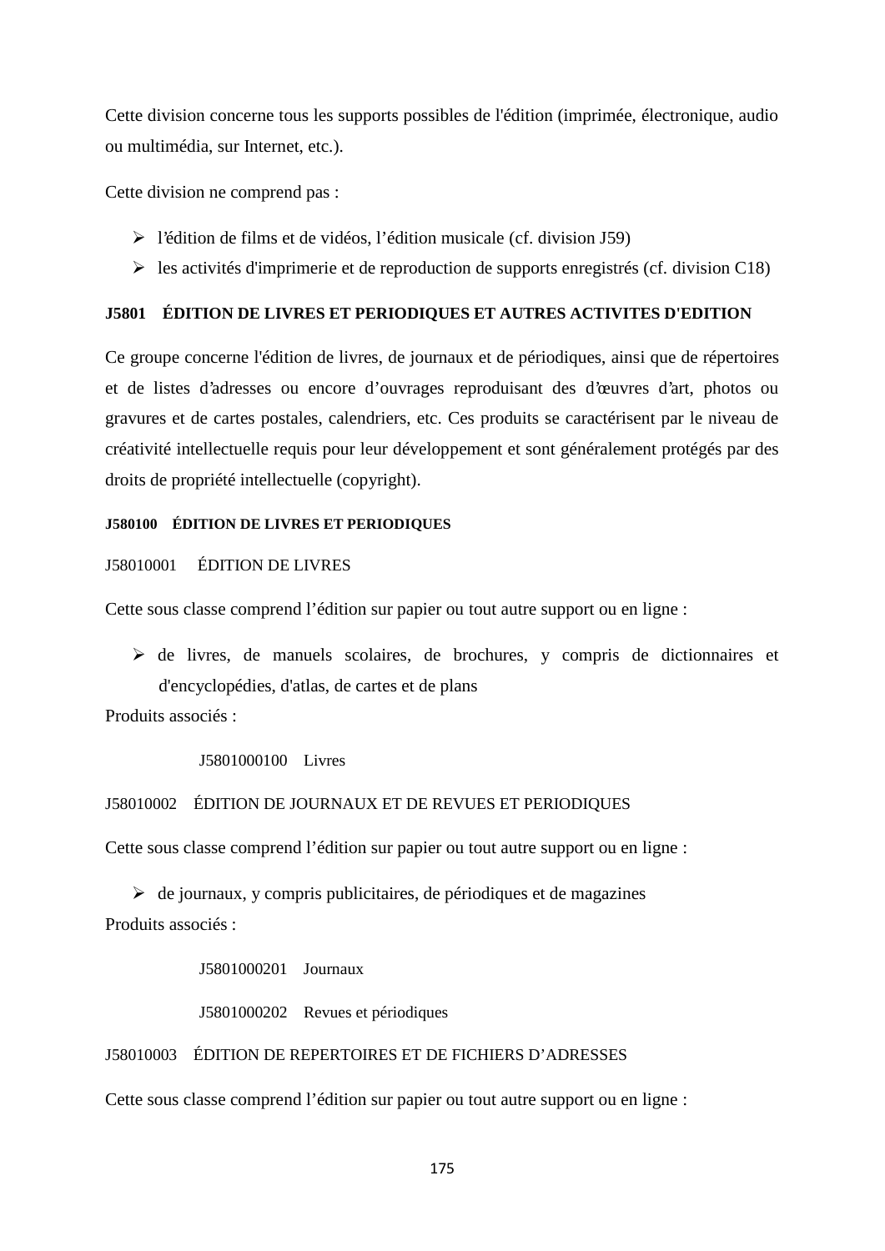Cette division concerne tous les supports possibles de l'édition (imprimée, électronique, audio ou multimédia, sur Internet, etc.).

Cette division ne comprend pas :

- l'édition de films et de vidéos, l'édition musicale (cf. division J59)
- $\triangleright$  les activités d'imprimerie et de reproduction de supports enregistrés (cf. division C18)

## **J5801 ÉDITION DE LIVRES ET PERIODIQUES ET AUTRES ACTIVITES D'EDITION**

Ce groupe concerne l'édition de livres, de journaux et de périodiques, ainsi que de répertoires et de listes d'adresses ou encore d'ouvrages reproduisant des d'œuvres d'art, photos ou gravures et de cartes postales, calendriers, etc. Ces produits se caractérisent par le niveau de créativité intellectuelle requis pour leur développement et sont généralement protégés par des droits de propriété intellectuelle (copyright).

## **J580100 ÉDITION DE LIVRES ET PERIODIQUES**

## J58010001 ÉDITION DE LIVRES

Cette sous classe comprend l'édition sur papier ou tout autre support ou en ligne :

 $\triangleright$  de livres, de manuels scolaires, de brochures, y compris de dictionnaires et d'encyclopédies, d'atlas, de cartes et de plans

Produits associés :

J5801000100 Livres

## J58010002 ÉDITION DE JOURNAUX ET DE REVUES ET PERIODIQUES

Cette sous classe comprend l'édition sur papier ou tout autre support ou en ligne :

 $\triangleright$  de journaux, y compris publicitaires, de périodiques et de magazines Produits associés :

J5801000201 Journaux

J5801000202 Revues et périodiques

### J58010003 ÉDITION DE REPERTOIRES ET DE FICHIERS D'ADRESSES

Cette sous classe comprend l'édition sur papier ou tout autre support ou en ligne :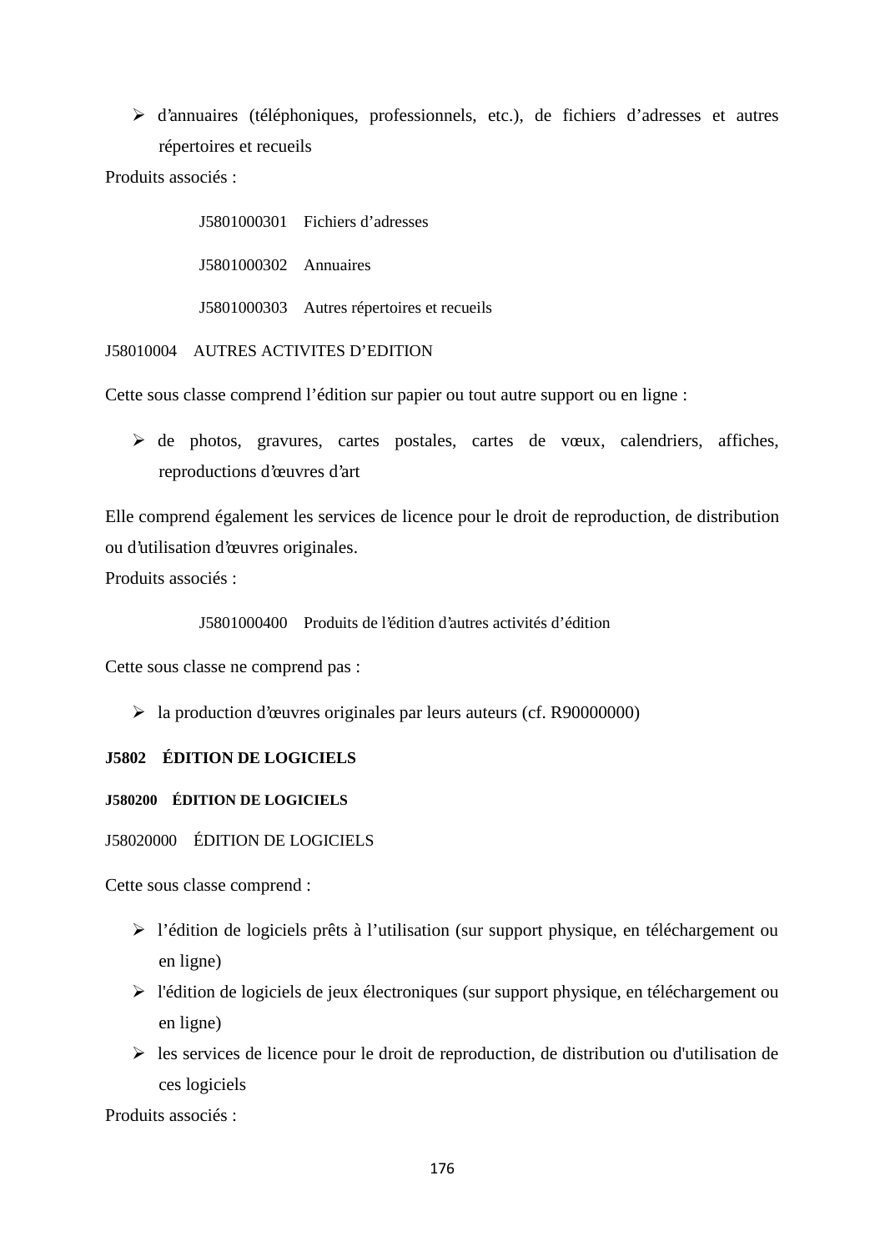d'annuaires (téléphoniques, professionnels, etc.), de fichiers d'adresses et autres répertoires et recueils

Produits associés :

J5801000301 Fichiers d'adresses J5801000302 Annuaires J5801000303 Autres répertoires et recueils

J58010004 AUTRES ACTIVITES D'EDITION

Cette sous classe comprend l'édition sur papier ou tout autre support ou en ligne :

 de photos, gravures, cartes postales, cartes de vœux, calendriers, affiches, reproductions d'œuvres d'art

Elle comprend également les services de licence pour le droit de reproduction, de distribution ou d'utilisation d'œuvres originales.

Produits associés :

J5801000400 Produits de l'édition d'autres activités d'édition

Cette sous classe ne comprend pas :

la production d'œuvres originales par leurs auteurs (cf. R90000000)

# **J5802 ÉDITION DE LOGICIELS**

### **J580200 ÉDITION DE LOGICIELS**

J58020000 ÉDITION DE LOGICIELS

Cette sous classe comprend :

- l'édition de logiciels prêts à l'utilisation (sur support physique, en téléchargement ou en ligne)
- l'édition de logiciels de jeux électroniques (sur support physique, en téléchargement ou en ligne)
- $\triangleright$  les services de licence pour le droit de reproduction, de distribution ou d'utilisation de ces logiciels

Produits associés :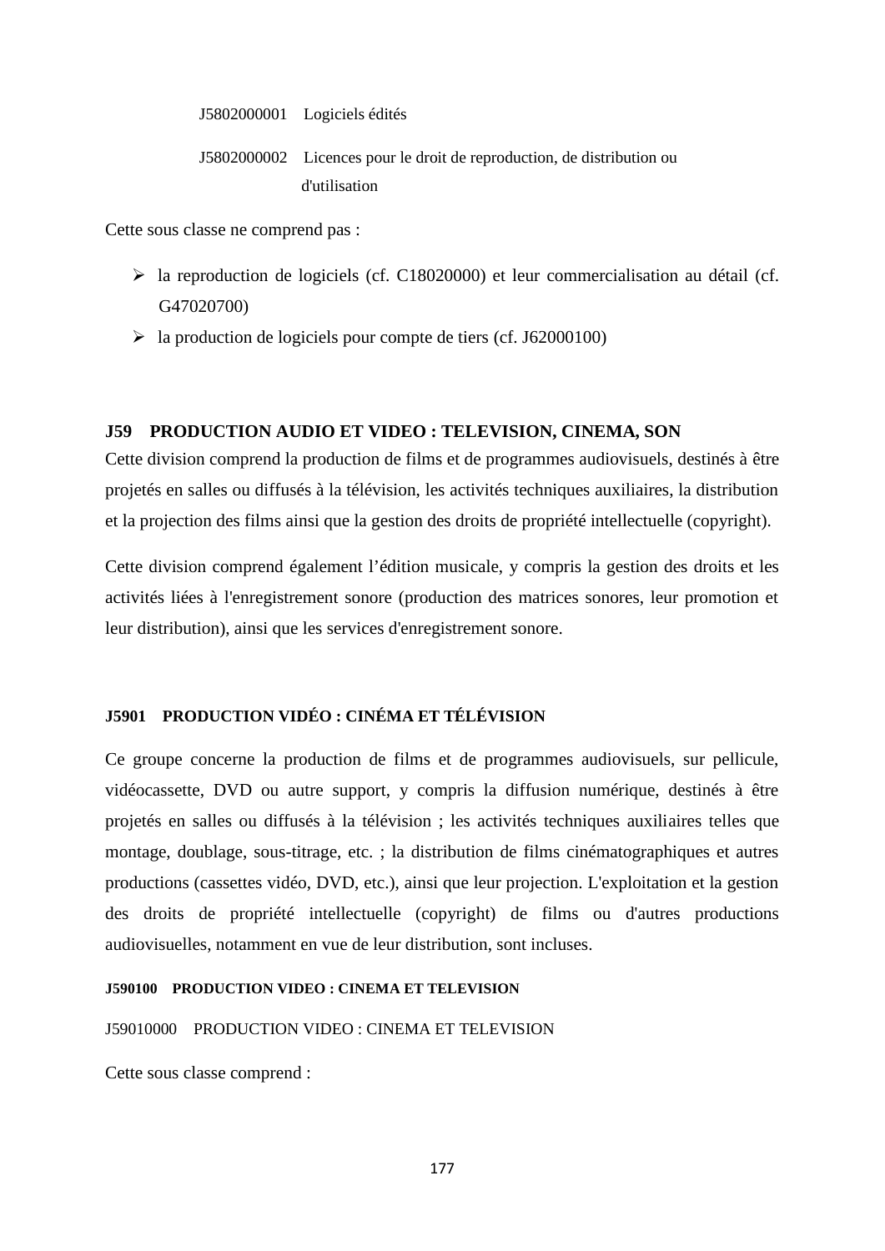J5802000001 Logiciels édités

J5802000002 Licences pour le droit de reproduction, de distribution ou d'utilisation

Cette sous classe ne comprend pas :

- la reproduction de logiciels (cf. C18020000) et leur commercialisation au détail (cf. G47020700)
- $\blacktriangleright$  la production de logiciels pour compte de tiers (cf. J62000100)

# **J59 PRODUCTION AUDIO ET VIDEO : TELEVISION, CINEMA, SON**

Cette division comprend la production de films et de programmes audiovisuels, destinés à être projetés en salles ou diffusés à la télévision, les activités techniques auxiliaires, la distribution et la projection des films ainsi que la gestion des droits de propriété intellectuelle (copyright).

Cette division comprend également l'édition musicale, y compris la gestion des droits et les activités liées à l'enregistrement sonore (production des matrices sonores, leur promotion et leur distribution), ainsi que les services d'enregistrement sonore.

# **J5901 PRODUCTION VIDÉO : CINÉMA ET TÉLÉVISION**

Ce groupe concerne la production de films et de programmes audiovisuels, sur pellicule, vidéocassette, DVD ou autre support, y compris la diffusion numérique, destinés à être projetés en salles ou diffusés à la télévision ; les activités techniques auxiliaires telles que montage, doublage, sous-titrage, etc. ; la distribution de films cinématographiques et autres productions (cassettes vidéo, DVD, etc.), ainsi que leur projection. L'exploitation et la gestion des droits de propriété intellectuelle (copyright) de films ou d'autres productions audiovisuelles, notamment en vue de leur distribution, sont incluses.

## **J590100 PRODUCTION VIDEO : CINEMA ET TELEVISION**

J59010000 PRODUCTION VIDEO : CINEMA ET TELEVISION

Cette sous classe comprend :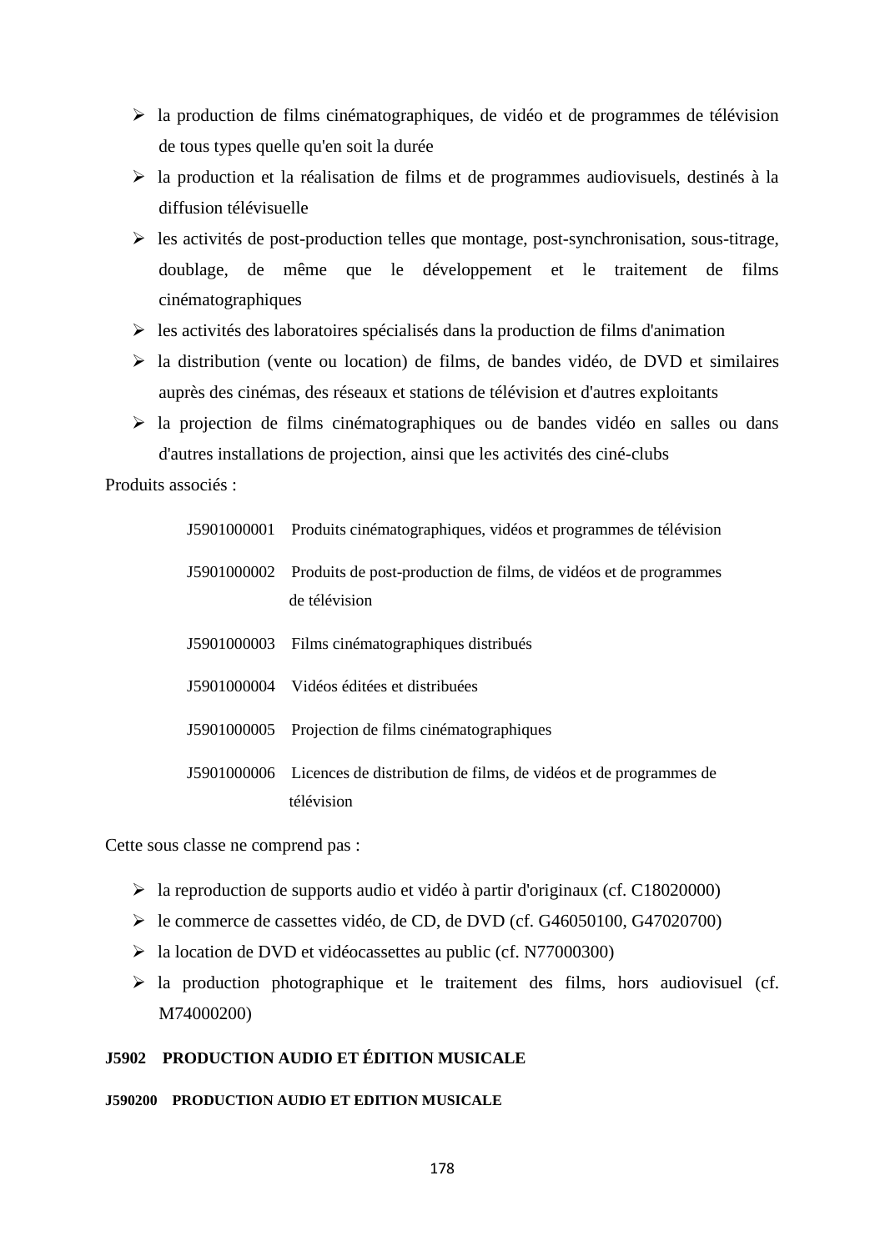- $\triangleright$  la production de films cinématographiques, de vidéo et de programmes de télévision de tous types quelle qu'en soit la durée
- la production et la réalisation de films et de programmes audiovisuels, destinés à la diffusion télévisuelle
- $\triangleright$  les activités de post-production telles que montage, post-synchronisation, sous-titrage, doublage, de même que le développement et le traitement de films cinématographiques
- $\triangleright$  les activités des laboratoires spécialisés dans la production de films d'animation
- $\triangleright$  la distribution (vente ou location) de films, de bandes vidéo, de DVD et similaires auprès des cinémas, des réseaux et stations de télévision et d'autres exploitants
- la projection de films cinématographiques ou de bandes vidéo en salles ou dans d'autres installations de projection, ainsi que les activités des ciné-clubs

Produits associés :

| J5901000001 Produits cinématographiques, vidéos et programmes de télévision                   |
|-----------------------------------------------------------------------------------------------|
| J5901000002 Produits de post-production de films, de vidéos et de programmes<br>de télévision |
| J5901000003 Films cinématographiques distribués                                               |
| J5901000004 Vidéos éditées et distribuées                                                     |
| J5901000005 Projection de films cinématographiques                                            |
| J5901000006 Licences de distribution de films, de vidéos et de programmes de<br>télévision    |

Cette sous classe ne comprend pas :

- la reproduction de supports audio et vidéo à partir d'originaux (cf. C18020000)
- le commerce de cassettes vidéo, de CD, de DVD (cf. G46050100, G47020700)
- la location de DVD et vidéocassettes au public (cf. N77000300)
- $\triangleright$  la production photographique et le traitement des films, hors audiovisuel (cf. M74000200)

# **J5902 PRODUCTION AUDIO ET ÉDITION MUSICALE**

### **J590200 PRODUCTION AUDIO ET EDITION MUSICALE**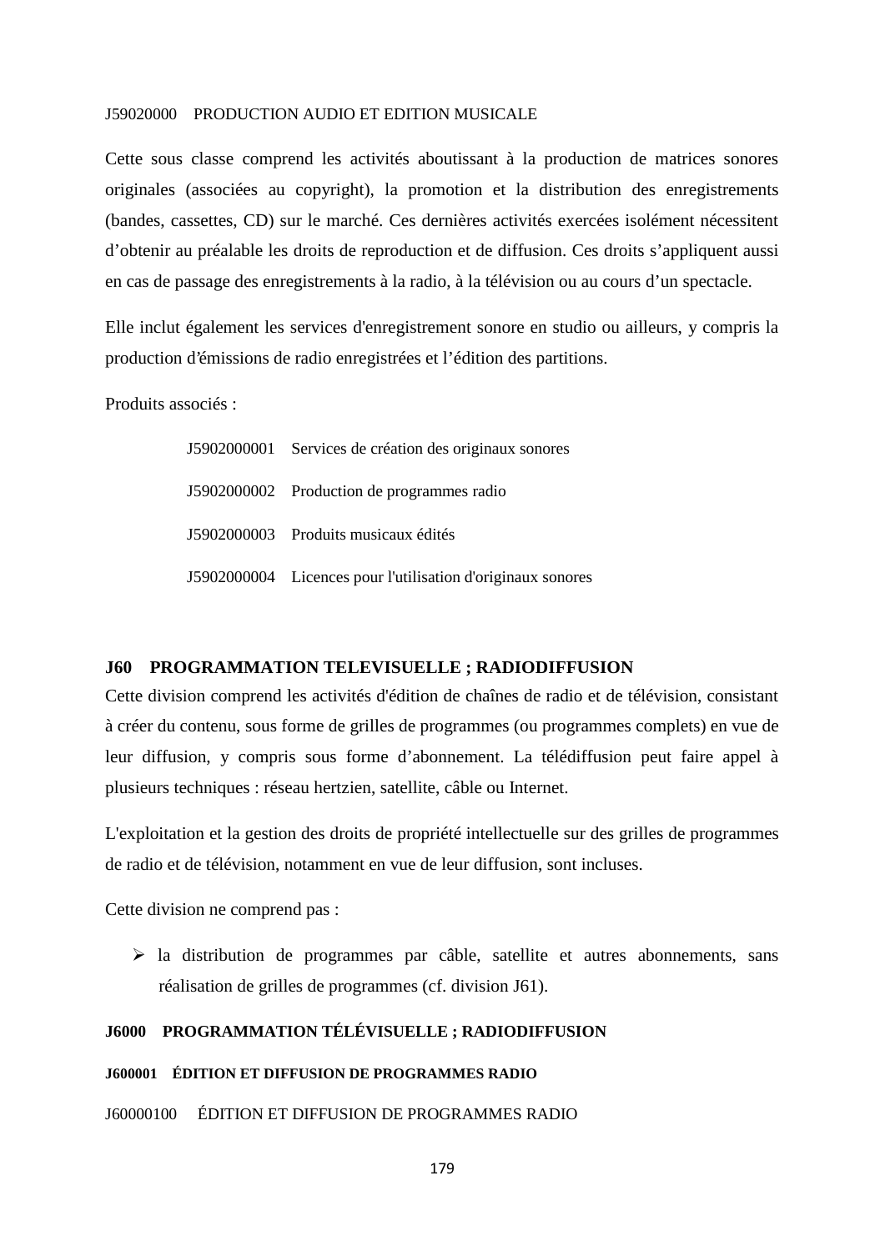#### J59020000 PRODUCTION AUDIO ET EDITION MUSICALE

Cette sous classe comprend les activités aboutissant à la production de matrices sonores originales (associées au copyright), la promotion et la distribution des enregistrements (bandes, cassettes, CD) sur le marché. Ces dernières activités exercées isolément nécessitent d'obtenir au préalable les droits de reproduction et de diffusion. Ces droits s'appliquent aussi en cas de passage des enregistrements à la radio, à la télévision ou au cours d'un spectacle.

Elle inclut également les services d'enregistrement sonore en studio ou ailleurs, y compris la production d'émissions de radio enregistrées et l'édition des partitions.

Produits associés :

| J5902000001 Services de création des originaux sonores      |
|-------------------------------------------------------------|
| J5902000002 Production de programmes radio                  |
| J5902000003 Produits musicaux édités                        |
| J5902000004 Licences pour l'utilisation d'originaux sonores |

# **J60 PROGRAMMATION TELEVISUELLE ; RADIODIFFUSION**

Cette division comprend les activités d'édition de chaînes de radio et de télévision, consistant à créer du contenu, sous forme de grilles de programmes (ou programmes complets) en vue de leur diffusion, y compris sous forme d'abonnement. La télédiffusion peut faire appel à plusieurs techniques : réseau hertzien, satellite, câble ou Internet.

L'exploitation et la gestion des droits de propriété intellectuelle sur des grilles de programmes de radio et de télévision, notamment en vue de leur diffusion, sont incluses.

Cette division ne comprend pas :

 $\triangleright$  la distribution de programmes par câble, satellite et autres abonnements, sans réalisation de grilles de programmes (cf. division J61).

# **J6000 PROGRAMMATION TÉLÉVISUELLE ; RADIODIFFUSION**

#### **J600001 ÉDITION ET DIFFUSION DE PROGRAMMES RADIO**

J60000100 ÉDITION ET DIFFUSION DE PROGRAMMES RADIO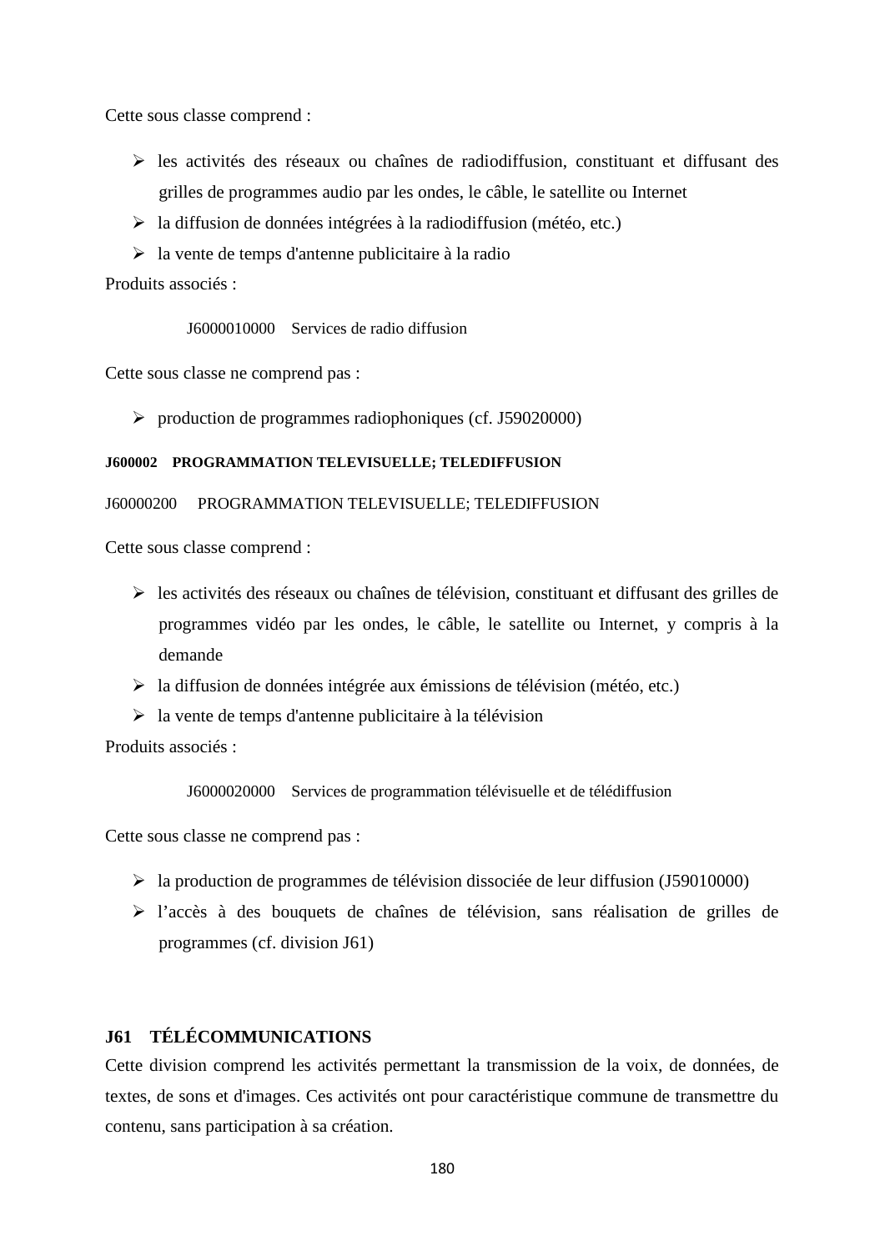Cette sous classe comprend :

- $\triangleright$  les activités des réseaux ou chaînes de radiodiffusion, constituant et diffusant des grilles de programmes audio par les ondes, le câble, le satellite ou Internet
- $\triangleright$  la diffusion de données intégrées à la radiodiffusion (météo, etc.)
- $\triangleright$  la vente de temps d'antenne publicitaire à la radio

Produits associés :

J6000010000 Services de radio diffusion

Cette sous classe ne comprend pas :

 $\triangleright$  production de programmes radiophoniques (cf. J59020000)

### **J600002 PROGRAMMATION TELEVISUELLE; TELEDIFFUSION**

### J60000200 PROGRAMMATION TELEVISUELLE; TELEDIFFUSION

Cette sous classe comprend :

- $\triangleright$  les activités des réseaux ou chaînes de télévision, constituant et diffusant des grilles de programmes vidéo par les ondes, le câble, le satellite ou Internet, y compris à la demande
- $\triangleright$  la diffusion de données intégrée aux émissions de télévision (météo, etc.)
- $\triangleright$  la vente de temps d'antenne publicitaire à la télévision

Produits associés :

J6000020000 Services de programmation télévisuelle et de télédiffusion

Cette sous classe ne comprend pas :

- la production de programmes de télévision dissociée de leur diffusion (J59010000)
- l'accès à des bouquets de chaînes de télévision, sans réalisation de grilles de programmes (cf. division J61)

# **J61 TÉLÉCOMMUNICATIONS**

Cette division comprend les activités permettant la transmission de la voix, de données, de textes, de sons et d'images. Ces activités ont pour caractéristique commune de transmettre du contenu, sans participation à sa création.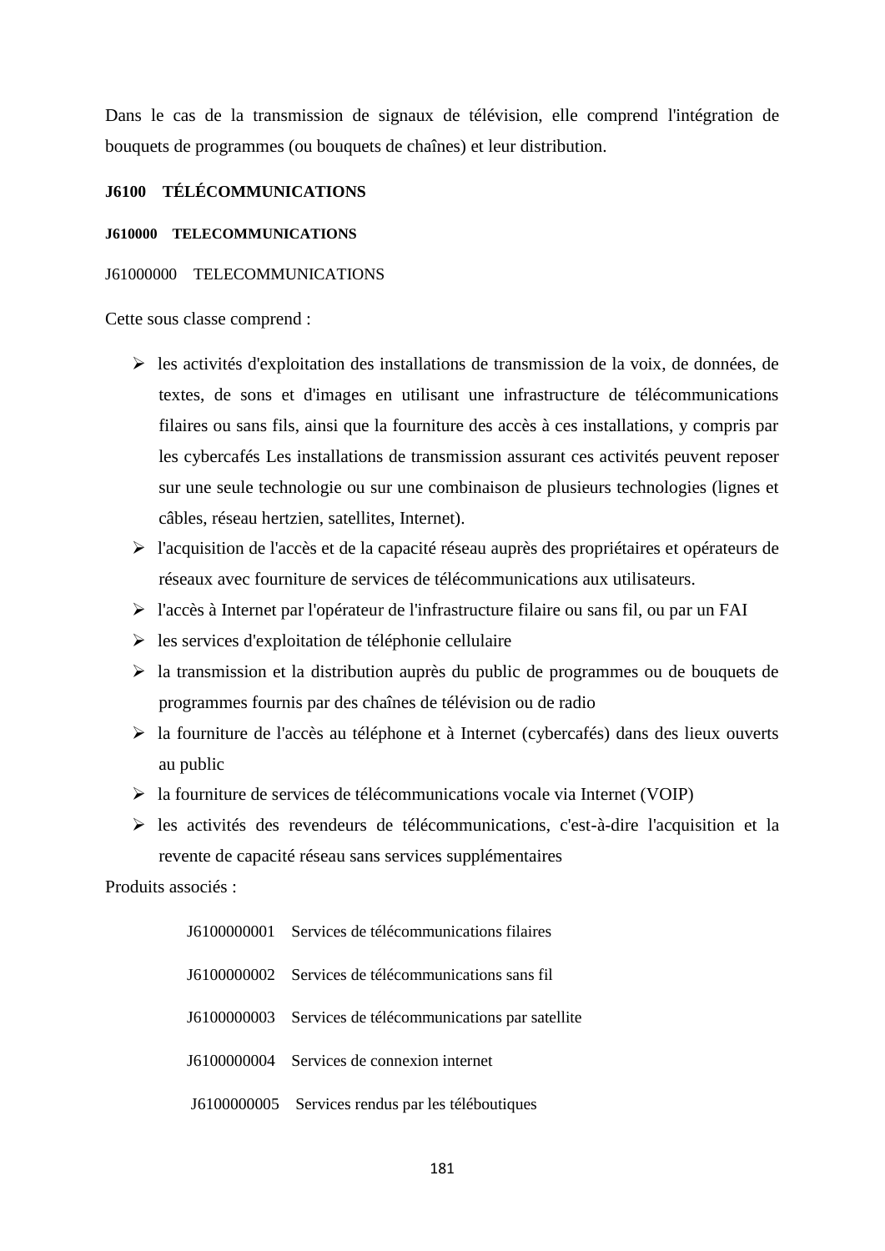Dans le cas de la transmission de signaux de télévision, elle comprend l'intégration de bouquets de programmes (ou bouquets de chaînes) et leur distribution.

# **J6100 TÉLÉCOMMUNICATIONS**

#### **J610000 TELECOMMUNICATIONS**

#### J61000000 TELECOMMUNICATIONS

Cette sous classe comprend :

- $\triangleright$  les activités d'exploitation des installations de transmission de la voix, de données, de textes, de sons et d'images en utilisant une infrastructure de télécommunications filaires ou sans fils, ainsi que la fourniture des accès à ces installations, y compris par les cybercafés Les installations de transmission assurant ces activités peuvent reposer sur une seule technologie ou sur une combinaison de plusieurs technologies (lignes et câbles, réseau hertzien, satellites, Internet).
- $\triangleright$  l'acquisition de l'accès et de la capacité réseau auprès des propriétaires et opérateurs de réseaux avec fourniture de services de télécommunications aux utilisateurs.
- l'accès à Internet par l'opérateur de l'infrastructure filaire ou sans fil, ou par un FAI
- $\triangleright$  les services d'exploitation de téléphonie cellulaire
- $\triangleright$  la transmission et la distribution auprès du public de programmes ou de bouquets de programmes fournis par des chaînes de télévision ou de radio
- la fourniture de l'accès au téléphone et à Internet (cybercafés) dans des lieux ouverts au public
- $\triangleright$  la fourniture de services de télécommunications vocale via Internet (VOIP)
- $\triangleright$  les activités des revendeurs de télécommunications, c'est-à-dire l'acquisition et la revente de capacité réseau sans services supplémentaires

Produits associés :

| J6100000001 Services de télécommunications filaires      |
|----------------------------------------------------------|
| 16100000002 Services de télécommunications sans fil      |
| J6100000003 Services de télécommunications par satellite |
| J6100000004 Services de connexion internet               |
| J6100000005 Services rendus par les téléboutiques        |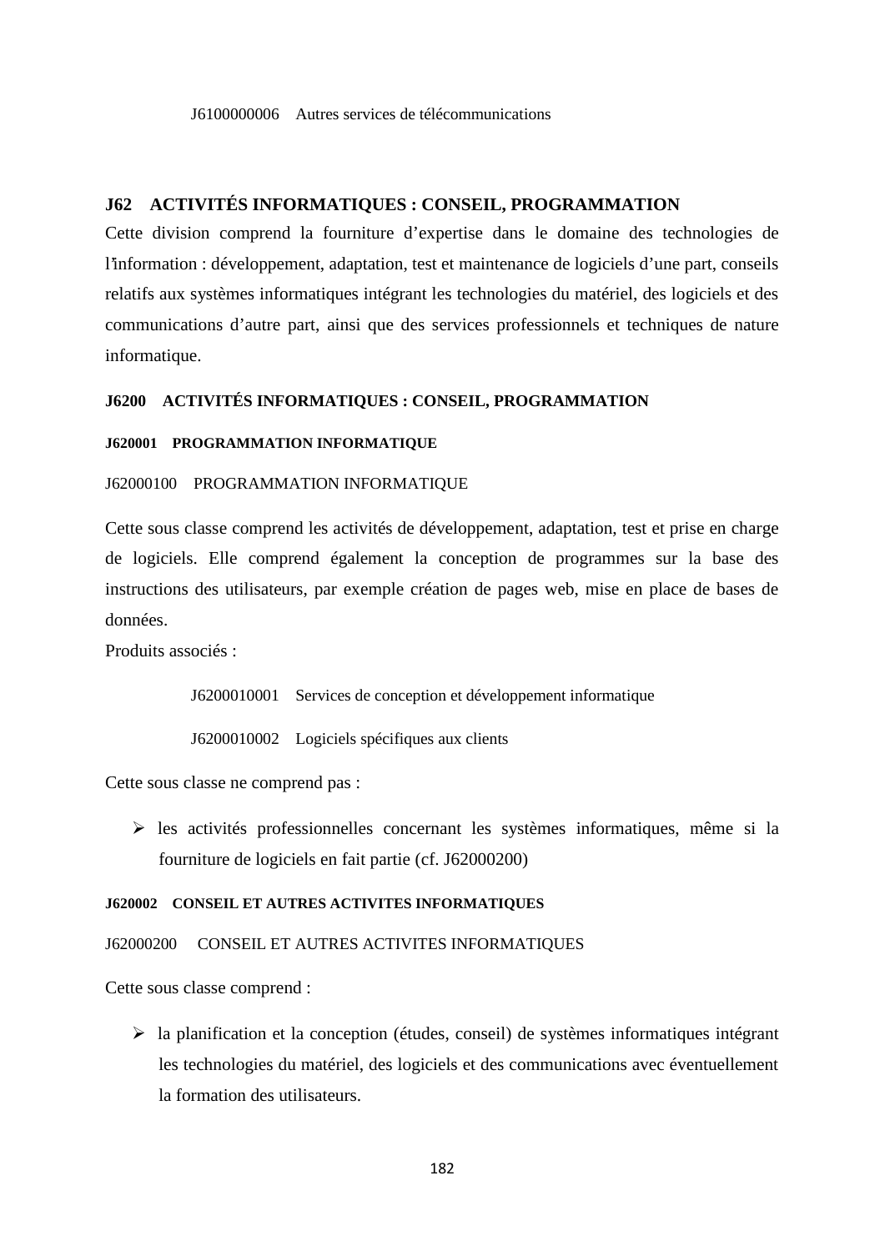#### J6100000006 Autres services de télécommunications

# **J62 ACTIVITÉS INFORMATIQUES : CONSEIL, PROGRAMMATION**

Cette division comprend la fourniture d'expertise dans le domaine des technologies de l'information : développement, adaptation, test et maintenance de logiciels d'une part, conseils relatifs aux systèmes informatiques intégrant les technologies du matériel, des logiciels et des communications d'autre part, ainsi que des services professionnels et techniques de nature informatique.

#### **J6200 ACTIVITÉS INFORMATIQUES : CONSEIL, PROGRAMMATION**

#### **J620001 PROGRAMMATION INFORMATIQUE**

#### J62000100 PROGRAMMATION INFORMATIQUE

Cette sous classe comprend les activités de développement, adaptation, test et prise en charge de logiciels. Elle comprend également la conception de programmes sur la base des instructions des utilisateurs, par exemple création de pages web, mise en place de bases de données.

Produits associés :

J6200010001 Services de conception et développement informatique

J6200010002 Logiciels spécifiques aux clients

Cette sous classe ne comprend pas :

 $\triangleright$  les activités professionnelles concernant les systèmes informatiques, même si la fourniture de logiciels en fait partie (cf. J62000200)

#### **J620002 CONSEIL ET AUTRES ACTIVITES INFORMATIQUES**

## J62000200 CONSEIL ET AUTRES ACTIVITES INFORMATIQUES

Cette sous classe comprend :

 $\triangleright$  la planification et la conception (études, conseil) de systèmes informatiques intégrant les technologies du matériel, des logiciels et des communications avec éventuellement la formation des utilisateurs.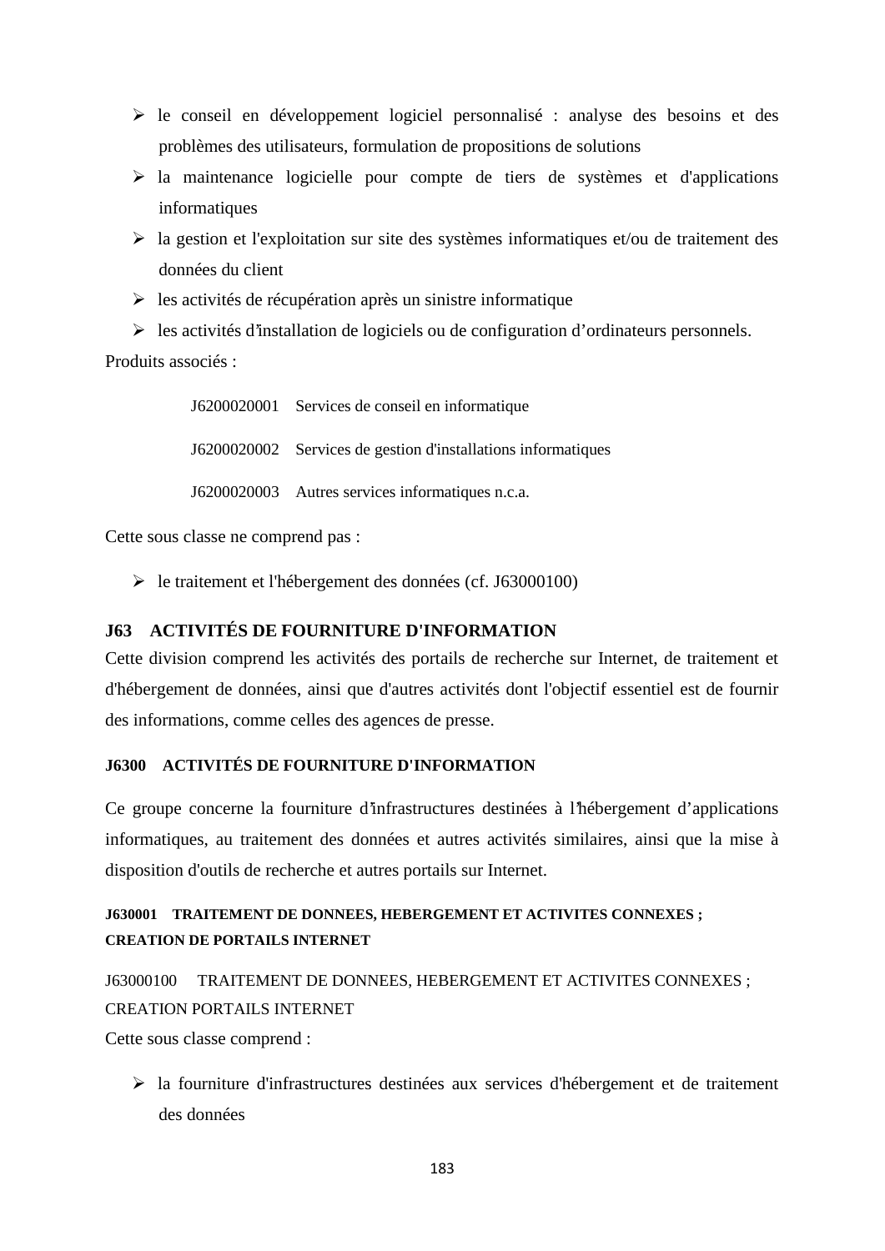- $\triangleright$  le conseil en développement logiciel personnalisé : analyse des besoins et des problèmes des utilisateurs, formulation de propositions de solutions
- $\triangleright$  la maintenance logicielle pour compte de tiers de systèmes et d'applications informatiques
- $\triangleright$  la gestion et l'exploitation sur site des systèmes informatiques et/ou de traitement des données du client
- $\triangleright$  les activités de récupération après un sinistre informatique

 $\triangleright$  les activités d'installation de logiciels ou de configuration d'ordinateurs personnels. Produits associés :

> J6200020001 Services de conseil en informatique J6200020002 Services de gestion d'installations informatiques J6200020003 Autres services informatiques n.c.a.

Cette sous classe ne comprend pas :

le traitement et l'hébergement des données (cf. J63000100)

# **J63 ACTIVITÉS DE FOURNITURE D'INFORMATION**

Cette division comprend les activités des portails de recherche sur Internet, de traitement et d'hébergement de données, ainsi que d'autres activités dont l'objectif essentiel est de fournir des informations, comme celles des agences de presse.

# **J6300 ACTIVITÉS DE FOURNITURE D'INFORMATION**

Ce groupe concerne la fourniture d'infrastructures destinées à l'hébergement d'applications informatiques, au traitement des données et autres activités similaires, ainsi que la mise à disposition d'outils de recherche et autres portails sur Internet.

# **J630001 TRAITEMENT DE DONNEES, HEBERGEMENT ET ACTIVITES CONNEXES ; CREATION DE PORTAILS INTERNET**

J63000100 TRAITEMENT DE DONNEES, HEBERGEMENT ET ACTIVITES CONNEXES ; CREATION PORTAILS INTERNET Cette sous classe comprend :

 $\triangleright$  la fourniture d'infrastructures destinées aux services d'hébergement et de traitement des données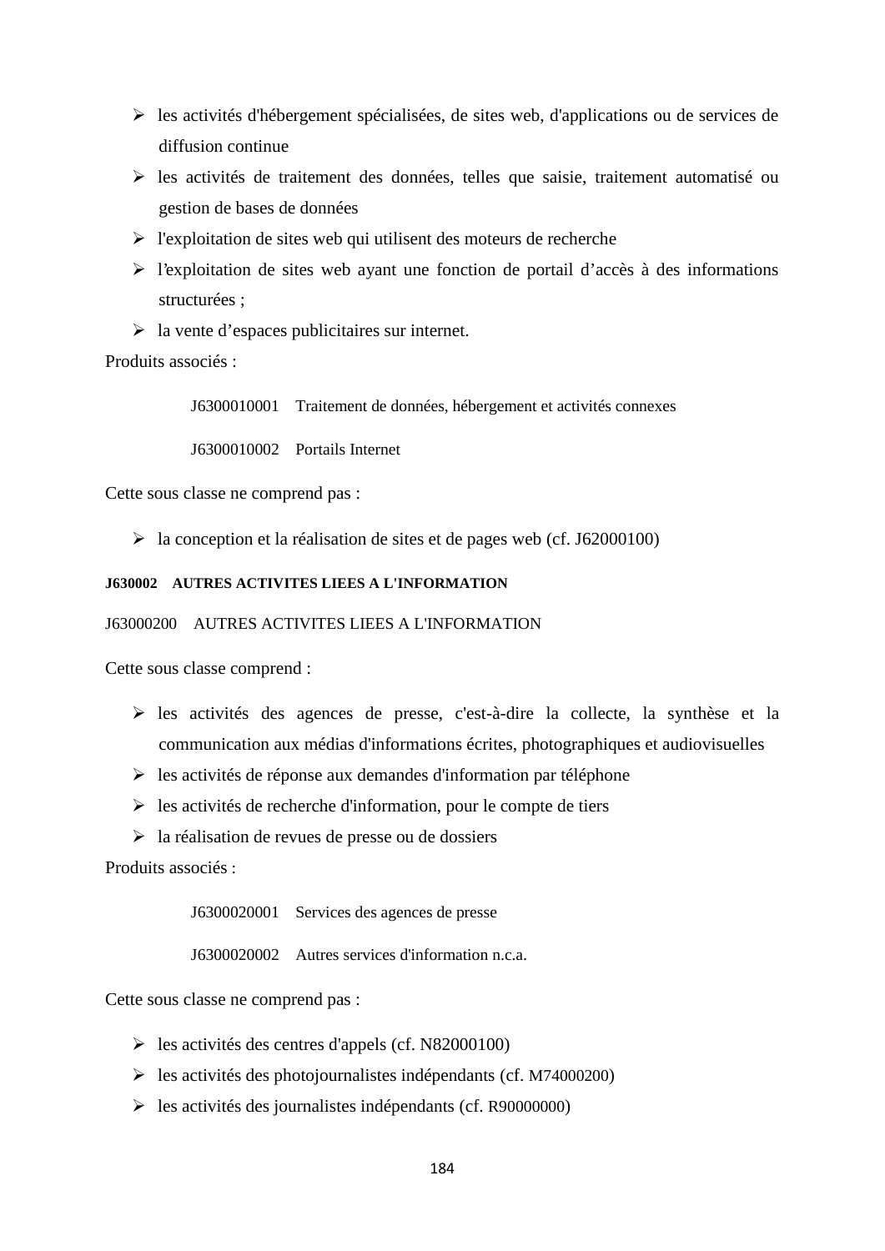- les activités d'hébergement spécialisées, de sites web, d'applications ou de services de diffusion continue
- les activités de traitement des données, telles que saisie, traitement automatisé ou gestion de bases de données
- $\triangleright$  l'exploitation de sites web qui utilisent des moteurs de recherche
- l'exploitation de sites web ayant une fonction de portail d'accès à des informations structurées ;
- $\triangleright$  la vente d'espaces publicitaires sur internet.

Produits associés :

J6300010001 Traitement de données, hébergement et activités connexes

J6300010002 Portails Internet

Cette sous classe ne comprend pas :

 $\blacktriangleright$  la conception et la réalisation de sites et de pages web (cf. J62000100)

#### **J630002 AUTRES ACTIVITES LIEES A L'INFORMATION**

#### J63000200 AUTRES ACTIVITES LIEES A L'INFORMATION

Cette sous classe comprend :

- les activités des agences de presse, c'est-à-dire la collecte, la synthèse et la communication aux médias d'informations écrites, photographiques et audiovisuelles
- $\triangleright$  les activités de réponse aux demandes d'information par téléphone
- $\triangleright$  les activités de recherche d'information, pour le compte de tiers
- la réalisation de revues de presse ou de dossiers

Produits associés :

J6300020001 Services des agences de presse

J6300020002 Autres services d'information n.c.a.

Cette sous classe ne comprend pas :

- $\blacktriangleright$  les activités des centres d'appels (cf. N82000100)
- $\blacktriangleright$  les activités des photojournalistes indépendants (cf. M74000200)
- les activités des journalistes indépendants (cf. R90000000)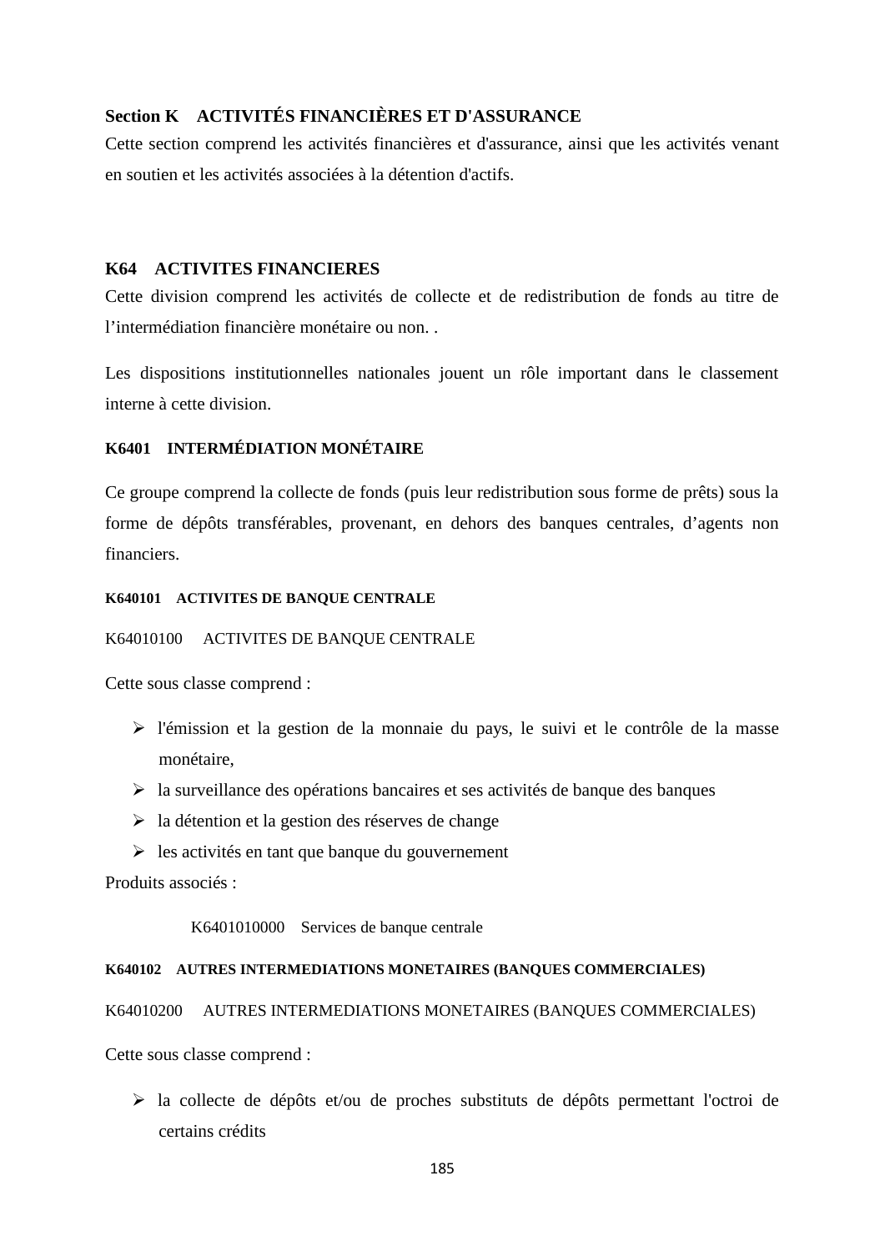# **Section K ACTIVITÉS FINANCIÈRES ET D'ASSURANCE**

Cette section comprend les activités financières et d'assurance, ainsi que les activités venant en soutien et les activités associées à la détention d'actifs.

# **K64 ACTIVITES FINANCIERES**

Cette division comprend les activités de collecte et de redistribution de fonds au titre de l'intermédiation financière monétaire ou non. .

Les dispositions institutionnelles nationales jouent un rôle important dans le classement interne à cette division.

# **K6401 INTERMÉDIATION MONÉTAIRE**

Ce groupe comprend la collecte de fonds (puis leur redistribution sous forme de prêts) sous la forme de dépôts transférables, provenant, en dehors des banques centrales, d'agents non financiers.

### **K640101 ACTIVITES DE BANQUE CENTRALE**

# K64010100 ACTIVITES DE BANQUE CENTRALE

Cette sous classe comprend :

- l'émission et la gestion de la monnaie du pays, le suivi et le contrôle de la masse monétaire,
- $\triangleright$  la surveillance des opérations bancaires et ses activités de banque des banques
- $\triangleright$  la détention et la gestion des réserves de change
- $\triangleright$  les activités en tant que banque du gouvernement

Produits associés :

K6401010000 Services de banque centrale

#### **K640102 AUTRES INTERMEDIATIONS MONETAIRES (BANQUES COMMERCIALES)**

K64010200 AUTRES INTERMEDIATIONS MONETAIRES (BANQUES COMMERCIALES)

Cette sous classe comprend :

 la collecte de dépôts et/ou de proches substituts de dépôts permettant l'octroi de certains crédits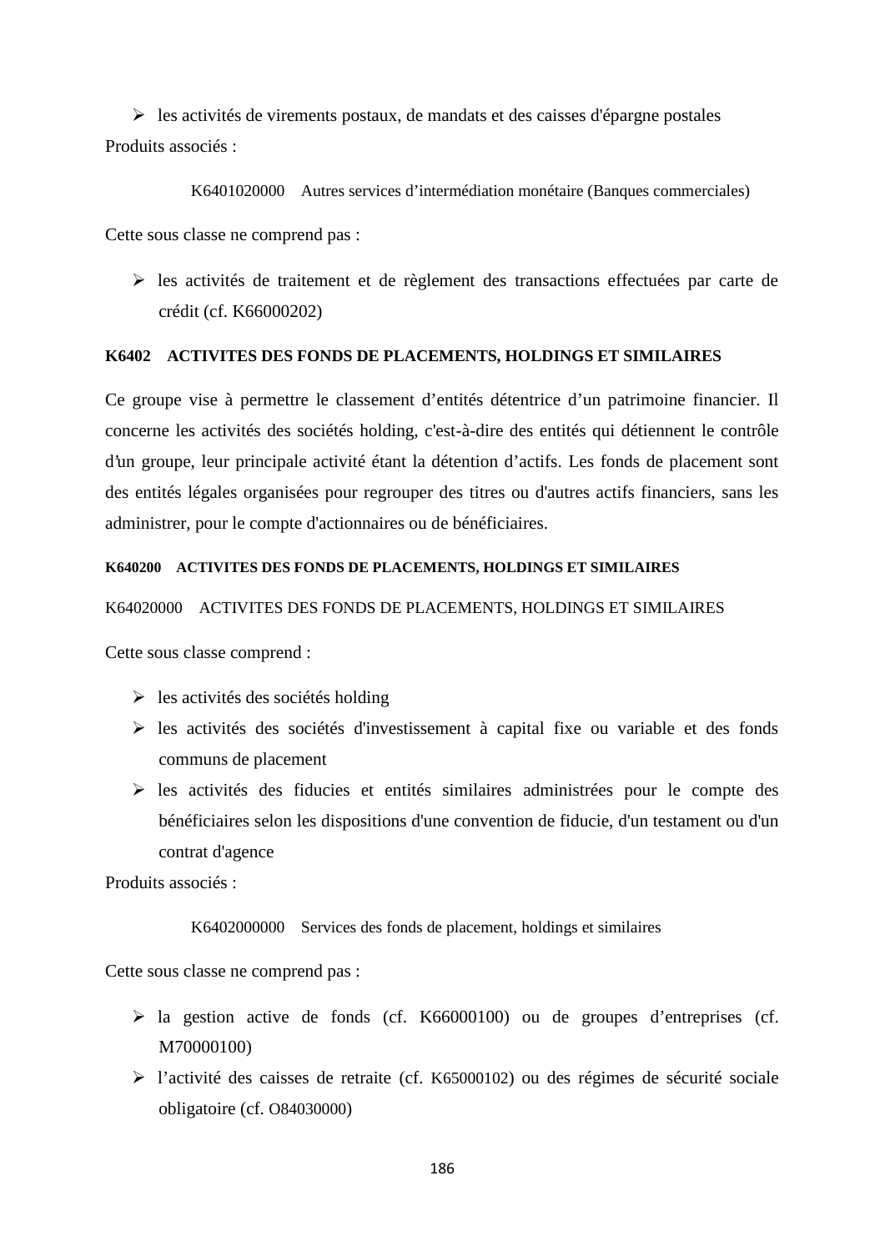$\triangleright$  les activités de virements postaux, de mandats et des caisses d'épargne postales Produits associés :

K6401020000 Autres services d'intermédiation monétaire (Banques commerciales) Cette sous classe ne comprend pas :

 $\triangleright$  les activités de traitement et de règlement des transactions effectuées par carte de crédit (cf. K66000202)

### **K6402 ACTIVITES DES FONDS DE PLACEMENTS, HOLDINGS ET SIMILAIRES**

Ce groupe vise à permettre le classement d'entités détentrice d'un patrimoine financier. Il concerne les activités des sociétés holding, c'est-à-dire des entités qui détiennent le contrôle d'un groupe, leur principale activité étant la détention d'actifs. Les fonds de placement sont des entités légales organisées pour regrouper des titres ou d'autres actifs financiers, sans les administrer, pour le compte d'actionnaires ou de bénéficiaires.

### **K640200 ACTIVITES DES FONDS DE PLACEMENTS, HOLDINGS ET SIMILAIRES**

#### K64020000 ACTIVITES DES FONDS DE PLACEMENTS, HOLDINGS ET SIMILAIRES

Cette sous classe comprend :

- $\triangleright$  les activités des sociétés holding
- $\triangleright$  les activités des sociétés d'investissement à capital fixe ou variable et des fonds communs de placement
- les activités des fiducies et entités similaires administrées pour le compte des bénéficiaires selon les dispositions d'une convention de fiducie, d'un testament ou d'un contrat d'agence

Produits associés :

K6402000000 Services des fonds de placement, holdings et similaires

Cette sous classe ne comprend pas :

- $\triangleright$  la gestion active de fonds (cf. K66000100) ou de groupes d'entreprises (cf. M70000100)
- l'activité des caisses de retraite (cf. K65000102) ou des régimes de sécurité sociale obligatoire (cf. O84030000)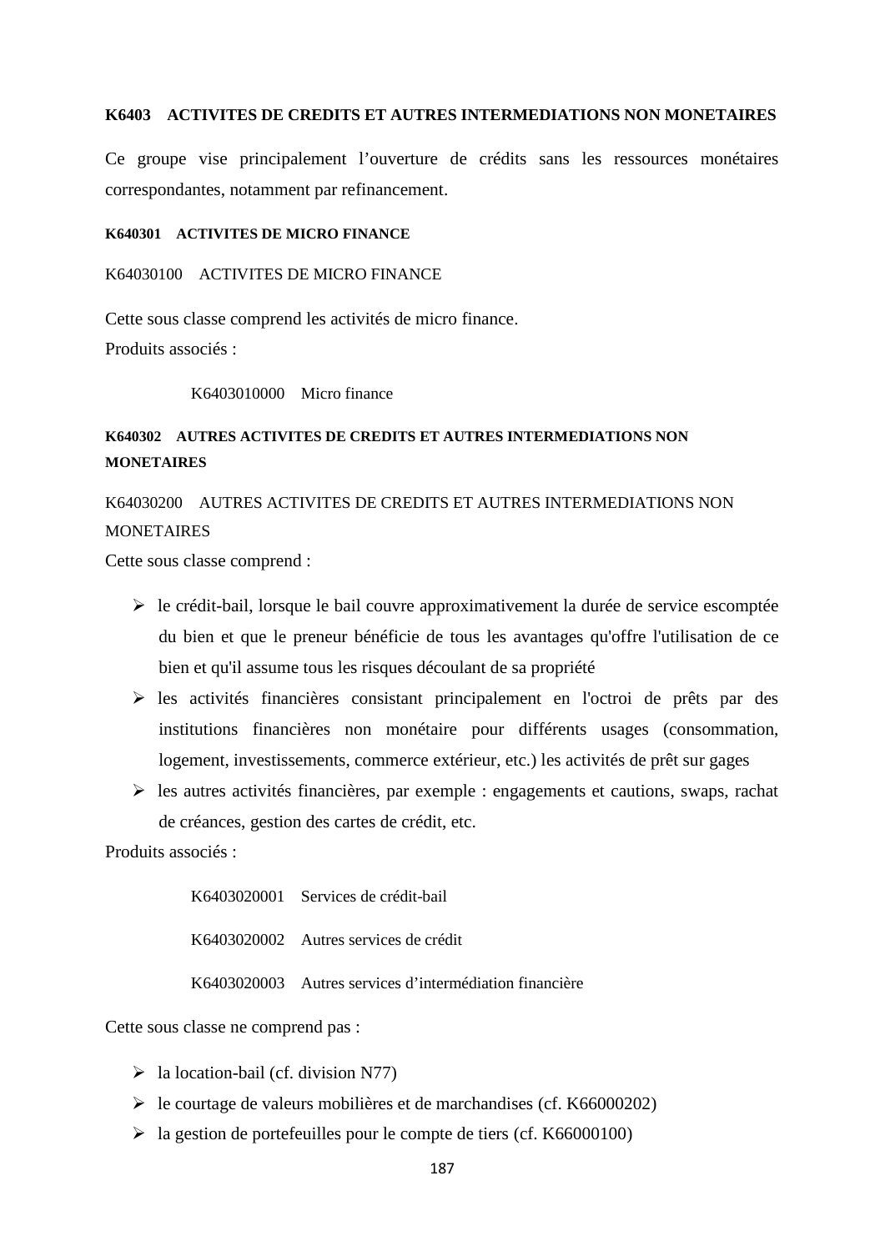#### **K6403 ACTIVITES DE CREDITS ET AUTRES INTERMEDIATIONS NON MONETAIRES**

Ce groupe vise principalement l'ouverture de crédits sans les ressources monétaires correspondantes, notamment par refinancement.

#### **K640301 ACTIVITES DE MICRO FINANCE**

### K64030100 ACTIVITES DE MICRO FINANCE

Cette sous classe comprend les activités de micro finance. Produits associés :

#### K6403010000 Micro finance

# **K640302 AUTRES ACTIVITES DE CREDITS ET AUTRES INTERMEDIATIONS NON MONETAIRES**

# K64030200 AUTRES ACTIVITES DE CREDITS ET AUTRES INTERMEDIATIONS NON **MONETAIRES**

Cette sous classe comprend :

- $\triangleright$  le crédit-bail, lorsque le bail couvre approximativement la durée de service escomptée du bien et que le preneur bénéficie de tous les avantages qu'offre l'utilisation de ce bien et qu'il assume tous les risques découlant de sa propriété
- $\triangleright$  les activités financières consistant principalement en l'octroi de prêts par des institutions financières non monétaire pour différents usages (consommation, logement, investissements, commerce extérieur, etc.) les activités de prêt sur gages
- $\triangleright$  les autres activités financières, par exemple : engagements et cautions, swaps, rachat de créances, gestion des cartes de crédit, etc.

Produits associés :

K6403020001 Services de crédit-bail K6403020002 Autres services de crédit K6403020003 Autres services d'intermédiation financière

Cette sous classe ne comprend pas :

- $\triangleright$  la location-bail (cf. division N77)
- le courtage de valeurs mobilières et de marchandises (cf. K66000202)
- $\blacktriangleright$  la gestion de portefeuilles pour le compte de tiers (cf. K66000100)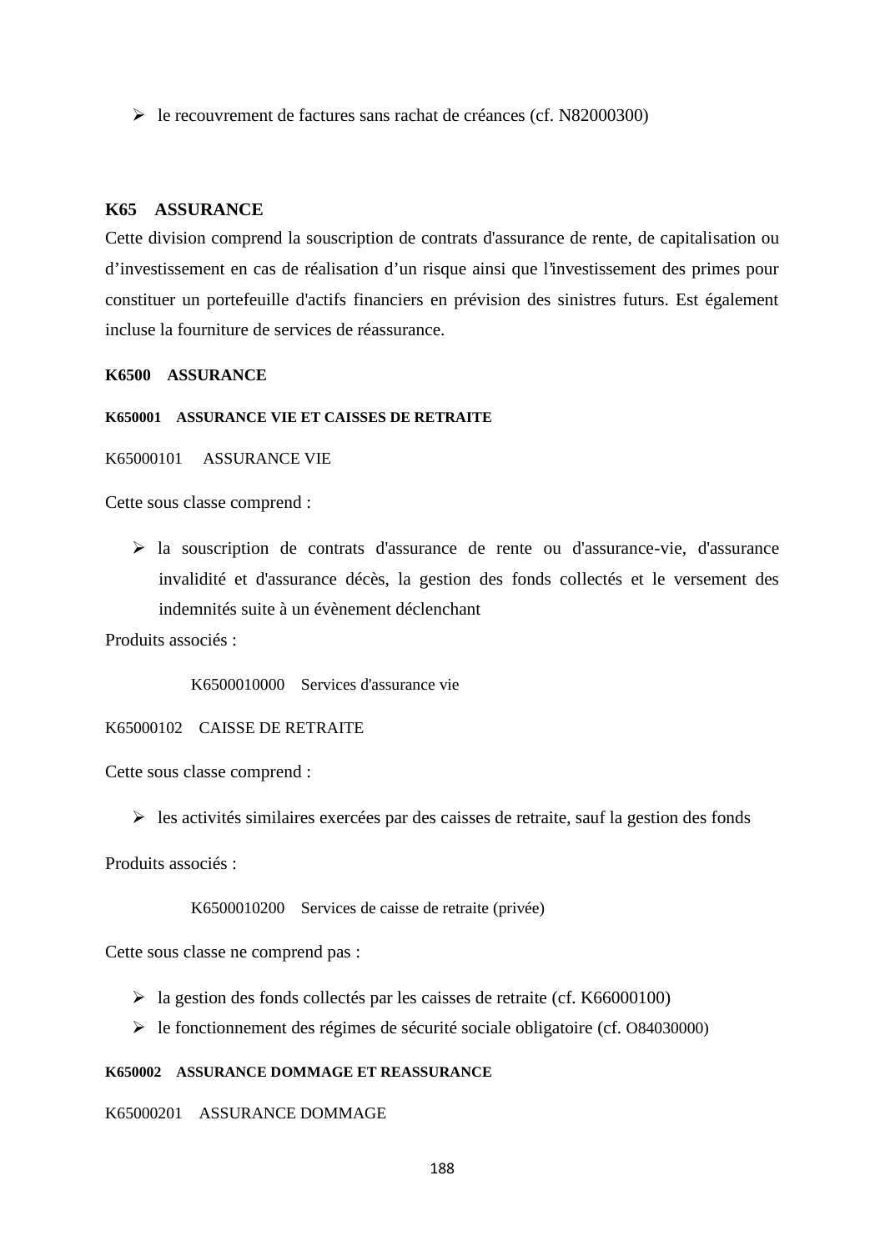le recouvrement de factures sans rachat de créances (cf. N82000300)

### **K65 ASSURANCE**

Cette division comprend la souscription de contrats d'assurance de rente, de capitalisation ou d'investissement en cas de réalisation d'un risque ainsi que l'investissement des primes pour constituer un portefeuille d'actifs financiers en prévision des sinistres futurs. Est également incluse la fourniture de services de réassurance.

#### **K6500 ASSURANCE**

#### **K650001 ASSURANCE VIE ET CAISSES DE RETRAITE**

K65000101 ASSURANCE VIE

Cette sous classe comprend :

 la souscription de contrats d'assurance de rente ou d'assurance-vie, d'assurance invalidité et d'assurance décès, la gestion des fonds collectés et le versement des indemnités suite à un évènement déclenchant

Produits associés :

K6500010000 Services d'assurance vie

#### K65000102 CAISSE DE RETRAITE

Cette sous classe comprend :

 $\triangleright$  les activités similaires exercées par des caisses de retraite, sauf la gestion des fonds

Produits associés :

K6500010200 Services de caisse de retraite (privée)

Cette sous classe ne comprend pas :

- la gestion des fonds collectés par les caisses de retraite (cf. K66000100)
- le fonctionnement des régimes de sécurité sociale obligatoire (cf. O84030000)

#### **K650002 ASSURANCE DOMMAGE ET REASSURANCE**

### K65000201 ASSURANCE DOMMAGE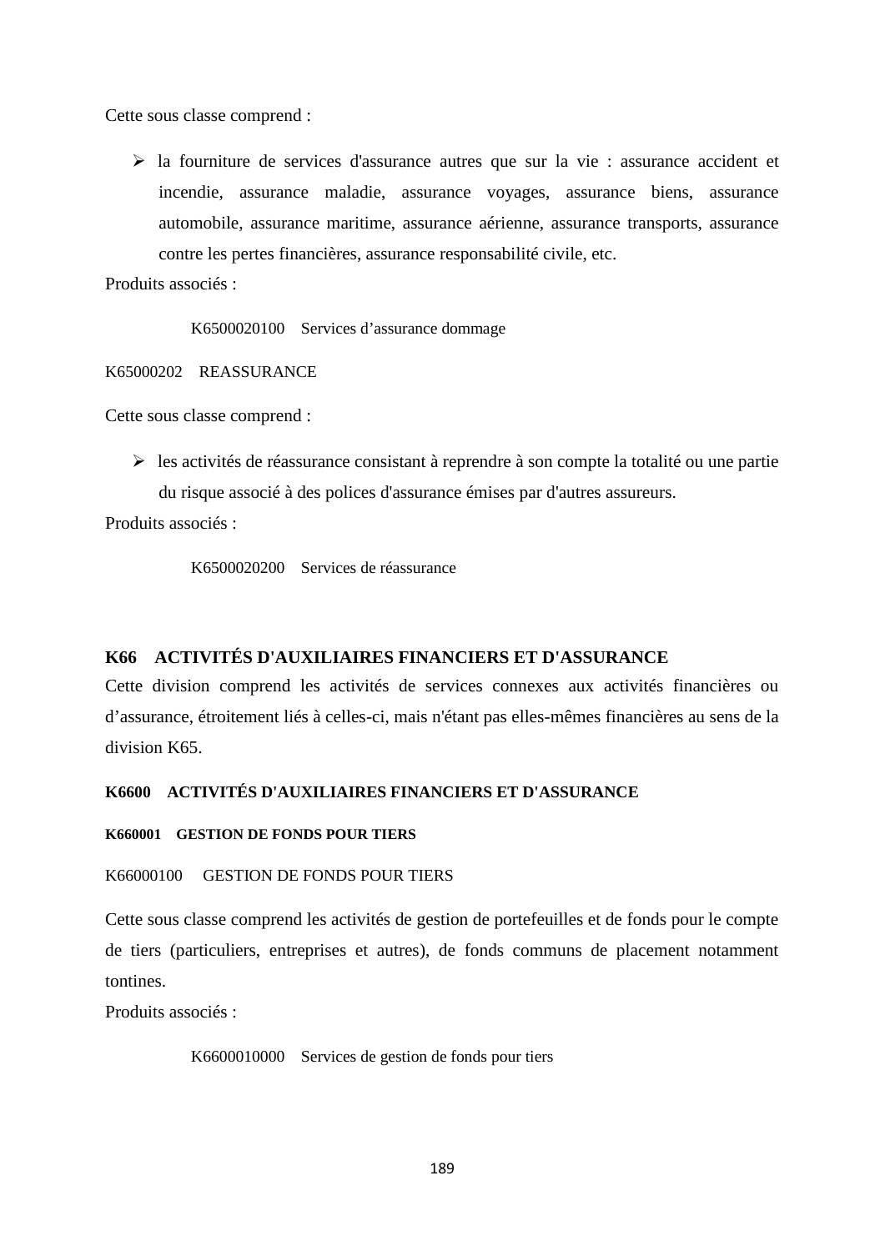Cette sous classe comprend :

 $\triangleright$  la fourniture de services d'assurance autres que sur la vie : assurance accident et incendie, assurance maladie, assurance voyages, assurance biens, assurance automobile, assurance maritime, assurance aérienne, assurance transports, assurance contre les pertes financières, assurance responsabilité civile, etc.

Produits associés :

K6500020100 Services d'assurance dommage

K65000202 REASSURANCE

Cette sous classe comprend :

 $\triangleright$  les activités de réassurance consistant à reprendre à son compte la totalité ou une partie du risque associé à des polices d'assurance émises par d'autres assureurs.

Produits associés :

K6500020200 Services de réassurance

# **K66 ACTIVITÉS D'AUXILIAIRES FINANCIERS ET D'ASSURANCE**

Cette division comprend les activités de services connexes aux activités financières ou d'assurance, étroitement liés à celles-ci, mais n'étant pas elles-mêmes financières au sens de la division K65.

# **K6600 ACTIVITÉS D'AUXILIAIRES FINANCIERS ET D'ASSURANCE**

#### **K660001 GESTION DE FONDS POUR TIERS**

# K66000100 GESTION DE FONDS POUR TIERS

Cette sous classe comprend les activités de gestion de portefeuilles et de fonds pour le compte de tiers (particuliers, entreprises et autres), de fonds communs de placement notamment tontines.

Produits associés :

K6600010000 Services de gestion de fonds pour tiers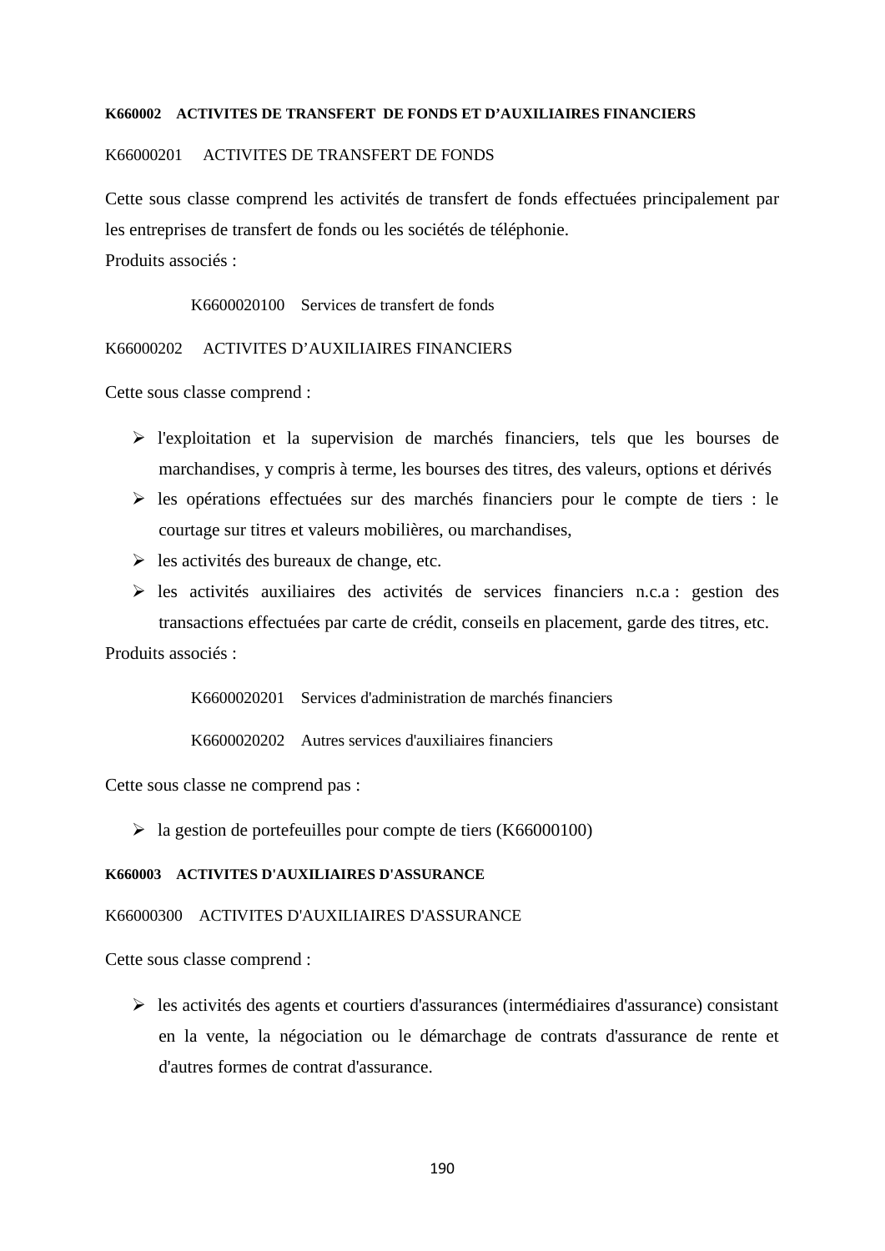#### **K660002 ACTIVITES DE TRANSFERT DE FONDS ET D'AUXILIAIRES FINANCIERS**

### K66000201 ACTIVITES DE TRANSFERT DE FONDS

Cette sous classe comprend les activités de transfert de fonds effectuées principalement par les entreprises de transfert de fonds ou les sociétés de téléphonie.

Produits associés :

K6600020100 Services de transfert de fonds

K66000202 ACTIVITES D'AUXILIAIRES FINANCIERS

Cette sous classe comprend :

- l'exploitation et la supervision de marchés financiers, tels que les bourses de marchandises, y compris à terme, les bourses des titres, des valeurs, options et dérivés
- $\triangleright$  les opérations effectuées sur des marchés financiers pour le compte de tiers : le courtage sur titres et valeurs mobilières, ou marchandises,
- $\triangleright$  les activités des bureaux de change, etc.
- $\triangleright$  les activités auxiliaires des activités de services financiers n.c.a : gestion des transactions effectuées par carte de crédit, conseils en placement, garde des titres, etc.

Produits associés :

K6600020201 Services d'administration de marchés financiers

K6600020202 Autres services d'auxiliaires financiers

Cette sous classe ne comprend pas :

 $\geq$  la gestion de portefeuilles pour compte de tiers (K66000100)

#### **K660003 ACTIVITES D'AUXILIAIRES D'ASSURANCE**

#### K66000300 ACTIVITES D'AUXILIAIRES D'ASSURANCE

Cette sous classe comprend :

 $\triangleright$  les activités des agents et courtiers d'assurances (intermédiaires d'assurance) consistant en la vente, la négociation ou le démarchage de contrats d'assurance de rente et d'autres formes de contrat d'assurance.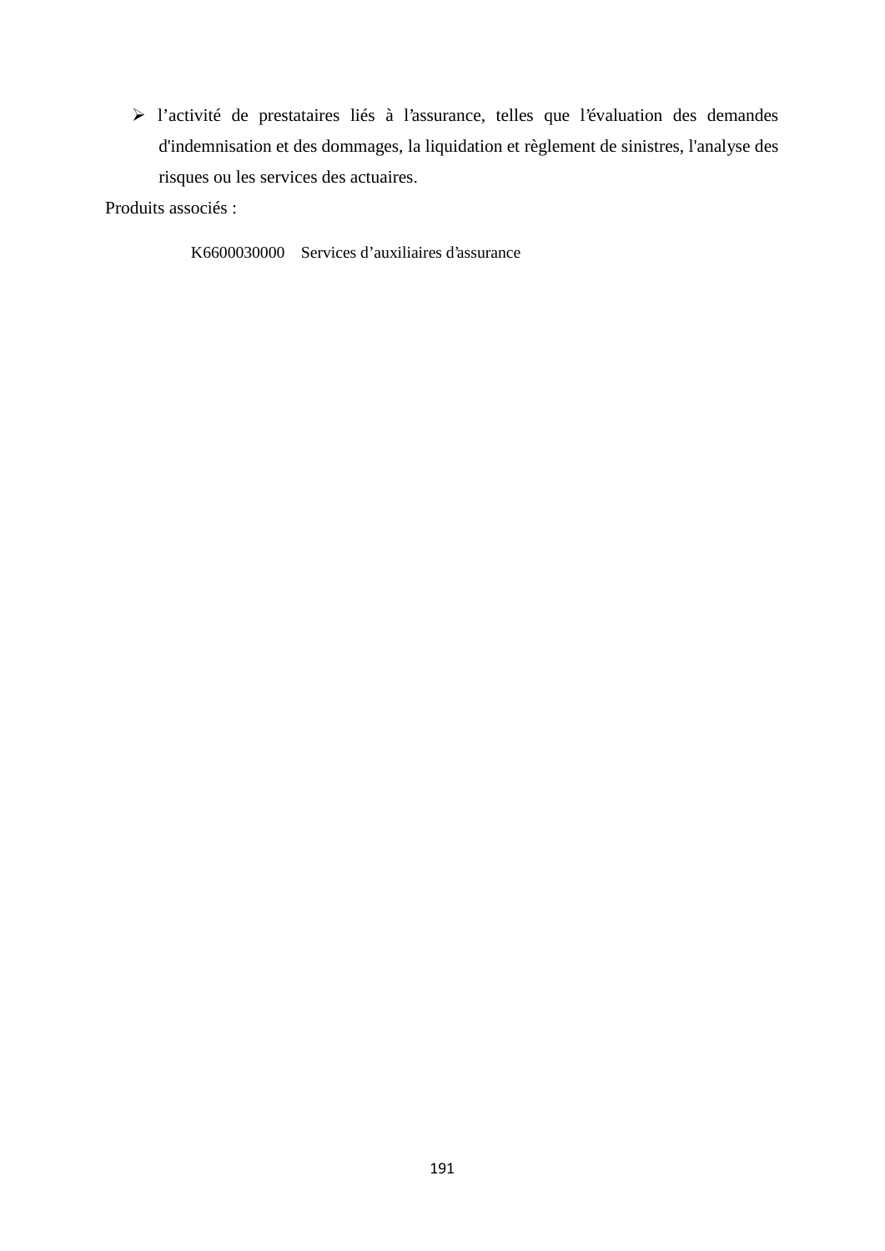l'activité de prestataires liés à l'assurance, telles que l'évaluation des demandes d'indemnisation et des dommages, la liquidation et règlement de sinistres, l'analyse des risques ou les services des actuaires.

Produits associés :

K6600030000 Services d'auxiliaires d'assurance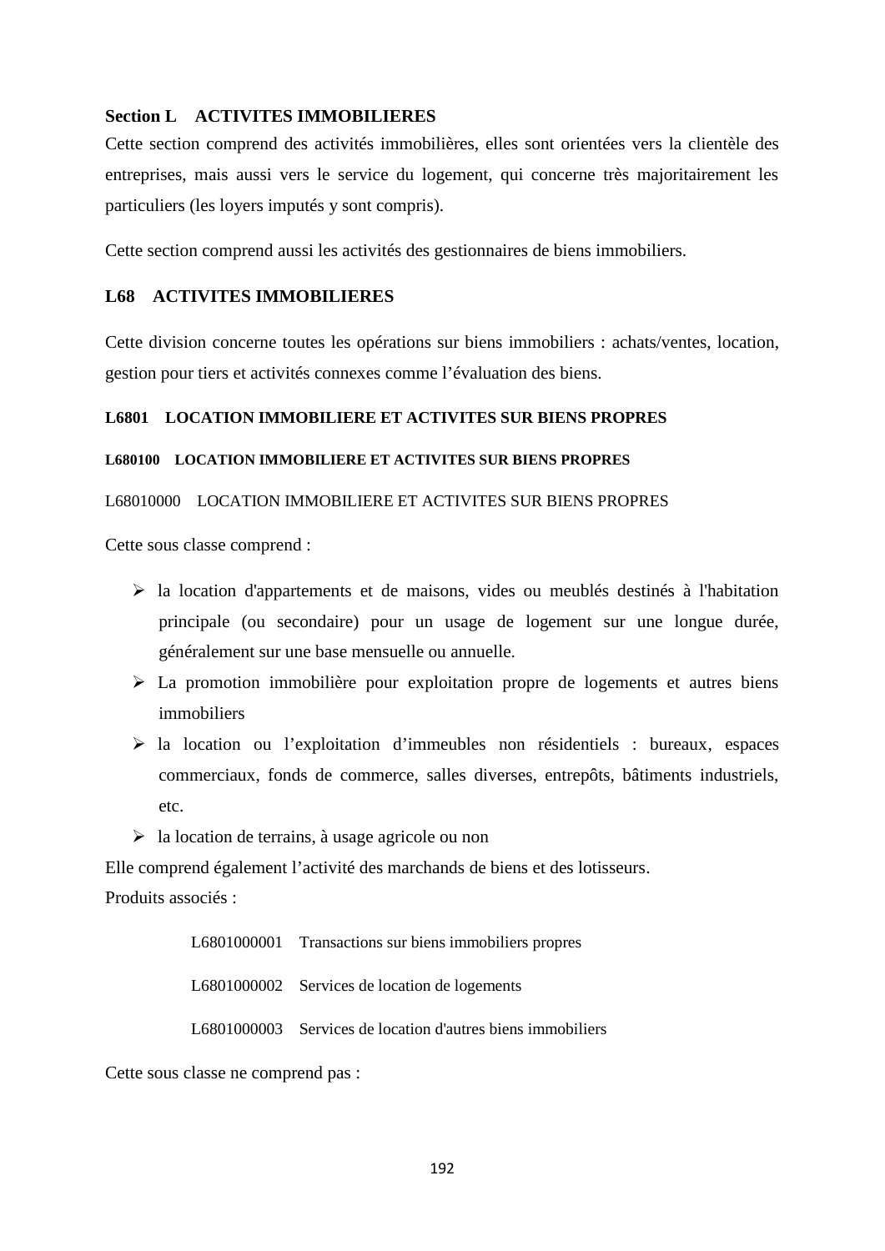# **Section L ACTIVITES IMMOBILIERES**

Cette section comprend des activités immobilières, elles sont orientées vers la clientèle des entreprises, mais aussi vers le service du logement, qui concerne très majoritairement les particuliers (les loyers imputés y sont compris).

Cette section comprend aussi les activités des gestionnaires de biens immobiliers.

# **L68 ACTIVITES IMMOBILIERES**

Cette division concerne toutes les opérations sur biens immobiliers : achats/ventes, location, gestion pour tiers et activités connexes comme l'évaluation des biens.

# **L6801 LOCATION IMMOBILIERE ET ACTIVITES SUR BIENS PROPRES**

# **L680100 LOCATION IMMOBILIERE ET ACTIVITES SUR BIENS PROPRES**

# L68010000 LOCATION IMMOBILIERE ET ACTIVITES SUR BIENS PROPRES

Cette sous classe comprend :

- la location d'appartements et de maisons, vides ou meublés destinés à l'habitation principale (ou secondaire) pour un usage de logement sur une longue durée, généralement sur une base mensuelle ou annuelle.
- La promotion immobilière pour exploitation propre de logements et autres biens immobiliers
- la location ou l'exploitation d'immeubles non résidentiels : bureaux, espaces commerciaux, fonds de commerce, salles diverses, entrepôts, bâtiments industriels, etc.
- $\triangleright$  la location de terrains, à usage agricole ou non

Elle comprend également l'activité des marchands de biens et des lotisseurs.

Produits associés :

L6801000001 Transactions sur biens immobiliers propres

L6801000002 Services de location de logements

L6801000003 Services de location d'autres biens immobiliers

Cette sous classe ne comprend pas :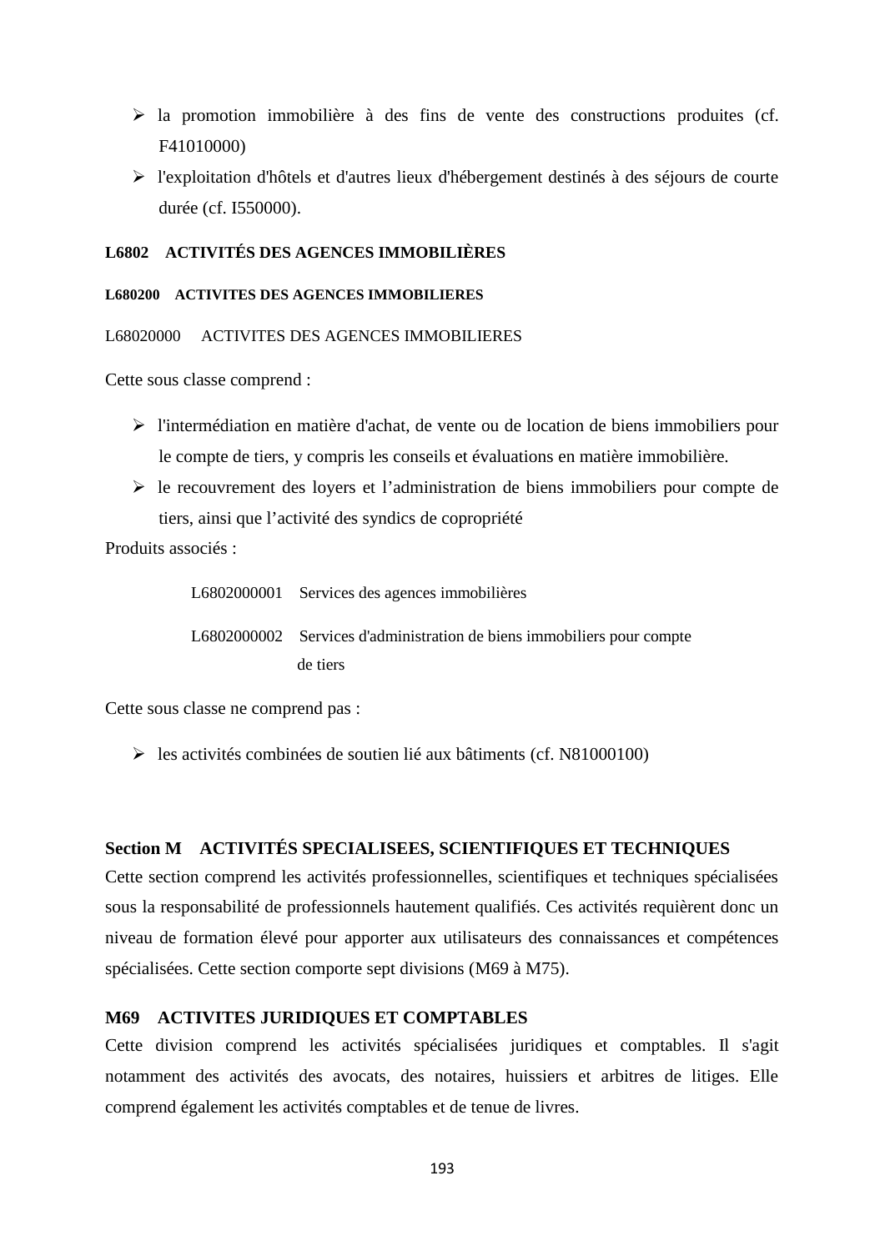- $\triangleright$  la promotion immobilière à des fins de vente des constructions produites (cf. F41010000)
- l'exploitation d'hôtels et d'autres lieux d'hébergement destinés à des séjours de courte durée (cf. I550000).

# **L6802 ACTIVITÉS DES AGENCES IMMOBILIÈRES**

#### **L680200 ACTIVITES DES AGENCES IMMOBILIERES**

L68020000 ACTIVITES DES AGENCES IMMOBILIERES

Cette sous classe comprend :

- l'intermédiation en matière d'achat, de vente ou de location de biens immobiliers pour le compte de tiers, y compris les conseils et évaluations en matière immobilière.
- $\triangleright$  le recouvrement des loyers et l'administration de biens immobiliers pour compte de tiers, ainsi que l'activité des syndics de copropriété

Produits associés :

L6802000001 Services des agences immobilières L6802000002 Services d'administration de biens immobiliers pour compte de tiers

Cette sous classe ne comprend pas :

les activités combinées de soutien lié aux bâtiments (cf. N81000100)

# **Section M ACTIVITÉS SPECIALISEES, SCIENTIFIQUES ET TECHNIQUES**

Cette section comprend les activités professionnelles, scientifiques et techniques spécialisées sous la responsabilité de professionnels hautement qualifiés. Ces activités requièrent donc un niveau de formation élevé pour apporter aux utilisateurs des connaissances et compétences spécialisées. Cette section comporte sept divisions (M69 à M75).

# **M69 ACTIVITES JURIDIQUES ET COMPTABLES**

Cette division comprend les activités spécialisées juridiques et comptables. Il s'agit notamment des activités des avocats, des notaires, huissiers et arbitres de litiges. Elle comprend également les activités comptables et de tenue de livres.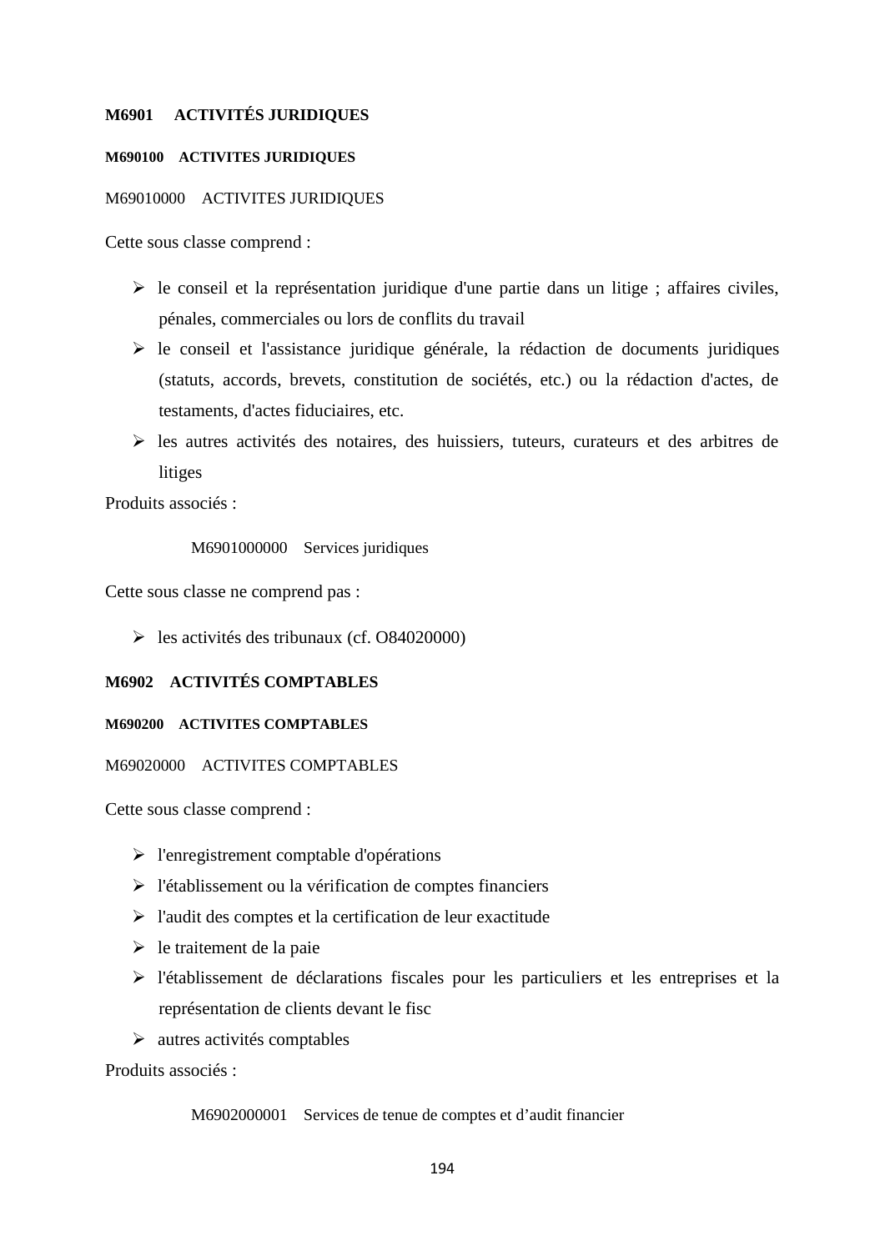### **M6901 ACTIVITÉS JURIDIQUES**

#### **M690100 ACTIVITES JURIDIQUES**

#### M69010000 ACTIVITES JURIDIQUES

Cette sous classe comprend :

- $\triangleright$  le conseil et la représentation juridique d'une partie dans un litige ; affaires civiles, pénales, commerciales ou lors de conflits du travail
- le conseil et l'assistance juridique générale, la rédaction de documents juridiques (statuts, accords, brevets, constitution de sociétés, etc.) ou la rédaction d'actes, de testaments, d'actes fiduciaires, etc.
- les autres activités des notaires, des huissiers, tuteurs, curateurs et des arbitres de litiges

Produits associés :

#### M6901000000 Services juridiques

Cette sous classe ne comprend pas :

 $\geq$  les activités des tribunaux (cf. O84020000)

# **M6902 ACTIVITÉS COMPTABLES**

#### **M690200 ACTIVITES COMPTABLES**

#### M69020000 ACTIVITES COMPTABLES

Cette sous classe comprend :

- l'enregistrement comptable d'opérations
- $\triangleright$  l'établissement ou la vérification de comptes financiers
- $\triangleright$  l'audit des comptes et la certification de leur exactitude
- $\triangleright$  le traitement de la paie
- l'établissement de déclarations fiscales pour les particuliers et les entreprises et la représentation de clients devant le fisc
- $\triangleright$  autres activités comptables

Produits associés :

M6902000001 Services de tenue de comptes et d'audit financier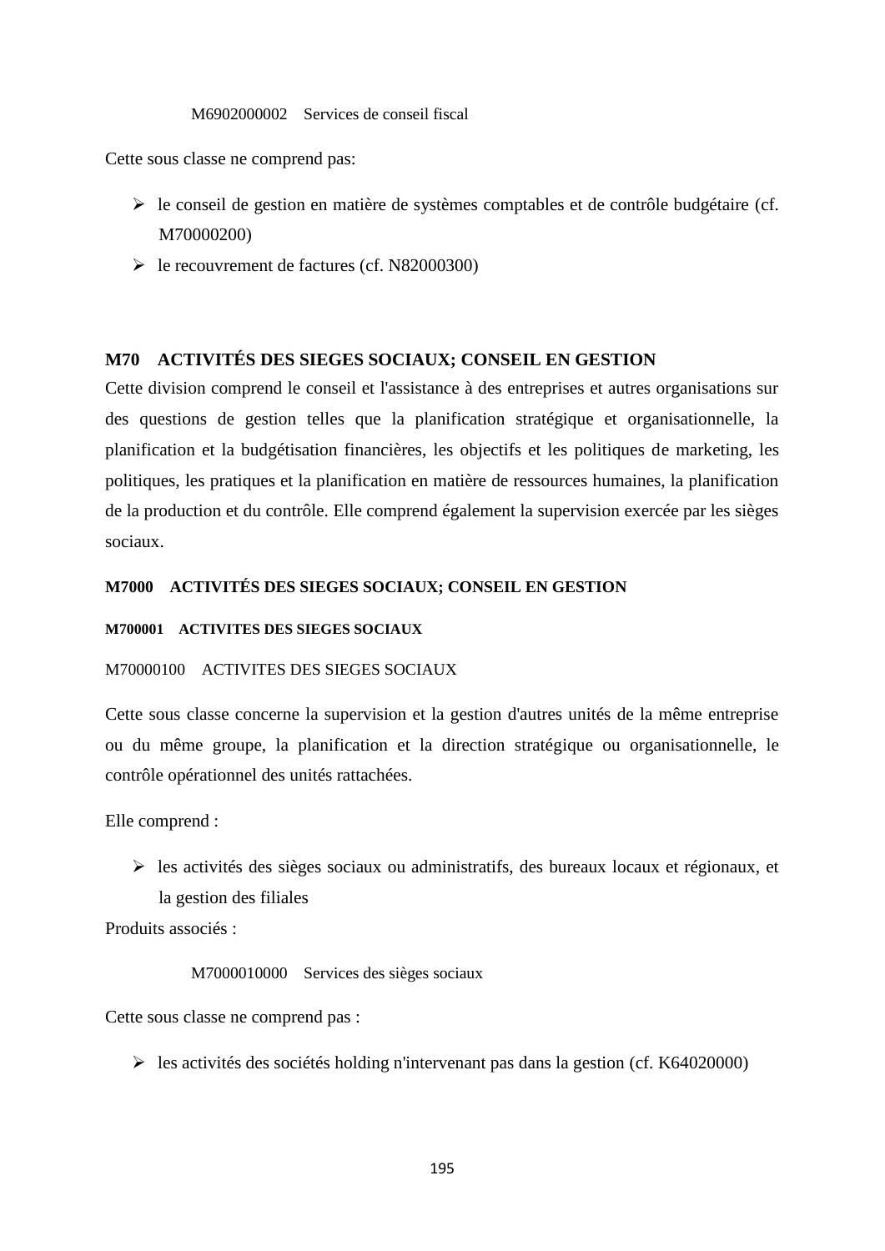#### M6902000002 Services de conseil fiscal

Cette sous classe ne comprend pas:

- $\triangleright$  le conseil de gestion en matière de systèmes comptables et de contrôle budgétaire (cf. M70000200)
- $\blacktriangleright$  le recouvrement de factures (cf. N82000300)

# **M70 ACTIVITÉS DES SIEGES SOCIAUX; CONSEIL EN GESTION**

Cette division comprend le conseil et l'assistance à des entreprises et autres organisations sur des questions de gestion telles que la planification stratégique et organisationnelle, la planification et la budgétisation financières, les objectifs et les politiques de marketing, les politiques, les pratiques et la planification en matière de ressources humaines, la planification de la production et du contrôle. Elle comprend également la supervision exercée par les sièges sociaux.

# **M7000 ACTIVITÉS DES SIEGES SOCIAUX; CONSEIL EN GESTION**

#### **M700001 ACTIVITES DES SIEGES SOCIAUX**

# M70000100 ACTIVITES DES SIEGES SOCIAUX

Cette sous classe concerne la supervision et la gestion d'autres unités de la même entreprise ou du même groupe, la planification et la direction stratégique ou organisationnelle, le contrôle opérationnel des unités rattachées.

Elle comprend :

 $\triangleright$  les activités des sièges sociaux ou administratifs, des bureaux locaux et régionaux, et la gestion des filiales

Produits associés :

M7000010000 Services des sièges sociaux

Cette sous classe ne comprend pas :

 $\triangleright$  les activités des sociétés holding n'intervenant pas dans la gestion (cf. K64020000)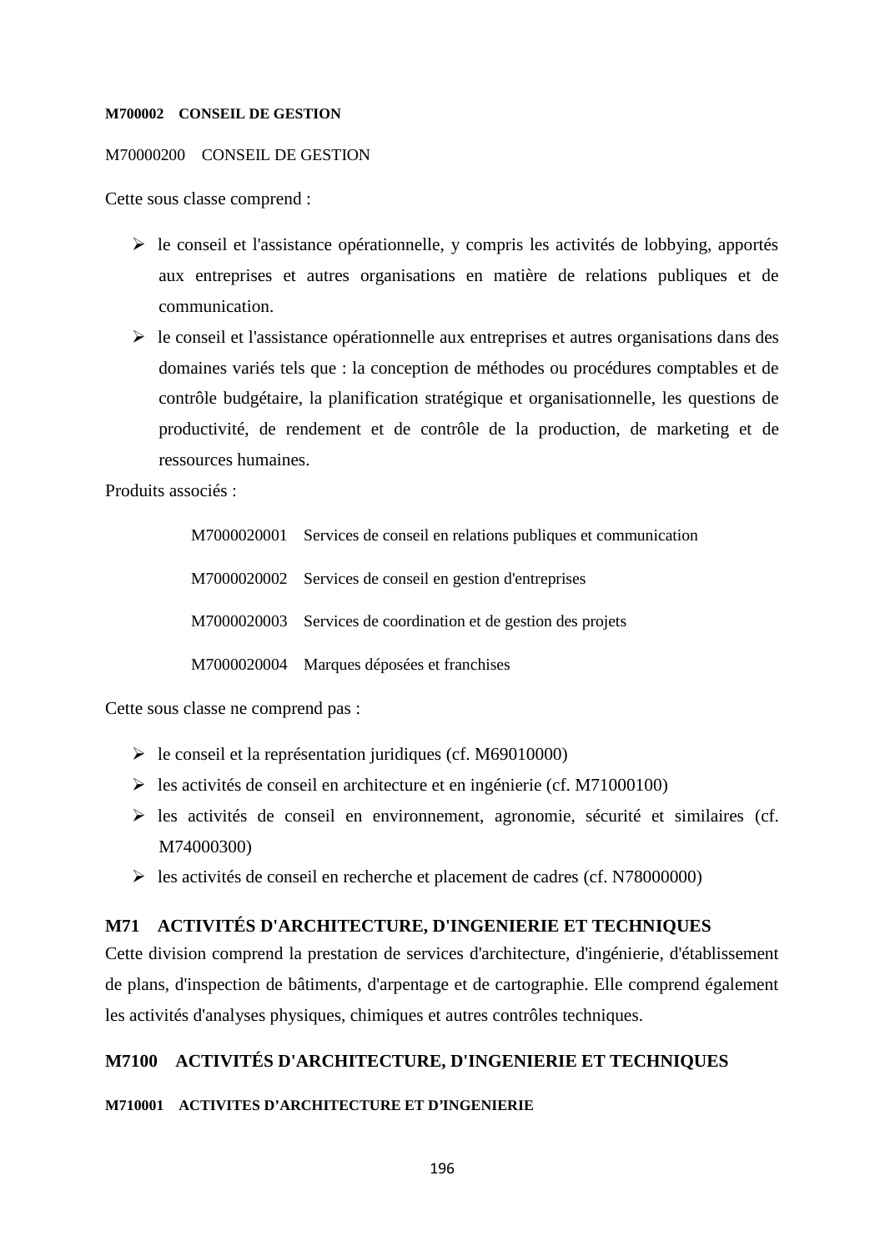#### **M700002 CONSEIL DE GESTION**

### M70000200 CONSEIL DE GESTION

Cette sous classe comprend :

- $\triangleright$  le conseil et l'assistance opérationnelle, y compris les activités de lobbying, apportés aux entreprises et autres organisations en matière de relations publiques et de communication.
- $\triangleright$  le conseil et l'assistance opérationnelle aux entreprises et autres organisations dans des domaines variés tels que : la conception de méthodes ou procédures comptables et de contrôle budgétaire, la planification stratégique et organisationnelle, les questions de productivité, de rendement et de contrôle de la production, de marketing et de ressources humaines.

Produits associés :

| M7000020001 Services de conseil en relations publiques et communication |
|-------------------------------------------------------------------------|
| M7000020002 Services de conseil en gestion d'entreprises                |
| M7000020003 Services de coordination et de gestion des projets          |
| M7000020004 Marques déposées et franchises                              |

Cette sous classe ne comprend pas :

- le conseil et la représentation juridiques (cf. M69010000)
- $\triangleright$  les activités de conseil en architecture et en ingénierie (cf. M71000100)
- les activités de conseil en environnement, agronomie, sécurité et similaires (cf. M74000300)
- $\triangleright$  les activités de conseil en recherche et placement de cadres (cf. N78000000)

# **M71 ACTIVITÉS D'ARCHITECTURE, D'INGENIERIE ET TECHNIQUES**

Cette division comprend la prestation de services d'architecture, d'ingénierie, d'établissement de plans, d'inspection de bâtiments, d'arpentage et de cartographie. Elle comprend également les activités d'analyses physiques, chimiques et autres contrôles techniques.

# **M7100 ACTIVITÉS D'ARCHITECTURE, D'INGENIERIE ET TECHNIQUES**

#### **M710001 ACTIVITES D'ARCHITECTURE ET D'INGENIERIE**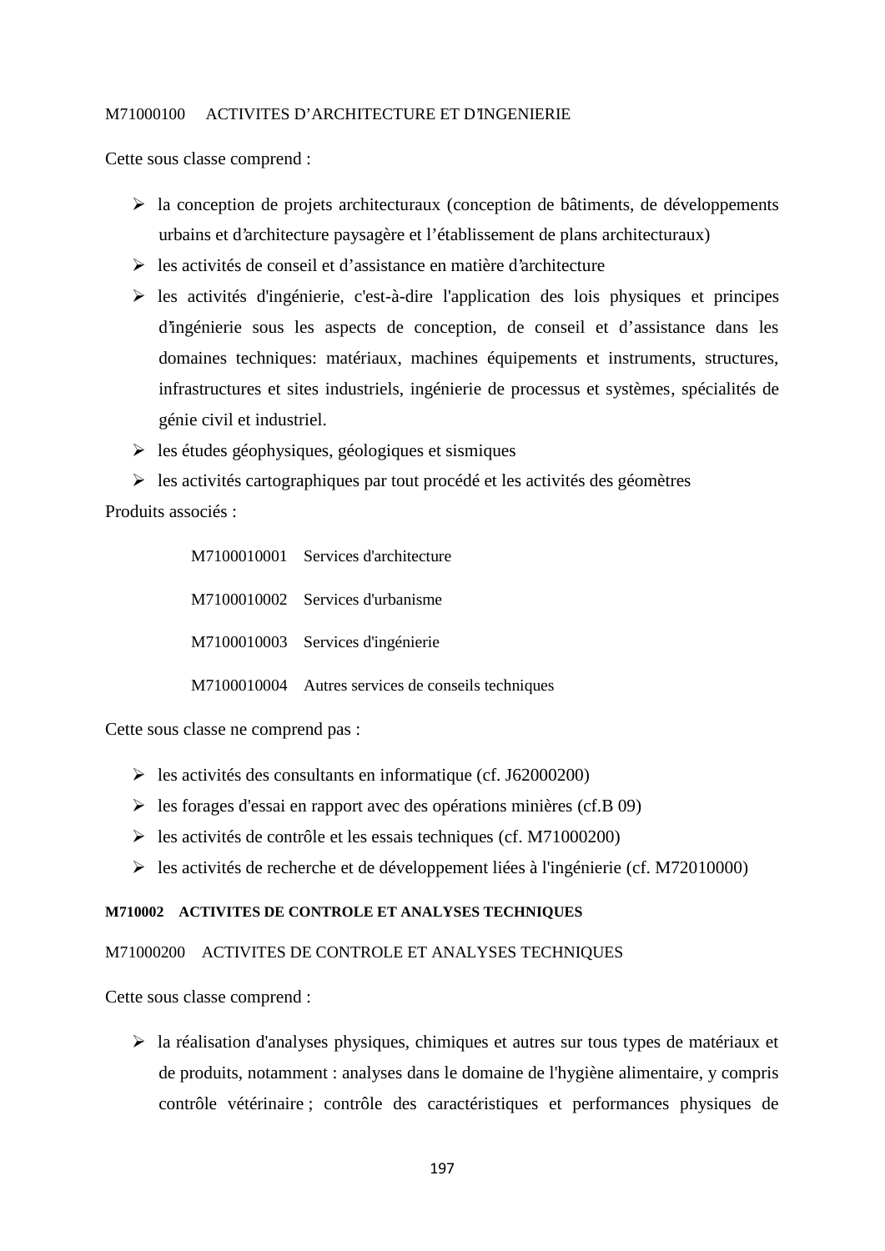#### M71000100 ACTIVITES D'ARCHITECTURE ET D'INGENIERIE

Cette sous classe comprend :

- $\triangleright$  la conception de projets architecturaux (conception de bâtiments, de développements urbains et d'architecture paysagère et l'établissement de plans architecturaux)
- $\triangleright$  les activités de conseil et d'assistance en matière d'architecture
- $\triangleright$  les activités d'ingénierie, c'est-à-dire l'application des lois physiques et principes d'ingénierie sous les aspects de conception, de conseil et d'assistance dans les domaines techniques: matériaux, machines équipements et instruments, structures, infrastructures et sites industriels, ingénierie de processus et systèmes, spécialités de génie civil et industriel.
- $\triangleright$  les études géophysiques, géologiques et sismiques
- $\triangleright$  les activités cartographiques par tout procédé et les activités des géomètres

Produits associés :

| M7100010001 Services d'architecture                |
|----------------------------------------------------|
| M7100010002 Services d'urbanisme                   |
| M7100010003 Services d'ingénierie                  |
| M7100010004 Autres services de conseils techniques |

Cette sous classe ne comprend pas :

- $\geq$  les activités des consultants en informatique (cf. J62000200)
- $\triangleright$  les forages d'essai en rapport avec des opérations minières (cf.B 09)
- $\blacktriangleright$  les activités de contrôle et les essais techniques (cf. M71000200)
- les activités de recherche et de développement liées à l'ingénierie (cf. M72010000)

# **M710002 ACTIVITES DE CONTROLE ET ANALYSES TECHNIQUES**

# M71000200 ACTIVITES DE CONTROLE ET ANALYSES TECHNIQUES

Cette sous classe comprend :

 $\triangleright$  la réalisation d'analyses physiques, chimiques et autres sur tous types de matériaux et de produits, notamment : analyses dans le domaine de l'hygiène alimentaire, y compris contrôle vétérinaire ; contrôle des caractéristiques et performances physiques de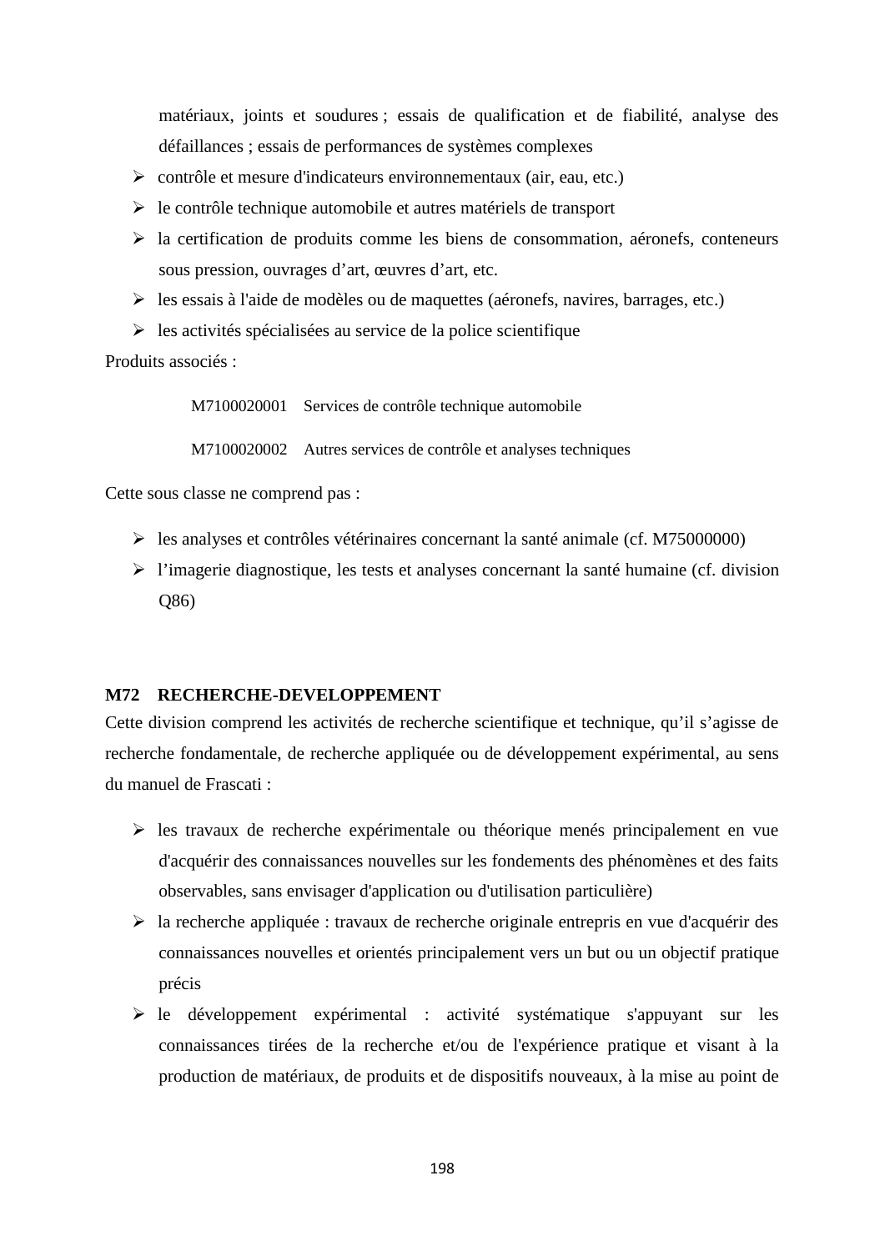matériaux, joints et soudures ; essais de qualification et de fiabilité, analyse des défaillances ; essais de performances de systèmes complexes

- contrôle et mesure d'indicateurs environnementaux (air, eau, etc.)
- $\triangleright$  le contrôle technique automobile et autres matériels de transport
- $\triangleright$  la certification de produits comme les biens de consommation, aéronefs, conteneurs sous pression, ouvrages d'art, œuvres d'art, etc.
- $\triangleright$  les essais à l'aide de modèles ou de maquettes (aéronefs, navires, barrages, etc.)
- $\triangleright$  les activités spécialisées au service de la police scientifique

Produits associés :

M7100020001 Services de contrôle technique automobile

M7100020002 Autres services de contrôle et analyses techniques

Cette sous classe ne comprend pas :

- $\triangleright$  les analyses et contrôles vétérinaires concernant la santé animale (cf. M75000000)
- $\triangleright$  l'imagerie diagnostique, les tests et analyses concernant la santé humaine (cf. division Q86)

#### **M72 RECHERCHE-DEVELOPPEMENT**

Cette division comprend les activités de recherche scientifique et technique, qu'il s'agisse de recherche fondamentale, de recherche appliquée ou de développement expérimental, au sens du manuel de Frascati :

- $\triangleright$  les travaux de recherche expérimentale ou théorique menés principalement en vue d'acquérir des connaissances nouvelles sur les fondements des phénomènes et des faits observables, sans envisager d'application ou d'utilisation particulière)
- la recherche appliquée : travaux de recherche originale entrepris en vue d'acquérir des connaissances nouvelles et orientés principalement vers un but ou un objectif pratique précis
- $\triangleright$  le développement expérimental : activité systématique s'appuyant sur les connaissances tirées de la recherche et/ou de l'expérience pratique et visant à la production de matériaux, de produits et de dispositifs nouveaux, à la mise au point de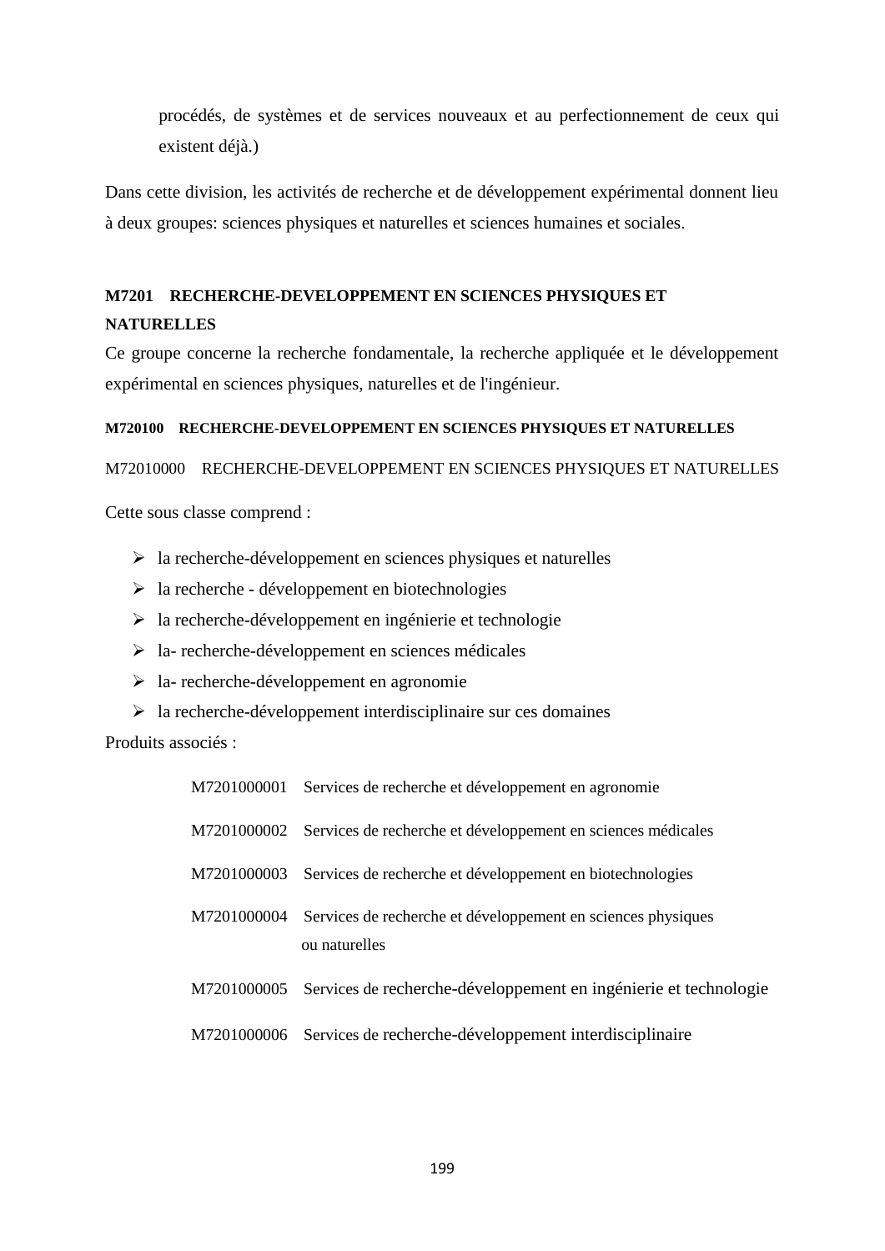procédés, de systèmes et de services nouveaux et au perfectionnement de ceux qui existent déjà.)

Dans cette division, les activités de recherche et de développement expérimental donnent lieu à deux groupes: sciences physiques et naturelles et sciences humaines et sociales.

# **M7201 RECHERCHE-DEVELOPPEMENT EN SCIENCES PHYSIQUES ET NATURELLES**

Ce groupe concerne la recherche fondamentale, la recherche appliquée et le développement expérimental en sciences physiques, naturelles et de l'ingénieur.

# **M720100 RECHERCHE-DEVELOPPEMENT EN SCIENCES PHYSIQUES ET NATURELLES**

M72010000 RECHERCHE-DEVELOPPEMENT EN SCIENCES PHYSIQUES ET NATURELLES

Cette sous classe comprend :

- $\triangleright$  la recherche-développement en sciences physiques et naturelles
- $\triangleright$  la recherche développement en biotechnologies
- $\triangleright$  la recherche-développement en ingénierie et technologie
- $\triangleright$  la- recherche-développement en sciences médicales
- $\geq$  la- recherche-développement en agronomie
- $\triangleright$  la recherche-développement interdisciplinaire sur ces domaines

Produits associés :

| M7201000001 Services de recherche et développement en agronomie                           |
|-------------------------------------------------------------------------------------------|
| M7201000002 Services de recherche et développement en sciences médicales                  |
| M7201000003 Services de recherche et développement en biotechnologies                     |
| M7201000004 Services de recherche et développement en sciences physiques<br>ou naturelles |
| M7201000005 Services de recherche-développement en ingénierie et technologie              |
| M7201000006 Services de recherche-développement interdisciplinaire                        |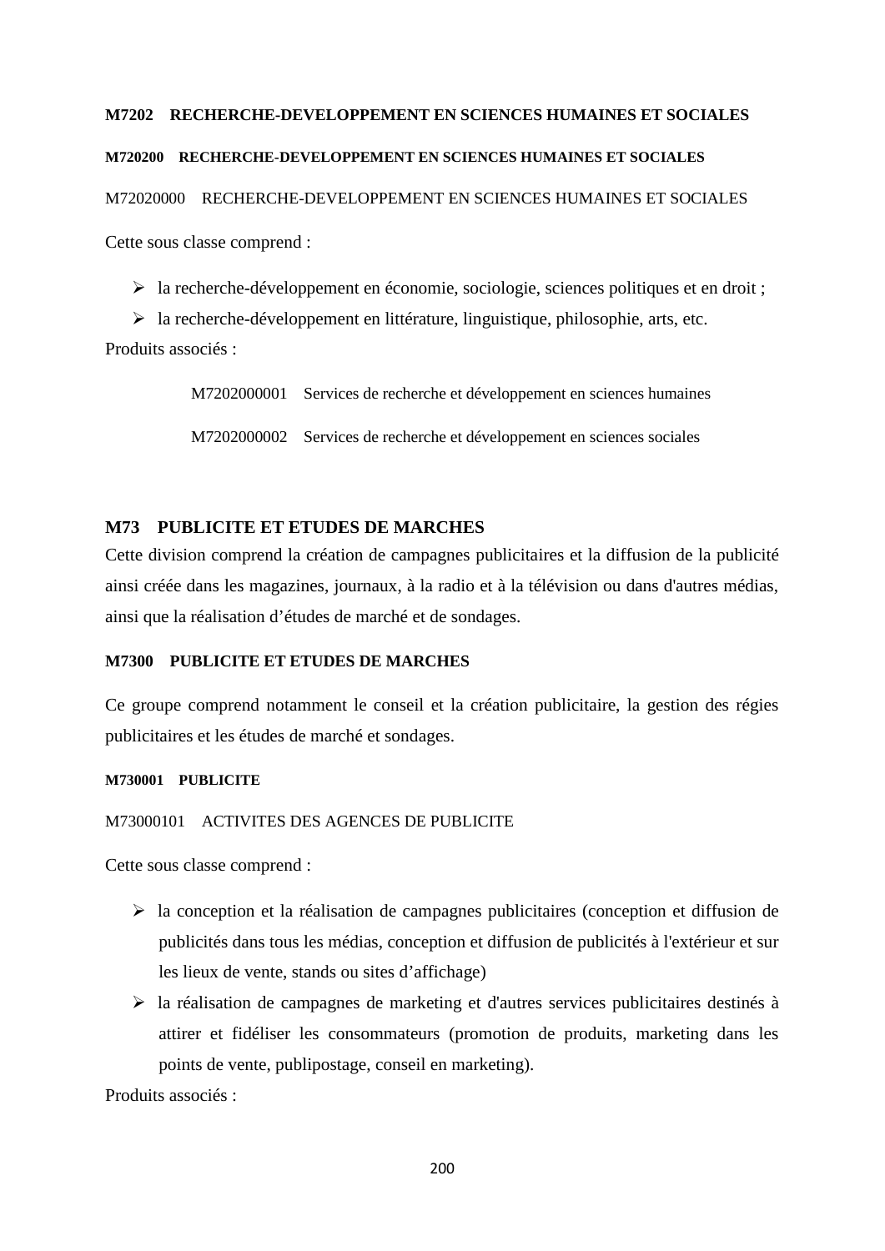### **M7202 RECHERCHE-DEVELOPPEMENT EN SCIENCES HUMAINES ET SOCIALES**

### **M720200 RECHERCHE-DEVELOPPEMENT EN SCIENCES HUMAINES ET SOCIALES**

M72020000 RECHERCHE-DEVELOPPEMENT EN SCIENCES HUMAINES ET SOCIALES

Cette sous classe comprend :

la recherche-développement en économie, sociologie, sciences politiques et en droit ;

 $\triangleright$  la recherche-développement en littérature, linguistique, philosophie, arts, etc.

Produits associés :

M7202000001 Services de recherche et développement en sciences humaines

M7202000002 Services de recherche et développement en sciences sociales

# **M73 PUBLICITE ET ETUDES DE MARCHES**

Cette division comprend la création de campagnes publicitaires et la diffusion de la publicité ainsi créée dans les magazines, journaux, à la radio et à la télévision ou dans d'autres médias, ainsi que la réalisation d'études de marché et de sondages.

# **M7300 PUBLICITE ET ETUDES DE MARCHES**

Ce groupe comprend notamment le conseil et la création publicitaire, la gestion des régies publicitaires et les études de marché et sondages.

#### **M730001 PUBLICITE**

# M73000101 ACTIVITES DES AGENCES DE PUBLICITE

Cette sous classe comprend :

- $\triangleright$  la conception et la réalisation de campagnes publicitaires (conception et diffusion de publicités dans tous les médias, conception et diffusion de publicités à l'extérieur et sur les lieux de vente, stands ou sites d'affichage)
- $\triangleright$  la réalisation de campagnes de marketing et d'autres services publicitaires destinés à attirer et fidéliser les consommateurs (promotion de produits, marketing dans les points de vente, publipostage, conseil en marketing).

Produits associés :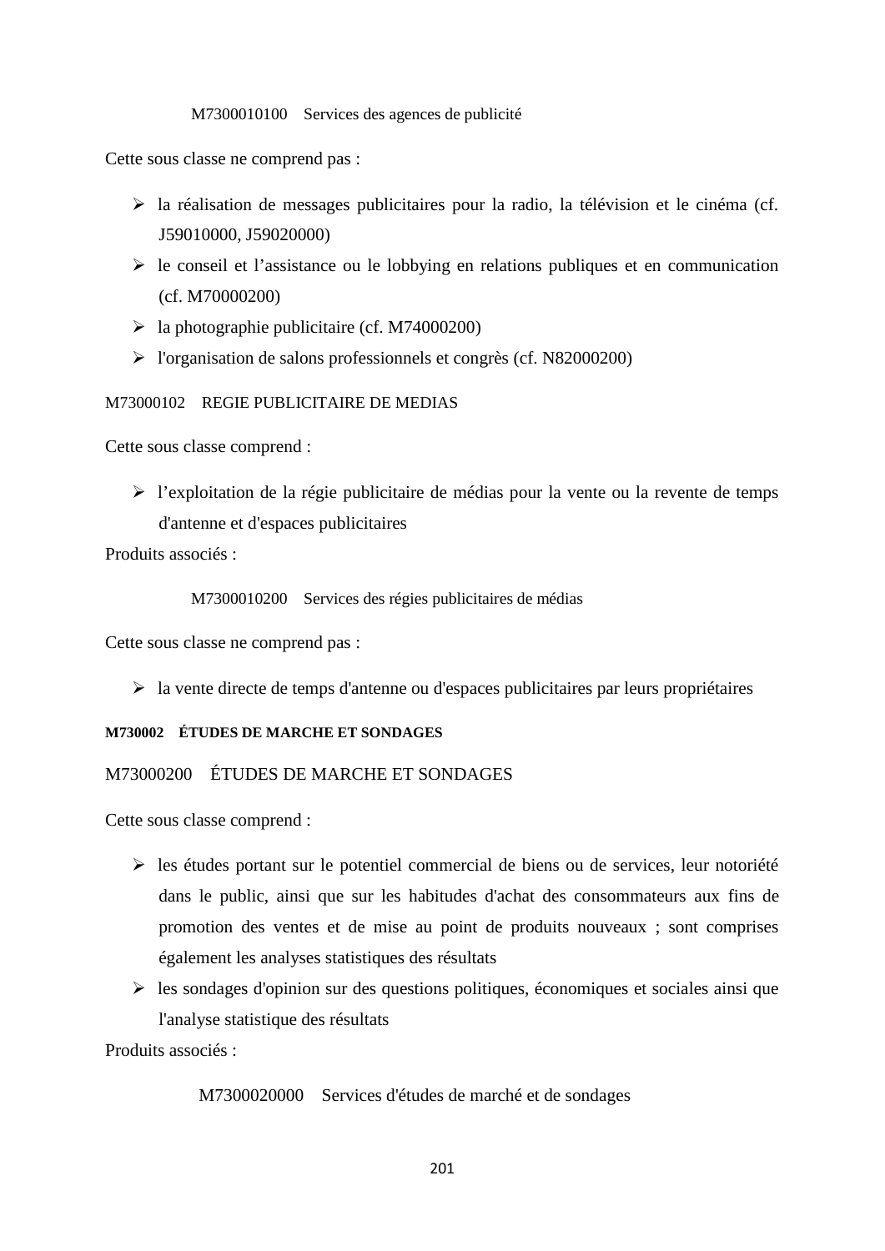#### M7300010100 Services des agences de publicité

Cette sous classe ne comprend pas :

- la réalisation de messages publicitaires pour la radio, la télévision et le cinéma (cf. J59010000, J59020000)
- $\triangleright$  le conseil et l'assistance ou le lobbying en relations publiques et en communication (cf. M70000200)
- $\blacktriangleright$  la photographie publicitaire (cf. M74000200)
- l'organisation de salons professionnels et congrès (cf. N82000200)

M73000102 REGIE PUBLICITAIRE DE MEDIAS

Cette sous classe comprend :

 l'exploitation de la régie publicitaire de médias pour la vente ou la revente de temps d'antenne et d'espaces publicitaires

Produits associés :

M7300010200 Services des régies publicitaires de médias

Cette sous classe ne comprend pas :

 $\triangleright$  la vente directe de temps d'antenne ou d'espaces publicitaires par leurs propriétaires

### **M730002 ÉTUDES DE MARCHE ET SONDAGES**

# M73000200 ÉTUDES DE MARCHE ET SONDAGES

Cette sous classe comprend :

- $\triangleright$  les études portant sur le potentiel commercial de biens ou de services, leur notoriété dans le public, ainsi que sur les habitudes d'achat des consommateurs aux fins de promotion des ventes et de mise au point de produits nouveaux ; sont comprises également les analyses statistiques des résultats
- $\triangleright$  les sondages d'opinion sur des questions politiques, économiques et sociales ainsi que l'analyse statistique des résultats

Produits associés :

M7300020000 Services d'études de marché et de sondages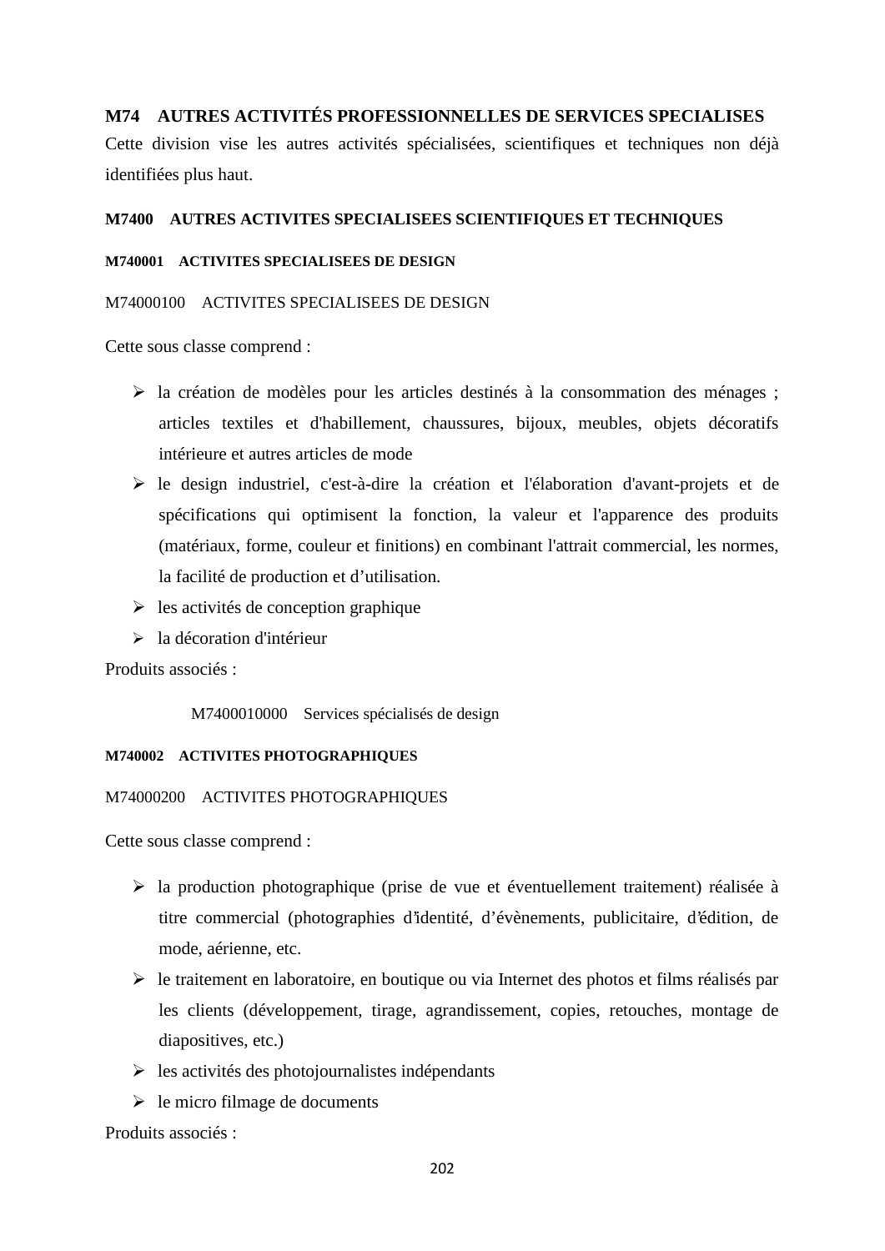# **M74 AUTRES ACTIVITÉS PROFESSIONNELLES DE SERVICES SPECIALISES**

Cette division vise les autres activités spécialisées, scientifiques et techniques non déjà identifiées plus haut.

### **M7400 AUTRES ACTIVITES SPECIALISEES SCIENTIFIQUES ET TECHNIQUES**

#### **M740001 ACTIVITES SPECIALISEES DE DESIGN**

### M74000100 ACTIVITES SPECIALISEES DE DESIGN

Cette sous classe comprend :

- $\triangleright$  la création de modèles pour les articles destinés à la consommation des ménages ; articles textiles et d'habillement, chaussures, bijoux, meubles, objets décoratifs intérieure et autres articles de mode
- le design industriel, c'est-à-dire la création et l'élaboration d'avant-projets et de spécifications qui optimisent la fonction, la valeur et l'apparence des produits (matériaux, forme, couleur et finitions) en combinant l'attrait commercial, les normes, la facilité de production et d'utilisation.
- $\geq$  les activités de conception graphique
- > la décoration d'intérieur

Produits associés :

M7400010000 Services spécialisés de design

#### **M740002 ACTIVITES PHOTOGRAPHIQUES**

#### M74000200 ACTIVITES PHOTOGRAPHIQUES

Cette sous classe comprend :

- $\triangleright$  la production photographique (prise de vue et éventuellement traitement) réalisée à titre commercial (photographies d'identité, d'évènements, publicitaire, d'édition, de mode, aérienne, etc.
- $\triangleright$  le traitement en laboratoire, en boutique ou via Internet des photos et films réalisés par les clients (développement, tirage, agrandissement, copies, retouches, montage de diapositives, etc.)
- $\triangleright$  les activités des photojournalistes indépendants
- $\triangleright$  le micro filmage de documents

Produits associés :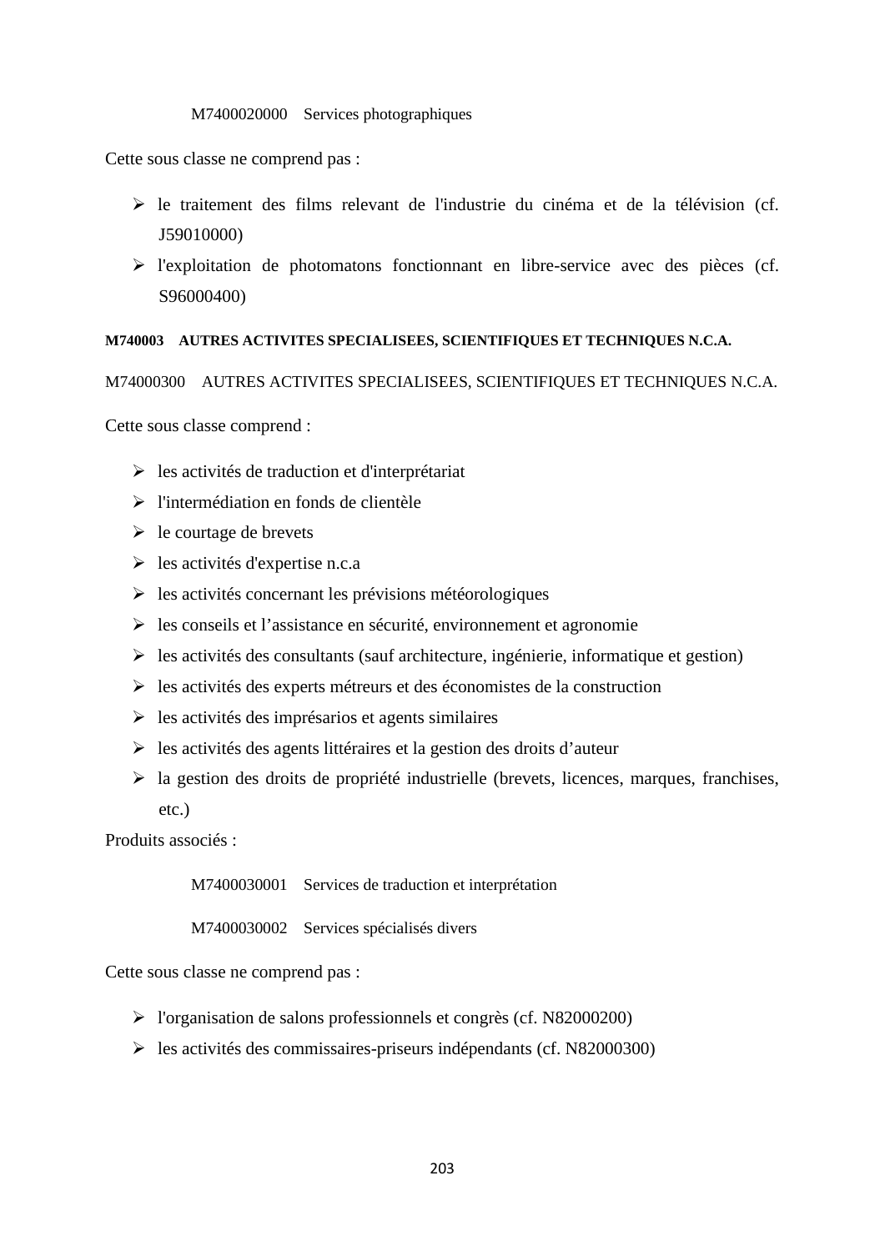#### M7400020000 Services photographiques

Cette sous classe ne comprend pas :

- $\triangleright$  le traitement des films relevant de l'industrie du cinéma et de la télévision (cf. J59010000)
- l'exploitation de photomatons fonctionnant en libre-service avec des pièces (cf. S96000400)

### **M740003 AUTRES ACTIVITES SPECIALISEES, SCIENTIFIQUES ET TECHNIQUES N.C.A.**

M74000300 AUTRES ACTIVITES SPECIALISEES, SCIENTIFIQUES ET TECHNIQUES N.C.A.

Cette sous classe comprend :

- $\triangleright$  les activités de traduction et d'interprétariat
- l'intermédiation en fonds de clientèle
- $\triangleright$  le courtage de brevets
- $\triangleright$  les activités d'expertise n.c.a
- $\triangleright$  les activités concernant les prévisions météorologiques
- $\triangleright$  les conseils et l'assistance en sécurité, environnement et agronomie
- $\triangleright$  les activités des consultants (sauf architecture, ingénierie, informatique et gestion)
- $\triangleright$  les activités des experts métreurs et des économistes de la construction
- $\triangleright$  les activités des imprésarios et agents similaires
- $\triangleright$  les activités des agents littéraires et la gestion des droits d'auteur
- $\triangleright$  la gestion des droits de propriété industrielle (brevets, licences, marques, franchises, etc.)

Produits associés :

M7400030001 Services de traduction et interprétation

M7400030002 Services spécialisés divers

Cette sous classe ne comprend pas :

- l'organisation de salons professionnels et congrès (cf. N82000200)
- $\blacktriangleright$  les activités des commissaires-priseurs indépendants (cf. N82000300)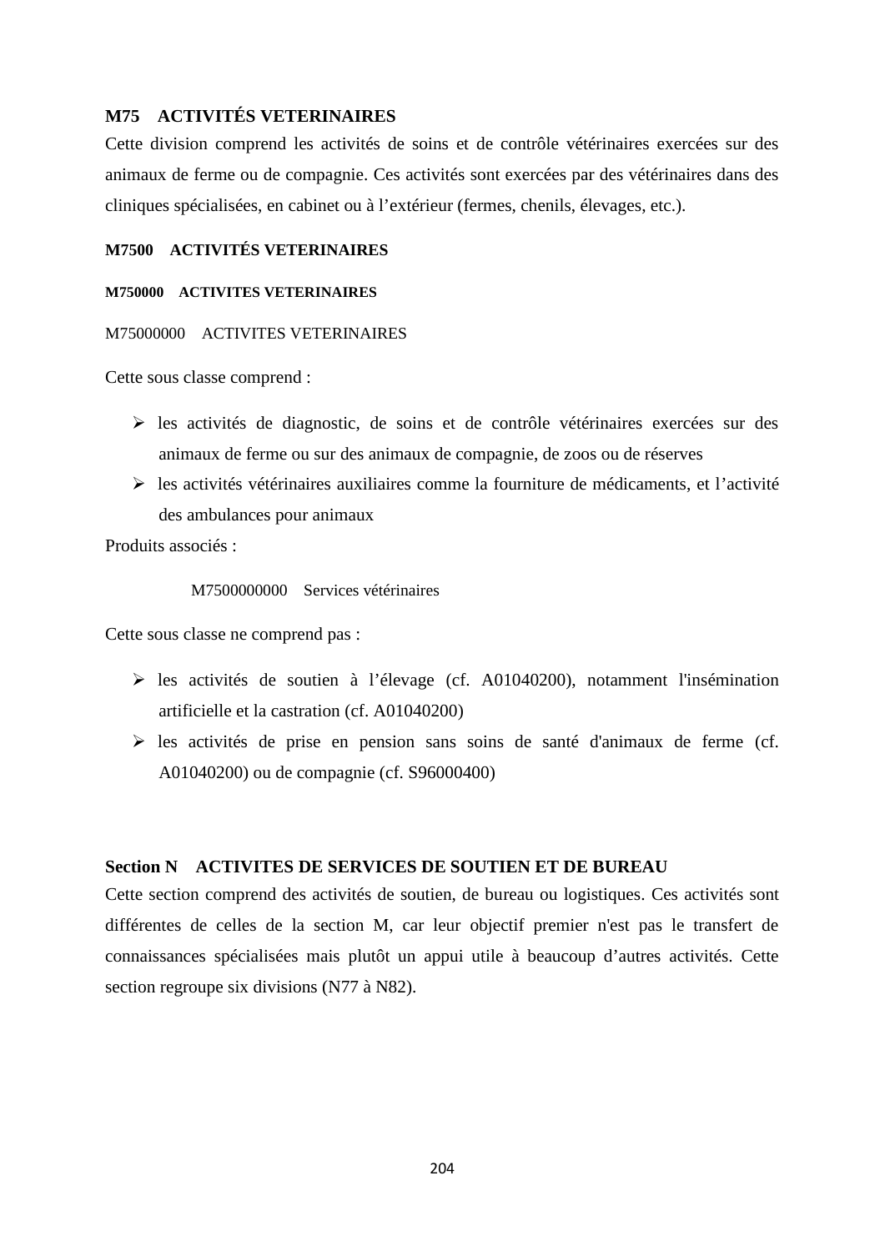# **M75 ACTIVITÉS VETERINAIRES**

Cette division comprend les activités de soins et de contrôle vétérinaires exercées sur des animaux de ferme ou de compagnie. Ces activités sont exercées par des vétérinaires dans des cliniques spécialisées, en cabinet ou à l'extérieur (fermes, chenils, élevages, etc.).

# **M7500 ACTIVITÉS VETERINAIRES**

#### **M750000 ACTIVITES VETERINAIRES**

#### M75000000 ACTIVITES VETERINAIRES

Cette sous classe comprend :

- $\triangleright$  les activités de diagnostic, de soins et de contrôle vétérinaires exercées sur des animaux de ferme ou sur des animaux de compagnie, de zoos ou de réserves
- $\triangleright$  les activités vétérinaires auxiliaires comme la fourniture de médicaments, et l'activité des ambulances pour animaux

Produits associés :

M7500000000 Services vétérinaires

Cette sous classe ne comprend pas :

- $\triangleright$  les activités de soutien à l'élevage (cf. A01040200), notamment l'insémination artificielle et la castration (cf. A01040200)
- $\triangleright$  les activités de prise en pension sans soins de santé d'animaux de ferme (cf. A01040200) ou de compagnie (cf. S96000400)

### **Section N ACTIVITES DE SERVICES DE SOUTIEN ET DE BUREAU**

Cette section comprend des activités de soutien, de bureau ou logistiques. Ces activités sont différentes de celles de la section M, car leur objectif premier n'est pas le transfert de connaissances spécialisées mais plutôt un appui utile à beaucoup d'autres activités. Cette section regroupe six divisions (N77 à N82).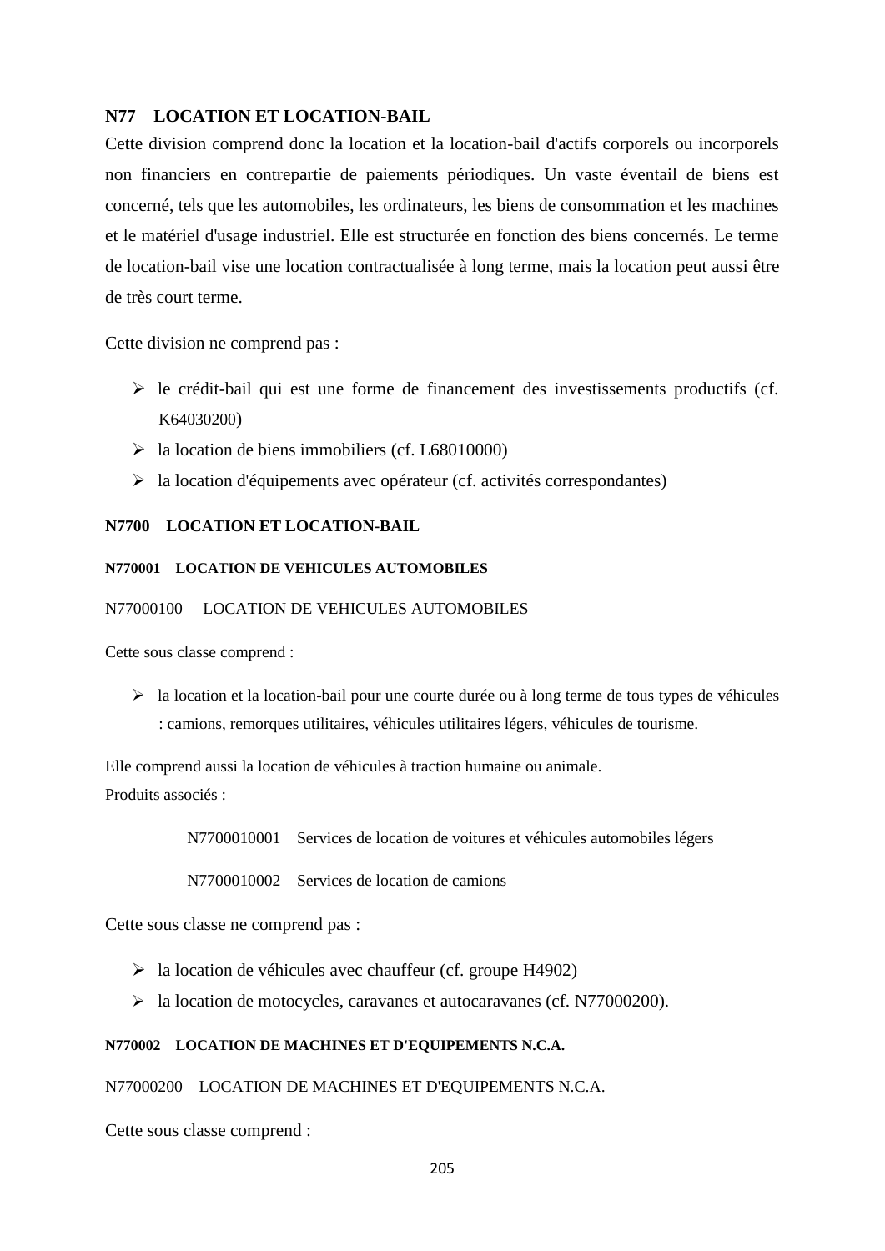### **N77 LOCATION ET LOCATION-BAIL**

Cette division comprend donc la location et la location-bail d'actifs corporels ou incorporels non financiers en contrepartie de paiements périodiques. Un vaste éventail de biens est concerné, tels que les automobiles, les ordinateurs, les biens de consommation et les machines et le matériel d'usage industriel. Elle est structurée en fonction des biens concernés. Le terme de location-bail vise une location contractualisée à long terme, mais la location peut aussi être de très court terme.

Cette division ne comprend pas :

- $\triangleright$  le crédit-bail qui est une forme de financement des investissements productifs (cf. K64030200)
- $\blacktriangleright$  la location de biens immobiliers (cf. L68010000)
- $\triangleright$  la location d'équipements avec opérateur (cf. activités correspondantes)

#### **N7700 LOCATION ET LOCATION-BAIL**

#### **N770001 LOCATION DE VEHICULES AUTOMOBILES**

#### N77000100 LOCATION DE VEHICULES AUTOMOBILES

Cette sous classe comprend :

 $\triangleright$  la location et la location-bail pour une courte durée ou à long terme de tous types de véhicules : camions, remorques utilitaires, véhicules utilitaires légers, véhicules de tourisme.

Elle comprend aussi la location de véhicules à traction humaine ou animale. Produits associés :

N7700010001 Services de location de voitures et véhicules automobiles légers

N7700010002 Services de location de camions

Cette sous classe ne comprend pas :

- $\triangleright$  la location de véhicules avec chauffeur (cf. groupe H4902)
- la location de motocycles, caravanes et autocaravanes (cf. N77000200).

#### **N770002 LOCATION DE MACHINES ET D'EQUIPEMENTS N.C.A.**

#### N77000200 LOCATION DE MACHINES ET D'EQUIPEMENTS N.C.A.

Cette sous classe comprend :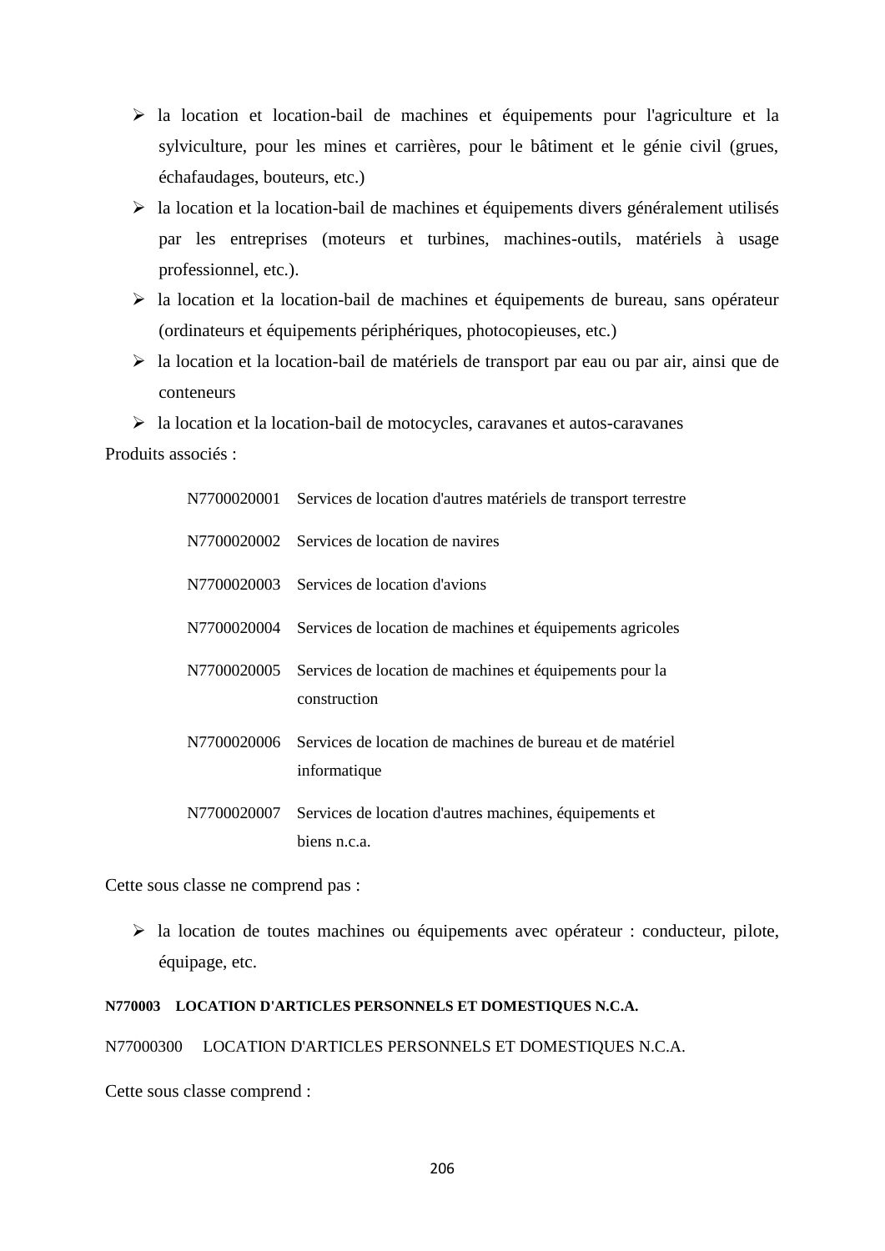- la location et location-bail de machines et équipements pour l'agriculture et la sylviculture, pour les mines et carrières, pour le bâtiment et le génie civil (grues, échafaudages, bouteurs, etc.)
- la location et la location-bail de machines et équipements divers généralement utilisés par les entreprises (moteurs et turbines, machines-outils, matériels à usage professionnel, etc.).
- $\triangleright$  la location et la location-bail de machines et équipements de bureau, sans opérateur (ordinateurs et équipements périphériques, photocopieuses, etc.)
- $\triangleright$  la location et la location-bail de matériels de transport par eau ou par air, ainsi que de conteneurs
- $\triangleright$  la location et la location-bail de motocycles, caravanes et autos-caravanes

Produits associés :

| N7700020001 Services de location d'autres matériels de transport terrestre            |
|---------------------------------------------------------------------------------------|
| N7700020002 Services de location de navires                                           |
| N7700020003 Services de location d'avions                                             |
| N7700020004 Services de location de machines et équipements agricoles                 |
| N7700020005 Services de location de machines et équipements pour la<br>construction   |
| N7700020006 Services de location de machines de bureau et de matériel<br>informatique |
| N7700020007 Services de location d'autres machines, équipements et<br>biens n.c.a.    |

Cette sous classe ne comprend pas :

 la location de toutes machines ou équipements avec opérateur : conducteur, pilote, équipage, etc.

### **N770003 LOCATION D'ARTICLES PERSONNELS ET DOMESTIQUES N.C.A.**

N77000300 LOCATION D'ARTICLES PERSONNELS ET DOMESTIQUES N.C.A.

Cette sous classe comprend :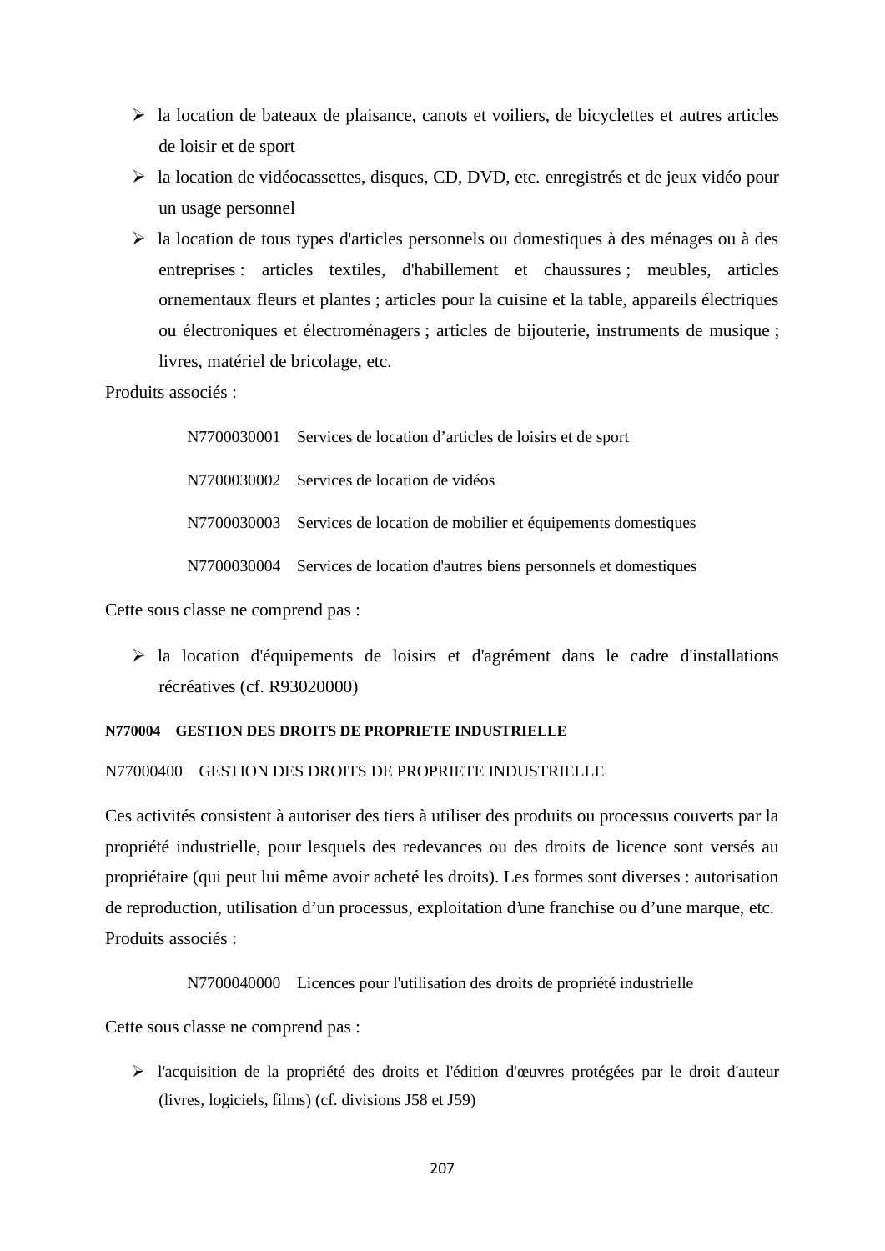- $\triangleright$  la location de bateaux de plaisance, canots et voiliers, de bicyclettes et autres articles de loisir et de sport
- la location de vidéocassettes, disques, CD, DVD, etc. enregistrés et de jeux vidéo pour un usage personnel
- la location de tous types d'articles personnels ou domestiques à des ménages ou à des entreprises : articles textiles, d'habillement et chaussures ; meubles, articles ornementaux fleurs et plantes ; articles pour la cuisine et la table, appareils électriques ou électroniques et électroménagers ; articles de bijouterie, instruments de musique ; livres, matériel de bricolage, etc.

Produits associés :

N7700030001 Services de location d'articles de loisirs et de sport N7700030002 Services de location de vidéos N7700030003 Services de location de mobilier et équipements domestiques N7700030004 Services de location d'autres biens personnels et domestiques

Cette sous classe ne comprend pas :

 $\triangleright$  la location d'équipements de loisirs et d'agrément dans le cadre d'installations récréatives (cf. R93020000)

#### **N770004 GESTION DES DROITS DE PROPRIETE INDUSTRIELLE**

#### N77000400 GESTION DES DROITS DE PROPRIETE INDUSTRIELLE

Ces activités consistent à autoriser des tiers à utiliser des produits ou processus couverts par la propriété industrielle, pour lesquels des redevances ou des droits de licence sont versés au propriétaire (qui peut lui même avoir acheté les droits). Les formes sont diverses : autorisation de reproduction, utilisation d'un processus, exploitation d'une franchise ou d'une marque, etc. Produits associés :

N7700040000 Licences pour l'utilisation des droits de propriété industrielle

Cette sous classe ne comprend pas :

 l'acquisition de la propriété des droits et l'édition d'œuvres protégées par le droit d'auteur (livres, logiciels, films) (cf. divisions J58 et J59)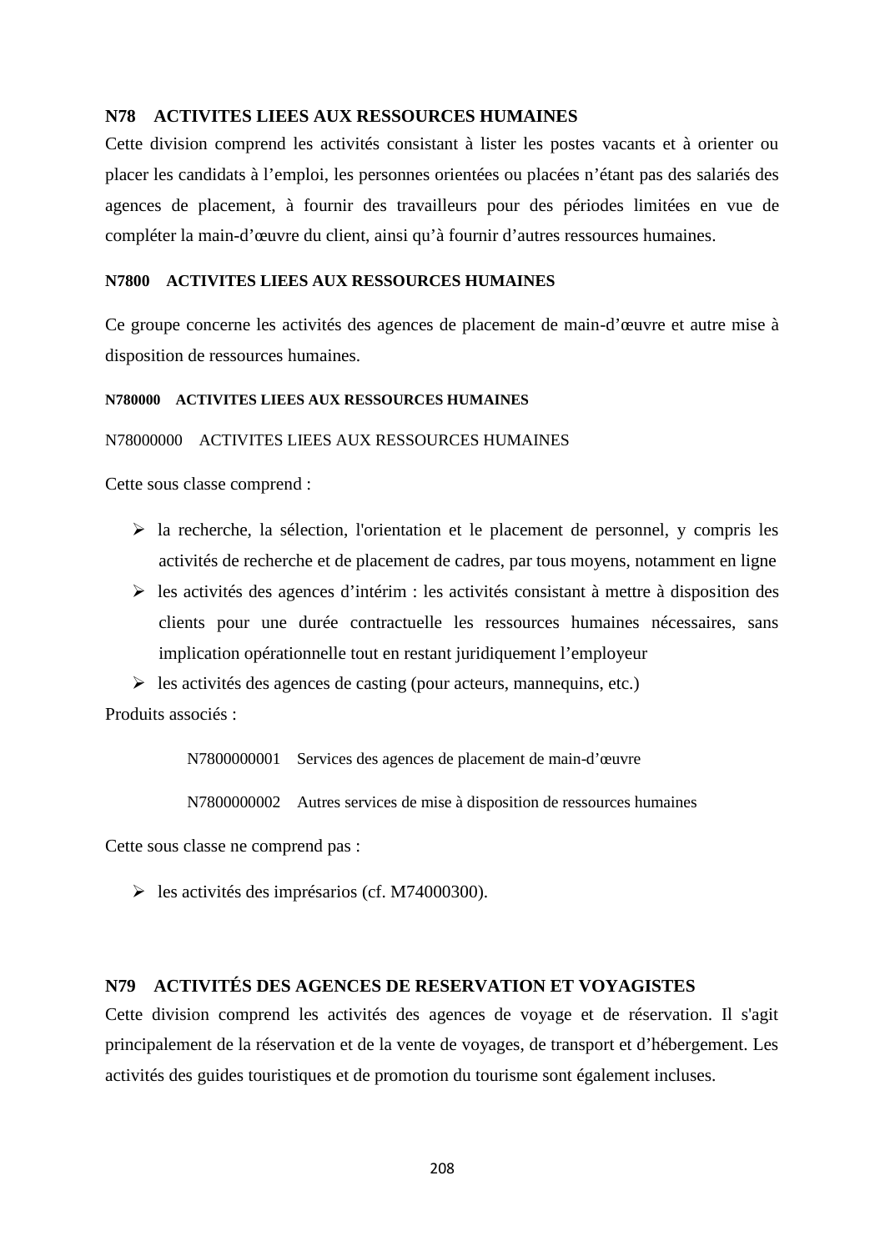#### **N78 ACTIVITES LIEES AUX RESSOURCES HUMAINES**

Cette division comprend les activités consistant à lister les postes vacants et à orienter ou placer les candidats à l'emploi, les personnes orientées ou placées n'étant pas des salariés des agences de placement, à fournir des travailleurs pour des périodes limitées en vue de compléter la main-d'œuvre du client, ainsi qu'à fournir d'autres ressources humaines.

#### **N7800 ACTIVITES LIEES AUX RESSOURCES HUMAINES**

Ce groupe concerne les activités des agences de placement de main-d'œuvre et autre mise à disposition de ressources humaines.

#### **N780000 ACTIVITES LIEES AUX RESSOURCES HUMAINES**

#### N78000000 ACTIVITES LIEES AUX RESSOURCES HUMAINES

Cette sous classe comprend :

- $\triangleright$  la recherche, la sélection, l'orientation et le placement de personnel, y compris les activités de recherche et de placement de cadres, par tous moyens, notamment en ligne
- $\triangleright$  les activités des agences d'intérim : les activités consistant à mettre à disposition des clients pour une durée contractuelle les ressources humaines nécessaires, sans implication opérationnelle tout en restant juridiquement l'employeur
- $\triangleright$  les activités des agences de casting (pour acteurs, mannequins, etc.)

Produits associés :

N7800000001 Services des agences de placement de main-d'œuvre

N7800000002 Autres services de mise à disposition de ressources humaines

Cette sous classe ne comprend pas :

 $\blacktriangleright$  les activités des imprésarios (cf. M74000300).

# **N79 ACTIVITÉS DES AGENCES DE RESERVATION ET VOYAGISTES**

Cette division comprend les activités des agences de voyage et de réservation. Il s'agit principalement de la réservation et de la vente de voyages, de transport et d'hébergement. Les activités des guides touristiques et de promotion du tourisme sont également incluses.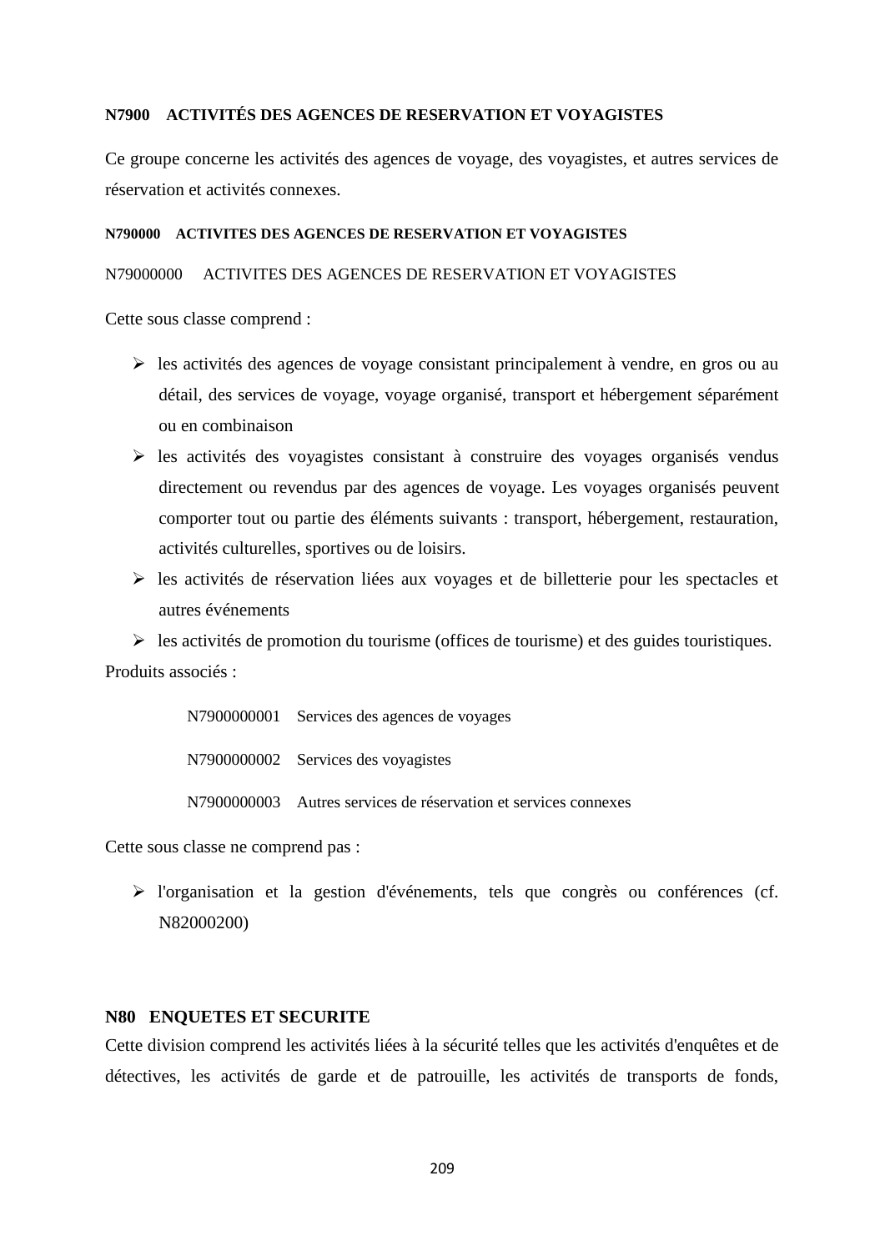### **N7900 ACTIVITÉS DES AGENCES DE RESERVATION ET VOYAGISTES**

Ce groupe concerne les activités des agences de voyage, des voyagistes, et autres services de réservation et activités connexes.

#### **N790000 ACTIVITES DES AGENCES DE RESERVATION ET VOYAGISTES**

#### N79000000 ACTIVITES DES AGENCES DE RESERVATION ET VOYAGISTES

Cette sous classe comprend :

- les activités des agences de voyage consistant principalement à vendre, en gros ou au détail, des services de voyage, voyage organisé, transport et hébergement séparément ou en combinaison
- $\triangleright$  les activités des voyagistes consistant à construire des voyages organisés vendus directement ou revendus par des agences de voyage. Les voyages organisés peuvent comporter tout ou partie des éléments suivants : transport, hébergement, restauration, activités culturelles, sportives ou de loisirs.
- les activités de réservation liées aux voyages et de billetterie pour les spectacles et autres événements

 $\triangleright$  les activités de promotion du tourisme (offices de tourisme) et des guides touristiques. Produits associés :

N7900000001 Services des agences de voyages

N7900000002 Services des voyagistes

N7900000003 Autres services de réservation et services connexes

Cette sous classe ne comprend pas :

 l'organisation et la gestion d'événements, tels que congrès ou conférences (cf. N82000200)

# **N80 ENQUETES ET SECURITE**

Cette division comprend les activités liées à la sécurité telles que les activités d'enquêtes et de détectives, les activités de garde et de patrouille, les activités de transports de fonds,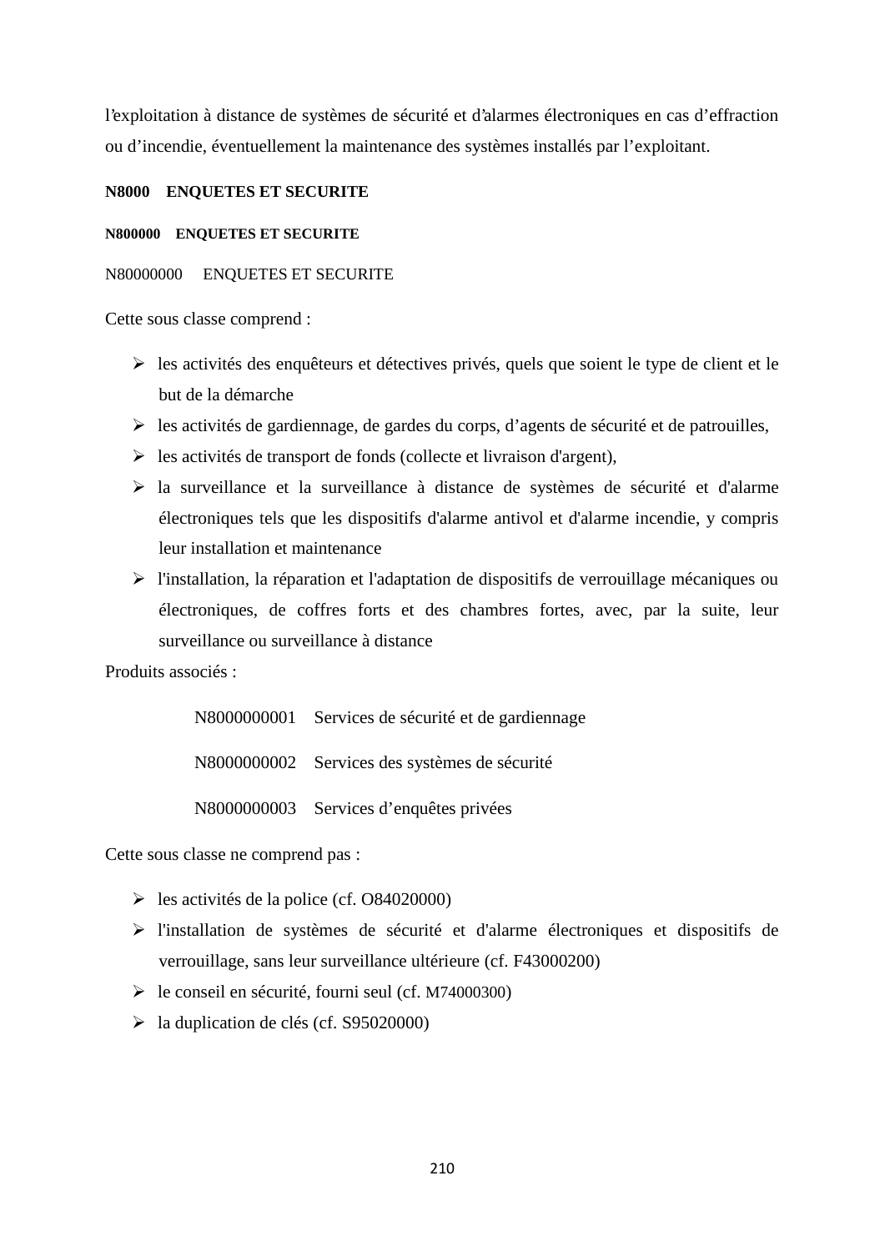l'exploitation à distance de systèmes de sécurité et d'alarmes électroniques en cas d'effraction ou d'incendie, éventuellement la maintenance des systèmes installés par l'exploitant.

# **N8000 ENQUETES ET SECURITE**

#### **N800000 ENQUETES ET SECURITE**

### N80000000 ENQUETES ET SECURITE

Cette sous classe comprend :

- $\triangleright$  les activités des enquêteurs et détectives privés, quels que soient le type de client et le but de la démarche
- $\triangleright$  les activités de gardiennage, de gardes du corps, d'agents de sécurité et de patrouilles,
- $\triangleright$  les activités de transport de fonds (collecte et livraison d'argent),
- $\triangleright$  la surveillance et la surveillance à distance de systèmes de sécurité et d'alarme électroniques tels que les dispositifs d'alarme antivol et d'alarme incendie, y compris leur installation et maintenance
- l'installation, la réparation et l'adaptation de dispositifs de verrouillage mécaniques ou électroniques, de coffres forts et des chambres fortes, avec, par la suite, leur surveillance ou surveillance à distance

Produits associés :

N8000000001 Services de sécurité et de gardiennage N8000000002 Services des systèmes de sécurité N8000000003 Services d'enquêtes privées

Cette sous classe ne comprend pas :

- $\blacktriangleright$  les activités de la police (cf. O84020000)
- l'installation de systèmes de sécurité et d'alarme électroniques et dispositifs de verrouillage, sans leur surveillance ultérieure (cf. F43000200)
- le conseil en sécurité, fourni seul (cf. M74000300)
- $\blacktriangleright$  la duplication de clés (cf. S95020000)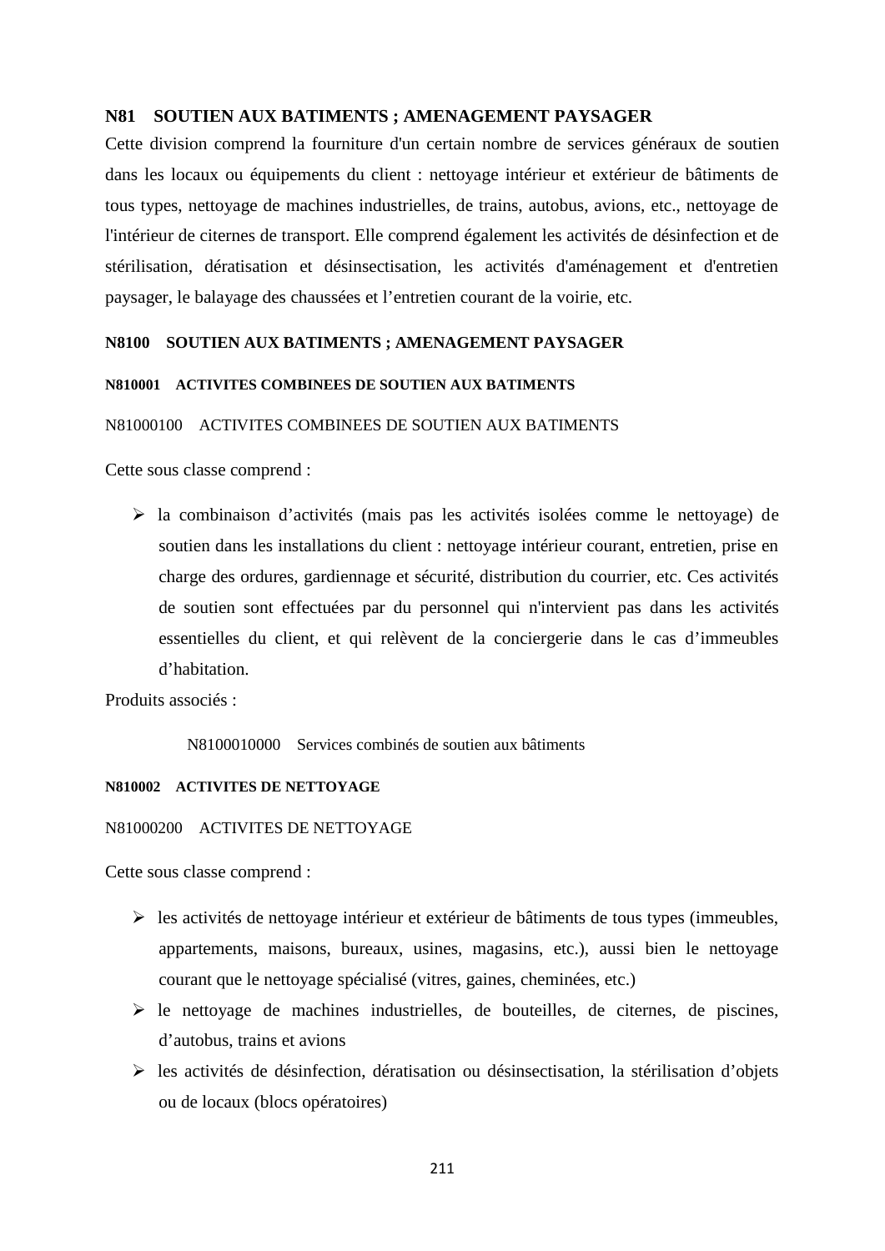### **N81 SOUTIEN AUX BATIMENTS ; AMENAGEMENT PAYSAGER**

Cette division comprend la fourniture d'un certain nombre de services généraux de soutien dans les locaux ou équipements du client : nettoyage intérieur et extérieur de bâtiments de tous types, nettoyage de machines industrielles, de trains, autobus, avions, etc., nettoyage de l'intérieur de citernes de transport. Elle comprend également les activités de désinfection et de stérilisation, dératisation et désinsectisation, les activités d'aménagement et d'entretien paysager, le balayage des chaussées et l'entretien courant de la voirie, etc.

#### **N8100 SOUTIEN AUX BATIMENTS ; AMENAGEMENT PAYSAGER**

#### **N810001 ACTIVITES COMBINEES DE SOUTIEN AUX BATIMENTS**

### N81000100 ACTIVITES COMBINEES DE SOUTIEN AUX BATIMENTS

Cette sous classe comprend :

 la combinaison d'activités (mais pas les activités isolées comme le nettoyage) de soutien dans les installations du client : nettoyage intérieur courant, entretien, prise en charge des ordures, gardiennage et sécurité, distribution du courrier, etc. Ces activités de soutien sont effectuées par du personnel qui n'intervient pas dans les activités essentielles du client, et qui relèvent de la conciergerie dans le cas d'immeubles d'habitation.

Produits associés :

N8100010000 Services combinés de soutien aux bâtiments

#### **N810002 ACTIVITES DE NETTOYAGE**

#### N81000200 ACTIVITES DE NETTOYAGE

Cette sous classe comprend :

- $\triangleright$  les activités de nettoyage intérieur et extérieur de bâtiments de tous types (immeubles, appartements, maisons, bureaux, usines, magasins, etc.), aussi bien le nettoyage courant que le nettoyage spécialisé (vitres, gaines, cheminées, etc.)
- $\triangleright$  le nettoyage de machines industrielles, de bouteilles, de citernes, de piscines, d'autobus, trains et avions
- $\triangleright$  les activités de désinfection, dératisation ou désinsectisation, la stérilisation d'objets ou de locaux (blocs opératoires)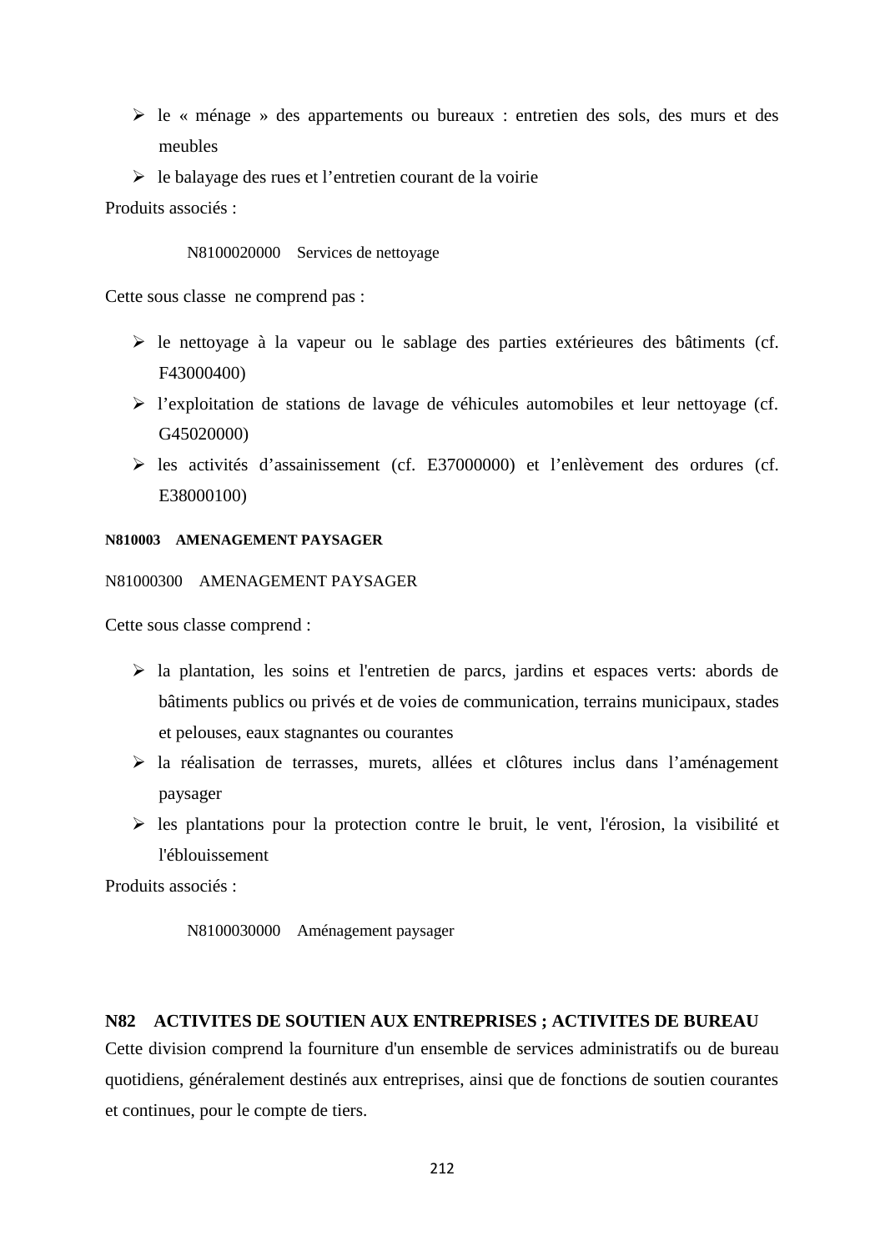- le « ménage » des appartements ou bureaux : entretien des sols, des murs et des meubles
- $\triangleright$  le balayage des rues et l'entretien courant de la voirie

Produits associés :

#### N8100020000 Services de nettoyage

Cette sous classe ne comprend pas :

- $\triangleright$  le nettoyage à la vapeur ou le sablage des parties extérieures des bâtiments (cf. F43000400)
- l'exploitation de stations de lavage de véhicules automobiles et leur nettoyage (cf. G45020000)
- les activités d'assainissement (cf. E37000000) et l'enlèvement des ordures (cf. E38000100)

#### **N810003 AMENAGEMENT PAYSAGER**

N81000300 AMENAGEMENT PAYSAGER

Cette sous classe comprend :

- la plantation, les soins et l'entretien de parcs, jardins et espaces verts: abords de bâtiments publics ou privés et de voies de communication, terrains municipaux, stades et pelouses, eaux stagnantes ou courantes
- la réalisation de terrasses, murets, allées et clôtures inclus dans l'aménagement paysager
- $\triangleright$  les plantations pour la protection contre le bruit, le vent, l'érosion, la visibilité et l'éblouissement

Produits associés :

```
N8100030000 Aménagement paysager
```
# **N82 ACTIVITES DE SOUTIEN AUX ENTREPRISES ; ACTIVITES DE BUREAU**

Cette division comprend la fourniture d'un ensemble de services administratifs ou de bureau quotidiens, généralement destinés aux entreprises, ainsi que de fonctions de soutien courantes et continues, pour le compte de tiers.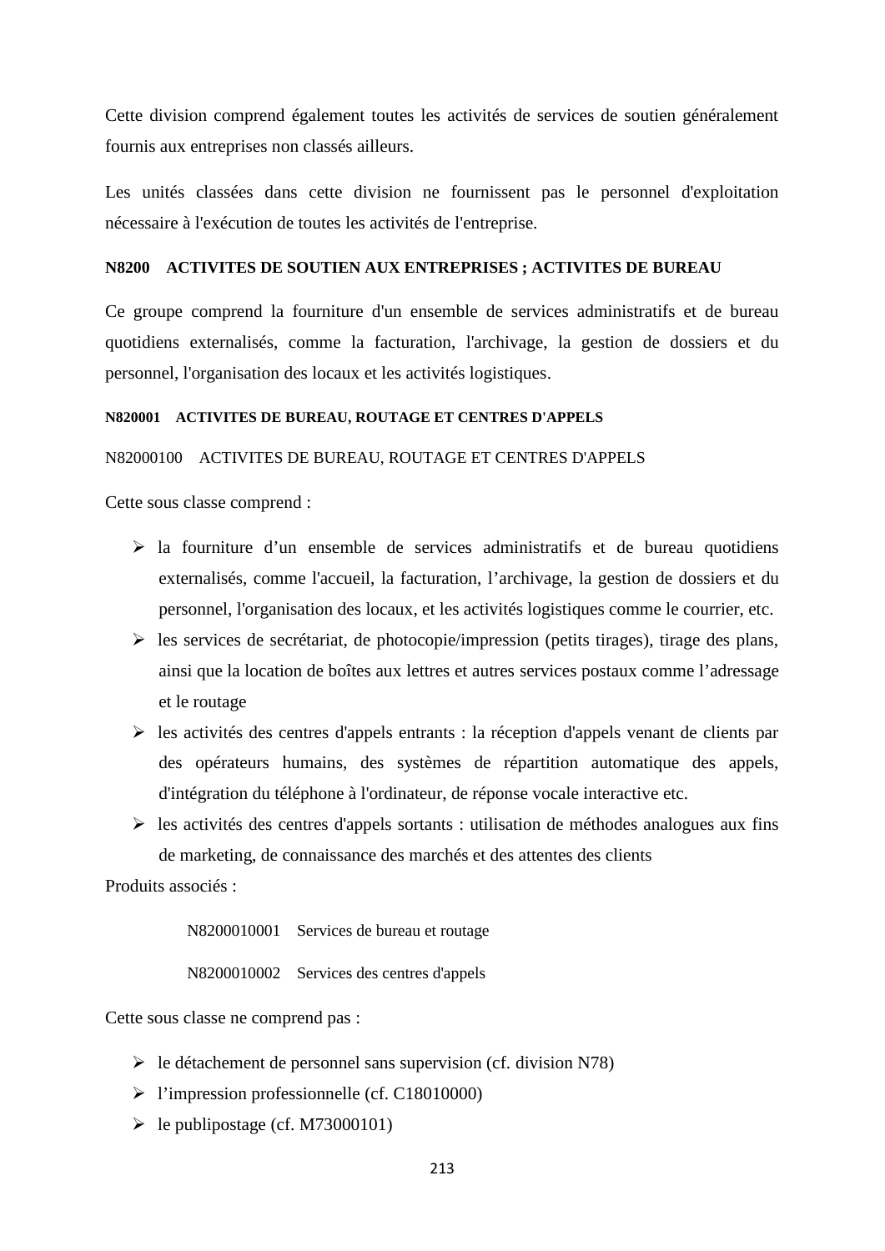Cette division comprend également toutes les activités de services de soutien généralement fournis aux entreprises non classés ailleurs.

Les unités classées dans cette division ne fournissent pas le personnel d'exploitation nécessaire à l'exécution de toutes les activités de l'entreprise.

#### **N8200 ACTIVITES DE SOUTIEN AUX ENTREPRISES ; ACTIVITES DE BUREAU**

Ce groupe comprend la fourniture d'un ensemble de services administratifs et de bureau quotidiens externalisés, comme la facturation, l'archivage, la gestion de dossiers et du personnel, l'organisation des locaux et les activités logistiques.

#### **N820001 ACTIVITES DE BUREAU, ROUTAGE ET CENTRES D'APPELS**

#### N82000100 ACTIVITES DE BUREAU, ROUTAGE ET CENTRES D'APPELS

Cette sous classe comprend :

- $\triangleright$  la fourniture d'un ensemble de services administratifs et de bureau quotidiens externalisés, comme l'accueil, la facturation, l'archivage, la gestion de dossiers et du personnel, l'organisation des locaux, et les activités logistiques comme le courrier, etc.
- $\triangleright$  les services de secrétariat, de photocopie/impression (petits tirages), tirage des plans, ainsi que la location de boîtes aux lettres et autres services postaux comme l'adressage et le routage
- $\triangleright$  les activités des centres d'appels entrants : la réception d'appels venant de clients par des opérateurs humains, des systèmes de répartition automatique des appels, d'intégration du téléphone à l'ordinateur, de réponse vocale interactive etc.
- $\triangleright$  les activités des centres d'appels sortants : utilisation de méthodes analogues aux fins de marketing, de connaissance des marchés et des attentes des clients

Produits associés :

N8200010001 Services de bureau et routage

N8200010002 Services des centres d'appels

Cette sous classe ne comprend pas :

- $\triangleright$  le détachement de personnel sans supervision (cf. division N78)
- l'impression professionnelle (cf. C18010000)
- $\blacktriangleright$  le publipostage (cf. M73000101)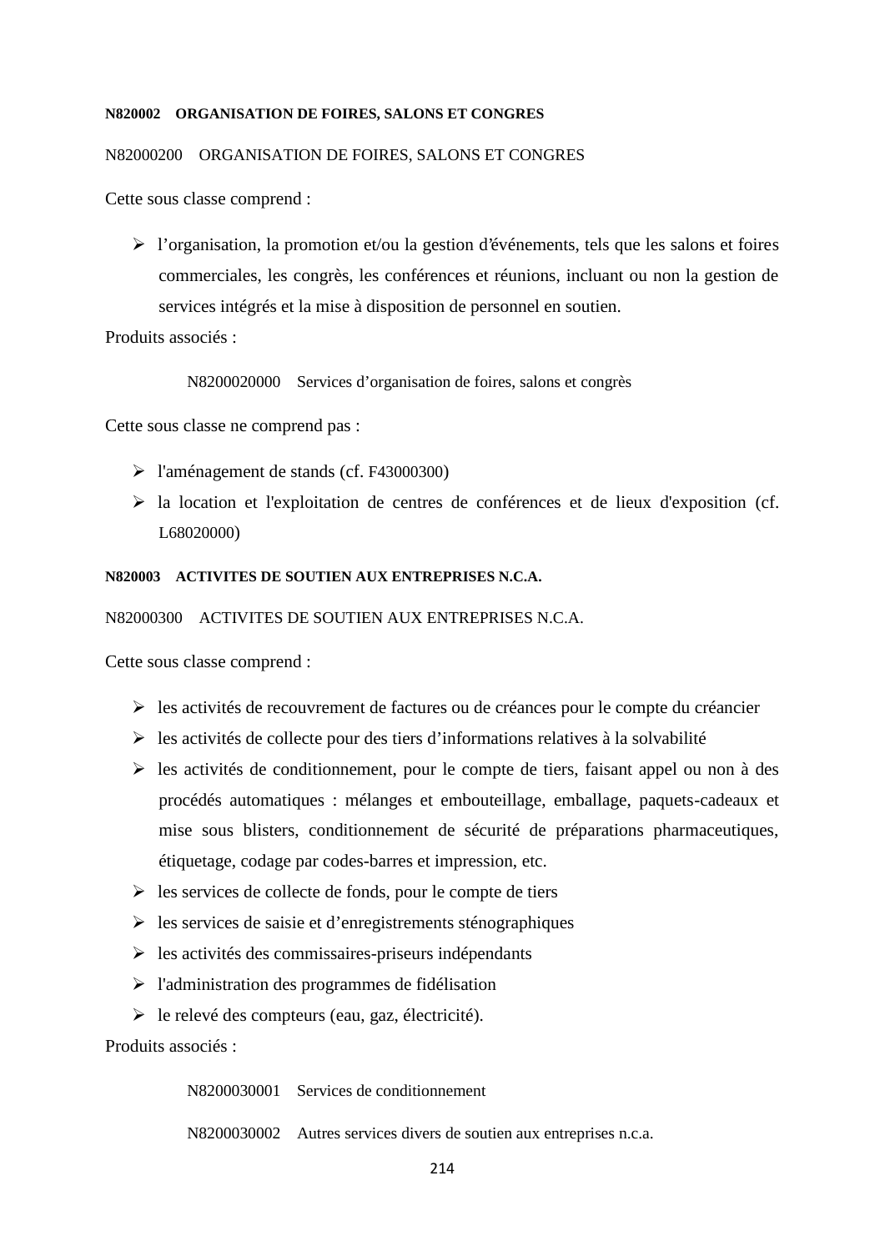#### **N820002 ORGANISATION DE FOIRES, SALONS ET CONGRES**

#### N82000200 ORGANISATION DE FOIRES, SALONS ET CONGRES

Cette sous classe comprend :

 $\triangleright$  l'organisation, la promotion et/ou la gestion d'événements, tels que les salons et foires commerciales, les congrès, les conférences et réunions, incluant ou non la gestion de services intégrés et la mise à disposition de personnel en soutien.

Produits associés :

N8200020000 Services d'organisation de foires, salons et congrès

Cette sous classe ne comprend pas :

- l'aménagement de stands (cf. F43000300)
- la location et l'exploitation de centres de conférences et de lieux d'exposition (cf. L68020000)

#### **N820003 ACTIVITES DE SOUTIEN AUX ENTREPRISES N.C.A.**

N82000300 ACTIVITES DE SOUTIEN AUX ENTREPRISES N.C.A.

Cette sous classe comprend :

- $\triangleright$  les activités de recouvrement de factures ou de créances pour le compte du créancier
- $\triangleright$  les activités de collecte pour des tiers d'informations relatives à la solvabilité
- $\triangleright$  les activités de conditionnement, pour le compte de tiers, faisant appel ou non à des procédés automatiques : mélanges et embouteillage, emballage, paquets-cadeaux et mise sous blisters, conditionnement de sécurité de préparations pharmaceutiques, étiquetage, codage par codes-barres et impression, etc.
- $\triangleright$  les services de collecte de fonds, pour le compte de tiers
- $\triangleright$  les services de saisie et d'enregistrements sténographiques
- $\triangleright$  les activités des commissaires-priseurs indépendants
- $\triangleright$  l'administration des programmes de fidélisation
- $\triangleright$  le relevé des compteurs (eau, gaz, électricité).

Produits associés :

N8200030001 Services de conditionnement

N8200030002 Autres services divers de soutien aux entreprises n.c.a.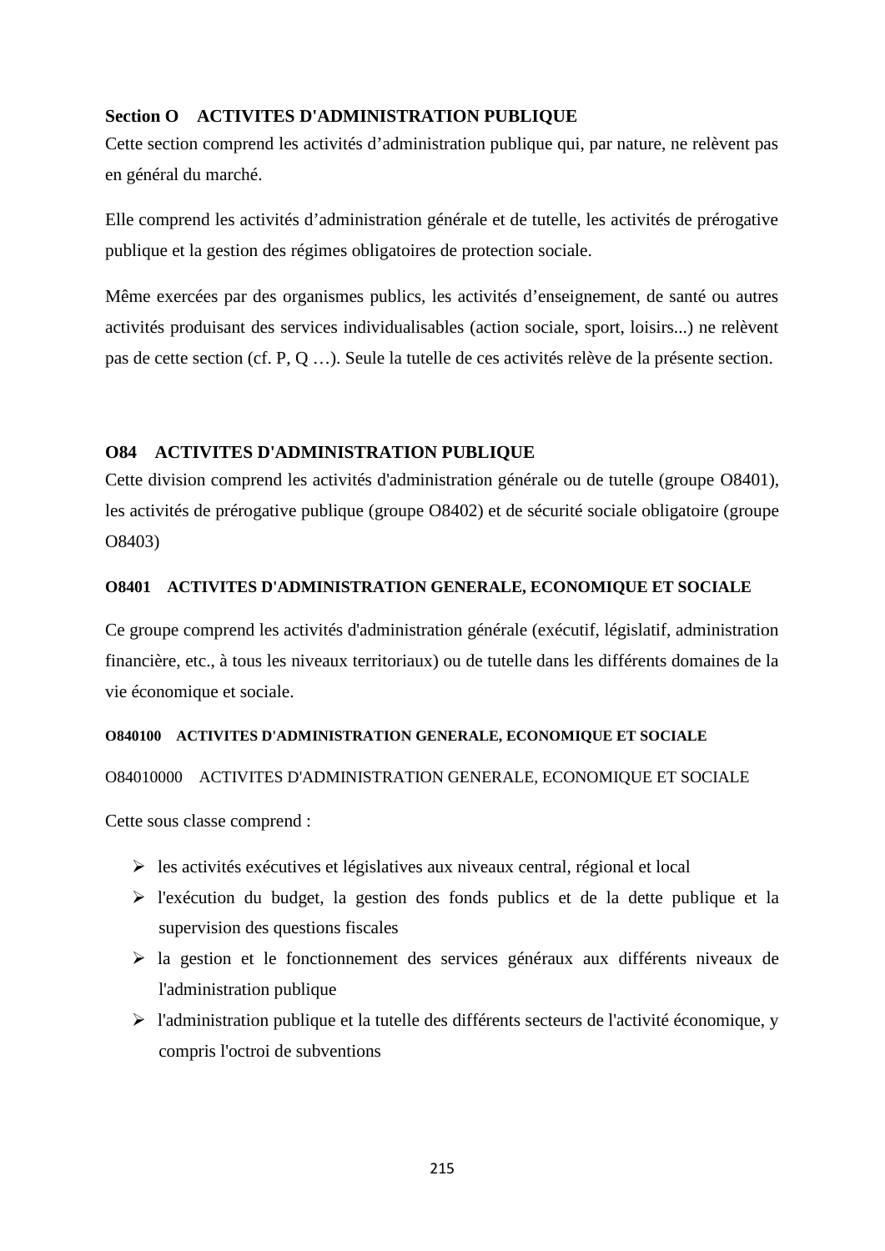# **Section O ACTIVITES D'ADMINISTRATION PUBLIQUE**

Cette section comprend les activités d'administration publique qui, par nature, ne relèvent pas en général du marché.

Elle comprend les activités d'administration générale et de tutelle, les activités de prérogative publique et la gestion des régimes obligatoires de protection sociale.

Même exercées par des organismes publics, les activités d'enseignement, de santé ou autres activités produisant des services individualisables (action sociale, sport, loisirs...) ne relèvent pas de cette section (cf. P, Q …). Seule la tutelle de ces activités relève de la présente section.

# **O84 ACTIVITES D'ADMINISTRATION PUBLIQUE**

Cette division comprend les activités d'administration générale ou de tutelle (groupe O8401), les activités de prérogative publique (groupe O8402) et de sécurité sociale obligatoire (groupe O8403)

# **O8401 ACTIVITES D'ADMINISTRATION GENERALE, ECONOMIQUE ET SOCIALE**

Ce groupe comprend les activités d'administration générale (exécutif, législatif, administration financière, etc., à tous les niveaux territoriaux) ou de tutelle dans les différents domaines de la vie économique et sociale.

# **O840100 ACTIVITES D'ADMINISTRATION GENERALE, ECONOMIQUE ET SOCIALE**

# O84010000 ACTIVITES D'ADMINISTRATION GENERALE, ECONOMIQUE ET SOCIALE

Cette sous classe comprend :

- $\triangleright$  les activités exécutives et législatives aux niveaux central, régional et local
- l'exécution du budget, la gestion des fonds publics et de la dette publique et la supervision des questions fiscales
- la gestion et le fonctionnement des services généraux aux différents niveaux de l'administration publique
- l'administration publique et la tutelle des différents secteurs de l'activité économique, y compris l'octroi de subventions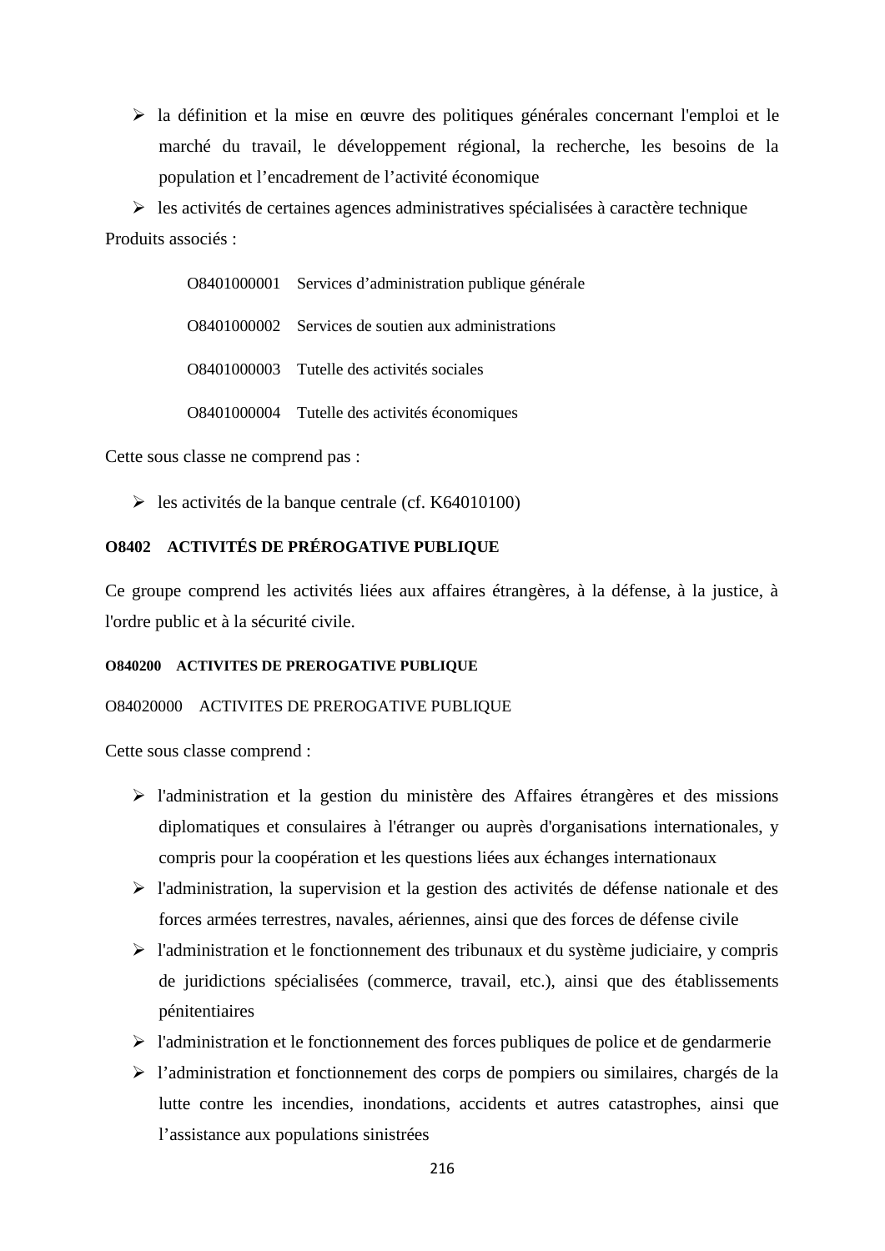la définition et la mise en œuvre des politiques générales concernant l'emploi et le marché du travail, le développement régional, la recherche, les besoins de la population et l'encadrement de l'activité économique

 $\triangleright$  les activités de certaines agences administratives spécialisées à caractère technique Produits associés :

> O8401000001 Services d'administration publique générale O8401000002 Services de soutien aux administrations O8401000003 Tutelle des activités sociales O8401000004 Tutelle des activités économiques

Cette sous classe ne comprend pas :

 $\blacktriangleright$  les activités de la banque centrale (cf. K64010100)

# **O8402 ACTIVITÉS DE PRÉROGATIVE PUBLIQUE**

Ce groupe comprend les activités liées aux affaires étrangères, à la défense, à la justice, à l'ordre public et à la sécurité civile.

#### **O840200 ACTIVITES DE PREROGATIVE PUBLIQUE**

### O84020000 ACTIVITES DE PREROGATIVE PUBLIQUE

Cette sous classe comprend :

- l'administration et la gestion du ministère des Affaires étrangères et des missions diplomatiques et consulaires à l'étranger ou auprès d'organisations internationales, y compris pour la coopération et les questions liées aux échanges internationaux
- l'administration, la supervision et la gestion des activités de défense nationale et des forces armées terrestres, navales, aériennes, ainsi que des forces de défense civile
- l'administration et le fonctionnement des tribunaux et du système judiciaire, y compris de juridictions spécialisées (commerce, travail, etc.), ainsi que des établissements pénitentiaires
- $\triangleright$  l'administration et le fonctionnement des forces publiques de police et de gendarmerie
- l'administration et fonctionnement des corps de pompiers ou similaires, chargés de la lutte contre les incendies, inondations, accidents et autres catastrophes, ainsi que l'assistance aux populations sinistrées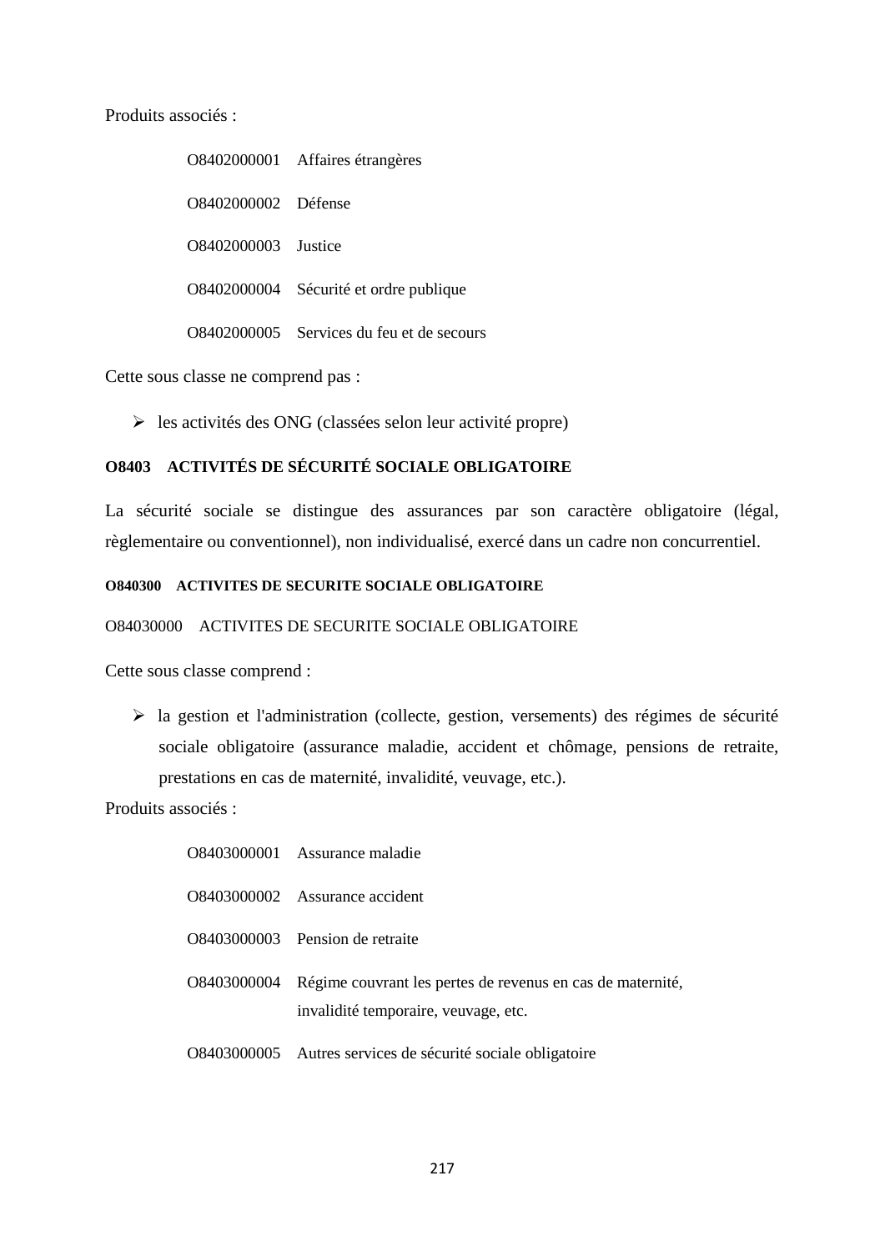Produits associés :

|                     | O8402000001 Affaires étrangères           |
|---------------------|-------------------------------------------|
| O8402000002 Défense |                                           |
| O8402000003 Justice |                                           |
|                     | O8402000004 Sécurité et ordre publique    |
|                     | O8402000005 Services du feu et de secours |

Cette sous classe ne comprend pas :

 $\triangleright$  les activités des ONG (classées selon leur activité propre)

# **O8403 ACTIVITÉS DE SÉCURITÉ SOCIALE OBLIGATOIRE**

La sécurité sociale se distingue des assurances par son caractère obligatoire (légal, règlementaire ou conventionnel), non individualisé, exercé dans un cadre non concurrentiel.

#### **O840300 ACTIVITES DE SECURITE SOCIALE OBLIGATOIRE**

# O84030000 ACTIVITES DE SECURITE SOCIALE OBLIGATOIRE

Cette sous classe comprend :

 la gestion et l'administration (collecte, gestion, versements) des régimes de sécurité sociale obligatoire (assurance maladie, accident et chômage, pensions de retraite, prestations en cas de maternité, invalidité, veuvage, etc.).

| O8403000001 Assurance maladie                                                                                  |
|----------------------------------------------------------------------------------------------------------------|
| O8403000002 Assurance accident                                                                                 |
| O8403000003 Pension de retraite                                                                                |
| O8403000004 Régime couvrant les pertes de revenus en cas de maternité,<br>invalidité temporaire, veuvage, etc. |
| O8403000005 Autres services de sécurité sociale obligatoire                                                    |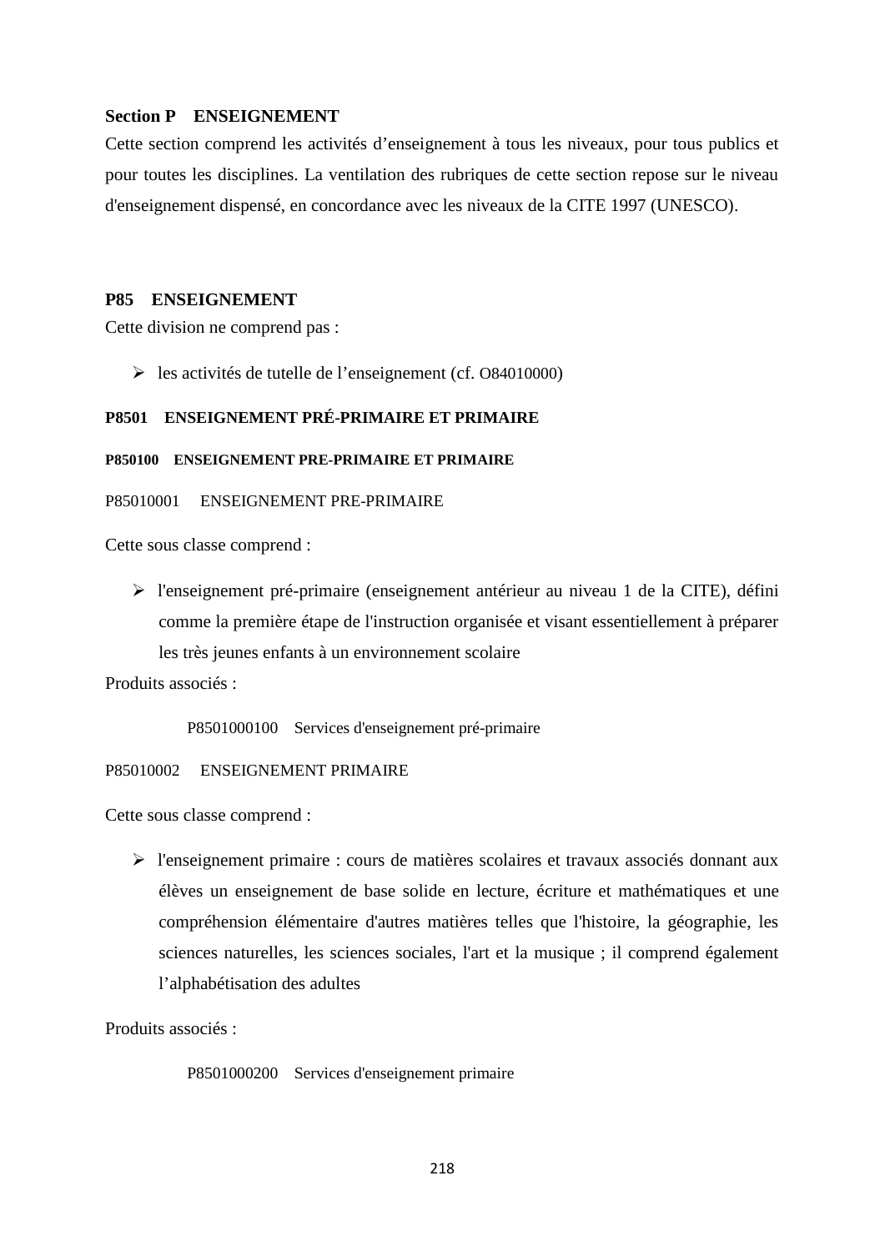## **Section P ENSEIGNEMENT**

Cette section comprend les activités d'enseignement à tous les niveaux, pour tous publics et pour toutes les disciplines. La ventilation des rubriques de cette section repose sur le niveau d'enseignement dispensé, en concordance avec les niveaux de la CITE 1997 (UNESCO).

#### **P85 ENSEIGNEMENT**

Cette division ne comprend pas :

les activités de tutelle de l'enseignement (cf. O84010000)

# **P8501 ENSEIGNEMENT PRÉ-PRIMAIRE ET PRIMAIRE**

#### **P850100 ENSEIGNEMENT PRE-PRIMAIRE ET PRIMAIRE**

P85010001 ENSEIGNEMENT PRE-PRIMAIRE

Cette sous classe comprend :

 l'enseignement pré-primaire (enseignement antérieur au niveau 1 de la CITE), défini comme la première étape de l'instruction organisée et visant essentiellement à préparer les très jeunes enfants à un environnement scolaire

Produits associés :

P8501000100 Services d'enseignement pré-primaire

#### P85010002 ENSEIGNEMENT PRIMAIRE

Cette sous classe comprend :

 l'enseignement primaire : cours de matières scolaires et travaux associés donnant aux élèves un enseignement de base solide en lecture, écriture et mathématiques et une compréhension élémentaire d'autres matières telles que l'histoire, la géographie, les sciences naturelles, les sciences sociales, l'art et la musique ; il comprend également l'alphabétisation des adultes

Produits associés :

P8501000200 Services d'enseignement primaire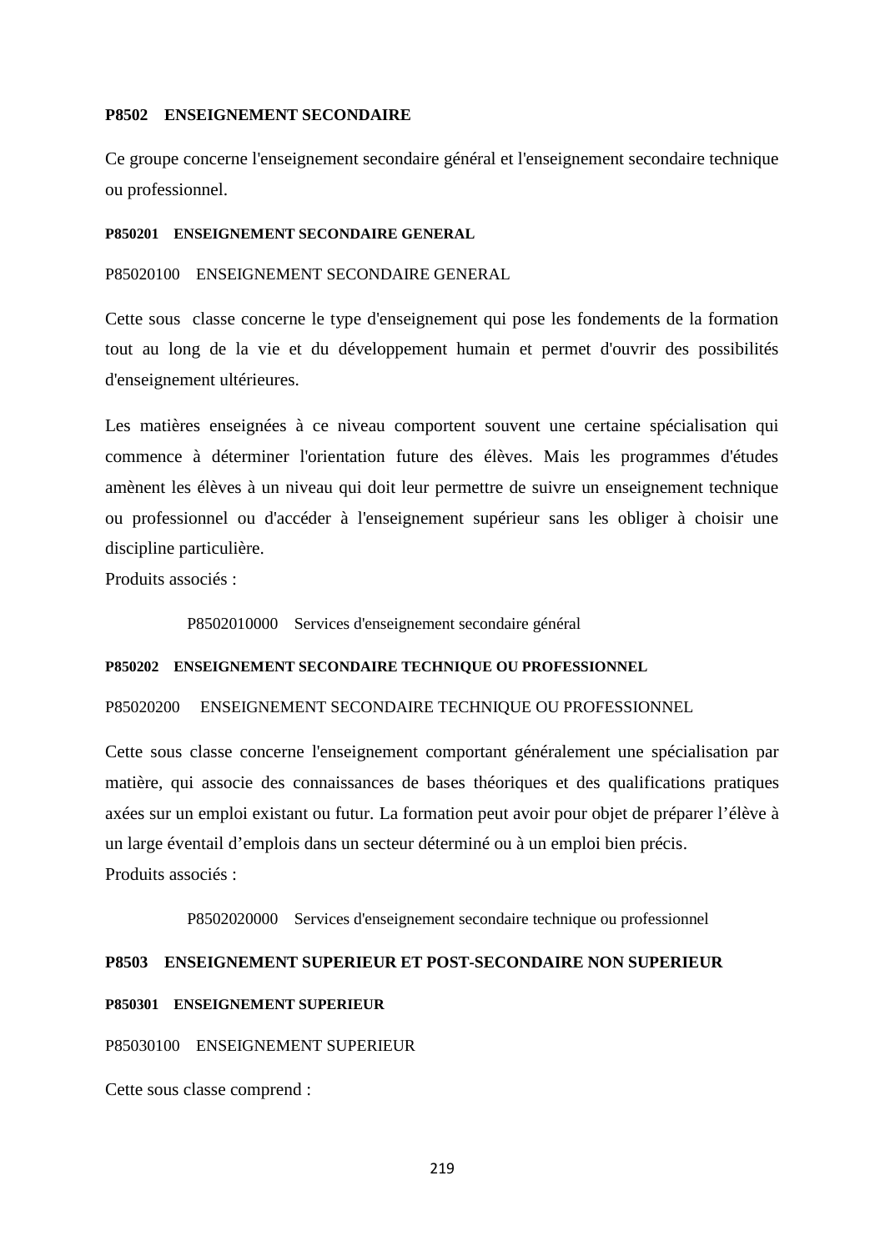#### **P8502 ENSEIGNEMENT SECONDAIRE**

Ce groupe concerne l'enseignement secondaire général et l'enseignement secondaire technique ou professionnel.

#### **P850201 ENSEIGNEMENT SECONDAIRE GENERAL**

P85020100 ENSEIGNEMENT SECONDAIRE GENERAL

Cette sous classe concerne le type d'enseignement qui pose les fondements de la formation tout au long de la vie et du développement humain et permet d'ouvrir des possibilités d'enseignement ultérieures.

Les matières enseignées à ce niveau comportent souvent une certaine spécialisation qui commence à déterminer l'orientation future des élèves. Mais les programmes d'études amènent les élèves à un niveau qui doit leur permettre de suivre un enseignement technique ou professionnel ou d'accéder à l'enseignement supérieur sans les obliger à choisir une discipline particulière.

Produits associés :

P8502010000 Services d'enseignement secondaire général

#### **P850202 ENSEIGNEMENT SECONDAIRE TECHNIQUE OU PROFESSIONNEL**

#### P85020200 ENSEIGNEMENT SECONDAIRE TECHNIQUE OU PROFESSIONNEL

Cette sous classe concerne l'enseignement comportant généralement une spécialisation par matière, qui associe des connaissances de bases théoriques et des qualifications pratiques axées sur un emploi existant ou futur. La formation peut avoir pour objet de préparer l'élève à un large éventail d'emplois dans un secteur déterminé ou à un emploi bien précis. Produits associés :

P8502020000 Services d'enseignement secondaire technique ou professionnel

#### **P8503 ENSEIGNEMENT SUPERIEUR ET POST-SECONDAIRE NON SUPERIEUR**

#### **P850301 ENSEIGNEMENT SUPERIEUR**

P85030100 ENSEIGNEMENT SUPERIEUR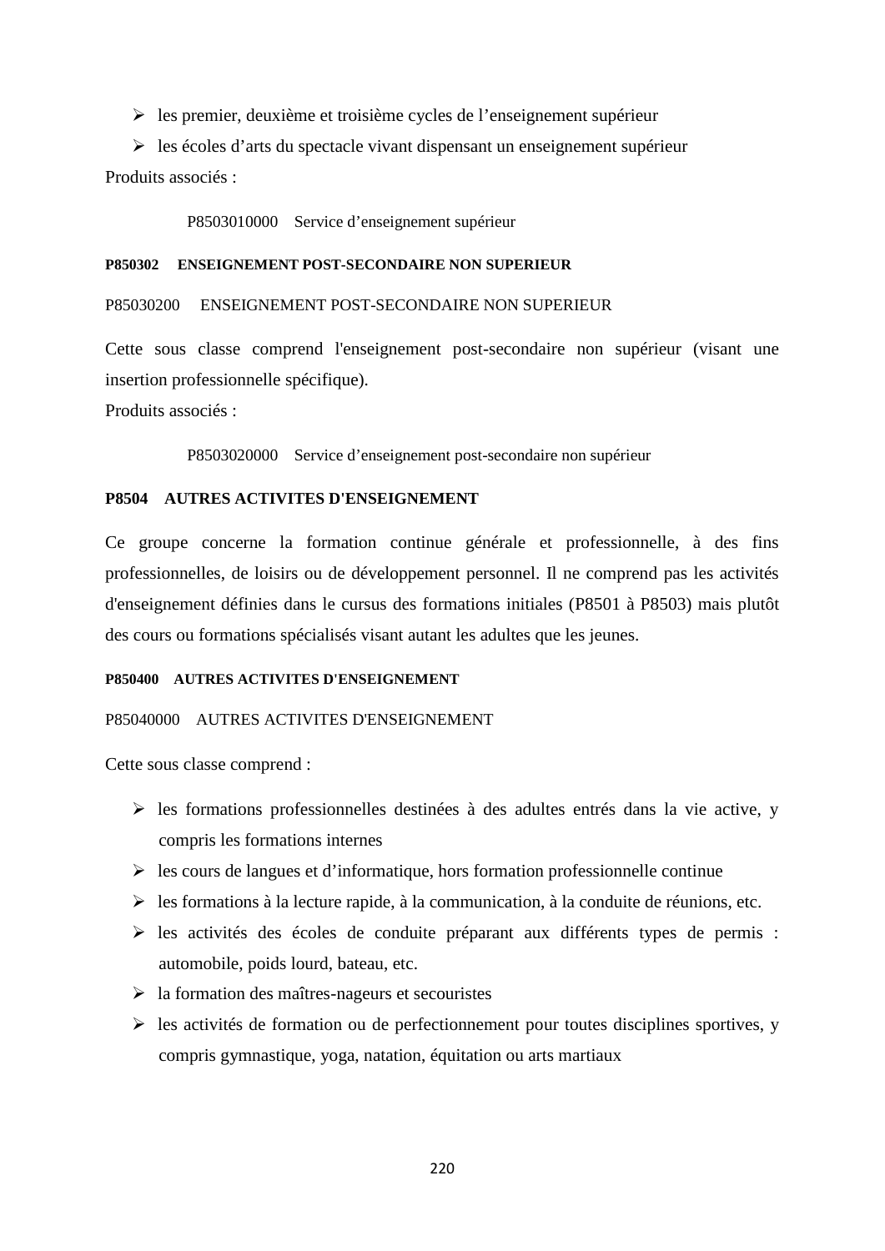$\triangleright$  les premier, deuxième et troisième cycles de l'enseignement supérieur

 $\triangleright$  les écoles d'arts du spectacle vivant dispensant un enseignement supérieur Produits associés :

P8503010000 Service d'enseignement supérieur

#### **P850302 ENSEIGNEMENT POST-SECONDAIRE NON SUPERIEUR**

P85030200 ENSEIGNEMENT POST-SECONDAIRE NON SUPERIEUR

Cette sous classe comprend l'enseignement post-secondaire non supérieur (visant une insertion professionnelle spécifique).

Produits associés :

P8503020000 Service d'enseignement post-secondaire non supérieur

# **P8504 AUTRES ACTIVITES D'ENSEIGNEMENT**

Ce groupe concerne la formation continue générale et professionnelle, à des fins professionnelles, de loisirs ou de développement personnel. Il ne comprend pas les activités d'enseignement définies dans le cursus des formations initiales (P8501 à P8503) mais plutôt des cours ou formations spécialisés visant autant les adultes que les jeunes.

#### **P850400 AUTRES ACTIVITES D'ENSEIGNEMENT**

#### P85040000 AUTRES ACTIVITES D'ENSEIGNEMENT

- $\triangleright$  les formations professionnelles destinées à des adultes entrés dans la vie active, y compris les formations internes
- $\triangleright$  les cours de langues et d'informatique, hors formation professionnelle continue
- $\triangleright$  les formations à la lecture rapide, à la communication, à la conduite de réunions, etc.
- $\triangleright$  les activités des écoles de conduite préparant aux différents types de permis : automobile, poids lourd, bateau, etc.
- $\triangleright$  la formation des maîtres-nageurs et secouristes
- $\triangleright$  les activités de formation ou de perfectionnement pour toutes disciplines sportives, y compris gymnastique, yoga, natation, équitation ou arts martiaux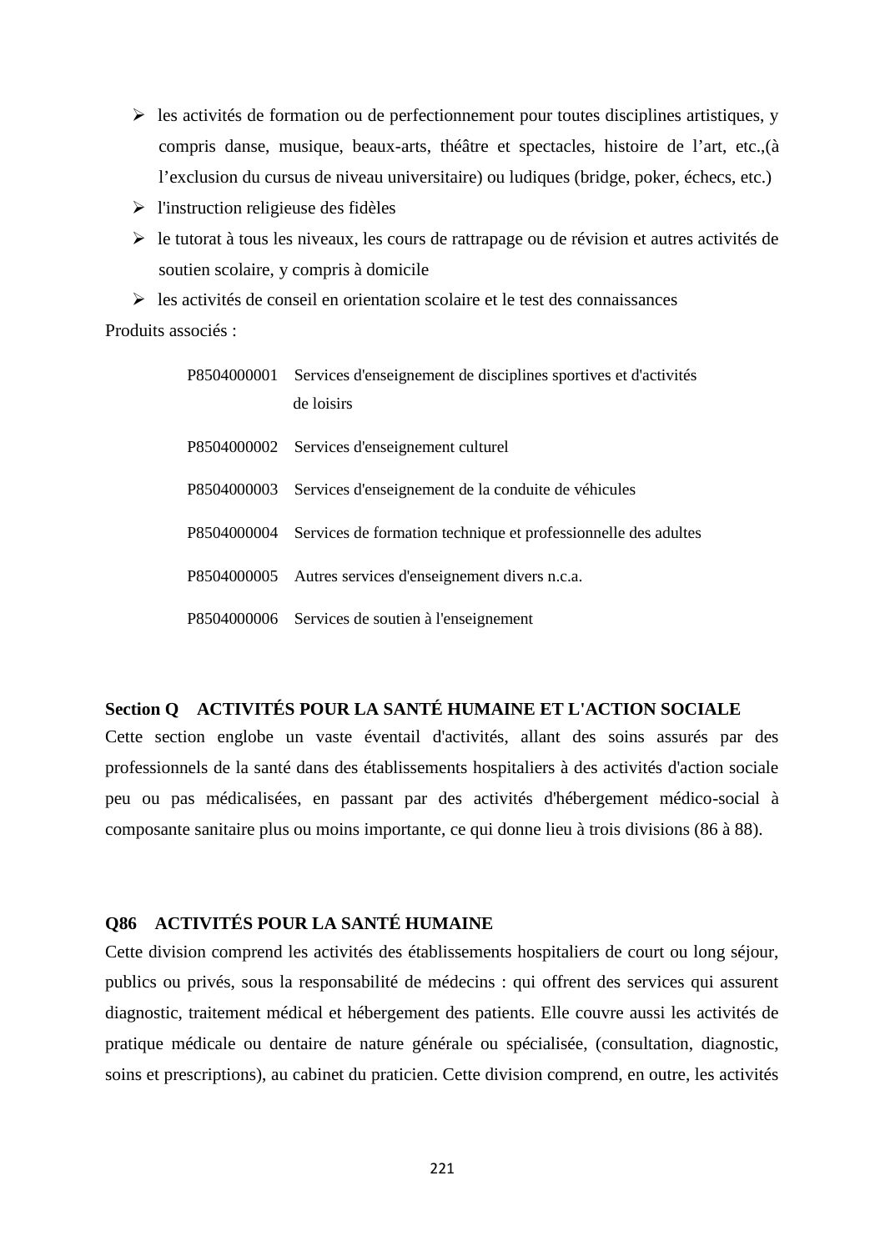- $\triangleright$  les activités de formation ou de perfectionnement pour toutes disciplines artistiques, y compris danse, musique, beaux-arts, théâtre et spectacles, histoire de l'art, etc.,(à l'exclusion du cursus de niveau universitaire) ou ludiques (bridge, poker, échecs, etc.)
- $\triangleright$  l'instruction religieuse des fidèles
- $\triangleright$  le tutorat à tous les niveaux, les cours de rattrapage ou de révision et autres activités de soutien scolaire, y compris à domicile
- $\triangleright$  les activités de conseil en orientation scolaire et le test des connaissances

Produits associés ·

| P8504000001 Services d'enseignement de disciplines sportives et d'activités<br>de loisirs |
|-------------------------------------------------------------------------------------------|
| P8504000002 Services d'enseignement culturel                                              |
| P8504000003 Services d'enseignement de la conduite de véhicules                           |
| P8504000004 Services de formation technique et professionnelle des adultes                |
| P8504000005 Autres services d'enseignement divers n.c.a.                                  |
| P8504000006 Services de soutien à l'enseignement                                          |

# **Section Q ACTIVITÉS POUR LA SANTÉ HUMAINE ET L'ACTION SOCIALE**

Cette section englobe un vaste éventail d'activités, allant des soins assurés par des professionnels de la santé dans des établissements hospitaliers à des activités d'action sociale peu ou pas médicalisées, en passant par des activités d'hébergement médico-social à composante sanitaire plus ou moins importante, ce qui donne lieu à trois divisions (86 à 88).

# **Q86 ACTIVITÉS POUR LA SANTÉ HUMAINE**

Cette division comprend les activités des établissements hospitaliers de court ou long séjour, publics ou privés, sous la responsabilité de médecins : qui offrent des services qui assurent diagnostic, traitement médical et hébergement des patients. Elle couvre aussi les activités de pratique médicale ou dentaire de nature générale ou spécialisée, (consultation, diagnostic, soins et prescriptions), au cabinet du praticien. Cette division comprend, en outre, les activités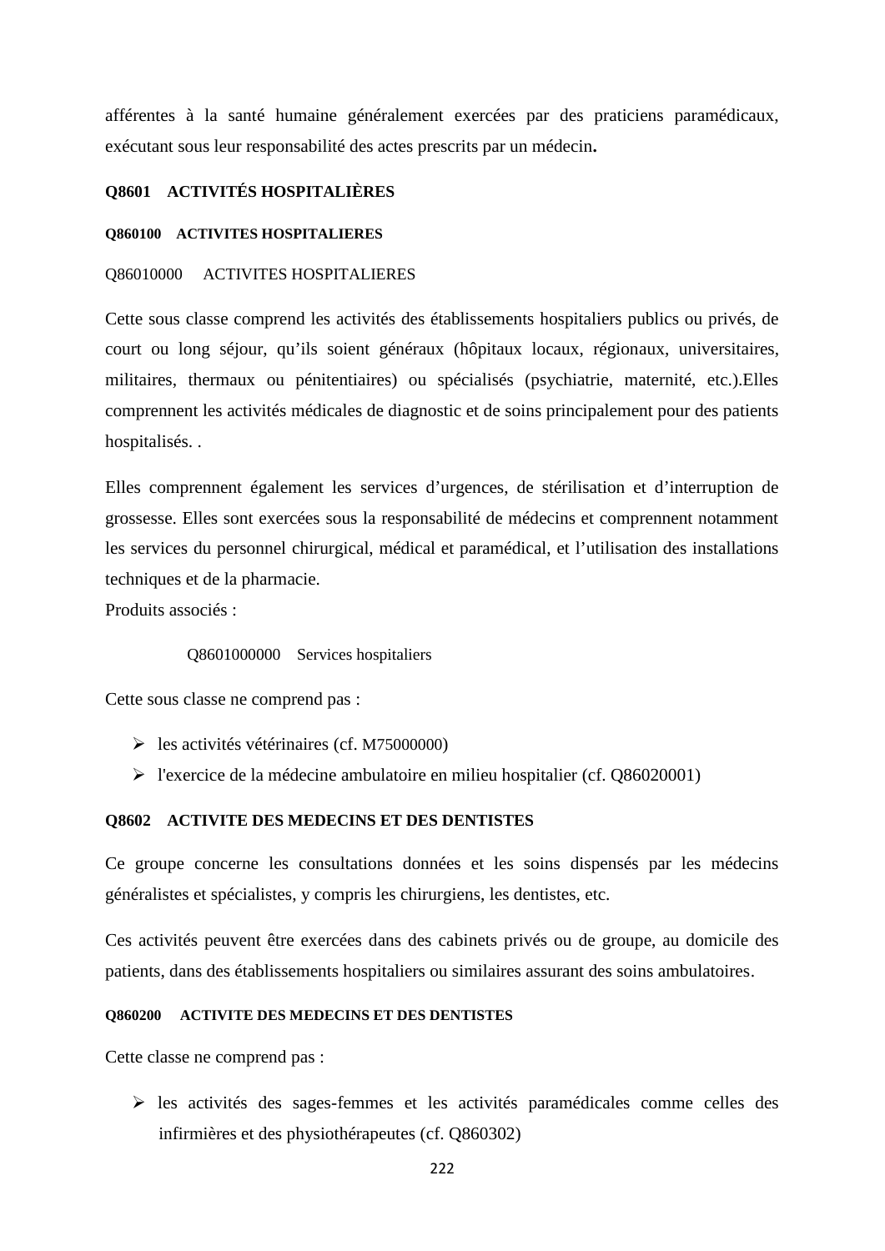afférentes à la santé humaine généralement exercées par des praticiens paramédicaux, exécutant sous leur responsabilité des actes prescrits par un médecin**.**

# **Q8601 ACTIVITÉS HOSPITALIÈRES**

#### **Q860100 ACTIVITES HOSPITALIERES**

#### Q86010000 ACTIVITES HOSPITALIERES

Cette sous classe comprend les activités des établissements hospitaliers publics ou privés, de court ou long séjour, qu'ils soient généraux (hôpitaux locaux, régionaux, universitaires, militaires, thermaux ou pénitentiaires) ou spécialisés (psychiatrie, maternité, etc.).Elles comprennent les activités médicales de diagnostic et de soins principalement pour des patients hospitalisés. .

Elles comprennent également les services d'urgences, de stérilisation et d'interruption de grossesse. Elles sont exercées sous la responsabilité de médecins et comprennent notamment les services du personnel chirurgical, médical et paramédical, et l'utilisation des installations techniques et de la pharmacie.

Produits associés :

Q8601000000 Services hospitaliers

Cette sous classe ne comprend pas :

- $\blacktriangleright$  les activités vétérinaires (cf. M75000000)
- $\triangleright$  l'exercice de la médecine ambulatoire en milieu hospitalier (cf. Q86020001)

### **Q8602 ACTIVITE DES MEDECINS ET DES DENTISTES**

Ce groupe concerne les consultations données et les soins dispensés par les médecins généralistes et spécialistes, y compris les chirurgiens, les dentistes, etc.

Ces activités peuvent être exercées dans des cabinets privés ou de groupe, au domicile des patients, dans des établissements hospitaliers ou similaires assurant des soins ambulatoires.

# **Q860200 ACTIVITE DES MEDECINS ET DES DENTISTES**

Cette classe ne comprend pas :

 les activités des sages-femmes et les activités paramédicales comme celles des infirmières et des physiothérapeutes (cf. Q860302)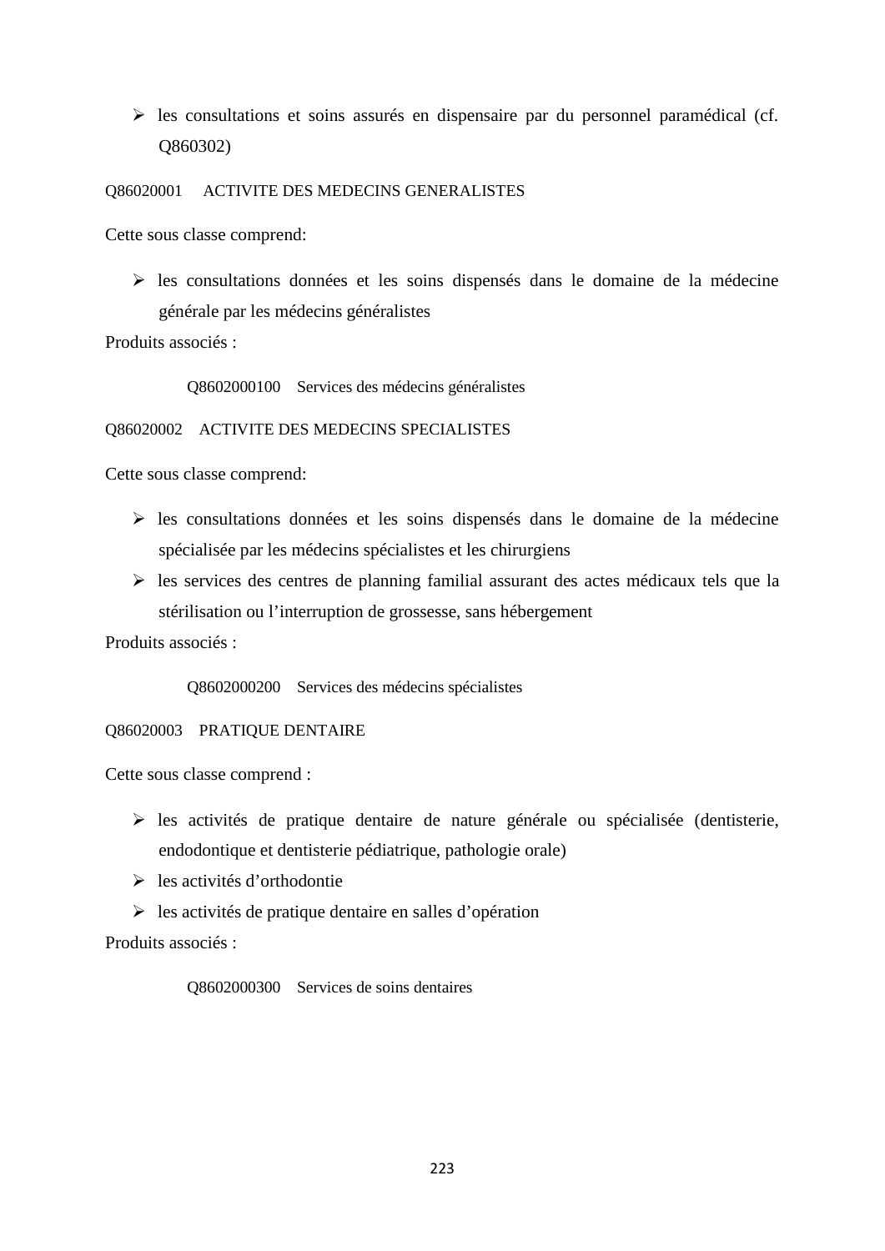$\triangleright$  les consultations et soins assurés en dispensaire par du personnel paramédical (cf. Q860302)

Q86020001 ACTIVITE DES MEDECINS GENERALISTES

Cette sous classe comprend:

 $\triangleright$  les consultations données et les soins dispensés dans le domaine de la médecine générale par les médecins généralistes

Produits associés :

Q8602000100 Services des médecins généralistes

Q86020002 ACTIVITE DES MEDECINS SPECIALISTES

Cette sous classe comprend:

- $\triangleright$  les consultations données et les soins dispensés dans le domaine de la médecine spécialisée par les médecins spécialistes et les chirurgiens
- $\triangleright$  les services des centres de planning familial assurant des actes médicaux tels que la stérilisation ou l'interruption de grossesse, sans hébergement

Produits associés :

Q8602000200 Services des médecins spécialistes

Q86020003 PRATIQUE DENTAIRE

Cette sous classe comprend :

- $\triangleright$  les activités de pratique dentaire de nature générale ou spécialisée (dentisterie, endodontique et dentisterie pédiatrique, pathologie orale)
- les activités d'orthodontie
- $\triangleright$  les activités de pratique dentaire en salles d'opération

Produits associés :

Q8602000300 Services de soins dentaires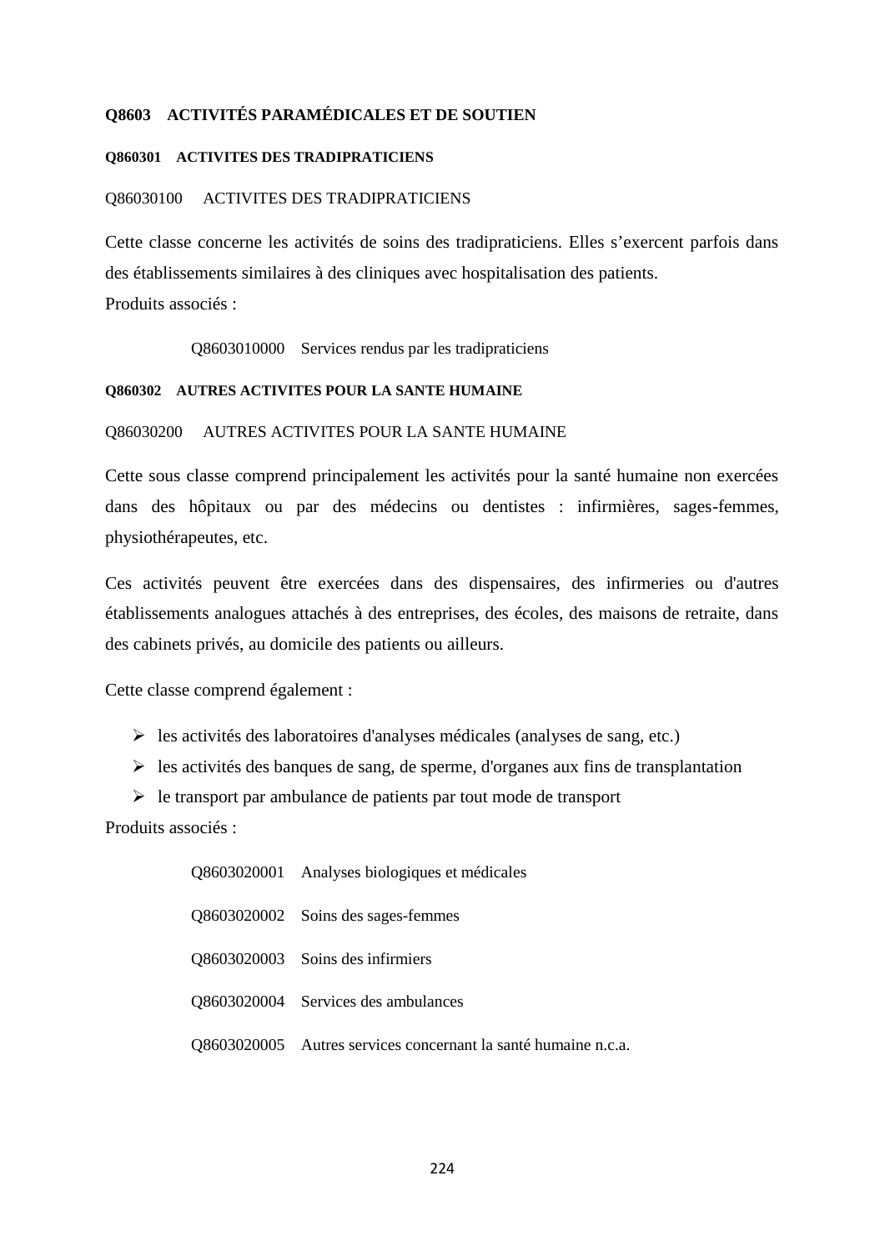# **Q8603 ACTIVITÉS PARAMÉDICALES ET DE SOUTIEN**

#### **Q860301 ACTIVITES DES TRADIPRATICIENS**

#### Q86030100 ACTIVITES DES TRADIPRATICIENS

Cette classe concerne les activités de soins des tradipraticiens. Elles s'exercent parfois dans des établissements similaires à des cliniques avec hospitalisation des patients. Produits associés :

Q8603010000 Services rendus par les tradipraticiens

#### **Q860302 AUTRES ACTIVITES POUR LA SANTE HUMAINE**

# Q86030200 AUTRES ACTIVITES POUR LA SANTE HUMAINE

Cette sous classe comprend principalement les activités pour la santé humaine non exercées dans des hôpitaux ou par des médecins ou dentistes : infirmières, sages-femmes, physiothérapeutes, etc.

Ces activités peuvent être exercées dans des dispensaires, des infirmeries ou d'autres établissements analogues attachés à des entreprises, des écoles, des maisons de retraite, dans des cabinets privés, au domicile des patients ou ailleurs.

Cette classe comprend également :

- $\triangleright$  les activités des laboratoires d'analyses médicales (analyses de sang, etc.)
- $\triangleright$  les activités des banques de sang, de sperme, d'organes aux fins de transplantation
- $\triangleright$  le transport par ambulance de patients par tout mode de transport

| Q8603020001 Analyses biologiques et médicales                  |
|----------------------------------------------------------------|
| Q8603020002 Soins des sages-femmes                             |
| Q8603020003 Soins des infirmiers                               |
| Q8603020004 Services des ambulances                            |
| Q8603020005 Autres services concernant la santé humaine n.c.a. |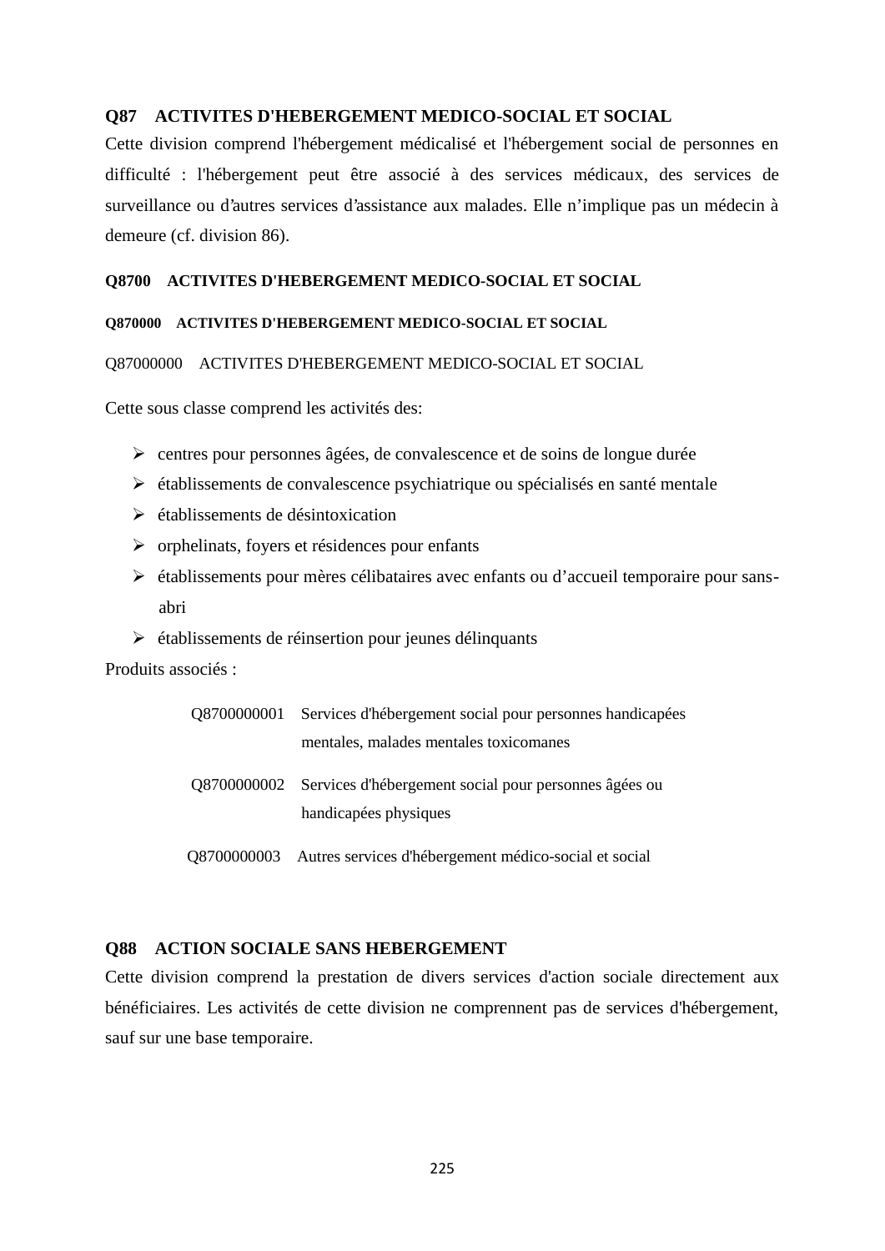# **Q87 ACTIVITES D'HEBERGEMENT MEDICO-SOCIAL ET SOCIAL**

Cette division comprend l'hébergement médicalisé et l'hébergement social de personnes en difficulté : l'hébergement peut être associé à des services médicaux, des services de surveillance ou d'autres services d'assistance aux malades. Elle n'implique pas un médecin à demeure (cf. division 86).

#### **Q8700 ACTIVITES D'HEBERGEMENT MEDICO-SOCIAL ET SOCIAL**

#### **Q870000 ACTIVITES D'HEBERGEMENT MEDICO-SOCIAL ET SOCIAL**

#### Q87000000 ACTIVITES D'HEBERGEMENT MEDICO-SOCIAL ET SOCIAL

Cette sous classe comprend les activités des:

- centres pour personnes âgées, de convalescence et de soins de longue durée
- établissements de convalescence psychiatrique ou spécialisés en santé mentale
- établissements de désintoxication
- $\triangleright$  orphelinats, fovers et résidences pour enfants
- établissements pour mères célibataires avec enfants ou d'accueil temporaire pour sans abri
- établissements de réinsertion pour jeunes délinquants

Produits associés :

| Q8700000001 Services d'hébergement social pour personnes handicapées                       |
|--------------------------------------------------------------------------------------------|
| mentales, malades mentales toxicomanes                                                     |
| Q8700000002 Services d'hébergement social pour personnes âgées ou<br>handicapées physiques |
| Q8700000003 Autres services d'hébergement médico-social et social                          |

# **Q88 ACTION SOCIALE SANS HEBERGEMENT**

Cette division comprend la prestation de divers services d'action sociale directement aux bénéficiaires. Les activités de cette division ne comprennent pas de services d'hébergement, sauf sur une base temporaire.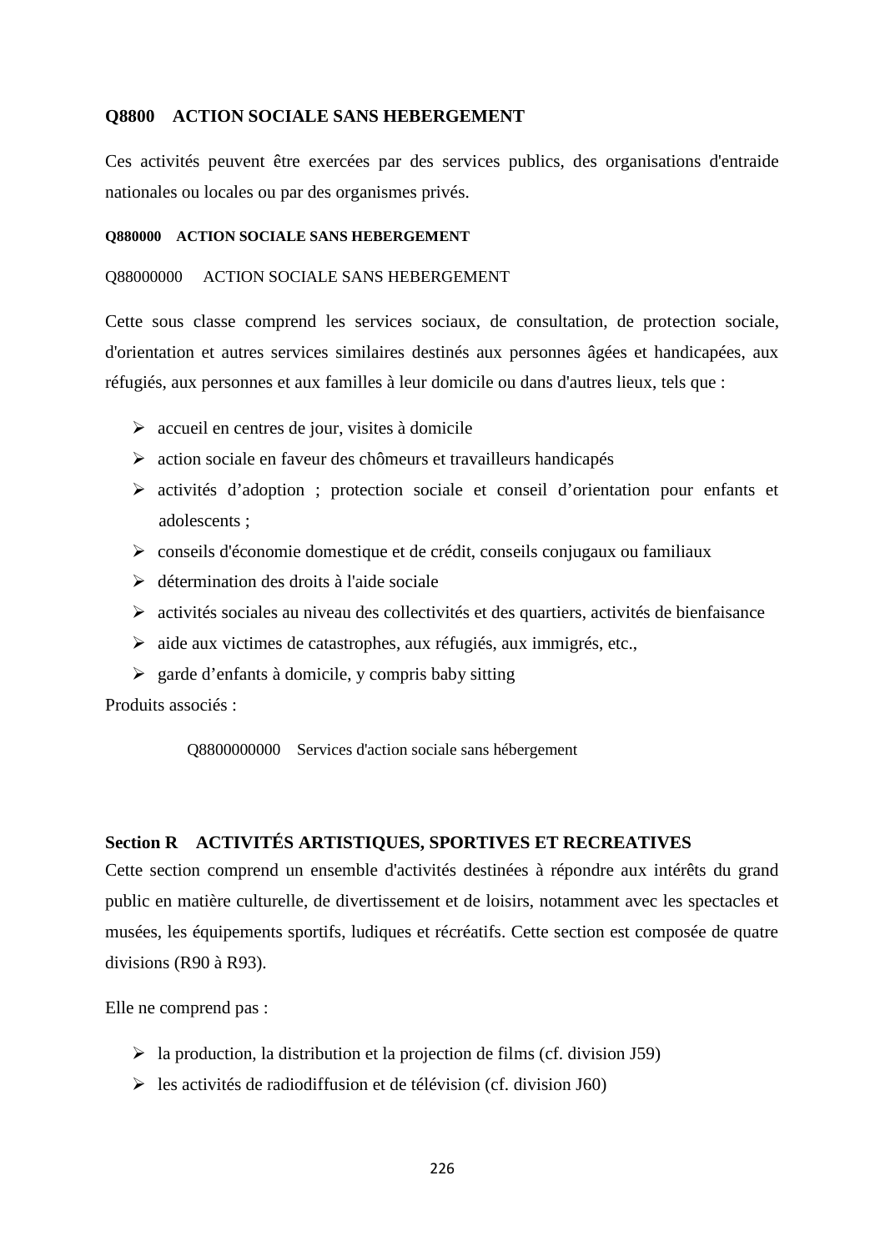# **Q8800 ACTION SOCIALE SANS HEBERGEMENT**

Ces activités peuvent être exercées par des services publics, des organisations d'entraide nationales ou locales ou par des organismes privés.

#### **Q880000 ACTION SOCIALE SANS HEBERGEMENT**

#### Q88000000 ACTION SOCIALE SANS HEBERGEMENT

Cette sous classe comprend les services sociaux, de consultation, de protection sociale, d'orientation et autres services similaires destinés aux personnes âgées et handicapées, aux réfugiés, aux personnes et aux familles à leur domicile ou dans d'autres lieux, tels que :

- $\triangleright$  accueil en centres de jour, visites à domicile
- action sociale en faveur des chômeurs et travailleurs handicapés
- activités d'adoption ; protection sociale et conseil d'orientation pour enfants et adolescents ;
- conseils d'économie domestique et de crédit, conseils conjugaux ou familiaux
- $\triangleright$  détermination des droits à l'aide sociale
- $\triangleright$  activités sociales au niveau des collectivités et des quartiers, activités de bienfaisance
- $\triangleright$  aide aux victimes de catastrophes, aux réfugiés, aux immigrés, etc.,
- $\geq$  garde d'enfants à domicile, y compris baby sitting

Produits associés :

Q8800000000 Services d'action sociale sans hébergement

## **Section R ACTIVITÉS ARTISTIQUES, SPORTIVES ET RECREATIVES**

Cette section comprend un ensemble d'activités destinées à répondre aux intérêts du grand public en matière culturelle, de divertissement et de loisirs, notamment avec les spectacles et musées, les équipements sportifs, ludiques et récréatifs. Cette section est composée de quatre divisions (R90 à R93).

Elle ne comprend pas :

- $\triangleright$  la production, la distribution et la projection de films (cf. division J59)
- $\triangleright$  les activités de radiodiffusion et de télévision (cf. division J60)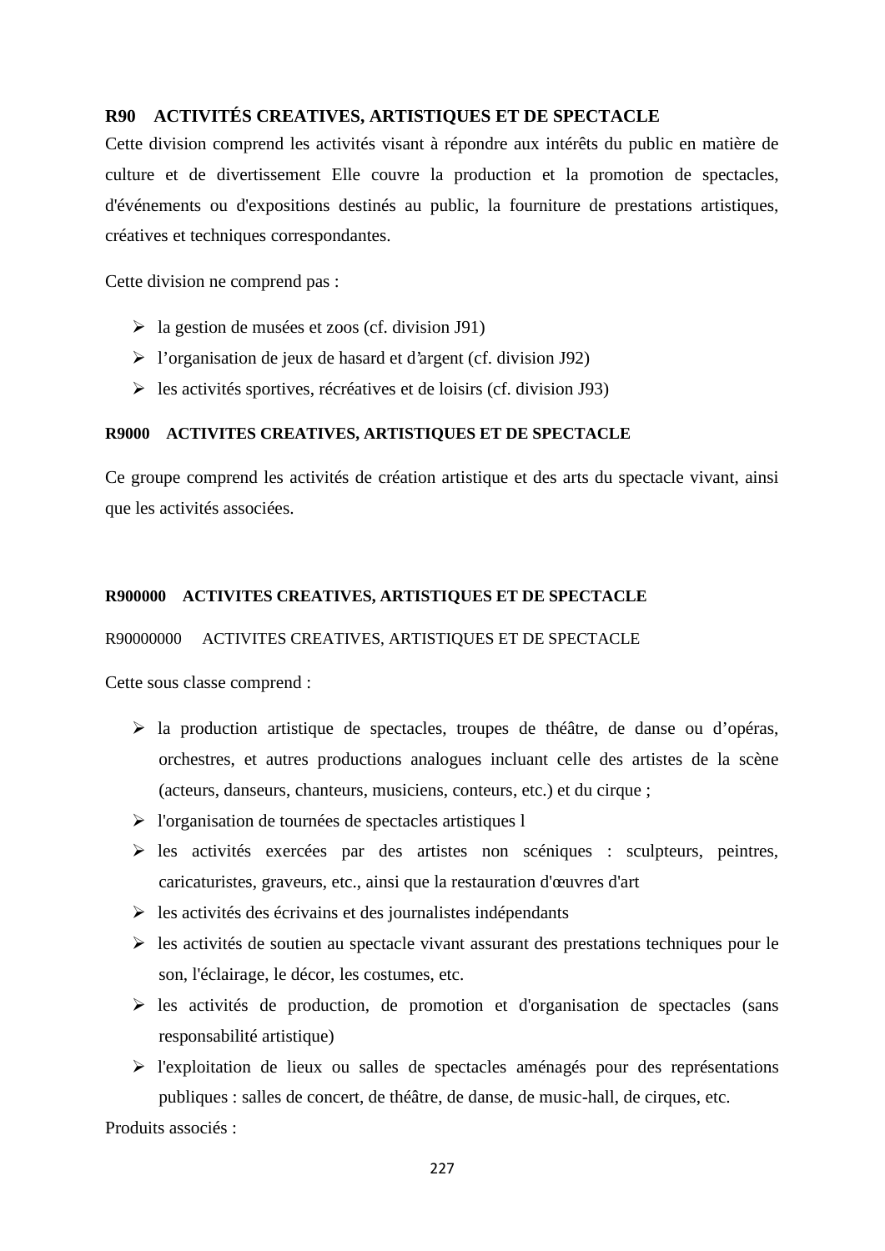# **R90 ACTIVITÉS CREATIVES, ARTISTIQUES ET DE SPECTACLE**

Cette division comprend les activités visant à répondre aux intérêts du public en matière de culture et de divertissement Elle couvre la production et la promotion de spectacles, d'événements ou d'expositions destinés au public, la fourniture de prestations artistiques, créatives et techniques correspondantes.

Cette division ne comprend pas :

- $\triangleright$  la gestion de musées et zoos (cf. division J91)
- $\triangleright$  l'organisation de jeux de hasard et d'argent (cf. division J92)
- $\triangleright$  les activités sportives, récréatives et de loisirs (cf. division J93)

#### **R9000 ACTIVITES CREATIVES, ARTISTIQUES ET DE SPECTACLE**

Ce groupe comprend les activités de création artistique et des arts du spectacle vivant, ainsi que les activités associées.

## **R900000 ACTIVITES CREATIVES, ARTISTIQUES ET DE SPECTACLE**

#### R90000000 ACTIVITES CREATIVES, ARTISTIQUES ET DE SPECTACLE

Cette sous classe comprend :

- la production artistique de spectacles, troupes de théâtre, de danse ou d'opéras, orchestres, et autres productions analogues incluant celle des artistes de la scène (acteurs, danseurs, chanteurs, musiciens, conteurs, etc.) et du cirque ;
- l'organisation de tournées de spectacles artistiques l
- les activités exercées par des artistes non scéniques : sculpteurs, peintres, caricaturistes, graveurs, etc., ainsi que la restauration d'œuvres d'art
- $\triangleright$  les activités des écrivains et des journalistes indépendants
- $\triangleright$  les activités de soutien au spectacle vivant assurant des prestations techniques pour le son, l'éclairage, le décor, les costumes, etc.
- $\triangleright$  les activités de production, de promotion et d'organisation de spectacles (sans responsabilité artistique)
- $\triangleright$  l'exploitation de lieux ou salles de spectacles aménagés pour des représentations publiques : salles de concert, de théâtre, de danse, de music-hall, de cirques, etc.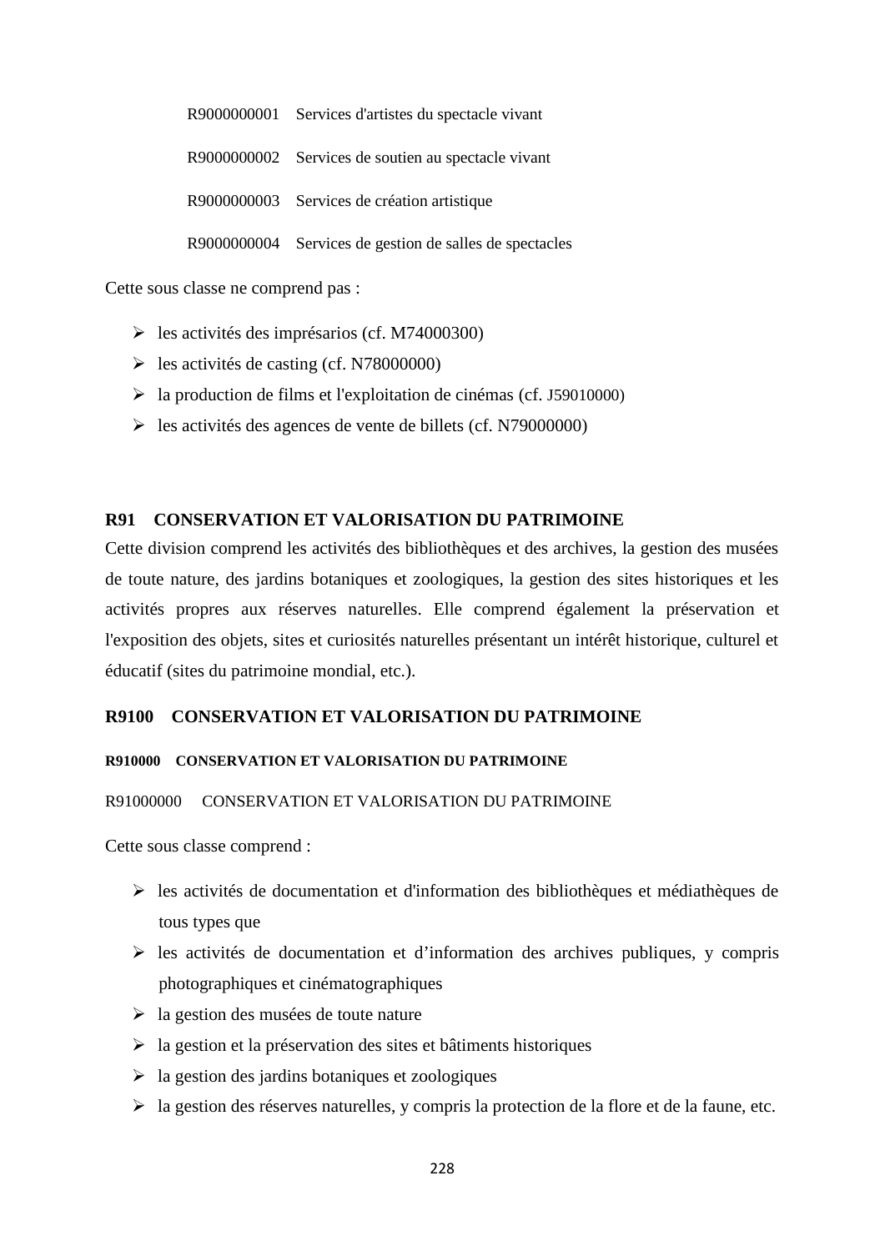R9000000001 Services d'artistes du spectacle vivant R9000000002 Services de soutien au spectacle vivant R9000000003 Services de création artistique R9000000004 Services de gestion de salles de spectacles

Cette sous classe ne comprend pas :

- $\blacktriangleright$  les activités des imprésarios (cf. M74000300)
- $\blacktriangleright$  les activités de casting (cf. N78000000)
- la production de films et l'exploitation de cinémas (cf. J59010000)
- les activités des agences de vente de billets (cf. N79000000)

# **R91 CONSERVATION ET VALORISATION DU PATRIMOINE**

Cette division comprend les activités des bibliothèques et des archives, la gestion des musées de toute nature, des jardins botaniques et zoologiques, la gestion des sites historiques et les activités propres aux réserves naturelles. Elle comprend également la préservation et l'exposition des objets, sites et curiosités naturelles présentant un intérêt historique, culturel et éducatif (sites du patrimoine mondial, etc.).

# **R9100 CONSERVATION ET VALORISATION DU PATRIMOINE**

# **R910000 CONSERVATION ET VALORISATION DU PATRIMOINE**

# R91000000 CONSERVATION ET VALORISATION DU PATRIMOINE

- $\triangleright$  les activités de documentation et d'information des bibliothèques et médiathèques de tous types que
- $\triangleright$  les activités de documentation et d'information des archives publiques, y compris photographiques et cinématographiques
- $\geq$  la gestion des musées de toute nature
- $\triangleright$  la gestion et la préservation des sites et bâtiments historiques
- $\geq$  la gestion des jardins botaniques et zoologiques
- $\triangleright$  la gestion des réserves naturelles, y compris la protection de la flore et de la faune, etc.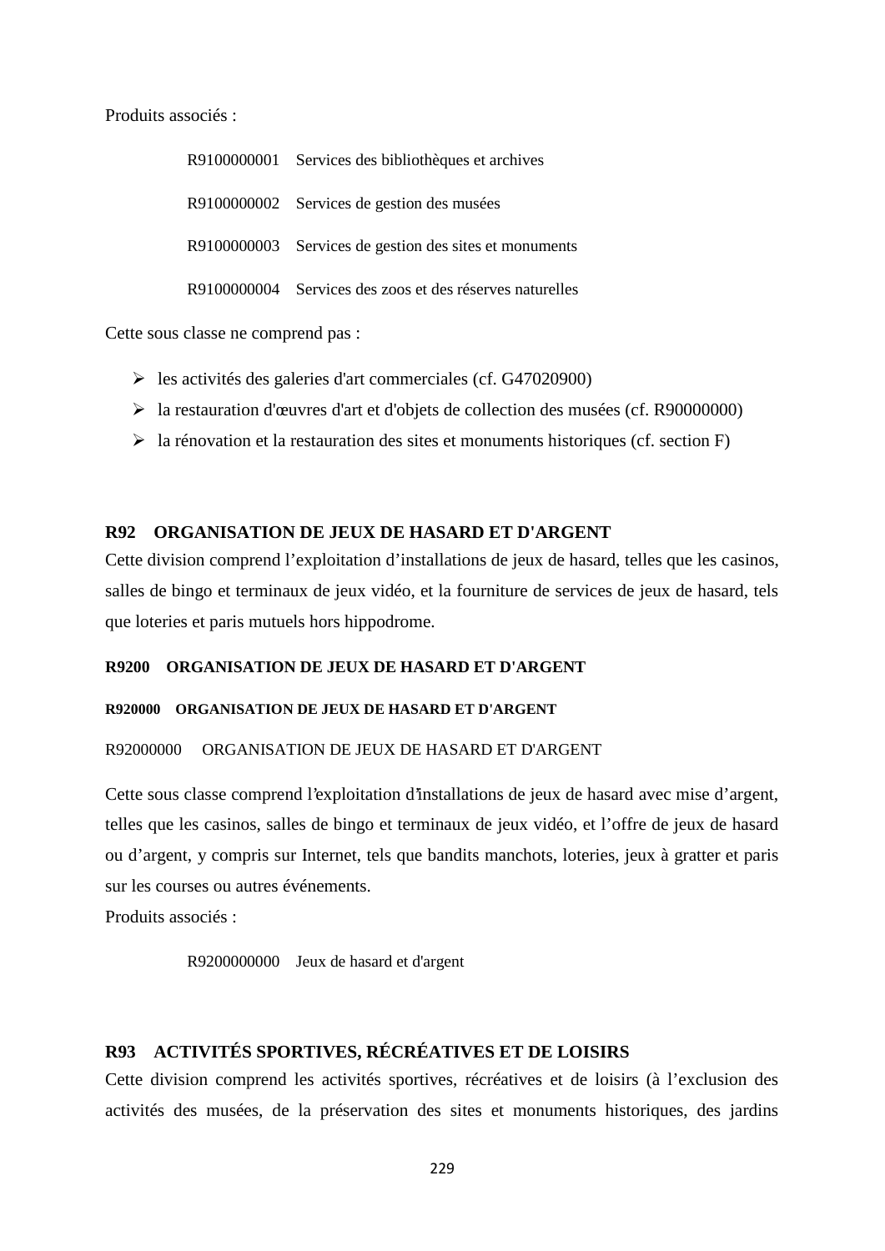Produits associés :

| R9100000001 Services des bibliothèques et archives       |
|----------------------------------------------------------|
| R9100000002 Services de gestion des musées               |
| R9100000003 Services de gestion des sites et monuments   |
| R9100000004 Services des zoos et des réserves naturelles |

Cette sous classe ne comprend pas :

- $\geq$  les activités des galeries d'art commerciales (cf. G47020900)
- la restauration d'œuvres d'art et d'objets de collection des musées (cf. R90000000)
- $\triangleright$  la rénovation et la restauration des sites et monuments historiques (cf. section F)

# **R92 ORGANISATION DE JEUX DE HASARD ET D'ARGENT**

Cette division comprend l'exploitation d'installations de jeux de hasard, telles que les casinos, salles de bingo et terminaux de jeux vidéo, et la fourniture de services de jeux de hasard, tels que loteries et paris mutuels hors hippodrome.

# **R9200 ORGANISATION DE JEUX DE HASARD ET D'ARGENT**

#### **R920000 ORGANISATION DE JEUX DE HASARD ET D'ARGENT**

# R92000000 ORGANISATION DE JEUX DE HASARD ET D'ARGENT

Cette sous classe comprend l'exploitation d'installations de jeux de hasard avec mise d'argent, telles que les casinos, salles de bingo et terminaux de jeux vidéo, et l'offre de jeux de hasard ou d'argent, y compris sur Internet, tels que bandits manchots, loteries, jeux à gratter et paris sur les courses ou autres événements.

Produits associés :

R9200000000 Jeux de hasard et d'argent

# **R93 ACTIVITÉS SPORTIVES, RÉCRÉATIVES ET DE LOISIRS**

Cette division comprend les activités sportives, récréatives et de loisirs (à l'exclusion des activités des musées, de la préservation des sites et monuments historiques, des jardins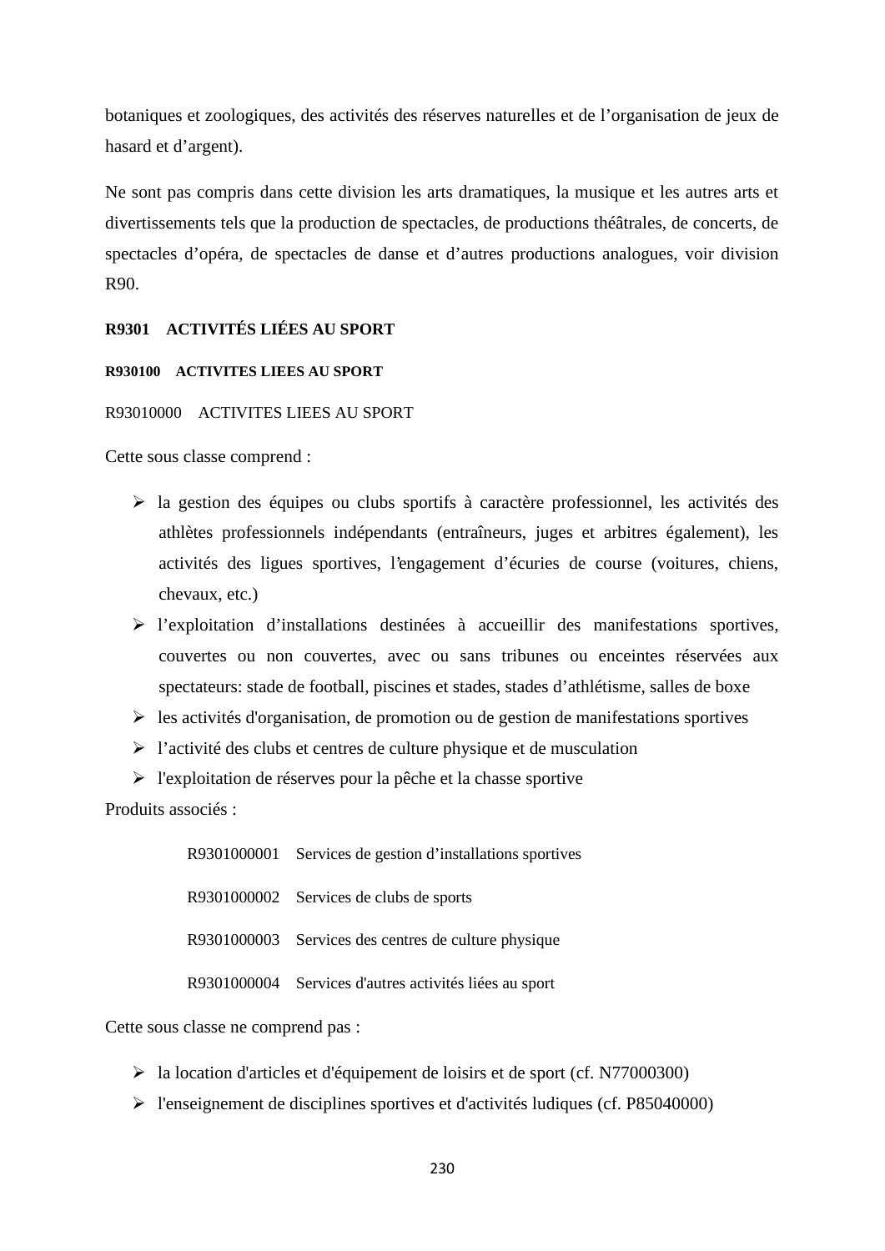botaniques et zoologiques, des activités des réserves naturelles et de l'organisation de jeux de hasard et d'argent).

Ne sont pas compris dans cette division les arts dramatiques, la musique et les autres arts et divertissements tels que la production de spectacles, de productions théâtrales, de concerts, de spectacles d'opéra, de spectacles de danse et d'autres productions analogues, voir division R90.

# **R9301 ACTIVITÉS LIÉES AU SPORT**

#### **R930100 ACTIVITES LIEES AU SPORT**

## R93010000 ACTIVITES LIEES AU SPORT

Cette sous classe comprend :

- $\triangleright$  la gestion des équipes ou clubs sportifs à caractère professionnel, les activités des athlètes professionnels indépendants (entraîneurs, juges et arbitres également), les activités des ligues sportives, l'engagement d'écuries de course (voitures, chiens, chevaux, etc.)
- l'exploitation d'installations destinées à accueillir des manifestations sportives, couvertes ou non couvertes, avec ou sans tribunes ou enceintes réservées aux spectateurs: stade de football, piscines et stades, stades d'athlétisme, salles de boxe
- $\triangleright$  les activités d'organisation, de promotion ou de gestion de manifestations sportives
- $\triangleright$  l'activité des clubs et centres de culture physique et de musculation
- l'exploitation de réserves pour la pêche et la chasse sportive

Produits associés :

R9301000001 Services de gestion d'installations sportives R9301000002 Services de clubs de sports R9301000003 Services des centres de culture physique R9301000004 Services d'autres activités liées au sport

Cette sous classe ne comprend pas :

- la location d'articles et d'équipement de loisirs et de sport (cf. N77000300)
- l'enseignement de disciplines sportives et d'activités ludiques (cf. P85040000)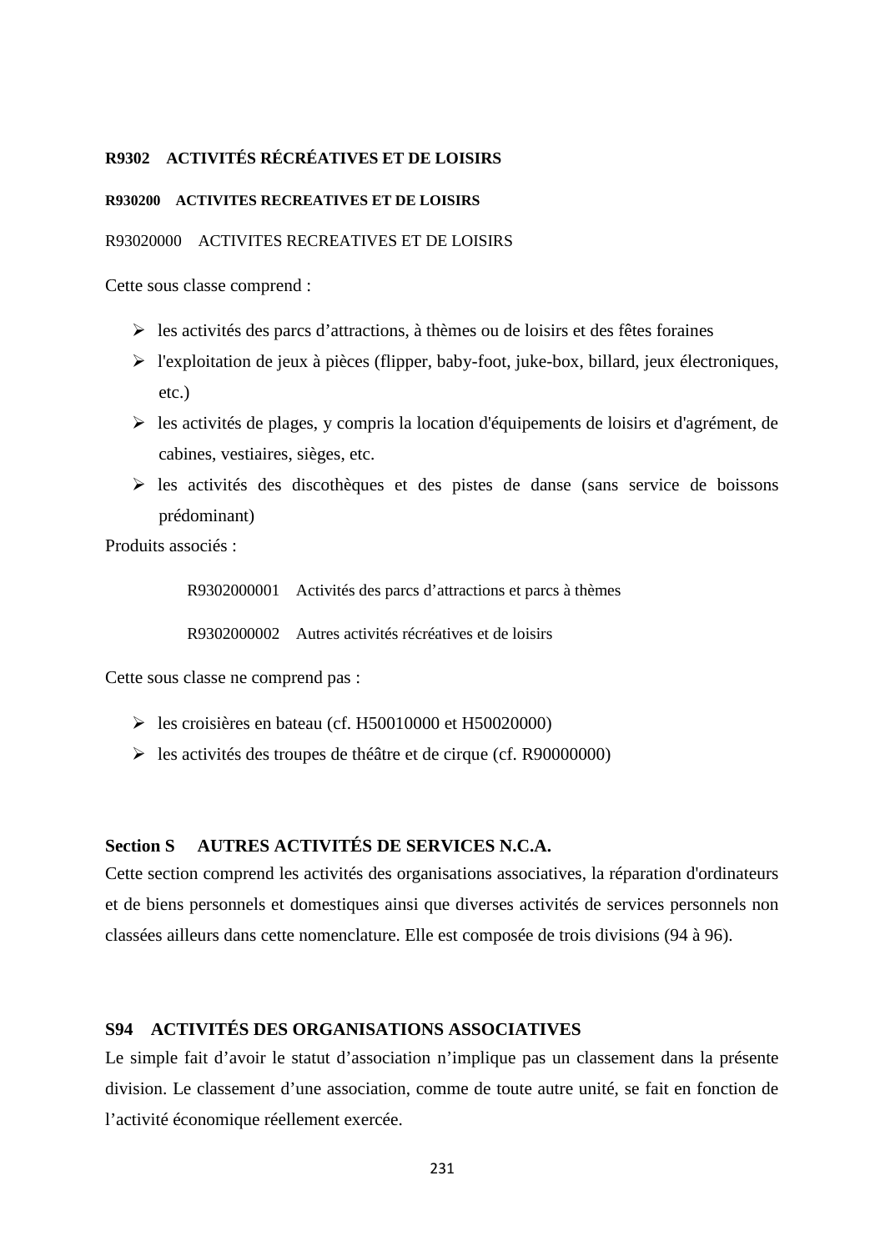# **R9302 ACTIVITÉS RÉCRÉATIVES ET DE LOISIRS**

#### **R930200 ACTIVITES RECREATIVES ET DE LOISIRS**

# R93020000 ACTIVITES RECREATIVES ET DE LOISIRS

Cette sous classe comprend :

- $\triangleright$  les activités des parcs d'attractions, à thèmes ou de loisirs et des fêtes foraines
- l'exploitation de jeux à pièces (flipper, baby-foot, juke-box, billard, jeux électroniques, etc.)
- $\triangleright$  les activités de plages, y compris la location d'équipements de loisirs et d'agrément, de cabines, vestiaires, sièges, etc.
- $\triangleright$  les activités des discothèques et des pistes de danse (sans service de boissons prédominant)

Produits associés :

R9302000001 Activités des parcs d'attractions et parcs à thèmes

R9302000002 Autres activités récréatives et de loisirs

Cette sous classe ne comprend pas :

- $\geq$  les croisières en bateau (cf. H50010000 et H50020000)
- les activités des troupes de théâtre et de cirque (cf. R90000000)

# **Section S AUTRES ACTIVITÉS DE SERVICES N.C.A.**

Cette section comprend les activités des organisations associatives, la réparation d'ordinateurs et de biens personnels et domestiques ainsi que diverses activités de services personnels non classées ailleurs dans cette nomenclature. Elle est composée de trois divisions (94 à 96).

# **S94 ACTIVITÉS DES ORGANISATIONS ASSOCIATIVES**

Le simple fait d'avoir le statut d'association n'implique pas un classement dans la présente division. Le classement d'une association, comme de toute autre unité, se fait en fonction de l'activité économique réellement exercée.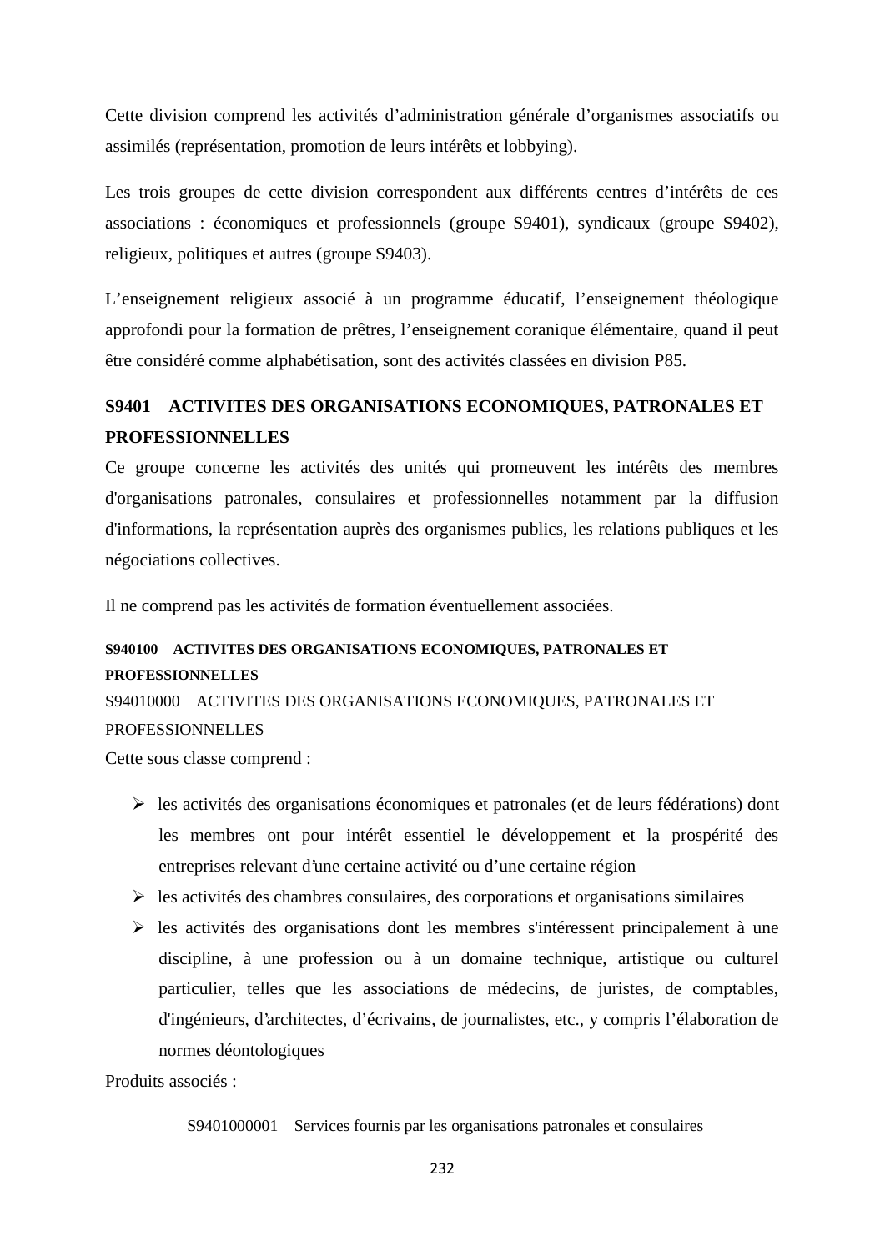Cette division comprend les activités d'administration générale d'organismes associatifs ou assimilés (représentation, promotion de leurs intérêts et lobbying).

Les trois groupes de cette division correspondent aux différents centres d'intérêts de ces associations : économiques et professionnels (groupe S9401), syndicaux (groupe S9402), religieux, politiques et autres (groupe S9403).

L'enseignement religieux associé à un programme éducatif, l'enseignement théologique approfondi pour la formation de prêtres, l'enseignement coranique élémentaire, quand il peut être considéré comme alphabétisation, sont des activités classées en division P85.

# **S9401 ACTIVITES DES ORGANISATIONS ECONOMIQUES, PATRONALES ET PROFESSIONNELLES**

Ce groupe concerne les activités des unités qui promeuvent les intérêts des membres d'organisations patronales, consulaires et professionnelles notamment par la diffusion d'informations, la représentation auprès des organismes publics, les relations publiques et les négociations collectives.

Il ne comprend pas les activités de formation éventuellement associées.

# **S940100 ACTIVITES DES ORGANISATIONS ECONOMIQUES, PATRONALES ET PROFESSIONNELLES**

S94010000 ACTIVITES DES ORGANISATIONS ECONOMIQUES, PATRONALES ET PROFESSIONNELLES

Cette sous classe comprend :

- $\triangleright$  les activités des organisations économiques et patronales (et de leurs fédérations) dont les membres ont pour intérêt essentiel le développement et la prospérité des entreprises relevant d'une certaine activité ou d'une certaine région
- $\triangleright$  les activités des chambres consulaires, des corporations et organisations similaires
- $\triangleright$  les activités des organisations dont les membres s'intéressent principalement à une discipline, à une profession ou à un domaine technique, artistique ou culturel particulier, telles que les associations de médecins, de juristes, de comptables, d'ingénieurs, d'architectes, d'écrivains, de journalistes, etc., y compris l'élaboration de normes déontologiques

Produits associés :

S9401000001 Services fournis par les organisations patronales et consulaires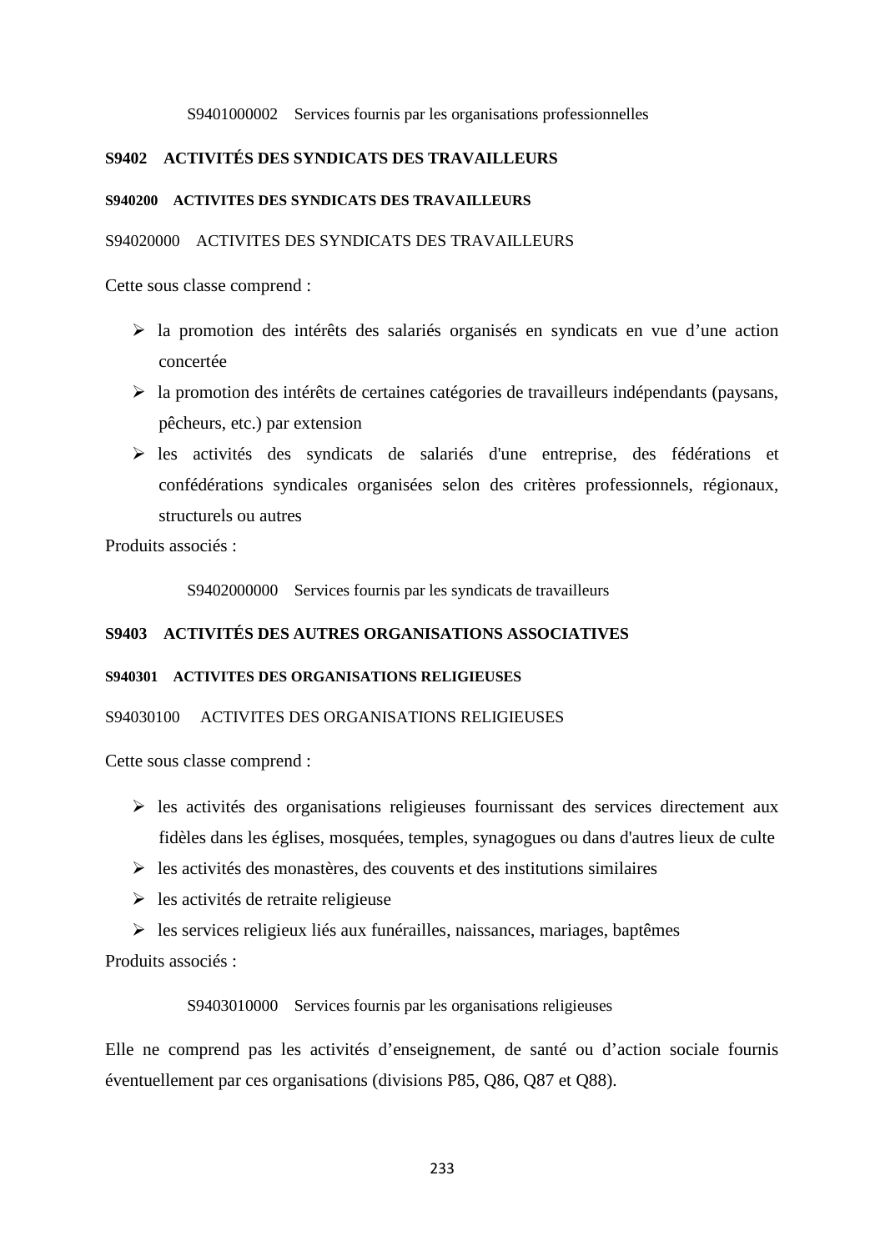#### S9401000002 Services fournis par les organisations professionnelles

# **S9402 ACTIVITÉS DES SYNDICATS DES TRAVAILLEURS**

#### **S940200 ACTIVITES DES SYNDICATS DES TRAVAILLEURS**

#### S94020000 ACTIVITES DES SYNDICATS DES TRAVAILLEURS

Cette sous classe comprend :

- la promotion des intérêts des salariés organisés en syndicats en vue d'une action concertée
- $\triangleright$  la promotion des intérêts de certaines catégories de travailleurs indépendants (paysans, pêcheurs, etc.) par extension
- les activités des syndicats de salariés d'une entreprise, des fédérations et confédérations syndicales organisées selon des critères professionnels, régionaux, structurels ou autres

Produits associés :

S9402000000 Services fournis par les syndicats de travailleurs

# **S9403 ACTIVITÉS DES AUTRES ORGANISATIONS ASSOCIATIVES**

## **S940301 ACTIVITES DES ORGANISATIONS RELIGIEUSES**

#### S94030100 ACTIVITES DES ORGANISATIONS RELIGIEUSES

Cette sous classe comprend :

- $\triangleright$  les activités des organisations religieuses fournissant des services directement aux fidèles dans les églises, mosquées, temples, synagogues ou dans d'autres lieux de culte
- $\triangleright$  les activités des monastères, des couvents et des institutions similaires
- $\triangleright$  les activités de retraite religieuse
- $\triangleright$  les services religieux liés aux funérailles, naissances, mariages, baptêmes

Produits associés :

## S9403010000 Services fournis par les organisations religieuses

Elle ne comprend pas les activités d'enseignement, de santé ou d'action sociale fournis éventuellement par ces organisations (divisions P85, Q86, Q87 et Q88).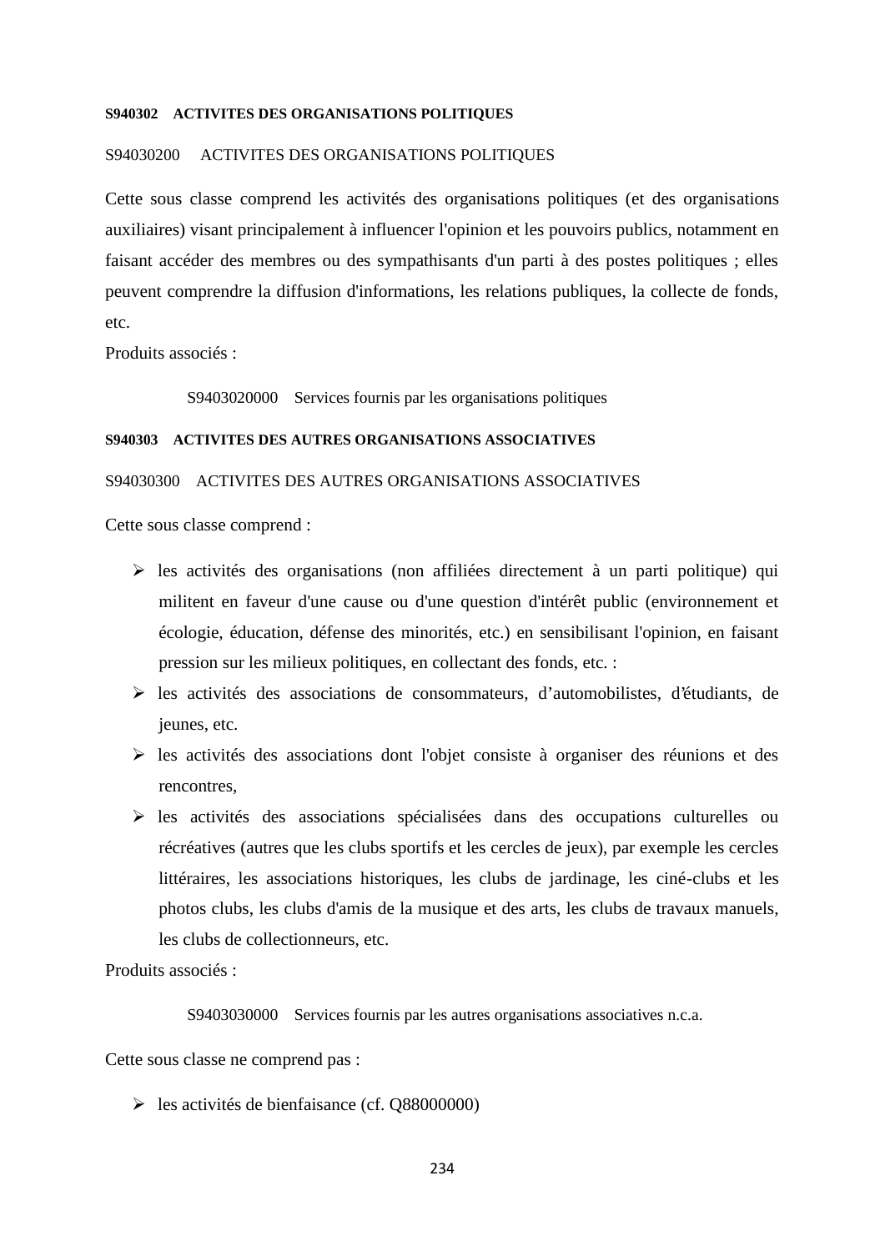#### **S940302 ACTIVITES DES ORGANISATIONS POLITIQUES**

#### S94030200 ACTIVITES DES ORGANISATIONS POLITIQUES

Cette sous classe comprend les activités des organisations politiques (et des organisations auxiliaires) visant principalement à influencer l'opinion et les pouvoirs publics, notamment en faisant accéder des membres ou des sympathisants d'un parti à des postes politiques ; elles peuvent comprendre la diffusion d'informations, les relations publiques, la collecte de fonds, etc.

Produits associés :

S9403020000 Services fournis par les organisations politiques

#### **S940303 ACTIVITES DES AUTRES ORGANISATIONS ASSOCIATIVES**

## S94030300 ACTIVITES DES AUTRES ORGANISATIONS ASSOCIATIVES

Cette sous classe comprend :

- $\triangleright$  les activités des organisations (non affiliées directement à un parti politique) qui militent en faveur d'une cause ou d'une question d'intérêt public (environnement et écologie, éducation, défense des minorités, etc.) en sensibilisant l'opinion, en faisant pression sur les milieux politiques, en collectant des fonds, etc. :
- $\triangleright$  les activités des associations de consommateurs, d'automobilistes, d'étudiants, de jeunes, etc.
- $\triangleright$  les activités des associations dont l'objet consiste à organiser des réunions et des rencontres,
- $\triangleright$  les activités des associations spécialisées dans des occupations culturelles ou récréatives (autres que les clubs sportifs et les cercles de jeux), par exemple les cercles littéraires, les associations historiques, les clubs de jardinage, les ciné-clubs et les photos clubs, les clubs d'amis de la musique et des arts, les clubs de travaux manuels, les clubs de collectionneurs, etc.

Produits associés :

S9403030000 Services fournis par les autres organisations associatives n.c.a.

Cette sous classe ne comprend pas :

les activités de bienfaisance (cf. Q88000000)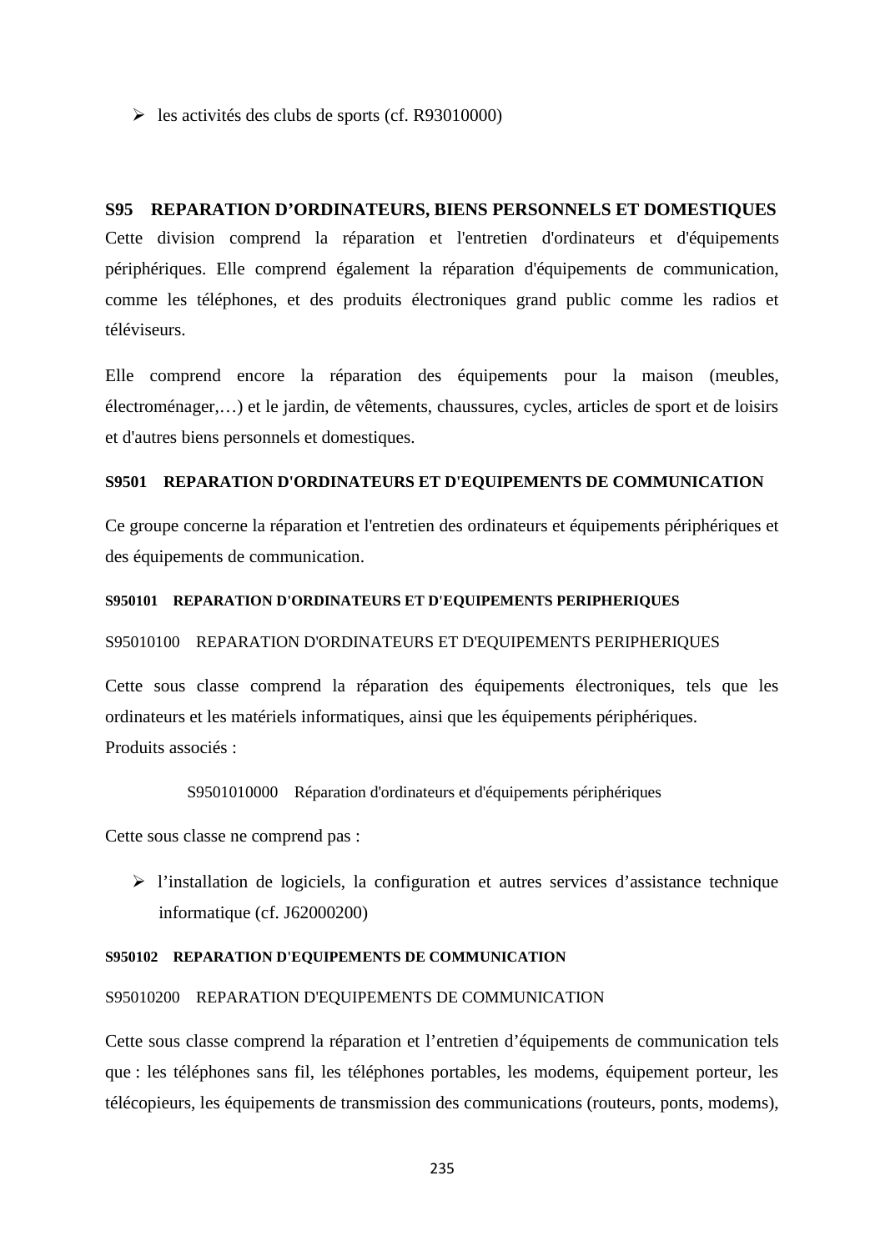$\blacktriangleright$  les activités des clubs de sports (cf. R93010000)

# **S95 REPARATION D'ORDINATEURS, BIENS PERSONNELS ET DOMESTIQUES**

Cette division comprend la réparation et l'entretien d'ordinateurs et d'équipements périphériques. Elle comprend également la réparation d'équipements de communication, comme les téléphones, et des produits électroniques grand public comme les radios et téléviseurs.

Elle comprend encore la réparation des équipements pour la maison (meubles, électroménager,…) et le jardin, de vêtements, chaussures, cycles, articles de sport et de loisirs et d'autres biens personnels et domestiques.

# **S9501 REPARATION D'ORDINATEURS ET D'EQUIPEMENTS DE COMMUNICATION**

Ce groupe concerne la réparation et l'entretien des ordinateurs et équipements périphériques et des équipements de communication.

#### **S950101 REPARATION D'ORDINATEURS ET D'EQUIPEMENTS PERIPHERIQUES**

#### S95010100 REPARATION D'ORDINATEURS ET D'EQUIPEMENTS PERIPHERIQUES

Cette sous classe comprend la réparation des équipements électroniques, tels que les ordinateurs et les matériels informatiques, ainsi que les équipements périphériques. Produits associés :

## S9501010000 Réparation d'ordinateurs et d'équipements périphériques

Cette sous classe ne comprend pas :

 $\triangleright$  l'installation de logiciels, la configuration et autres services d'assistance technique informatique (cf. J62000200)

#### **S950102 REPARATION D'EQUIPEMENTS DE COMMUNICATION**

#### S95010200 REPARATION D'EQUIPEMENTS DE COMMUNICATION

Cette sous classe comprend la réparation et l'entretien d'équipements de communication tels que : les téléphones sans fil, les téléphones portables, les modems, équipement porteur, les télécopieurs, les équipements de transmission des communications (routeurs, ponts, modems),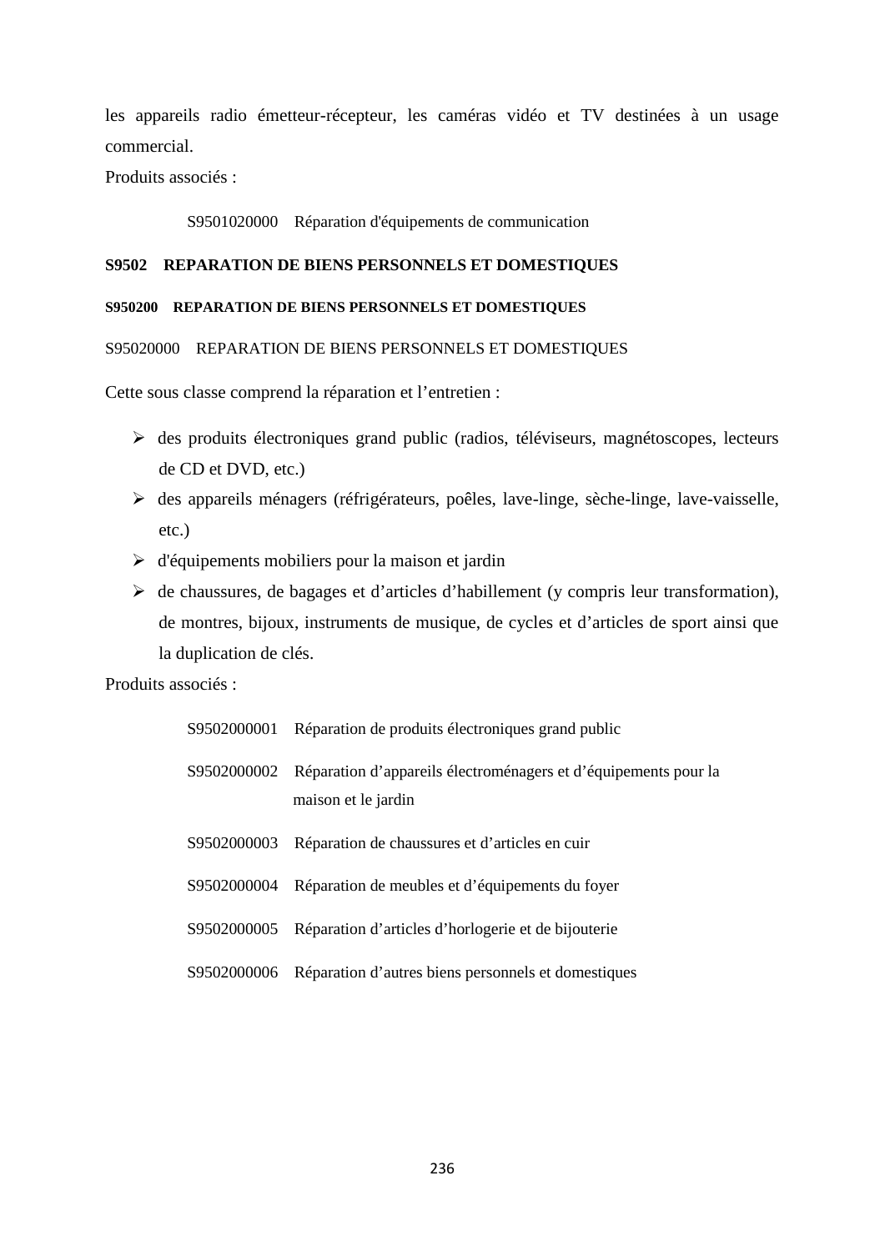les appareils radio émetteur-récepteur, les caméras vidéo et TV destinées à un usage commercial.

Produits associés :

S9501020000 Réparation d'équipements de communication

# **S9502 REPARATION DE BIENS PERSONNELS ET DOMESTIQUES**

# **S950200 REPARATION DE BIENS PERSONNELS ET DOMESTIQUES**

S95020000 REPARATION DE BIENS PERSONNELS ET DOMESTIQUES

Cette sous classe comprend la réparation et l'entretien :

- $\triangleright$  des produits électroniques grand public (radios, téléviseurs, magnétoscopes, lecteurs de CD et DVD, etc.)
- des appareils ménagers (réfrigérateurs, poêles, lave-linge, sèche-linge, lave-vaisselle, etc.)
- $\triangleright$  d'équipements mobiliers pour la maison et jardin
- $\triangleright$  de chaussures, de bagages et d'articles d'habillement (y compris leur transformation), de montres, bijoux, instruments de musique, de cycles et d'articles de sport ainsi que la duplication de clés.

| S9502000001 | Réparation de produits électroniques grand public                                                  |
|-------------|----------------------------------------------------------------------------------------------------|
|             | S9502000002 Réparation d'appareils électroménagers et d'équipements pour la<br>maison et le jardin |
| S9502000003 | Réparation de chaussures et d'articles en cuir                                                     |
| S9502000004 | Réparation de meubles et d'équipements du foyer                                                    |
| S9502000005 | Réparation d'articles d'horlogerie et de bijouterie                                                |
| S9502000006 | Réparation d'autres biens personnels et domestiques                                                |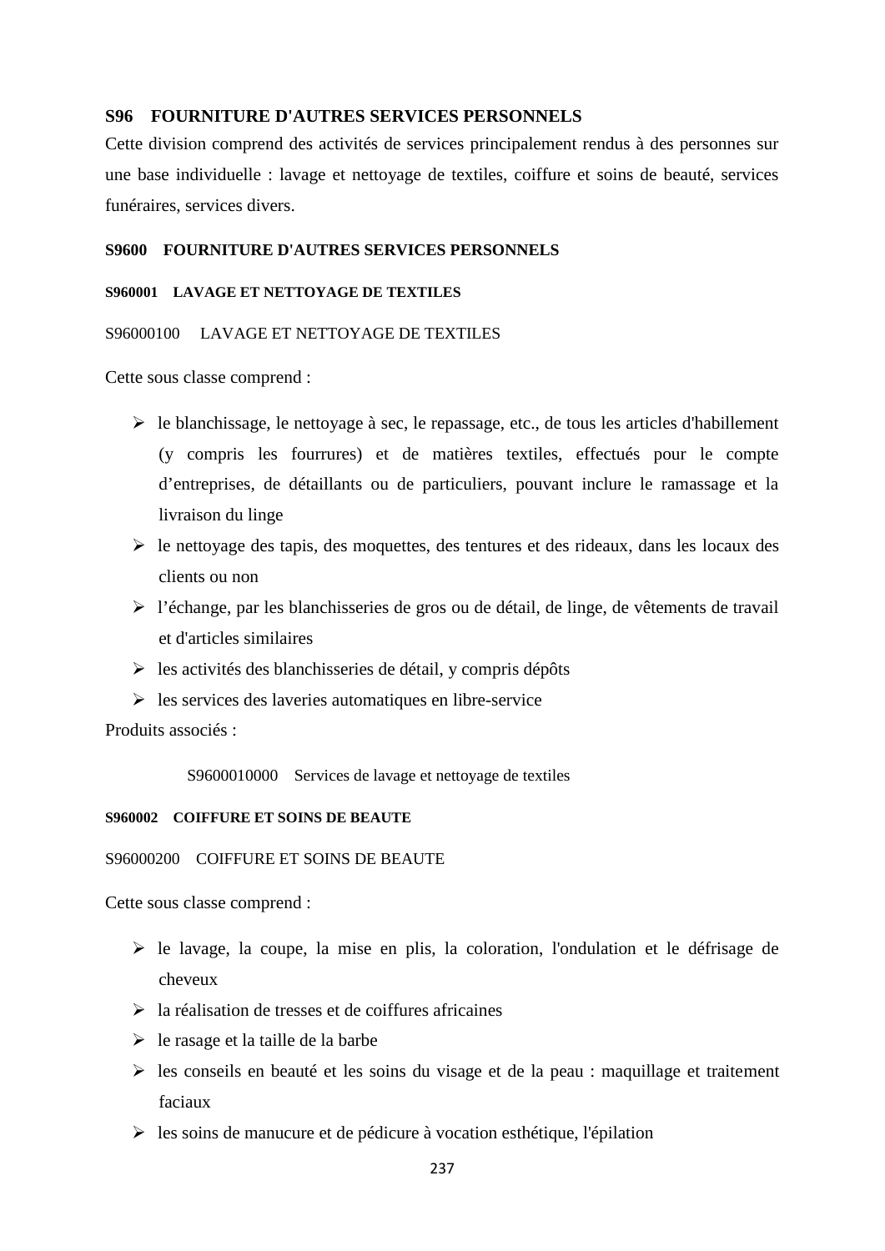## **S96 FOURNITURE D'AUTRES SERVICES PERSONNELS**

Cette division comprend des activités de services principalement rendus à des personnes sur une base individuelle : lavage et nettoyage de textiles, coiffure et soins de beauté, services funéraires, services divers.

#### **S9600 FOURNITURE D'AUTRES SERVICES PERSONNELS**

#### **S960001 LAVAGE ET NETTOYAGE DE TEXTILES**

## S96000100 LAVAGE ET NETTOYAGE DE TEXTILES

Cette sous classe comprend :

- $\triangleright$  le blanchissage, le nettoyage à sec, le repassage, etc., de tous les articles d'habillement (y compris les fourrures) et de matières textiles, effectués pour le compte d'entreprises, de détaillants ou de particuliers, pouvant inclure le ramassage et la livraison du linge
- $\triangleright$  le nettoyage des tapis, des moquettes, des tentures et des rideaux, dans les locaux des clients ou non
- l'échange, par les blanchisseries de gros ou de détail, de linge, de vêtements de travail et d'articles similaires
- $\triangleright$  les activités des blanchisseries de détail, y compris dépôts
- $\triangleright$  les services des laveries automatiques en libre-service

Produits associés :

S9600010000 Services de lavage et nettoyage de textiles

#### **S960002 COIFFURE ET SOINS DE BEAUTE**

#### S96000200 COIFFURE ET SOINS DE BEAUTE

- le lavage, la coupe, la mise en plis, la coloration, l'ondulation et le défrisage de cheveux
- $\triangleright$  la réalisation de tresses et de coiffures africaines
- $\triangleright$  le rasage et la taille de la barbe
- $\triangleright$  les conseils en beauté et les soins du visage et de la peau : maquillage et traitement faciaux
- $\triangleright$  les soins de manucure et de pédicure à vocation esthétique, l'épilation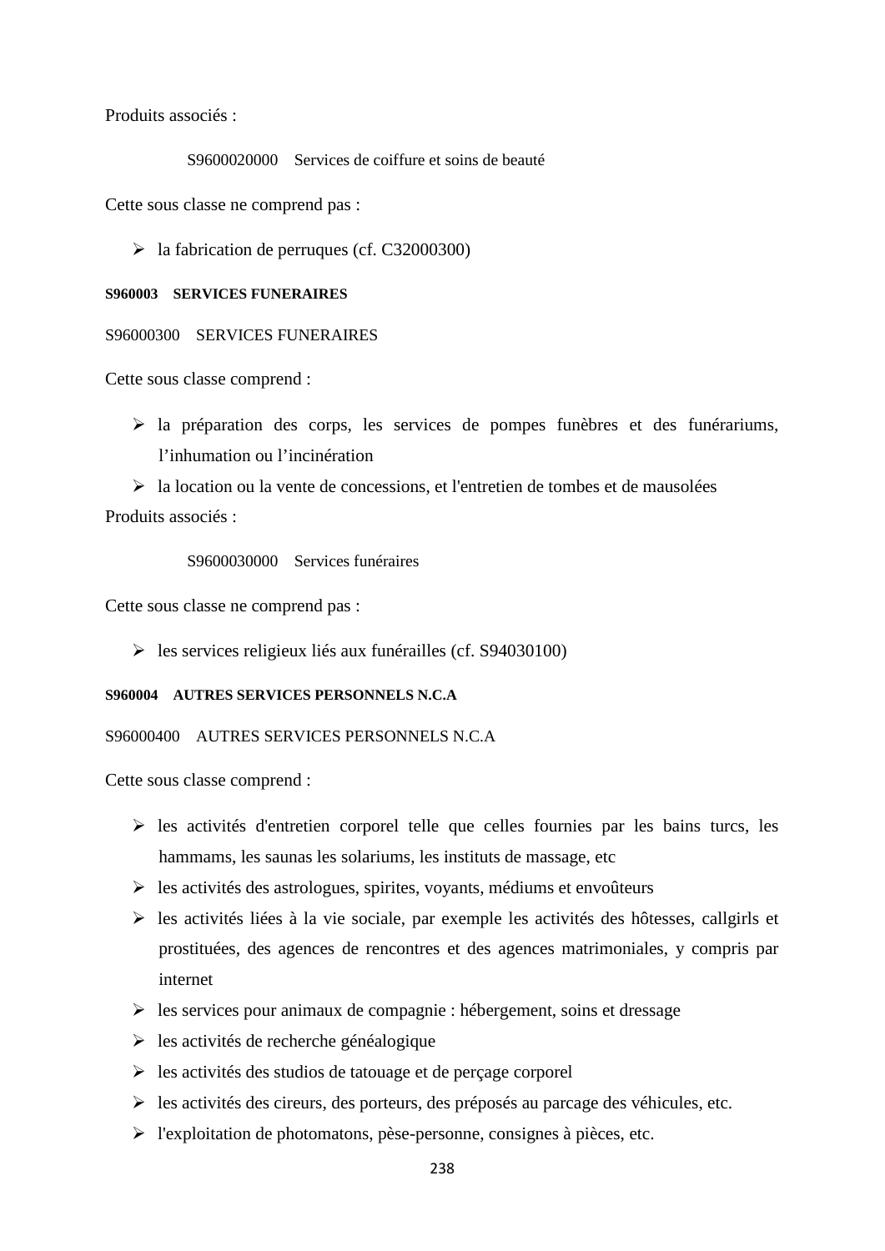Produits associés :

S9600020000 Services de coiffure et soins de beauté

Cette sous classe ne comprend pas :

 $\blacktriangleright$  la fabrication de perruques (cf. C32000300)

#### **S960003 SERVICES FUNERAIRES**

#### S96000300 SERVICES FUNERAIRES

Cette sous classe comprend :

 la préparation des corps, les services de pompes funèbres et des funérariums, l'inhumation ou l'incinération

 $\triangleright$  la location ou la vente de concessions, et l'entretien de tombes et de mausolées Produits associés :

# S9600030000 Services funéraires

Cette sous classe ne comprend pas :

 $\blacktriangleright$  les services religieux liés aux funérailles (cf. S94030100)

#### **S960004 AUTRES SERVICES PERSONNELS N.C.A**

S96000400 AUTRES SERVICES PERSONNELS N.C.A

- $\triangleright$  les activités d'entretien corporel telle que celles fournies par les bains turcs, les hammams, les saunas les solariums, les instituts de massage, etc
- $\triangleright$  les activités des astrologues, spirites, voyants, médiums et envoûteurs
- $\triangleright$  les activités liées à la vie sociale, par exemple les activités des hôtesses, callgirls et prostituées, des agences de rencontres et des agences matrimoniales, y compris par internet
- $\triangleright$  les services pour animaux de compagnie : hébergement, soins et dressage
- $\triangleright$  les activités de recherche généalogique
- $\triangleright$  les activités des studios de tatouage et de perçage corporel
- $\triangleright$  les activités des cireurs, des porteurs, des préposés au parcage des véhicules, etc.
- $\triangleright$  l'exploitation de photomatons, pèse-personne, consignes à pièces, etc.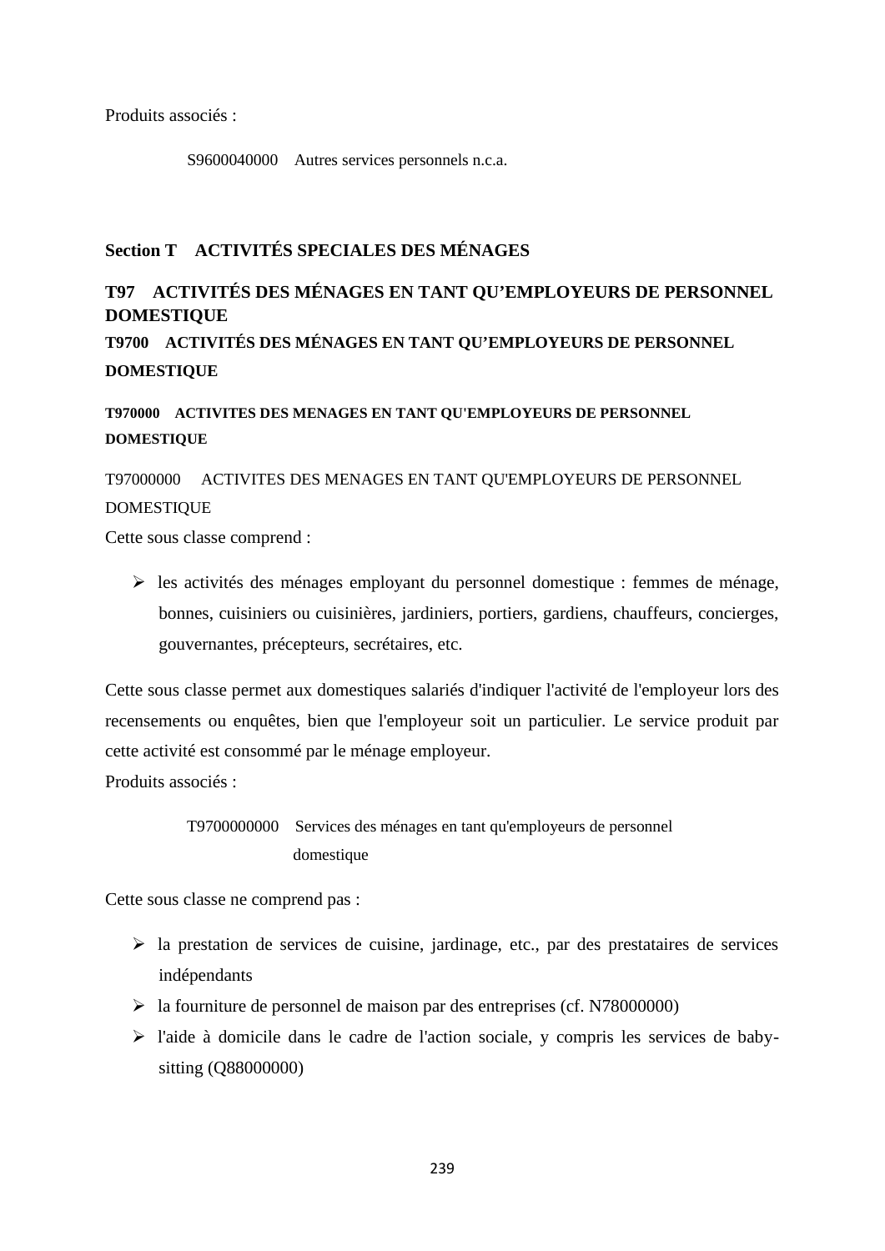Produits associés :

S9600040000 Autres services personnels n.c.a.

# **Section T ACTIVITÉS SPECIALES DES MÉNAGES**

# **T97 ACTIVITÉS DES MÉNAGES EN TANT QU'EMPLOYEURS DE PERSONNEL DOMESTIQUE**

**T9700 ACTIVITÉS DES MÉNAGES EN TANT QU'EMPLOYEURS DE PERSONNEL DOMESTIQUE**

**T970000 ACTIVITES DES MENAGES EN TANT QU'EMPLOYEURS DE PERSONNEL DOMESTIQUE**

T97000000 ACTIVITES DES MENAGES EN TANT QU'EMPLOYEURS DE PERSONNEL DOMESTIQUE

Cette sous classe comprend :

 $\triangleright$  les activités des ménages employant du personnel domestique : femmes de ménage, bonnes, cuisiniers ou cuisinières, jardiniers, portiers, gardiens, chauffeurs, concierges, gouvernantes, précepteurs, secrétaires, etc.

Cette sous classe permet aux domestiques salariés d'indiquer l'activité de l'employeur lors des recensements ou enquêtes, bien que l'employeur soit un particulier. Le service produit par cette activité est consommé par le ménage employeur.

Produits associés :

T9700000000 Services des ménages en tant qu'employeurs de personnel domestique

Cette sous classe ne comprend pas :

- $\triangleright$  la prestation de services de cuisine, jardinage, etc., par des prestataires de services indépendants
- $\blacktriangleright$  la fourniture de personnel de maison par des entreprises (cf. N78000000)
- $\triangleright$  l'aide à domicile dans le cadre de l'action sociale, y compris les services de babysitting (Q88000000)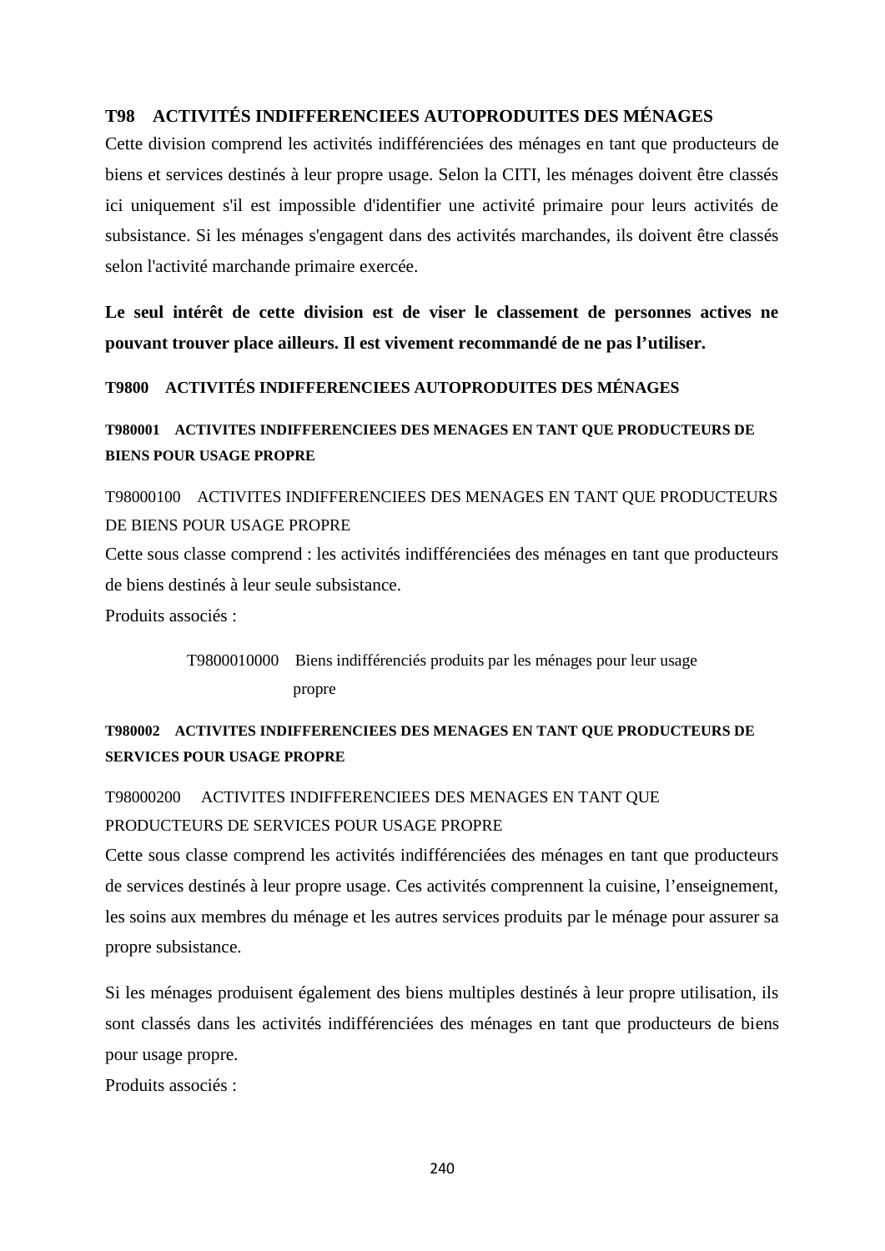# **T98 ACTIVITÉS INDIFFERENCIEES AUTOPRODUITES DES MÉNAGES**

Cette division comprend les activités indifférenciées des ménages en tant que producteurs de biens et services destinés à leur propre usage. Selon la CITI, les ménages doivent être classés ici uniquement s'il est impossible d'identifier une activité primaire pour leurs activités de subsistance. Si les ménages s'engagent dans des activités marchandes, ils doivent être classés selon l'activité marchande primaire exercée.

**Le seul intérêt de cette division est de viser le classement de personnes actives ne pouvant trouver place ailleurs. Il est vivement recommandé de ne pas l'utiliser.**

**T9800 ACTIVITÉS INDIFFERENCIEES AUTOPRODUITES DES MÉNAGES**

**T980001 ACTIVITES INDIFFERENCIEES DES MENAGES EN TANT QUE PRODUCTEURS DE BIENS POUR USAGE PROPRE**

T98000100 ACTIVITES INDIFFERENCIEES DES MENAGES EN TANT QUE PRODUCTEURS DE BIENS POUR USAGE PROPRE

Cette sous classe comprend : les activités indifférenciées des ménages en tant que producteurs de biens destinés à leur seule subsistance.

Produits associés :

T9800010000 Biens indifférenciés produits par les ménages pour leur usage propre

# **T980002 ACTIVITES INDIFFERENCIEES DES MENAGES EN TANT QUE PRODUCTEURS DE SERVICES POUR USAGE PROPRE**

# T98000200 ACTIVITES INDIFFERENCIEES DES MENAGES EN TANT QUE PRODUCTEURS DE SERVICES POUR USAGE PROPRE

Cette sous classe comprend les activités indifférenciées des ménages en tant que producteurs de services destinés à leur propre usage. Ces activités comprennent la cuisine, l'enseignement, les soins aux membres du ménage et les autres services produits par le ménage pour assurer sa propre subsistance.

Si les ménages produisent également des biens multiples destinés à leur propre utilisation, ils sont classés dans les activités indifférenciées des ménages en tant que producteurs de biens pour usage propre.